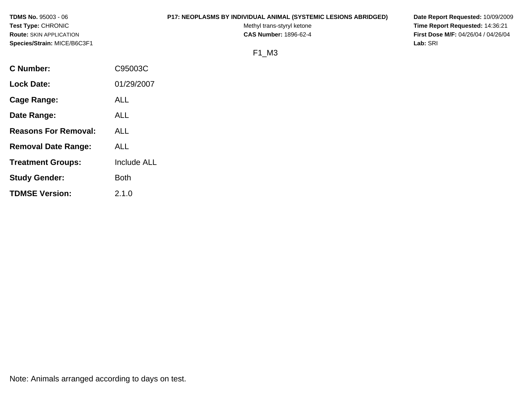**TDMS No.** 95003 - 06 **P17: NEOPLASMS BY INDIVIDUAL ANIMAL (SYSTEMIC LESIONS ABRIDGED) Date Report Requested:** 10/09/2009 **Test Type:** CHRONIC **The Report Requested:** 14:36:21 **Route:** SKIN APPLICATION **CAS Number:** 1896-62-4 **First Dose M/F:** 04/26/04 / 04/26/04 **Species/Strain:** MICE/B6C3F1 **Lab:** SRI F1\_M3 **C Number:** C95003C

**Lock Date:** 01/29/2007

**Treatment Groups:** Include ALL

**Cage Range:** ALL

**Date Range:** ALL

**Reasons For Removal:** ALL

**Removal Date Range:** ALL

**Study Gender:** Both

**TDMSE Version:** 2.1.0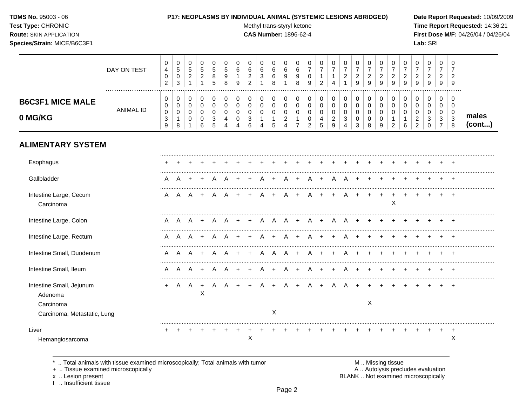TDMS No. 95003 - 06 Test Type: CHRONIC

**Route: SKIN APPLICATION** 

Species/Strain: MICE/B6C3F1

## P17: NEOPLASMS BY INDIVIDUAL ANIMAL (SYSTEMIC LESIONS ABRIDGED)

Methyl trans-styryl ketone

**CAS Number: 1896-62-4** 

Date Report Requested: 10/09/2009 Time Report Requested: 14:36:21 First Dose M/F: 04/26/04 / 04/26/04 Lab: SRI

|                                                                                 | DAY ON TEST<br>  | 0<br>$\overline{4}$<br>$\mathbf 0$<br>$\overline{2}$ | 0<br>$\sqrt{5}$<br>$\mathbf 0$<br>3                  | 0<br>$\sqrt{5}$<br>$\boldsymbol{2}$<br>$\mathbf{1}$           | 0<br>$\,$ 5 $\,$<br>$\overline{c}$<br>$\mathbf{1}$ | 0<br>$\,$ 5 $\,$<br>$\bf 8$<br>5              | 0<br>5<br>9<br>8                                                      | 0<br>6<br>$\mathbf{1}$<br>9                            | 0<br>6<br>$\overline{2}$<br>$\overline{2}$ | 0<br>$\,6\,$<br>$\sqrt{3}$<br>$\mathbf{1}$ | 0<br>6<br>$\,6$<br>8                      | 0<br>$\,6\,$<br>9<br>1                                   | $\mathbf 0$<br>$\,6\,$<br>9<br>8                                            | 0<br>$\overline{7}$<br>$\mathbf 0$<br>9                | 0<br>$\overline{7}$<br>$\mathbf{1}$<br>2                         | 0<br>$\overline{7}$<br>$\mathbf{1}$<br>4 | 0<br>$\overline{7}$<br>$\boldsymbol{2}$<br>1                  | 0<br>$\overline{7}$<br>$\boldsymbol{2}$<br>9                             | 0<br>$\overline{7}$<br>$\boldsymbol{2}$<br>9                  | 0<br>$\overline{7}$<br>$\boldsymbol{2}$<br>9     | $\Omega$<br>$\overline{7}$<br>$\boldsymbol{2}$<br>9   | 0<br>$\overline{7}$<br>$\boldsymbol{2}$<br>9              | $\mathbf 0$<br>$\overline{7}$<br>$\overline{c}$<br>9             | 0<br>$\overline{7}$<br>$\boldsymbol{2}$<br>9        | 0<br>$\overline{7}$<br>$\boldsymbol{2}$<br>9          | 0<br>7<br>$\overline{2}$<br>9                             |                 |
|---------------------------------------------------------------------------------|------------------|------------------------------------------------------|------------------------------------------------------|---------------------------------------------------------------|----------------------------------------------------|-----------------------------------------------|-----------------------------------------------------------------------|--------------------------------------------------------|--------------------------------------------|--------------------------------------------|-------------------------------------------|----------------------------------------------------------|-----------------------------------------------------------------------------|--------------------------------------------------------|------------------------------------------------------------------|------------------------------------------|---------------------------------------------------------------|--------------------------------------------------------------------------|---------------------------------------------------------------|--------------------------------------------------|-------------------------------------------------------|-----------------------------------------------------------|------------------------------------------------------------------|-----------------------------------------------------|-------------------------------------------------------|-----------------------------------------------------------|-----------------|
| <b>B6C3F1 MICE MALE</b><br>0 MG/KG                                              | <b>ANIMAL ID</b> | 0<br>0<br>$\mathbf 0$<br>$\mathbf{3}$<br>$9\,$       | 0<br>$\mathbf 0$<br>$\mathbf 0$<br>$\mathbf{1}$<br>8 | $\mathbf 0$<br>$\mathbf 0$<br>$\mathbf 0$<br>$\mathbf 0$<br>1 | 0<br>$\mathbf 0$<br>$\Omega$<br>0<br>6             | $\mathbf 0$<br>$\Omega$<br>$\Omega$<br>3<br>5 | $\mathbf 0$<br>$\Omega$<br>$\mathbf 0$<br>4<br>$\boldsymbol{\Lambda}$ | $\mathbf 0$<br>0<br>$\mathbf 0$<br>0<br>$\overline{4}$ | 0<br>$\mathbf 0$<br>$\mathbf 0$<br>3<br>6  | $\pmb{0}$<br>0<br>0<br>$\mathbf{1}$<br>4   | 0<br>$\mathbf 0$<br>$\mathbf 0$<br>1<br>5 | 0<br>$\mathbf 0$<br>$\mathbf 0$<br>$\boldsymbol{2}$<br>4 | $\mathbf 0$<br>$\mathbf 0$<br>$\mathbf 0$<br>$\mathbf{1}$<br>$\overline{7}$ | $\mathbf 0$<br>0<br>$\mathbf 0$<br>0<br>$\overline{2}$ | $\mathbf 0$<br>$\mathbf 0$<br>$\mathbf 0$<br>$\overline{4}$<br>5 | 0<br>0<br>0<br>$\overline{c}$<br>9       | $\pmb{0}$<br>$\mathbf 0$<br>0<br>$\sqrt{3}$<br>$\overline{4}$ | $\mathbf 0$<br>$\mathbf 0$<br>$\mathbf 0$<br>$\mathbf 0$<br>$\mathbf{3}$ | $\mathbf 0$<br>$\mathbf 0$<br>$\mathbf 0$<br>$\mathbf 0$<br>8 | 0<br>$\mathbf 0$<br>$\Omega$<br>$\mathbf 0$<br>9 | $\mathbf 0$<br>$\Omega$<br>$\Omega$<br>$\overline{c}$ | $\pmb{0}$<br>$\mathbf 0$<br>$\Omega$<br>$\mathbf{1}$<br>6 | 0<br>$\mathbf 0$<br>$\Omega$<br>$\overline{c}$<br>$\overline{2}$ | 0<br>$\mathbf 0$<br>$\mathbf 0$<br>3<br>$\mathbf 0$ | $\mathbf 0$<br>0<br>0<br>$\sqrt{3}$<br>$\overline{7}$ | $\mathbf 0$<br>$\Omega$<br>$\mathbf 0$<br>$\sqrt{3}$<br>8 | males<br>(cont) |
| <b>ALIMENTARY SYSTEM</b>                                                        |                  |                                                      |                                                      |                                                               |                                                    |                                               |                                                                       |                                                        |                                            |                                            |                                           |                                                          |                                                                             |                                                        |                                                                  |                                          |                                                               |                                                                          |                                                               |                                                  |                                                       |                                                           |                                                                  |                                                     |                                                       |                                                           |                 |
| Esophagus                                                                       |                  |                                                      |                                                      |                                                               |                                                    |                                               |                                                                       |                                                        |                                            |                                            |                                           |                                                          |                                                                             |                                                        |                                                                  |                                          |                                                               |                                                                          |                                                               |                                                  |                                                       |                                                           |                                                                  |                                                     |                                                       |                                                           |                 |
| Gallbladder                                                                     |                  | A                                                    | A                                                    |                                                               |                                                    | Α                                             |                                                                       |                                                        |                                            |                                            |                                           |                                                          |                                                                             |                                                        |                                                                  | A                                        | A                                                             |                                                                          |                                                               |                                                  |                                                       |                                                           |                                                                  |                                                     |                                                       |                                                           |                 |
| Intestine Large, Cecum<br>Carcinoma                                             |                  | A                                                    | A                                                    | A                                                             |                                                    |                                               |                                                                       |                                                        |                                            |                                            |                                           |                                                          |                                                                             |                                                        |                                                                  |                                          |                                                               |                                                                          |                                                               |                                                  | X                                                     |                                                           |                                                                  |                                                     |                                                       |                                                           |                 |
| Intestine Large, Colon                                                          |                  | A                                                    | A                                                    | A                                                             | $+$                                                | A                                             |                                                                       | $\div$                                                 | $+$                                        | A                                          | A                                         | A                                                        | $+$                                                                         | A                                                      | $\ddot{}$                                                        | A                                        | A                                                             |                                                                          |                                                               |                                                  |                                                       |                                                           |                                                                  |                                                     |                                                       |                                                           |                 |
| Intestine Large, Rectum                                                         |                  | A                                                    | A                                                    | A                                                             | $\div$                                             |                                               |                                                                       |                                                        |                                            |                                            |                                           |                                                          |                                                                             |                                                        |                                                                  |                                          |                                                               |                                                                          |                                                               |                                                  |                                                       |                                                           |                                                                  |                                                     |                                                       |                                                           |                 |
| Intestine Small, Duodenum                                                       |                  | A                                                    | A                                                    | A                                                             | $\ddot{}$                                          |                                               |                                                                       |                                                        |                                            | A                                          | A                                         | A                                                        |                                                                             |                                                        |                                                                  |                                          |                                                               |                                                                          |                                                               |                                                  |                                                       |                                                           |                                                                  |                                                     |                                                       |                                                           |                 |
| Intestine Small, Ileum                                                          |                  | A                                                    | A                                                    | $\mathsf{A}$                                                  | $\ddot{}$                                          | A                                             | A                                                                     | $\overline{1}$                                         | $\ddot{}$                                  | A                                          | $+$                                       | A                                                        | $\ddot{}$                                                                   | A                                                      |                                                                  | $\div$                                   | A                                                             |                                                                          |                                                               |                                                  |                                                       |                                                           |                                                                  |                                                     |                                                       |                                                           |                 |
| Intestine Small, Jejunum<br>Adenoma<br>Carcinoma<br>Carcinoma, Metastatic, Lung |                  | $+$                                                  | A                                                    | A                                                             | $+$<br>X                                           |                                               | $A \quad A +$                                                         |                                                        | $+$                                        | A                                          | $+$<br>X                                  | $\mathsf{A}$                                             | $+$                                                                         | $A +$                                                  |                                                                  | $\overline{A}$                           | $\overline{A}$                                                | $+$                                                                      | X                                                             |                                                  |                                                       |                                                           |                                                                  |                                                     |                                                       | $+$                                                       |                 |
| Liver<br>Hemangiosarcoma                                                        |                  |                                                      |                                                      |                                                               |                                                    |                                               |                                                                       |                                                        | $\mathsf X$                                |                                            |                                           |                                                          |                                                                             |                                                        |                                                                  |                                          |                                                               |                                                                          |                                                               |                                                  |                                                       |                                                           |                                                                  |                                                     |                                                       | $\ddot{}$<br>X                                            |                 |

.. Total animals with tissue examined microscopically; Total animals with tumor  $\star$ 

+ .. Tissue examined microscopically

x .. Lesion present<br>I .. Insufficient tissue

M .. Missing tissue<br>A .. Autolysis precludes evaluation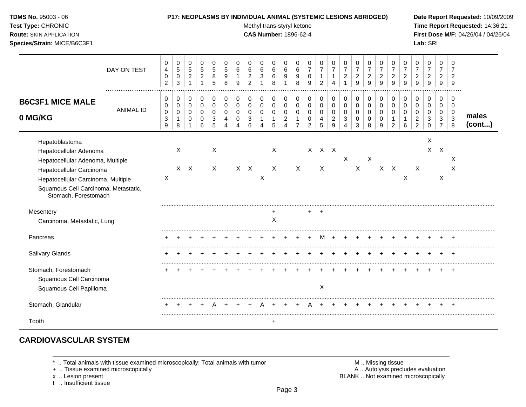**Test Type:** CHRONIC **The Report Requested:** 14:36:21 **Route:** SKIN APPLICATION **CAS Number:** 1896-62-4 **First Dose M/F:** 04/26/04 / 04/26/04 **Species/Strain:** MICE/B6C3F1 **Lab:** SRI

|                                                                                                                                                                                                                | DAY ON TEST      | 0<br>$\overline{4}$<br>$\pmb{0}$<br>$\overline{2}$ | 0<br>$\,$ 5 $\,$<br>$\mathbf 0$<br>$\mathbf{3}$      | 0<br>$\sqrt{5}$<br>$\overline{c}$<br>$\overline{1}$ | 0<br>$\,$ 5 $\,$<br>$\boldsymbol{2}$<br>$\overline{1}$ | 0<br>$\mathbf 5$<br>8<br>5                | 0<br>$\mathbf 5$<br>9<br>8            | 0<br>6<br>9                                    | 0<br>$\,6\,$<br>$\boldsymbol{2}$<br>$\overline{2}$ | 0<br>$\,6\,$<br>$\sqrt{3}$       | 0<br>$\,6\,$<br>6<br>8                               | 0<br>$\,6$<br>9                                      | 0<br>6<br>9<br>8                                  | 0<br>$\overline{7}$<br>0<br>9 | 0<br>$\overline{7}$<br>1<br>$\overline{2}$ | 0<br>$\overline{7}$<br>$\mathbf{1}$<br>$\boldsymbol{\Lambda}$ | 0<br>$\overline{7}$<br>$\overline{c}$              | 0<br>$\overline{7}$<br>$\overline{c}$<br>9 | 0<br>$\overline{7}$<br>$\boldsymbol{2}$<br>9 | 0<br>$\overline{7}$<br>$\overline{c}$<br>9 | 0<br>$\overline{7}$<br>$\overline{c}$<br>9 | 0<br>$\overline{7}$<br>$\boldsymbol{2}$<br>9 | 0<br>$\overline{7}$<br>$\overline{c}$<br>9             | 0<br>$\overline{7}$<br>$\overline{c}$<br>$\boldsymbol{9}$ | 0<br>$\overline{7}$<br>$\overline{a}$<br>$9\,$         | 0<br>$\overline{7}$<br>2<br>9                        |                 |
|----------------------------------------------------------------------------------------------------------------------------------------------------------------------------------------------------------------|------------------|----------------------------------------------------|------------------------------------------------------|-----------------------------------------------------|--------------------------------------------------------|-------------------------------------------|---------------------------------------|------------------------------------------------|----------------------------------------------------|----------------------------------|------------------------------------------------------|------------------------------------------------------|---------------------------------------------------|-------------------------------|--------------------------------------------|---------------------------------------------------------------|----------------------------------------------------|--------------------------------------------|----------------------------------------------|--------------------------------------------|--------------------------------------------|----------------------------------------------|--------------------------------------------------------|-----------------------------------------------------------|--------------------------------------------------------|------------------------------------------------------|-----------------|
| <b>B6C3F1 MICE MALE</b><br>0 MG/KG                                                                                                                                                                             | <b>ANIMAL ID</b> | 0<br>0<br>0<br>3<br>9                              | 0<br>$\pmb{0}$<br>$\mathbf 0$<br>$\overline{1}$<br>8 | 0<br>0<br>$\mathbf 0$<br>0<br>1                     | 0<br>$\pmb{0}$<br>$\mathbf 0$<br>0<br>6                | 0<br>$\mathbf 0$<br>$\mathbf 0$<br>3<br>5 | $\,0\,$<br>0<br>$\mathbf 0$<br>4<br>Δ | 0<br>$\pmb{0}$<br>$\mathbf 0$<br>0<br>$\Delta$ | 0<br>$\mathsf 0$<br>$\mathbf 0$<br>3<br>6          | 0<br>0<br>$\mathbf 0$<br>-1<br>4 | 0<br>$\mathbf 0$<br>$\mathbf 0$<br>$\mathbf{1}$<br>5 | 0<br>$\pmb{0}$<br>$\mathbf 0$<br>$\overline{c}$<br>4 | 0<br>$\mathbf 0$<br>$\mathbf 0$<br>$\overline{7}$ | $\,0\,$<br>0<br>0<br>0<br>2   | 0<br>$\mathbf 0$<br>$\mathbf 0$<br>4<br>5  | 0<br>$\pmb{0}$<br>$\mathbf 0$<br>$\overline{c}$<br>9          | 0<br>$\pmb{0}$<br>$\mathbf 0$<br>$\mathbf{3}$<br>4 | 0<br>$\pmb{0}$<br>$\mathbf 0$<br>0<br>3    | 0<br>$\pmb{0}$<br>$\mathbf 0$<br>0<br>8      | 0<br>$\pmb{0}$<br>$\Omega$<br>0<br>9       | 0<br>0<br>0<br>1<br>2                      | 0<br>$\mathbf 0$<br>$\Omega$<br>1<br>6       | 0<br>$\mathbf 0$<br>$\mathbf 0$<br>2<br>$\mathfrak{p}$ | 0<br>0<br>0<br>3<br>$\Omega$                              | $\mathbf 0$<br>0<br>$\mathbf 0$<br>3<br>$\overline{7}$ | 0<br>$\mathbf 0$<br>$\mathbf 0$<br>$\mathbf{3}$<br>8 | males<br>(cont) |
| Hepatoblastoma<br>Hepatocellular Adenoma<br>Hepatocellular Adenoma, Multiple<br>Hepatocellular Carcinoma<br>Hepatocellular Carcinoma, Multiple<br>Squamous Cell Carcinoma, Metastatic,<br>Stomach, Forestomach |                  | X                                                  | $\sf X$                                              | $X$ $X$                                             |                                                        | $\boldsymbol{\mathsf{X}}$<br>$\sf X$      |                                       | $X$ $X$                                        |                                                    | $\mathsf X$                      | $\mathsf{X}$<br>$\sf X$                              |                                                      | $\boldsymbol{X}$                                  |                               | $X$ $X$ $X$<br>$\mathsf X$                 |                                                               | X                                                  | $\boldsymbol{X}$                           | X                                            |                                            | $X$ $X$                                    | $\boldsymbol{\mathsf{X}}$                    | X                                                      | X                                                         | $X$ $X$<br>$\boldsymbol{\mathsf{X}}$                   | X<br>X                                               |                 |
| Mesentery<br>Carcinoma, Metastatic, Lung                                                                                                                                                                       |                  |                                                    |                                                      |                                                     |                                                        |                                           |                                       |                                                |                                                    |                                  | X                                                    |                                                      |                                                   | $+$                           | $\div$                                     |                                                               |                                                    |                                            |                                              |                                            |                                            |                                              |                                                        |                                                           |                                                        |                                                      |                 |
| Pancreas                                                                                                                                                                                                       |                  |                                                    |                                                      |                                                     |                                                        |                                           |                                       |                                                |                                                    |                                  |                                                      |                                                      |                                                   |                               | м                                          |                                                               |                                                    |                                            |                                              |                                            |                                            |                                              |                                                        |                                                           |                                                        |                                                      |                 |
| Salivary Glands                                                                                                                                                                                                |                  |                                                    |                                                      |                                                     |                                                        |                                           |                                       |                                                |                                                    |                                  |                                                      |                                                      |                                                   |                               |                                            |                                                               |                                                    |                                            |                                              |                                            |                                            |                                              |                                                        |                                                           |                                                        |                                                      |                 |
| Stomach, Forestomach<br>Squamous Cell Carcinoma<br>Squamous Cell Papilloma                                                                                                                                     |                  |                                                    |                                                      |                                                     |                                                        |                                           |                                       |                                                |                                                    |                                  |                                                      |                                                      |                                                   |                               | $\boldsymbol{\mathsf{X}}$                  |                                                               |                                                    |                                            |                                              |                                            |                                            |                                              |                                                        |                                                           |                                                        | $\div$                                               |                 |
| Stomach, Glandular                                                                                                                                                                                             |                  |                                                    |                                                      |                                                     |                                                        |                                           |                                       |                                                |                                                    |                                  |                                                      |                                                      |                                                   |                               |                                            |                                                               |                                                    |                                            |                                              |                                            |                                            |                                              |                                                        |                                                           |                                                        | $\div$                                               |                 |
| Tooth                                                                                                                                                                                                          |                  |                                                    |                                                      |                                                     |                                                        |                                           |                                       |                                                |                                                    |                                  | $\ddot{}$                                            |                                                      |                                                   |                               |                                            |                                                               |                                                    |                                            |                                              |                                            |                                            |                                              |                                                        |                                                           |                                                        |                                                      |                 |

# **CARDIOVASCULAR SYSTEM**

+ .. Tissue examined microscopically

I .. Insufficient tissue

\* .. Total animals with tissue examined microscopically; Total animals with tumor <br>
+ .. Tissue examined microscopically<br>
+ .. Tissue examined microscopically x .. Lesion present **BLANK** .. Not examined microscopically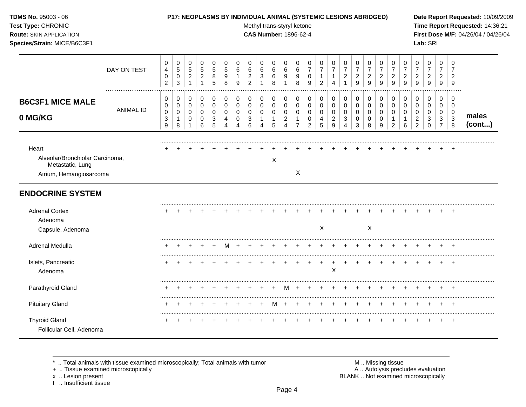Test Type: CHRONIC **Test Type:** CHRONIC **Test Type:** CHRONIC **Time Report Requested:** 14:36:21 **Route:** SKIN APPLICATION **CAS Number:** 1896-62-4 **First Dose M/F:** 04/26/04 / 04/26/04 **Species/Strain:** MICE/B6C3F1 **Lab:** SRI

|                                                                                 | DAY ON TEST      | 0<br>$\overline{4}$<br>$\mathbf 0$<br>$\overline{2}$ | 0<br>$\sqrt{5}$<br>$\mathbf 0$<br>$\mathbf{3}$              | $\pmb{0}$<br>$\sqrt{5}$<br>$\overline{c}$<br>$\mathbf{1}$ | 0<br>$\sqrt{5}$<br>$\overline{c}$<br>$\mathbf{1}$ | $\mathbf 0$<br>$\,$ 5 $\,$<br>8<br>5   | 0<br>5<br>9<br>8                          | $\mathbf 0$<br>6<br>9        | $\mathbf 0$<br>6<br>$\overline{c}$<br>$\overline{2}$ | 0<br>$\,6\,$<br>$\sqrt{3}$                          | $\mathbf 0$<br>$\,6$<br>6<br>8            | $\mathbf 0$<br>$\,6$<br>9                            | 0<br>6<br>9<br>8                        | 0<br>$\overline{7}$<br>0<br>9 | 0<br>$\overline{7}$<br>$\mathbf 1$<br>$\overline{2}$ | 0<br>$\overline{7}$<br>1<br>$\Delta$ | 0<br>$\overline{7}$<br>$\overline{2}$<br>$\overline{1}$                   | 0<br>$\boldsymbol{7}$<br>$\overline{2}$<br>9      | $\mathbf 0$<br>$\overline{7}$<br>$\overline{c}$<br>9 | 0<br>7<br>$\overline{2}$<br>9                 | 0<br>$\overline{7}$<br>$\overline{c}$<br>9 | 0<br>$\overline{7}$<br>$\overline{c}$<br>9 | 0<br>$\overline{7}$<br>$\overline{c}$<br>9                       | 0<br>$\overline{7}$<br>$\overline{a}$<br>9       | 0<br>$\overline{7}$<br>$\overline{2}$<br>9 | $\mathbf 0$<br>$\overline{7}$<br>$\overline{2}$<br>9            |                 |
|---------------------------------------------------------------------------------|------------------|------------------------------------------------------|-------------------------------------------------------------|-----------------------------------------------------------|---------------------------------------------------|----------------------------------------|-------------------------------------------|------------------------------|------------------------------------------------------|-----------------------------------------------------|-------------------------------------------|------------------------------------------------------|-----------------------------------------|-------------------------------|------------------------------------------------------|--------------------------------------|---------------------------------------------------------------------------|---------------------------------------------------|------------------------------------------------------|-----------------------------------------------|--------------------------------------------|--------------------------------------------|------------------------------------------------------------------|--------------------------------------------------|--------------------------------------------|-----------------------------------------------------------------|-----------------|
| <b>B6C3F1 MICE MALE</b><br>0 MG/KG                                              | <b>ANIMAL ID</b> | 0<br>0<br>$\pmb{0}$<br>3<br>9                        | $\pmb{0}$<br>$\mathsf 0$<br>$\mathbf 0$<br>$\mathbf 1$<br>8 | 0<br>$\mathbf 0$<br>$\mathbf 0$<br>0<br>1                 | $\,0\,$<br>$\mathbf 0$<br>$\mathbf 0$<br>0<br>6   | 0<br>$\Omega$<br>$\mathbf 0$<br>3<br>5 | 0<br>$\mathbf 0$<br>$\mathbf 0$<br>4<br>4 | 0<br>$\Omega$<br>0<br>0<br>Δ | 0<br>$\mathbf 0$<br>0<br>3<br>6                      | 0<br>$\mathbf 0$<br>$\mathbf 0$<br>$\mathbf 1$<br>4 | 0<br>$\mathbf 0$<br>$\mathbf 0$<br>1<br>5 | 0<br>$\mathbf 0$<br>$\pmb{0}$<br>$\overline{c}$<br>4 | 0<br>$\mathbf 0$<br>0<br>$\overline{7}$ | 0<br>$\Omega$<br>0<br>0<br>2  | 0<br>$\Omega$<br>0<br>4<br>$\overline{5}$            | 0<br>0<br>0<br>$\overline{c}$<br>9   | $\pmb{0}$<br>$\mathbf 0$<br>$\mathbf 0$<br>$\mathbf{3}$<br>$\overline{4}$ | $\pmb{0}$<br>$\mathbf 0$<br>$\mathbf 0$<br>0<br>3 | 0<br>$\mathbf 0$<br>$\mathbf 0$<br>0<br>8            | 0<br>$\Omega$<br>$\mathbf 0$<br>$\Omega$<br>9 | 0<br>$\Omega$<br>$\Omega$<br>2             | 0<br>$\Omega$<br>$\mathbf 0$<br>6          | 0<br>$\Omega$<br>$\mathbf 0$<br>$\overline{c}$<br>$\overline{2}$ | 0<br>$\mathbf 0$<br>$\mathbf 0$<br>3<br>$\Omega$ | 0<br>0<br>0<br>3<br>$\overline{7}$         | $\Omega$<br>$\mathbf 0$<br>$\mathbf 0$<br>$\sqrt{3}$<br>$\,8\,$ | males<br>(cont) |
|                                                                                 |                  |                                                      |                                                             |                                                           |                                                   |                                        |                                           |                              |                                                      |                                                     |                                           |                                                      |                                         |                               |                                                      |                                      |                                                                           |                                                   |                                                      |                                               |                                            |                                            |                                                                  |                                                  |                                            |                                                                 |                 |
| Heart                                                                           |                  |                                                      |                                                             |                                                           |                                                   |                                        |                                           |                              |                                                      |                                                     |                                           |                                                      |                                         |                               |                                                      |                                      |                                                                           |                                                   |                                                      |                                               |                                            |                                            |                                                                  |                                                  |                                            |                                                                 |                 |
| Alveolar/Bronchiolar Carcinoma,<br>Metastatic, Lung                             |                  |                                                      |                                                             |                                                           |                                                   |                                        |                                           |                              |                                                      |                                                     | X                                         |                                                      |                                         |                               |                                                      |                                      |                                                                           |                                                   |                                                      |                                               |                                            |                                            |                                                                  |                                                  |                                            |                                                                 |                 |
| Atrium, Hemangiosarcoma                                                         |                  |                                                      |                                                             |                                                           |                                                   |                                        |                                           |                              |                                                      |                                                     |                                           |                                                      | $\boldsymbol{\mathsf{X}}$               |                               |                                                      |                                      |                                                                           |                                                   |                                                      |                                               |                                            |                                            |                                                                  |                                                  |                                            |                                                                 |                 |
| <b>ENDOCRINE SYSTEM</b><br><b>Adrenal Cortex</b><br>Adenoma<br>Capsule, Adenoma |                  |                                                      |                                                             |                                                           |                                                   |                                        |                                           |                              |                                                      |                                                     |                                           |                                                      |                                         |                               | $\boldsymbol{\mathsf{X}}$                            |                                      |                                                                           |                                                   | $\sf X$                                              |                                               |                                            |                                            |                                                                  |                                                  |                                            |                                                                 |                 |
| Adrenal Medulla                                                                 |                  |                                                      |                                                             |                                                           |                                                   |                                        |                                           |                              |                                                      |                                                     |                                           |                                                      |                                         |                               |                                                      |                                      |                                                                           |                                                   |                                                      |                                               |                                            |                                            |                                                                  |                                                  |                                            |                                                                 |                 |
| Islets, Pancreatic<br>Adenoma                                                   |                  |                                                      |                                                             |                                                           |                                                   |                                        |                                           |                              |                                                      |                                                     |                                           |                                                      |                                         |                               |                                                      | $\pm$<br>X                           |                                                                           |                                                   |                                                      |                                               |                                            |                                            |                                                                  |                                                  |                                            |                                                                 |                 |
| Parathyroid Gland                                                               |                  |                                                      |                                                             |                                                           |                                                   |                                        |                                           |                              |                                                      |                                                     |                                           | M                                                    |                                         |                               |                                                      |                                      |                                                                           |                                                   |                                                      |                                               |                                            |                                            |                                                                  |                                                  |                                            |                                                                 |                 |
| <b>Pituitary Gland</b>                                                          |                  |                                                      |                                                             |                                                           |                                                   |                                        |                                           |                              |                                                      |                                                     |                                           |                                                      |                                         |                               |                                                      |                                      |                                                                           |                                                   |                                                      |                                               |                                            |                                            |                                                                  |                                                  |                                            | $\pm$                                                           |                 |
| <b>Thyroid Gland</b><br>Follicular Cell, Adenoma                                |                  |                                                      |                                                             |                                                           |                                                   |                                        |                                           |                              |                                                      |                                                     |                                           |                                                      |                                         |                               |                                                      |                                      |                                                                           |                                                   |                                                      |                                               |                                            |                                            |                                                                  |                                                  |                                            | $\overline{+}$                                                  |                 |

+ .. Tissue examined microscopically

x .. Lesion present<br>I .. Insufficient tissue

\* .. Total animals with tissue examined microscopically; Total animals with tumor M .. Missing tissue M .. Missing tissue<br>
A .. Autolysis precludes evaluation<br>
M .. Autolysis precludes evaluation BLANK .. Not examined microscopically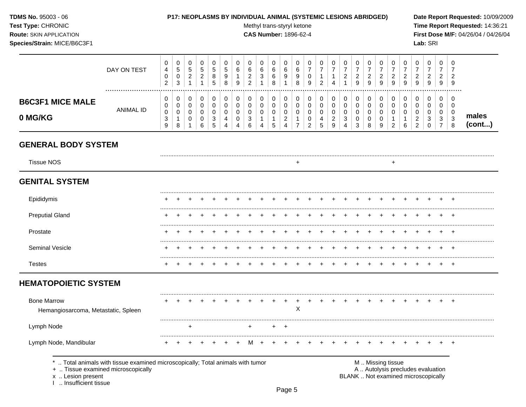TDMS No. 95003 - 06 Test Type: CHRONIC

**Route: SKIN APPLICATION** 

Species/Strain: MICE/B6C3F1

## P17: NEOPLASMS BY INDIVIDUAL ANIMAL (SYSTEMIC LESIONS ABRIDGED)

Methyl trans-styryl ketone

**CAS Number: 1896-62-4** 

Date Report Requested: 10/09/2009 Time Report Requested: 14:36:21 First Dose M/F: 04/26/04 / 04/26/04 Lab: SRI

|                                                           | DAY ON TEST                                                                                                        | 0<br>4<br>$\pmb{0}$<br>$\overline{2}$ | 0<br>$\sqrt{5}$<br>$\mathbf 0$<br>$\mathbf{3}$ | 0<br>$\sqrt{5}$<br>$\overline{a}$<br>$\mathbf{1}$ | 0<br>$\sqrt{5}$<br>$\overline{c}$<br>$\mathbf{1}$ | 0<br>$\mathbf 5$<br>8<br>5      | 0<br>5<br>9<br>8      | $\mathbf 0$<br>6<br>$\mathbf{1}$<br>9               | 0<br>6<br>$\overline{c}$<br>$\overline{2}$ | 0<br>6<br>3<br>$\overline{1}$                         | $\mathbf 0$<br>$\,6$<br>6<br>8                       | 0<br>6<br>$\boldsymbol{9}$<br>1                                        | 0<br>6<br>9<br>8                                        | 0<br>$\overline{7}$<br>0<br>9      | 0<br>$\overline{7}$<br>$\mathbf{1}$<br>$\overline{c}$ | 0<br>7<br>$\mathbf{1}$<br>4                       | 0<br>$\boldsymbol{7}$<br>$\overline{c}$<br>$\mathbf{1}$ | 0<br>$\overline{7}$<br>$\sqrt{2}$<br>9    | 0<br>$\overline{7}$<br>$\overline{c}$<br>9                 | 0<br>$\overline{7}$<br>$\overline{2}$<br>9 | 0<br>$\overline{7}$<br>$\overline{a}$<br>$\overline{9}$ | 0<br>$\overline{7}$<br>$\sqrt{2}$<br>9                                   | 0<br>$\overline{7}$<br>$\overline{c}$<br>9      | 0<br>$\boldsymbol{7}$<br>$\sqrt{2}$<br>$\boldsymbol{9}$ | $\mathbf 0$<br>$\overline{7}$<br>$\overline{2}$<br>9              | 0<br>$\overline{7}$<br>2<br>9                                          |                 |
|-----------------------------------------------------------|--------------------------------------------------------------------------------------------------------------------|---------------------------------------|------------------------------------------------|---------------------------------------------------|---------------------------------------------------|---------------------------------|-----------------------|-----------------------------------------------------|--------------------------------------------|-------------------------------------------------------|------------------------------------------------------|------------------------------------------------------------------------|---------------------------------------------------------|------------------------------------|-------------------------------------------------------|---------------------------------------------------|---------------------------------------------------------|-------------------------------------------|------------------------------------------------------------|--------------------------------------------|---------------------------------------------------------|--------------------------------------------------------------------------|-------------------------------------------------|---------------------------------------------------------|-------------------------------------------------------------------|------------------------------------------------------------------------|-----------------|
| <b>B6C3F1 MICE MALE</b><br>0 MG/KG                        | <b>ANIMAL ID</b>                                                                                                   | 0<br>0<br>$\pmb{0}$<br>3<br>9         | 0<br>$\pmb{0}$<br>0<br>$\mathbf{1}$<br>8       | 0<br>$\mathbf 0$<br>0<br>0<br>$\mathbf{1}$        | $\pmb{0}$<br>$\pmb{0}$<br>$\pmb{0}$<br>0<br>6     | 0<br>$\mathbf 0$<br>0<br>3<br>5 | 0<br>0<br>0<br>4<br>4 | $\mathbf 0$<br>$\mathbf 0$<br>0<br>$\mathbf 0$<br>Δ | 0<br>0<br>0<br>3<br>6                      | 0<br>$\pmb{0}$<br>0<br>$\mathbf{1}$<br>$\overline{4}$ | 0<br>$\mathbf 0$<br>$\mathbf 0$<br>$\mathbf{1}$<br>5 | 0<br>$\pmb{0}$<br>$\boldsymbol{0}$<br>$\overline{c}$<br>$\overline{4}$ | 0<br>0<br>$\mathbf 0$<br>$\mathbf{1}$<br>$\overline{7}$ | 0<br>0<br>0<br>0<br>$\overline{2}$ | $\mathbf 0$<br>$\mathbf 0$<br>0<br>4<br>5             | 0<br>0<br>$\boldsymbol{0}$<br>$\overline{2}$<br>9 | 0<br>$\pmb{0}$<br>0<br>$\sqrt{3}$<br>4                  | 0<br>$\mathbf 0$<br>0<br>$\mathbf 0$<br>3 | $\,0\,$<br>$\pmb{0}$<br>$\boldsymbol{0}$<br>$\pmb{0}$<br>8 | 0<br>0<br>0<br>0<br>9                      | 0<br>0<br>0<br>1<br>$\overline{2}$                      | $\mathbf 0$<br>$\mathbf 0$<br>$\Omega$<br>$\mathbf{1}$<br>6              | 0<br>0<br>0<br>$\overline{2}$<br>$\overline{2}$ | 0<br>0<br>0<br>$\mathbf{3}$<br>$\mathbf 0$              | $\mathbf 0$<br>0<br>$\mathbf 0$<br>$\mathbf{3}$<br>$\overline{7}$ | $\mathbf 0$<br>$\mathbf 0$<br>0<br>$\ensuremath{\mathsf{3}}$<br>$\, 8$ | males<br>(cont) |
| <b>GENERAL BODY SYSTEM</b>                                |                                                                                                                    |                                       |                                                |                                                   |                                                   |                                 |                       |                                                     |                                            |                                                       |                                                      |                                                                        |                                                         |                                    |                                                       |                                                   |                                                         |                                           |                                                            |                                            |                                                         |                                                                          |                                                 |                                                         |                                                                   |                                                                        |                 |
| <b>Tissue NOS</b>                                         |                                                                                                                    |                                       |                                                |                                                   |                                                   |                                 |                       |                                                     |                                            |                                                       |                                                      |                                                                        | $\ddot{}$                                               |                                    |                                                       |                                                   |                                                         |                                           |                                                            |                                            | $\ddot{}$                                               |                                                                          |                                                 |                                                         |                                                                   |                                                                        |                 |
| <b>GENITAL SYSTEM</b>                                     |                                                                                                                    |                                       |                                                |                                                   |                                                   |                                 |                       |                                                     |                                            |                                                       |                                                      |                                                                        |                                                         |                                    |                                                       |                                                   |                                                         |                                           |                                                            |                                            |                                                         |                                                                          |                                                 |                                                         |                                                                   |                                                                        |                 |
| Epididymis                                                |                                                                                                                    |                                       |                                                |                                                   |                                                   |                                 |                       |                                                     |                                            |                                                       |                                                      |                                                                        |                                                         |                                    |                                                       |                                                   |                                                         |                                           |                                                            |                                            |                                                         |                                                                          |                                                 |                                                         |                                                                   |                                                                        |                 |
| <b>Preputial Gland</b>                                    |                                                                                                                    |                                       |                                                |                                                   |                                                   |                                 |                       |                                                     |                                            |                                                       |                                                      |                                                                        |                                                         |                                    |                                                       |                                                   |                                                         |                                           |                                                            |                                            |                                                         |                                                                          |                                                 |                                                         |                                                                   | <b>+</b>                                                               |                 |
| Prostate                                                  |                                                                                                                    |                                       |                                                |                                                   |                                                   |                                 |                       |                                                     |                                            |                                                       |                                                      |                                                                        |                                                         |                                    |                                                       |                                                   |                                                         |                                           |                                                            |                                            |                                                         |                                                                          |                                                 |                                                         |                                                                   | $\ddot{}$                                                              |                 |
| <b>Seminal Vesicle</b>                                    |                                                                                                                    |                                       |                                                |                                                   |                                                   |                                 |                       |                                                     |                                            |                                                       |                                                      |                                                                        |                                                         |                                    |                                                       |                                                   |                                                         |                                           |                                                            |                                            |                                                         |                                                                          |                                                 |                                                         |                                                                   |                                                                        |                 |
| <b>Testes</b>                                             |                                                                                                                    |                                       |                                                |                                                   |                                                   |                                 |                       |                                                     |                                            |                                                       |                                                      |                                                                        |                                                         |                                    |                                                       |                                                   |                                                         |                                           |                                                            |                                            |                                                         |                                                                          |                                                 |                                                         |                                                                   | $\ddot{}$                                                              |                 |
| <b>HEMATOPOIETIC SYSTEM</b>                               |                                                                                                                    |                                       |                                                |                                                   |                                                   |                                 |                       |                                                     |                                            |                                                       |                                                      |                                                                        |                                                         |                                    |                                                       |                                                   |                                                         |                                           |                                                            |                                            |                                                         |                                                                          |                                                 |                                                         |                                                                   |                                                                        |                 |
| <b>Bone Marrow</b><br>Hemangiosarcoma, Metastatic, Spleen |                                                                                                                    |                                       |                                                |                                                   |                                                   |                                 |                       |                                                     |                                            |                                                       |                                                      |                                                                        | $\pmb{\times}$                                          |                                    |                                                       |                                                   |                                                         |                                           |                                                            |                                            |                                                         |                                                                          |                                                 |                                                         |                                                                   | $\pm$                                                                  |                 |
| Lymph Node                                                |                                                                                                                    |                                       |                                                | $\ddot{}$                                         |                                                   |                                 |                       |                                                     | $\ddot{}$                                  |                                                       | +                                                    | $\overline{1}$                                                         |                                                         |                                    |                                                       |                                                   |                                                         |                                           |                                                            |                                            |                                                         |                                                                          |                                                 |                                                         |                                                                   |                                                                        |                 |
| Lymph Node, Mandibular                                    |                                                                                                                    | ÷                                     |                                                |                                                   |                                                   |                                 |                       |                                                     | M                                          | $\overline{ }$                                        |                                                      |                                                                        |                                                         |                                    |                                                       |                                                   |                                                         |                                           |                                                            |                                            |                                                         |                                                                          |                                                 |                                                         |                                                                   |                                                                        |                 |
| x  Lesion present<br>1  Insufficient tissue               | Total animals with tissue examined microscopically; Total animals with tumor<br>+  Tissue examined microscopically |                                       |                                                |                                                   |                                                   |                                 |                       |                                                     |                                            |                                                       |                                                      |                                                                        |                                                         |                                    |                                                       |                                                   |                                                         |                                           |                                                            | M  Missing tissue                          |                                                         | A  Autolysis precludes evaluation<br>BLANK  Not examined microscopically |                                                 |                                                         |                                                                   |                                                                        |                 |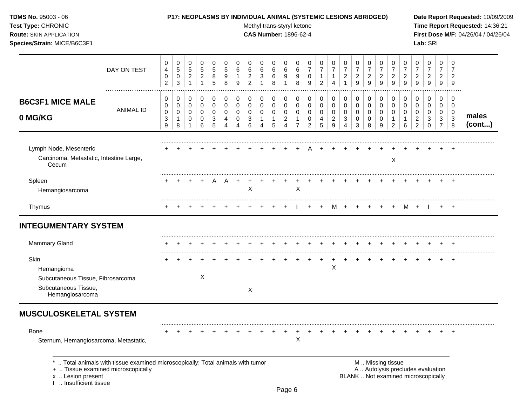Test Type: CHRONIC **Test Type:** CHRONIC **Test Type:** CHRONIC **Time Report Requested:** 14:36:21 **Route:** SKIN APPLICATION **CAS Number:** 1896-62-4 **First Dose M/F:** 04/26/04 / 04/26/04 **Species/Strain:** MICE/B6C3F1 **Lab:** SRI

|                                                                                                    | DAY ON TEST                                                                                                        | 0<br>4<br>$\pmb{0}$<br>$\overline{2}$ | $\pmb{0}$<br>5<br>$\mathbf 0$<br>$\sqrt{3}$ | $\mathsf{O}\xspace$<br>$5\,$<br>$\overline{2}$<br>$\mathbf{1}$ | 0<br>$\sqrt{5}$<br>$\overline{2}$<br>$\overline{1}$ | $\mathbf 0$<br>5<br>8<br>5                | $\pmb{0}$<br>5<br>$\boldsymbol{9}$<br>8                             | 0<br>6<br>$\mathbf{1}$<br>9                            | 0<br>6<br>$\overline{a}$<br>$\overline{2}$ | $\pmb{0}$<br>6<br>3<br>$\overline{1}$      | 0<br>6<br>6<br>8                 | 0<br>6<br>9<br>$\mathbf{1}$                     | $\pmb{0}$<br>6<br>9<br>8                                | 0<br>$\overline{7}$<br>$\mathbf 0$<br>9      | $\mathbf 0$<br>$\overline{7}$<br>$\mathbf{1}$<br>$\overline{2}$ | $\pmb{0}$<br>$\overline{7}$<br>$\mathbf{1}$<br>$\overline{4}$ | $\pmb{0}$<br>$\overline{7}$<br>$\overline{2}$<br>$\mathbf{1}$ | 0<br>$\overline{7}$<br>$\overline{2}$<br>9          | 0<br>$\overline{7}$<br>$\overline{2}$<br>9 | $\mathbf 0$<br>$\overline{7}$<br>$\overline{2}$<br>9 | 0<br>$\overline{7}$<br>$\overline{2}$<br>9              | 0<br>$\overline{7}$<br>$\overline{c}$<br>9                               | 0<br>$\overline{7}$<br>$\overline{2}$<br>9                | 0<br>$\overline{7}$<br>$\overline{2}$<br>9 | $\mathbf 0$<br>$\overline{7}$<br>$\overline{2}$<br>$\boldsymbol{9}$ | 0<br>$\overline{7}$<br>$\overline{2}$<br>9 |                 |
|----------------------------------------------------------------------------------------------------|--------------------------------------------------------------------------------------------------------------------|---------------------------------------|---------------------------------------------|----------------------------------------------------------------|-----------------------------------------------------|-------------------------------------------|---------------------------------------------------------------------|--------------------------------------------------------|--------------------------------------------|--------------------------------------------|----------------------------------|-------------------------------------------------|---------------------------------------------------------|----------------------------------------------|-----------------------------------------------------------------|---------------------------------------------------------------|---------------------------------------------------------------|-----------------------------------------------------|--------------------------------------------|------------------------------------------------------|---------------------------------------------------------|--------------------------------------------------------------------------|-----------------------------------------------------------|--------------------------------------------|---------------------------------------------------------------------|--------------------------------------------|-----------------|
| <b>B6C3F1 MICE MALE</b><br>0 MG/KG                                                                 | <b>ANIMAL ID</b>                                                                                                   | 0<br>0<br>$\pmb{0}$<br>3<br>9         | 0<br>0<br>0<br>$\mathbf{1}$<br>8            | 0<br>0<br>0<br>$\mathbf 0$<br>1                                | 0<br>$\mathbf 0$<br>$\mathbf 0$<br>$\mathbf 0$<br>6 | 0<br>$\mathbf 0$<br>$\mathbf 0$<br>3<br>5 | 0<br>$\mathbf 0$<br>$\mathbf 0$<br>$\overline{4}$<br>$\overline{A}$ | 0<br>0<br>$\mathbf 0$<br>$\mathbf 0$<br>$\overline{4}$ | 0<br>0<br>0<br>$\mathbf{3}$<br>6           | 0<br>$\mathbf 0$<br>0<br>$\mathbf{1}$<br>4 | 0<br>0<br>0<br>$\mathbf{1}$<br>5 | 0<br>0<br>0<br>$\overline{c}$<br>$\overline{4}$ | 0<br>$\mathbf 0$<br>0<br>$\mathbf{1}$<br>$\overline{7}$ | 0<br>0<br>$\mathbf 0$<br>0<br>$\overline{a}$ | 0<br>$\mathbf 0$<br>0<br>$\overline{4}$<br>$\sqrt{5}$           | 0<br>0<br>0<br>$\boldsymbol{2}$<br>$\boldsymbol{9}$           | 0<br>$\mathbf 0$<br>0<br>3<br>$\overline{4}$                  | 0<br>$\mathbf 0$<br>$\mathbf 0$<br>$\mathbf 0$<br>3 | 0<br>0<br>$\mathbf 0$<br>$\mathbf 0$<br>8  | 0<br>$\mathbf 0$<br>0<br>$\mathbf 0$<br>9            | 0<br>0<br>$\mathbf 0$<br>$\mathbf{1}$<br>$\overline{c}$ | 0<br>0<br>$\mathbf 0$<br>$\mathbf{1}$<br>$\,6\,$                         | 0<br>0<br>$\mathbf 0$<br>$\overline{c}$<br>$\overline{c}$ | 0<br>0<br>$\mathbf 0$<br>3<br>0            | 0<br>0<br>$\mathbf 0$<br>$\mathbf{3}$<br>$\overline{7}$             | 0<br>$\mathbf 0$<br>$\mathbf 0$<br>3<br>8  | males<br>(cont) |
| Lymph Node, Mesenteric<br>Carcinoma, Metastatic, Intestine Large,<br>Cecum                         |                                                                                                                    |                                       |                                             |                                                                |                                                     |                                           |                                                                     |                                                        |                                            |                                            |                                  |                                                 |                                                         |                                              |                                                                 |                                                               |                                                               |                                                     |                                            |                                                      | X                                                       |                                                                          |                                                           |                                            |                                                                     |                                            |                 |
| Spleen<br>Hemangiosarcoma                                                                          |                                                                                                                    |                                       |                                             |                                                                |                                                     | A                                         | A                                                                   | $+$                                                    | X                                          |                                            |                                  |                                                 | X                                                       |                                              |                                                                 |                                                               |                                                               |                                                     |                                            |                                                      |                                                         |                                                                          |                                                           |                                            |                                                                     |                                            |                 |
| Thymus                                                                                             |                                                                                                                    |                                       |                                             |                                                                |                                                     |                                           |                                                                     |                                                        |                                            |                                            |                                  |                                                 |                                                         |                                              |                                                                 | м                                                             |                                                               |                                                     |                                            |                                                      |                                                         | M                                                                        | $+$                                                       |                                            |                                                                     |                                            |                 |
| <b>INTEGUMENTARY SYSTEM</b>                                                                        |                                                                                                                    |                                       |                                             |                                                                |                                                     |                                           |                                                                     |                                                        |                                            |                                            |                                  |                                                 |                                                         |                                              |                                                                 |                                                               |                                                               |                                                     |                                            |                                                      |                                                         |                                                                          |                                                           |                                            |                                                                     |                                            |                 |
| <b>Mammary Gland</b>                                                                               |                                                                                                                    |                                       |                                             |                                                                |                                                     |                                           |                                                                     |                                                        |                                            |                                            |                                  |                                                 |                                                         |                                              |                                                                 |                                                               |                                                               |                                                     |                                            |                                                      |                                                         | $\pm$                                                                    |                                                           |                                            |                                                                     |                                            |                 |
| Skin<br>Hemangioma<br>Subcutaneous Tissue, Fibrosarcoma<br>Subcutaneous Tissue,<br>Hemangiosarcoma |                                                                                                                    |                                       |                                             |                                                                | X                                                   |                                           |                                                                     |                                                        | X                                          |                                            |                                  |                                                 |                                                         |                                              | ÷                                                               | X                                                             |                                                               |                                                     |                                            |                                                      |                                                         |                                                                          |                                                           |                                            |                                                                     |                                            |                 |
| <b>MUSCULOSKELETAL SYSTEM</b>                                                                      |                                                                                                                    |                                       |                                             |                                                                |                                                     |                                           |                                                                     |                                                        |                                            |                                            |                                  |                                                 |                                                         |                                              |                                                                 |                                                               |                                                               |                                                     |                                            |                                                      |                                                         |                                                                          |                                                           |                                            |                                                                     |                                            |                 |
| <b>Bone</b><br>Sternum, Hemangiosarcoma, Metastatic,                                               |                                                                                                                    |                                       |                                             |                                                                |                                                     |                                           |                                                                     |                                                        |                                            |                                            |                                  |                                                 | X                                                       |                                              |                                                                 |                                                               |                                                               |                                                     |                                            |                                                      |                                                         |                                                                          |                                                           |                                            |                                                                     |                                            |                 |
| x  Lesion present<br>Insufficient tissue                                                           | Total animals with tissue examined microscopically; Total animals with tumor<br>+  Tissue examined microscopically |                                       |                                             |                                                                |                                                     |                                           |                                                                     |                                                        |                                            |                                            |                                  |                                                 |                                                         |                                              |                                                                 |                                                               |                                                               |                                                     |                                            |                                                      | M  Missing tissue                                       | A  Autolysis precludes evaluation<br>BLANK  Not examined microscopically |                                                           |                                            |                                                                     |                                            |                 |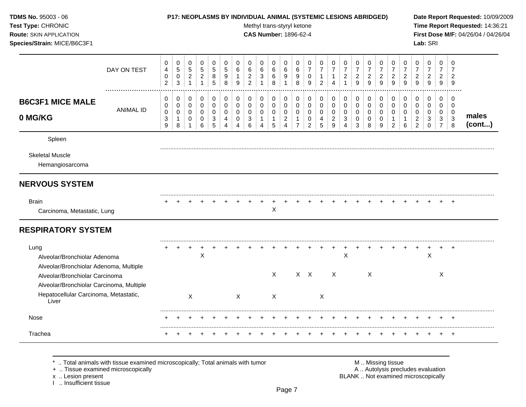Test Type: CHRONIC **Test Type:** CHRONIC **Test Type:** CHRONIC **Time Report Requested:** 14:36:21 **Route:** SKIN APPLICATION **CAS Number:** 1896-62-4 **First Dose M/F:** 04/26/04 / 04/26/04 **Species/Strain:** MICE/B6C3F1 **Lab:** SRI

|                                                                                                                     | DAY ON TEST      | 0<br>$\overline{4}$<br>$\pmb{0}$<br>$\overline{c}$          | 0<br>$\sqrt{5}$<br>$\mathbf 0$<br>$\mathbf{3}$       | 0<br>$\sqrt{5}$<br>$\overline{2}$<br>$\mathbf{1}$   | 0<br>$\sqrt{5}$<br>$\boldsymbol{2}$<br>1  | 0<br>5<br>8<br>5                       | 0<br>5<br>9<br>8                | 0<br>6<br>1<br>9                       | 0<br>6<br>$\overline{c}$<br>$\overline{2}$ | 0<br>6<br>3            | 0<br>6<br>6<br>8                          | 0<br>6<br>9                                                     | 0<br>6<br>9<br>8                             | 0<br>7<br>0<br>9                   | 0<br>$\overline{7}$<br>-1<br>$\overline{2}$ | 0<br>$\overline{7}$<br>1<br>4                | 0<br>$\overline{7}$<br>$\boldsymbol{2}$<br>$\mathbf{1}$ | 0<br>$\overline{7}$<br>$\sqrt{2}$<br>9  | 0<br>$\overline{7}$<br>$\overline{c}$<br>9 | 0<br>$\overline{7}$<br>$\overline{2}$<br>9 | 0<br>$\overline{7}$<br>$\overline{2}$<br>9 | 0<br>$\overline{7}$<br>$\overline{2}$<br>9 | 0<br>$\overline{7}$<br>$\overline{c}$<br>9      | 0<br>$\boldsymbol{7}$<br>$\overline{c}$<br>9 | 0<br>$\overline{7}$<br>$\overline{2}$<br>9   | 0<br>$\overline{7}$<br>$\overline{2}$<br>9         |                 |
|---------------------------------------------------------------------------------------------------------------------|------------------|-------------------------------------------------------------|------------------------------------------------------|-----------------------------------------------------|-------------------------------------------|----------------------------------------|---------------------------------|----------------------------------------|--------------------------------------------|------------------------|-------------------------------------------|-----------------------------------------------------------------|----------------------------------------------|------------------------------------|---------------------------------------------|----------------------------------------------|---------------------------------------------------------|-----------------------------------------|--------------------------------------------|--------------------------------------------|--------------------------------------------|--------------------------------------------|-------------------------------------------------|----------------------------------------------|----------------------------------------------|----------------------------------------------------|-----------------|
| <b>B6C3F1 MICE MALE</b><br>0 MG/KG                                                                                  | <b>ANIMAL ID</b> | 0<br>$\,0\,$<br>$\pmb{0}$<br>$\sqrt{3}$<br>$\boldsymbol{9}$ | 0<br>$\pmb{0}$<br>$\mathbf 0$<br>$\overline{1}$<br>8 | 0<br>$\mathbf 0$<br>$\mathbf 0$<br>$\mathbf 0$<br>1 | 0<br>$\mathbf 0$<br>0<br>$\mathbf 0$<br>6 | $\mathbf 0$<br>$\Omega$<br>0<br>3<br>5 | 0<br>0<br>$\mathbf 0$<br>4<br>4 | 0<br>0<br>$\mathbf 0$<br>0<br>$\Delta$ | 0<br>0<br>0<br>3<br>6                      | 0<br>0<br>0<br>-1<br>4 | 0<br>$\mathbf 0$<br>$\mathbf 0$<br>1<br>5 | $\mathbf 0$<br>$\mathbf 0$<br>0<br>$\sqrt{2}$<br>$\overline{4}$ | 0<br>0<br>$\mathbf 0$<br>1<br>$\overline{7}$ | 0<br>0<br>0<br>0<br>$\overline{2}$ | $\mathbf 0$<br>$\mathbf 0$<br>0<br>4<br>5   | 0<br>$\mathbf 0$<br>0<br>$\overline{c}$<br>9 | 0<br>0<br>0<br>$\mathbf{3}$<br>$\overline{4}$           | 0<br>$\pmb{0}$<br>$\mathbf 0$<br>0<br>3 | 0<br>$\pmb{0}$<br>$\mathbf 0$<br>0<br>8    | 0<br>0<br>0<br>0<br>9                      | 0<br>0<br>0<br>$\overline{c}$              | $\mathbf 0$<br>$\Omega$<br>0<br>6          | 0<br>0<br>0<br>$\overline{c}$<br>$\overline{c}$ | 0<br>0<br>$\pmb{0}$<br>3<br>$\mathbf 0$      | $\mathbf 0$<br>0<br>0<br>3<br>$\overline{7}$ | $\mathbf 0$<br>$\mathbf 0$<br>0<br>$\sqrt{3}$<br>8 | males<br>(cont) |
| Spleen<br><b>Skeletal Muscle</b><br>Hemangiosarcoma                                                                 |                  |                                                             |                                                      |                                                     |                                           |                                        |                                 |                                        |                                            |                        |                                           |                                                                 |                                              |                                    |                                             |                                              |                                                         |                                         |                                            |                                            |                                            |                                            |                                                 |                                              |                                              |                                                    |                 |
| <b>NERVOUS SYSTEM</b>                                                                                               |                  |                                                             |                                                      |                                                     |                                           |                                        |                                 |                                        |                                            |                        |                                           |                                                                 |                                              |                                    |                                             |                                              |                                                         |                                         |                                            |                                            |                                            |                                            |                                                 |                                              |                                              |                                                    |                 |
| <b>Brain</b><br>Carcinoma, Metastatic, Lung                                                                         |                  |                                                             |                                                      |                                                     |                                           |                                        |                                 |                                        |                                            |                        | X                                         |                                                                 |                                              |                                    |                                             |                                              |                                                         |                                         |                                            |                                            |                                            |                                            |                                                 |                                              |                                              | $\pm$                                              |                 |
| <b>RESPIRATORY SYSTEM</b>                                                                                           |                  |                                                             |                                                      |                                                     |                                           |                                        |                                 |                                        |                                            |                        |                                           |                                                                 |                                              |                                    |                                             |                                              |                                                         |                                         |                                            |                                            |                                            |                                            |                                                 |                                              |                                              |                                                    |                 |
| Lung<br>Alveolar/Bronchiolar Adenoma<br>Alveolar/Bronchiolar Adenoma, Multiple                                      |                  |                                                             | $\ddot{}$                                            |                                                     | X                                         |                                        |                                 |                                        |                                            |                        |                                           |                                                                 |                                              |                                    |                                             |                                              | $\sf X$                                                 |                                         |                                            |                                            |                                            |                                            |                                                 | $\mathsf X$                                  |                                              | $\overline{ }$                                     |                 |
| Alveolar/Bronchiolar Carcinoma<br>Alveolar/Bronchiolar Carcinoma, Multiple<br>Hepatocellular Carcinoma, Metastatic, |                  |                                                             |                                                      | $\mathsf{X}$                                        |                                           |                                        |                                 | $\mathsf{X}$                           |                                            |                        | $\mathsf{X}$<br>$\boldsymbol{\mathsf{X}}$ |                                                                 |                                              | $X$ $X$                            | $\mathsf{X}$                                | $\mathsf{X}$                                 |                                                         |                                         | $\times$                                   |                                            |                                            |                                            |                                                 |                                              | $\boldsymbol{\mathsf{X}}$                    |                                                    |                 |
| Liver                                                                                                               |                  |                                                             |                                                      |                                                     |                                           |                                        |                                 |                                        |                                            |                        |                                           |                                                                 |                                              |                                    |                                             |                                              |                                                         |                                         |                                            |                                            |                                            |                                            |                                                 |                                              |                                              |                                                    |                 |
| Nose                                                                                                                |                  |                                                             |                                                      |                                                     |                                           |                                        |                                 |                                        |                                            |                        |                                           |                                                                 |                                              |                                    |                                             |                                              |                                                         |                                         |                                            |                                            |                                            |                                            |                                                 |                                              |                                              | ÷                                                  |                 |
| Trachea                                                                                                             |                  |                                                             |                                                      |                                                     |                                           |                                        |                                 |                                        |                                            |                        |                                           |                                                                 |                                              |                                    |                                             |                                              |                                                         |                                         |                                            |                                            |                                            |                                            |                                                 |                                              |                                              | $^{+}$                                             |                 |

\* .. Total animals with tissue examined microscopically; Total animals with tumor <br>
+ .. Tissue examined microscopically<br>
+ .. Tissue examined microscopically

+ .. Tissue examined microscopically

x .. Lesion present<br>I .. Insufficient tissue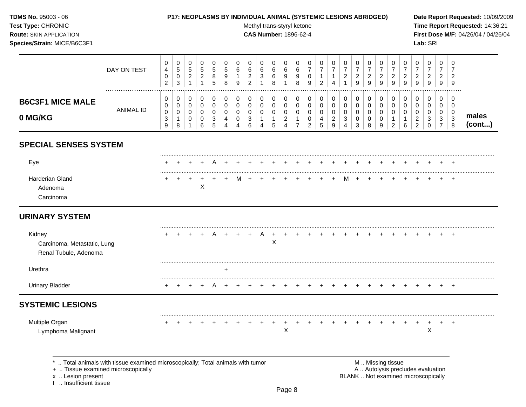I .. Insufficient tissue

## **TDMS No.** 95003 - 06 **P17: NEOPLASMS BY INDIVIDUAL ANIMAL (SYSTEMIC LESIONS ABRIDGED) Date Report Requested:** 10/09/2009

Test Type: CHRONIC **Test Type:** CHRONIC **Test Type:** CHRONIC **Time Report Requested:** 14:36:21 **Route:** SKIN APPLICATION **CAS Number:** 1896-62-4 **First Dose M/F:** 04/26/04 / 04/26/04 **Species/Strain:** MICE/B6C3F1 **Lab:** SRI

|                                                                | DAY ON TEST                                                                                                        | 0<br>4<br>0<br>$\overline{2}$         | $\mathbf 0$<br>$\sqrt{5}$<br>$\pmb{0}$<br>$\mathbf{3}$ | 0<br>$\sqrt{5}$<br>$\overline{c}$<br>$\mathbf{1}$    | 0<br>5<br>$\overline{c}$<br>$\mathbf{1}$          | 0<br>$\sqrt{5}$<br>8<br>5                            | 0<br>$\sqrt{5}$<br>9<br>8                                 | $\mathbf 0$<br>6<br>$\mathbf 1$<br>9                   | 0<br>$\,6$<br>$\overline{c}$<br>$\overline{2}$ | 0<br>6<br>$\ensuremath{\mathsf{3}}$<br>$\overline{1}$ | 0<br>$\,6\,$<br>6<br>8                     | 0<br>6<br>9<br>$\mathbf{1}$                             | 0<br>6<br>9<br>8                                        | 0<br>$\overline{7}$<br>0<br>9      | 0<br>$\overline{7}$<br>1<br>$\overline{2}$ | 0<br>$\overline{7}$<br>1<br>$\overline{\mathbf{4}}$          | 0<br>$\boldsymbol{7}$<br>$\overline{c}$<br>$\overline{1}$               | 0<br>$\overline{7}$<br>$\overline{c}$<br>9 | 0<br>$\overline{7}$<br>$\overline{\mathbf{c}}$<br>$\overline{9}$ | 0<br>$\overline{7}$<br>$\overline{c}$<br>$\overline{9}$ | 0<br>$\overline{7}$<br>$\overline{c}$<br>9   | 0<br>$\overline{7}$<br>$\overline{c}$<br>9 | 0<br>$\overline{7}$<br>$\overline{a}$<br>9                               | 0<br>$\boldsymbol{7}$<br>$\overline{c}$<br>9 | 0<br>$\overline{7}$<br>$\overline{2}$<br>$\boldsymbol{9}$ | 0<br>$\overline{7}$<br>$\overline{c}$<br>9              |                 |
|----------------------------------------------------------------|--------------------------------------------------------------------------------------------------------------------|---------------------------------------|--------------------------------------------------------|------------------------------------------------------|---------------------------------------------------|------------------------------------------------------|-----------------------------------------------------------|--------------------------------------------------------|------------------------------------------------|-------------------------------------------------------|--------------------------------------------|---------------------------------------------------------|---------------------------------------------------------|------------------------------------|--------------------------------------------|--------------------------------------------------------------|-------------------------------------------------------------------------|--------------------------------------------|------------------------------------------------------------------|---------------------------------------------------------|----------------------------------------------|--------------------------------------------|--------------------------------------------------------------------------|----------------------------------------------|-----------------------------------------------------------|---------------------------------------------------------|-----------------|
| <b>B6C3F1 MICE MALE</b><br>0 MG/KG                             | <b>ANIMAL ID</b>                                                                                                   | 0<br>$\mathbf 0$<br>$\,0\,$<br>3<br>9 | $\mathbf 0$<br>0<br>0<br>$\mathbf{1}$<br>$\bf 8$       | 0<br>$\mathbf 0$<br>$\mathbf 0$<br>0<br>$\mathbf{1}$ | $\pmb{0}$<br>$\mathbf 0$<br>$\mathbf 0$<br>0<br>6 | 0<br>$\mathbf 0$<br>$\mathbf 0$<br>$\mathbf{3}$<br>5 | 0<br>$\mathbf 0$<br>0<br>$\overline{4}$<br>$\overline{4}$ | 0<br>$\mathbf 0$<br>$\mathbf 0$<br>0<br>$\overline{4}$ | 0<br>$\pmb{0}$<br>$\mathbf 0$<br>3<br>6        | 0<br>0<br>0<br>$\mathbf{1}$<br>$\overline{4}$         | 0<br>$\mathbf 0$<br>0<br>$\mathbf{1}$<br>5 | 0<br>$\pmb{0}$<br>0<br>$\overline{c}$<br>$\overline{4}$ | 0<br>$\mathbf 0$<br>0<br>$\mathbf{1}$<br>$\overline{7}$ | 0<br>0<br>0<br>0<br>$\overline{2}$ | 0<br>$\mathbf 0$<br>0<br>4<br>5            | 0<br>$\pmb{0}$<br>$\pmb{0}$<br>$\overline{c}$<br>$\mathsf g$ | $\pmb{0}$<br>$\mathsf 0$<br>$\mathbf 0$<br>3<br>$\overline{\mathbf{4}}$ | 0<br>$\mathbf 0$<br>0<br>0<br>3            | 0<br>$\mathbf 0$<br>0<br>$\pmb{0}$<br>8                          | 0<br>$\mathbf 0$<br>0<br>0<br>9                         | 0<br>$\mathbf 0$<br>0<br>1<br>$\overline{c}$ | 0<br>$\mathbf 0$<br>0<br>1<br>6            | 0<br>$\mathbf 0$<br>$\mathbf 0$<br>$\overline{c}$<br>$\overline{2}$      | 0<br>0<br>0<br>3<br>$\mathbf 0$              | 0<br>$\mathbf 0$<br>$\mathbf{0}$<br>3<br>$\overline{7}$   | 0<br>$\mathbf 0$<br>0<br>$\ensuremath{\mathsf{3}}$<br>8 | males<br>(cont) |
| <b>SPECIAL SENSES SYSTEM</b>                                   |                                                                                                                    |                                       |                                                        |                                                      |                                                   |                                                      |                                                           |                                                        |                                                |                                                       |                                            |                                                         |                                                         |                                    |                                            |                                                              |                                                                         |                                            |                                                                  |                                                         |                                              |                                            |                                                                          |                                              |                                                           |                                                         |                 |
| Eye                                                            |                                                                                                                    |                                       |                                                        |                                                      |                                                   |                                                      |                                                           |                                                        |                                                |                                                       |                                            |                                                         |                                                         |                                    |                                            |                                                              |                                                                         |                                            |                                                                  |                                                         |                                              |                                            |                                                                          |                                              |                                                           |                                                         |                 |
| Harderian Gland<br>Adenoma<br>Carcinoma                        |                                                                                                                    |                                       |                                                        |                                                      | $\boldsymbol{\mathsf{X}}$                         |                                                      |                                                           |                                                        |                                                |                                                       |                                            |                                                         |                                                         |                                    |                                            |                                                              | М                                                                       |                                            |                                                                  |                                                         |                                              |                                            |                                                                          |                                              |                                                           |                                                         |                 |
| <b>URINARY SYSTEM</b>                                          |                                                                                                                    |                                       |                                                        |                                                      |                                                   |                                                      |                                                           |                                                        |                                                |                                                       |                                            |                                                         |                                                         |                                    |                                            |                                                              |                                                                         |                                            |                                                                  |                                                         |                                              |                                            |                                                                          |                                              |                                                           |                                                         |                 |
| Kidney<br>Carcinoma, Metastatic, Lung<br>Renal Tubule, Adenoma |                                                                                                                    | ÷                                     |                                                        |                                                      |                                                   |                                                      |                                                           |                                                        |                                                | A                                                     | $\times$                                   |                                                         |                                                         |                                    |                                            |                                                              |                                                                         |                                            |                                                                  |                                                         |                                              |                                            |                                                                          |                                              |                                                           | $\div$                                                  |                 |
| Urethra                                                        |                                                                                                                    |                                       |                                                        |                                                      |                                                   |                                                      | $\ddot{}$                                                 |                                                        |                                                |                                                       |                                            |                                                         |                                                         |                                    |                                            |                                                              |                                                                         |                                            |                                                                  |                                                         |                                              |                                            |                                                                          |                                              |                                                           |                                                         |                 |
| <b>Urinary Bladder</b>                                         |                                                                                                                    |                                       |                                                        |                                                      |                                                   |                                                      |                                                           |                                                        |                                                |                                                       |                                            |                                                         |                                                         |                                    |                                            |                                                              |                                                                         |                                            |                                                                  |                                                         |                                              |                                            |                                                                          |                                              |                                                           | $\overline{+}$                                          |                 |
| <b>SYSTEMIC LESIONS</b>                                        |                                                                                                                    |                                       |                                                        |                                                      |                                                   |                                                      |                                                           |                                                        |                                                |                                                       |                                            |                                                         |                                                         |                                    |                                            |                                                              |                                                                         |                                            |                                                                  |                                                         |                                              |                                            |                                                                          |                                              |                                                           |                                                         |                 |
| Multiple Organ<br>Lymphoma Malignant                           |                                                                                                                    |                                       |                                                        |                                                      |                                                   |                                                      |                                                           |                                                        |                                                |                                                       |                                            | X                                                       |                                                         |                                    |                                            |                                                              |                                                                         |                                            |                                                                  |                                                         |                                              |                                            |                                                                          | X                                            |                                                           | $\overline{ }$                                          |                 |
| x  Lesion present                                              | Total animals with tissue examined microscopically; Total animals with tumor<br>+  Tissue examined microscopically |                                       |                                                        |                                                      |                                                   |                                                      |                                                           |                                                        |                                                |                                                       |                                            |                                                         |                                                         |                                    |                                            |                                                              |                                                                         |                                            |                                                                  |                                                         | M  Missing tissue                            |                                            | A  Autolysis precludes evaluation<br>BLANK  Not examined microscopically |                                              |                                                           |                                                         |                 |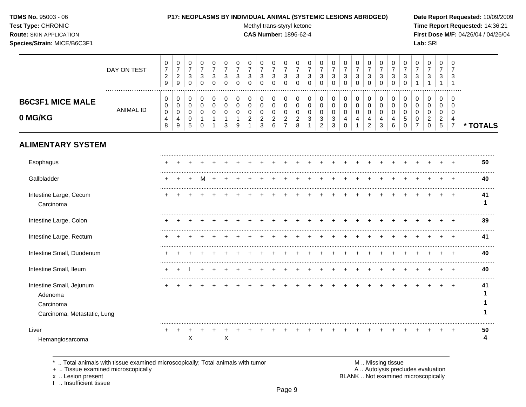Test Type: CHRONIC **Test Type:** CHRONIC **Test Type:** CHRONIC **Time Report Requested:** 14:36:21 **Route:** SKIN APPLICATION **CAS Number:** 1896-62-4 **First Dose M/F:** 04/26/04 / 04/26/04 **Species/Strain:** MICE/B6C3F1 **Lab:** SRI

|                                                                                 | DAY ON TEST      | 0<br>$\boldsymbol{7}$<br>$\overline{c}$<br>9 | 0<br>$\boldsymbol{7}$<br>$\sqrt{2}$<br>$\overline{9}$                         | 0<br>$\boldsymbol{7}$<br>3<br>$\Omega$ | 0<br>$\boldsymbol{7}$<br>$\sqrt{3}$<br>$\Omega$                       | 0<br>$\overline{7}$<br>3<br>$\Omega$ | 0<br>$\overline{7}$<br>3<br>$\Omega$ | 0<br>$\overline{7}$<br>3<br>$\Omega$              | 0<br>$\overline{7}$<br>$\mathbf{3}$<br>$\Omega$ | 0<br>$\overline{7}$<br>3<br>$\Omega$         | 0<br>$\overline{7}$<br>$\ensuremath{\mathsf{3}}$<br>$\Omega$           | 0<br>$\overline{7}$<br>$\sqrt{3}$<br>$\Omega$                              | 0<br>$\overline{7}$<br>$\sqrt{3}$<br>$\Omega$ | 0<br>$\overline{7}$<br>3<br>$\Omega$ | 0<br>$\overline{7}$<br>3<br>$\Omega$                   | 0<br>$\overline{7}$<br>$\sqrt{3}$<br>$\Omega$               | 0<br>$\overline{7}$<br>$\mathbf{3}$<br>$\Omega$   | 0<br>$\boldsymbol{7}$<br>$\ensuremath{\mathsf{3}}$<br>$\Omega$ | 0<br>$\overline{7}$<br>$\sqrt{3}$<br>$\Omega$                     | 0<br>$\overline{7}$<br>$\sqrt{3}$<br>$\Omega$                    | 0<br>$\overline{7}$<br>$\mathbf{3}$<br>$\Omega$     | 0<br>$\overline{7}$<br>3<br>$\Omega$   | 0<br>$\overline{7}$<br>3                                                | 0<br>$\overline{7}$<br>3<br>1                | 0<br>$\overline{7}$<br>3<br>1          | 0<br>$\overline{7}$<br>3<br>-1                                                |          |
|---------------------------------------------------------------------------------|------------------|----------------------------------------------|-------------------------------------------------------------------------------|----------------------------------------|-----------------------------------------------------------------------|--------------------------------------|--------------------------------------|---------------------------------------------------|-------------------------------------------------|----------------------------------------------|------------------------------------------------------------------------|----------------------------------------------------------------------------|-----------------------------------------------|--------------------------------------|--------------------------------------------------------|-------------------------------------------------------------|---------------------------------------------------|----------------------------------------------------------------|-------------------------------------------------------------------|------------------------------------------------------------------|-----------------------------------------------------|----------------------------------------|-------------------------------------------------------------------------|----------------------------------------------|----------------------------------------|-------------------------------------------------------------------------------|----------|
| <b>B6C3F1 MICE MALE</b><br>0 MG/KG                                              | <b>ANIMAL ID</b> | 0<br>0<br>$\pmb{0}$<br>$\overline{4}$<br>8   | $\mathbf 0$<br>$\mathbf 0$<br>$\mathbf 0$<br>$\overline{4}$<br>$\overline{9}$ | 0<br>0<br>$\mathbf 0$<br>0<br>5        | $\mathbf 0$<br>$\mathbf 0$<br>$\mathbf 0$<br>$\mathbf{1}$<br>$\Omega$ | 0<br>$\mathbf 0$<br>$\mathbf 0$      | 0<br>0<br>0<br>3                     | $\pmb{0}$<br>$\mathbf 0$<br>$\mathbf 0$<br>1<br>9 | 0<br>0<br>0<br>$\overline{c}$<br>$\overline{1}$ | 0<br>0<br>$\mathbf 0$<br>$\overline{2}$<br>3 | 0<br>$\pmb{0}$<br>$\boldsymbol{0}$<br>$\overline{2}$<br>$6\phantom{1}$ | $\Omega$<br>$\mathbf 0$<br>$\pmb{0}$<br>$\boldsymbol{2}$<br>$\overline{7}$ | 0<br>0<br>0<br>$\overline{c}$<br>8            | $\mathbf 0$<br>0<br>$\mathbf 0$<br>3 | $\mathbf 0$<br>0<br>$\mathbf 0$<br>3<br>$\overline{2}$ | $\mathbf 0$<br>0<br>$\pmb{0}$<br>$\sqrt{3}$<br>$\mathbf{3}$ | 0<br>$\mathsf{O}$<br>$\mathbf 0$<br>4<br>$\Omega$ | 0<br>$\mathsf{O}\xspace$<br>$\pmb{0}$<br>4<br>$\mathbf 1$      | $\pmb{0}$<br>0<br>$\mathbf 0$<br>$\overline{4}$<br>$\overline{2}$ | $\mathbf 0$<br>$\mathbf 0$<br>$\mathbf 0$<br>$\overline{4}$<br>3 | $\mathbf 0$<br>$\mathbf 0$<br>$\mathbf 0$<br>4<br>6 | $\mathbf 0$<br>0<br>0<br>5<br>$\Omega$ | $\mathbf 0$<br>$\mathbf 0$<br>$\Omega$<br>$\mathbf 0$<br>$\overline{7}$ | 0<br>0<br>0<br>$\overline{a}$<br>$\mathbf 0$ | 0<br>$\mathbf 0$<br>0<br>$\frac{2}{5}$ | $\Omega$<br>$\overline{0}$<br>$\mathbf 0$<br>$\overline{4}$<br>$\overline{7}$ | * TOTALS |
| <b>ALIMENTARY SYSTEM</b>                                                        |                  |                                              |                                                                               |                                        |                                                                       |                                      |                                      |                                                   |                                                 |                                              |                                                                        |                                                                            |                                               |                                      |                                                        |                                                             |                                                   |                                                                |                                                                   |                                                                  |                                                     |                                        |                                                                         |                                              |                                        |                                                                               |          |
| Esophagus                                                                       |                  |                                              |                                                                               |                                        |                                                                       |                                      |                                      |                                                   |                                                 |                                              |                                                                        |                                                                            |                                               |                                      |                                                        |                                                             |                                                   |                                                                |                                                                   |                                                                  |                                                     |                                        |                                                                         |                                              |                                        |                                                                               | 50       |
| Gallbladder                                                                     |                  | ٠                                            |                                                                               |                                        | M                                                                     |                                      |                                      |                                                   |                                                 |                                              |                                                                        |                                                                            |                                               |                                      |                                                        |                                                             |                                                   |                                                                |                                                                   |                                                                  |                                                     |                                        |                                                                         |                                              |                                        |                                                                               | 40       |
| Intestine Large, Cecum<br>Carcinoma                                             |                  |                                              |                                                                               |                                        |                                                                       |                                      |                                      |                                                   |                                                 |                                              |                                                                        |                                                                            |                                               |                                      |                                                        |                                                             |                                                   |                                                                |                                                                   |                                                                  |                                                     |                                        |                                                                         |                                              |                                        |                                                                               | 41<br>1  |
| Intestine Large, Colon                                                          |                  |                                              |                                                                               |                                        |                                                                       |                                      |                                      |                                                   |                                                 |                                              |                                                                        |                                                                            |                                               |                                      |                                                        |                                                             |                                                   |                                                                |                                                                   |                                                                  |                                                     |                                        |                                                                         |                                              |                                        |                                                                               | 39       |
| Intestine Large, Rectum                                                         |                  |                                              |                                                                               |                                        |                                                                       |                                      |                                      |                                                   |                                                 |                                              |                                                                        |                                                                            |                                               |                                      |                                                        |                                                             |                                                   |                                                                |                                                                   |                                                                  |                                                     |                                        |                                                                         |                                              |                                        |                                                                               | 41       |
| Intestine Small, Duodenum                                                       |                  |                                              |                                                                               |                                        |                                                                       |                                      |                                      |                                                   |                                                 |                                              |                                                                        |                                                                            |                                               |                                      |                                                        |                                                             |                                                   |                                                                |                                                                   |                                                                  |                                                     |                                        |                                                                         |                                              |                                        |                                                                               | 40       |
| Intestine Small, Ileum                                                          |                  |                                              |                                                                               |                                        |                                                                       |                                      |                                      |                                                   |                                                 |                                              |                                                                        |                                                                            |                                               |                                      |                                                        |                                                             |                                                   |                                                                |                                                                   |                                                                  |                                                     |                                        |                                                                         |                                              |                                        |                                                                               | 40       |
| Intestine Small, Jejunum<br>Adenoma<br>Carcinoma<br>Carcinoma, Metastatic, Lung |                  |                                              |                                                                               |                                        |                                                                       |                                      |                                      |                                                   |                                                 |                                              |                                                                        |                                                                            |                                               |                                      |                                                        |                                                             |                                                   |                                                                |                                                                   |                                                                  |                                                     |                                        |                                                                         |                                              |                                        |                                                                               | 41       |
| Liver<br>Hemangiosarcoma                                                        |                  | $\ddot{}$                                    | $\ddot{}$                                                                     | X                                      |                                                                       |                                      | X                                    |                                                   |                                                 |                                              |                                                                        |                                                                            |                                               |                                      |                                                        |                                                             |                                                   |                                                                |                                                                   |                                                                  |                                                     |                                        |                                                                         |                                              |                                        |                                                                               | 50<br>Δ  |

\* .. Total animals with tissue examined microscopically; Total animals with tumor M .. Missing tissue M .. Missing tissue<br>A .. Autolysis precludes evaluation<br>A .. Autolysis precludes evaluation

+ .. Tissue examined microscopically

x .. Lesion present<br>I .. Insufficient tissue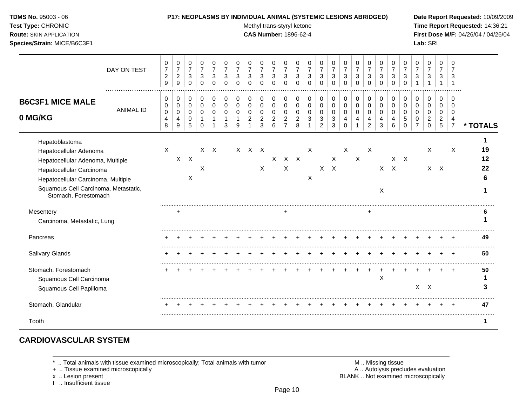**Test Type:** CHRONIC **The Report Requested:** 14:36:21 **Route:** SKIN APPLICATION **CAS Number:** 1896-62-4 **First Dose M/F:** 04/26/04 / 04/26/04 **Species/Strain:** MICE/B6C3F1 **Lab:** SRI

|                                                              | DAY ON TEST      | 0<br>$\boldsymbol{7}$<br>$\sqrt{2}$<br>9 | 0<br>$\overline{7}$<br>$\overline{c}$<br>$\boldsymbol{9}$ | 0<br>$\overline{7}$<br>$\ensuremath{\mathsf{3}}$<br>$\mathbf 0$ | 0<br>$\overline{7}$<br>$\sqrt{3}$<br>$\mathbf 0$ | 0<br>$\overline{7}$<br>3<br>$\Omega$ | 0<br>$\overline{7}$<br>$\mathbf{3}$<br>$\Omega$ | 0<br>$\overline{7}$<br>3<br>$\Omega$ | 0<br>$\overline{7}$<br>$\ensuremath{\mathsf{3}}$<br>$\Omega$ | 0<br>$\overline{7}$<br>$\sqrt{3}$<br>$\Omega$ | 0<br>$\overline{7}$<br>$\sqrt{3}$<br>$\Omega$ | 0<br>$\overline{7}$<br>$\sqrt{3}$<br>$\mathbf 0$ | 0<br>$\overline{7}$<br>3<br>$\Omega$ | 0<br>$\overline{7}$<br>$\mathbf{3}$<br>$\mathbf 0$ | 0<br>$\overline{7}$<br>$\sqrt{3}$<br>$\mathbf 0$ | 0<br>$\overline{7}$<br>$\ensuremath{\mathsf{3}}$<br>$\mathbf 0$ | 0<br>$\overline{7}$<br>$\mathbf{3}$<br>$\Omega$ | 0<br>$\overline{7}$<br>$\ensuremath{\mathsf{3}}$<br>$\Omega$ | 0<br>$\overline{7}$<br>$\sqrt{3}$<br>$\Omega$ | 0<br>$\overline{7}$<br>3<br>$\Omega$ | 0<br>$\overline{7}$<br>3<br>$\Omega$ | 0<br>$\overline{7}$<br>3<br>$\Omega$ | 0<br>$\overline{7}$<br>3<br>1 | 0<br>$\overline{7}$<br>3<br>1 | 0<br>$\overline{7}$<br>3<br>$\overline{1}$ | $\Omega$<br>$\overline{7}$<br>3<br>1 |          |
|--------------------------------------------------------------|------------------|------------------------------------------|-----------------------------------------------------------|-----------------------------------------------------------------|--------------------------------------------------|--------------------------------------|-------------------------------------------------|--------------------------------------|--------------------------------------------------------------|-----------------------------------------------|-----------------------------------------------|--------------------------------------------------|--------------------------------------|----------------------------------------------------|--------------------------------------------------|-----------------------------------------------------------------|-------------------------------------------------|--------------------------------------------------------------|-----------------------------------------------|--------------------------------------|--------------------------------------|--------------------------------------|-------------------------------|-------------------------------|--------------------------------------------|--------------------------------------|----------|
| <b>B6C3F1 MICE MALE</b>                                      | <b>ANIMAL ID</b> | 0<br>$\mathbf 0$                         | $\pmb{0}$<br>$\pmb{0}$                                    | 0<br>$\mathbf 0$<br>$\mathbf 0$                                 | $\,0\,$<br>$\mathbf 0$<br>$\mathbf 0$            | 0<br>$\mathbf 0$<br>$\Omega$         | 0<br>$\mathbf 0$<br>$\Omega$                    | 0<br>$\mathbf 0$<br>$\Omega$         | 0<br>$\mathbf 0$<br>$\Omega$                                 | 0<br>$\mathbf 0$<br>$\mathbf 0$               | 0<br>$\mathbf 0$<br>$\mathbf 0$               | 0<br>$\mathbf 0$                                 | 0<br>$\mathbf 0$                     | 0<br>$\mathbf 0$<br>$\Omega$                       | 0<br>$\mathbf 0$<br>$\mathbf 0$                  | 0<br>$\mathbf 0$<br>$\mathbf 0$                                 | 0<br>$\mathsf 0$<br>$\mathsf 0$                 | 0<br>$\pmb{0}$<br>$\pmb{0}$                                  | 0<br>$\pmb{0}$<br>$\mathbf 0$                 | 0<br>$\mathbf 0$<br>$\Omega$         | 0<br>$\mathbf 0$<br>$\Omega$         | 0<br>0<br>$\Omega$                   | 0<br>$\mathbf 0$<br>$\Omega$  | 0<br>$\mathbf 0$<br>$\Omega$  | 0<br>$\mathbf 0$                           | 0<br>$\Omega$<br>$\Omega$            |          |
| 0 MG/KG                                                      |                  | $\mathbf 0$<br>4<br>8                    | 0<br>4<br>9                                               | 0<br>$\overline{5}$                                             | $\mathbf 1$<br>$\Omega$                          |                                      | $\mathbf 1$<br>3                                | 1<br>9                               | $\overline{a}$                                               | $\overline{c}$<br>3                           | $\overline{c}$<br>6                           | $\mathbf 0$<br>$\overline{c}$<br>$\overline{7}$  | $\mathbf 0$<br>2<br>8                | 3                                                  | 3<br>$\overline{2}$                              | 3<br>3                                                          | 4<br>$\Omega$                                   | 4                                                            | 4<br>$\overline{c}$                           | 4<br>3                               | 4<br>6                               | 5<br>$\Omega$                        | 0<br>$\overline{7}$           | $\overline{c}$<br>$\Omega$    | 0<br>$\overline{c}$<br>5                   | 4<br>$\overline{7}$                  | * TOTALS |
| Hepatoblastoma                                               |                  |                                          |                                                           |                                                                 |                                                  |                                      |                                                 |                                      |                                                              |                                               |                                               |                                                  |                                      |                                                    |                                                  |                                                                 |                                                 |                                                              |                                               |                                      |                                      |                                      |                               |                               |                                            |                                      |          |
| Hepatocellular Adenoma                                       |                  | $\mathsf{X}$                             |                                                           |                                                                 |                                                  | $X$ $X$                              |                                                 |                                      | $X$ $X$ $X$                                                  |                                               |                                               |                                                  |                                      | X                                                  |                                                  |                                                                 | X                                               |                                                              | X                                             |                                      |                                      |                                      |                               | X                             |                                            | X                                    | 19       |
| Hepatocellular Adenoma, Multiple                             |                  |                                          | $\mathsf{X}$                                              | $\mathsf{X}$                                                    |                                                  |                                      |                                                 |                                      |                                                              |                                               | X                                             |                                                  | $X$ $X$                              |                                                    |                                                  | $\mathsf{X}$                                                    |                                                 | $\mathsf{X}$                                                 |                                               |                                      |                                      | $X$ $X$                              |                               |                               |                                            |                                      | 12       |
| Hepatocellular Carcinoma                                     |                  |                                          |                                                           |                                                                 | X                                                |                                      |                                                 |                                      |                                                              | $\sf X$                                       |                                               | X                                                |                                      |                                                    |                                                  | $X$ $X$                                                         |                                                 |                                                              |                                               | $X -$                                | $\mathsf{X}$                         |                                      |                               |                               | $X$ $X$                                    |                                      | 22       |
| Hepatocellular Carcinoma, Multiple                           |                  |                                          |                                                           | $\boldsymbol{X}$                                                |                                                  |                                      |                                                 |                                      |                                                              |                                               |                                               |                                                  |                                      | Χ                                                  |                                                  |                                                                 |                                                 |                                                              |                                               |                                      |                                      |                                      |                               |                               |                                            |                                      |          |
| Squamous Cell Carcinoma, Metastatic,<br>Stomach, Forestomach |                  |                                          |                                                           |                                                                 |                                                  |                                      |                                                 |                                      |                                                              |                                               |                                               |                                                  |                                      |                                                    |                                                  |                                                                 |                                                 |                                                              |                                               | Χ                                    |                                      |                                      |                               |                               |                                            |                                      |          |
| Mesentery                                                    |                  |                                          |                                                           |                                                                 |                                                  |                                      |                                                 |                                      |                                                              |                                               |                                               |                                                  |                                      |                                                    |                                                  |                                                                 |                                                 |                                                              |                                               |                                      |                                      |                                      |                               |                               |                                            |                                      |          |
| Carcinoma, Metastatic, Lung                                  |                  |                                          |                                                           |                                                                 |                                                  |                                      |                                                 |                                      |                                                              |                                               |                                               |                                                  |                                      |                                                    |                                                  |                                                                 |                                                 |                                                              |                                               |                                      |                                      |                                      |                               |                               |                                            |                                      |          |
| Pancreas                                                     |                  |                                          |                                                           |                                                                 |                                                  |                                      |                                                 |                                      |                                                              |                                               |                                               |                                                  |                                      |                                                    |                                                  |                                                                 |                                                 |                                                              |                                               |                                      |                                      |                                      |                               |                               |                                            |                                      | 49       |
| <b>Salivary Glands</b>                                       |                  |                                          |                                                           |                                                                 |                                                  |                                      |                                                 |                                      |                                                              |                                               |                                               |                                                  |                                      |                                                    |                                                  |                                                                 |                                                 |                                                              |                                               |                                      |                                      |                                      |                               |                               |                                            | $\overline{ }$                       | 50       |
| Stomach, Forestomach                                         |                  |                                          |                                                           |                                                                 |                                                  |                                      |                                                 |                                      |                                                              |                                               |                                               |                                                  |                                      |                                                    |                                                  |                                                                 |                                                 |                                                              |                                               |                                      |                                      |                                      |                               |                               |                                            |                                      | 50       |
| Squamous Cell Carcinoma                                      |                  |                                          |                                                           |                                                                 |                                                  |                                      |                                                 |                                      |                                                              |                                               |                                               |                                                  |                                      |                                                    |                                                  |                                                                 |                                                 |                                                              |                                               | X                                    |                                      |                                      |                               |                               |                                            |                                      |          |
| Squamous Cell Papilloma                                      |                  |                                          |                                                           |                                                                 |                                                  |                                      |                                                 |                                      |                                                              |                                               |                                               |                                                  |                                      |                                                    |                                                  |                                                                 |                                                 |                                                              |                                               |                                      |                                      |                                      |                               | $X \times$                    |                                            |                                      |          |
| Stomach, Glandular                                           |                  |                                          |                                                           |                                                                 |                                                  |                                      |                                                 |                                      |                                                              |                                               |                                               |                                                  |                                      |                                                    |                                                  |                                                                 |                                                 |                                                              |                                               |                                      |                                      |                                      |                               |                               |                                            |                                      | 47       |
| Tooth                                                        |                  |                                          |                                                           |                                                                 |                                                  |                                      |                                                 |                                      |                                                              |                                               |                                               |                                                  |                                      |                                                    |                                                  |                                                                 |                                                 |                                                              |                                               |                                      |                                      |                                      |                               |                               |                                            |                                      |          |

# **CARDIOVASCULAR SYSTEM**

\* .. Total animals with tissue examined microscopically; Total animals with tumor <br>
+ .. Tissue examined microscopically<br>
+ .. Tissue examined microscopically

+ .. Tissue examined microscopically

I .. Insufficient tissue

x .. Lesion present **BLANK** .. Not examined microscopically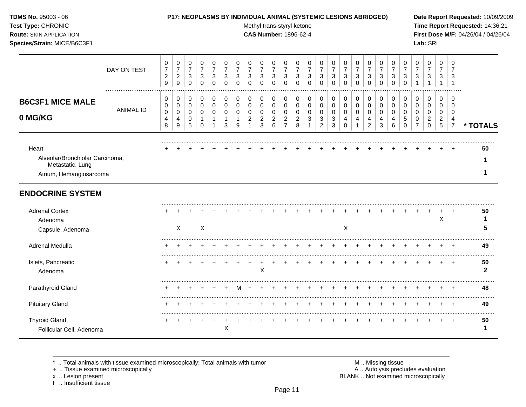**Test Type:** CHRONIC **Trans-styryl ketone** Methyl trans-styryl ketone **Time Report Requested:** 14:36:21 **Route:** SKIN APPLICATION **CAS Number:** 1896-62-4 **First Dose M/F:** 04/26/04 / 04/26/04 **Species/Strain:** MICE/B6C3F1 **Lab:** SRI

|                                                                                         | DAY ON TEST      | 0<br>$\overline{7}$<br>$\boldsymbol{2}$<br>$\boldsymbol{9}$ | 0<br>$\overline{7}$<br>$\overline{c}$<br>$\boldsymbol{9}$ | 0<br>$\overline{7}$<br>3<br>$\mathbf 0$ | 0<br>$\overline{7}$<br>3<br>$\mathbf 0$ | 0<br>$\overline{7}$<br>3<br>0 | 0<br>$\overline{7}$<br>3<br>$\mathbf 0$ | 0<br>$\overline{7}$<br>3<br>$\Omega$ | 0<br>$\overline{7}$<br>3<br>$\Omega$    | 0<br>$\overline{7}$<br>$\mathbf{3}$<br>$\Omega$ | 0<br>$\overline{7}$<br>3<br>$\Omega$ | 0<br>$\overline{7}$<br>3<br>$\mathbf 0$                   | 0<br>7<br>3<br>$\Omega$      | 0<br>3<br>$\Omega$ | 0<br>7<br>3<br>$\Omega$            | 0<br>7<br>3<br>$\Omega$                   | 0<br>$\overline{7}$<br>3<br>$\Omega$   | 0<br>$\overline{7}$<br>3<br>$\Omega$ | 0<br>$\overline{7}$<br>3<br>$\Omega$       | 0<br>$\overline{7}$<br>3<br>$\Omega$ | 0<br>$\overline{7}$<br>3<br>$\Omega$ | 0<br>$\overline{7}$<br>3<br>$\Omega$ | 0<br>$\overline{7}$<br>3 | 0<br>$\overline{7}$<br>3            | 0<br>$\overline{7}$<br>3                    | 0<br>7<br>3                                      |                    |
|-----------------------------------------------------------------------------------------|------------------|-------------------------------------------------------------|-----------------------------------------------------------|-----------------------------------------|-----------------------------------------|-------------------------------|-----------------------------------------|--------------------------------------|-----------------------------------------|-------------------------------------------------|--------------------------------------|-----------------------------------------------------------|------------------------------|--------------------|------------------------------------|-------------------------------------------|----------------------------------------|--------------------------------------|--------------------------------------------|--------------------------------------|--------------------------------------|--------------------------------------|--------------------------|-------------------------------------|---------------------------------------------|--------------------------------------------------|--------------------|
| <b>B6C3F1 MICE MALE</b><br>0 MG/KG                                                      | <b>ANIMAL ID</b> | 0<br>0<br>0<br>4<br>8                                       | 0<br>$\mathbf 0$<br>0<br>4<br>9                           | 0<br>$\mathbf 0$<br>0<br>0<br>5         | 0<br>$\pmb{0}$<br>0<br>1<br>$\Omega$    | 0<br>$\Omega$<br>0            | 0<br>0<br>0<br>-1<br>3                  | $\pmb{0}$<br>0<br>0<br>9             | 0<br>$\mathbf 0$<br>0<br>$\overline{c}$ | 0<br>0<br>0<br>$\overline{c}$<br>3              | 0<br>0<br>0<br>$\overline{c}$<br>6   | 0<br>0<br>$\mathbf 0$<br>$\overline{2}$<br>$\overline{7}$ | 0<br>$\Omega$<br>0<br>2<br>8 | 0<br>0<br>0<br>3   | 0<br>0<br>0<br>3<br>$\overline{2}$ | 0<br>$\mathbf 0$<br>$\mathbf 0$<br>3<br>3 | 0<br>$\mathbf 0$<br>0<br>4<br>$\Omega$ | 0<br>0<br>0<br>4                     | 0<br>$\pmb{0}$<br>0<br>4<br>$\overline{2}$ | 0<br>$\pmb{0}$<br>0<br>4<br>3        | 0<br>$\mathbf 0$<br>0<br>4<br>6      | 0<br>0<br>0<br>5<br>0                | 0<br>0<br>0<br>0         | 0<br>$\Omega$<br>0<br>2<br>$\Omega$ | 0<br>0<br>0<br>$\overline{c}$<br>$\sqrt{5}$ | 0<br>$\Omega$<br>$\Omega$<br>4<br>$\overline{7}$ | * TOTALS           |
| Heart<br>Alveolar/Bronchiolar Carcinoma,<br>Metastatic, Lung<br>Atrium, Hemangiosarcoma |                  |                                                             |                                                           |                                         |                                         |                               |                                         |                                      |                                         |                                                 |                                      |                                                           |                              |                    |                                    |                                           |                                        |                                      |                                            |                                      |                                      |                                      |                          |                                     |                                             |                                                  | 50                 |
| <b>ENDOCRINE SYSTEM</b>                                                                 |                  |                                                             |                                                           |                                         |                                         |                               |                                         |                                      |                                         |                                                 |                                      |                                                           |                              |                    |                                    |                                           |                                        |                                      |                                            |                                      |                                      |                                      |                          |                                     |                                             |                                                  |                    |
| <b>Adrenal Cortex</b><br>Adenoma<br>Capsule, Adenoma                                    |                  |                                                             | $\mathsf{X}$                                              |                                         | $\boldsymbol{\mathsf{X}}$               |                               |                                         |                                      |                                         |                                                 |                                      |                                                           |                              |                    |                                    |                                           | X                                      |                                      |                                            |                                      |                                      |                                      |                          |                                     | Χ                                           |                                                  | 50<br>5            |
| Adrenal Medulla                                                                         |                  |                                                             |                                                           |                                         |                                         |                               |                                         |                                      |                                         |                                                 |                                      |                                                           |                              |                    |                                    |                                           |                                        |                                      |                                            |                                      |                                      |                                      |                          |                                     |                                             |                                                  | 49                 |
| Islets, Pancreatic<br>Adenoma                                                           |                  |                                                             |                                                           |                                         |                                         |                               |                                         |                                      |                                         | Χ                                               |                                      |                                                           |                              |                    |                                    |                                           |                                        |                                      |                                            |                                      |                                      |                                      |                          |                                     |                                             |                                                  | 50<br>$\mathbf{2}$ |
| Parathyroid Gland                                                                       |                  |                                                             |                                                           |                                         |                                         |                               |                                         |                                      |                                         |                                                 |                                      |                                                           |                              |                    |                                    |                                           |                                        |                                      |                                            |                                      |                                      |                                      |                          |                                     |                                             |                                                  | 48                 |
| <b>Pituitary Gland</b>                                                                  |                  |                                                             |                                                           |                                         |                                         |                               |                                         |                                      |                                         |                                                 |                                      |                                                           |                              |                    |                                    |                                           |                                        |                                      |                                            |                                      |                                      |                                      |                          |                                     |                                             |                                                  | 49                 |
| <b>Thyroid Gland</b><br>Follicular Cell, Adenoma                                        |                  |                                                             |                                                           |                                         |                                         |                               | X                                       |                                      |                                         |                                                 |                                      |                                                           |                              |                    |                                    |                                           |                                        |                                      |                                            |                                      |                                      |                                      |                          |                                     |                                             | $\overline{ }$                                   | 50                 |

\* .. Total animals with tissue examined microscopically; Total animals with tumor **M** metally more than M .. Missing tissue<br>  $\blacksquare$  Tissue examined microscopically

+ .. Tissue examined microscopically

x .. Lesion present<br>I .. Insufficient tissue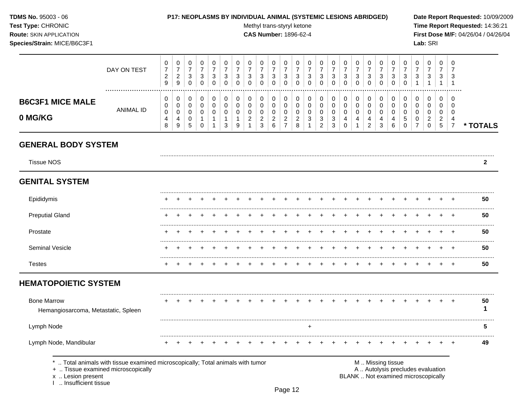TDMS No. 95003 - 06 Test Type: CHRONIC

**Route: SKIN APPLICATION** 

Species/Strain: MICE/B6C3F1

## P17: NEOPLASMS BY INDIVIDUAL ANIMAL (SYSTEMIC LESIONS ABRIDGED)

Methyl trans-styryl ketone

**CAS Number: 1896-62-4** 

Date Report Requested: 10/09/2009 Time Report Requested: 14:36:21 First Dose M/F: 04/26/04 / 04/26/04 Lab: SRI

|                                                           |                  | 0                                                | 0                                 | 0                                                          | 0                                                    | 0                                                          | 0                                                     | 0                                  | 0                                                          | 0                                                          | 0                                                            | 0                                               | 0                                  | 0                                  | 0                                                               | 0                                                                          | 0                                                               | 0                                                            | 0                                                                                    | 0                                          | 0                               | 0                                                          | 0                                                             | 0                                                                | 0                                                                   | 0                                                                                      |          |
|-----------------------------------------------------------|------------------|--------------------------------------------------|-----------------------------------|------------------------------------------------------------|------------------------------------------------------|------------------------------------------------------------|-------------------------------------------------------|------------------------------------|------------------------------------------------------------|------------------------------------------------------------|--------------------------------------------------------------|-------------------------------------------------|------------------------------------|------------------------------------|-----------------------------------------------------------------|----------------------------------------------------------------------------|-----------------------------------------------------------------|--------------------------------------------------------------|--------------------------------------------------------------------------------------|--------------------------------------------|---------------------------------|------------------------------------------------------------|---------------------------------------------------------------|------------------------------------------------------------------|---------------------------------------------------------------------|----------------------------------------------------------------------------------------|----------|
|                                                           | DAY ON TEST      | $\boldsymbol{7}$<br>$\sqrt{2}$<br>$\overline{9}$ | $\overline{7}$<br>$\sqrt{2}$<br>9 | $\overline{7}$<br>$\ensuremath{\mathsf{3}}$<br>$\mathbf 0$ | $\overline{7}$<br>3<br>$\mathbf 0$                   | $\overline{7}$<br>3<br>$\mathbf 0$                         | $\overline{7}$<br>3<br>$\mathbf 0$                    | $\overline{7}$<br>3<br>$\mathbf 0$ | $\overline{7}$<br>$\ensuremath{\mathsf{3}}$<br>$\mathbf 0$ | $\overline{7}$<br>$\ensuremath{\mathsf{3}}$<br>$\mathsf 0$ | $\boldsymbol{7}$<br>$\ensuremath{\mathsf{3}}$<br>$\mathbf 0$ | $\overline{7}$<br>$\sqrt{3}$<br>$\mathbf 0$     | $\overline{7}$<br>3<br>$\mathbf 0$ | $\overline{7}$<br>3<br>$\mathbf 0$ | $\overline{7}$<br>$\ensuremath{\mathsf{3}}$<br>$\Omega$         | $\overline{7}$<br>$\ensuremath{\mathsf{3}}$<br>$\mathbf 0$                 | $\overline{7}$<br>$\ensuremath{\mathsf{3}}$<br>$\mathbf 0$      | $\boldsymbol{7}$<br>$\ensuremath{\mathsf{3}}$<br>$\mathbf 0$ | $\overline{7}$<br>3<br>$\mathsf 0$                                                   | $\overline{7}$<br>3<br>$\Omega$            | $\overline{7}$<br>3<br>$\Omega$ | $\overline{7}$<br>$\ensuremath{\mathsf{3}}$<br>$\mathbf 0$ | $\overline{7}$<br>$\ensuremath{\mathsf{3}}$<br>$\overline{1}$ | $\boldsymbol{7}$<br>$\ensuremath{\mathsf{3}}$<br>$\mathbf{1}$    | $\overline{7}$<br>3<br>$\mathbf{1}$                                 | $\overline{7}$<br>3<br>$\overline{1}$                                                  |          |
| <b>B6C3F1 MICE MALE</b><br>0 MG/KG                        | <b>ANIMAL ID</b> | 0<br>0<br>$\pmb{0}$<br>4<br>$\bf8$               | 0<br>0<br>0<br>4<br>9             | 0<br>$\mathbf 0$<br>0<br>$\mathbf 0$<br>$5\phantom{.0}$    | 0<br>0<br>$\mathbf 0$<br>$\mathbf{1}$<br>$\mathbf 0$ | $\pmb{0}$<br>$\mathbf 0$<br>$\pmb{0}$<br>$\mathbf{1}$<br>1 | 0<br>$\mathbf 0$<br>0<br>$\mathbf{1}$<br>$\mathbf{3}$ | 0<br>$\mathbf 0$<br>0<br>1<br>9    | 0<br>0<br>0<br>$\overline{c}$<br>1                         | 0<br>0<br>0<br>$\overline{c}$<br>$\mathbf{3}$              | 0<br>0<br>$\mathbf 0$<br>$\overline{c}$<br>$\,6\,$           | 0<br>0<br>0<br>$\overline{c}$<br>$\overline{7}$ | 0<br>0<br>0<br>$\overline{c}$<br>8 | 0<br>0<br>0<br>3<br>$\mathbf{1}$   | 0<br>$\mathbf 0$<br>$\mathbf 0$<br>$\sqrt{3}$<br>$\overline{2}$ | 0<br>$\mathbf 0$<br>$\pmb{0}$<br>$\ensuremath{\mathsf{3}}$<br>$\mathbf{3}$ | 0<br>$\mathbf 0$<br>0<br>$\overline{\mathbf{4}}$<br>$\mathbf 0$ | 0<br>$\mathbf 0$<br>0<br>4<br>1                              | $\mathbf 0$<br>$\mathbf 0$<br>$\pmb{0}$<br>$\overline{\mathbf{4}}$<br>$\overline{2}$ | 0<br>$\mathbf 0$<br>0<br>4<br>$\mathbf{3}$ | 0<br>$\mathbf 0$<br>0<br>4<br>6 | 0<br>0<br>0<br>$\,$ 5 $\,$<br>$\mathbf 0$                  | 0<br>0<br>0<br>0<br>$\overline{7}$                            | 0<br>$\mathbf 0$<br>$\mathbf 0$<br>$\overline{c}$<br>$\mathsf 0$ | $\mathbf 0$<br>0<br>$\mathbf 0$<br>$\overline{c}$<br>$\overline{5}$ | $\overline{0}$<br>$\overline{0}$<br>$\overline{0}$<br>$\overline{4}$<br>$\overline{7}$ | * TOTALS |
| <b>GENERAL BODY SYSTEM</b>                                |                  |                                                  |                                   |                                                            |                                                      |                                                            |                                                       |                                    |                                                            |                                                            |                                                              |                                                 |                                    |                                    |                                                                 |                                                                            |                                                                 |                                                              |                                                                                      |                                            |                                 |                                                            |                                                               |                                                                  |                                                                     |                                                                                        |          |
| <b>Tissue NOS</b>                                         |                  |                                                  |                                   |                                                            |                                                      |                                                            |                                                       |                                    |                                                            |                                                            |                                                              |                                                 |                                    |                                    |                                                                 |                                                                            |                                                                 |                                                              |                                                                                      |                                            |                                 |                                                            |                                                               |                                                                  |                                                                     |                                                                                        | 2        |
| <b>GENITAL SYSTEM</b>                                     |                  |                                                  |                                   |                                                            |                                                      |                                                            |                                                       |                                    |                                                            |                                                            |                                                              |                                                 |                                    |                                    |                                                                 |                                                                            |                                                                 |                                                              |                                                                                      |                                            |                                 |                                                            |                                                               |                                                                  |                                                                     |                                                                                        |          |
| Epididymis                                                |                  |                                                  |                                   |                                                            |                                                      |                                                            |                                                       |                                    |                                                            |                                                            |                                                              |                                                 |                                    |                                    |                                                                 |                                                                            |                                                                 |                                                              |                                                                                      |                                            |                                 |                                                            |                                                               |                                                                  |                                                                     |                                                                                        | 50       |
| <b>Preputial Gland</b>                                    |                  |                                                  |                                   |                                                            |                                                      |                                                            |                                                       |                                    |                                                            |                                                            |                                                              |                                                 |                                    |                                    |                                                                 |                                                                            |                                                                 |                                                              |                                                                                      |                                            |                                 |                                                            |                                                               |                                                                  |                                                                     |                                                                                        | 50       |
| Prostate                                                  |                  |                                                  |                                   |                                                            |                                                      |                                                            |                                                       |                                    |                                                            |                                                            |                                                              |                                                 |                                    |                                    |                                                                 |                                                                            |                                                                 |                                                              |                                                                                      |                                            |                                 |                                                            |                                                               |                                                                  |                                                                     |                                                                                        | 50       |
| Seminal Vesicle                                           |                  |                                                  |                                   |                                                            |                                                      |                                                            |                                                       |                                    |                                                            |                                                            |                                                              |                                                 |                                    |                                    |                                                                 |                                                                            |                                                                 |                                                              |                                                                                      |                                            |                                 |                                                            |                                                               |                                                                  |                                                                     |                                                                                        | 50       |
| <b>Testes</b>                                             |                  |                                                  |                                   |                                                            |                                                      |                                                            |                                                       |                                    |                                                            |                                                            |                                                              |                                                 |                                    |                                    |                                                                 |                                                                            |                                                                 |                                                              |                                                                                      |                                            |                                 |                                                            |                                                               |                                                                  |                                                                     |                                                                                        | 50       |
| <b>HEMATOPOIETIC SYSTEM</b>                               |                  |                                                  |                                   |                                                            |                                                      |                                                            |                                                       |                                    |                                                            |                                                            |                                                              |                                                 |                                    |                                    |                                                                 |                                                                            |                                                                 |                                                              |                                                                                      |                                            |                                 |                                                            |                                                               |                                                                  |                                                                     |                                                                                        |          |
| <b>Bone Marrow</b><br>Hemangiosarcoma, Metastatic, Spleen |                  |                                                  |                                   |                                                            |                                                      |                                                            |                                                       |                                    |                                                            |                                                            |                                                              |                                                 |                                    |                                    |                                                                 |                                                                            |                                                                 |                                                              |                                                                                      |                                            |                                 |                                                            |                                                               |                                                                  |                                                                     |                                                                                        | 50<br>1  |
| Lymph Node                                                |                  |                                                  |                                   |                                                            |                                                      |                                                            |                                                       |                                    |                                                            |                                                            |                                                              |                                                 |                                    | $\ddot{}$                          |                                                                 |                                                                            |                                                                 |                                                              |                                                                                      |                                            |                                 |                                                            |                                                               |                                                                  |                                                                     |                                                                                        | 5        |
| Lymph Node, Mandibular                                    |                  |                                                  |                                   |                                                            |                                                      |                                                            |                                                       |                                    |                                                            |                                                            |                                                              |                                                 |                                    |                                    |                                                                 |                                                                            |                                                                 |                                                              |                                                                                      |                                            |                                 |                                                            |                                                               |                                                                  |                                                                     |                                                                                        | 49       |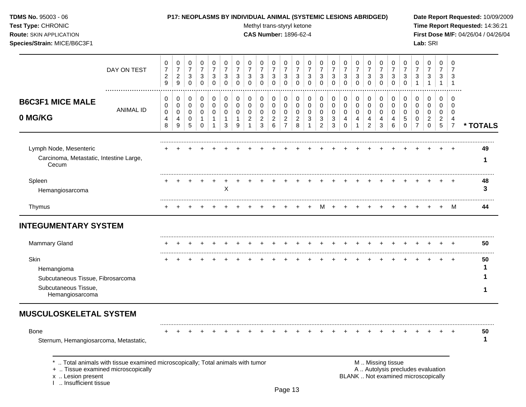**Test Type:** CHRONIC **Trans-styryl ketone** Methyl trans-styryl ketone **Time Report Requested:** 14:36:21 **Route:** SKIN APPLICATION **CAS Number:** 1896-62-4 **First Dose M/F:** 04/26/04 / 04/26/04 **Species/Strain:** MICE/B6C3F1 **Lab:** SRI

|                                                                                                    | DAY ON TEST      | 0<br>$\boldsymbol{7}$<br>$\overline{2}$<br>9 | 0<br>$\overline{7}$<br>$\sqrt{2}$<br>9       | 0<br>$\boldsymbol{7}$<br>$\sqrt{3}$<br>0 | 0<br>$\overline{7}$<br>3<br>$\Omega$   | 0<br>$\overline{7}$<br>$\mathbf{3}$<br>$\Omega$ | $\mathbf 0$<br>$\overline{7}$<br>3<br>$\Omega$ | 0<br>$\overline{7}$<br>$\mathbf{3}$<br>$\Omega$ | 0<br>$\overline{7}$<br>$\sqrt{3}$<br>$\Omega$     | 0<br>$\boldsymbol{7}$<br>$\mathbf{3}$<br>$\Omega$ | 0<br>$\overline{7}$<br>$\sqrt{3}$<br>$\Omega$          | 0<br>$\overline{7}$<br>$\ensuremath{\mathsf{3}}$<br>$\Omega$ | 0<br>$\overline{7}$<br>$\mathbf{3}$<br>$\Omega$        | 0<br>$\overline{7}$<br>3<br>$\Omega$ | 0<br>$\overline{7}$<br>$\mathbf{3}$<br>$\Omega$        | 0<br>$\overline{7}$<br>$\sqrt{3}$<br>$\Omega$ | 0<br>$\boldsymbol{7}$<br>$\ensuremath{\mathsf{3}}$<br>$\Omega$ | 0<br>$\boldsymbol{7}$<br>3<br>$\Omega$             | 0<br>$\overline{7}$<br>$\sqrt{3}$<br>$\mathbf 0$ | 0<br>$\overline{7}$<br>3<br>$\Omega$      | 0<br>$\overline{7}$<br>$\mathbf{3}$<br>$\Omega$ | $\Omega$<br>$\overline{7}$<br>3<br>$\Omega$ | 0<br>$\overline{7}$<br>3       | 0<br>$\overline{7}$<br>3                     | 0<br>$\overline{7}$<br>3                        | 0<br>$\overline{7}$<br>3                                |          |
|----------------------------------------------------------------------------------------------------|------------------|----------------------------------------------|----------------------------------------------|------------------------------------------|----------------------------------------|-------------------------------------------------|------------------------------------------------|-------------------------------------------------|---------------------------------------------------|---------------------------------------------------|--------------------------------------------------------|--------------------------------------------------------------|--------------------------------------------------------|--------------------------------------|--------------------------------------------------------|-----------------------------------------------|----------------------------------------------------------------|----------------------------------------------------|--------------------------------------------------|-------------------------------------------|-------------------------------------------------|---------------------------------------------|--------------------------------|----------------------------------------------|-------------------------------------------------|---------------------------------------------------------|----------|
| <b>B6C3F1 MICE MALE</b><br>0 MG/KG                                                                 | <b>ANIMAL ID</b> | 0<br>0<br>0<br>$\overline{4}$<br>8           | 0<br>0<br>$\mathbf 0$<br>$\overline{4}$<br>9 | 0<br>$\pmb{0}$<br>$\mathbf 0$<br>0<br>5  | 0<br>0<br>$\mathbf 0$<br>1<br>$\Omega$ | 0<br>0<br>0<br>1                                | 0<br>$\mathbf 0$<br>$\mathbf 0$<br>-1<br>3     | 0<br>$\mathbf 0$<br>$\mathbf 0$<br>9            | 0<br>$\mathbf 0$<br>$\mathbf 0$<br>$\overline{c}$ | 0<br>0<br>$\mathbf 0$<br>$\overline{2}$<br>3      | 0<br>$\mathbf 0$<br>$\mathbf 0$<br>$\overline{c}$<br>6 | 0<br>0<br>$\mathbf 0$<br>$\overline{c}$<br>$\overline{7}$    | 0<br>$\mathbf 0$<br>$\mathbf 0$<br>$\overline{c}$<br>8 | 0<br>$\Omega$<br>$\mathbf 0$<br>3    | 0<br>$\mathbf 0$<br>$\mathbf 0$<br>3<br>$\overline{2}$ | 0<br>0<br>0<br>3<br>3                         | 0<br>$\mathbf 0$<br>$\pmb{0}$<br>4<br>$\Omega$                 | 0<br>$\pmb{0}$<br>$\mathbf 0$<br>4<br>$\mathbf{1}$ | 0<br>0<br>$\mathbf 0$<br>4<br>$\overline{2}$     | 0<br>$\mathbf 0$<br>$\mathbf 0$<br>4<br>3 | 0<br>$\mathbf 0$<br>$\Omega$<br>4<br>6          | 0<br>$\Omega$<br>$\Omega$<br>5<br>$\Omega$  | 0<br>$\Omega$<br>$\Omega$<br>0 | 0<br>0<br>0<br>$\overline{2}$<br>$\mathbf 0$ | 0<br>0<br>0<br>$\overline{2}$<br>$\overline{5}$ | $\Omega$<br>$\Omega$<br>$\Omega$<br>4<br>$\overline{7}$ | * TOTALS |
| Lymph Node, Mesenteric<br>Carcinoma, Metastatic, Intestine Large,<br>Cecum                         |                  |                                              |                                              |                                          |                                        |                                                 |                                                |                                                 |                                                   |                                                   |                                                        |                                                              |                                                        |                                      |                                                        |                                               |                                                                |                                                    |                                                  |                                           |                                                 |                                             |                                |                                              |                                                 |                                                         | 49       |
| Spleen<br>Hemangiosarcoma                                                                          |                  |                                              |                                              |                                          |                                        |                                                 | X                                              |                                                 |                                                   |                                                   |                                                        |                                                              |                                                        |                                      |                                                        |                                               |                                                                |                                                    |                                                  |                                           |                                                 |                                             |                                |                                              |                                                 |                                                         | 48<br>3  |
| Thymus                                                                                             |                  |                                              |                                              |                                          |                                        |                                                 |                                                |                                                 |                                                   |                                                   |                                                        |                                                              |                                                        |                                      |                                                        |                                               |                                                                |                                                    |                                                  |                                           |                                                 |                                             |                                |                                              |                                                 | м                                                       | 44       |
| <b>INTEGUMENTARY SYSTEM</b>                                                                        |                  |                                              |                                              |                                          |                                        |                                                 |                                                |                                                 |                                                   |                                                   |                                                        |                                                              |                                                        |                                      |                                                        |                                               |                                                                |                                                    |                                                  |                                           |                                                 |                                             |                                |                                              |                                                 |                                                         |          |
| Mammary Gland                                                                                      |                  |                                              |                                              |                                          |                                        |                                                 |                                                |                                                 |                                                   |                                                   |                                                        |                                                              |                                                        |                                      |                                                        |                                               |                                                                |                                                    |                                                  |                                           |                                                 |                                             |                                |                                              |                                                 |                                                         | 50       |
| Skin<br>Hemangioma<br>Subcutaneous Tissue, Fibrosarcoma<br>Subcutaneous Tissue,<br>Hemangiosarcoma |                  |                                              |                                              |                                          |                                        |                                                 |                                                |                                                 |                                                   |                                                   |                                                        |                                                              |                                                        |                                      |                                                        |                                               |                                                                |                                                    |                                                  |                                           |                                                 |                                             |                                |                                              |                                                 | $\ddot{}$                                               | 50       |
| <b>MUSCULOSKELETAL SYSTEM</b>                                                                      |                  |                                              |                                              |                                          |                                        |                                                 |                                                |                                                 |                                                   |                                                   |                                                        |                                                              |                                                        |                                      |                                                        |                                               |                                                                |                                                    |                                                  |                                           |                                                 |                                             |                                |                                              |                                                 |                                                         |          |
| <b>Bone</b><br>Sternum, Hemangiosarcoma, Metastatic,                                               |                  |                                              |                                              |                                          |                                        |                                                 |                                                |                                                 |                                                   |                                                   |                                                        |                                                              |                                                        |                                      |                                                        |                                               |                                                                |                                                    |                                                  |                                           |                                                 |                                             |                                |                                              |                                                 |                                                         | 50<br>1  |

\* .. Total animals with tissue examined microscopically; Total animals with tumor **M** metal metal M .. Missing tissue<br>
+ .. Tissue examined microscopically by the matric of the matrice of the matrice of the M .. Autolysis

+ .. Tissue examined microscopically

x .. Lesion present<br>I .. Insufficient tissue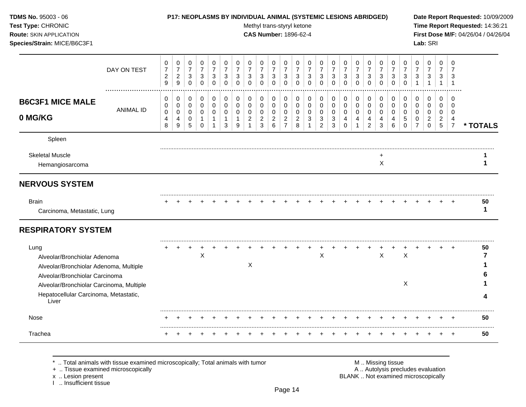**Test Type:** CHRONIC **Trans-styryl ketone** Methyl trans-styryl ketone **Time Report Requested:** 14:36:21 **Route:** SKIN APPLICATION **CAS Number:** 1896-62-4 **First Dose M/F:** 04/26/04 / 04/26/04 **Species/Strain:** MICE/B6C3F1 **Lab:** SRI

|                                                                                                                                                                                                                                             | DAY ON TEST      | 0<br>$\overline{7}$<br>$\overline{c}$<br>9 | 0<br>$\overline{7}$<br>$\boldsymbol{2}$<br>9                | 0<br>$\overline{7}$<br>$\mathbf{3}$<br>$\Omega$ | 0<br>$\overline{7}$<br>$\ensuremath{\mathsf{3}}$<br>$\Omega$        | 0<br>$\overline{7}$<br>$\sqrt{3}$<br>$\Omega$ | 0<br>$\overline{7}$<br>3<br>$\Omega$       | 0<br>$\overline{7}$<br>3<br>$\Omega$ | 0<br>$\overline{7}$<br>$\mathbf{3}$<br>$\Omega$ | 0<br>$\overline{7}$<br>$\sqrt{3}$<br>$\Omega$      | 0<br>$\overline{7}$<br>$\ensuremath{\mathsf{3}}$<br>$\Omega$ | 0<br>$\overline{7}$<br>$\sqrt{3}$<br>$\Omega$                       | 0<br>$\overline{7}$<br>$\sqrt{3}$<br>$\Omega$               | 0<br>$\overline{7}$<br>3<br>$\Omega$ | 0<br>$\overline{7}$<br>$\ensuremath{\mathsf{3}}$<br>$\Omega$ | 0<br>$\overline{7}$<br>$\mathbf{3}$<br>$\Omega$ | 0<br>$\overline{7}$<br>3<br>$\Omega$ | 0<br>$\overline{7}$<br>$\sqrt{3}$<br>$\Omega$ | 0<br>$\overline{7}$<br>$\sqrt{3}$<br>$\Omega$ | 0<br>$\overline{7}$<br>$\sqrt{3}$<br>$\Omega$ | 0<br>$\overline{7}$<br>3<br>$\Omega$ | 0<br>$\overline{7}$<br>3<br>$\Omega$       | 0<br>$\overline{7}$<br>3<br>1             | 0<br>$\overline{7}$<br>3<br>$\overline{1}$          | 0<br>7<br>3                                                     | 0<br>$\overline{7}$<br>3                                |          |
|---------------------------------------------------------------------------------------------------------------------------------------------------------------------------------------------------------------------------------------------|------------------|--------------------------------------------|-------------------------------------------------------------|-------------------------------------------------|---------------------------------------------------------------------|-----------------------------------------------|--------------------------------------------|--------------------------------------|-------------------------------------------------|----------------------------------------------------|--------------------------------------------------------------|---------------------------------------------------------------------|-------------------------------------------------------------|--------------------------------------|--------------------------------------------------------------|-------------------------------------------------|--------------------------------------|-----------------------------------------------|-----------------------------------------------|-----------------------------------------------|--------------------------------------|--------------------------------------------|-------------------------------------------|-----------------------------------------------------|-----------------------------------------------------------------|---------------------------------------------------------|----------|
| <b>B6C3F1 MICE MALE</b><br>0 MG/KG                                                                                                                                                                                                          | <b>ANIMAL ID</b> | 0<br>0<br>0<br>4<br>8                      | 0<br>$\pmb{0}$<br>$\pmb{0}$<br>$\overline{\mathbf{4}}$<br>9 | 0<br>$\mathbf 0$<br>$\mathbf 0$<br>0<br>5       | 0<br>$\mathbf 0$<br>$\mathsf{O}\xspace$<br>$\mathbf{1}$<br>$\Omega$ | 0<br>$\mathbf 0$<br>$\mathbf 0$<br>-1         | $\Omega$<br>$\Omega$<br>$\Omega$<br>1<br>3 | 0<br>$\Omega$<br>0<br>9              | 0<br>$\Omega$<br>0<br>$\overline{2}$            | $\pmb{0}$<br>0<br>$\pmb{0}$<br>$\overline{c}$<br>3 | 0<br>$\mathbf 0$<br>$\mathbf 0$<br>$\overline{c}$<br>6       | 0<br>$\mathbf 0$<br>$\mathbf 0$<br>$\overline{c}$<br>$\overline{7}$ | $\Omega$<br>$\mathbf 0$<br>$\pmb{0}$<br>$\overline{c}$<br>8 | 0<br>$\mathbf 0$<br>$\mathbf 0$<br>3 | 0<br>0<br>0<br>3<br>$\overline{c}$                           | 0<br>$\mathbf 0$<br>0<br>3<br>3                 | 0<br>0<br>0<br>4<br>$\Omega$         | 0<br>$\mathbf 0$<br>$\mathbf 0$<br>4<br>-1    | 0<br>$\mathbf 0$<br>0<br>4<br>2               | 0<br>$\mathbf 0$<br>0<br>4<br>3               | 0<br>0<br>0<br>4<br>6                | 0<br>$\Omega$<br>$\Omega$<br>5<br>$\Omega$ | 0<br>$\Omega$<br>0<br>0<br>$\overline{7}$ | 0<br>$\mathbf 0$<br>0<br>$\overline{2}$<br>$\Omega$ | $\mathbf 0$<br>$\mathbf 0$<br>0<br>$\overline{2}$<br>$\sqrt{5}$ | $\Omega$<br>$\Omega$<br>$\Omega$<br>4<br>$\overline{7}$ | * TOTALS |
| Spleen<br><b>Skeletal Muscle</b><br>Hemangiosarcoma                                                                                                                                                                                         |                  |                                            |                                                             |                                                 |                                                                     |                                               |                                            |                                      |                                                 |                                                    |                                                              |                                                                     |                                                             |                                      |                                                              |                                                 |                                      |                                               |                                               | X                                             |                                      |                                            |                                           |                                                     |                                                                 |                                                         |          |
| <b>NERVOUS SYSTEM</b><br><b>Brain</b><br>Carcinoma, Metastatic, Lung                                                                                                                                                                        |                  |                                            |                                                             |                                                 |                                                                     |                                               |                                            |                                      |                                                 |                                                    |                                                              |                                                                     |                                                             |                                      |                                                              |                                                 |                                      |                                               |                                               |                                               |                                      |                                            |                                           |                                                     |                                                                 |                                                         | 50<br>1  |
| <b>RESPIRATORY SYSTEM</b><br>Lung<br>Alveolar/Bronchiolar Adenoma<br>Alveolar/Bronchiolar Adenoma, Multiple<br>Alveolar/Bronchiolar Carcinoma<br>Alveolar/Bronchiolar Carcinoma, Multiple<br>Hepatocellular Carcinoma, Metastatic,<br>Liver |                  |                                            |                                                             |                                                 | X                                                                   |                                               |                                            |                                      | $\times$                                        |                                                    |                                                              |                                                                     |                                                             |                                      | $\mathsf X$                                                  |                                                 |                                      |                                               |                                               | $\boldsymbol{\mathsf{X}}$                     |                                      | $\mathsf X$<br>X                           |                                           |                                                     |                                                                 |                                                         | 50       |
| Nose                                                                                                                                                                                                                                        |                  |                                            |                                                             |                                                 |                                                                     |                                               |                                            |                                      |                                                 |                                                    |                                                              |                                                                     |                                                             |                                      |                                                              |                                                 |                                      |                                               |                                               |                                               |                                      |                                            |                                           |                                                     |                                                                 | $\div$                                                  | 50       |
| Trachea                                                                                                                                                                                                                                     |                  |                                            |                                                             |                                                 |                                                                     |                                               |                                            |                                      |                                                 |                                                    |                                                              |                                                                     |                                                             |                                      |                                                              |                                                 |                                      |                                               |                                               |                                               |                                      |                                            |                                           |                                                     |                                                                 |                                                         | 50       |

\* .. Total animals with tissue examined microscopically; Total animals with tumor **M** metal metal M .. Missing tissue<br>
+ .. Tissue examined microscopically by the matric of the matrice of the matrice of the M .. Autolysis

+ .. Tissue examined microscopically

x .. Lesion present<br>I .. Insufficient tissue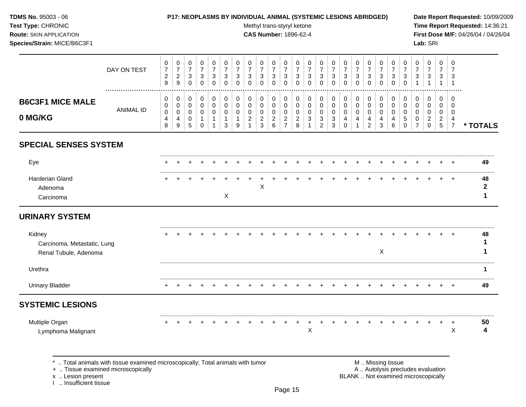Test Type: CHRONIC **Test Type:** CHRONIC **Test Type:** CHRONIC **Time Report Requested:** 14:36:21 **Route:** SKIN APPLICATION **CAS Number:** 1896-62-4 **First Dose M/F:** 04/26/04 / 04/26/04 **Species/Strain:** MICE/B6C3F1 **Lab:** SRI

|                                                                | DAY ON TEST                                                                                                        | 0<br>$\overline{7}$<br>$\overline{c}$<br>9 | 0<br>$\boldsymbol{7}$<br>$\overline{2}$<br>$\mathsf g$ | 0<br>$\overline{7}$<br>$\sqrt{3}$<br>0             | 0<br>$\overline{7}$<br>$\ensuremath{\mathsf{3}}$<br>$\mathbf 0$ | 0<br>7<br>3<br>$\overline{0}$ | $\Omega$<br>7<br>3<br>$\Omega$                 | 0<br>7<br>3<br>$\Omega$      | 0<br>$\overline{7}$<br>3<br>$\mathbf 0$           | 0<br>$\boldsymbol{7}$<br>$\mathbf{3}$<br>$\mathbf 0$ | 0<br>$\boldsymbol{7}$<br>$\mathbf{3}$<br>0   | 0<br>$\overline{7}$<br>3<br>0                             | 0<br>7<br>$\mathbf{3}$<br>0              | 0<br>$\overline{7}$<br>3<br>$\Omega$ | 0<br>$\overline{7}$<br>3<br>$\Omega$         | 0<br>$\overline{7}$<br>3<br>$\Omega$ | 0<br>$\overline{7}$<br>$\mathbf{3}$<br>0 | 0<br>$\boldsymbol{7}$<br>$\mathbf{3}$<br>$\mathbf 0$ | 0<br>$\overline{7}$<br>$\sqrt{3}$<br>$\mathbf 0$ | 0<br>$\overline{7}$<br>3<br>0                          | 0<br>7<br>3<br>$\Omega$ | 0<br>$\overline{7}$<br>3<br>$\Omega$       | 0<br>$\overline{7}$<br>3                         | 0<br>7<br>3<br>1                                    | $\mathbf 0$<br>$\overline{7}$<br>3<br>1                              | 0<br>7<br>3                                      |                          |
|----------------------------------------------------------------|--------------------------------------------------------------------------------------------------------------------|--------------------------------------------|--------------------------------------------------------|----------------------------------------------------|-----------------------------------------------------------------|-------------------------------|------------------------------------------------|------------------------------|---------------------------------------------------|------------------------------------------------------|----------------------------------------------|-----------------------------------------------------------|------------------------------------------|--------------------------------------|----------------------------------------------|--------------------------------------|------------------------------------------|------------------------------------------------------|--------------------------------------------------|--------------------------------------------------------|-------------------------|--------------------------------------------|--------------------------------------------------|-----------------------------------------------------|----------------------------------------------------------------------|--------------------------------------------------|--------------------------|
| <b>B6C3F1 MICE MALE</b><br>0 MG/KG                             | <b>ANIMAL ID</b>                                                                                                   | 0<br>0<br>0<br>4<br>8                      | 0<br>$\pmb{0}$<br>0<br>$\overline{4}$<br>9             | 0<br>$\mathbf 0$<br>$\mathbf 0$<br>0<br>$\sqrt{5}$ | 0<br>$\mathbf 0$<br>0<br>$\mathbf{1}$<br>0                      | 0<br>$\mathbf 0$<br>0<br>-1   | 0<br>$\Omega$<br>$\Omega$<br>$\mathbf{1}$<br>3 | 0<br>$\Omega$<br>0<br>1<br>9 | 0<br>$\mathbf 0$<br>$\mathbf 0$<br>$\overline{c}$ | 0<br>0<br>0<br>$\overline{c}$<br>3                   | 0<br>$\mathbf 0$<br>0<br>$\overline{a}$<br>6 | 0<br>$\mathbf 0$<br>0<br>$\overline{c}$<br>$\overline{7}$ | 0<br>0<br>0<br>$\overline{c}$<br>$\,8\,$ | 0<br>0<br>0<br>3                     | 0<br>$\mathbf 0$<br>0<br>3<br>$\overline{c}$ | 0<br>$\mathbf 0$<br>0<br>3<br>3      | 0<br>0<br>0<br>4<br>$\mathbf 0$          | 0<br>$\mathbf 0$<br>$\mathbf 0$<br>4<br>1            | 0<br>$\mathbf 0$<br>0<br>4<br>$\overline{c}$     | 0<br>$\mathbf 0$<br>0<br>4<br>3                        | 0<br>0<br>0<br>4<br>6   | 0<br>$\Omega$<br>$\Omega$<br>5<br>$\Omega$ | 0<br>$\Omega$<br>$\Omega$<br>0<br>$\overline{7}$ | 0<br>$\mathbf 0$<br>0<br>$\overline{c}$<br>$\Omega$ | 0<br>$\mathbf 0$<br>$\mathbf 0$<br>$\overline{2}$<br>$5\phantom{.0}$ | $\Omega$<br>$\Omega$<br>0<br>4<br>$\overline{7}$ | * TOTALS                 |
| <b>SPECIAL SENSES SYSTEM</b>                                   |                                                                                                                    |                                            |                                                        |                                                    |                                                                 |                               |                                                |                              |                                                   |                                                      |                                              |                                                           |                                          |                                      |                                              |                                      |                                          |                                                      |                                                  |                                                        |                         |                                            |                                                  |                                                     |                                                                      |                                                  |                          |
| Eye                                                            |                                                                                                                    |                                            |                                                        |                                                    |                                                                 |                               |                                                |                              |                                                   |                                                      |                                              |                                                           |                                          |                                      |                                              |                                      |                                          |                                                      |                                                  |                                                        |                         |                                            |                                                  |                                                     |                                                                      |                                                  | 49                       |
| Harderian Gland<br>Adenoma<br>Carcinoma                        |                                                                                                                    |                                            |                                                        |                                                    |                                                                 |                               | X                                              |                              |                                                   | Χ                                                    |                                              |                                                           |                                          |                                      |                                              |                                      |                                          |                                                      |                                                  |                                                        |                         |                                            |                                                  |                                                     |                                                                      | $\overline{+}$                                   | 48<br>$\mathbf{2}$<br>-1 |
| <b>URINARY SYSTEM</b>                                          |                                                                                                                    |                                            |                                                        |                                                    |                                                                 |                               |                                                |                              |                                                   |                                                      |                                              |                                                           |                                          |                                      |                                              |                                      |                                          |                                                      |                                                  |                                                        |                         |                                            |                                                  |                                                     |                                                                      |                                                  |                          |
| Kidney<br>Carcinoma, Metastatic, Lung<br>Renal Tubule, Adenoma |                                                                                                                    |                                            |                                                        |                                                    |                                                                 |                               |                                                |                              |                                                   |                                                      |                                              |                                                           |                                          |                                      |                                              |                                      |                                          |                                                      |                                                  | $\boldsymbol{X}$                                       |                         |                                            |                                                  |                                                     |                                                                      |                                                  | 48<br>1                  |
| Urethra                                                        |                                                                                                                    |                                            |                                                        |                                                    |                                                                 |                               |                                                |                              |                                                   |                                                      |                                              |                                                           |                                          |                                      |                                              |                                      |                                          |                                                      |                                                  |                                                        |                         |                                            |                                                  |                                                     |                                                                      |                                                  | 1                        |
| <b>Urinary Bladder</b>                                         |                                                                                                                    |                                            |                                                        |                                                    |                                                                 |                               |                                                |                              |                                                   |                                                      |                                              |                                                           |                                          |                                      |                                              |                                      |                                          |                                                      |                                                  |                                                        |                         |                                            |                                                  |                                                     |                                                                      |                                                  | 49                       |
| <b>SYSTEMIC LESIONS</b>                                        |                                                                                                                    |                                            |                                                        |                                                    |                                                                 |                               |                                                |                              |                                                   |                                                      |                                              |                                                           |                                          |                                      |                                              |                                      |                                          |                                                      |                                                  |                                                        |                         |                                            |                                                  |                                                     |                                                                      |                                                  |                          |
| Multiple Organ<br>Lymphoma Malignant                           |                                                                                                                    |                                            |                                                        |                                                    |                                                                 |                               |                                                |                              |                                                   |                                                      |                                              |                                                           |                                          | X                                    |                                              |                                      |                                          |                                                      |                                                  |                                                        |                         |                                            |                                                  |                                                     |                                                                      | $\ddot{}$<br>X                                   | 50<br>4                  |
| x  Lesion present                                              | Total animals with tissue examined microscopically; Total animals with tumor<br>+  Tissue examined microscopically |                                            |                                                        |                                                    |                                                                 |                               |                                                |                              |                                                   |                                                      |                                              |                                                           |                                          |                                      |                                              |                                      |                                          |                                                      |                                                  | M  Missing tissue<br>A  Autolysis precludes evaluation |                         |                                            | BLANK  Not examined microscopically              |                                                     |                                                                      |                                                  |                          |

I .. Insufficient tissue

Page 15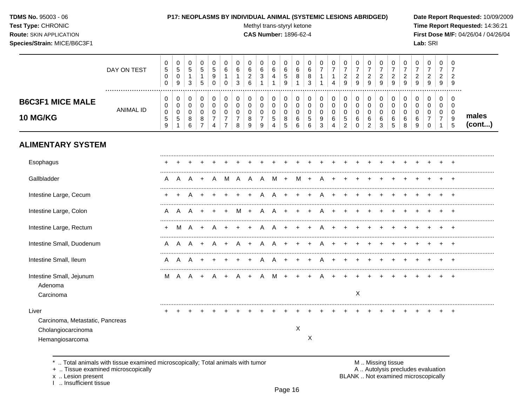TDMS No. 95003 - 06 Test Type: CHRONIC

**Route: SKIN APPLICATION** 

Species/Strain: MICE/B6C3F1

#### P17: NEOPLASMS BY INDIVIDUAL ANIMAL (SYSTEMIC LESIONS ABRIDGED)

Methyl trans-styryl ketone

**CAS Number: 1896-62-4** 

Date Report Requested: 10/09/2009 Time Report Requested: 14:36:21 First Dose M/F: 04/26/04 / 04/26/04 Lab: SRI

|                         | DAY ON TEST | 0<br>$\mathbf{p}$<br>0<br>$\mathbf{0}$ | U<br>≎<br>υ<br>9 | U<br>G<br>3 | υ<br>G<br>5 | U<br>G | 6 | 3 | 0<br>6<br>⌒<br>_<br>6 | U<br>6<br>◠<br>ັ | U<br>6 | ν<br>ь<br>ົບ<br>У | u<br>^<br>6<br>8 | υ<br>6<br>$\circ$<br>3 |              | 0<br>4      | ◡<br><sup>o</sup><br>_<br>9 | υ<br>◠<br><u>.</u><br>9 | U<br>c<br>9      | υ<br>◠<br><u>_</u><br>9 | <u>_</u><br>9             | y | 0<br>◠<br>9 | v<br>n<br>_<br>9 | U<br>ີ<br><u>.</u><br>9 | 0<br>9       |                 |
|-------------------------|-------------|----------------------------------------|------------------|-------------|-------------|--------|---|---|-----------------------|------------------|--------|-------------------|------------------|------------------------|--------------|-------------|-----------------------------|-------------------------|------------------|-------------------------|---------------------------|---|-------------|------------------|-------------------------|--------------|-----------------|
| <b>B6C3F1 MICE MALE</b> | ANIMAL ID   | $\mathbf{0}$<br>0<br>0                 | v<br>v           | u           |             |        |   |   | 0<br>0                | v<br>v           | u<br>u | υ<br>ν            |                  |                        |              | 0<br>0      | ◡                           |                         | ν<br>ν           |                         |                           |   | 0           | ◡<br>v           | U<br>υ                  | 0<br>U       |                 |
| <b>10 MG/KG</b>         |             | đ<br>9                                 | v<br>ູບ          | 8<br>C.     | 8<br>-      |        |   |   | υ<br>8<br>9           | v<br>9           | .5     | 8<br>∽            | 6<br>6           | <u>5</u><br>6          | ć<br>$\cdot$ | U<br>6<br>4 | v<br>G.<br>◠                | 6                       | ν<br>$\sim$<br>6 | 6                       | 6<br>$\ddot{\phantom{1}}$ |   | U<br>6<br>9 |                  |                         | -U<br>9<br>Ю | males<br>(cont) |

# **ALIMENTARY SYSTEM**

| Esophagus                                |           |   |   |     |   |     |   |     |     |   |       |  |   |  |  |  |   |
|------------------------------------------|-----------|---|---|-----|---|-----|---|-----|-----|---|-------|--|---|--|--|--|---|
| Gallbladder                              | A         |   | A | $+$ | A | MAA | A | M + | M + |   | - A + |  |   |  |  |  |   |
| Intestine Large, Cecum                   |           |   |   |     |   |     |   |     |     |   | A     |  |   |  |  |  |   |
| Intestine Large, Colon                   | A         |   |   |     |   |     | A | A   |     |   |       |  |   |  |  |  |   |
| Intestine Large, Rectum                  | $\ddot{}$ | м |   |     |   |     |   |     |     |   |       |  |   |  |  |  |   |
| Intestine Small, Duodenum                | A         | A |   |     | A |     |   |     |     |   |       |  |   |  |  |  |   |
| Intestine Small, Ileum                   | A         |   |   |     |   |     |   |     |     |   |       |  |   |  |  |  |   |
| Intestine Small, Jejunum<br>Adenoma      | M         | A | A |     |   |     |   |     |     |   |       |  |   |  |  |  |   |
| Carcinoma                                |           |   |   |     |   |     |   |     |     |   |       |  | Χ |  |  |  |   |
| Liver<br>Carcinoma, Metastatic, Pancreas |           |   |   |     |   |     |   |     |     |   |       |  |   |  |  |  | ٠ |
| Cholangiocarcinoma<br>Hemangiosarcoma    |           |   |   |     |   |     |   |     | X   | Χ |       |  |   |  |  |  |   |

\* .. Total animals with tissue examined microscopically; Total animals with tumor

+ .. Tissue examined microscopically

x .. Lesion present

1 .. Insufficient tissue

M .. Missing tissue<br>A .. Autolysis precludes evaluation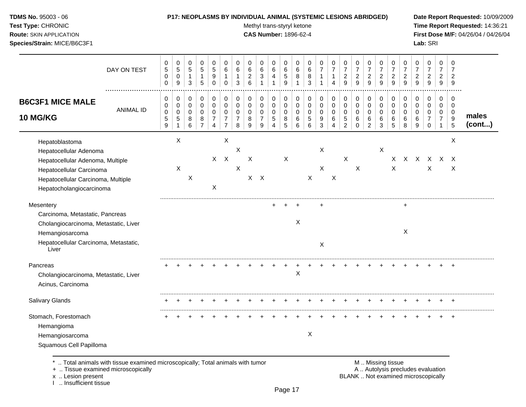Test Type: CHRONIC **Test Type:** CHRONIC **Test Type:** CHRONIC **Time Report Requested:** 14:36:21 **Route:** SKIN APPLICATION **CAS Number:** 1896-62-4 **First Dose M/F:** 04/26/04 / 04/26/04 **Species/Strain:** MICE/B6C3F1 **Lab:** SRI

|                                                                                            | DAY ON TEST             | 0<br>$\sqrt{5}$<br>$\pmb{0}$<br>$\mathsf 0$                      | 0<br>$\sqrt{5}$<br>$\mathsf{O}\xspace$<br>$9\,$ | 0<br>$\sqrt{5}$<br>$\mathbf{1}$<br>$\mathbf{3}$ | 0<br>$\sqrt{5}$<br>$\mathbf{1}$<br>$\overline{5}$      | 0<br>$\sqrt{5}$<br>$\boldsymbol{9}$<br>$\mathbf 0$        | 0<br>6<br>$\mathbf{1}$<br>$\mathbf 0$                                      | 0<br>6<br>$\mathbf{1}$<br>3  | 0<br>6<br>$\overline{c}$<br>$6\phantom{1}$ | 0<br>6<br>$\sqrt{3}$<br>$\mathbf{1}$ | 0<br>$\,6$<br>4<br>$\mathbf{1}$                                 | 0<br>$\,6\,$<br>$\sqrt{5}$<br>$\boldsymbol{9}$ | 0<br>6<br>8<br>$\mathbf{1}$   | 0<br>$\,6\,$<br>8<br>3                              | 0<br>$\overline{7}$<br>$\mathbf{1}$<br>$\mathbf{1}$ | 0<br>$\overline{7}$<br>-1<br>$\overline{\mathbf{4}}$       | 0<br>$\overline{7}$<br>$\overline{c}$<br>9                   | 0<br>$\overline{7}$<br>$\sqrt{2}$<br>$9\,$       | 0<br>$\overline{7}$<br>$\overline{a}$<br>$\overline{9}$ | 0<br>$\overline{7}$<br>$\sqrt{2}$<br>$\overline{9}$    | 0<br>$\overline{7}$<br>$\overline{c}$<br>9 | 0<br>$\overline{7}$<br>$\overline{c}$<br>9 | 0<br>$\overline{7}$<br>$\overline{2}$<br>9 | 0<br>$\overline{7}$<br>$\boldsymbol{2}$<br>$\boldsymbol{9}$ | 0<br>$\overline{7}$<br>$\overline{2}$<br>$9\,$ | 0<br>$\overline{7}$<br>$\overline{c}$<br>$\boldsymbol{9}$ |                 |
|--------------------------------------------------------------------------------------------|-------------------------|------------------------------------------------------------------|-------------------------------------------------|-------------------------------------------------|--------------------------------------------------------|-----------------------------------------------------------|----------------------------------------------------------------------------|------------------------------|--------------------------------------------|--------------------------------------|-----------------------------------------------------------------|------------------------------------------------|-------------------------------|-----------------------------------------------------|-----------------------------------------------------|------------------------------------------------------------|--------------------------------------------------------------|--------------------------------------------------|---------------------------------------------------------|--------------------------------------------------------|--------------------------------------------|--------------------------------------------|--------------------------------------------|-------------------------------------------------------------|------------------------------------------------|-----------------------------------------------------------|-----------------|
| <b>B6C3F1 MICE MALE</b><br><b>10 MG/KG</b>                                                 | <b>ANIMAL ID</b>        | 0<br>$\mathbf 0$<br>$\pmb{0}$<br>$\mathbf 5$<br>$\boldsymbol{9}$ | 0<br>$\pmb{0}$<br>$\pmb{0}$<br>$\,$ 5 $\,$<br>1 | 0<br>$\pmb{0}$<br>$\pmb{0}$<br>8<br>6           | 0<br>$\mathbf 0$<br>$\mathbf 0$<br>8<br>$\overline{7}$ | 0<br>$\mathbf 0$<br>0<br>$\overline{7}$<br>$\overline{4}$ | $\mathbf 0$<br>$\mathbf 0$<br>$\Omega$<br>$\overline{7}$<br>$\overline{7}$ | 0<br>0<br>$\Omega$<br>7<br>8 | 0<br>$\Omega$<br>$\Omega$<br>8<br>9        | 0<br>0<br>0<br>$\overline{7}$<br>9   | 0<br>$\mathbf 0$<br>$\mathbf 0$<br>$\sqrt{5}$<br>$\overline{4}$ | 0<br>$\mathbf 0$<br>$\mathbf 0$<br>8<br>5      | 0<br>$\pmb{0}$<br>0<br>6<br>6 | 0<br>$\mathbf 0$<br>$\mathbf 0$<br>$\mathbf 5$<br>6 | 0<br>0<br>0<br>9<br>3                               | 0<br>$\Omega$<br>$\Omega$<br>6<br>$\boldsymbol{\varDelta}$ | 0<br>$\pmb{0}$<br>$\pmb{0}$<br>$\mathbf 5$<br>$\overline{c}$ | 0<br>$\mathbf 0$<br>$\mathbf 0$<br>6<br>$\Omega$ | 0<br>0<br>$\mathbf 0$<br>6<br>$\overline{2}$            | 0<br>$\pmb{0}$<br>$\mathbf 0$<br>$\,6$<br>$\mathbf{3}$ | 0<br>$\pmb{0}$<br>$\mathbf 0$<br>6<br>5    | 0<br>$\mathbf 0$<br>0<br>6<br>8            | 0<br>$\Omega$<br>$\Omega$<br>6<br>9        | 0<br>0<br>$\pmb{0}$<br>$\overline{7}$<br>$\Omega$           | 0<br>0<br>0<br>$\overline{7}$<br>$\mathbf 1$   | 0<br>0<br>0<br>$\boldsymbol{9}$<br>$\sqrt{5}$             | males<br>(cont) |
| Hepatoblastoma<br>Hepatocellular Adenoma                                                   |                         |                                                                  | $\mathsf{X}$                                    |                                                 |                                                        |                                                           | $\boldsymbol{\mathsf{X}}$<br>$X$ $X$                                       | $\sf X$                      | X                                          |                                      |                                                                 | $\boldsymbol{\mathsf{X}}$                      |                               |                                                     | X                                                   |                                                            |                                                              |                                                  |                                                         | $\boldsymbol{\mathsf{X}}$                              |                                            |                                            | $X$ $X$                                    |                                                             |                                                | X                                                         |                 |
| Hepatocellular Adenoma, Multiple                                                           |                         |                                                                  | X                                               |                                                 |                                                        |                                                           |                                                                            | X                            |                                            |                                      |                                                                 |                                                |                               |                                                     | X                                                   |                                                            | $\mathsf X$                                                  | $\boldsymbol{\mathsf{X}}$                        |                                                         |                                                        | Χ<br>$\times$                              |                                            |                                            | $\mathsf{X}$<br>X                                           | $\mathsf{X}$                                   | X<br>X                                                    |                 |
| Hepatocellular Carcinoma<br>Hepatocellular Carcinoma, Multiple<br>Hepatocholangiocarcinoma |                         |                                                                  |                                                 | X                                               |                                                        | X                                                         |                                                                            |                              |                                            | $X$ $X$                              |                                                                 |                                                |                               | Χ                                                   |                                                     | X                                                          |                                                              |                                                  |                                                         |                                                        |                                            |                                            |                                            |                                                             |                                                |                                                           |                 |
| Mesentery                                                                                  |                         |                                                                  |                                                 |                                                 |                                                        |                                                           |                                                                            |                              |                                            |                                      |                                                                 |                                                |                               |                                                     | ÷                                                   |                                                            |                                                              |                                                  |                                                         |                                                        |                                            | ÷                                          |                                            |                                                             |                                                |                                                           |                 |
| Carcinoma, Metastatic, Pancreas                                                            |                         |                                                                  |                                                 |                                                 |                                                        |                                                           |                                                                            |                              |                                            |                                      |                                                                 |                                                |                               |                                                     |                                                     |                                                            |                                                              |                                                  |                                                         |                                                        |                                            |                                            |                                            |                                                             |                                                |                                                           |                 |
| Cholangiocarcinoma, Metastatic, Liver                                                      |                         |                                                                  |                                                 |                                                 |                                                        |                                                           |                                                                            |                              |                                            |                                      |                                                                 |                                                | X                             |                                                     |                                                     |                                                            |                                                              |                                                  |                                                         |                                                        |                                            |                                            |                                            |                                                             |                                                |                                                           |                 |
| Hemangiosarcoma                                                                            |                         |                                                                  |                                                 |                                                 |                                                        |                                                           |                                                                            |                              |                                            |                                      |                                                                 |                                                |                               |                                                     |                                                     |                                                            |                                                              |                                                  |                                                         |                                                        |                                            | $\mathsf X$                                |                                            |                                                             |                                                |                                                           |                 |
| Hepatocellular Carcinoma, Metastatic,<br>Liver                                             |                         |                                                                  |                                                 |                                                 |                                                        |                                                           |                                                                            |                              |                                            |                                      |                                                                 |                                                |                               |                                                     | X                                                   |                                                            |                                                              |                                                  |                                                         |                                                        |                                            |                                            |                                            |                                                             |                                                |                                                           |                 |
| Pancreas                                                                                   |                         |                                                                  |                                                 |                                                 |                                                        |                                                           |                                                                            |                              |                                            |                                      |                                                                 |                                                |                               |                                                     |                                                     |                                                            |                                                              |                                                  |                                                         |                                                        |                                            |                                            |                                            |                                                             |                                                | $\ddot{}$                                                 |                 |
| Cholangiocarcinoma, Metastatic, Liver                                                      |                         |                                                                  |                                                 |                                                 |                                                        |                                                           |                                                                            |                              |                                            |                                      |                                                                 |                                                | Χ                             |                                                     |                                                     |                                                            |                                                              |                                                  |                                                         |                                                        |                                            |                                            |                                            |                                                             |                                                |                                                           |                 |
| Acinus, Carcinoma                                                                          |                         |                                                                  |                                                 |                                                 |                                                        |                                                           |                                                                            |                              |                                            |                                      |                                                                 |                                                |                               |                                                     |                                                     |                                                            |                                                              |                                                  |                                                         |                                                        |                                            |                                            |                                            |                                                             |                                                |                                                           |                 |
| Salivary Glands                                                                            |                         |                                                                  |                                                 |                                                 |                                                        |                                                           |                                                                            |                              |                                            |                                      |                                                                 |                                                |                               |                                                     |                                                     |                                                            |                                                              |                                                  |                                                         |                                                        |                                            |                                            |                                            |                                                             |                                                |                                                           |                 |
| Stomach, Forestomach                                                                       |                         |                                                                  |                                                 |                                                 |                                                        |                                                           |                                                                            |                              |                                            |                                      |                                                                 |                                                |                               |                                                     |                                                     |                                                            |                                                              |                                                  |                                                         |                                                        |                                            |                                            |                                            |                                                             |                                                | $\overline{ }$                                            |                 |
| Hemangioma                                                                                 |                         |                                                                  |                                                 |                                                 |                                                        |                                                           |                                                                            |                              |                                            |                                      |                                                                 |                                                |                               |                                                     |                                                     |                                                            |                                                              |                                                  |                                                         |                                                        |                                            |                                            |                                            |                                                             |                                                |                                                           |                 |
| Hemangiosarcoma                                                                            |                         |                                                                  |                                                 |                                                 |                                                        |                                                           |                                                                            |                              |                                            |                                      |                                                                 |                                                |                               | X                                                   |                                                     |                                                            |                                                              |                                                  |                                                         |                                                        |                                            |                                            |                                            |                                                             |                                                |                                                           |                 |
|                                                                                            | Squamous Cell Papilloma |                                                                  |                                                 |                                                 |                                                        |                                                           |                                                                            |                              |                                            |                                      |                                                                 |                                                |                               |                                                     |                                                     |                                                            |                                                              |                                                  |                                                         |                                                        |                                            |                                            |                                            |                                                             |                                                |                                                           |                 |

x .. Lesion present<br>I .. Insufficient tissue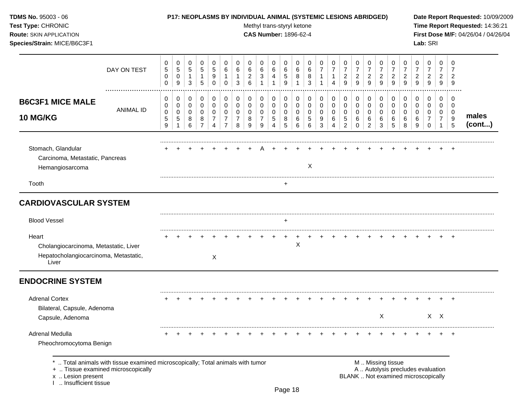Test Type: CHRONIC **Test Type:** CHRONIC **Test Type:** CHRONIC **Time Report Requested:** 14:36:21 **Route:** SKIN APPLICATION **CAS Number:** 1896-62-4 **First Dose M/F:** 04/26/04 / 04/26/04 **Species/Strain:** MICE/B6C3F1 **Lab:** SRI

|                                                                                                  | DAY ON TEST                                                                  | 0<br>$\sqrt{5}$<br>$\pmb{0}$<br>$\mathbf 0$ | $\mathbf 0$<br>$\overline{5}$<br>$\mathbf 0$<br>9   | $\mathbf 0$<br>$\sqrt{5}$<br>$\mathbf{1}$<br>$\mathbf{3}$ | 0<br>5<br>1<br>5                   | 0<br>5<br>9<br>$\mathbf 0$                   | 0<br>6<br>$\mathbf{1}$<br>$\mathbf 0$                               | 0<br>6<br>1<br>3                             | 0<br>$\,6\,$<br>$\boldsymbol{2}$<br>$6\phantom{a}$ | 0<br>$\,6\,$<br>$\ensuremath{\mathsf{3}}$<br>$\mathbf{1}$ | 0<br>$\,6$<br>4<br>$\mathbf{1}$          | $\mathbf 0$<br>6<br>$\mathbf 5$<br>$\boldsymbol{9}$ | $\mathbf 0$<br>6<br>8<br>$\mathbf{1}$ | 0<br>6<br>8<br>3      | 0<br>$\overline{7}$<br>1        | $\mathbf 0$<br>$\overline{7}$<br>1<br>4       | 0<br>$\overline{\mathbf{7}}$<br>$\overline{c}$<br>9                | 0<br>$\boldsymbol{7}$<br>$\overline{a}$<br>$\overline{9}$ | $\pmb{0}$<br>$\boldsymbol{7}$<br>$\boldsymbol{2}$<br>$\mathsf g$ | 0<br>$\overline{7}$<br>$\overline{c}$<br>$\boldsymbol{9}$ | 0<br>$\boldsymbol{7}$<br>$\overline{2}$<br>9 | $\mathbf 0$<br>$\overline{7}$<br>$\sqrt{2}$<br>9 | 0<br>$\overline{7}$<br>$\overline{c}$<br>9 | 0<br>$\boldsymbol{7}$<br>$\overline{a}$<br>9 | $\mathbf 0$<br>$\overline{7}$<br>$\overline{2}$<br>9              | $\mathbf 0$<br>$\overline{7}$<br>$\overline{2}$<br>$9\,$ |                 |
|--------------------------------------------------------------------------------------------------|------------------------------------------------------------------------------|---------------------------------------------|-----------------------------------------------------|-----------------------------------------------------------|------------------------------------|----------------------------------------------|---------------------------------------------------------------------|----------------------------------------------|----------------------------------------------------|-----------------------------------------------------------|------------------------------------------|-----------------------------------------------------|---------------------------------------|-----------------------|---------------------------------|-----------------------------------------------|--------------------------------------------------------------------|-----------------------------------------------------------|------------------------------------------------------------------|-----------------------------------------------------------|----------------------------------------------|--------------------------------------------------|--------------------------------------------|----------------------------------------------|-------------------------------------------------------------------|----------------------------------------------------------|-----------------|
| <b>B6C3F1 MICE MALE</b><br><b>10 MG/KG</b>                                                       | <b>ANIMAL ID</b>                                                             | 0<br>0<br>$\pmb{0}$<br>$\sqrt{5}$<br>9      | 0<br>0<br>$\mathbf 0$<br>$\sqrt{5}$<br>$\mathbf{1}$ | $\mathbf 0$<br>$\mathbf 0$<br>0<br>8<br>6                 | 0<br>0<br>0<br>8<br>$\overline{7}$ | 0<br>0<br>$\mathbf 0$<br>$\overline{7}$<br>4 | 0<br>$\mathbf 0$<br>$\mathbf 0$<br>$\overline{7}$<br>$\overline{7}$ | 0<br>0<br>$\mathbf 0$<br>$\overline{7}$<br>8 | 0<br>0<br>0<br>8<br>9                              | 0<br>0<br>$\mathbf 0$<br>$\overline{7}$<br>9              | 0<br>$\mathbf 0$<br>0<br>$\sqrt{5}$<br>4 | 0<br>0<br>0<br>8<br>5                               | 0<br>0<br>0<br>6<br>6                 | 0<br>0<br>0<br>5<br>6 | 0<br>0<br>$\mathbf 0$<br>9<br>3 | 0<br>$\mathsf{O}\xspace$<br>0<br>$\,6\,$<br>4 | 0<br>$\pmb{0}$<br>$\boldsymbol{0}$<br>$\sqrt{5}$<br>$\overline{2}$ | 0<br>$\mathbf 0$<br>0<br>6<br>$\mathbf 0$                 | 0<br>$\pmb{0}$<br>0<br>6<br>$\overline{c}$                       | $\pmb{0}$<br>0<br>$\mathbf 0$<br>6<br>3                   | 0<br>0<br>$\mathbf 0$<br>6<br>5              | 0<br>$\mathbf 0$<br>$\mathbf 0$<br>6<br>8        | 0<br>$\mathbf 0$<br>$\mathbf 0$<br>6<br>9  | 0<br>0<br>0<br>$\overline{7}$<br>$\mathbf 0$ | $\mathbf 0$<br>$\mathbf 0$<br>0<br>$\overline{7}$<br>$\mathbf{1}$ | $\mathbf 0$<br>$\mathbf 0$<br>0<br>$9\,$<br>5            | males<br>(cont) |
| Stomach, Glandular<br>Carcinoma, Metastatic, Pancreas<br>Hemangiosarcoma                         |                                                                              |                                             |                                                     |                                                           |                                    |                                              |                                                                     |                                              |                                                    |                                                           |                                          |                                                     |                                       | X                     |                                 |                                               |                                                                    |                                                           |                                                                  |                                                           |                                              |                                                  |                                            |                                              |                                                                   |                                                          |                 |
| Tooth                                                                                            |                                                                              |                                             |                                                     |                                                           |                                    |                                              |                                                                     |                                              |                                                    |                                                           |                                          | $\div$                                              |                                       |                       |                                 |                                               |                                                                    |                                                           |                                                                  |                                                           |                                              |                                                  |                                            |                                              |                                                                   |                                                          |                 |
| <b>CARDIOVASCULAR SYSTEM</b><br><b>Blood Vessel</b>                                              |                                                                              |                                             |                                                     |                                                           |                                    |                                              |                                                                     |                                              |                                                    |                                                           |                                          |                                                     |                                       |                       |                                 |                                               |                                                                    |                                                           |                                                                  |                                                           |                                              |                                                  |                                            |                                              |                                                                   |                                                          |                 |
| Heart<br>Cholangiocarcinoma, Metastatic, Liver<br>Hepatocholangiocarcinoma, Metastatic,<br>Liver |                                                                              |                                             |                                                     |                                                           |                                    | $\boldsymbol{\mathsf{X}}$                    |                                                                     |                                              |                                                    |                                                           |                                          |                                                     | X                                     |                       |                                 |                                               |                                                                    |                                                           |                                                                  |                                                           |                                              |                                                  |                                            |                                              |                                                                   | $\overline{ }$                                           |                 |
| <b>ENDOCRINE SYSTEM</b>                                                                          |                                                                              |                                             |                                                     |                                                           |                                    |                                              |                                                                     |                                              |                                                    |                                                           |                                          |                                                     |                                       |                       |                                 |                                               |                                                                    |                                                           |                                                                  |                                                           |                                              |                                                  |                                            |                                              |                                                                   |                                                          |                 |
| <b>Adrenal Cortex</b><br>Bilateral, Capsule, Adenoma<br>Capsule, Adenoma                         |                                                                              |                                             |                                                     |                                                           |                                    |                                              |                                                                     |                                              |                                                    |                                                           |                                          |                                                     |                                       |                       |                                 |                                               |                                                                    |                                                           |                                                                  | $\boldsymbol{\mathsf{X}}$                                 |                                              |                                                  |                                            |                                              | $X$ $X$                                                           |                                                          |                 |
| Adrenal Medulla<br>Pheochromocytoma Benign                                                       |                                                                              |                                             |                                                     |                                                           |                                    |                                              |                                                                     |                                              |                                                    |                                                           |                                          |                                                     |                                       |                       |                                 |                                               |                                                                    |                                                           |                                                                  |                                                           |                                              |                                                  |                                            |                                              |                                                                   |                                                          |                 |
| +  Tissue examined microscopically<br>x  Lesion present                                          | Total animals with tissue examined microscopically; Total animals with tumor |                                             |                                                     |                                                           |                                    |                                              |                                                                     |                                              |                                                    |                                                           |                                          |                                                     |                                       |                       |                                 |                                               |                                                                    |                                                           |                                                                  | M  Missing tissue<br>BLANK  Not examined microscopically  |                                              | A  Autolysis precludes evaluation                |                                            |                                              |                                                                   |                                                          |                 |

I .. Lookin probotive<br>I .. Insufficient tissue

Page 18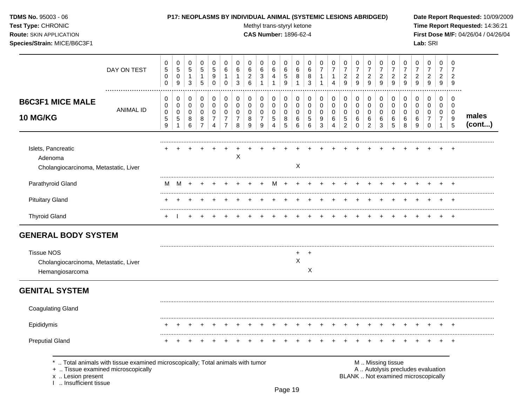Test Type: CHRONIC **Test Type:** CHRONIC **Test Type:** CHRONIC **Time Report Requested:** 14:36:21 **Route:** SKIN APPLICATION **CAS Number:** 1896-62-4 **First Dose M/F:** 04/26/04 / 04/26/04

| DAY ON TEST<br><br><b>ANIMAL ID</b><br>Cholangiocarcinoma, Metastatic, Liver | 0<br>$\sqrt{5}$<br>$\pmb{0}$<br>0<br>0<br>0<br>$\pmb{0}$<br>$\sqrt{5}$<br>$\boldsymbol{9}$<br>м | $\boldsymbol{0}$<br>5<br>$\pmb{0}$<br>$\boldsymbol{9}$<br>0<br>$\pmb{0}$<br>$\mathsf 0$<br>$\sqrt{5}$<br>$\mathbf{1}$ | $\pmb{0}$<br>$\overline{5}$<br>$\mathbf{1}$<br>$\sqrt{3}$<br>0<br>$\mathbf 0$<br>0<br>8<br>$\,6\,$ | 0<br>$\,$ 5 $\,$<br>$\mathbf{1}$<br>$\sqrt{5}$<br>0<br>$\mathbf 0$<br>$\mathbf 0$<br>8<br>$\overline{7}$ | $\mathbf 0$<br>$\sqrt{5}$<br>$9\,$<br>$\pmb{0}$<br>$\mathbf 0$<br>$\mathbf 0$<br>$\mathbf 0$<br>$\overline{7}$<br>4 | 0<br>$\,6\,$<br>$\mathbf{1}$<br>$\mathbf 0$<br>0<br>$\mathsf{O}\xspace$<br>0<br>$\overline{7}$<br>$\overline{7}$ | $\mathbf 0$<br>6<br>$\mathbf{1}$<br>$\mathbf{3}$<br>0<br>$\mathbf 0$<br>0<br>$\overline{7}$<br>8 | $\mathbf 0$<br>$\,6\,$<br>$\boldsymbol{2}$<br>$\,6\,$<br>0<br>$\mathbf 0$<br>$\mathbf 0$<br>8<br>9 | $\mathbf 0$<br>6<br>$\ensuremath{\mathsf{3}}$<br>$\mathbf{1}$<br>0<br>$\mathbf 0$<br>$\mathbf 0$<br>$\overline{7}$<br>9 | 0<br>6<br>$\overline{4}$<br>$\mathbf{1}$<br>0<br>$\pmb{0}$<br>0<br>$\,$ 5 $\,$<br>4 | $\mathbf 0$<br>$\,6\,$<br>$\sqrt{5}$<br>9<br>0<br>$\mathbf 0$<br>$\pmb{0}$<br>8 | 0<br>$\,6\,$<br>$\bf8$<br>-1<br>0<br>$\mathbf 0$<br>$\mathbf 0$<br>6 | 0<br>$\,6\,$<br>$\bf 8$<br>$\sqrt{3}$<br>0<br>$\mathbf 0$<br>$\mathbf 0$<br>$5\phantom{.0}$ | $\pmb{0}$<br>$\overline{7}$<br>$\mathbf{1}$<br>1<br>0<br>$\mathbf 0$<br>$\mathbf 0$ | 0<br>$\overline{7}$<br>$\mathbf{1}$<br>4<br>0<br>$\mathsf 0$<br>$\mathbf 0$ | 0<br>$\overline{7}$<br>$\overline{c}$<br>9<br>0<br>$\mathbf 0$<br>0 | $\pmb{0}$<br>$\overline{7}$<br>$\overline{\mathbf{c}}$<br>$\boldsymbol{9}$<br>0<br>$\pmb{0}$<br>$\pmb{0}$ | $\pmb{0}$<br>$\boldsymbol{7}$<br>$\overline{c}$<br>$\overline{9}$<br>0<br>$\pmb{0}$<br>0 | $\,0\,$<br>$\overline{7}$<br>$\boldsymbol{2}$<br>9<br>0<br>$\mathbf 0$<br>$\mathbf 0$ | 0<br>$\overline{7}$<br>$\overline{a}$<br>$\mathsf g$<br>0<br>$\mathbf 0$<br>0 | 0<br>$\overline{7}$<br>$\overline{c}$<br>9<br>0<br>$\pmb{0}$<br>0 | $\mathbf 0$<br>$\overline{7}$<br>$\overline{\mathbf{c}}$<br>9<br>$\mathbf 0$<br>$\mathbf 0$<br>$\mathbf 0$ | 0<br>$\overline{7}$<br>$\overline{c}$<br>$\boldsymbol{9}$<br>0<br>$\mathbf 0$<br>$\mathbf 0$ | $\mathbf 0$<br>$\overline{7}$<br>$\overline{2}$<br>9<br>0<br>0<br>0 | $\mathbf 0$<br>$\overline{7}$<br>$\overline{2}$<br>9<br>$\mathbf 0$<br>$\mathbf 0$<br>0 |                 |
|------------------------------------------------------------------------------|-------------------------------------------------------------------------------------------------|-----------------------------------------------------------------------------------------------------------------------|----------------------------------------------------------------------------------------------------|----------------------------------------------------------------------------------------------------------|---------------------------------------------------------------------------------------------------------------------|------------------------------------------------------------------------------------------------------------------|--------------------------------------------------------------------------------------------------|----------------------------------------------------------------------------------------------------|-------------------------------------------------------------------------------------------------------------------------|-------------------------------------------------------------------------------------|---------------------------------------------------------------------------------|----------------------------------------------------------------------|---------------------------------------------------------------------------------------------|-------------------------------------------------------------------------------------|-----------------------------------------------------------------------------|---------------------------------------------------------------------|-----------------------------------------------------------------------------------------------------------|------------------------------------------------------------------------------------------|---------------------------------------------------------------------------------------|-------------------------------------------------------------------------------|-------------------------------------------------------------------|------------------------------------------------------------------------------------------------------------|----------------------------------------------------------------------------------------------|---------------------------------------------------------------------|-----------------------------------------------------------------------------------------|-----------------|
|                                                                              |                                                                                                 |                                                                                                                       |                                                                                                    |                                                                                                          |                                                                                                                     |                                                                                                                  |                                                                                                  |                                                                                                    |                                                                                                                         |                                                                                     |                                                                                 |                                                                      |                                                                                             |                                                                                     |                                                                             |                                                                     |                                                                                                           |                                                                                          |                                                                                       |                                                                               |                                                                   |                                                                                                            |                                                                                              |                                                                     |                                                                                         |                 |
|                                                                              |                                                                                                 |                                                                                                                       |                                                                                                    |                                                                                                          |                                                                                                                     |                                                                                                                  |                                                                                                  |                                                                                                    |                                                                                                                         |                                                                                     | 5                                                                               | 6                                                                    | $\,6\,$                                                                                     | $\boldsymbol{9}$<br>3                                                               | 6<br>4                                                                      | $\,$ 5 $\,$<br>$\overline{c}$                                       | $\,6$<br>$\mathbf 0$                                                                                      | 6<br>$\boldsymbol{2}$                                                                    | $\,6$<br>3                                                                            | 6<br>5                                                                        | 6<br>8                                                            | 6<br>9                                                                                                     | $\boldsymbol{7}$<br>$\mathbf 0$                                                              | $\overline{7}$<br>$\mathbf{1}$                                      | $9\,$<br>5                                                                              | males<br>(cont) |
|                                                                              |                                                                                                 |                                                                                                                       |                                                                                                    |                                                                                                          |                                                                                                                     |                                                                                                                  | $\boldsymbol{\mathsf{X}}$                                                                        |                                                                                                    |                                                                                                                         |                                                                                     |                                                                                 | X                                                                    |                                                                                             |                                                                                     |                                                                             |                                                                     |                                                                                                           |                                                                                          |                                                                                       |                                                                               |                                                                   |                                                                                                            |                                                                                              |                                                                     |                                                                                         |                 |
|                                                                              |                                                                                                 |                                                                                                                       |                                                                                                    |                                                                                                          |                                                                                                                     |                                                                                                                  |                                                                                                  |                                                                                                    |                                                                                                                         |                                                                                     |                                                                                 |                                                                      |                                                                                             |                                                                                     |                                                                             |                                                                     |                                                                                                           |                                                                                          |                                                                                       |                                                                               |                                                                   |                                                                                                            |                                                                                              |                                                                     |                                                                                         |                 |
|                                                                              |                                                                                                 |                                                                                                                       |                                                                                                    |                                                                                                          |                                                                                                                     |                                                                                                                  |                                                                                                  |                                                                                                    |                                                                                                                         |                                                                                     |                                                                                 |                                                                      |                                                                                             |                                                                                     |                                                                             |                                                                     |                                                                                                           |                                                                                          |                                                                                       |                                                                               |                                                                   |                                                                                                            | $\ddot{}$                                                                                    | $\div$                                                              | $\overline{+}$                                                                          |                 |
|                                                                              | ÷                                                                                               |                                                                                                                       |                                                                                                    |                                                                                                          |                                                                                                                     |                                                                                                                  |                                                                                                  |                                                                                                    |                                                                                                                         |                                                                                     |                                                                                 |                                                                      |                                                                                             |                                                                                     |                                                                             |                                                                     |                                                                                                           |                                                                                          |                                                                                       |                                                                               |                                                                   |                                                                                                            |                                                                                              |                                                                     | $\overline{+}$                                                                          |                 |
|                                                                              |                                                                                                 |                                                                                                                       |                                                                                                    |                                                                                                          |                                                                                                                     |                                                                                                                  |                                                                                                  |                                                                                                    |                                                                                                                         |                                                                                     |                                                                                 | +<br>$\mathsf{X}$                                                    | $\ddot{}$<br>X                                                                              |                                                                                     |                                                                             |                                                                     |                                                                                                           |                                                                                          |                                                                                       |                                                                               |                                                                   |                                                                                                            |                                                                                              |                                                                     |                                                                                         |                 |
|                                                                              |                                                                                                 |                                                                                                                       |                                                                                                    |                                                                                                          |                                                                                                                     |                                                                                                                  |                                                                                                  |                                                                                                    |                                                                                                                         |                                                                                     |                                                                                 |                                                                      |                                                                                             |                                                                                     |                                                                             |                                                                     |                                                                                                           |                                                                                          |                                                                                       |                                                                               |                                                                   |                                                                                                            |                                                                                              |                                                                     |                                                                                         |                 |
|                                                                              |                                                                                                 |                                                                                                                       |                                                                                                    |                                                                                                          |                                                                                                                     |                                                                                                                  |                                                                                                  |                                                                                                    |                                                                                                                         |                                                                                     |                                                                                 |                                                                      |                                                                                             |                                                                                     |                                                                             |                                                                     |                                                                                                           |                                                                                          |                                                                                       |                                                                               |                                                                   |                                                                                                            |                                                                                              |                                                                     |                                                                                         |                 |
|                                                                              |                                                                                                 |                                                                                                                       |                                                                                                    |                                                                                                          |                                                                                                                     |                                                                                                                  |                                                                                                  |                                                                                                    |                                                                                                                         |                                                                                     |                                                                                 |                                                                      |                                                                                             |                                                                                     |                                                                             |                                                                     |                                                                                                           |                                                                                          |                                                                                       |                                                                               |                                                                   |                                                                                                            |                                                                                              |                                                                     | $\overline{ }$                                                                          |                 |
|                                                                              |                                                                                                 |                                                                                                                       |                                                                                                    |                                                                                                          |                                                                                                                     |                                                                                                                  |                                                                                                  |                                                                                                    |                                                                                                                         |                                                                                     |                                                                                 |                                                                      |                                                                                             |                                                                                     |                                                                             |                                                                     |                                                                                                           |                                                                                          |                                                                                       |                                                                               |                                                                   |                                                                                                            |                                                                                              |                                                                     |                                                                                         |                 |
|                                                                              | Cholangiocarcinoma, Metastatic, Liver                                                           |                                                                                                                       |                                                                                                    |                                                                                                          |                                                                                                                     |                                                                                                                  |                                                                                                  |                                                                                                    |                                                                                                                         |                                                                                     |                                                                                 |                                                                      |                                                                                             |                                                                                     |                                                                             |                                                                     |                                                                                                           |                                                                                          |                                                                                       |                                                                               |                                                                   |                                                                                                            |                                                                                              |                                                                     |                                                                                         |                 |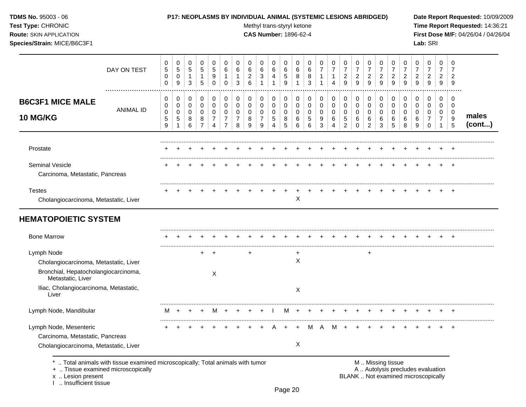I .. Insufficient tissue

## **TDMS No.** 95003 - 06 **P17: NEOPLASMS BY INDIVIDUAL ANIMAL (SYSTEMIC LESIONS ABRIDGED) Date Report Requested:** 10/09/2009

Test Type: CHRONIC **Test Type:** CHRONIC **Test Type:** CHRONIC **Time Report Requested:** 14:36:21 **Route:** SKIN APPLICATION **CAS Number:** 1896-62-4 **First Dose M/F:** 04/26/04 / 04/26/04

| DAY ON TEST                                                                   | 0<br>5<br>$\mathbf 0$<br>$\mathbf 0$      | 0<br>$\overline{5}$<br>0<br>$\boldsymbol{9}$ | 0<br>$\sqrt{5}$<br>$\mathbf{1}$<br>$\sqrt{3}$ | 0<br>5<br>$\mathbf{1}$<br>5                  | 0<br>5<br>9<br>$\mathbf 0$                                     | 0<br>6<br>$\mathbf{1}$<br>$\pmb{0}$                               | $\mathbf 0$<br>6<br>$\mathbf{1}$<br>$\mathbf{3}$ | $\mathbf 0$<br>6<br>$\overline{a}$<br>$6\phantom{1}$ | 0<br>6<br>3<br>$\mathbf{1}$                     | 0<br>6<br>$\overline{4}$<br>1                                    | 0<br>6<br>$\,$ 5 $\,$<br>9                          | 0<br>6<br>8<br>1                        | 0<br>6<br>8<br>3                             | $\mathbf 0$<br>$\overline{7}$<br>$\mathbf{1}$<br>$\mathbf{1}$ | 0<br>$\overline{7}$<br>$\mathbf{1}$<br>4               | 0<br>$\overline{7}$<br>$\overline{c}$<br>9 | 0<br>$\overline{7}$<br>$\overline{a}$<br>$\boldsymbol{9}$ | 0<br>$\overline{7}$<br>$\overline{c}$<br>$\mathsf g$ | 0<br>$\overline{7}$<br>$\overline{2}$<br>$\overline{9}$ | 0<br>$\overline{7}$<br>$\overline{c}$<br>9 | 0<br>$\overline{7}$<br>$\overline{2}$<br>9 | 0<br>$\overline{7}$<br>$\overline{2}$<br>9 | 0<br>$\overline{7}$<br>$\overline{c}$<br>$\mathsf g$ | 0<br>$\overline{7}$<br>$\overline{a}$<br>9              | $\mathbf 0$<br>$\overline{7}$<br>$\overline{2}$<br>9 |                 |
|-------------------------------------------------------------------------------|-------------------------------------------|----------------------------------------------|-----------------------------------------------|----------------------------------------------|----------------------------------------------------------------|-------------------------------------------------------------------|--------------------------------------------------|------------------------------------------------------|-------------------------------------------------|------------------------------------------------------------------|-----------------------------------------------------|-----------------------------------------|----------------------------------------------|---------------------------------------------------------------|--------------------------------------------------------|--------------------------------------------|-----------------------------------------------------------|------------------------------------------------------|---------------------------------------------------------|--------------------------------------------|--------------------------------------------|--------------------------------------------|------------------------------------------------------|---------------------------------------------------------|------------------------------------------------------|-----------------|
| <b>ANIMAL ID</b>                                                              | 0<br>$\mathbf 0$<br>$\mathbf 0$<br>5<br>9 | 0<br>0<br>0<br>$\sqrt{5}$<br>$\mathbf{1}$    | 0<br>$\mathbf 0$<br>$\mathbf 0$<br>8          | 0<br>$\mathbf 0$<br>0<br>8<br>$\overline{7}$ | 0<br>$\Omega$<br>$\pmb{0}$<br>$\overline{7}$<br>$\overline{4}$ | 0<br>$\mathbf 0$<br>$\pmb{0}$<br>$\overline{7}$<br>$\overline{7}$ | 0<br>$\pmb{0}$<br>$\mathbf 0$<br>$\overline{7}$  | 0<br>$\mathbf 0$<br>$\mathbf 0$<br>8<br>9            | 0<br>$\pmb{0}$<br>$\mathbf 0$<br>$\overline{7}$ | $\mathbf 0$<br>$\mathbf 0$<br>$\mathbf 0$<br>5<br>$\overline{4}$ | $\mathbf 0$<br>$\mathbf 0$<br>$\mathbf 0$<br>8<br>5 | 0<br>$\mathbf 0$<br>$\pmb{0}$<br>6<br>6 | 0<br>$\mathbf 0$<br>$\pmb{0}$<br>$\mathbf 5$ | 0<br>$\mathbf 0$<br>$\mathbf 0$<br>$9\,$                      | 0<br>$\mathbf 0$<br>$\mathbf 0$<br>6<br>$\overline{4}$ | 0<br>$\mathbf 0$<br>0<br>5                 | 0<br>$\mathbf 0$<br>$\mathbf 0$<br>6<br>$\mathbf 0$       | 0<br>$\mathbf 0$<br>$\mathbf 0$<br>$\,6$             | 0<br>$\mathbf 0$<br>$\mathbf 0$<br>6                    | 0<br>$\mathbf 0$<br>$\pmb{0}$<br>6         | 0<br>$\mathbf 0$<br>0<br>6<br>8            | 0<br>$\Omega$<br>$\mathbf 0$<br>6<br>9     | 0<br>$\mathbf 0$<br>0<br>$\overline{7}$<br>$\Omega$  | 0<br>$\mathbf 0$<br>0<br>$\overline{7}$<br>$\mathbf{1}$ | 0<br>$\mathbf 0$<br>0<br>9<br>5                      | males<br>(cont) |
|                                                                               |                                           |                                              |                                               |                                              |                                                                |                                                                   |                                                  |                                                      |                                                 |                                                                  |                                                     |                                         |                                              |                                                               |                                                        |                                            |                                                           |                                                      |                                                         |                                            |                                            |                                            |                                                      |                                                         |                                                      |                 |
| Carcinoma, Metastatic, Pancreas                                               |                                           |                                              |                                               |                                              |                                                                |                                                                   |                                                  |                                                      |                                                 |                                                                  |                                                     |                                         |                                              |                                                               |                                                        |                                            |                                                           | $\ddot{}$                                            | $\pm$                                                   | $\ddot{}$                                  | $+$                                        |                                            | $\div$                                               | $\ddot{}$                                               | $+$                                                  |                 |
|                                                                               |                                           |                                              |                                               |                                              |                                                                |                                                                   |                                                  |                                                      |                                                 |                                                                  |                                                     | X                                       |                                              |                                                               |                                                        |                                            |                                                           |                                                      |                                                         |                                            |                                            |                                            |                                                      |                                                         |                                                      |                 |
| Cholangiocarcinoma, Metastatic, Liver                                         |                                           |                                              |                                               |                                              |                                                                |                                                                   |                                                  |                                                      |                                                 |                                                                  |                                                     |                                         |                                              |                                                               |                                                        |                                            |                                                           |                                                      |                                                         |                                            |                                            |                                            |                                                      |                                                         |                                                      |                 |
| <b>HEMATOPOIETIC SYSTEM</b>                                                   |                                           |                                              |                                               |                                              |                                                                |                                                                   |                                                  |                                                      |                                                 |                                                                  |                                                     |                                         |                                              |                                                               |                                                        |                                            |                                                           |                                                      |                                                         |                                            |                                            |                                            |                                                      |                                                         |                                                      |                 |
|                                                                               |                                           |                                              |                                               |                                              |                                                                |                                                                   |                                                  |                                                      |                                                 |                                                                  |                                                     |                                         |                                              |                                                               |                                                        |                                            |                                                           |                                                      |                                                         |                                            |                                            |                                            |                                                      |                                                         |                                                      |                 |
|                                                                               |                                           |                                              |                                               |                                              |                                                                |                                                                   |                                                  |                                                      |                                                 |                                                                  |                                                     | +                                       |                                              |                                                               |                                                        |                                            |                                                           | +                                                    |                                                         |                                            |                                            |                                            |                                                      |                                                         |                                                      |                 |
| Cholangiocarcinoma, Metastatic, Liver<br>Bronchial, Hepatocholangiocarcinoma, |                                           |                                              |                                               |                                              | X                                                              |                                                                   |                                                  |                                                      |                                                 |                                                                  |                                                     | X                                       |                                              |                                                               |                                                        |                                            |                                                           |                                                      |                                                         |                                            |                                            |                                            |                                                      |                                                         |                                                      |                 |
| Iliac, Cholangiocarcinoma, Metastatic,                                        |                                           |                                              |                                               |                                              |                                                                |                                                                   |                                                  |                                                      |                                                 |                                                                  |                                                     | X                                       |                                              |                                                               |                                                        |                                            |                                                           |                                                      |                                                         |                                            |                                            |                                            |                                                      |                                                         |                                                      |                 |
|                                                                               | м                                         | $\div$                                       |                                               |                                              | м                                                              | $\div$                                                            |                                                  |                                                      |                                                 |                                                                  | м                                                   | $\div$                                  | ÷                                            |                                                               |                                                        |                                            |                                                           |                                                      |                                                         |                                            |                                            |                                            |                                                      |                                                         | $\div$                                               |                 |
|                                                                               |                                           |                                              |                                               | 6                                            |                                                                |                                                                   |                                                  | 8                                                    |                                                 | 9                                                                |                                                     |                                         |                                              | 6                                                             | $\mathbf{3}$                                           |                                            | $\overline{2}$                                            |                                                      | $\overline{c}$                                          | $\mathbf{3}$                               | 5                                          |                                            |                                                      |                                                         |                                                      |                 |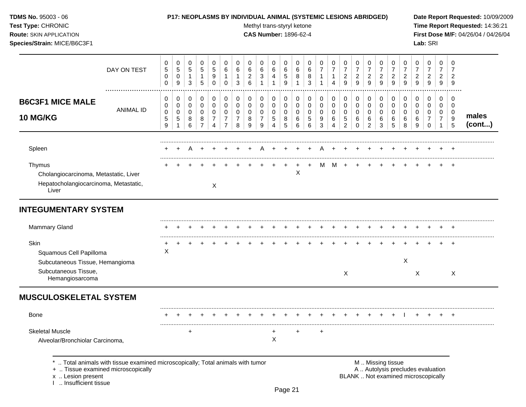Test Type: CHRONIC **Test Type:** CHRONIC **Test Type:** CHRONIC **Time Report Requested:** 14:36:21 **Route:** SKIN APPLICATION **CAS Number:** 1896-62-4 **First Dose M/F:** 04/26/04 / 04/26/04

| Species/Strain: MICE/B6C3F1                                                                       |                                                                                                                    |                                                   |                                                            |                                 |                                                   |                                                        |                                                                   |                                                      |                                                 |                                                               |                                                        |                                                        |                                           |                                                    |                                          |                                                       |                                                                  |                                                           |                                                    |                                                        |                                         |                                                                          |                                                             | Lab: SRI                                                             |                                                         |                                            |                 |
|---------------------------------------------------------------------------------------------------|--------------------------------------------------------------------------------------------------------------------|---------------------------------------------------|------------------------------------------------------------|---------------------------------|---------------------------------------------------|--------------------------------------------------------|-------------------------------------------------------------------|------------------------------------------------------|-------------------------------------------------|---------------------------------------------------------------|--------------------------------------------------------|--------------------------------------------------------|-------------------------------------------|----------------------------------------------------|------------------------------------------|-------------------------------------------------------|------------------------------------------------------------------|-----------------------------------------------------------|----------------------------------------------------|--------------------------------------------------------|-----------------------------------------|--------------------------------------------------------------------------|-------------------------------------------------------------|----------------------------------------------------------------------|---------------------------------------------------------|--------------------------------------------|-----------------|
|                                                                                                   | DAY ON TEST                                                                                                        | 0<br>$\,$ 5 $\,$<br>$\pmb{0}$<br>$\mathbf 0$      | $\pmb{0}$<br>$\sqrt{5}$<br>$\mathbf 0$<br>$\boldsymbol{9}$ | 0<br>5<br>$\mathbf{1}$<br>3     | 0<br>$\sqrt{5}$<br>$\mathbf{1}$<br>$\overline{5}$ | $\pmb{0}$<br>$\overline{5}$<br>9<br>$\mathbf 0$        | 0<br>$\,6\,$<br>$\mathbf{1}$<br>$\pmb{0}$                         | $\pmb{0}$<br>$\,6\,$<br>$\mathbf{1}$<br>$\mathbf{3}$ | $\mathbf 0$<br>$\,6\,$<br>$\sqrt{2}$<br>$\,6\,$ | $\mathbf 0$<br>6<br>$\ensuremath{\mathsf{3}}$<br>$\mathbf{1}$ | $\mathbf 0$<br>$\,6$<br>$\overline{4}$<br>$\mathbf{1}$ | $\pmb{0}$<br>$\,6\,$<br>$\sqrt{5}$<br>$\boldsymbol{9}$ | 0<br>$\,6\,$<br>$\,8\,$<br>$\overline{1}$ | $\mathbf 0$<br>$\,6\,$<br>$\bf8$<br>3              | 0<br>$\overline{7}$<br>$\mathbf{1}$<br>1 | 0<br>$\overline{7}$<br>$\mathbf{1}$<br>$\overline{4}$ | 0<br>$\overline{7}$<br>$\sqrt{2}$<br>9                           | 0<br>$\overline{7}$<br>$\overline{c}$<br>$\boldsymbol{9}$ | 0<br>$\overline{7}$<br>$\overline{c}$<br>9         | $\pmb{0}$<br>$\overline{7}$<br>$\sqrt{2}$<br>9         | 0<br>$\overline{7}$<br>$\sqrt{2}$<br>9  | 0<br>$\overline{7}$<br>$\overline{2}$<br>$\boldsymbol{9}$                | 0<br>$\overline{7}$<br>$\boldsymbol{2}$<br>$\boldsymbol{9}$ | 0<br>$\boldsymbol{7}$<br>$\overline{\mathbf{c}}$<br>$\boldsymbol{9}$ | 0<br>$\overline{7}$<br>$\overline{2}$<br>9              | 0<br>$\overline{7}$<br>$\overline{2}$<br>9 |                 |
| <b>B6C3F1 MICE MALE</b><br>10 MG/KG                                                               | <b>ANIMAL ID</b>                                                                                                   | 0<br>$\mathbf 0$<br>$\pmb{0}$<br>$\,$ 5 $\,$<br>9 | 0<br>$\mathbf 0$<br>$\mathbf 0$<br>5<br>1                  | 0<br>$\mathbf 0$<br>0<br>8<br>6 | 0<br>0<br>$\mathbf 0$<br>8<br>$\overline{7}$      | 0<br>$\mathbf 0$<br>$\mathbf 0$<br>$\overline{7}$<br>4 | 0<br>$\pmb{0}$<br>$\mathbf 0$<br>$\overline{7}$<br>$\overline{7}$ | 0<br>0<br>0<br>$\overline{7}$<br>8                   | 0<br>$\mathbf 0$<br>$\mathbf 0$<br>8<br>9       | 0<br>$\pmb{0}$<br>$\mathbf 0$<br>$\overline{7}$<br>9          | 0<br>$\pmb{0}$<br>$\pmb{0}$<br>5<br>4                  | 0<br>$\pmb{0}$<br>$\pmb{0}$<br>8<br>5                  | 0<br>$\mathbf 0$<br>$\mathbf 0$<br>6<br>6 | 0<br>$\mathbf 0$<br>$\mathbf 0$<br>$\sqrt{5}$<br>6 | 0<br>$\mathbf 0$<br>0<br>9<br>3          | 0<br>0<br>$\pmb{0}$<br>6<br>$\overline{4}$            | 0<br>$\mathbf 0$<br>$\mathbf 0$<br>$\,$ 5 $\,$<br>$\overline{c}$ | 0<br>$\pmb{0}$<br>$\mathbf 0$<br>6<br>$\mathbf 0$         | 0<br>0<br>$\mathbf 0$<br>$\,6\,$<br>$\overline{a}$ | 0<br>$\mathbf 0$<br>$\mathbf 0$<br>$\,6$<br>$\sqrt{3}$ | 0<br>$\pmb{0}$<br>$\mathbf 0$<br>6<br>5 | 0<br>$\mathbf 0$<br>0<br>6<br>8                                          | 0<br>$\pmb{0}$<br>0<br>6<br>9                               | 0<br>0<br>0<br>$\overline{7}$<br>0                                   | 0<br>$\mathbf 0$<br>0<br>$\overline{7}$<br>$\mathbf{1}$ | 0<br>$\mathbf 0$<br>0<br>9<br>5            | males<br>(cont) |
| Spleen                                                                                            |                                                                                                                    |                                                   |                                                            |                                 |                                                   |                                                        |                                                                   |                                                      |                                                 |                                                               |                                                        |                                                        |                                           |                                                    | A                                        | +                                                     |                                                                  | $\div$                                                    | $\ddot{}$                                          | $\ddot{}$                                              | $\pm$                                   |                                                                          | $\div$                                                      | $\pm$                                                                |                                                         | $\ddot{}$                                  |                 |
| Thymus<br>Cholangiocarcinoma, Metastatic, Liver<br>Hepatocholangiocarcinoma, Metastatic,<br>Liver |                                                                                                                    |                                                   |                                                            |                                 |                                                   | $\mathsf{X}$                                           |                                                                   |                                                      |                                                 |                                                               |                                                        |                                                        | $\ddot{}$<br>$\pmb{\times}$               |                                                    | м                                        | M                                                     |                                                                  |                                                           |                                                    |                                                        |                                         |                                                                          |                                                             |                                                                      |                                                         |                                            |                 |
| <b>INTEGUMENTARY SYSTEM</b>                                                                       |                                                                                                                    |                                                   |                                                            |                                 |                                                   |                                                        |                                                                   |                                                      |                                                 |                                                               |                                                        |                                                        |                                           |                                                    |                                          |                                                       |                                                                  |                                                           |                                                    |                                                        |                                         |                                                                          |                                                             |                                                                      |                                                         |                                            |                 |
| <b>Mammary Gland</b>                                                                              |                                                                                                                    |                                                   |                                                            |                                 |                                                   |                                                        |                                                                   |                                                      |                                                 |                                                               |                                                        |                                                        |                                           |                                                    |                                          |                                                       |                                                                  |                                                           |                                                    |                                                        |                                         |                                                                          |                                                             |                                                                      |                                                         | $\ddot{}$                                  |                 |
| <b>Skin</b><br>Squamous Cell Papilloma<br>Subcutaneous Tissue, Hemangioma                         |                                                                                                                    | X                                                 |                                                            |                                 |                                                   |                                                        |                                                                   |                                                      |                                                 |                                                               |                                                        |                                                        |                                           |                                                    |                                          |                                                       |                                                                  |                                                           |                                                    |                                                        |                                         | $\boldsymbol{\mathsf{X}}$                                                |                                                             |                                                                      |                                                         | $\ddot{}$                                  |                 |
| Subcutaneous Tissue,<br>Hemangiosarcoma                                                           |                                                                                                                    |                                                   |                                                            |                                 |                                                   |                                                        |                                                                   |                                                      |                                                 |                                                               |                                                        |                                                        |                                           |                                                    |                                          |                                                       | X                                                                |                                                           |                                                    |                                                        |                                         |                                                                          | X                                                           |                                                                      |                                                         | X                                          |                 |
| <b>MUSCULOSKELETAL SYSTEM</b>                                                                     |                                                                                                                    |                                                   |                                                            |                                 |                                                   |                                                        |                                                                   |                                                      |                                                 |                                                               |                                                        |                                                        |                                           |                                                    |                                          |                                                       |                                                                  |                                                           |                                                    |                                                        |                                         |                                                                          |                                                             |                                                                      |                                                         |                                            |                 |
| Bone                                                                                              |                                                                                                                    |                                                   |                                                            |                                 |                                                   |                                                        |                                                                   |                                                      |                                                 |                                                               |                                                        |                                                        |                                           |                                                    |                                          |                                                       |                                                                  |                                                           |                                                    |                                                        |                                         |                                                                          |                                                             |                                                                      |                                                         |                                            |                 |
| <b>Skeletal Muscle</b><br>Alveolar/Bronchiolar Carcinoma,                                         |                                                                                                                    |                                                   |                                                            | $\ddot{}$                       |                                                   |                                                        |                                                                   |                                                      |                                                 |                                                               | +<br>X                                                 |                                                        | +                                         |                                                    | $\ddot{}$                                |                                                       |                                                                  |                                                           |                                                    |                                                        |                                         |                                                                          |                                                             |                                                                      |                                                         |                                            |                 |
| x  Lesion present<br>1  Insufficient tissue                                                       | Total animals with tissue examined microscopically; Total animals with tumor<br>+  Tissue examined microscopically |                                                   |                                                            |                                 |                                                   |                                                        |                                                                   |                                                      |                                                 |                                                               |                                                        |                                                        |                                           |                                                    |                                          |                                                       |                                                                  |                                                           | M  Missing tissue                                  |                                                        |                                         | A  Autolysis precludes evaluation<br>BLANK  Not examined microscopically |                                                             |                                                                      |                                                         |                                            |                 |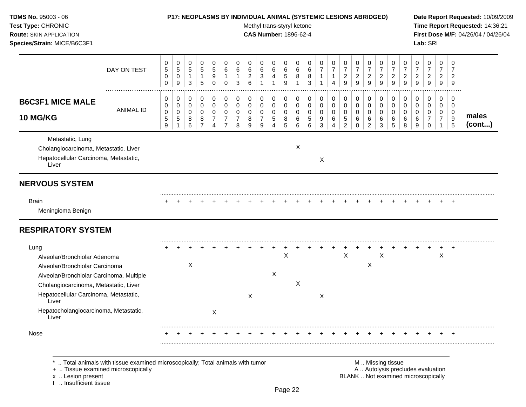I .. Insufficient tissue

## **TDMS No.** 95003 - 06 **P17: NEOPLASMS BY INDIVIDUAL ANIMAL (SYSTEMIC LESIONS ABRIDGED) Date Report Requested:** 10/09/2009

Test Type: CHRONIC **Test Type:** CHRONIC **Test Type:** CHRONIC **Time Report Requested:** 14:36:21 **Route:** SKIN APPLICATION **CAS Number:** 1896-62-4 **First Dose M/F:** 04/26/04 / 04/26/04 **Species/Strain:** MICE/B6C3F1 **Lab:** SRI

|                                                                                                                                                             | DAY ON TEST                                                                                                        | 0<br>5<br>0<br>$\mathbf 0$    | $\,0\,$<br>$\sqrt{5}$<br>$\pmb{0}$<br>$\boldsymbol{9}$ | $\pmb{0}$<br>$\sqrt{5}$<br>$\mathbf{1}$<br>$\mathbf{3}$ | 0<br>5<br>$\mathbf{1}$<br>$\overline{5}$     | 0<br>$\sqrt{5}$<br>9<br>$\pmb{0}$                    | 0<br>6<br>1<br>$\mathbf 0$                   | 0<br>6<br>$\mathbf{1}$<br>3     | $\mathbf 0$<br>$\,6$<br>$\sqrt{2}$<br>$6\phantom{1}6$ | 0<br>$6\phantom{1}6$<br>$\ensuremath{\mathsf{3}}$<br>$\mathbf{1}$ | 0<br>$\,6\,$<br>$\overline{4}$<br>$\mathbf{1}$      | 0<br>$\,6$<br>$\mathbf 5$<br>9            | 0<br>6<br>8<br>1      | 0<br>6<br>8<br>3                                    | 0<br>$\overline{7}$<br>$\mathbf{1}$<br>$\mathbf{1}$ | 0<br>$\overline{7}$<br>1<br>4                          | 0<br>$\overline{7}$<br>$\overline{c}$<br>9   | 0<br>$\boldsymbol{7}$<br>$\overline{a}$<br>9              | 0<br>$\overline{7}$<br>$\overline{c}$<br>9             | 0<br>$\overline{7}$<br>$\overline{c}$<br>9 | 0<br>$\overline{7}$<br>$\overline{c}$<br>$\boldsymbol{9}$ | 0<br>$\overline{7}$<br>$\overline{c}$<br>$\boldsymbol{9}$ | 0<br>$\overline{7}$<br>$\overline{c}$<br>9                               | 0<br>$\overline{7}$<br>$\overline{c}$<br>$\boldsymbol{9}$ | $\mathbf 0$<br>$\overline{7}$<br>$\overline{a}$<br>9              | 0<br>$\overline{7}$<br>$\overline{c}$<br>9               |                 |
|-------------------------------------------------------------------------------------------------------------------------------------------------------------|--------------------------------------------------------------------------------------------------------------------|-------------------------------|--------------------------------------------------------|---------------------------------------------------------|----------------------------------------------|------------------------------------------------------|----------------------------------------------|---------------------------------|-------------------------------------------------------|-------------------------------------------------------------------|-----------------------------------------------------|-------------------------------------------|-----------------------|-----------------------------------------------------|-----------------------------------------------------|--------------------------------------------------------|----------------------------------------------|-----------------------------------------------------------|--------------------------------------------------------|--------------------------------------------|-----------------------------------------------------------|-----------------------------------------------------------|--------------------------------------------------------------------------|-----------------------------------------------------------|-------------------------------------------------------------------|----------------------------------------------------------|-----------------|
| <b>B6C3F1 MICE MALE</b><br><b>10 MG/KG</b>                                                                                                                  | <b>ANIMAL ID</b>                                                                                                   | 0<br>0<br>$\pmb{0}$<br>5<br>9 | 0<br>0<br>$\pmb{0}$<br>$\mathbf 5$<br>$\mathbf{1}$     | 0<br>$\mathbf 0$<br>$\mathbf 0$<br>$\,8\,$<br>$\,6\,$   | 0<br>$\mathbf 0$<br>0<br>8<br>$\overline{7}$ | 0<br>$\pmb{0}$<br>$\mathbf 0$<br>$\overline{7}$<br>4 | 0<br>0<br>$\mathbf 0$<br>7<br>$\overline{7}$ | 0<br>$\mathbf 0$<br>0<br>7<br>8 | 0<br>$\pmb{0}$<br>$\mathbf 0$<br>8<br>9               | 0<br>$\mathbf 0$<br>0<br>7<br>9                                   | 0<br>$\mathbf 0$<br>$\mathbf 0$<br>$\,$ 5 $\,$<br>4 | 0<br>$\mathbf 0$<br>$\mathbf 0$<br>8<br>5 | 0<br>0<br>0<br>6<br>6 | 0<br>$\Omega$<br>$\mathbf 0$<br>$\overline{5}$<br>6 | 0<br>$\Omega$<br>0<br>9<br>3                        | 0<br>$\mathbf 0$<br>$\mathbf 0$<br>6<br>$\overline{4}$ | 0<br>0<br>0<br>$\mathbf 5$<br>$\overline{2}$ | 0<br>$\mathbf 0$<br>$\mathbf 0$<br>$\,6\,$<br>$\mathbf 0$ | 0<br>$\mathbf 0$<br>$\mathbf 0$<br>6<br>$\overline{2}$ | 0<br>0<br>$\mathbf 0$<br>6<br>3            | 0<br>$\mathbf 0$<br>0<br>6<br>5                           | 0<br>0<br>$\mathbf 0$<br>6<br>8                           | 0<br>$\mathbf 0$<br>0<br>6<br>9                                          | 0<br>0<br>$\mathbf 0$<br>$\overline{7}$<br>$\mathbf 0$    | 0<br>$\mathbf 0$<br>$\mathbf 0$<br>$\overline{7}$<br>$\mathbf{1}$ | 0<br>$\mathbf 0$<br>$\mathbf 0$<br>$\boldsymbol{9}$<br>5 | males<br>(cont) |
| Metastatic, Lung<br>Cholangiocarcinoma, Metastatic, Liver<br>Hepatocellular Carcinoma, Metastatic,<br>Liver                                                 |                                                                                                                    |                               |                                                        |                                                         |                                              |                                                      |                                              |                                 |                                                       |                                                                   |                                                     |                                           | X                     |                                                     | X                                                   |                                                        |                                              |                                                           |                                                        |                                            |                                                           |                                                           |                                                                          |                                                           |                                                                   |                                                          |                 |
| <b>NERVOUS SYSTEM</b>                                                                                                                                       |                                                                                                                    |                               |                                                        |                                                         |                                              |                                                      |                                              |                                 |                                                       |                                                                   |                                                     |                                           |                       |                                                     |                                                     |                                                        |                                              |                                                           |                                                        |                                            |                                                           |                                                           |                                                                          |                                                           |                                                                   |                                                          |                 |
| <b>Brain</b><br>Meningioma Benign                                                                                                                           |                                                                                                                    |                               |                                                        |                                                         |                                              |                                                      |                                              |                                 |                                                       |                                                                   |                                                     |                                           |                       |                                                     |                                                     |                                                        |                                              |                                                           |                                                        |                                            |                                                           |                                                           |                                                                          |                                                           |                                                                   | $\ddot{}$                                                |                 |
| <b>RESPIRATORY SYSTEM</b>                                                                                                                                   |                                                                                                                    |                               |                                                        |                                                         |                                              |                                                      |                                              |                                 |                                                       |                                                                   |                                                     |                                           |                       |                                                     |                                                     |                                                        |                                              |                                                           |                                                        |                                            |                                                           |                                                           |                                                                          |                                                           |                                                                   |                                                          |                 |
| Lung<br>Alveolar/Bronchiolar Adenoma<br>Alveolar/Bronchiolar Carcinoma<br>Alveolar/Bronchiolar Carcinoma, Multiple<br>Cholangiocarcinoma, Metastatic, Liver |                                                                                                                    |                               |                                                        | X                                                       |                                              |                                                      |                                              |                                 |                                                       |                                                                   | X                                                   | $\boldsymbol{\mathsf{X}}$                 | X                     |                                                     |                                                     |                                                        | $\boldsymbol{\mathsf{X}}$                    |                                                           | X                                                      | X                                          |                                                           |                                                           |                                                                          |                                                           | $\boldsymbol{\mathsf{X}}$                                         | $\ddot{}$                                                |                 |
| Hepatocellular Carcinoma, Metastatic,<br>Liver<br>Hepatocholangiocarcinoma, Metastatic,<br>Liver                                                            |                                                                                                                    |                               |                                                        |                                                         |                                              | X                                                    |                                              |                                 | X                                                     |                                                                   |                                                     |                                           |                       |                                                     | X                                                   |                                                        |                                              |                                                           |                                                        |                                            |                                                           |                                                           |                                                                          |                                                           |                                                                   |                                                          |                 |
| Nose                                                                                                                                                        |                                                                                                                    |                               |                                                        |                                                         |                                              |                                                      |                                              |                                 |                                                       |                                                                   |                                                     |                                           |                       |                                                     |                                                     |                                                        |                                              |                                                           |                                                        |                                            |                                                           |                                                           |                                                                          |                                                           |                                                                   |                                                          |                 |
| x  Lesion present                                                                                                                                           | Total animals with tissue examined microscopically; Total animals with tumor<br>+  Tissue examined microscopically |                               |                                                        |                                                         |                                              |                                                      |                                              |                                 |                                                       |                                                                   |                                                     |                                           |                       |                                                     |                                                     |                                                        |                                              |                                                           |                                                        | M  Missing tissue                          |                                                           |                                                           | A  Autolysis precludes evaluation<br>BLANK  Not examined microscopically |                                                           |                                                                   |                                                          |                 |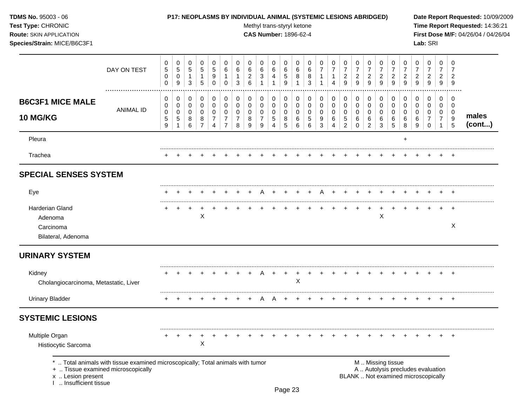| <b>TDMS No. 95003 - 06</b> |  |
|----------------------------|--|
| Test Type: CHRONIC         |  |

**Route: SKIN APPLICATION** Species/Strain: MICE/B6C3F1

## P17: NEOPLASMS BY INDIVIDUAL ANIMAL (SYSTEMIC LESIONS ABRIDGED)

Methyl trans-styryl ketone

**CAS Number: 1896-62-4** 

Date Report Requested: 10/09/2009 Time Report Requested: 14:36:21 First Dose M/F: 04/26/04 / 04/26/04 Lab: SRI

|                                                               | DAY ON TEST                                                                                                           | 0<br>5<br>0<br>0               | 0<br>5<br>0<br>9                | 0<br>$\sqrt{5}$<br>$\mathbf{1}$<br>$\sqrt{3}$ | 0<br>5<br>$\mathbf{1}$<br>5                  | 0<br>$\sqrt{5}$<br>9<br>$\Omega$                        | 0<br>6<br>$\mathbf{1}$<br>$\Omega$              | 0<br>$\,6\,$<br>$\mathbf{1}$<br>$\mathbf{3}$ | $\mathbf 0$<br>6<br>$\sqrt{2}$<br>6   | 0<br>6<br>3<br>$\mathbf{1}$                                   | 0<br>6<br>4<br>1               | 0<br>6<br>5<br>9                | 0<br>6<br>8                         | 0<br>$\,6\,$<br>8<br>3                                 | $\pmb{0}$<br>$\overline{7}$<br>$\mathbf{1}$<br>$\mathbf{1}$ | 0<br>$\boldsymbol{7}$<br>$\mathbf{1}$<br>4     | 0<br>$\overline{7}$<br>$\overline{c}$<br>$\overline{9}$ | 0<br>$\boldsymbol{7}$<br>$\overline{c}$<br>$\overline{9}$ | $\mathbf 0$<br>$\overline{7}$<br>$\overline{c}$<br>9 | 0<br>$\overline{7}$<br>$\overline{c}$<br>9 | 0<br>$\overline{7}$<br>$\boldsymbol{2}$<br>$\mathsf g$ | 0<br>$\boldsymbol{7}$<br>$\frac{2}{9}$ | 0<br>$\overline{7}$<br>$\overline{2}$<br>9                               | 0<br>$\overline{7}$<br>$\overline{c}$<br>9             | 0<br>$\overline{7}$<br>$\overline{c}$<br>9              | $\mathbf 0$<br>$\overline{7}$<br>$\overline{c}$<br>9 |                 |
|---------------------------------------------------------------|-----------------------------------------------------------------------------------------------------------------------|--------------------------------|---------------------------------|-----------------------------------------------|----------------------------------------------|---------------------------------------------------------|-------------------------------------------------|----------------------------------------------|---------------------------------------|---------------------------------------------------------------|--------------------------------|---------------------------------|-------------------------------------|--------------------------------------------------------|-------------------------------------------------------------|------------------------------------------------|---------------------------------------------------------|-----------------------------------------------------------|------------------------------------------------------|--------------------------------------------|--------------------------------------------------------|----------------------------------------|--------------------------------------------------------------------------|--------------------------------------------------------|---------------------------------------------------------|------------------------------------------------------|-----------------|
| <b>B6C3F1 MICE MALE</b><br><b>10 MG/KG</b>                    | .<br><b>ANIMAL ID</b>                                                                                                 | 0<br>0<br>0<br>$\sqrt{5}$<br>9 | 0<br>$\mathbf 0$<br>0<br>5<br>1 | 0<br>$\mathbf 0$<br>0<br>8<br>$\,6\,$         | 0<br>$\mathbf 0$<br>0<br>8<br>$\overline{7}$ | 0<br>$\pmb{0}$<br>0<br>$\overline{7}$<br>$\overline{4}$ | 0<br>0<br>0<br>$\overline{7}$<br>$\overline{7}$ | 0<br>0<br>0<br>$\boldsymbol{7}$<br>8         | 0<br>$\mathbf 0$<br>0<br>$\,8\,$<br>9 | 0<br>$\mathbf 0$<br>0<br>$\boldsymbol{7}$<br>$\boldsymbol{9}$ | 0<br>0<br>0<br>$\sqrt{5}$<br>4 | 0<br>$\mathbf 0$<br>0<br>8<br>5 | 0<br>$\mathbf 0$<br>0<br>$\,6$<br>6 | 0<br>$\mathbf 0$<br>0<br>$\mathbf 5$<br>$6\phantom{a}$ | 0<br>$\mathsf 0$<br>0<br>9<br>$\mathbf{3}$                  | 0<br>$\pmb{0}$<br>0<br>$\,6$<br>$\overline{4}$ | 0<br>$\pmb{0}$<br>0<br>$\sqrt{5}$<br>$\overline{2}$     | 0<br>$\mathbf 0$<br>0<br>$\,6$<br>$\mathbf 0$             | 0<br>$\mathbf 0$<br>0<br>6<br>$\overline{2}$         | 0<br>$\mathbf 0$<br>0<br>6<br>3            | 0<br>0<br>0<br>$\,6\,$<br>5                            | 0<br>0<br>0<br>$\,6$<br>$\,8\,$        | 0<br>0<br>0<br>$\,6$<br>9                                                | 0<br>$\mathbf 0$<br>0<br>$\boldsymbol{7}$<br>$\pmb{0}$ | 0<br>$\mathbf 0$<br>0<br>$\overline{7}$<br>$\mathbf{1}$ | 0<br>0<br>0<br>$\boldsymbol{9}$<br>5                 | males<br>(cont) |
| Pleura                                                        |                                                                                                                       |                                |                                 |                                               |                                              |                                                         |                                                 |                                              |                                       |                                                               |                                |                                 |                                     |                                                        |                                                             |                                                |                                                         |                                                           |                                                      |                                            |                                                        | $\ddot{}$                              |                                                                          |                                                        |                                                         |                                                      |                 |
| Trachea                                                       |                                                                                                                       |                                |                                 |                                               |                                              |                                                         |                                                 |                                              |                                       |                                                               |                                |                                 |                                     |                                                        |                                                             |                                                |                                                         |                                                           |                                                      |                                            |                                                        |                                        |                                                                          |                                                        |                                                         |                                                      |                 |
| <b>SPECIAL SENSES SYSTEM</b>                                  |                                                                                                                       |                                |                                 |                                               |                                              |                                                         |                                                 |                                              |                                       |                                                               |                                |                                 |                                     |                                                        |                                                             |                                                |                                                         |                                                           |                                                      |                                            |                                                        |                                        |                                                                          |                                                        |                                                         |                                                      |                 |
| Eye                                                           |                                                                                                                       |                                |                                 |                                               |                                              |                                                         |                                                 |                                              |                                       | Α                                                             |                                |                                 |                                     | ٠                                                      | A                                                           | ÷                                              |                                                         |                                                           |                                                      |                                            |                                                        |                                        |                                                                          |                                                        |                                                         | $\ddot{}$                                            |                 |
| Harderian Gland<br>Adenoma<br>Carcinoma<br>Bilateral, Adenoma |                                                                                                                       |                                |                                 |                                               | X                                            |                                                         |                                                 |                                              |                                       |                                                               |                                |                                 |                                     |                                                        |                                                             |                                                |                                                         |                                                           |                                                      | X                                          |                                                        |                                        |                                                                          |                                                        |                                                         | $\div$<br>X                                          |                 |
| <b>URINARY SYSTEM</b>                                         |                                                                                                                       |                                |                                 |                                               |                                              |                                                         |                                                 |                                              |                                       |                                                               |                                |                                 |                                     |                                                        |                                                             |                                                |                                                         |                                                           |                                                      |                                            |                                                        |                                        |                                                                          |                                                        |                                                         |                                                      |                 |
| Kidney<br>Cholangiocarcinoma, Metastatic, Liver               |                                                                                                                       |                                |                                 |                                               |                                              |                                                         |                                                 |                                              |                                       |                                                               |                                |                                 | X                                   |                                                        |                                                             |                                                |                                                         |                                                           |                                                      |                                            |                                                        |                                        |                                                                          |                                                        |                                                         | $\ddot{}$                                            |                 |
| <b>Urinary Bladder</b>                                        |                                                                                                                       |                                |                                 |                                               |                                              |                                                         |                                                 |                                              | $\div$                                | Α                                                             | A                              |                                 |                                     |                                                        |                                                             |                                                |                                                         |                                                           |                                                      |                                            |                                                        |                                        |                                                                          |                                                        | $\ddot{}$                                               | $\ddot{}$                                            |                 |
| <b>SYSTEMIC LESIONS</b>                                       |                                                                                                                       |                                |                                 |                                               |                                              |                                                         |                                                 |                                              |                                       |                                                               |                                |                                 |                                     |                                                        |                                                             |                                                |                                                         |                                                           |                                                      |                                            |                                                        |                                        |                                                                          |                                                        |                                                         |                                                      |                 |
| Multiple Organ<br>Histiocytic Sarcoma                         |                                                                                                                       |                                |                                 |                                               | $\mathsf X$                                  |                                                         |                                                 |                                              |                                       |                                                               |                                |                                 |                                     |                                                        |                                                             |                                                |                                                         |                                                           |                                                      |                                            |                                                        |                                        |                                                                          |                                                        |                                                         | $\div$                                               |                 |
| x  Lesion present<br>1  Insufficient tissue                   | *  Total animals with tissue examined microscopically; Total animals with tumor<br>+  Tissue examined microscopically |                                |                                 |                                               |                                              |                                                         |                                                 |                                              |                                       |                                                               |                                |                                 |                                     |                                                        |                                                             |                                                |                                                         |                                                           |                                                      |                                            | M  Missing tissue                                      |                                        | A  Autolysis precludes evaluation<br>BLANK  Not examined microscopically |                                                        |                                                         |                                                      |                 |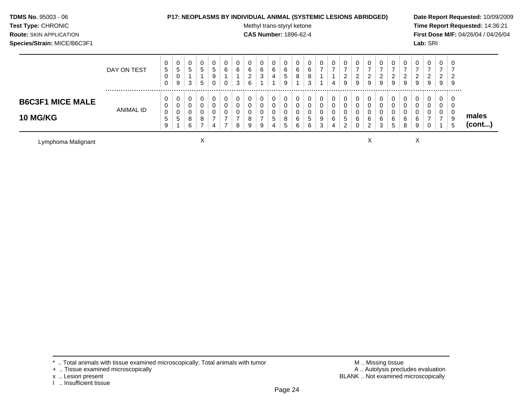| TDMS No. 95003 - 06<br>Test Type: CHRONIC<br><b>Route: SKIN APPLICATION</b><br>Species/Strain: MICE/B6C3F1 |             |                       |                  |                       |                                                        |                                         |             |                         |                     | Methyl trans-styryl ketone<br><b>CAS Number: 1896-62-4</b> |                       |                       |                                         |                       | P17: NEOPLASMS BY INDIVIDUAL ANIMAL (SYSTEMIC LESIONS ABRIDGED) |                                               |                              |                                   |                     |                                            |                                            |                                 |                          | Lab: SRI                 |                                                   |    | Date Report Requested: 10/09/2009<br>Time Report Requested: 14:36:21<br>First Dose M/F: 04/26/04 / 04/26/04 |  |
|------------------------------------------------------------------------------------------------------------|-------------|-----------------------|------------------|-----------------------|--------------------------------------------------------|-----------------------------------------|-------------|-------------------------|---------------------|------------------------------------------------------------|-----------------------|-----------------------|-----------------------------------------|-----------------------|-----------------------------------------------------------------|-----------------------------------------------|------------------------------|-----------------------------------|---------------------|--------------------------------------------|--------------------------------------------|---------------------------------|--------------------------|--------------------------|---------------------------------------------------|----|-------------------------------------------------------------------------------------------------------------|--|
|                                                                                                            | DAY ON TEST | 0<br>5<br>0<br>0      | 0<br>5<br>0<br>9 | 0<br>$\sqrt{5}$<br>3  | 0<br>$\sqrt{5}$<br>5                                   | 0<br>5<br>$\boldsymbol{9}$              | 0<br>6<br>0 | 6<br>3                  | 6<br>$\overline{c}$ | 6<br>3                                                     | 0<br>6<br>4           | 0<br>6<br>5<br>9      | 0<br>$\,6$<br>8                         | 0<br>6<br>8<br>3      | 0<br>$\overline{z}$                                             | $\mathbf{0}$<br>$\overline{\phantom{a}}$<br>4 | $\overline{\mathbf{c}}$<br>9 | 0<br>$\overline{\mathbf{c}}$<br>9 | $\overline{2}$<br>9 | 0<br>$\overline{ }$<br>$\overline{2}$<br>9 | 0<br>$\overline{7}$<br>$\overline{a}$<br>9 | 0<br>$\overline{c}$<br>9        | 0<br>$\overline{c}$<br>9 | 0<br>$\overline{2}$<br>9 | $\Omega$<br>$\overline{ }$<br>$\overline{a}$<br>9 | -9 |                                                                                                             |  |
| <b>B6C3F1 MICE MALE</b><br><b>10 MG/KG</b>                                                                 | ANIMAL ID   | 0<br>0<br>0<br>5<br>9 | 0<br>0<br>5      | 0<br>0<br>0<br>8<br>6 | 0<br>$\mathbf 0$<br>$\mathbf 0$<br>8<br>$\overline{ }$ | 0<br>$\mathbf 0$<br>$\overline{ }$<br>4 | 0<br>0<br>0 | $\Omega$<br>$\mathbf 0$ | 0<br>0<br>8         | 0<br>0                                                     | 0<br>0<br>0<br>5<br>4 | 0<br>0<br>0<br>8<br>5 | 0<br>$\pmb{0}$<br>$\mathbf 0$<br>6<br>6 | 0<br>0<br>0<br>5<br>6 | 0<br>0<br>0<br>9<br>3                                           | $\mathbf{0}$<br>0<br>$\mathbf{0}$<br>6<br>4   | 0<br>5<br>2                  | 0<br>0<br>0<br>6                  | 0<br>0<br>6<br>2    | 0<br>0<br>0<br>6<br>3                      | 0<br>0<br>0<br>6<br>5                      | 0<br>0<br>$\mathbf 0$<br>6<br>8 | 0<br>0<br>0<br>6<br>9    | 0<br>0<br>0              | $\overline{0}$<br>0<br>0<br>$\overline{ }$        |    | males<br>(cont)                                                                                             |  |
| Lymphoma Malignant                                                                                         |             |                       |                  |                       | X                                                      |                                         |             |                         |                     |                                                            |                       |                       |                                         |                       |                                                                 |                                               |                              |                                   | X                   |                                            |                                            |                                 | X                        |                          |                                                   |    |                                                                                                             |  |

 $*$  .. Total animals with tissue examined microscopically; Total animals with tumor  $\blacksquare$  M .. Missing tissue

x .. Lesion present<br>I .. Insufficient tissue

+ .. Tissue examined microscopically  $\blacksquare$  A .. Autolysis precludes evaluation M .. Missing tissue<br>A .. Autolysis precludes evaluation<br>BLANK .. Not examined microscopically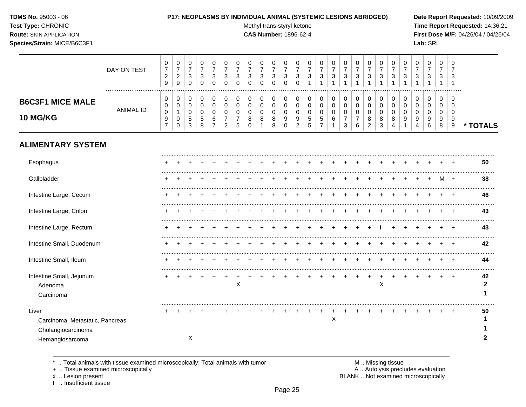**Test Type:** CHRONIC **The Report Requested:** 14:36:21 **Route:** SKIN APPLICATION **CAS Number:** 1896-62-4 **First Dose M/F:** 04/26/04 / 04/26/04 **Species/Strain:** MICE/B6C3F1 **Lab:** SRI

|                                            | DAY ON TEST | U.<br>ົ<br>9               | υ<br>ົ<br><u>.</u><br>9 | υ<br>3<br>v | ◠<br>ۍ | 3<br>0 | ĸ.<br>-0 | 0<br>3<br>0      | υ<br>ົ<br>ັ | 0<br>3 | U<br>3      | 0<br>3<br>0 | 3           | Æ | 0<br>3                | v<br>ີ<br>J | 0<br>3      | 0<br>3 | 0<br>3                     | 3      | 3 | 0<br>3           | ົ             | 0<br>3      | U<br>3 | 0<br>3                |          |
|--------------------------------------------|-------------|----------------------------|-------------------------|-------------|--------|--------|----------|------------------|-------------|--------|-------------|-------------|-------------|---|-----------------------|-------------|-------------|--------|----------------------------|--------|---|------------------|---------------|-------------|--------|-----------------------|----------|
| <b>B6C3F1 MICE MALE</b><br><b>10 MG/KG</b> | ANIMAL ID   | v<br>v<br>$\sim$<br>U<br>9 | u<br>υ<br>0             | ν<br>N<br>3 | C<br>8 | 6      |          | 0<br>0<br>0<br>Đ | v<br>8<br>v | 8      | U<br>8<br>8 | U<br>9<br>0 | 9<br>ົ<br>▵ | ÷ | 0<br>0<br>0<br>đ<br>- | v<br>6      | U<br>-<br>3 | ν<br>6 | 0<br>0<br>0<br>8<br>റ<br>▵ | 8<br>3 |   | 0<br>0<br>0<br>9 | $\Omega$<br>4 | u<br>9<br>6 | 9<br>8 | 0<br>0<br>0<br>9<br>9 | * TOTALS |

## **ALIMENTARY SYSTEM**

| Esophagus                                                                         |  |   |  |   |  |  |  |   |  |   |  |  |   |                | 50 |
|-----------------------------------------------------------------------------------|--|---|--|---|--|--|--|---|--|---|--|--|---|----------------|----|
| Gallbladder                                                                       |  |   |  |   |  |  |  |   |  |   |  |  | M | $\overline{+}$ | 38 |
| Intestine Large, Cecum                                                            |  |   |  |   |  |  |  |   |  |   |  |  |   |                | 46 |
| Intestine Large, Colon                                                            |  |   |  |   |  |  |  |   |  |   |  |  |   |                | 43 |
| Intestine Large, Rectum                                                           |  |   |  |   |  |  |  |   |  |   |  |  |   |                | 43 |
| Intestine Small, Duodenum                                                         |  |   |  |   |  |  |  |   |  |   |  |  |   |                | 42 |
| Intestine Small, Ileum                                                            |  |   |  |   |  |  |  |   |  |   |  |  |   |                | 44 |
| Intestine Small, Jejunum<br>Adenoma<br>Carcinoma                                  |  |   |  | X |  |  |  |   |  | X |  |  |   |                | 42 |
| Liver<br>Carcinoma, Metastatic, Pancreas<br>Cholangiocarcinoma<br>Hemangiosarcoma |  | Х |  |   |  |  |  | х |  |   |  |  |   |                | 50 |

\* .. Total animals with tissue examined microscopically; Total animals with tumor M .. Missing tissue M .. Missing tissue<br>
A .. Autolysis precludes evaluation<br>
M .. Autolysis precludes evaluation

+ .. Tissue examined microscopically

x .. Lesion present<br>I .. Insufficient tissue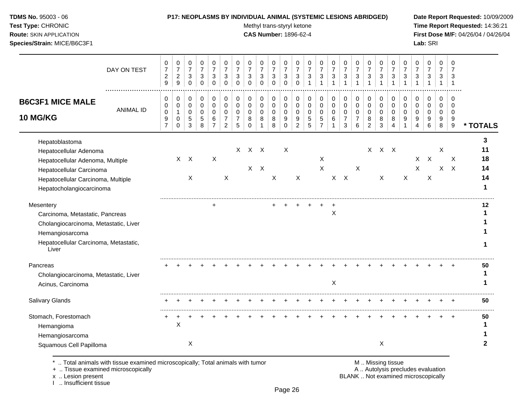**Test Type:** CHRONIC **Trans-styryl ketone** Methyl trans-styryl ketone **Time Report Requested:** 14:36:21 **Route:** SKIN APPLICATION **CAS Number:** 1896-62-4 **First Dose M/F:** 04/26/04 / 04/26/04 **Species/Strain:** MICE/B6C3F1 **Lab:** SRI

|                                                                                                                                                                            | DAY ON TEST      | 0<br>$\overline{7}$<br>$\overline{c}$<br>$\boldsymbol{9}$ | 0<br>$\boldsymbol{7}$<br>$\overline{c}$<br>$\boldsymbol{9}$  | 0<br>$\overline{7}$<br>3<br>$\mathbf 0$              | 0<br>$\overline{7}$<br>3<br>$\pmb{0}$         | $\mathbf 0$<br>$\overline{7}$<br>3<br>$\mathbf 0$      | 0<br>$\overline{7}$<br>3<br>$\mathbf 0$                             | 0<br>$\overline{7}$<br>3<br>$\mathbf 0$                | 0<br>$\overline{7}$<br>3<br>$\Omega$             | 0<br>$\overline{7}$<br>$\mathbf{3}$<br>$\mathbf 0$ | 0<br>$\overline{7}$<br>$\sqrt{3}$<br>$\mathbf 0$ | 0<br>$\overline{7}$<br>$\ensuremath{\mathsf{3}}$<br>0  | 0<br>$\overline{7}$<br>3<br>$\mathbf 0$                | 0<br>$\overline{7}$<br>3<br>$\mathbf 1$ | 0<br>$\overline{7}$<br>3                             | 0<br>$\overline{7}$<br>3                          | 0<br>$\overline{7}$<br>$\mathbf{3}$                                    | 0<br>$\overline{7}$<br>$\mathbf{3}$<br>1             | 0<br>$\overline{7}$<br>3                           | 0<br>$\overline{7}$<br>3                  | 0<br>$\overline{7}$<br>3                               | 0<br>$\overline{7}$<br>3                  | 0<br>$\overline{7}$<br>3                                     | 0<br>$\overline{7}$<br>$\mathbf{3}$       | 0<br>$\overline{7}$<br>3<br>$\mathbf{1}$ | $\Omega$<br>7<br>3<br>-1                                     |                                |
|----------------------------------------------------------------------------------------------------------------------------------------------------------------------------|------------------|-----------------------------------------------------------|--------------------------------------------------------------|------------------------------------------------------|-----------------------------------------------|--------------------------------------------------------|---------------------------------------------------------------------|--------------------------------------------------------|--------------------------------------------------|----------------------------------------------------|--------------------------------------------------|--------------------------------------------------------|--------------------------------------------------------|-----------------------------------------|------------------------------------------------------|---------------------------------------------------|------------------------------------------------------------------------|------------------------------------------------------|----------------------------------------------------|-------------------------------------------|--------------------------------------------------------|-------------------------------------------|--------------------------------------------------------------|-------------------------------------------|------------------------------------------|--------------------------------------------------------------|--------------------------------|
| <b>B6C3F1 MICE MALE</b><br>10 MG/KG                                                                                                                                        | <b>ANIMAL ID</b> | 0<br>0<br>$\pmb{0}$<br>9<br>$\overline{7}$                | 0<br>$\mathsf{O}\xspace$<br>$\mathbf{1}$<br>0<br>$\mathbf 0$ | 0<br>$\mathbf 0$<br>$\mathbf 0$<br>5<br>$\mathbf{3}$ | $\pmb{0}$<br>$\pmb{0}$<br>$\pmb{0}$<br>5<br>8 | 0<br>$\mathbf 0$<br>$\mathbf 0$<br>6<br>$\overline{7}$ | 0<br>$\mathbf 0$<br>$\mathbf 0$<br>$\overline{7}$<br>$\overline{a}$ | 0<br>$\mathbf 0$<br>$\mathbf 0$<br>$\overline{7}$<br>5 | 0<br>$\mathbf 0$<br>$\mathbf 0$<br>8<br>$\Omega$ | 0<br>0<br>$\mathbf 0$<br>8<br>-1                   | 0<br>$\mathbf 0$<br>$\pmb{0}$<br>8<br>$\,8\,$    | $\pmb{0}$<br>$\mathbf 0$<br>$\pmb{0}$<br>9<br>$\Omega$ | 0<br>$\mathbf 0$<br>$\mathbf 0$<br>9<br>$\overline{2}$ | $\pmb{0}$<br>0<br>$\mathbf 0$<br>5<br>5 | 0<br>$\pmb{0}$<br>$\mathbf 0$<br>5<br>$\overline{7}$ | 0<br>$\mathsf{O}\xspace$<br>$\mathbf 0$<br>6<br>1 | $\pmb{0}$<br>$\mathsf{O}\xspace$<br>$\mathbf 0$<br>$\overline{7}$<br>3 | 0<br>$\mathsf 0$<br>$\pmb{0}$<br>$\overline{7}$<br>6 | 0<br>$\pmb{0}$<br>$\pmb{0}$<br>8<br>$\overline{2}$ | 0<br>$\mathbf 0$<br>$\mathbf 0$<br>8<br>3 | 0<br>$\mathbf 0$<br>$\mathbf 0$<br>8<br>$\overline{A}$ | 0<br>$\mathbf 0$<br>$\mathbf 0$<br>9<br>1 | $\pmb{0}$<br>$\pmb{0}$<br>$\mathbf 0$<br>9<br>$\overline{4}$ | 0<br>$\mathbf 0$<br>$\mathbf 0$<br>9<br>6 | 0<br>$\mathbf 0$<br>0<br>9<br>$\bf 8$    | $\Omega$<br>$\Omega$<br>$\mathbf 0$<br>9<br>$\boldsymbol{9}$ | * TOTALS                       |
| Hepatoblastoma<br>Hepatocellular Adenoma<br>Hepatocellular Adenoma, Multiple<br>Hepatocellular Carcinoma<br>Hepatocellular Carcinoma, Multiple<br>Hepatocholangiocarcinoma |                  |                                                           |                                                              | $X$ $X$<br>X                                         |                                               | $\boldsymbol{\mathsf{X}}$                              | X                                                                   |                                                        | X X X<br>$X$ $X$                                 |                                                    | X                                                | X                                                      | $\times$                                               |                                         | $\boldsymbol{\mathsf{X}}$<br>$\mathsf{X}$            | X                                                 | $\mathsf{X}$                                                           | $\boldsymbol{X}$                                     | $\times$                                           | $\boldsymbol{\mathsf{X}}$                 | $X$ $X$                                                | $\boldsymbol{X}$                          | X                                                            | $X$ $X$<br>X                              | X                                        | X<br>$X$ $X$                                                 | 3<br>11<br>18<br>14<br>14<br>1 |
| Mesentery<br>Carcinoma, Metastatic, Pancreas<br>Cholangiocarcinoma, Metastatic, Liver<br>Hemangiosarcoma<br>Hepatocellular Carcinoma, Metastatic,<br>Liver                 |                  |                                                           |                                                              |                                                      |                                               |                                                        |                                                                     |                                                        |                                                  |                                                    |                                                  |                                                        |                                                        |                                         |                                                      | X                                                 |                                                                        |                                                      |                                                    |                                           |                                                        |                                           |                                                              |                                           |                                          |                                                              | 12                             |
| Pancreas<br>Cholangiocarcinoma, Metastatic, Liver<br>Acinus, Carcinoma                                                                                                     |                  |                                                           |                                                              |                                                      |                                               |                                                        |                                                                     |                                                        |                                                  |                                                    |                                                  |                                                        |                                                        |                                         |                                                      | X                                                 |                                                                        |                                                      |                                                    |                                           |                                                        |                                           |                                                              |                                           |                                          |                                                              | 50<br>1                        |
| Salivary Glands<br>Stomach, Forestomach<br>Hemangioma<br>Hemangiosarcoma<br>Squamous Cell Papilloma                                                                        |                  |                                                           | $\boldsymbol{\mathsf{X}}$                                    | X                                                    |                                               |                                                        |                                                                     |                                                        |                                                  |                                                    |                                                  |                                                        |                                                        |                                         |                                                      |                                                   |                                                                        |                                                      |                                                    | Χ                                         |                                                        |                                           |                                                              |                                           |                                          |                                                              | 50<br>50<br>1<br>2             |

\* .. Total animals with tissue examined microscopically; Total animals with tumor <br>
+ .. Tissue examined microscopically<br>
+ .. Tissue examined microscopically

+ .. Tissue examined microscopically

x .. Lesion present<br>I .. Insufficient tissue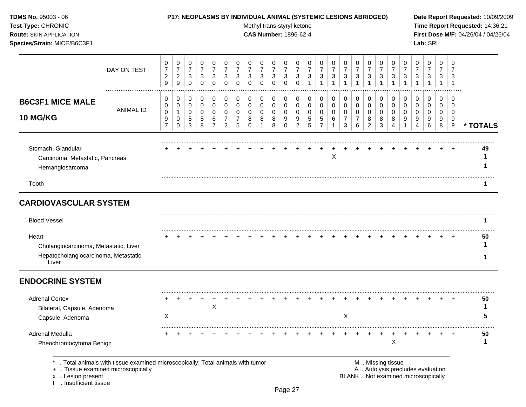Test Type: CHRONIC **Test Type:** CHRONIC **Test Type:** CHRONIC **Time Report Requested:** 14:36:21 **Route:** SKIN APPLICATION **CAS Number:** 1896-62-4 **First Dose M/F:** 04/26/04 / 04/26/04 **Species/Strain:** MICE/B6C3F1 **Lab:** SRI

|                                                                                                  | DAY ON TEST                                                                  | 0<br>$\overline{7}$<br>$\boldsymbol{2}$ | $\pmb{0}$<br>$\boldsymbol{7}$<br>$\overline{\mathbf{c}}$ | $\mathbf 0$<br>$\overline{7}$<br>3 | $\pmb{0}$<br>$\overline{7}$<br>3 | 0<br>$\overline{7}$<br>3  | 0<br>$\overline{7}$<br>3                        | $\mathbf 0$<br>$\overline{7}$<br>3 | 0<br>$\overline{7}$<br>3     | 0<br>$\overline{7}$<br>3 | 0<br>$\overline{7}$<br>3 | 0<br>$\overline{7}$<br>3     | 0<br>$\overline{7}$<br>3           | 0<br>$\overline{7}$<br>3 | $\pmb{0}$<br>$\overline{7}$<br>3   | $\pmb{0}$<br>$\overline{7}$<br>$\mathbf{3}$ | 0<br>$\overline{7}$<br>3           | $\pmb{0}$<br>$\overline{7}$<br>3 | $\mathbf 0$<br>$\overline{7}$<br>3 | 0<br>$\overline{7}$<br>3 | 0<br>$\overline{7}$<br>3 | $\mathbf 0$<br>$\overline{7}$<br>3 | $\mathbf 0$<br>$\overline{7}$<br>3 | 0<br>$\overline{7}$<br>3 | 0<br>$\overline{7}$<br>3 | 0<br>$\overline{7}$<br>3 |              |
|--------------------------------------------------------------------------------------------------|------------------------------------------------------------------------------|-----------------------------------------|----------------------------------------------------------|------------------------------------|----------------------------------|---------------------------|-------------------------------------------------|------------------------------------|------------------------------|--------------------------|--------------------------|------------------------------|------------------------------------|--------------------------|------------------------------------|---------------------------------------------|------------------------------------|----------------------------------|------------------------------------|--------------------------|--------------------------|------------------------------------|------------------------------------|--------------------------|--------------------------|--------------------------|--------------|
|                                                                                                  |                                                                              | $\boldsymbol{9}$                        | $\boldsymbol{9}$                                         | $\mathbf 0$                        | $\pmb{0}$                        | 0                         | $\Omega$                                        | $\Omega$                           | $\Omega$                     | $\Omega$                 | $\Omega$                 | $\mathbf 0$                  | $\mathbf 0$                        |                          | $\overline{1}$                     |                                             |                                    |                                  | 1                                  |                          |                          | $\mathbf{1}$                       |                                    | 1                        | $\mathbf{1}$             | $\overline{1}$           |              |
| <b>B6C3F1 MICE MALE</b>                                                                          |                                                                              | 0<br>$\pmb{0}$                          | 0<br>$\pmb{0}$                                           | $\mathbf 0$<br>$\mathbf 0$         | $\pmb{0}$<br>$\pmb{0}$           | 0<br>$\mathbf 0$          | 0<br>0                                          | 0<br>$\mathbf 0$                   | 0<br>$\mathbf 0$             | 0<br>$\mathbf 0$         | 0<br>0                   | $\mathbf 0$<br>$\mathbf 0$   | $\mathbf 0$<br>$\mathbf 0$         | 0<br>$\mathbf 0$         | 0<br>$\mathbf 0$                   | $\,0\,$<br>$\pmb{0}$                        | $\pmb{0}$<br>$\pmb{0}$             | 0<br>$\mathsf 0$                 | 0<br>$\mathbf 0$                   | 0<br>$\mathbf 0$         | 0<br>$\mathbf 0$         | 0<br>$\mathbf 0$                   | 0<br>$\mathbf 0$                   | 0<br>$\mathbf 0$         | 0<br>0                   | $\Omega$<br>$\mathbf 0$  |              |
| 10 MG/KG                                                                                         | <b>ANIMAL ID</b>                                                             | $\mathbf 0$<br>9<br>$\overline{7}$      | $\mathbf{1}$<br>$\mathbf 0$<br>$\mathbf 0$               | $\mathbf 0$<br>5<br>3              | $\pmb{0}$<br>5<br>8              | 0<br>6<br>$\overline{7}$  | $\mathbf 0$<br>$\overline{7}$<br>$\overline{2}$ | $\mathbf 0$<br>7<br>5              | $\mathbf 0$<br>8<br>$\Omega$ | $\mathbf 0$<br>8<br>-1   | $\mathbf 0$<br>8<br>8    | $\mathbf 0$<br>9<br>$\Omega$ | $\mathbf 0$<br>9<br>$\overline{2}$ | $\mathbf 0$<br>5<br>5    | $\mathbf 0$<br>5<br>$\overline{7}$ | $\pmb{0}$<br>6<br>$\overline{1}$            | $\mathbf 0$<br>$\overline{7}$<br>3 | 0<br>$\overline{7}$<br>6         | $\mathbf 0$<br>8<br>2              | $\mathbf 0$<br>8<br>3    | $\mathbf 0$<br>8<br>4    | $\Omega$<br>9                      | $\Omega$<br>9<br>Δ                 | $\mathbf 0$<br>9<br>6    | 0<br>9<br>8              | 0<br>9<br>$9\,$          | * TOTALS     |
| Stomach, Glandular<br>Carcinoma, Metastatic, Pancreas<br>Hemangiosarcoma                         |                                                                              |                                         |                                                          |                                    |                                  |                           |                                                 |                                    |                              |                          |                          |                              |                                    |                          |                                    | $\pmb{\times}$                              |                                    |                                  |                                    |                          |                          |                                    |                                    |                          |                          |                          | 49<br>1<br>1 |
| Tooth                                                                                            |                                                                              |                                         |                                                          |                                    |                                  |                           |                                                 |                                    |                              |                          |                          |                              |                                    |                          |                                    |                                             |                                    |                                  |                                    |                          |                          |                                    |                                    |                          |                          |                          | 1            |
| <b>CARDIOVASCULAR SYSTEM</b>                                                                     |                                                                              |                                         |                                                          |                                    |                                  |                           |                                                 |                                    |                              |                          |                          |                              |                                    |                          |                                    |                                             |                                    |                                  |                                    |                          |                          |                                    |                                    |                          |                          |                          |              |
| <b>Blood Vessel</b>                                                                              |                                                                              |                                         |                                                          |                                    |                                  |                           |                                                 |                                    |                              |                          |                          |                              |                                    |                          |                                    |                                             |                                    |                                  |                                    |                          |                          |                                    |                                    |                          |                          |                          |              |
| Heart<br>Cholangiocarcinoma, Metastatic, Liver<br>Hepatocholangiocarcinoma, Metastatic,<br>Liver |                                                                              |                                         |                                                          |                                    |                                  |                           |                                                 |                                    |                              |                          |                          |                              |                                    |                          |                                    |                                             |                                    |                                  |                                    |                          |                          |                                    |                                    |                          |                          |                          | 50<br>1<br>1 |
| <b>ENDOCRINE SYSTEM</b>                                                                          |                                                                              |                                         |                                                          |                                    |                                  |                           |                                                 |                                    |                              |                          |                          |                              |                                    |                          |                                    |                                             |                                    |                                  |                                    |                          |                          |                                    |                                    |                          |                          |                          |              |
| <b>Adrenal Cortex</b><br>Bilateral, Capsule, Adenoma                                             |                                                                              | Χ                                       |                                                          |                                    |                                  | $\boldsymbol{\mathsf{X}}$ |                                                 |                                    |                              |                          |                          |                              |                                    |                          |                                    |                                             | X                                  |                                  |                                    |                          |                          |                                    |                                    |                          |                          |                          | 50<br>1<br>5 |
| Capsule, Adenoma<br>Adrenal Medulla                                                              |                                                                              |                                         |                                                          |                                    |                                  |                           |                                                 |                                    |                              |                          |                          |                              |                                    |                          |                                    |                                             |                                    |                                  |                                    |                          |                          |                                    |                                    |                          |                          |                          | 50           |
| Pheochromocytoma Benign                                                                          |                                                                              |                                         |                                                          |                                    |                                  |                           |                                                 |                                    |                              |                          |                          |                              |                                    |                          |                                    |                                             |                                    |                                  |                                    |                          | X                        |                                    |                                    |                          |                          |                          | 1            |
| +  Tissue examined microscopically                                                               | Total animals with tissue examined microscopically; Total animals with tumor |                                         |                                                          |                                    |                                  |                           |                                                 |                                    |                              |                          |                          |                              |                                    |                          |                                    |                                             |                                    |                                  | M  Missing tissue                  |                          |                          |                                    | A  Autolysis precludes evaluation  |                          |                          |                          |              |

x .. Lesion present<br>I .. Insufficient tissue

Page 27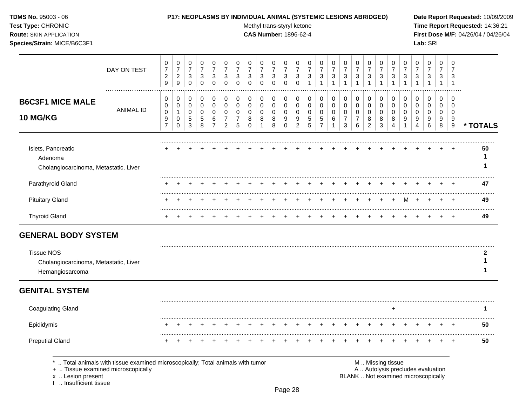Test Type: CHRONIC **Test Type:** CHRONIC **Test Type:** CHRONIC **Time Report Requested:** 14:36:21 **Route:** SKIN APPLICATION **CAS Number:** 1896-62-4 **First Dose M/F:** 04/26/04 / 04/26/04 **Species/Strain:** MICE/B6C3F1 **Lab:** SRI

|                                                                               | DAY ON TEST                                                                                                        | 0<br>$\boldsymbol{7}$<br>$\overline{2}$<br>9 | $\pmb{0}$<br>$\overline{7}$<br>$\overline{a}$<br>$\boldsymbol{9}$ | 0<br>$\overline{7}$<br>3<br>$\mathbf 0$ | 0<br>$\overline{7}$<br>3<br>$\mathbf 0$ | 0<br>$\overline{7}$<br>$\mathbf{3}$<br>$\mathbf 0$ | 0<br>$\overline{7}$<br>3<br>$\mathbf 0$ | 0<br>$\overline{7}$<br>3<br>$\mathbf 0$ | 0<br>$\overline{7}$<br>$\mathbf{3}$<br>$\Omega$ | $\mathbf 0$<br>$\boldsymbol{7}$<br>$\sqrt{3}$<br>$\mathbf 0$ | 0<br>$\overline{7}$<br>3<br>$\mathbf 0$ | $\pmb{0}$<br>$\overline{7}$<br>$\ensuremath{\mathsf{3}}$<br>$\pmb{0}$ | 0<br>$\overline{7}$<br>3<br>$\mathbf 0$ | 0<br>$\overline{7}$<br>$\mathbf{3}$<br>$\mathbf{1}$ | 0<br>$\overline{7}$<br>$\sqrt{3}$           | 0<br>$\overline{7}$<br>3 | 0<br>$\boldsymbol{7}$<br>$\sqrt{3}$<br>-1   | 0<br>$\boldsymbol{7}$<br>3<br>$\mathbf{1}$ | 0<br>$\overline{7}$<br>$\sqrt{3}$<br>$\mathbf{1}$ | 0<br>$\overline{7}$<br>$\mathbf{3}$<br>1 | 0<br>$\overline{7}$<br>3<br>1 | 0<br>$\overline{7}$<br>$\mathbf{3}$<br>$\overline{1}$                    | 0<br>$\overline{7}$<br>3           | 0<br>$\overline{7}$<br>$\mathbf{3}$<br>$\mathbf{1}$ | 0<br>$\overline{7}$<br>3<br>$\mathbf{1}$ | $\mathbf 0$<br>$\overline{7}$<br>3<br>$\overline{\mathbf{1}}$ |              |
|-------------------------------------------------------------------------------|--------------------------------------------------------------------------------------------------------------------|----------------------------------------------|-------------------------------------------------------------------|-----------------------------------------|-----------------------------------------|----------------------------------------------------|-----------------------------------------|-----------------------------------------|-------------------------------------------------|--------------------------------------------------------------|-----------------------------------------|-----------------------------------------------------------------------|-----------------------------------------|-----------------------------------------------------|---------------------------------------------|--------------------------|---------------------------------------------|--------------------------------------------|---------------------------------------------------|------------------------------------------|-------------------------------|--------------------------------------------------------------------------|------------------------------------|-----------------------------------------------------|------------------------------------------|---------------------------------------------------------------|--------------|
| <b>B6C3F1 MICE MALE</b>                                                       |                                                                                                                    | 0<br>0                                       | 0<br>$\pmb{0}$                                                    | 0<br>$\mathbf 0$                        | $\pmb{0}$<br>$\pmb{0}$                  | $\pmb{0}$<br>$\mathbf 0$                           | $\pmb{0}$<br>$\mathbf 0$                | $\pmb{0}$<br>$\mathbf 0$                | 0<br>0                                          | $\pmb{0}$<br>$\pmb{0}$                                       | 0<br>$\mathbf 0$                        | 0<br>$\pmb{0}$                                                        | 0<br>$\pmb{0}$                          | 0<br>$\pmb{0}$                                      | 0<br>$\mathbf 0$                            | $\pmb{0}$<br>$\mathsf 0$ | $\pmb{0}$<br>$\mathbf 0$                    | 0<br>$\mathbf 0$                           | 0<br>$\pmb{0}$                                    | 0<br>0                                   | $\pmb{0}$<br>$\mathbf 0$      | 0<br>0                                                                   | $\,0\,$<br>$\mathbf 0$             | 0<br>$\mathbf 0$                                    | 0<br>0                                   | $\mathbf 0$<br>$\mathbf 0$                                    |              |
| 10 MG/KG                                                                      | <b>ANIMAL ID</b>                                                                                                   | $\pmb{0}$<br>9<br>$\overline{7}$             | $\mathbf{1}$<br>$\mathbf 0$<br>$\pmb{0}$                          | 0<br>5<br>3                             | 0<br>$\sqrt{5}$<br>8                    | 0<br>$\,6\,$<br>$\overline{7}$                     | 0<br>$\overline{7}$<br>$\overline{c}$   | $\mathbf 0$<br>$\overline{7}$<br>5      | 0<br>8<br>$\Omega$                              | $\pmb{0}$<br>8<br>$\mathbf{1}$                               | 0<br>8<br>8                             | $\mathbf 0$<br>9<br>$\pmb{0}$                                         | 0<br>9<br>$\overline{c}$                | 0<br>5<br>5                                         | $\mathbf 0$<br>$\sqrt{5}$<br>$\overline{7}$ | 0<br>6<br>$\mathbf{1}$   | $\pmb{0}$<br>$\overline{7}$<br>$\mathbf{3}$ | 0<br>$\overline{7}$<br>6                   | 0<br>8<br>$\overline{c}$                          | 0<br>8<br>3                              | 0<br>8<br>$\overline{4}$      | 0<br>9<br>$\mathbf{1}$                                                   | $\mathbf 0$<br>9<br>$\overline{4}$ | $\mathbf 0$<br>9<br>$\,6$                           | $\mathbf 0$<br>9<br>8                    | $\mathbf 0$<br>9<br>$\boldsymbol{9}$                          | * TOTALS     |
| Islets, Pancreatic<br>Adenoma<br>Cholangiocarcinoma, Metastatic, Liver        |                                                                                                                    |                                              |                                                                   |                                         |                                         |                                                    |                                         |                                         |                                                 |                                                              |                                         |                                                                       |                                         |                                                     |                                             |                          |                                             |                                            |                                                   |                                          |                               |                                                                          |                                    |                                                     |                                          |                                                               | 50<br>1<br>1 |
| Parathyroid Gland                                                             |                                                                                                                    |                                              |                                                                   |                                         |                                         |                                                    |                                         |                                         |                                                 |                                                              |                                         |                                                                       |                                         |                                                     |                                             |                          |                                             |                                            |                                                   |                                          |                               |                                                                          |                                    |                                                     |                                          |                                                               | 47           |
| <b>Pituitary Gland</b>                                                        |                                                                                                                    |                                              |                                                                   |                                         |                                         |                                                    |                                         |                                         |                                                 |                                                              |                                         |                                                                       |                                         |                                                     |                                             |                          |                                             |                                            |                                                   |                                          |                               |                                                                          |                                    |                                                     |                                          |                                                               | 49           |
| <b>Thyroid Gland</b>                                                          |                                                                                                                    |                                              |                                                                   |                                         |                                         |                                                    |                                         |                                         |                                                 |                                                              |                                         |                                                                       |                                         |                                                     |                                             |                          |                                             |                                            |                                                   |                                          |                               |                                                                          |                                    |                                                     |                                          |                                                               | 49           |
| <b>GENERAL BODY SYSTEM</b>                                                    |                                                                                                                    |                                              |                                                                   |                                         |                                         |                                                    |                                         |                                         |                                                 |                                                              |                                         |                                                                       |                                         |                                                     |                                             |                          |                                             |                                            |                                                   |                                          |                               |                                                                          |                                    |                                                     |                                          |                                                               |              |
| <b>Tissue NOS</b><br>Cholangiocarcinoma, Metastatic, Liver<br>Hemangiosarcoma |                                                                                                                    |                                              |                                                                   |                                         |                                         |                                                    |                                         |                                         |                                                 |                                                              |                                         |                                                                       |                                         |                                                     |                                             |                          |                                             |                                            |                                                   |                                          |                               |                                                                          |                                    |                                                     |                                          |                                                               | 2<br>1<br>1  |
| <b>GENITAL SYSTEM</b>                                                         |                                                                                                                    |                                              |                                                                   |                                         |                                         |                                                    |                                         |                                         |                                                 |                                                              |                                         |                                                                       |                                         |                                                     |                                             |                          |                                             |                                            |                                                   |                                          |                               |                                                                          |                                    |                                                     |                                          |                                                               |              |
| <b>Coagulating Gland</b>                                                      |                                                                                                                    |                                              |                                                                   |                                         |                                         |                                                    |                                         |                                         |                                                 |                                                              |                                         |                                                                       |                                         |                                                     |                                             |                          |                                             |                                            |                                                   |                                          | $\ddot{}$                     |                                                                          |                                    |                                                     |                                          |                                                               | 1            |
| Epididymis                                                                    |                                                                                                                    |                                              |                                                                   |                                         |                                         |                                                    |                                         |                                         |                                                 |                                                              |                                         |                                                                       |                                         |                                                     |                                             |                          |                                             |                                            |                                                   |                                          |                               |                                                                          |                                    |                                                     |                                          |                                                               | 50           |
| <b>Preputial Gland</b>                                                        |                                                                                                                    |                                              |                                                                   |                                         |                                         |                                                    |                                         |                                         |                                                 |                                                              |                                         |                                                                       |                                         |                                                     |                                             |                          |                                             |                                            |                                                   |                                          |                               |                                                                          |                                    |                                                     |                                          |                                                               | 50           |
| x  Lesion present<br>1  Insufficient tissue                                   | Total animals with tissue examined microscopically; Total animals with tumor<br>+  Tissue examined microscopically |                                              |                                                                   |                                         |                                         |                                                    |                                         |                                         |                                                 |                                                              |                                         |                                                                       | $\sim$ $\sim$                           |                                                     |                                             |                          |                                             |                                            |                                                   |                                          | M  Missing tissue             | A  Autolysis precludes evaluation<br>BLANK  Not examined microscopically |                                    |                                                     |                                          |                                                               |              |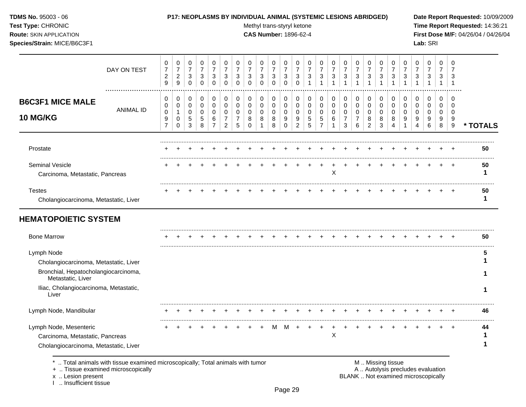Test Type: CHRONIC **Test Type:** CHRONIC **Test Type:** CHRONIC **Time Report Requested:** 14:36:21 **Route:** SKIN APPLICATION **CAS Number:** 1896-62-4 **First Dose M/F:** 04/26/04 / 04/26/04 **Species/Strain:** MICE/B6C3F1 **Lab:** SRI

| $\overline{7}$<br>$\overline{7}$<br>$\boldsymbol{7}$<br>$\boldsymbol{7}$<br>$\overline{7}$<br>$\overline{7}$<br>$\overline{7}$<br>$\overline{7}$<br>$\overline{7}$<br>7<br>$\overline{7}$<br>3<br>3<br>3<br>3<br>3<br>3<br>3<br>3<br>3<br>3<br>3<br>1<br>1<br>1<br>1<br>-1                                                                               |          |
|----------------------------------------------------------------------------------------------------------------------------------------------------------------------------------------------------------------------------------------------------------------------------------------------------------------------------------------------------------|----------|
| 0<br>0<br>0<br>0<br>0<br>0<br>0<br>0<br>0<br>0<br>$\Omega$<br>$\pmb{0}$<br>$\pmb{0}$<br>0<br>0<br>0<br>0<br>$\mathbf 0$<br>0<br>0<br>0<br>$\Omega$<br>0<br>0<br>0<br>0<br>0<br>0<br>$\Omega$<br>0<br>0<br>$\mathbf 0$<br>0<br>$\overline{7}$<br>7<br>8<br>8<br>9<br>6<br>8<br>9<br>9<br>9<br>9<br>8<br>3<br>6<br>9<br>$\overline{2}$<br>3<br>6<br>4<br>Δ | * TOTALS |
|                                                                                                                                                                                                                                                                                                                                                          | 50       |
| X                                                                                                                                                                                                                                                                                                                                                        | 50<br>1  |
|                                                                                                                                                                                                                                                                                                                                                          | 50<br>1  |
|                                                                                                                                                                                                                                                                                                                                                          |          |
|                                                                                                                                                                                                                                                                                                                                                          | 50       |
|                                                                                                                                                                                                                                                                                                                                                          | 5        |
|                                                                                                                                                                                                                                                                                                                                                          |          |
|                                                                                                                                                                                                                                                                                                                                                          |          |
|                                                                                                                                                                                                                                                                                                                                                          | 46       |
| X                                                                                                                                                                                                                                                                                                                                                        | 44       |
|                                                                                                                                                                                                                                                                                                                                                          |          |

x .. Lesion present<br>I .. Insufficient tissue

+ .. Tissue examined microscopically and the state of the state of the state of the A .. Autolysis precludes evaluation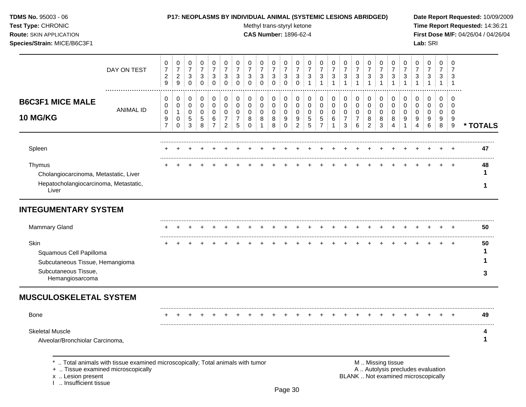Test Type: CHRONIC **Test Type:** CHRONIC **Test Type:** CHRONIC **Time Report Requested:** 14:36:21 **Route:** SKIN APPLICATION **CAS Number:** 1896-62-4 **First Dose M/F:** 04/26/04 / 04/26/04 **Species/Strain:** MICE/B6C3F1 **Lab:** SRI

|                                                                                          | DAY ON TEST                                                                                                        | $\mathbf 0$<br>$\boldsymbol{7}$<br>$\overline{\mathbf{c}}$<br>$\boldsymbol{9}$ | $\boldsymbol{0}$<br>$\boldsymbol{7}$<br>$\overline{c}$<br>9 | $\pmb{0}$<br>$\boldsymbol{7}$<br>$\ensuremath{\mathsf{3}}$<br>$\pmb{0}$ | $\pmb{0}$<br>$\overline{7}$<br>3<br>$\pmb{0}$ | 0<br>$\overline{7}$<br>3<br>$\pmb{0}$    | $\mathbf 0$<br>$\boldsymbol{7}$<br>$\ensuremath{\mathsf{3}}$<br>$\pmb{0}$ | 0<br>$\boldsymbol{7}$<br>$\ensuremath{\mathsf{3}}$<br>$\mathbf 0$ | 0<br>$\overline{7}$<br>$\sqrt{3}$<br>$\mathbf 0$ | $\mathbf 0$<br>$\overline{7}$<br>$\ensuremath{\mathsf{3}}$<br>$\mathbf 0$ | 0<br>$\overline{7}$<br>$\ensuremath{\mathsf{3}}$<br>$\pmb{0}$ | 0<br>$\overline{7}$<br>3<br>$\pmb{0}$ | 0<br>$\boldsymbol{7}$<br>$\ensuremath{\mathsf{3}}$<br>$\pmb{0}$ | 0<br>$\boldsymbol{7}$<br>3<br>$\mathbf{1}$ | 0<br>$\boldsymbol{7}$<br>$\ensuremath{\mathsf{3}}$<br>1 | 0<br>$\boldsymbol{7}$<br>$\ensuremath{\mathsf{3}}$<br>1 | 0<br>$\overline{7}$<br>3<br>1       | $\mathbf 0$<br>$\boldsymbol{7}$<br>$\sqrt{3}$<br>$\mathbf{1}$ | 0<br>$\boldsymbol{7}$<br>3<br>$\mathbf{1}$ | $\mathbf 0$<br>$\overline{7}$<br>$\ensuremath{\mathsf{3}}$ | 0<br>$\boldsymbol{7}$<br>3<br>1    | 0<br>$\overline{7}$<br>$\sqrt{3}$<br>$\mathbf{1}$ | 0<br>$\overline{7}$<br>3<br>1                                            | 0<br>$\overline{7}$<br>3<br>1 | $\mathbf 0$<br>$\overline{7}$<br>3<br>$\mathbf{1}$ | 0<br>$\overline{7}$<br>3<br>$\overline{1}$ |          |
|------------------------------------------------------------------------------------------|--------------------------------------------------------------------------------------------------------------------|--------------------------------------------------------------------------------|-------------------------------------------------------------|-------------------------------------------------------------------------|-----------------------------------------------|------------------------------------------|---------------------------------------------------------------------------|-------------------------------------------------------------------|--------------------------------------------------|---------------------------------------------------------------------------|---------------------------------------------------------------|---------------------------------------|-----------------------------------------------------------------|--------------------------------------------|---------------------------------------------------------|---------------------------------------------------------|-------------------------------------|---------------------------------------------------------------|--------------------------------------------|------------------------------------------------------------|------------------------------------|---------------------------------------------------|--------------------------------------------------------------------------|-------------------------------|----------------------------------------------------|--------------------------------------------|----------|
| <b>B6C3F1 MICE MALE</b>                                                                  |                                                                                                                    | 0<br>0                                                                         | 0<br>$\mathbf 0$                                            | 0<br>0                                                                  | $\mathbf 0$<br>$\mathbf 0$                    | 0<br>$\mathbf 0$                         | $\mathbf 0$<br>$\mathbf 0$                                                | $\mathbf 0$<br>$\mathbf 0$                                        | 0<br>$\mathbf 0$                                 | 0<br>0                                                                    | 0<br>0                                                        | 0<br>$\mathbf 0$                      | $\pmb{0}$<br>$\pmb{0}$                                          | 0<br>$\mathbf 0$                           | 0<br>0                                                  | 0<br>$\mathbf 0$                                        | 0<br>0                              | 0<br>$\mathbf 0$                                              | 0<br>$\mathbf 0$                           | 0<br>$\mathbf 0$                                           | 0<br>$\mathbf 0$                   | 0<br>0                                            | 0<br>$\mathbf 0$                                                         | 0<br>$\mathbf 0$              | 0<br>$\mathbf 0$                                   | $\Omega$<br>$\Omega$                       |          |
| <b>10 MG/KG</b>                                                                          | <b>ANIMAL ID</b>                                                                                                   | $\mathbf 0$<br>9<br>$\overline{7}$                                             | $\mathbf{1}$<br>$\mathbf 0$<br>$\mathbf 0$                  | $\mathbf 0$<br>$\sqrt{5}$<br>$\mathbf{3}$                               | $\mathbf 0$<br>$\sqrt{5}$<br>8                | $\mathbf 0$<br>$\,6\,$<br>$\overline{7}$ | $\mathbf 0$<br>$\boldsymbol{7}$<br>$\boldsymbol{2}$                       | $\Omega$<br>$\overline{7}$<br>5                                   | $\Omega$<br>8<br>$\mathbf 0$                     | $\mathbf 0$<br>8<br>$\mathbf{1}$                                          | 0<br>$\bf 8$<br>8                                             | $\mathbf 0$<br>9<br>$\mathbf 0$       | $\mathbf 0$<br>9<br>$\overline{c}$                              | $\mathbf 0$<br>$\sqrt{5}$<br>5             | 0<br>$5\phantom{.0}$<br>$\overline{7}$                  | $\mathbf 0$<br>$\,6$<br>$\mathbf{1}$                    | 0<br>$\overline{7}$<br>$\mathbf{3}$ | $\mathbf 0$<br>$\boldsymbol{7}$<br>$\,6\,$                    | $\mathbf 0$<br>8<br>$\boldsymbol{2}$       | $\mathbf 0$<br>8<br>$\mathbf{3}$                           | $\mathbf 0$<br>8<br>$\overline{4}$ | $\mathbf 0$<br>9<br>$\mathbf{1}$                  | $\Omega$<br>9<br>$\overline{4}$                                          | $\mathbf 0$<br>9<br>$\,6\,$   | $\mathbf 0$<br>9<br>$\bf 8$                        | $\Omega$<br>9<br>9                         | * TOTALS |
| Spleen                                                                                   |                                                                                                                    |                                                                                |                                                             |                                                                         |                                               |                                          |                                                                           |                                                                   |                                                  |                                                                           |                                                               |                                       |                                                                 |                                            |                                                         |                                                         |                                     |                                                               |                                            |                                                            |                                    |                                                   |                                                                          |                               |                                                    | $\div$                                     | 47       |
| Thymus<br>Cholangiocarcinoma, Metastatic, Liver<br>Hepatocholangiocarcinoma, Metastatic, |                                                                                                                    |                                                                                |                                                             |                                                                         |                                               |                                          |                                                                           |                                                                   |                                                  |                                                                           |                                                               |                                       |                                                                 |                                            |                                                         |                                                         |                                     |                                                               |                                            |                                                            |                                    |                                                   |                                                                          |                               |                                                    |                                            | 48<br>1  |
| Liver                                                                                    |                                                                                                                    |                                                                                |                                                             |                                                                         |                                               |                                          |                                                                           |                                                                   |                                                  |                                                                           |                                                               |                                       |                                                                 |                                            |                                                         |                                                         |                                     |                                                               |                                            |                                                            |                                    |                                                   |                                                                          |                               |                                                    |                                            | 1        |
| <b>INTEGUMENTARY SYSTEM</b>                                                              |                                                                                                                    |                                                                                |                                                             |                                                                         |                                               |                                          |                                                                           |                                                                   |                                                  |                                                                           |                                                               |                                       |                                                                 |                                            |                                                         |                                                         |                                     |                                                               |                                            |                                                            |                                    |                                                   |                                                                          |                               |                                                    |                                            |          |
| <b>Mammary Gland</b>                                                                     |                                                                                                                    |                                                                                |                                                             |                                                                         |                                               |                                          |                                                                           |                                                                   |                                                  |                                                                           |                                                               |                                       |                                                                 |                                            |                                                         |                                                         |                                     |                                                               |                                            |                                                            |                                    |                                                   |                                                                          |                               |                                                    |                                            | 50       |
| <b>Skin</b><br>Squamous Cell Papilloma                                                   |                                                                                                                    |                                                                                |                                                             |                                                                         |                                               |                                          |                                                                           |                                                                   |                                                  |                                                                           |                                                               |                                       |                                                                 |                                            |                                                         |                                                         |                                     |                                                               |                                            |                                                            |                                    |                                                   |                                                                          |                               |                                                    |                                            | 50       |
| Subcutaneous Tissue, Hemangioma<br>Subcutaneous Tissue,<br>Hemangiosarcoma               |                                                                                                                    |                                                                                |                                                             |                                                                         |                                               |                                          |                                                                           |                                                                   |                                                  |                                                                           |                                                               |                                       |                                                                 |                                            |                                                         |                                                         |                                     |                                                               |                                            |                                                            |                                    |                                                   |                                                                          |                               |                                                    |                                            | 3        |
| <b>MUSCULOSKELETAL SYSTEM</b>                                                            |                                                                                                                    |                                                                                |                                                             |                                                                         |                                               |                                          |                                                                           |                                                                   |                                                  |                                                                           |                                                               |                                       |                                                                 |                                            |                                                         |                                                         |                                     |                                                               |                                            |                                                            |                                    |                                                   |                                                                          |                               |                                                    |                                            |          |
| <b>Bone</b>                                                                              |                                                                                                                    |                                                                                |                                                             |                                                                         |                                               |                                          |                                                                           |                                                                   |                                                  |                                                                           |                                                               |                                       |                                                                 |                                            |                                                         |                                                         |                                     |                                                               |                                            |                                                            |                                    |                                                   |                                                                          |                               |                                                    |                                            | 49       |
| <b>Skeletal Muscle</b><br>Alveolar/Bronchiolar Carcinoma,                                |                                                                                                                    |                                                                                |                                                             |                                                                         |                                               |                                          |                                                                           |                                                                   |                                                  |                                                                           |                                                               |                                       |                                                                 |                                            |                                                         |                                                         |                                     |                                                               |                                            |                                                            |                                    |                                                   |                                                                          |                               |                                                    |                                            | 1        |
| x  Lesion present<br>Insufficient tissue                                                 | Total animals with tissue examined microscopically; Total animals with tumor<br>+  Tissue examined microscopically |                                                                                |                                                             |                                                                         |                                               |                                          |                                                                           |                                                                   |                                                  |                                                                           |                                                               |                                       |                                                                 |                                            |                                                         |                                                         |                                     |                                                               | M  Missing tissue                          |                                                            |                                    |                                                   | A  Autolysis precludes evaluation<br>BLANK  Not examined microscopically |                               |                                                    |                                            |          |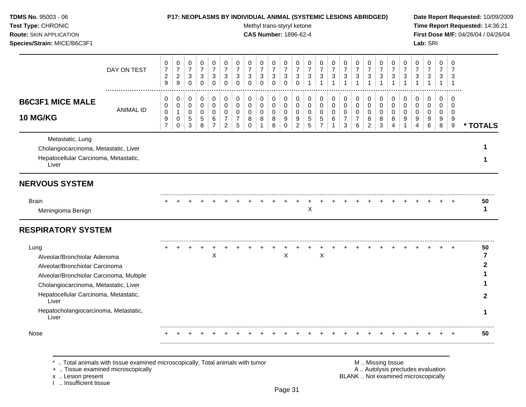Test Type: CHRONIC **Test Type:** CHRONIC **Test Type:** CHRONIC **Time Report Requested:** 14:36:21 **Route:** SKIN APPLICATION **CAS Number:** 1896-62-4 **First Dose M/F:** 04/26/04 / 04/26/04 **Species/Strain:** MICE/B6C3F1 **Lab:** SRI

|                                                | DAY ON TEST      | 0<br>$\boldsymbol{7}$<br>$\overline{c}$<br>9 | 0<br>$\overline{7}$<br>$\sqrt{2}$<br>9 | 0<br>$\overline{7}$<br>$\ensuremath{\mathsf{3}}$<br>$\pmb{0}$ | 0<br>$\overline{7}$<br>$\sqrt{3}$<br>$\mathbf 0$ | 0<br>$\overline{7}$<br>$\sqrt{3}$<br>$\mathbf 0$ | 0<br>$\overline{7}$<br>$\sqrt{3}$<br>0 | 0<br>$\overline{7}$<br>$\mathbf{3}$<br>$\mathbf 0$ | 0<br>$\overline{7}$<br>$\mathbf{3}$<br>$\mathbf 0$ | 0<br>$\overline{7}$<br>$\mathbf{3}$<br>$\mathbf 0$ | 0<br>$\overline{7}$<br>3<br>$\Omega$ | 0<br>$\overline{7}$<br>$\sqrt{3}$<br>$\mathbf 0$ | 0<br>$\overline{7}$<br>$\sqrt{3}$<br>$\mathbf 0$ | 0<br>$\overline{7}$<br>3<br>$\mathbf{1}$ | 0<br>$\overline{7}$<br>3<br>$\mathbf{1}$ | 0<br>$\overline{7}$<br>3     | 0<br>$\overline{7}$<br>3        | 0<br>$\overline{7}$<br>$\mathbf{3}$ | 0<br>$\overline{7}$<br>$\sqrt{3}$<br>$\mathbf{1}$ | 0<br>$\overline{7}$<br>3<br>1 | 0<br>$\overline{7}$<br>3<br>-1 | 0<br>$\overline{7}$<br>3<br>-1 | 0<br>$\overline{7}$<br>3     | $\pmb{0}$<br>$\overline{7}$<br>3 | 0<br>$\overline{7}$<br>3<br>$\mathbf{1}$ | $\mathbf 0$<br>$\overline{7}$<br>3<br>$\overline{1}$ |                   |
|------------------------------------------------|------------------|----------------------------------------------|----------------------------------------|---------------------------------------------------------------|--------------------------------------------------|--------------------------------------------------|----------------------------------------|----------------------------------------------------|----------------------------------------------------|----------------------------------------------------|--------------------------------------|--------------------------------------------------|--------------------------------------------------|------------------------------------------|------------------------------------------|------------------------------|---------------------------------|-------------------------------------|---------------------------------------------------|-------------------------------|--------------------------------|--------------------------------|------------------------------|----------------------------------|------------------------------------------|------------------------------------------------------|-------------------|
| <b>B6C3F1 MICE MALE</b><br><b>10 MG/KG</b>     | <b>ANIMAL ID</b> | 0<br>0<br>0                                  | 0<br>0<br>$\mathbf{1}$                 | 0<br>0<br>0                                                   | 0<br>0<br>0                                      | 0<br>$\mathbf 0$<br>0                            | 0<br>0<br>0                            | 0<br>$\mathbf 0$<br>$\Omega$                       | 0<br>0<br>$\Omega$                                 | 0<br>$\mathbf 0$<br>$\Omega$                       | 0<br>$\mathbf 0$<br>$\mathbf 0$      | 0<br>0<br>0                                      | 0<br>$\mathbf 0$<br>$\mathbf 0$                  | 0<br>0<br>$\mathbf 0$                    | 0<br>$\mathbf 0$<br>$\mathbf 0$          | 0<br>$\mathbf 0$<br>$\Omega$ | 0<br>$\mathbf 0$<br>$\mathbf 0$ | 0<br>0<br>$\mathbf 0$               | 0<br>0<br>0                                       | 0<br>$\mathbf 0$<br>0         | 0<br>0<br>0                    | 0<br>$\mathbf 0$<br>$\Omega$   | 0<br>$\mathbf 0$<br>$\Omega$ | 0<br>$\mathbf 0$<br>$\Omega$     | 0<br>0<br>$\mathbf 0$                    | 0<br>$\Omega$<br>$\mathbf 0$                         |                   |
|                                                |                  | 9<br>$\overline{7}$                          | $\mathbf 0$<br>$\Omega$                | $5\phantom{.0}$<br>3                                          | 5<br>8                                           | 6<br>$\overline{7}$                              | $\overline{7}$<br>$\overline{2}$       | $\overline{7}$<br>5                                | 8<br>$\Omega$                                      | 8                                                  | 8<br>8                               | 9<br>$\Omega$                                    | 9<br>$\overline{2}$                              | 5<br>5                                   | 5<br>$\overline{7}$                      | 6                            | $\overline{7}$<br>3             | $\overline{7}$<br>6                 | 8<br>$\overline{2}$                               | 8<br>3                        | 8<br>$\overline{4}$            | 9                              | 9                            | 9<br>6                           | 9<br>8                                   | 9<br>$\boldsymbol{9}$                                | * TOTALS          |
| Metastatic, Lung                               |                  |                                              |                                        |                                                               |                                                  |                                                  |                                        |                                                    |                                                    |                                                    |                                      |                                                  |                                                  |                                          |                                          |                              |                                 |                                     |                                                   |                               |                                |                                |                              |                                  |                                          |                                                      |                   |
| Cholangiocarcinoma, Metastatic, Liver          |                  |                                              |                                        |                                                               |                                                  |                                                  |                                        |                                                    |                                                    |                                                    |                                      |                                                  |                                                  |                                          |                                          |                              |                                 |                                     |                                                   |                               |                                |                                |                              |                                  |                                          |                                                      |                   |
| Hepatocellular Carcinoma, Metastatic,<br>Liver |                  |                                              |                                        |                                                               |                                                  |                                                  |                                        |                                                    |                                                    |                                                    |                                      |                                                  |                                                  |                                          |                                          |                              |                                 |                                     |                                                   |                               |                                |                                |                              |                                  |                                          |                                                      |                   |
| <b>NERVOUS SYSTEM</b>                          |                  |                                              |                                        |                                                               |                                                  |                                                  |                                        |                                                    |                                                    |                                                    |                                      |                                                  |                                                  |                                          |                                          |                              |                                 |                                     |                                                   |                               |                                |                                |                              |                                  |                                          |                                                      |                   |
| <b>Brain</b><br>Meningioma Benign              |                  |                                              |                                        |                                                               |                                                  |                                                  |                                        |                                                    |                                                    |                                                    |                                      |                                                  |                                                  | X                                        |                                          |                              |                                 |                                     |                                                   |                               |                                |                                |                              |                                  |                                          |                                                      | 50<br>$\mathbf 1$ |
| <b>RESPIRATORY SYSTEM</b>                      |                  |                                              |                                        |                                                               |                                                  |                                                  |                                        |                                                    |                                                    |                                                    |                                      |                                                  |                                                  |                                          |                                          |                              |                                 |                                     |                                                   |                               |                                |                                |                              |                                  |                                          |                                                      |                   |
|                                                |                  |                                              |                                        |                                                               |                                                  |                                                  |                                        |                                                    |                                                    |                                                    |                                      |                                                  |                                                  |                                          |                                          |                              |                                 |                                     |                                                   |                               |                                |                                |                              |                                  |                                          |                                                      |                   |
| Lung                                           |                  |                                              |                                        |                                                               |                                                  |                                                  |                                        |                                                    |                                                    |                                                    |                                      |                                                  |                                                  |                                          |                                          |                              |                                 |                                     |                                                   |                               |                                |                                |                              |                                  |                                          |                                                      |                   |
| Alveolar/Bronchiolar Adenoma                   |                  |                                              |                                        |                                                               |                                                  | Χ                                                |                                        |                                                    |                                                    |                                                    |                                      | $\boldsymbol{\mathsf{X}}$                        |                                                  |                                          | X                                        |                              |                                 |                                     |                                                   |                               |                                |                                |                              |                                  |                                          |                                                      | 7                 |
| Alveolar/Bronchiolar Carcinoma                 |                  |                                              |                                        |                                                               |                                                  |                                                  |                                        |                                                    |                                                    |                                                    |                                      |                                                  |                                                  |                                          |                                          |                              |                                 |                                     |                                                   |                               |                                |                                |                              |                                  |                                          |                                                      |                   |
| Alveolar/Bronchiolar Carcinoma, Multiple       |                  |                                              |                                        |                                                               |                                                  |                                                  |                                        |                                                    |                                                    |                                                    |                                      |                                                  |                                                  |                                          |                                          |                              |                                 |                                     |                                                   |                               |                                |                                |                              |                                  |                                          |                                                      |                   |
| Cholangiocarcinoma, Metastatic, Liver          |                  |                                              |                                        |                                                               |                                                  |                                                  |                                        |                                                    |                                                    |                                                    |                                      |                                                  |                                                  |                                          |                                          |                              |                                 |                                     |                                                   |                               |                                |                                |                              |                                  |                                          |                                                      |                   |
| Hepatocellular Carcinoma, Metastatic,<br>Liver |                  |                                              |                                        |                                                               |                                                  |                                                  |                                        |                                                    |                                                    |                                                    |                                      |                                                  |                                                  |                                          |                                          |                              |                                 |                                     |                                                   |                               |                                |                                |                              |                                  |                                          |                                                      | 2                 |
| Hepatocholangiocarcinoma, Metastatic,<br>Liver |                  |                                              |                                        |                                                               |                                                  |                                                  |                                        |                                                    |                                                    |                                                    |                                      |                                                  |                                                  |                                          |                                          |                              |                                 |                                     |                                                   |                               |                                |                                |                              |                                  |                                          |                                                      | 50                |

x .. Lesion present<br>I .. Insufficient tissue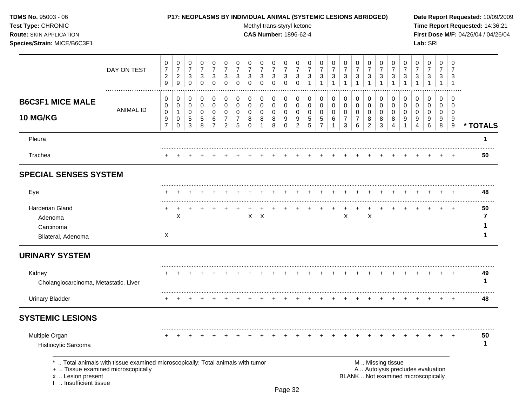TDMS No. 95003 - 06 Test Type: CHRONIC

**Route: SKIN APPLICATION** Species/Strain: MICE/B6C3F1

## P17: NEOPLASMS BY INDIVIDUAL ANIMAL (SYSTEMIC LESIONS ABRIDGED)

Methyl trans-styryl ketone

CAS Number: 1896-62-4

Date Report Requested: 10/09/2009 Time Report Requested: 14:36:21 First Dose M/F: 04/26/04 / 04/26/04 Lab: SRI

|                                                         | DAY ON TEST                                                                  | 0<br>$\boldsymbol{7}$<br>$\overline{2}$<br>9 | 0<br>$\boldsymbol{7}$<br>$\overline{c}$<br>9 | 0<br>$\overline{7}$<br>3<br>$\mathbf 0$ | 0<br>$\boldsymbol{7}$<br>$\mathbf{3}$<br>$\pmb{0}$ | 0<br>$\overline{7}$<br>3<br>$\mathbf 0$ | 0<br>$\overline{7}$<br>3<br>$\mathbf 0$ | 0<br>$\overline{7}$<br>$\mathbf{3}$<br>$\mathbf 0$ | 0<br>7<br>3<br>$\Omega$         | 0<br>$\overline{7}$<br>$\sqrt{3}$<br>$\mathbf 0$ | 0<br>$\overline{7}$<br>$\sqrt{3}$<br>$\mathbf 0$ | 0<br>$\overline{7}$<br>$\mathbf{3}$<br>$\pmb{0}$ | 0<br>$\overline{7}$<br>3<br>$\mathbf 0$ | 0<br>$\overline{7}$<br>3<br>$\mathbf{1}$ | 0<br>$\overline{7}$<br>3        | 0<br>$\overline{\mathbf{7}}$<br>3 | 0<br>$\boldsymbol{7}$<br>$\sqrt{3}$<br>$\overline{1}$ | 0<br>$\boldsymbol{7}$<br>$\mathbf{3}$<br>$\overline{1}$ | 0<br>$\overline{7}$<br>$\mathbf{3}$<br>$\mathbf{1}$ | 0<br>$\overline{7}$<br>3<br>$\mathbf{1}$ | $\mathbf 0$<br>$\overline{7}$<br>3 | 0<br>$\overline{7}$<br>3                                                 | 0<br>$\overline{7}$<br>3 | 0<br>$\overline{7}$<br>$\mathbf{3}$<br>$\mathbf{1}$ | 0<br>$\overline{7}$<br>3<br>$\mathbf{1}$ | $\mathbf 0$<br>7<br>3<br>$\overline{1}$ |          |
|---------------------------------------------------------|------------------------------------------------------------------------------|----------------------------------------------|----------------------------------------------|-----------------------------------------|----------------------------------------------------|-----------------------------------------|-----------------------------------------|----------------------------------------------------|---------------------------------|--------------------------------------------------|--------------------------------------------------|--------------------------------------------------|-----------------------------------------|------------------------------------------|---------------------------------|-----------------------------------|-------------------------------------------------------|---------------------------------------------------------|-----------------------------------------------------|------------------------------------------|------------------------------------|--------------------------------------------------------------------------|--------------------------|-----------------------------------------------------|------------------------------------------|-----------------------------------------|----------|
| <b>B6C3F1 MICE MALE</b><br>10 MG/KG                     | ANIMAL ID                                                                    | 0<br>0<br>$\pmb{0}$                          | $\pmb{0}$<br>$\pmb{0}$<br>$\mathbf{1}$       | 0<br>$\mathbf 0$<br>0                   | 0<br>$\pmb{0}$<br>0                                | 0<br>$\mathbf 0$<br>0                   | 0<br>$\mathbf 0$<br>$\mathbf 0$         | 0<br>$\mathbf 0$<br>0                              | 0<br>$\mathbf 0$<br>$\mathbf 0$ | 0<br>$\mathbf 0$<br>0                            | 0<br>$\mathbf 0$<br>0                            | 0<br>$\mathbf 0$<br>0                            | 0<br>$\mathbf 0$<br>0                   | 0<br>0<br>0                              | 0<br>$\mathbf 0$<br>$\mathbf 0$ | 0<br>0<br>0                       | 0<br>$\mathbf 0$<br>$\mathbf 0$                       | 0<br>$\pmb{0}$<br>$\pmb{0}$                             | 0<br>$\mathbf 0$<br>0                               | 0<br>$\pmb{0}$<br>0                      | 0<br>$\mathbf 0$<br>0              | 0<br>$\mathbf 0$<br>0                                                    | 0<br>$\mathbf 0$<br>0    | 0<br>$\mathbf 0$<br>$\mathbf 0$                     | 0<br>$\mathbf 0$<br>0                    | $\mathbf 0$<br>$\mathbf 0$<br>0         |          |
|                                                         |                                                                              | 9<br>$\overline{7}$                          | $\pmb{0}$<br>0                               | $\mathbf 5$<br>3                        | $\,$ 5 $\,$<br>8                                   | 6<br>$\overline{7}$                     | $\overline{7}$<br>$\overline{2}$        | $\overline{7}$<br>5                                | 8<br>$\Omega$                   | 8<br>$\overline{1}$                              | 8<br>8                                           | 9<br>0                                           | 9<br>$\overline{2}$                     | 5<br>5                                   | $\sqrt{5}$<br>$\overline{7}$    | 6<br>$\mathbf{1}$                 | $\boldsymbol{7}$<br>$\sqrt{3}$                        | $\overline{7}$<br>6                                     | 8<br>$\overline{2}$                                 | 8<br>3                                   | 8<br>4                             | 9<br>-1                                                                  | 9<br>$\overline{A}$      | 9<br>6                                              | 9<br>8                                   | 9<br>$9\,$                              | * TOTALS |
| Pleura                                                  |                                                                              |                                              |                                              |                                         |                                                    |                                         |                                         |                                                    |                                 |                                                  |                                                  |                                                  |                                         |                                          |                                 |                                   |                                                       |                                                         |                                                     |                                          |                                    |                                                                          |                          |                                                     |                                          |                                         | 1        |
| Trachea                                                 |                                                                              |                                              |                                              |                                         |                                                    |                                         |                                         |                                                    |                                 |                                                  |                                                  |                                                  |                                         |                                          |                                 |                                   |                                                       |                                                         |                                                     |                                          |                                    |                                                                          |                          |                                                     |                                          |                                         | 50       |
| <b>SPECIAL SENSES SYSTEM</b>                            |                                                                              |                                              |                                              |                                         |                                                    |                                         |                                         |                                                    |                                 |                                                  |                                                  |                                                  |                                         |                                          |                                 |                                   |                                                       |                                                         |                                                     |                                          |                                    |                                                                          |                          |                                                     |                                          |                                         |          |
| Eye                                                     |                                                                              |                                              |                                              |                                         |                                                    |                                         |                                         |                                                    |                                 |                                                  |                                                  |                                                  |                                         |                                          |                                 |                                   |                                                       |                                                         |                                                     |                                          |                                    |                                                                          |                          |                                                     |                                          |                                         | 48       |
| <b>Harderian Gland</b><br>Adenoma                       |                                                                              |                                              | X                                            |                                         |                                                    |                                         |                                         |                                                    | X                               | $\mathsf{X}$                                     |                                                  |                                                  |                                         |                                          |                                 |                                   | X                                                     |                                                         | X                                                   |                                          |                                    |                                                                          |                          |                                                     |                                          |                                         | 50<br>7  |
| Carcinoma<br>Bilateral, Adenoma                         |                                                                              | $\mathsf X$                                  |                                              |                                         |                                                    |                                         |                                         |                                                    |                                 |                                                  |                                                  |                                                  |                                         |                                          |                                 |                                   |                                                       |                                                         |                                                     |                                          |                                    |                                                                          |                          |                                                     |                                          |                                         | 1        |
| <b>URINARY SYSTEM</b>                                   |                                                                              |                                              |                                              |                                         |                                                    |                                         |                                         |                                                    |                                 |                                                  |                                                  |                                                  |                                         |                                          |                                 |                                   |                                                       |                                                         |                                                     |                                          |                                    |                                                                          |                          |                                                     |                                          |                                         |          |
| Kidney<br>Cholangiocarcinoma, Metastatic, Liver         |                                                                              |                                              |                                              |                                         |                                                    |                                         |                                         |                                                    |                                 |                                                  |                                                  |                                                  |                                         |                                          |                                 |                                   |                                                       |                                                         |                                                     |                                          |                                    |                                                                          |                          |                                                     |                                          |                                         | 49<br>1  |
| <b>Urinary Bladder</b>                                  |                                                                              |                                              |                                              |                                         |                                                    |                                         |                                         |                                                    |                                 |                                                  |                                                  |                                                  |                                         |                                          |                                 |                                   |                                                       |                                                         |                                                     |                                          |                                    |                                                                          |                          |                                                     |                                          |                                         | 48       |
| <b>SYSTEMIC LESIONS</b>                                 |                                                                              |                                              |                                              |                                         |                                                    |                                         |                                         |                                                    |                                 |                                                  |                                                  |                                                  |                                         |                                          |                                 |                                   |                                                       |                                                         |                                                     |                                          |                                    |                                                                          |                          |                                                     |                                          |                                         |          |
| Multiple Organ<br>Histiocytic Sarcoma                   |                                                                              |                                              |                                              |                                         |                                                    |                                         |                                         |                                                    |                                 |                                                  |                                                  |                                                  |                                         |                                          |                                 |                                   |                                                       |                                                         |                                                     |                                          |                                    |                                                                          |                          |                                                     |                                          |                                         | 50<br>1  |
| +  Tissue examined microscopically<br>x  Lesion present | Total animals with tissue examined microscopically; Total animals with tumor |                                              |                                              |                                         |                                                    |                                         |                                         |                                                    |                                 |                                                  |                                                  |                                                  |                                         |                                          |                                 |                                   |                                                       |                                                         |                                                     |                                          | M  Missing tissue                  | A  Autolysis precludes evaluation<br>BLANK  Not examined microscopically |                          |                                                     |                                          |                                         |          |

I .. Insufficient tissue

Page 32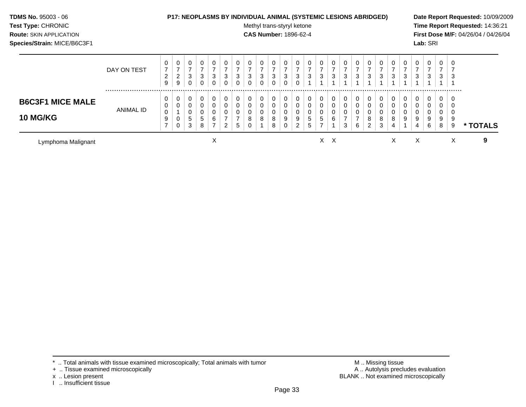| <b>TDMS No. 95003 - 06</b>         | <b>P17: NEOPLASMS BY INDIVIDUAL ANIMAL (SYSTEMIC LESIONS ABRIDGED)</b> | Date Rep         |
|------------------------------------|------------------------------------------------------------------------|------------------|
| <b>Test Type: CHRONIC</b>          | Methyl trans-styryl ketone                                             | Time Rer         |
| <b>Route:</b> SKIN APPLICATION     | <b>CAS Number: 1896-62-4</b>                                           | <b>First Dos</b> |
| <b>Species/Strain: MICE/B6C3F1</b> |                                                                        | Lab: SRI         |

**Methyl trans-styryl ketone Time Report Requested:** 14:36:21 **CAS Number:** 1896-62-4 **First Dose M/F:** 04/26/04 / 04/26/04

| Lymphoma Malignant                         |                  |                                    |                            |                                     |                                         | ⌒                  |             |                                              |                   |                  |                       |                                  |                       |                                       | X                     | $\times$         |                                                          |             |                     |             | X                     |             | $\check{ }$<br>⋏ |                       |                  | $\checkmark$<br>⌒ | 9        |
|--------------------------------------------|------------------|------------------------------------|----------------------------|-------------------------------------|-----------------------------------------|--------------------|-------------|----------------------------------------------|-------------------|------------------|-----------------------|----------------------------------|-----------------------|---------------------------------------|-----------------------|------------------|----------------------------------------------------------|-------------|---------------------|-------------|-----------------------|-------------|------------------|-----------------------|------------------|-------------------|----------|
| <b>B6C3F1 MICE MALE</b><br><b>10 MG/KG</b> | <b>ANIMAL ID</b> | 0<br>0<br>0<br>9<br>$\overline{ }$ | $\overline{0}$             | 0<br>0<br>0<br>$5\phantom{.0}$<br>3 | 0<br>0<br>0<br>5<br>8                   | $\Omega$<br>6<br>⇁ | 0<br>-<br>ີ | 0<br>0<br>0<br>$\overline{\phantom{0}}$<br>G | 0<br>$\circ$<br>o | 0<br>0<br>0<br>8 | 0<br>0<br>0<br>8<br>8 | $\mathbf{0}$<br>9<br>$\cup$      | 0<br>0<br>0<br>9<br>ົ | U<br>$\sim$<br>U<br>⌒<br>υ<br>C.<br>đ | U<br>$\sim$<br>U<br>- | 0<br>0<br>0<br>6 | υ<br>$\Omega$<br>$\sim$<br>$\overline{\phantom{0}}$<br>3 | 0<br>-<br>6 | 8<br>$\overline{2}$ | 8<br>$\sim$ | 0<br>0<br>0<br>8<br>4 | U<br>υ<br>9 | 9<br>4           | 0<br>0<br>0<br>9<br>6 | υ<br>u<br>9<br>8 |                   | * TOTALS |
|                                            | DAY ON TEST      | 0<br>$\overline{ }$<br>2<br>9      | 0<br>⇁<br>$\sim$<br>∠<br>9 | 0<br>-<br>3<br>0                    | 0<br>$\overline{\phantom{0}}$<br>3<br>0 | -0<br>3<br>0       | 0<br>3      | 0<br>3<br>0                                  | 3                 | 0<br>3<br>0      | 0<br>3<br>0           | $\mathbf{0}$<br>3<br>$\mathbf 0$ | 0<br>3<br>0           | U<br>3                                | ◡<br>3                | 0<br>-<br>3      | υ<br>3                                                   | υ<br>3      | $\mathbf{0}$<br>3   | ົ<br>ۍ      | 0<br>3                | U<br>-<br>3 | -<br>3           | 0<br>3                | υ<br>3           | -3                |          |

+ .. Tissue examined microscopically

x .. Lesion present<br>I .. Insufficient tissue

\* .. Total animals with tissue examined microscopically; Total animals with tumor **M** metally more than M .. Missing tissue<br>  $\blacksquare$  Tissue examined microscopically BLANK .. Not examined microscopically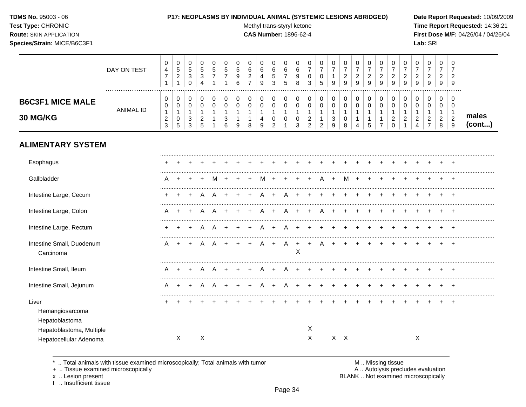TDMS No. 95003 - 06 Test Type: CHRONIC

**Route: SKIN APPLICATION** 

Species/Strain: MICE/B6C3F1

#### P17: NEOPLASMS BY INDIVIDUAL ANIMAL (SYSTEMIC LESIONS ABRIDGED)

Methyl trans-styryl ketone

**CAS Number: 1896-62-4** 

Date Report Requested: 10/09/2009 Time Report Requested: 14:36:21 First Dose M/F: 04/26/04 / 04/26/04 Lab: SRI

|                         | DAY ON TEST | 0<br>4 | U<br>5<br>$\sim$<br><u>.</u> | U<br><sub>5</sub><br>ີ<br>ັ | υ<br>5<br>ົບ<br>વ<br>◡ | 0<br>ა | 0<br>G      | υ<br><sub>5</sub><br>g<br>ค | U<br>6<br><u>_</u> | 0<br>6<br>9 | U<br>6<br><sub>5</sub><br>3 | C | U<br>6<br>9<br>8 | . G<br>◠<br>J | 0<br>U<br>5 | 9       | $\mathbf{0}$<br>ົ<br>∠<br>9 | 0<br>ົ<br>_<br>9 | U<br>ົ<br>∠<br>9 | υ<br>У | ◡<br>9 | U<br>9 | 0<br>◠<br>9 | U<br><sup>o</sup><br><u>_</u><br>9 | J<br>$\overline{ }$<br>-<br>9 |                 |
|-------------------------|-------------|--------|------------------------------|-----------------------------|------------------------|--------|-------------|-----------------------------|--------------------|-------------|-----------------------------|---|------------------|---------------|-------------|---------|-----------------------------|------------------|------------------|--------|--------|--------|-------------|------------------------------------|-------------------------------|-----------------|
| <b>B6C3F1 MICE MALE</b> |             | Ü<br>0 | v<br>v                       | U                           |                        | 0<br>0 | 0<br>0      | U                           |                    |             |                             |   | 0                |               |             |         | 0<br>0                      | 0<br>0           | U                |        |        |        | 0<br>0      |                                    | <u>u</u><br>v                 |                 |
| <b>30 MG/KG</b>         | ANIMAL ID   | ⌒<br>J | U<br>π<br>ັ                  | 3                           |                        |        | ົ<br>ۍ<br>6 |                             |                    |             | U<br><u>_</u>               |   | 0                | ◠<br><u>_</u> | <u>_</u>    | -2<br>ು | 0<br>8                      | 4                |                  |        |        |        | ◠           | ⌒<br>_<br>$\circ$                  | L<br>9                        | males<br>(cont) |

## **ALIMENTARY SYSTEM**

| Esophagus                                                                                        |           |   |   |   |  |     |              |     |   |            |        |     |                |            |  |  |   |  |        |
|--------------------------------------------------------------------------------------------------|-----------|---|---|---|--|-----|--------------|-----|---|------------|--------|-----|----------------|------------|--|--|---|--|--------|
| Gallbladder                                                                                      | A         |   |   | м |  |     |              |     |   |            |        | Α   |                | м          |  |  |   |  |        |
| Intestine Large, Cecum                                                                           | $\ddot{}$ |   | A | A |  |     | A            | $+$ | A |            |        |     |                |            |  |  |   |  | $\div$ |
| Intestine Large, Colon                                                                           | A         |   | A | A |  | $+$ | $\mathsf{A}$ | $+$ | A | $+$        | $+$    | A + |                | $+$        |  |  |   |  |        |
| Intestine Large, Rectum                                                                          | $\ddot{}$ |   | A | A |  |     | A            |     | A |            |        |     |                |            |  |  |   |  |        |
| Intestine Small, Duodenum<br>Carcinoma                                                           | A         |   |   |   |  |     | A            | $+$ | A | $\pm$<br>X | $\pm$  | A   | $\overline{+}$ |            |  |  |   |  |        |
| Intestine Small, Ileum                                                                           | A         |   | A | A |  |     |              |     |   |            |        |     |                |            |  |  |   |  |        |
| Intestine Small, Jejunum                                                                         | A         |   |   |   |  |     |              |     |   |            |        |     |                |            |  |  |   |  |        |
| Liver<br>Hemangiosarcoma<br>Hepatoblastoma<br>Hepatoblastoma, Multiple<br>Hepatocellular Adenoma |           | X | X |   |  |     |              |     |   |            | X<br>Χ |     |                | $X \times$ |  |  | Χ |  |        |

.. Total animals with tissue examined microscopically; Total animals with tumor  $\star$ 

+ .. Tissue examined microscopically

x .. Lesion present

I .. Insufficient tissue

M .. Missing tissue

A .. Autolysis precludes evaluation BLANK .. Not examined microscopically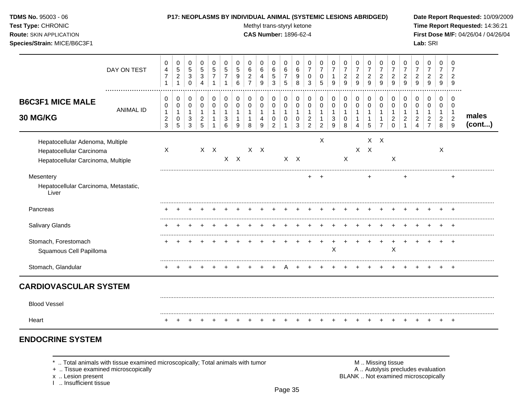**Test Type:** CHRONIC **Trans-styryl ketone** Methyl trans-styryl ketone **Time Report Requested:** 14:36:21 **Route:** SKIN APPLICATION **CAS Number:** 1896-62-4 **First Dose M/F:** 04/26/04 / 04/26/04 **Species/Strain:** MICE/B6C3F1 **Lab:** SRI

|                                                                                                    | DAY ON TEST      | 0<br>$\overline{\mathbf{4}}$<br>$\overline{\mathbf{7}}$<br>$\mathbf{1}$ | 0<br>$\,$ 5 $\,$<br>$\sqrt{2}$<br>$\overline{1}$      | 0<br>$\sqrt{5}$<br>$\mathbf{3}$<br>$\Omega$   | $\mathbf 0$<br>5<br>$\mathbf{3}$<br>4         | $\Omega$<br>5<br>$\overline{7}$ | 0<br>5<br>7      | 0<br>5<br>9<br>6                 | 0<br>$\,6\,$<br>$\overline{c}$<br>$\overline{z}$ | 0<br>6<br>$\overline{4}$<br>9 | $\Omega$<br>6<br>$\mathbf 5$<br>3            | $\Omega$<br>6<br>5                    | $\Omega$<br>6<br>9<br>8 | 0<br>$\overline{7}$<br>0<br>3                    | 0<br>$\overline{7}$<br>0<br>5                 | 0<br>$\overline{7}$<br>1<br>9 | 0<br>$\overline{7}$<br>$\sqrt{2}$<br>$\overline{9}$ | $\mathbf 0$<br>$\overline{7}$<br>$\overline{c}$<br>9 | 0<br>$\overline{7}$<br>$\overline{c}$<br>9 | 0<br>$\overline{7}$<br>$\overline{c}$<br>9 | 0<br>$\overline{7}$<br>$\overline{c}$<br>9 | 0<br>$\overline{7}$<br>2<br>9 | 0<br>$\overline{7}$<br>$\overline{c}$<br>9                        | 0<br>$\overline{7}$<br>$\overline{c}$<br>$\boldsymbol{9}$ | $\Omega$<br>$\overline{7}$<br>$\overline{2}$<br>9 | $\Omega$<br>7<br>$\overline{2}$<br>9                          |                 |
|----------------------------------------------------------------------------------------------------|------------------|-------------------------------------------------------------------------|-------------------------------------------------------|-----------------------------------------------|-----------------------------------------------|---------------------------------|------------------|----------------------------------|--------------------------------------------------|-------------------------------|----------------------------------------------|---------------------------------------|-------------------------|--------------------------------------------------|-----------------------------------------------|-------------------------------|-----------------------------------------------------|------------------------------------------------------|--------------------------------------------|--------------------------------------------|--------------------------------------------|-------------------------------|-------------------------------------------------------------------|-----------------------------------------------------------|---------------------------------------------------|---------------------------------------------------------------|-----------------|
| <b>B6C3F1 MICE MALE</b><br><b>30 MG/KG</b>                                                         | <b>ANIMAL ID</b> | 0<br>0<br>$\mathbf{1}$<br>$\overline{c}$<br>3                           | 0<br>0<br>$\mathbf{1}$<br>$\pmb{0}$<br>$\overline{5}$ | 0<br>0<br>1<br>$\ensuremath{\mathsf{3}}$<br>3 | 0<br>0<br>$\mathbf{1}$<br>$\overline{2}$<br>5 | 0<br>0                          | 0<br>0<br>3<br>6 | 0<br>0<br>1<br>$\mathbf{1}$<br>9 | 0<br>0<br>1<br>$\mathbf{1}$<br>8                 | 0<br>0<br>-1<br>4<br>9        | 0<br>0<br>1<br>$\mathbf 0$<br>$\overline{2}$ | 0<br>0<br>$\mathbf{1}$<br>$\mathbf 0$ | 0<br>0<br>1<br>0<br>3   | 0<br>0<br>-1<br>$\overline{c}$<br>$\overline{2}$ | 0<br>0<br>1<br>$\mathbf{1}$<br>$\overline{2}$ | 0<br>0<br>1<br>3<br>9         | 0<br>$\mathbf 0$<br>$\mathbf{1}$<br>0<br>8          | 0<br>0<br>1<br>1<br>$\Delta$                         | 0<br>0<br>1<br>1<br>5                      | 0<br>0<br>$\overline{7}$                   | 0<br>0<br>$\overline{c}$<br>$\Omega$       | 0<br>0<br>1<br>$\overline{2}$ | 0<br>0<br>$\mathbf{1}$<br>$\overline{2}$<br>$\boldsymbol{\Delta}$ | 0<br>0<br>$\mathbf 1$<br>$\overline{2}$<br>$\overline{7}$ | $\Omega$<br>0<br>1<br>$\overline{c}$<br>8         | $\Omega$<br>0<br>$\mathbf 1$<br>$\overline{c}$<br>$\mathsf g$ | males<br>(cont) |
| Hepatocellular Adenoma, Multiple<br>Hepatocellular Carcinoma<br>Hepatocellular Carcinoma, Multiple |                  | $\sf X$                                                                 |                                                       |                                               |                                               | X X                             |                  | $X$ $X$                          | $X$ $X$                                          |                               |                                              |                                       | $X$ $X$                 |                                                  | $\mathsf X$                                   |                               | $\mathsf{X}$                                        |                                                      | $X$ $X$                                    | $X$ $X$                                    | X                                          |                               |                                                                   |                                                           | X                                                 |                                                               |                 |
| Mesentery<br>Hepatocellular Carcinoma, Metastatic,<br>Liver                                        |                  |                                                                         |                                                       |                                               |                                               |                                 |                  |                                  |                                                  |                               |                                              |                                       |                         |                                                  |                                               |                               |                                                     |                                                      |                                            |                                            |                                            |                               |                                                                   |                                                           |                                                   |                                                               |                 |
| Pancreas                                                                                           |                  |                                                                         |                                                       |                                               |                                               |                                 |                  |                                  |                                                  |                               |                                              |                                       |                         |                                                  |                                               |                               |                                                     |                                                      |                                            |                                            |                                            |                               |                                                                   |                                                           |                                                   |                                                               |                 |
| Salivary Glands                                                                                    |                  |                                                                         |                                                       |                                               |                                               |                                 |                  |                                  |                                                  |                               |                                              |                                       |                         |                                                  |                                               |                               |                                                     |                                                      |                                            |                                            |                                            |                               |                                                                   |                                                           |                                                   |                                                               |                 |
| Stomach, Forestomach<br>Squamous Cell Papilloma                                                    |                  |                                                                         |                                                       |                                               |                                               |                                 |                  |                                  |                                                  |                               |                                              |                                       |                         |                                                  |                                               | X                             |                                                     |                                                      |                                            |                                            | X                                          |                               |                                                                   |                                                           |                                                   |                                                               |                 |
| Stomach, Glandular                                                                                 |                  |                                                                         |                                                       |                                               |                                               |                                 |                  |                                  |                                                  |                               |                                              |                                       |                         |                                                  |                                               |                               |                                                     |                                                      |                                            |                                            |                                            |                               |                                                                   |                                                           |                                                   | $\pm$                                                         |                 |
| <b>CARDIOVASCULAR SYSTEM</b>                                                                       |                  |                                                                         |                                                       |                                               |                                               |                                 |                  |                                  |                                                  |                               |                                              |                                       |                         |                                                  |                                               |                               |                                                     |                                                      |                                            |                                            |                                            |                               |                                                                   |                                                           |                                                   |                                                               |                 |
| <b>Blood Vessel</b>                                                                                |                  |                                                                         |                                                       |                                               |                                               |                                 |                  |                                  |                                                  |                               |                                              |                                       |                         |                                                  |                                               |                               |                                                     |                                                      |                                            |                                            |                                            |                               |                                                                   |                                                           |                                                   |                                                               |                 |
| Heart                                                                                              |                  |                                                                         |                                                       |                                               |                                               |                                 |                  |                                  |                                                  |                               |                                              |                                       |                         |                                                  |                                               |                               |                                                     |                                                      |                                            |                                            |                                            |                               |                                                                   |                                                           |                                                   |                                                               |                 |

## **ENDOCRINE SYSTEM**

\* .. Total animals with tissue examined microscopically; Total animals with tumor <br>
+ .. Tissue examined microscopically<br>
+ .. Tissue examined microscopically

+ .. Tissue examined microscopically

x .. Lesion present<br>I .. Insufficient tissue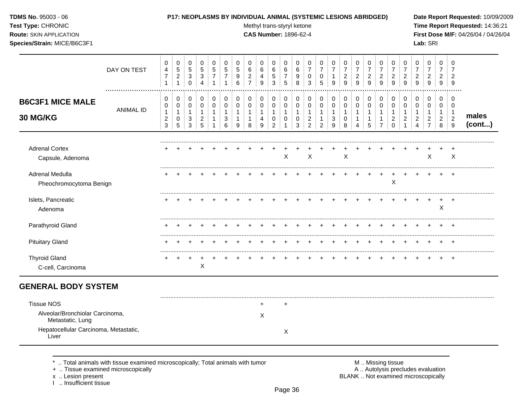Test Type: CHRONIC **Test Type:** CHRONIC **Test Type:** CHRONIC **Time Report Requested:** 14:36:21 **Route:** SKIN APPLICATION **CAS Number:** 1896-62-4 **First Dose M/F:** 04/26/04 / 04/26/04 **Species/Strain:** MICE/B6C3F1 **Lab:** SRI

|                                                     | DAY ON TEST      | 0<br>$\overline{4}$<br>$\overline{7}$<br>$\mathbf{1}$ | $\pmb{0}$<br>$\sqrt{5}$<br>$\boldsymbol{2}$<br>$\mathbf{1}$ | $\pmb{0}$<br>$\sqrt{5}$<br>$\sqrt{3}$<br>0 | $\pmb{0}$<br>$\sqrt{5}$<br>$\mathbf{3}$<br>4 | $\mathbf 0$<br>$\sqrt{5}$<br>$\overline{7}$ | 0<br>5<br>$\overline{7}$ | 0<br>$\sqrt{5}$<br>9<br>6 | 0<br>$\,6\,$<br>$\sqrt{2}$<br>$\overline{7}$ | 0<br>$\,6\,$<br>$\overline{\mathbf{4}}$<br>9 | 0<br>$\,6\,$<br>$\sqrt{5}$<br>3     | 0<br>$\,6\,$<br>$\overline{7}$<br>5 | 0<br>$\,6\,$<br>9<br>8 | 0<br>$\overline{7}$<br>$\mathbf 0$<br>3 | 0<br>$\overline{7}$<br>$\mathbf 0$<br>5 | 0<br>$\overline{7}$<br>$\mathbf{1}$<br>9 | 0<br>$\boldsymbol{7}$<br>$\sqrt{2}$<br>$\overline{9}$ | 0<br>$\overline{7}$<br>$\overline{2}$<br>9 | $\pmb{0}$<br>$\overline{7}$<br>$\overline{c}$<br>9 | 0<br>$\overline{7}$<br>$\overline{c}$<br>9 | 0<br>$\overline{7}$<br>$\boldsymbol{2}$<br>9 | $\mathbf 0$<br>$\overline{7}$<br>$\overline{c}$<br>9 | 0<br>$\overline{7}$<br>$\overline{c}$<br>9       | 0<br>$\overline{7}$<br>$\sqrt{2}$<br>9             | $\pmb{0}$<br>$\overline{7}$<br>$\overline{c}$<br>9 | 0<br>7<br>$\overline{2}$<br>9                   |                 |
|-----------------------------------------------------|------------------|-------------------------------------------------------|-------------------------------------------------------------|--------------------------------------------|----------------------------------------------|---------------------------------------------|--------------------------|---------------------------|----------------------------------------------|----------------------------------------------|-------------------------------------|-------------------------------------|------------------------|-----------------------------------------|-----------------------------------------|------------------------------------------|-------------------------------------------------------|--------------------------------------------|----------------------------------------------------|--------------------------------------------|----------------------------------------------|------------------------------------------------------|--------------------------------------------------|----------------------------------------------------|----------------------------------------------------|-------------------------------------------------|-----------------|
| <b>B6C3F1 MICE MALE</b>                             |                  | 0<br>0                                                | $\pmb{0}$<br>0                                              | 0<br>$\mathbf 0$                           | $\pmb{0}$<br>$\mathbf 0$                     | $\mathbf 0$<br>$\mathbf 0$                  | $\,0\,$<br>0             | $\pmb{0}$<br>0            | $\pmb{0}$<br>$\mathbf 0$                     | $\pmb{0}$<br>0                               | $\,0\,$<br>0                        | 0<br>0                              | $\pmb{0}$<br>0         | $\pmb{0}$<br>0                          | $\,0\,$<br>$\mathbf 0$                  | $\pmb{0}$<br>0                           | $\pmb{0}$<br>$\pmb{0}$                                | $\,0\,$<br>$\mathbf 0$                     | $\,0\,$<br>0                                       | $\,0\,$<br>0                               | 0<br>0                                       | $\pmb{0}$<br>$\mathbf 0$                             | 0<br>$\mathbf 0$                                 | $\pmb{0}$<br>0                                     | $\pmb{0}$<br>$\mathbf 0$                           | 0<br>$\mathbf 0$                                |                 |
| 30 MG/KG                                            | <b>ANIMAL ID</b> | $\mathbf{1}$<br>$\overline{2}$<br>3                   | $\mathbf{1}$<br>$\pmb{0}$<br>$\sqrt{5}$                     | $\mathbf{1}$<br>3<br>3                     | $\mathbf{1}$<br>$\overline{c}$<br>5          |                                             | $\mathbf{1}$<br>3<br>6   | 9                         | 8                                            | $\mathbf{1}$<br>4<br>9                       | $\mathbf{1}$<br>0<br>$\overline{c}$ | $\mathbf{1}$<br>0<br>1              | $\mathbf{1}$<br>0<br>3 | $\mathbf{1}$<br>$\overline{c}$<br>2     | $\mathbf{1}$<br>1<br>$\overline{2}$     | $\mathbf{1}$<br>3<br>9                   | $\mathbf{1}$<br>0<br>8                                | 1<br>1<br>4                                | $\mathbf{1}$<br>$\mathbf{1}$<br>5                  | 1<br>1<br>$\overline{7}$                   | $\mathbf{1}$<br>$\overline{c}$<br>$\Omega$   | $\mathbf 1$<br>$\overline{c}$                        | $\mathbf{1}$<br>$\overline{2}$<br>$\overline{4}$ | $\mathbf{1}$<br>$\boldsymbol{2}$<br>$\overline{7}$ | $\mathbf{1}$<br>$\overline{a}$<br>8                | $\mathbf 1$<br>$\overline{c}$<br>$\overline{9}$ | males<br>(cont) |
| <b>Adrenal Cortex</b><br>Capsule, Adenoma           |                  |                                                       |                                                             |                                            |                                              |                                             |                          |                           |                                              |                                              |                                     | X                                   |                        | X                                       |                                         |                                          | $\sf X$                                               |                                            |                                                    |                                            |                                              |                                                      |                                                  | $\boldsymbol{\mathsf{X}}$                          |                                                    | $\boldsymbol{\mathsf{X}}$                       |                 |
| Adrenal Medulla<br>Pheochromocytoma Benign          |                  |                                                       |                                                             |                                            |                                              |                                             |                          |                           |                                              |                                              |                                     |                                     |                        |                                         |                                         |                                          |                                                       |                                            |                                                    |                                            | $\sf X$                                      |                                                      |                                                  |                                                    |                                                    |                                                 |                 |
| Islets, Pancreatic<br>Adenoma                       |                  |                                                       |                                                             |                                            |                                              |                                             |                          |                           |                                              |                                              |                                     |                                     |                        |                                         |                                         |                                          |                                                       |                                            |                                                    |                                            |                                              |                                                      |                                                  |                                                    | X                                                  | $\overline{ }$                                  |                 |
| Parathyroid Gland                                   |                  |                                                       |                                                             |                                            |                                              |                                             |                          |                           |                                              |                                              |                                     |                                     |                        |                                         |                                         |                                          |                                                       |                                            |                                                    |                                            |                                              |                                                      |                                                  |                                                    |                                                    |                                                 |                 |
| <b>Pituitary Gland</b>                              |                  |                                                       |                                                             |                                            |                                              |                                             |                          |                           |                                              |                                              |                                     |                                     |                        |                                         |                                         |                                          |                                                       |                                            |                                                    |                                            |                                              |                                                      |                                                  |                                                    |                                                    | $\overline{ }$                                  |                 |
| <b>Thyroid Gland</b><br>C-cell, Carcinoma           |                  | $\div$                                                |                                                             |                                            | $\mathsf X$                                  |                                             |                          |                           |                                              |                                              |                                     |                                     |                        |                                         |                                         |                                          |                                                       |                                            |                                                    |                                            |                                              |                                                      |                                                  |                                                    |                                                    | $\overline{1}$                                  |                 |
| <b>GENERAL BODY SYSTEM</b>                          |                  |                                                       |                                                             |                                            |                                              |                                             |                          |                           |                                              |                                              |                                     |                                     |                        |                                         |                                         |                                          |                                                       |                                            |                                                    |                                            |                                              |                                                      |                                                  |                                                    |                                                    |                                                 |                 |
| <b>Tissue NOS</b>                                   |                  |                                                       |                                                             |                                            |                                              |                                             |                          |                           |                                              | $\ddot{}$                                    |                                     | $\ddot{}$                           |                        |                                         |                                         |                                          |                                                       |                                            |                                                    |                                            |                                              |                                                      |                                                  |                                                    |                                                    |                                                 |                 |
| Alveolar/Bronchiolar Carcinoma,<br>Metastatic, Lung |                  |                                                       |                                                             |                                            |                                              |                                             |                          |                           |                                              | X                                            |                                     |                                     |                        |                                         |                                         |                                          |                                                       |                                            |                                                    |                                            |                                              |                                                      |                                                  |                                                    |                                                    |                                                 |                 |
| Hepatocellular Carcinoma, Metastatic,               |                  |                                                       |                                                             |                                            |                                              |                                             |                          |                           |                                              |                                              |                                     | X                                   |                        |                                         |                                         |                                          |                                                       |                                            |                                                    |                                            |                                              |                                                      |                                                  |                                                    |                                                    |                                                 |                 |

.<br>Liver

+ .. Tissue examined microscopically

I .. Insufficient tissue

\* .. Total animals with tissue examined microscopically; Total animals with tumor **M** metal metal metal M .. Missing tissue<br>
+ .. Tissue examined microscopically but all animals with tumor **M** metal metal M .. Autolysis pr x .. Lesion present **BLANK** .. Not examined microscopically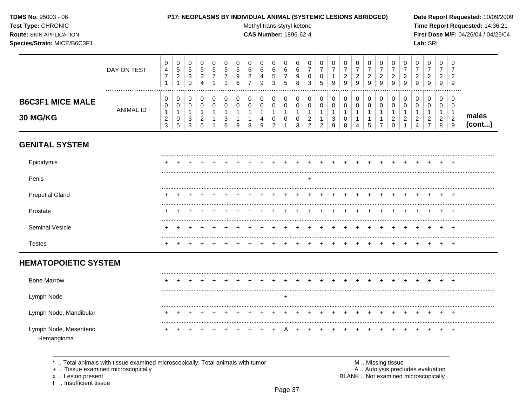**Route: SKIN APPLICATION** 

Species/Strain: MICE/B6C3F1

#### P17: NEOPLASMS BY INDIVIDUAL ANIMAL (SYSTEMIC LESIONS ABRIDGED)

Methyl trans-styryl ketone

CAS Number: 1896-62-4

Date Report Requested: 10/09/2009 Time Report Requested: 14:36:21 First Dose M/F: 04/26/04 / 04/26/04 Lab: SRI

#### $\mathbf 0$  $\mathbf 0$  $\mathbf 0$  $\mathbf 0$  $\mathbf 0$  $\mathbf 0$  $\mathbf 0$  $\mathbf 0$  $\mathbf 0$  $\mathbf 0$  $\mathbf 0$  $\mathbf 0$  $\mathbf 0$  $\mathbf 0$  $\mathbf 0$  $\mathbf 0$  $\mathbf 0$  $\mathbf 0$  $\mathbf 0$  $\mathbf 0$  $\mathbf 0$  $\mathbf 0$  $\mathbf 0$  $\begin{array}{c} 0 \\ 5 \\ 2 \end{array}$  $\mathbf 0$  $rac{5}{7}$  $\overline{6}$  $\overline{6}$  $\overline{7}$  $\overline{7}$  $\overline{7}$  $\overline{7}$  $\overline{7}$  $\overline{7}$  $\overline{7}$  $\overline{7}$  $\overline{7}$  $\sqrt{5}$  $\overline{5}$  $\overline{5}$  $\overline{5}$  $\,6$  $\overline{7}$  $\overline{7}$  $\overline{7}$  $\overline{4}$  $\,6\,$  $\,6$  $\overline{7}$ DAY ON TEST  $\frac{2}{9}$  $\overline{7}$  $\overline{3}$  $\overline{3}$  $\overline{7}$  $\overline{2}$  $\overline{5}$  $\overline{2}$  $\overline{2}$  $\overline{2}$  $\overline{2}$  $\overline{2}$  $\begin{array}{c} 2 \\ 9 \end{array}$  $\frac{2}{9}$  $\boldsymbol{9}$  $\overline{\mathbf{4}}$  $\overline{7}$  $\boldsymbol{9}$  $\pmb{0}$  $\pmb{0}$  $\mathbf{1}$  $\overline{2}$  $\overline{2}$  $\overline{1}$  $\mathbf 0$  $\overline{4}$  $\mathbf{1}$  $\,6\,$  $\overline{7}$  $\overline{9}$  $\mathbf{3}$  $\overline{5}$  $\bf{8}$  $\mathbf{3}$  $\overline{5}$  $\mathsf g$  $\mathsf g$  $\mathsf g$  $\overline{9}$  $\overline{9}$  $\overline{9}$  $\boldsymbol{9}$  $\boldsymbol{9}$  $\mathbf{1}$  $\mathbf{1}$  $\overline{0}$  $\pmb{0}$  $\mathsf 0$  $\pmb{0}$  $\pmb{0}$  $\mathbf 0$  $\mathbf 0$  $\mathbf 0$  $\mathbf 0$  $\pmb{0}$  $\pmb{0}$  $\pmb{0}$  $\mathbf 0$  $\mathbf 0$  $\mathsf 0$  $\mathbf 0$  $\pmb{0}$  $\mathbf 0$  $\pmb{0}$  $\pmb{0}$  $\mathbf 0$  $\mathsf 0$  $\boldsymbol{0}$  $\mathbf 0$  $\mathsf 0$ **B6C3F1 MICE MALE**  $\mathbf 0$  $\mathbf 0$  $\mathbf 0$  $\mathbf 0$  $\mathbf 0$  $\mathbf 0$  $\mathsf{O}\xspace$  $\mathbf 0$  $\mathbf 0$  $\mathbf 0$  $\mathbf 0$  $\pmb{0}$  $\mathbf 0$  $\pmb{0}$  $\mathbf 0$  $\pmb{0}$  $\mathbf 0$  $\mathbf 0$  $\mathbf 0$  $\mathbf 0$  $\pmb{0}$  $\mathbf 0$  $\mathbf 0$  $\mathbf 0$  $\mathbf 0$ **ANIMAL ID**  $\mathbf{1}$  $\overline{1}$  $\mathbf{1}$  $\mathbf{1}$  $\mathbf{1}$  $\mathbf{1}$  $\overline{1}$  $\overline{1}$  $\mathbf{1}$  $\overline{1}$  $\mathbf{1}$  $\mathbf{1}$  $\mathbf{1}$  $\mathbf{1}$  $\mathbf{1}$  $\mathbf{1}$  $\mathbf{1}$  $\overline{1}$  $\mathbf{1}$  $\mathbf{1}$  $\overline{1}$  $\mathbf{1}$  $\mathbf{1}$  $\mathbf{1}$  $\overline{1}$ males **30 MG/KG**  $\frac{2}{7}$  $\frac{2}{3}$  $\begin{array}{c} 0 \\ 5 \end{array}$  $\begin{array}{c} 1 \\ 1 \end{array}$  $\frac{1}{7}$  $_{0}^{2}$  $\frac{2}{4}$  $\frac{2}{5}$  $\ensuremath{\mathsf{3}}$  $\frac{0}{2}$  $\boldsymbol{2}$  $\pmb{0}$  $\begin{array}{c} 2 \\ 1 \end{array}$  $\sqrt{2}$  $\overline{2}$  $\mathbf{3}$  $\overline{1}$  $\mathbf{1}$  $\overline{4}$  $\pmb{0}$  $\mathbf 0$  $\mathbf{1}$  $\mathbf{3}$  $\mathbf{1}$  $\mathbf{1}$  $(cont...)$  $\mathbf{3}$  $\,6\,$ 8 9  $\mathbf{3}$  $\overline{2}$  $\overline{2}$ 9 8  $5\phantom{.0}$ 9  $\mathbf{1}$  $\overline{4}$ 8 9

# **GENITAL SYSTEM**

| Epididymis             |  |  |  |  |  |  |  |  |  |  |  |  |  |  |
|------------------------|--|--|--|--|--|--|--|--|--|--|--|--|--|--|
| Penis                  |  |  |  |  |  |  |  |  |  |  |  |  |  |  |
| <b>Preputial Gland</b> |  |  |  |  |  |  |  |  |  |  |  |  |  |  |
| Prostate               |  |  |  |  |  |  |  |  |  |  |  |  |  |  |
| Seminal Vesicle        |  |  |  |  |  |  |  |  |  |  |  |  |  |  |
| l estes                |  |  |  |  |  |  |  |  |  |  |  |  |  |  |

# **HEMATOPOIETIC SYSTEM**

| <b>Bone Marrow</b>     |  |  |  |  |  |  |                   |  |  |  |     |  | <b>+</b> |
|------------------------|--|--|--|--|--|--|-------------------|--|--|--|-----|--|----------|
| Lymph Node             |  |  |  |  |  |  |                   |  |  |  |     |  |          |
| Lymph Node, Mandibular |  |  |  |  |  |  |                   |  |  |  |     |  | $+$      |
| Lymph Node, Mesenteric |  |  |  |  |  |  | + + + + + + + + + |  |  |  | $+$ |  | $+$      |

.. Total animals with tissue examined microscopically; Total animals with tumor

+ .. Tissue examined microscopically

x .. Lesion present

I .. Insufficient tissue

M .. Missing tissue A .. Autolysis precludes evaluation BLANK .. Not examined microscopically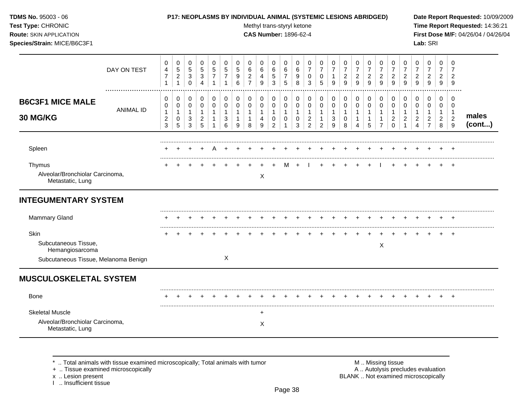**Test Type:** CHRONIC **The Report Requested:** 14:36:21 **Route:** SKIN APPLICATION **CAS Number:** 1896-62-4 **First Dose M/F:** 04/26/04 / 04/26/04 **Species/Strain:** MICE/B6C3F1 **Lab:** SRI

|                                                                                         | DAY ON TEST<br>  | 0<br>$\overline{4}$<br>$\overline{7}$<br>$\mathbf{1}$ | 0<br>$\sqrt{5}$<br>$\sqrt{2}$<br>$\mathbf{1}$ | $\mathbf 0$<br>$\overline{5}$<br>$\sqrt{3}$<br>$\mathbf 0$ | 0<br>$\overline{5}$<br>$\ensuremath{\mathsf{3}}$<br>4 | 0<br>5<br>$\overline{7}$               | $\mathbf 0$<br>$\overline{5}$<br>$\overline{7}$ | 0<br>$\overline{5}$<br>$\boldsymbol{9}$<br>6         | $\mathbf 0$<br>$\,6\,$<br>$\overline{c}$<br>$\overline{7}$ | $\mathbf 0$<br>6<br>$\overline{4}$<br>9 | $\mathbf 0$<br>6<br>$\sqrt{5}$<br>$\sqrt{3}$            | $\mathbf 0$<br>6<br>$\overline{7}$<br>5   | $\mathbf 0$<br>6<br>$\boldsymbol{9}$<br>8  | $\mathbf 0$<br>$\overline{7}$<br>$\pmb{0}$<br>3           | 0<br>$\overline{7}$<br>0<br>5              | $\pmb{0}$<br>$\overline{7}$<br>$\mathbf{1}$<br>9    | $\mathbf 0$<br>$\overline{7}$<br>$\sqrt{2}$<br>9     | 0<br>$\overline{7}$<br>$\overline{2}$<br>9            | 0<br>$\overline{7}$<br>$\overline{c}$<br>9 | 0<br>$\overline{7}$<br>$\overline{c}$<br>9               | $\mathbf 0$<br>$\overline{7}$<br>$\sqrt{2}$<br>9              | 0<br>$\overline{7}$<br>$\boldsymbol{2}$<br>9 | 0<br>$\overline{7}$<br>$\overline{\mathbf{c}}$<br>$\overline{9}$ | 0<br>$\overline{7}$<br>$\overline{c}$<br>$\boldsymbol{9}$            | 0<br>$\overline{7}$<br>$\sqrt{2}$<br>9        | $\mathbf 0$<br>$\overline{7}$<br>$\overline{2}$<br>9             |                 |
|-----------------------------------------------------------------------------------------|------------------|-------------------------------------------------------|-----------------------------------------------|------------------------------------------------------------|-------------------------------------------------------|----------------------------------------|-------------------------------------------------|------------------------------------------------------|------------------------------------------------------------|-----------------------------------------|---------------------------------------------------------|-------------------------------------------|--------------------------------------------|-----------------------------------------------------------|--------------------------------------------|-----------------------------------------------------|------------------------------------------------------|-------------------------------------------------------|--------------------------------------------|----------------------------------------------------------|---------------------------------------------------------------|----------------------------------------------|------------------------------------------------------------------|----------------------------------------------------------------------|-----------------------------------------------|------------------------------------------------------------------|-----------------|
| <b>B6C3F1 MICE MALE</b><br>30 MG/KG                                                     | <b>ANIMAL ID</b> | 0<br>$\pmb{0}$<br>$\mathbf{1}$<br>$\sqrt{2}$<br>3     | 0<br>$\pmb{0}$<br>1<br>$\mathbf 0$<br>5       | 0<br>$\mathbf 0$<br>$\mathbf{1}$<br>$\sqrt{3}$<br>3        | 0<br>0<br>$\mathbf{1}$<br>$\overline{2}$<br>5         | 0<br>$\mathbf 0$<br>-1<br>$\mathbf{1}$ | 0<br>$\mathbf 0$<br>$\mathbf 1$<br>3<br>6       | 0<br>$\mathbf 0$<br>$\mathbf 1$<br>$\mathbf{1}$<br>9 | 0<br>$\mathbf 0$<br>-1<br>$\mathbf{1}$<br>8                | 0<br>0<br>$\mathbf{1}$<br>4<br>9        | 0<br>0<br>$\mathbf{1}$<br>$\mathbf 0$<br>$\overline{2}$ | 0<br>$\mathbf 0$<br>1<br>$\mathbf 0$<br>1 | 0<br>0<br>$\mathbf{1}$<br>$\mathbf 0$<br>3 | 0<br>$\mathbf 0$<br>1<br>$\overline{c}$<br>$\overline{2}$ | 0<br>$\mathbf 0$<br>1<br>$\mathbf{1}$<br>2 | 0<br>$\mathbf 0$<br>$\mathbf{1}$<br>$\sqrt{3}$<br>9 | 0<br>$\mathbf 0$<br>$\mathbf{1}$<br>$\mathbf 0$<br>8 | 0<br>$\mathbf 0$<br>$\mathbf{1}$<br>$\mathbf{1}$<br>4 | 0<br>0<br>1<br>$\mathbf{1}$<br>5           | 0<br>0<br>$\mathbf{1}$<br>$\mathbf{1}$<br>$\overline{7}$ | 0<br>$\mathbf 0$<br>$\mathbf 1$<br>$\overline{2}$<br>$\Omega$ | 0<br>$\mathbf 0$<br>1<br>$\overline{2}$<br>1 | 0<br>$\mathbf 0$<br>$\mathbf{1}$<br>$\overline{2}$<br>4          | 0<br>$\mathbf 0$<br>$\mathbf{1}$<br>$\overline{2}$<br>$\overline{7}$ | 0<br>0<br>$\mathbf{1}$<br>$\overline{c}$<br>8 | $\Omega$<br>$\mathbf 0$<br>$\overline{1}$<br>$\overline{2}$<br>9 | males<br>(cont) |
| Spleen                                                                                  |                  |                                                       |                                               |                                                            |                                                       |                                        |                                                 |                                                      |                                                            |                                         |                                                         |                                           |                                            |                                                           |                                            |                                                     |                                                      |                                                       |                                            |                                                          |                                                               |                                              |                                                                  |                                                                      |                                               |                                                                  |                 |
| Thymus<br>Alveolar/Bronchiolar Carcinoma,<br>Metastatic, Lung                           |                  |                                                       |                                               |                                                            |                                                       |                                        |                                                 |                                                      |                                                            | X                                       |                                                         |                                           |                                            |                                                           |                                            |                                                     |                                                      |                                                       |                                            |                                                          |                                                               |                                              |                                                                  |                                                                      |                                               | $\ddot{}$                                                        |                 |
| <b>INTEGUMENTARY SYSTEM</b>                                                             |                  |                                                       |                                               |                                                            |                                                       |                                        |                                                 |                                                      |                                                            |                                         |                                                         |                                           |                                            |                                                           |                                            |                                                     |                                                      |                                                       |                                            |                                                          |                                                               |                                              |                                                                  |                                                                      |                                               |                                                                  |                 |
| Mammary Gland                                                                           |                  |                                                       |                                               |                                                            |                                                       |                                        |                                                 |                                                      |                                                            |                                         |                                                         |                                           |                                            |                                                           |                                            |                                                     |                                                      |                                                       |                                            |                                                          |                                                               |                                              |                                                                  |                                                                      |                                               |                                                                  |                 |
| Skin<br>Subcutaneous Tissue,<br>Hemangiosarcoma<br>Subcutaneous Tissue, Melanoma Benign |                  |                                                       |                                               |                                                            |                                                       |                                        | $\boldsymbol{\mathsf{X}}$                       |                                                      |                                                            |                                         |                                                         |                                           |                                            |                                                           |                                            |                                                     |                                                      |                                                       |                                            | X                                                        |                                                               |                                              |                                                                  |                                                                      |                                               | ÷                                                                |                 |
| <b>MUSCULOSKELETAL SYSTEM</b>                                                           |                  |                                                       |                                               |                                                            |                                                       |                                        |                                                 |                                                      |                                                            |                                         |                                                         |                                           |                                            |                                                           |                                            |                                                     |                                                      |                                                       |                                            |                                                          |                                                               |                                              |                                                                  |                                                                      |                                               |                                                                  |                 |
| <b>Bone</b>                                                                             |                  |                                                       |                                               |                                                            |                                                       |                                        |                                                 |                                                      |                                                            |                                         |                                                         |                                           |                                            |                                                           |                                            |                                                     |                                                      |                                                       |                                            |                                                          |                                                               |                                              | $\pm$                                                            |                                                                      | ÷                                             | $\pm$                                                            |                 |
| <b>Skeletal Muscle</b><br>Alveolar/Bronchiolar Carcinoma,<br>Metastatic, Lung           |                  |                                                       |                                               |                                                            |                                                       |                                        |                                                 |                                                      |                                                            | $\ddot{}$<br>X                          |                                                         |                                           |                                            |                                                           |                                            |                                                     |                                                      |                                                       |                                            |                                                          |                                                               |                                              |                                                                  |                                                                      |                                               |                                                                  |                 |

\* .. Total animals with tissue examined microscopically; Total animals with tumor <br>
+ .. Tissue examined microscopically<br>
+ .. Tissue examined microscopically

+ .. Tissue examined microscopically

x .. Lesion present<br>I .. Insufficient tissue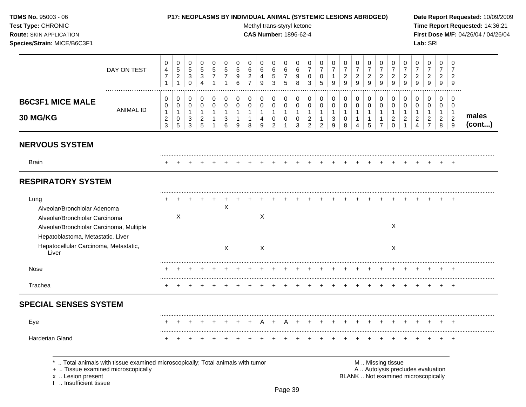|                                                                                                                                                                                                           | DAY ON TEST                                                                     | 0<br>$\overline{\mathbf{4}}$<br>$\overline{7}$<br>$\mathbf{1}$ | 0<br>$\sqrt{5}$<br>$\sqrt{2}$<br>$\overline{1}$                     | 0<br>$\sqrt{5}$<br>$\mathbf{3}$<br>0     | 0<br>5<br>$\ensuremath{\mathsf{3}}$<br>4                         | 0<br>$\sqrt{5}$<br>$\overline{7}$<br>$\mathbf{1}$           | 0<br>5<br>$\overline{7}$                 | 0<br>$\,$ 5 $\,$<br>$\boldsymbol{9}$<br>6 | 0<br>6<br>$\sqrt{2}$<br>$\overline{7}$ | 0<br>$\,6\,$<br>$\overline{4}$<br>$\overline{9}$ | $\mathbf 0$<br>$\,6$<br>$\sqrt{5}$<br>3                 | 0<br>6<br>$\overline{7}$<br>5                       | 0<br>6<br>9<br>8                                     | 0<br>$\overline{7}$<br>$\mathbf 0$<br>3                            | 0<br>$\overline{7}$<br>$\pmb{0}$<br>5                                   | 0<br>$\overline{7}$<br>$\mathbf{1}$<br>9                                        | 0<br>$\boldsymbol{7}$<br>$\boldsymbol{2}$<br>9           | 0<br>$\overline{7}$<br>$\overline{\mathbf{c}}$<br>$\overline{9}$ | 0<br>$\overline{7}$<br>$\sqrt{2}$<br>9     | 0<br>$\overline{7}$<br>$\overline{c}$<br>9             | 0<br>$\overline{7}$<br>$\overline{c}$<br>9                                                    | 0<br>$\overline{7}$<br>$\overline{c}$<br>9              | 0<br>$\overline{7}$<br>$\overline{c}$<br>9                   | 0<br>$\overline{7}$<br>$\overline{a}$<br>$\boldsymbol{9}$          | 0<br>$\overline{7}$<br>$\overline{c}$<br>9   | 0<br>$\overline{7}$<br>$\overline{2}$<br>9                              |                 |
|-----------------------------------------------------------------------------------------------------------------------------------------------------------------------------------------------------------|---------------------------------------------------------------------------------|----------------------------------------------------------------|---------------------------------------------------------------------|------------------------------------------|------------------------------------------------------------------|-------------------------------------------------------------|------------------------------------------|-------------------------------------------|----------------------------------------|--------------------------------------------------|---------------------------------------------------------|-----------------------------------------------------|------------------------------------------------------|--------------------------------------------------------------------|-------------------------------------------------------------------------|---------------------------------------------------------------------------------|----------------------------------------------------------|------------------------------------------------------------------|--------------------------------------------|--------------------------------------------------------|-----------------------------------------------------------------------------------------------|---------------------------------------------------------|--------------------------------------------------------------|--------------------------------------------------------------------|----------------------------------------------|-------------------------------------------------------------------------|-----------------|
| <b>B6C3F1 MICE MALE</b><br>30 MG/KG                                                                                                                                                                       | <b>ANIMAL ID</b>                                                                | 0<br>$\pmb{0}$<br>$\mathbf{1}$<br>$\boldsymbol{2}$<br>3        | $\mathbf 0$<br>$\pmb{0}$<br>$\mathbf{1}$<br>$\pmb{0}$<br>$\sqrt{5}$ | 0<br>$\pmb{0}$<br>$\mathbf{1}$<br>3<br>3 | 0<br>$\mathsf 0$<br>$\mathbf{1}$<br>$\overline{\mathbf{c}}$<br>5 | $\mathbf 0$<br>$\mathbf 0$<br>$\overline{1}$<br>$\mathbf 1$ | 0<br>$\pmb{0}$<br>$\mathbf{1}$<br>3<br>6 | 0<br>$\mathbf 0$<br>1<br>9                | 0<br>$\mathbf 0$<br>1<br>1<br>8        | 0<br>$\pmb{0}$<br>$\mathbf{1}$<br>4<br>9         | 0<br>$\mathbf 0$<br>$\mathbf{1}$<br>0<br>$\overline{c}$ | 0<br>$\pmb{0}$<br>$\mathbf{1}$<br>0<br>$\mathbf{1}$ | 0<br>$\mathbf 0$<br>$\mathbf{1}$<br>$\mathbf 0$<br>3 | 0<br>$\pmb{0}$<br>$\mathbf{1}$<br>$\overline{c}$<br>$\overline{2}$ | $\pmb{0}$<br>$\pmb{0}$<br>$\mathbf{1}$<br>$\mathbf 1$<br>$\overline{2}$ | 0<br>$\pmb{0}$<br>$\mathbf{1}$<br>$\ensuremath{\mathsf{3}}$<br>$\boldsymbol{9}$ | $\pmb{0}$<br>$\pmb{0}$<br>$\mathbf{1}$<br>$\pmb{0}$<br>8 | 0<br>$\pmb{0}$<br>$\mathbf{1}$<br>$\mathbf{1}$<br>4              | 0<br>$\mathbf 0$<br>$\mathbf{1}$<br>1<br>5 | $\pmb{0}$<br>0<br>$\mathbf{1}$<br>-1<br>$\overline{7}$ | 0<br>$\mathbf 0$<br>$\mathbf{1}$<br>$\overline{c}$<br>$\Omega$                                | 0<br>$\mathbf 0$<br>1<br>$\overline{c}$<br>$\mathbf{1}$ | 0<br>0<br>$\overline{1}$<br>$\overline{c}$<br>$\overline{4}$ | 0<br>$\mathbf 0$<br>$\overline{1}$<br>$\sqrt{2}$<br>$\overline{7}$ | 0<br>$\mathbf 0$<br>1<br>$\overline{c}$<br>8 | 0<br>0<br>$\overline{1}$<br>$\overline{\mathbf{c}}$<br>$\boldsymbol{9}$ | males<br>(cont) |
| <b>NERVOUS SYSTEM</b>                                                                                                                                                                                     |                                                                                 |                                                                |                                                                     |                                          |                                                                  |                                                             |                                          |                                           |                                        |                                                  |                                                         |                                                     |                                                      |                                                                    |                                                                         |                                                                                 |                                                          |                                                                  |                                            |                                                        |                                                                                               |                                                         |                                                              |                                                                    |                                              |                                                                         |                 |
| <b>Brain</b>                                                                                                                                                                                              |                                                                                 |                                                                |                                                                     |                                          |                                                                  |                                                             |                                          |                                           |                                        |                                                  |                                                         |                                                     |                                                      |                                                                    |                                                                         |                                                                                 |                                                          |                                                                  |                                            |                                                        |                                                                                               |                                                         |                                                              |                                                                    |                                              |                                                                         |                 |
| <b>RESPIRATORY SYSTEM</b>                                                                                                                                                                                 |                                                                                 |                                                                |                                                                     |                                          |                                                                  |                                                             |                                          |                                           |                                        |                                                  |                                                         |                                                     |                                                      |                                                                    |                                                                         |                                                                                 |                                                          |                                                                  |                                            |                                                        |                                                                                               |                                                         |                                                              |                                                                    |                                              |                                                                         |                 |
| Lung<br>Alveolar/Bronchiolar Adenoma<br>Alveolar/Bronchiolar Carcinoma<br>Alveolar/Bronchiolar Carcinoma, Multiple<br>Hepatoblastoma, Metastatic, Liver<br>Hepatocellular Carcinoma, Metastatic,<br>Liver |                                                                                 |                                                                | Χ                                                                   |                                          |                                                                  |                                                             | $\mathsf X$<br>X                         |                                           |                                        | X<br>X                                           |                                                         |                                                     |                                                      |                                                                    |                                                                         |                                                                                 |                                                          |                                                                  |                                            |                                                        | $\boldsymbol{\mathsf{X}}$<br>$\boldsymbol{\mathsf{X}}$                                        |                                                         |                                                              |                                                                    |                                              |                                                                         |                 |
| Nose                                                                                                                                                                                                      |                                                                                 |                                                                |                                                                     |                                          |                                                                  |                                                             |                                          |                                           |                                        |                                                  |                                                         |                                                     |                                                      |                                                                    |                                                                         |                                                                                 |                                                          |                                                                  |                                            |                                                        |                                                                                               |                                                         |                                                              |                                                                    |                                              |                                                                         |                 |
| Trachea                                                                                                                                                                                                   |                                                                                 |                                                                |                                                                     |                                          |                                                                  |                                                             |                                          |                                           |                                        |                                                  |                                                         |                                                     |                                                      |                                                                    |                                                                         |                                                                                 |                                                          |                                                                  |                                            |                                                        |                                                                                               |                                                         |                                                              |                                                                    |                                              |                                                                         |                 |
| <b>SPECIAL SENSES SYSTEM</b>                                                                                                                                                                              |                                                                                 |                                                                |                                                                     |                                          |                                                                  |                                                             |                                          |                                           |                                        |                                                  |                                                         |                                                     |                                                      |                                                                    |                                                                         |                                                                                 |                                                          |                                                                  |                                            |                                                        |                                                                                               |                                                         |                                                              |                                                                    |                                              |                                                                         |                 |
| Eye                                                                                                                                                                                                       |                                                                                 |                                                                |                                                                     |                                          |                                                                  |                                                             |                                          |                                           |                                        |                                                  |                                                         |                                                     |                                                      |                                                                    |                                                                         |                                                                                 |                                                          |                                                                  |                                            |                                                        |                                                                                               |                                                         |                                                              |                                                                    |                                              |                                                                         |                 |
| Harderian Gland                                                                                                                                                                                           |                                                                                 |                                                                |                                                                     |                                          |                                                                  |                                                             |                                          |                                           |                                        |                                                  |                                                         |                                                     |                                                      |                                                                    |                                                                         |                                                                                 |                                                          |                                                                  |                                            |                                                        |                                                                                               |                                                         |                                                              |                                                                    |                                              | $\div$                                                                  |                 |
| +  Tissue examined microscopically<br>x  Lesion present<br>I  Insufficient tissue                                                                                                                         | *  Total animals with tissue examined microscopically; Total animals with tumor |                                                                |                                                                     |                                          |                                                                  |                                                             |                                          |                                           |                                        |                                                  |                                                         |                                                     |                                                      |                                                                    |                                                                         |                                                                                 |                                                          |                                                                  |                                            |                                                        | M  Missing tissue<br>A  Autolysis precludes evaluation<br>BLANK  Not examined microscopically |                                                         |                                                              |                                                                    |                                              |                                                                         |                 |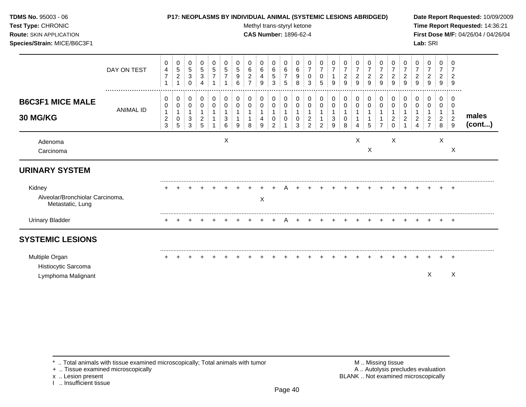Test Type: CHRONIC **Test Type:** CHRONIC **Test Type:** CHRONIC **Time Report Requested:** 14:36:21 **Route:** SKIN APPLICATION **CAS Number:** 1896-62-4 **First Dose M/F:** 04/26/04 / 04/26/04 **Species/Strain:** MICE/B6C3F1 **Lab:** SRI

|                                                               | DAY ON TEST<br>  | 0<br>$\overline{4}$<br>$\overline{7}$         | 0<br>$\sqrt{5}$<br>$\overline{c}$ | 0<br>5<br>3<br>$\Omega$ | 0<br>5<br>3<br>4 | 0<br>5 | 0<br>$\,$ 5 $\,$<br>7 | 0<br>5<br>9<br>6 | 0<br>6<br>$\overline{\mathbf{c}}$<br>$\overline{7}$ | 0<br>6<br>4<br>9      | 0<br>$\,6\,$<br>5<br>3        | 0<br>6<br>$\overline{7}$<br>5 | 0<br>6<br>9<br>8 | 0<br>0<br>3                   | 0<br>$\overline{7}$<br>$\pmb{0}$<br>5 | 0<br>$\overline{7}$<br>9 | 0<br>$\overline{7}$<br>$\boldsymbol{2}$<br>9 | 0<br>$\overline{7}$<br>$\boldsymbol{2}$<br>9 | 0<br>$\overline{7}$<br>$\overline{c}$<br>9 | 0<br>$\overline{7}$<br>$\overline{c}$<br>9 | 0<br>$\boldsymbol{2}$<br>9 | 0<br>$\overline{7}$<br>$\boldsymbol{2}$<br>9 | 0<br>$\overline{7}$<br>$\overline{\mathbf{c}}$<br>9 | 0<br>$\overline{7}$<br>$\overline{\mathbf{c}}$<br>9                 | 0<br>$\overline{7}$<br>$\overline{c}$<br>9 | $\Omega$<br>$\overline{7}$<br>$\overline{c}$<br>9 |                 |
|---------------------------------------------------------------|------------------|-----------------------------------------------|-----------------------------------|-------------------------|------------------|--------|-----------------------|------------------|-----------------------------------------------------|-----------------------|-------------------------------|-------------------------------|------------------|-------------------------------|---------------------------------------|--------------------------|----------------------------------------------|----------------------------------------------|--------------------------------------------|--------------------------------------------|----------------------------|----------------------------------------------|-----------------------------------------------------|---------------------------------------------------------------------|--------------------------------------------|---------------------------------------------------|-----------------|
| <b>B6C3F1 MICE MALE</b><br><b>30 MG/KG</b>                    | <b>ANIMAL ID</b> | 0<br>0<br>$\mathbf{1}$<br>$\overline{c}$<br>3 | 0<br>0<br>1<br>0<br>5             | 0<br>0<br>3<br>3        | 0<br>0<br>2<br>5 | 0<br>0 | 0<br>0<br>3<br>6      | 0<br>0<br>9      | 0<br>0<br>$\mathbf 1$<br>$\mathbf 1$<br>8           | 0<br>0<br>1<br>4<br>9 | 0<br>0<br>0<br>$\overline{2}$ | 0<br>0<br>0                   | 0<br>0<br>0<br>3 | 0<br>0<br>2<br>$\overline{2}$ | 0<br>0<br>2                           | 0<br>0<br>3<br>9         | 0<br>0<br>1<br>0<br>8                        | $\pmb{0}$<br>0<br>4                          | 0<br>0<br>5                                | 0<br>0                                     | 0<br>0<br>2<br>$\Omega$    | 0<br>0<br>2                                  | 0<br>0<br>$\overline{\mathbf{c}}$<br>4              | 0<br>$\mathbf 0$<br>$\mathbf 1$<br>$\overline{2}$<br>$\overline{7}$ | 0<br>0<br>$\overline{c}$<br>8              | 0<br>0<br>-1<br>$\overline{2}$<br>9               | males<br>(cont) |
| Adenoma<br>Carcinoma                                          |                  |                                               |                                   |                         |                  |        | X                     |                  |                                                     |                       |                               |                               |                  |                               |                                       |                          |                                              | X                                            | X                                          |                                            | $\times$                   |                                              |                                                     |                                                                     | $\mathsf X$                                | X                                                 |                 |
| <b>URINARY SYSTEM</b>                                         |                  |                                               |                                   |                         |                  |        |                       |                  |                                                     |                       |                               |                               |                  |                               |                                       |                          |                                              |                                              |                                            |                                            |                            |                                              |                                                     |                                                                     |                                            |                                                   |                 |
| Kidney<br>Alveolar/Bronchiolar Carcinoma,<br>Metastatic, Lung |                  |                                               |                                   |                         |                  |        |                       |                  |                                                     | X                     |                               |                               |                  |                               |                                       |                          |                                              |                                              |                                            |                                            |                            |                                              |                                                     |                                                                     |                                            |                                                   |                 |
| <b>Urinary Bladder</b>                                        |                  | $^+$                                          |                                   |                         |                  |        |                       |                  |                                                     |                       |                               |                               |                  |                               |                                       |                          |                                              |                                              |                                            |                                            |                            |                                              |                                                     |                                                                     |                                            | $+$                                               |                 |
| <b>SYSTEMIC LESIONS</b>                                       |                  |                                               |                                   |                         |                  |        |                       |                  |                                                     |                       |                               |                               |                  |                               |                                       |                          |                                              |                                              |                                            |                                            |                            |                                              |                                                     |                                                                     |                                            |                                                   |                 |
| Multiple Organ<br>Histiocytic Sarcoma                         |                  |                                               |                                   |                         |                  |        |                       |                  |                                                     |                       |                               |                               |                  |                               |                                       |                          |                                              |                                              |                                            |                                            |                            |                                              |                                                     |                                                                     |                                            | $\div$                                            |                 |
| Lymphoma Malignant                                            |                  |                                               |                                   |                         |                  |        |                       |                  |                                                     |                       |                               |                               |                  |                               |                                       |                          |                                              |                                              |                                            |                                            |                            |                                              |                                                     | X                                                                   |                                            | X                                                 |                 |

+ .. Tissue examined microscopically

x .. Lesion present<br>I .. Insufficient tissue

\* .. Total animals with tissue examined microscopically; Total animals with tumor <br>
+ .. Tissue examined microscopically<br>
+ .. Tissue examined microscopically BLANK .. Not examined microscopically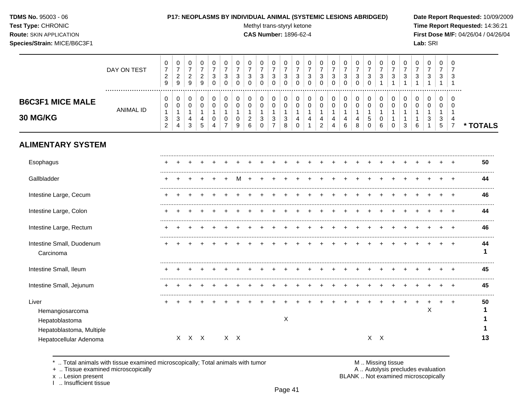Test Type: CHRONIC **Test Type:** CHRONIC **Test Type:** CHRONIC **Time Report Requested:** 14:36:21 **Route:** SKIN APPLICATION **CAS Number:** 1896-62-4 **First Dose M/F:** 04/26/04 / 04/26/04 **Species/Strain:** MICE/B6C3F1 **Lab:** SRI

|                                                                                                  | DAY ON TEST      | 0<br>$\boldsymbol{7}$<br>$\overline{c}$<br>$\boldsymbol{9}$           | $\pmb{0}$<br>$\overline{7}$<br>$\boldsymbol{2}$<br>$\boldsymbol{9}$   | $\mathbf 0$<br>$\overline{7}$<br>$\overline{a}$<br>$\boldsymbol{9}$        | $\mathbf 0$<br>$\overline{7}$<br>$\overline{c}$<br>$\boldsymbol{9}$ | 0<br>$\overline{7}$<br>3<br>$\mathbf 0$ | $\pmb{0}$<br>$\overline{7}$<br>$\sqrt{3}$<br>0          | $\pmb{0}$<br>$\overline{7}$<br>$\mathbf{3}$<br>$\Omega$ | 0<br>$\overline{7}$<br>3<br>$\Omega$                       | $\pmb{0}$<br>$\overline{7}$<br>$\mathsf 3$<br>$\mathbf 0$ | 0<br>$\boldsymbol{7}$<br>$\mathbf 3$<br>$\mathbf 0$                          | $\mathbf 0$<br>$\overline{7}$<br>$\ensuremath{\mathsf{3}}$<br>$\mathbf 0$ | 0<br>$\overline{7}$<br>$\sqrt{3}$<br>$\mathbf 0$               | 0<br>$\overline{7}$<br>$\sqrt{3}$<br>$\mathbf 0$     | 0<br>$\overline{7}$<br>$\sqrt{3}$<br>$\mathbf 0$                  | 0<br>$\overline{7}$<br>$\sqrt{3}$<br>$\mathbf 0$                     | 0<br>$\overline{7}$<br>$\mathbf{3}$<br>$\mathbf 0$ | 0<br>$\overline{7}$<br>$\mathbf 3$<br>$\mathbf 0$  | $\pmb{0}$<br>$\overline{7}$<br>3<br>$\mathbf 0$                       | 0<br>$\overline{7}$<br>3<br>$\mathbf{1}$ | $\pmb{0}$<br>$\overline{7}$<br>$\sqrt{3}$<br>$\mathbf 1$ | $\boldsymbol{0}$<br>$\overline{7}$<br>$\ensuremath{\mathsf{3}}$<br>1 | $\mathbf 0$<br>$\overline{7}$<br>$\mathbf{3}$<br>1              | 0<br>$\overline{7}$<br>3                   | 0<br>$\overline{7}$<br>3<br>-1                           | 0<br>$\overline{7}$<br>3<br>1                                            |          |
|--------------------------------------------------------------------------------------------------|------------------|-----------------------------------------------------------------------|-----------------------------------------------------------------------|----------------------------------------------------------------------------|---------------------------------------------------------------------|-----------------------------------------|---------------------------------------------------------|---------------------------------------------------------|------------------------------------------------------------|-----------------------------------------------------------|------------------------------------------------------------------------------|---------------------------------------------------------------------------|----------------------------------------------------------------|------------------------------------------------------|-------------------------------------------------------------------|----------------------------------------------------------------------|----------------------------------------------------|----------------------------------------------------|-----------------------------------------------------------------------|------------------------------------------|----------------------------------------------------------|----------------------------------------------------------------------|-----------------------------------------------------------------|--------------------------------------------|----------------------------------------------------------|--------------------------------------------------------------------------|----------|
| <b>B6C3F1 MICE MALE</b><br>30 MG/KG                                                              | <b>ANIMAL ID</b> | 0<br>0<br>$\mathbf{1}$<br>$\ensuremath{\mathsf{3}}$<br>$\overline{c}$ | 0<br>0<br>$\mathbf{1}$<br>$\ensuremath{\mathsf{3}}$<br>$\overline{4}$ | $\mathbf 0$<br>$\mathbf 0$<br>$\mathbf{1}$<br>$\overline{4}$<br>$\sqrt{3}$ | $\mathbf 0$<br>$\mathbf 0$<br>$\mathbf{1}$<br>4<br>5                | 0<br>$\mathbf 0$<br>1<br>0<br>4         | 0<br>$\mathbf 0$<br>$\mathbf{1}$<br>0<br>$\overline{7}$ | $\pmb{0}$<br>0<br>$\mathbf{1}$<br>$\mathbf 0$<br>9      | 0<br>0<br>$\mathbf{1}$<br>$\overline{c}$<br>$6\phantom{1}$ | $\pmb{0}$<br>$\mathbf 0$<br>$\mathbf{1}$<br>3<br>$\Omega$ | $\mathbf 0$<br>$\mathbf 0$<br>$\overline{1}$<br>$\sqrt{3}$<br>$\overline{7}$ | $\Omega$<br>$\mathbf 0$<br>$\mathbf{1}$<br>3<br>8                         | 0<br>$\mathbf 0$<br>$\mathbf{1}$<br>$\overline{4}$<br>$\Omega$ | 0<br>$\mathbf 0$<br>$\mathbf{1}$<br>4<br>$\mathbf 1$ | $\mathbf 0$<br>$\mathbf 0$<br>$\mathbf{1}$<br>4<br>$\overline{2}$ | $\mathbf 0$<br>0<br>$\mathbf{1}$<br>$\overline{4}$<br>$\overline{4}$ | 0<br>$\mathbf 0$<br>$\mathbf{1}$<br>4<br>6         | $\pmb{0}$<br>$\mathbf 0$<br>$\mathbf{1}$<br>4<br>8 | $\pmb{0}$<br>$\mathbf 0$<br>$\mathbf{1}$<br>$\sqrt{5}$<br>$\mathbf 0$ | 0<br>0<br>$\mathbf{1}$<br>0<br>6         | $\mathbf 0$<br>$\mathbf 0$<br>$\mathbf{1}$<br>$\Omega$   | $\mathbf 0$<br>0<br>$\mathbf{1}$<br>1<br>3                           | $\mathbf 0$<br>$\mathbf 0$<br>$\mathbf{1}$<br>$\mathbf{1}$<br>6 | $\mathbf 0$<br>0<br>$\mathbf{1}$<br>3<br>1 | 0<br>$\mathbf 0$<br>$\mathbf{1}$<br>3<br>$5\phantom{.0}$ | $\Omega$<br>$\Omega$<br>$\mathbf{1}$<br>$\overline{4}$<br>$\overline{7}$ | * TOTALS |
| <b>ALIMENTARY SYSTEM</b>                                                                         |                  |                                                                       |                                                                       |                                                                            |                                                                     |                                         |                                                         |                                                         |                                                            |                                                           |                                                                              |                                                                           |                                                                |                                                      |                                                                   |                                                                      |                                                    |                                                    |                                                                       |                                          |                                                          |                                                                      |                                                                 |                                            |                                                          |                                                                          |          |
| Esophagus                                                                                        |                  |                                                                       |                                                                       |                                                                            |                                                                     |                                         |                                                         |                                                         |                                                            |                                                           |                                                                              |                                                                           |                                                                |                                                      |                                                                   |                                                                      |                                                    |                                                    |                                                                       |                                          |                                                          |                                                                      |                                                                 |                                            |                                                          |                                                                          | 50       |
| Gallbladder                                                                                      |                  |                                                                       |                                                                       |                                                                            |                                                                     |                                         |                                                         | м                                                       |                                                            |                                                           |                                                                              |                                                                           |                                                                |                                                      |                                                                   |                                                                      |                                                    |                                                    |                                                                       |                                          |                                                          |                                                                      |                                                                 |                                            |                                                          |                                                                          | 44       |
| Intestine Large, Cecum                                                                           |                  |                                                                       |                                                                       |                                                                            |                                                                     |                                         |                                                         |                                                         |                                                            |                                                           |                                                                              |                                                                           |                                                                |                                                      |                                                                   |                                                                      |                                                    |                                                    |                                                                       |                                          |                                                          |                                                                      |                                                                 |                                            |                                                          |                                                                          | 46       |
| Intestine Large, Colon                                                                           |                  |                                                                       |                                                                       |                                                                            |                                                                     |                                         |                                                         |                                                         |                                                            |                                                           |                                                                              |                                                                           |                                                                |                                                      |                                                                   |                                                                      |                                                    |                                                    |                                                                       |                                          |                                                          |                                                                      |                                                                 |                                            |                                                          |                                                                          | 44       |
| Intestine Large, Rectum                                                                          |                  |                                                                       |                                                                       |                                                                            |                                                                     |                                         |                                                         |                                                         |                                                            |                                                           |                                                                              |                                                                           |                                                                |                                                      |                                                                   |                                                                      |                                                    |                                                    |                                                                       |                                          |                                                          |                                                                      |                                                                 |                                            |                                                          |                                                                          | 46       |
| Intestine Small, Duodenum<br>Carcinoma                                                           |                  |                                                                       |                                                                       |                                                                            |                                                                     |                                         |                                                         |                                                         |                                                            |                                                           |                                                                              |                                                                           |                                                                |                                                      |                                                                   |                                                                      |                                                    |                                                    |                                                                       |                                          |                                                          |                                                                      |                                                                 |                                            |                                                          |                                                                          | 44<br>1  |
| Intestine Small, Ileum                                                                           |                  |                                                                       |                                                                       |                                                                            |                                                                     |                                         |                                                         |                                                         |                                                            |                                                           |                                                                              |                                                                           |                                                                |                                                      |                                                                   |                                                                      |                                                    |                                                    |                                                                       |                                          |                                                          |                                                                      |                                                                 |                                            |                                                          |                                                                          | 45       |
| Intestine Small, Jejunum                                                                         |                  |                                                                       |                                                                       |                                                                            |                                                                     |                                         |                                                         |                                                         |                                                            |                                                           |                                                                              |                                                                           |                                                                |                                                      |                                                                   |                                                                      |                                                    |                                                    |                                                                       |                                          |                                                          |                                                                      |                                                                 |                                            |                                                          |                                                                          | 45       |
| Liver<br>Hemangiosarcoma<br>Hepatoblastoma<br>Hepatoblastoma, Multiple<br>Hepatocellular Adenoma |                  |                                                                       |                                                                       | X X X                                                                      |                                                                     |                                         |                                                         | $X$ $X$                                                 |                                                            |                                                           |                                                                              | $\mathsf X$                                                               |                                                                |                                                      |                                                                   |                                                                      |                                                    |                                                    | $X$ $X$                                                               |                                          |                                                          |                                                                      |                                                                 | Χ                                          | $+$                                                      |                                                                          | 50<br>13 |

\* .. Total animals with tissue examined microscopically; Total animals with tumor **M** metal metal metal M .. Missing tissue<br>
+ .. Tissue examined microscopically but all animals with tumor **M** metal metal M .. Autolysis pr

+ .. Tissue examined microscopically

x .. Lesion present<br>I .. Insufficient tissue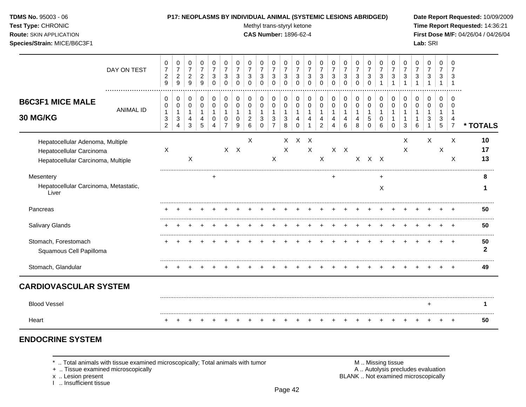**Test Type:** CHRONIC **Trans-styryl ketone** Methyl trans-styryl ketone **Time Report Requested:** 14:36:21 **Route:** SKIN APPLICATION **CAS Number:** 1896-62-4 **First Dose M/F:** 04/26/04 / 04/26/04 **Species/Strain:** MICE/B6C3F1 **Lab:** SRI

|                                                                                                    | DAY ON TEST      | $\pmb{0}$<br>$\overline{7}$<br>$\boldsymbol{2}$<br>9   | 0<br>$\overline{7}$<br>$\overline{\mathbf{c}}$<br>9 | 0<br>$\overline{7}$<br>$\overline{c}$<br>9 | 0<br>$\overline{7}$<br>$\overline{c}$<br>9 | $\mathbf 0$<br>$\overline{7}$<br>3<br>$\Omega$ | 0<br>7<br>3<br>$\Omega$                                           | 0<br>$\overline{7}$<br>3<br>$\Omega$ | 0<br>$\overline{7}$<br>3<br>$\Omega$                      | 0<br>$\overline{7}$<br>3<br>$\Omega$                         | 0<br>7<br>3<br>$\Omega$                      | 0<br>$\overline{7}$<br>3<br>$\Omega$ | $\mathbf 0$<br>$\overline{7}$<br>3<br>$\Omega$ | 0<br>$\overline{7}$<br>$\ensuremath{\mathsf{3}}$<br>$\Omega$ | 0<br>$\overline{7}$<br>$\mathbf{3}$<br>$\Omega$ | 0<br>$\boldsymbol{7}$<br>$\mathbf{3}$<br>$\Omega$ | $\pmb{0}$<br>$\overline{7}$<br>$\mathbf{3}$<br>$\Omega$ | 0<br>$\overline{7}$<br>$\sqrt{3}$<br>$\Omega$ | 0<br>$\overline{7}$<br>3<br>$\Omega$              | 0<br>$\overline{7}$<br>3 | $\mathbf 0$<br>$\overline{7}$<br>3 | 0<br>$\overline{7}$<br>3   | 0<br>$\overline{7}$<br>3 | 0<br>$\overline{7}$<br>3                   | $\Omega$<br>$\overline{7}$<br>3                | $\Omega$<br>7<br>3<br>$\mathbf 1$          |                    |
|----------------------------------------------------------------------------------------------------|------------------|--------------------------------------------------------|-----------------------------------------------------|--------------------------------------------|--------------------------------------------|------------------------------------------------|-------------------------------------------------------------------|--------------------------------------|-----------------------------------------------------------|--------------------------------------------------------------|----------------------------------------------|--------------------------------------|------------------------------------------------|--------------------------------------------------------------|-------------------------------------------------|---------------------------------------------------|---------------------------------------------------------|-----------------------------------------------|---------------------------------------------------|--------------------------|------------------------------------|----------------------------|--------------------------|--------------------------------------------|------------------------------------------------|--------------------------------------------|--------------------|
| <b>B6C3F1 MICE MALE</b><br><b>30 MG/KG</b>                                                         | <b>ANIMAL ID</b> | 0<br>0<br>$\mathbf{1}$<br>$\sqrt{3}$<br>$\overline{2}$ | 0<br>0<br>$\mathbf{1}$<br>$\mathbf{3}$<br>4         | 0<br>$\mathbf 0$<br>$\mathbf{1}$<br>4<br>3 | 0<br>$\Omega$<br>1<br>4<br>5               | 0<br>$\Omega$<br>-1<br>0<br>4                  | 0<br>$\mathbf 0$<br>$\mathbf{1}$<br>$\mathbf 0$<br>$\overline{7}$ | 0<br>$\mathbf 0$<br>0<br>9           | 0<br>$\mathbf 0$<br>$\mathbf{1}$<br>$\boldsymbol{2}$<br>6 | 0<br>$\mathbf 0$<br>$\mathbf{1}$<br>$\mathbf{3}$<br>$\Omega$ | 0<br>$\mathbf 0$<br>1<br>3<br>$\overline{7}$ | 0<br>$\Omega$<br>3<br>8              | 0<br>$\Omega$<br>1<br>4<br>$\Omega$            | 0<br>$\Omega$<br>4                                           | 0<br>0<br>1<br>4<br>$\overline{2}$              | 0<br>0<br>1<br>4<br>4                             | 0<br>$\mathbf 0$<br>$\mathbf{1}$<br>4<br>6              | 0<br>$\pmb{0}$<br>$\mathbf{1}$<br>4<br>8      | 0<br>$\mathbf 0$<br>$\mathbf{1}$<br>5<br>$\Omega$ | 0<br>0<br>0<br>6         | 0<br>$\Omega$<br>$\Omega$          | 0<br>$\mathbf 0$<br>1<br>3 | 0<br>$\Omega$<br>-1<br>6 | 0<br>$\mathbf 0$<br>$\mathbf{1}$<br>3<br>1 | $\Omega$<br>$\Omega$<br>1<br>$\mathbf{3}$<br>5 | O<br>$\Omega$<br>-1<br>4<br>$\overline{7}$ | * TOTALS           |
| Hepatocellular Adenoma, Multiple<br>Hepatocellular Carcinoma<br>Hepatocellular Carcinoma, Multiple |                  | X                                                      |                                                     | X                                          |                                            |                                                | $X$ $X$                                                           |                                      | X                                                         |                                                              | X                                            | X<br>$\mathsf X$                     | $\mathsf{X}$                                   | $\times$<br>$\mathsf X$                                      | $\boldsymbol{\mathsf{X}}$                       |                                                   | $X$ $X$                                                 |                                               | $X$ $X$ $X$                                       |                          |                                    | X<br>X                     |                          | X                                          | $\boldsymbol{\mathsf{X}}$                      | X<br>X                                     | 10<br>17<br>13     |
| Mesentery<br>Hepatocellular Carcinoma, Metastatic,<br>Liver                                        |                  |                                                        |                                                     |                                            |                                            |                                                |                                                                   |                                      |                                                           |                                                              |                                              |                                      |                                                |                                                              |                                                 | ٠                                                 |                                                         |                                               |                                                   | ٠<br>X                   |                                    |                            |                          |                                            |                                                |                                            | 8                  |
| Pancreas                                                                                           |                  |                                                        |                                                     |                                            |                                            |                                                |                                                                   |                                      |                                                           |                                                              |                                              |                                      |                                                |                                                              |                                                 |                                                   |                                                         |                                               |                                                   |                          |                                    |                            |                          |                                            |                                                |                                            | 50                 |
| Salivary Glands                                                                                    |                  |                                                        |                                                     |                                            |                                            |                                                |                                                                   |                                      |                                                           |                                                              |                                              |                                      |                                                |                                                              |                                                 |                                                   |                                                         |                                               |                                                   |                          |                                    |                            |                          |                                            |                                                |                                            | 50                 |
| Stomach, Forestomach<br>Squamous Cell Papilloma                                                    |                  |                                                        |                                                     |                                            |                                            |                                                |                                                                   |                                      |                                                           |                                                              |                                              |                                      |                                                |                                                              |                                                 |                                                   |                                                         |                                               |                                                   |                          |                                    |                            |                          |                                            |                                                |                                            | 50<br>$\mathbf{2}$ |
| Stomach, Glandular                                                                                 |                  |                                                        |                                                     |                                            |                                            |                                                |                                                                   |                                      |                                                           |                                                              |                                              |                                      |                                                |                                                              |                                                 |                                                   |                                                         |                                               |                                                   |                          |                                    |                            |                          |                                            |                                                |                                            | 49                 |
| <b>CARDIOVASCULAR SYSTEM</b>                                                                       |                  |                                                        |                                                     |                                            |                                            |                                                |                                                                   |                                      |                                                           |                                                              |                                              |                                      |                                                |                                                              |                                                 |                                                   |                                                         |                                               |                                                   |                          |                                    |                            |                          |                                            |                                                |                                            |                    |
| <b>Blood Vessel</b>                                                                                |                  |                                                        |                                                     |                                            |                                            |                                                |                                                                   |                                      |                                                           |                                                              |                                              |                                      |                                                |                                                              |                                                 |                                                   |                                                         |                                               |                                                   |                          |                                    |                            |                          |                                            |                                                |                                            |                    |
| Heart                                                                                              |                  |                                                        |                                                     |                                            |                                            |                                                |                                                                   |                                      |                                                           |                                                              |                                              |                                      |                                                |                                                              |                                                 |                                                   |                                                         |                                               |                                                   |                          |                                    | $\ddot{}$                  | $\ddot{}$                | $\pm$                                      | $\ddot{}$                                      | $\overline{ }$                             | 50                 |
|                                                                                                    |                  |                                                        |                                                     |                                            |                                            |                                                |                                                                   |                                      |                                                           |                                                              |                                              |                                      |                                                |                                                              |                                                 |                                                   |                                                         |                                               |                                                   |                          |                                    |                            |                          |                                            |                                                |                                            |                    |

# **ENDOCRINE SYSTEM**

\* .. Total animals with tissue examined microscopically; Total animals with tumor <br>
+ .. Tissue examined microscopically<br>
+ .. Tissue examined microscopically

+ .. Tissue examined microscopically

x .. Lesion present<br>I .. Insufficient tissue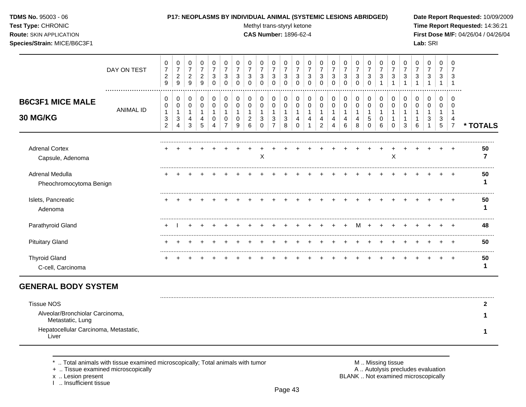Test Type: CHRONIC **Test Type:** CHRONIC **Test Type:** CHRONIC **Time Report Requested:** 14:36:21 **Route:** SKIN APPLICATION **CAS Number:** 1896-62-4 **First Dose M/F:** 04/26/04 / 04/26/04 **Species/Strain:** MICE/B6C3F1 **Lab:** SRI

|                                            | DAY ON TEST          | 0<br>$\boldsymbol{7}$<br>$\overline{c}$<br>9 | 0<br>7<br>$\sqrt{2}$<br>9        | 0<br>7<br>$\overline{c}$<br>9 | 0<br>7<br>$\overline{2}$<br>9 | 0<br>3 | 0<br>$\overline{7}$<br>$\sqrt{3}$ | 0<br>$\overline{7}$<br>3<br>$\mathbf{0}$ | 0<br>$\overline{7}$<br>3<br>$\Omega$ | 0<br>$\overline{7}$<br>$\sqrt{3}$<br>$\Omega$ | 0<br>$\overline{7}$<br>$\sqrt{3}$<br>0 | 0<br>7<br>3<br>$\Omega$ | 0<br>$\overline{7}$<br>$\mathbf{3}$<br>$\Omega$ | 0<br>7<br>3<br>$\Omega$ | 0<br>$\overline{7}$<br>$\sqrt{3}$<br>0 | 0<br>$\overline{7}$<br>$\mathbf{3}$<br>$\Omega$ | 0<br>$\overline{7}$<br>$\mathbf{3}$<br>$\mathbf 0$ | 0<br>$\overline{7}$<br>$\sqrt{3}$<br>$\Omega$ | 0<br>$\overline{7}$<br>$\sqrt{3}$<br>0 | 0<br>3           | 0<br>3      | 3           | 0<br>3      | 0<br>3      | 0<br>$\overline{7}$<br>3      | $\Omega$<br>3                   |          |
|--------------------------------------------|----------------------|----------------------------------------------|----------------------------------|-------------------------------|-------------------------------|--------|-----------------------------------|------------------------------------------|--------------------------------------|-----------------------------------------------|----------------------------------------|-------------------------|-------------------------------------------------|-------------------------|----------------------------------------|-------------------------------------------------|----------------------------------------------------|-----------------------------------------------|----------------------------------------|------------------|-------------|-------------|-------------|-------------|-------------------------------|---------------------------------|----------|
| <b>B6C3F1 MICE MALE</b><br><b>30 MG/KG</b> | <br><b>ANIMAL ID</b> | 0<br>0<br>3<br>$\overline{c}$                | 0<br>0<br>1<br>$\mathbf{3}$<br>4 | 0<br>0<br>4<br>3              | 0<br>0<br>4<br>5              | 0<br>4 | 0<br>0                            | 0<br>0<br>0<br>9                         | 0<br>0<br>2<br>6                     | 0<br>0<br>1<br>3<br>0                         | 0<br>0<br>3<br>$\overline{ }$          | 0<br>0<br>3<br>8        | 0<br>0<br>0                                     | 0<br>0                  | 0<br>0<br>2                            | 0<br>0<br>4                                     | 0<br>0<br>4<br>6                                   | 0<br>0<br>4<br>8                              | 0<br>0<br>5<br>0                       | 0<br>0<br>0<br>6 | 0<br>0<br>0 | 0<br>0<br>3 | 0<br>0<br>6 | 0<br>0<br>3 | 0<br>0<br>3<br>$\overline{5}$ | $\Omega$<br>4<br>$\overline{7}$ | * TOTALS |
| <b>Adrenal Cortex</b><br>Capsule, Adenoma  |                      |                                              |                                  |                               |                               |        |                                   |                                          |                                      | X                                             |                                        |                         |                                                 |                         |                                        |                                                 |                                                    |                                               |                                        |                  | X           |             |             |             |                               |                                 | 50       |
| Adrenal Medulla<br>Pheochromocytoma Benign |                      |                                              |                                  |                               |                               |        |                                   |                                          |                                      |                                               |                                        |                         |                                                 |                         |                                        |                                                 |                                                    |                                               |                                        |                  |             |             |             |             |                               |                                 | 50       |
| Islets, Pancreatic<br>Adenoma              |                      |                                              |                                  |                               |                               |        |                                   |                                          |                                      |                                               |                                        |                         |                                                 |                         |                                        |                                                 |                                                    |                                               |                                        |                  |             |             |             |             |                               |                                 | 50       |
| Parathyroid Gland                          |                      |                                              |                                  |                               |                               |        |                                   |                                          |                                      |                                               |                                        |                         |                                                 |                         |                                        |                                                 |                                                    |                                               |                                        |                  |             |             |             |             |                               |                                 | 48       |
| <b>Pituitary Gland</b>                     |                      |                                              |                                  |                               |                               |        |                                   |                                          |                                      |                                               |                                        |                         |                                                 |                         |                                        |                                                 |                                                    |                                               |                                        |                  |             |             |             |             |                               |                                 | 50       |
| <b>Thyroid Gland</b><br>C-cell, Carcinoma  |                      |                                              |                                  |                               |                               |        |                                   |                                          |                                      |                                               |                                        |                         |                                                 |                         |                                        |                                                 |                                                    |                                               |                                        |                  |             |             |             |             |                               |                                 | 50       |

## **GENERAL BODY SYSTEM**

| Tissue NOS                                          |  |
|-----------------------------------------------------|--|
| Alveolar/Bronchiolar Carcinoma,<br>Metastatic, Lung |  |
| Hepatocellular Carcinoma, Metastatic,<br>Liver      |  |

+ .. Tissue examined microscopically

I .. Insufficient tissue

%.. Total animals with tissue examined microscopically; Total animals with tumor M .. Missing tissue M .. Missing tissue<br>M .. Autolysis precludes evaluation M .. Autolysis precludes evaluation x .. Lesion present **EXALL EXALL EXACL** BLANK .. Not examined microscopically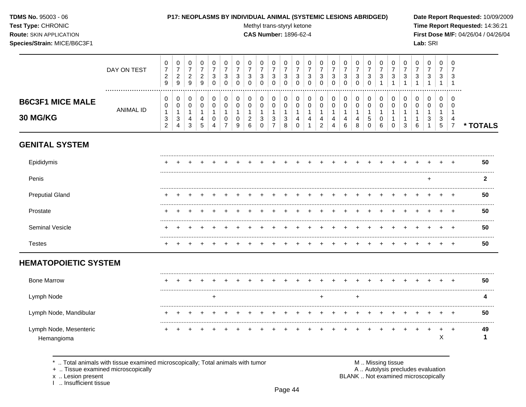**Route: SKIN APPLICATION** 

Species/Strain: MICE/B6C3F1

#### P17: NEOPLASMS BY INDIVIDUAL ANIMAL (SYSTEMIC LESIONS ABRIDGED)

Methyl trans-styryl ketone

**CAS Number: 1896-62-4** 

Date Report Requested: 10/09/2009 Time Report Requested: 14:36:21 First Dose M/F: 04/26/04 / 04/26/04 Lab: SRI

|                                            | DAY ON TEST      | $\mathbf 0$<br>$\overline{7}$<br>$\overline{c}$<br>$\boldsymbol{9}$   | $\mathbf 0$<br>$\overline{7}$<br>$\overline{c}$<br>$9\,$ | 0<br>$\boldsymbol{7}$<br>$\overline{2}$<br>$9\,$        | 0<br>$\overline{7}$<br>$\overline{2}$<br>9  | 0<br>7<br>3<br>0                 | 0<br>$\mathbf{3}$<br>0        | 0<br>$\overline{7}$<br>3<br>$\Omega$ | 0<br>$\overline{7}$<br>$\sqrt{3}$<br>$\Omega$ | 0<br>$\overline{7}$<br>$\mathbf{3}$<br>0 | 0<br>$\overline{7}$<br>3<br>0                                      | 0<br>$\overline{7}$<br>$\mathbf{3}$<br>0    | 0<br>$\overline{7}$<br>3<br>0           | 0<br>$\overline{7}$<br>$\mathbf{3}$<br>0 | 0<br>$\overline{7}$<br>3<br>0      | 0<br>$\overline{7}$<br>$\sqrt{3}$<br>$\mathbf 0$      | 0<br>$\overline{7}$<br>$\mathbf{3}$<br>$\mathbf 0$ | 0<br>$\boldsymbol{7}$<br>3<br>0            | 0<br>$\overline{7}$<br>$\mathbf{3}$<br>0           | 0<br>$\overline{7}$<br>3         | 0<br>3             | 0<br>$\overline{7}$<br>3 | 0<br>$\overline{7}$<br>3 | 0<br>$\overline{7}$<br>3<br>1               | 0<br>$\overline{7}$<br>3         | 0<br>$\overline{7}$<br>3                                 |          |
|--------------------------------------------|------------------|-----------------------------------------------------------------------|----------------------------------------------------------|---------------------------------------------------------|---------------------------------------------|----------------------------------|-------------------------------|--------------------------------------|-----------------------------------------------|------------------------------------------|--------------------------------------------------------------------|---------------------------------------------|-----------------------------------------|------------------------------------------|------------------------------------|-------------------------------------------------------|----------------------------------------------------|--------------------------------------------|----------------------------------------------------|----------------------------------|--------------------|--------------------------|--------------------------|---------------------------------------------|----------------------------------|----------------------------------------------------------|----------|
| <b>B6C3F1 MICE MALE</b><br><b>30 MG/KG</b> | <b>ANIMAL ID</b> | 0<br>0<br>$\mathbf{1}$<br>$\ensuremath{\mathsf{3}}$<br>$\overline{2}$ | 0<br>0<br>$\mathbf{1}$<br>$\mathbf{3}$<br>$\overline{4}$ | 0<br>$\mathbf 0$<br>$\mathbf{1}$<br>$\overline{4}$<br>3 | 0<br>0<br>$\overline{1}$<br>4<br>$\sqrt{5}$ | 0<br>0<br>$\mathbf{1}$<br>0<br>4 | 0<br>0<br>0<br>$\overline{7}$ | 0<br>0<br>0<br>9                     | 0<br>0<br>$\mathbf{1}$<br>$\overline{c}$<br>6 | 0<br>0<br>$\mathbf 1$<br>3<br>$\Omega$   | 0<br>$\mathbf 0$<br>$\mathbf{1}$<br>$\mathbf{3}$<br>$\overline{7}$ | 0<br>0<br>$\overline{1}$<br>$\sqrt{3}$<br>8 | 0<br>0<br>$\mathbf{1}$<br>4<br>$\Omega$ | 0<br>0<br>1<br>4                         | 0<br>0<br>1<br>4<br>$\overline{2}$ | $\pmb{0}$<br>0<br>$\mathbf{1}$<br>4<br>$\overline{4}$ | 0<br>0<br>$\mathbf{1}$<br>4<br>6                   | 0<br>$\mathbf 0$<br>$\mathbf{1}$<br>4<br>8 | 0<br>0<br>$\overline{1}$<br>$\sqrt{5}$<br>$\Omega$ | 0<br>0<br>$\mathbf{1}$<br>0<br>6 | 0<br>0<br>$\Omega$ | 0<br>0<br>3              | 0<br>0<br>6              | 0<br>0<br>$\mathbf{1}$<br>3<br>$\mathbf{1}$ | 0<br>0<br>$\mathbf{1}$<br>3<br>5 | $\Omega$<br>$\Omega$<br>$\overline{a}$<br>$\overline{7}$ | * TOTALS |
| <b>GENITAL SYSTEM</b>                      |                  |                                                                       |                                                          |                                                         |                                             |                                  |                               |                                      |                                               |                                          |                                                                    |                                             |                                         |                                          |                                    |                                                       |                                                    |                                            |                                                    |                                  |                    |                          |                          |                                             |                                  |                                                          |          |
| Epididymis                                 |                  |                                                                       |                                                          |                                                         |                                             |                                  |                               |                                      |                                               |                                          |                                                                    |                                             |                                         |                                          |                                    |                                                       |                                                    |                                            |                                                    |                                  |                    |                          |                          |                                             |                                  |                                                          | 50       |
| Penis                                      |                  |                                                                       |                                                          |                                                         |                                             |                                  |                               |                                      |                                               |                                          |                                                                    |                                             |                                         |                                          |                                    |                                                       |                                                    |                                            |                                                    |                                  |                    |                          |                          |                                             |                                  |                                                          | 2        |
| <b>Preputial Gland</b>                     |                  |                                                                       |                                                          |                                                         |                                             |                                  |                               |                                      |                                               |                                          |                                                                    |                                             |                                         |                                          |                                    |                                                       |                                                    |                                            |                                                    |                                  |                    |                          |                          |                                             |                                  |                                                          | 50       |
| Prostate                                   |                  |                                                                       |                                                          |                                                         |                                             |                                  |                               |                                      |                                               |                                          |                                                                    |                                             |                                         |                                          |                                    |                                                       |                                                    |                                            |                                                    |                                  |                    |                          |                          |                                             |                                  |                                                          | 50       |
| Seminal Vesicle                            |                  |                                                                       |                                                          |                                                         |                                             |                                  |                               |                                      |                                               |                                          |                                                                    |                                             |                                         |                                          |                                    |                                                       |                                                    |                                            |                                                    |                                  |                    |                          |                          |                                             |                                  | $\div$                                                   | 50       |
| <b>Testes</b>                              |                  |                                                                       |                                                          |                                                         |                                             |                                  |                               |                                      |                                               |                                          |                                                                    |                                             |                                         |                                          |                                    |                                                       |                                                    |                                            |                                                    |                                  |                    |                          |                          |                                             |                                  |                                                          | 50       |
| <b>HEMATOPOIETIC SYSTEM</b>                |                  |                                                                       |                                                          |                                                         |                                             |                                  |                               |                                      |                                               |                                          |                                                                    |                                             |                                         |                                          |                                    |                                                       |                                                    |                                            |                                                    |                                  |                    |                          |                          |                                             |                                  |                                                          |          |
| <b>Bone Marrow</b>                         |                  |                                                                       |                                                          |                                                         |                                             |                                  |                               |                                      |                                               |                                          |                                                                    |                                             |                                         |                                          |                                    |                                                       |                                                    |                                            |                                                    |                                  |                    |                          |                          |                                             |                                  |                                                          | 50       |
| Lymph Node                                 |                  |                                                                       |                                                          |                                                         |                                             | $\ddot{}$                        |                               |                                      |                                               |                                          |                                                                    |                                             |                                         |                                          | $\ddot{}$                          |                                                       |                                                    | $+$                                        |                                                    |                                  |                    |                          |                          |                                             |                                  |                                                          | 4        |
| Lymph Node, Mandibular                     |                  |                                                                       |                                                          |                                                         |                                             |                                  |                               |                                      |                                               |                                          |                                                                    |                                             |                                         |                                          |                                    |                                                       |                                                    |                                            |                                                    |                                  |                    |                          |                          |                                             |                                  | $\ddot{}$                                                | 50       |
|                                            |                  |                                                                       |                                                          |                                                         |                                             |                                  |                               |                                      |                                               |                                          |                                                                    |                                             |                                         |                                          |                                    |                                                       |                                                    |                                            |                                                    |                                  |                    |                          |                          |                                             |                                  |                                                          |          |

+ + + + + +

 $+$  $+$  $+$  $+$ 

\* .. Total animals with tissue examined microscopically; Total animals with tumor + .. Tissue examined microscopically

x .. Lesion present

I .. Insufficient tissue

Lymph Node, Mesenteric

Hemangioma

M .. Missing tissue

A .. Autolysis precludes evaluation BLANK .. Not examined microscopically

 $+$  $+$  $+$ 

 $\mathsf{X}$ 

49

 $\mathbf{1}$ 

 $+$   $+$   $+$ 

 $+$ 

 $+$  $+$  $+$  $+$  $\ddot{}$  $+$  $+$  $\ddot{}$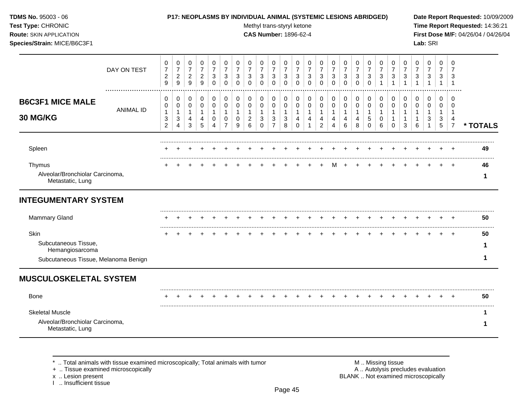Test Type: CHRONIC **Test Type:** CHRONIC **Test Type:** CHRONIC **Time Report Requested:** 14:36:21 **Route:** SKIN APPLICATION **CAS Number:** 1896-62-4 **First Dose M/F:** 04/26/04 / 04/26/04 **Species/Strain:** MICE/B6C3F1 **Lab:** SRI

|                                                                                         | DAY ON TEST      | 0<br>$\boldsymbol{7}$<br>$\boldsymbol{2}$<br>$\boldsymbol{9}$         | 0<br>$\overline{7}$<br>$\overline{2}$<br>$9\,$      | 0<br>$\overline{7}$<br>$\overline{c}$<br>$\boldsymbol{9}$ | 0<br>$\overline{7}$<br>$\boldsymbol{2}$<br>9 | 0<br>$\overline{7}$<br>$\mathbf{3}$<br>$\mathbf 0$ | 0<br>$\overline{7}$<br>$\mathbf{3}$<br>$\Omega$                   | 0<br>$\overline{7}$<br>$\sqrt{3}$<br>$\Omega$ | 0<br>$\overline{7}$<br>$\mathbf{3}$<br>$\mathbf 0$      | 0<br>$\overline{7}$<br>$\mathsf 3$<br>$\mathbf 0$   | 0<br>$\overline{7}$<br>$\ensuremath{\mathsf{3}}$<br>$\mathbf 0$ | 0<br>$\overline{7}$<br>$\sqrt{3}$<br>$\pmb{0}$ | 0<br>$\overline{7}$<br>3<br>$\pmb{0}$             | 0<br>$\overline{7}$<br>$\sqrt{3}$<br>$\mathbf 0$ | 0<br>$\overline{7}$<br>$\ensuremath{\mathsf{3}}$<br>$\pmb{0}$ | 0<br>$\overline{7}$<br>$\mathbf{3}$<br>$\pmb{0}$ | 0<br>$\overline{7}$<br>$\mathbf{3}$<br>$\mathbf 0$     | 0<br>$\overline{7}$<br>$\mathbf{3}$<br>$\mathbf 0$ | 0<br>$\overline{7}$<br>$\sqrt{3}$<br>0           | 0<br>$\overline{7}$<br>$\sqrt{3}$            | 0<br>$\overline{7}$<br>3                | $\mathbf 0$<br>$\overline{7}$<br>3    | 0<br>$\overline{7}$<br>3                    | 0<br>$\overline{7}$<br>3                            | 0<br>$\overline{7}$<br>3<br>1                          | 0<br>7<br>3                                       |          |
|-----------------------------------------------------------------------------------------|------------------|-----------------------------------------------------------------------|-----------------------------------------------------|-----------------------------------------------------------|----------------------------------------------|----------------------------------------------------|-------------------------------------------------------------------|-----------------------------------------------|---------------------------------------------------------|-----------------------------------------------------|-----------------------------------------------------------------|------------------------------------------------|---------------------------------------------------|--------------------------------------------------|---------------------------------------------------------------|--------------------------------------------------|--------------------------------------------------------|----------------------------------------------------|--------------------------------------------------|----------------------------------------------|-----------------------------------------|---------------------------------------|---------------------------------------------|-----------------------------------------------------|--------------------------------------------------------|---------------------------------------------------|----------|
| <b>B6C3F1 MICE MALE</b><br>30 MG/KG                                                     | <b>ANIMAL ID</b> | 0<br>0<br>$\mathbf{1}$<br>$\ensuremath{\mathsf{3}}$<br>$\overline{c}$ | 0<br>$\mathbf 0$<br>$\mathbf{1}$<br>$\sqrt{3}$<br>4 | 0<br>$\mathbf 0$<br>$\mathbf{1}$<br>4<br>3                | 0<br>0<br>$\mathbf{1}$<br>4<br>5             | 0<br>$\mathbf 0$<br>$\mathbf{1}$<br>0<br>4         | 0<br>$\mathbf 0$<br>$\mathbf{1}$<br>$\mathbf 0$<br>$\overline{7}$ | 0<br>0<br>$\mathbf{1}$<br>0<br>9              | 0<br>$\mathbf 0$<br>$\mathbf{1}$<br>$\overline{a}$<br>6 | 0<br>$\mathbf 0$<br>$\overline{1}$<br>3<br>$\Omega$ | 0<br>$\mathbf 0$<br>$\overline{1}$<br>3<br>$\overline{7}$       | 0<br>$\mathbf 0$<br>$\mathbf{1}$<br>3<br>8     | 0<br>$\mathbf 0$<br>$\mathbf{1}$<br>4<br>$\Omega$ | 0<br>$\mathbf 0$<br>$\mathbf{1}$<br>4<br>-1      | 0<br>$\mathbf 0$<br>4<br>$\overline{2}$                       | 0<br>0<br>$\mathbf{1}$<br>4<br>4                 | 0<br>0<br>$\mathbf{1}$<br>$\overline{\mathbf{4}}$<br>6 | 0<br>0<br>$\mathbf{1}$<br>4<br>8                   | 0<br>0<br>$\mathbf{1}$<br>$\sqrt{5}$<br>$\Omega$ | 0<br>$\mathbf 0$<br>$\overline{1}$<br>0<br>6 | 0<br>0<br>$\mathbf{1}$<br>1<br>$\Omega$ | 0<br>$\mathbf{0}$<br>$\mathbf 1$<br>3 | 0<br>0<br>$\mathbf{1}$<br>$\mathbf{1}$<br>6 | 0<br>0<br>$\mathbf{1}$<br>$\sqrt{3}$<br>$\mathbf 1$ | 0<br>$\overline{0}$<br>$\mathbf{1}$<br>$\sqrt{3}$<br>5 | $\Omega$<br>$\Omega$<br>-1<br>4<br>$\overline{7}$ | * TOTALS |
| Spleen                                                                                  |                  |                                                                       |                                                     |                                                           |                                              |                                                    |                                                                   |                                               |                                                         |                                                     |                                                                 |                                                |                                                   |                                                  |                                                               |                                                  |                                                        |                                                    |                                                  |                                              |                                         |                                       |                                             |                                                     |                                                        |                                                   | 49       |
| Thymus<br>Alveolar/Bronchiolar Carcinoma,<br>Metastatic, Lung                           |                  |                                                                       |                                                     |                                                           |                                              |                                                    |                                                                   |                                               |                                                         |                                                     |                                                                 |                                                |                                                   |                                                  |                                                               |                                                  |                                                        |                                                    |                                                  |                                              |                                         |                                       |                                             |                                                     |                                                        |                                                   | 46<br>-1 |
| <b>INTEGUMENTARY SYSTEM</b>                                                             |                  |                                                                       |                                                     |                                                           |                                              |                                                    |                                                                   |                                               |                                                         |                                                     |                                                                 |                                                |                                                   |                                                  |                                                               |                                                  |                                                        |                                                    |                                                  |                                              |                                         |                                       |                                             |                                                     |                                                        |                                                   |          |
| Mammary Gland                                                                           |                  |                                                                       |                                                     |                                                           |                                              |                                                    |                                                                   |                                               |                                                         |                                                     |                                                                 |                                                |                                                   |                                                  |                                                               |                                                  |                                                        |                                                    |                                                  |                                              |                                         |                                       |                                             |                                                     |                                                        |                                                   | 50       |
| Skin<br>Subcutaneous Tissue,<br>Hemangiosarcoma<br>Subcutaneous Tissue, Melanoma Benign |                  |                                                                       |                                                     |                                                           |                                              |                                                    |                                                                   |                                               |                                                         |                                                     |                                                                 |                                                |                                                   |                                                  |                                                               |                                                  |                                                        |                                                    |                                                  |                                              |                                         |                                       |                                             |                                                     |                                                        |                                                   | 50       |
| <b>MUSCULOSKELETAL SYSTEM</b>                                                           |                  |                                                                       |                                                     |                                                           |                                              |                                                    |                                                                   |                                               |                                                         |                                                     |                                                                 |                                                |                                                   |                                                  |                                                               |                                                  |                                                        |                                                    |                                                  |                                              |                                         |                                       |                                             |                                                     |                                                        |                                                   |          |
| <b>Bone</b>                                                                             |                  |                                                                       |                                                     |                                                           |                                              |                                                    |                                                                   |                                               |                                                         |                                                     |                                                                 |                                                |                                                   |                                                  |                                                               |                                                  |                                                        |                                                    |                                                  |                                              |                                         |                                       |                                             |                                                     |                                                        |                                                   | 50       |
| <b>Skeletal Muscle</b><br>Alveolar/Bronchiolar Carcinoma,<br>Metastatic, Lung           |                  |                                                                       |                                                     |                                                           |                                              |                                                    |                                                                   |                                               |                                                         |                                                     |                                                                 |                                                |                                                   |                                                  |                                                               |                                                  |                                                        |                                                    |                                                  |                                              |                                         |                                       |                                             |                                                     |                                                        |                                                   |          |

+ .. Tissue examined microscopically

x .. Lesion present<br>I .. Insufficient tissue

\* .. Total animals with tissue examined microscopically; Total animals with tumor <br>
+ .. Tissue examined microscopically<br>
+ .. Tissue examined microscopically BLANK .. Not examined microscopically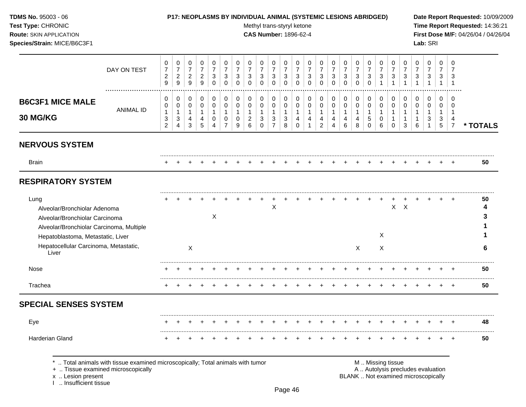|                                                                                                                                                                                                           | DAY ON TEST                                                                                                        | 0<br>$\boldsymbol{7}$<br>$\boldsymbol{2}$<br>9          | $\mathbf 0$<br>$\overline{7}$<br>$\overline{c}$<br>9      | 0<br>$\overline{7}$<br>$\overline{a}$<br>9 | 0<br>$\overline{7}$<br>$\overline{c}$<br>$\boldsymbol{9}$ | 0<br>$\overline{7}$<br>3<br>$\mathbf 0$    | 0<br>$\overline{7}$<br>3<br>$\mathbf 0$                 | 0<br>$\overline{7}$<br>3<br>$\Omega$ | 0<br>$\overline{7}$<br>3<br>$\Omega$         | 0<br>$\overline{7}$<br>$\mathbf{3}$<br>$\Omega$      | 0<br>$\overline{7}$<br>$\sqrt{3}$<br>$\mathbf 0$      | 0<br>$\overline{7}$<br>$\sqrt{3}$<br>$\mathbf 0$ | 0<br>7<br>3<br>$\mathbf 0$                           | 0<br>$\overline{7}$<br>3<br>$\mathbf 0$     | 0<br>$\overline{7}$<br>3<br>$\Omega$          | 0<br>$\overline{7}$<br>$\sqrt{3}$<br>$\mathbf 0$ | $\mathbf 0$<br>$\overline{7}$<br>3<br>$\mathbf 0$ | 0<br>$\overline{7}$<br>3<br>$\Omega$     | 0<br>$\overline{7}$<br>$\sqrt{3}$<br>$\mathbf 0$         | 0<br>7<br>3<br>1                           | 0<br>$\overline{7}$<br>3<br>$\mathbf 1$            | 0<br>$\overline{7}$<br>3<br>1   | 0<br>$\overline{7}$<br>3                                                 | $\mathbf 0$<br>$\overline{7}$<br>3<br>$\overline{1}$    | 0<br>$\overline{7}$<br>3<br>$\mathbf{1}$   | 0<br>7<br>3<br>$\overline{1}$                                 |                   |
|-----------------------------------------------------------------------------------------------------------------------------------------------------------------------------------------------------------|--------------------------------------------------------------------------------------------------------------------|---------------------------------------------------------|-----------------------------------------------------------|--------------------------------------------|-----------------------------------------------------------|--------------------------------------------|---------------------------------------------------------|--------------------------------------|----------------------------------------------|------------------------------------------------------|-------------------------------------------------------|--------------------------------------------------|------------------------------------------------------|---------------------------------------------|-----------------------------------------------|--------------------------------------------------|---------------------------------------------------|------------------------------------------|----------------------------------------------------------|--------------------------------------------|----------------------------------------------------|---------------------------------|--------------------------------------------------------------------------|---------------------------------------------------------|--------------------------------------------|---------------------------------------------------------------|-------------------|
| <b>B6C3F1 MICE MALE</b><br>30 MG/KG                                                                                                                                                                       | <b>ANIMAL ID</b>                                                                                                   | 0<br>$\mathbf 0$<br>$\mathbf{1}$<br>3<br>$\overline{2}$ | 0<br>$\mathbf 0$<br>$\overline{1}$<br>3<br>$\overline{4}$ | 0<br>$\mathbf 0$<br>$\mathbf{1}$<br>4<br>3 | 0<br>$\pmb{0}$<br>$\mathbf{1}$<br>4<br>5                  | 0<br>$\mathbf 0$<br>$\mathbf{1}$<br>0<br>4 | 0<br>$\mathbf 0$<br>$\mathbf{1}$<br>0<br>$\overline{7}$ | 0<br>0<br>$\mathbf{1}$<br>0<br>9     | 0<br>0<br>$\mathbf 1$<br>$\overline{a}$<br>6 | 0<br>$\mathbf 0$<br>$\mathbf{1}$<br>3<br>$\mathbf 0$ | 0<br>$\pmb{0}$<br>$\mathbf{1}$<br>3<br>$\overline{7}$ | 0<br>$\mathbf 0$<br>$\mathbf{1}$<br>3<br>8       | 0<br>$\mathbf 0$<br>$\mathbf{1}$<br>4<br>$\mathbf 0$ | 0<br>$\mathbf 0$<br>$\mathbf{1}$<br>4<br>-1 | 0<br>0<br>$\mathbf{1}$<br>4<br>$\overline{2}$ | 0<br>0<br>$\mathbf 1$<br>4<br>$\overline{4}$     | 0<br>$\mathbf 0$<br>$\mathbf{1}$<br>4<br>6        | 0<br>$\pmb{0}$<br>$\mathbf{1}$<br>4<br>8 | 0<br>$\pmb{0}$<br>$\mathbf{1}$<br>$\sqrt{5}$<br>$\Omega$ | 0<br>$\mathbf 0$<br>$\mathbf{1}$<br>0<br>6 | 0<br>$\mathbf 0$<br>$\mathbf{1}$<br>-1<br>$\Omega$ | 0<br>$\mathbf 0$<br>1<br>1<br>3 | 0<br>0<br>$\mathbf 1$<br>1<br>6                                          | 0<br>$\mathbf 0$<br>$\mathbf{1}$<br>3<br>$\overline{1}$ | 0<br>$\mathbf 0$<br>$\mathbf{1}$<br>3<br>5 | $\Omega$<br>$\mathbf 0$<br>$\mathbf 1$<br>4<br>$\overline{7}$ | * TOTALS          |
| <b>NERVOUS SYSTEM</b>                                                                                                                                                                                     |                                                                                                                    |                                                         |                                                           |                                            |                                                           |                                            |                                                         |                                      |                                              |                                                      |                                                       |                                                  |                                                      |                                             |                                               |                                                  |                                                   |                                          |                                                          |                                            |                                                    |                                 |                                                                          |                                                         |                                            |                                                               |                   |
| <b>Brain</b>                                                                                                                                                                                              |                                                                                                                    |                                                         |                                                           |                                            |                                                           |                                            |                                                         |                                      |                                              |                                                      |                                                       |                                                  |                                                      |                                             |                                               |                                                  |                                                   |                                          |                                                          |                                            |                                                    |                                 |                                                                          |                                                         |                                            |                                                               | 50                |
| <b>RESPIRATORY SYSTEM</b>                                                                                                                                                                                 |                                                                                                                    |                                                         |                                                           |                                            |                                                           |                                            |                                                         |                                      |                                              |                                                      |                                                       |                                                  |                                                      |                                             |                                               |                                                  |                                                   |                                          |                                                          |                                            |                                                    |                                 |                                                                          |                                                         |                                            |                                                               |                   |
| Lung<br>Alveolar/Bronchiolar Adenoma<br>Alveolar/Bronchiolar Carcinoma<br>Alveolar/Bronchiolar Carcinoma, Multiple<br>Hepatoblastoma, Metastatic, Liver<br>Hepatocellular Carcinoma, Metastatic,<br>Liver |                                                                                                                    |                                                         |                                                           | X                                          |                                                           | $\mathsf X$                                |                                                         |                                      |                                              |                                                      | $\pmb{\times}$                                        |                                                  |                                                      |                                             |                                               |                                                  |                                                   | X                                        |                                                          | X<br>X                                     |                                                    | $X$ $X$                         |                                                                          |                                                         |                                            |                                                               | 50<br>4<br>3<br>6 |
| <b>Nose</b>                                                                                                                                                                                               |                                                                                                                    |                                                         |                                                           |                                            |                                                           |                                            |                                                         |                                      |                                              |                                                      |                                                       |                                                  |                                                      |                                             |                                               |                                                  |                                                   |                                          |                                                          |                                            |                                                    |                                 |                                                                          |                                                         |                                            |                                                               | 50                |
| Trachea                                                                                                                                                                                                   |                                                                                                                    |                                                         |                                                           |                                            |                                                           |                                            |                                                         |                                      |                                              |                                                      |                                                       |                                                  |                                                      |                                             |                                               |                                                  |                                                   |                                          |                                                          |                                            |                                                    |                                 |                                                                          |                                                         |                                            | $\ddot{}$                                                     | 50                |
| <b>SPECIAL SENSES SYSTEM</b>                                                                                                                                                                              |                                                                                                                    |                                                         |                                                           |                                            |                                                           |                                            |                                                         |                                      |                                              |                                                      |                                                       |                                                  |                                                      |                                             |                                               |                                                  |                                                   |                                          |                                                          |                                            |                                                    |                                 |                                                                          |                                                         |                                            |                                                               |                   |
| Eye                                                                                                                                                                                                       |                                                                                                                    |                                                         |                                                           |                                            |                                                           |                                            |                                                         |                                      |                                              |                                                      |                                                       |                                                  |                                                      |                                             |                                               |                                                  |                                                   |                                          |                                                          |                                            |                                                    |                                 |                                                                          |                                                         |                                            |                                                               | 48                |
| <b>Harderian Gland</b>                                                                                                                                                                                    |                                                                                                                    |                                                         |                                                           |                                            |                                                           |                                            |                                                         |                                      |                                              |                                                      |                                                       |                                                  |                                                      |                                             |                                               |                                                  |                                                   |                                          |                                                          |                                            |                                                    |                                 |                                                                          |                                                         |                                            | $\overline{1}$                                                | 50                |
| x  Lesion present<br>I  Insufficient tissue                                                                                                                                                               | Total animals with tissue examined microscopically; Total animals with tumor<br>+  Tissue examined microscopically |                                                         |                                                           |                                            |                                                           |                                            |                                                         |                                      |                                              |                                                      |                                                       |                                                  |                                                      |                                             |                                               |                                                  |                                                   |                                          |                                                          |                                            | M  Missing tissue                                  |                                 | A  Autolysis precludes evaluation<br>BLANK  Not examined microscopically |                                                         |                                            |                                                               |                   |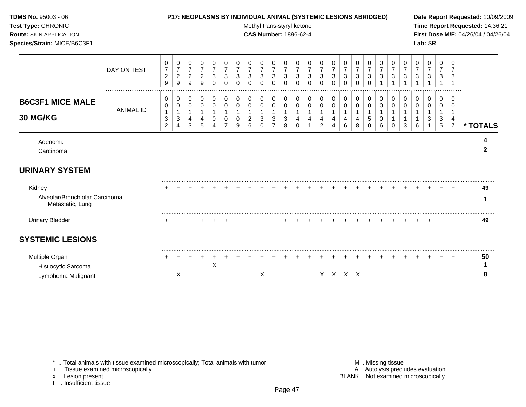Test Type: CHRONIC **Test Type:** CHRONIC **Test Type:** CHRONIC **Time Report Requested:** 14:36:21 **Route:** SKIN APPLICATION **CAS Number:** 1896-62-4 **First Dose M/F:** 04/26/04 / 04/26/04 **Species/Strain:** MICE/B6C3F1 **Lab:** SRI

|                                                               | DAY ON TEST          | 0<br>$\overline{7}$<br>$\overline{c}$<br>$\boldsymbol{9}$ | 0<br>$\boldsymbol{7}$<br>$\frac{2}{9}$ | 0<br>$\boldsymbol{7}$<br>$\overline{c}$<br>9 | 0<br>$\boldsymbol{7}$<br>$\overline{c}$<br>9     | 0<br>$\overline{7}$<br>3<br>0  | 0<br>3<br>O | 0<br>$\ensuremath{\mathsf{3}}$<br>$\Omega$ | 0<br>3<br>$\Omega$            | 0<br>3<br>$\Omega$      | 0<br>$\overline{7}$<br>$\sqrt{3}$<br>$\Omega$ | 0<br>$\overline{7}$<br>$\ensuremath{\mathsf{3}}$<br>$\Omega$ | 0<br>3<br>0      | 0<br>3<br>$\Omega$ | 0<br>3<br>$\Omega$            | 0<br>7<br>$\sqrt{3}$<br>$\Omega$ | 0<br>$\overline{7}$<br>$\sqrt{3}$<br>$\Omega$ | 0<br>$\overline{7}$<br>3<br>$\Omega$ | 0<br>3<br>$\Omega$             | 0<br>7<br>3      | 0<br>3      | 0<br>3      | 0<br>$\overline{7}$<br>3 | 0<br>$\overline{7}$<br>3 | 0<br>$\overline{7}$<br>3 | $\Omega$<br>3                             |          |
|---------------------------------------------------------------|----------------------|-----------------------------------------------------------|----------------------------------------|----------------------------------------------|--------------------------------------------------|--------------------------------|-------------|--------------------------------------------|-------------------------------|-------------------------|-----------------------------------------------|--------------------------------------------------------------|------------------|--------------------|-------------------------------|----------------------------------|-----------------------------------------------|--------------------------------------|--------------------------------|------------------|-------------|-------------|--------------------------|--------------------------|--------------------------|-------------------------------------------|----------|
| <b>B6C3F1 MICE MALE</b><br>30 MG/KG                           | <br><b>ANIMAL ID</b> | 0<br>0<br>3<br>$\overline{2}$                             | 0<br>0<br>3<br>$\overline{4}$          | 0<br>0<br>1<br>4<br>3                        | $\pmb{0}$<br>$\pmb{0}$<br>$\mathbf{1}$<br>4<br>5 | 0<br>$\Omega$<br>$\Omega$<br>4 | 0<br>0      | 0<br>0<br>0<br>9                           | 0<br>0<br>$\overline{2}$<br>6 | 0<br>0<br>3<br>$\Omega$ | 0<br>0<br>1<br>3<br>$\overline{7}$            | 0<br>0<br>3<br>8                                             | 0<br>0<br>4<br>0 | 0<br>0<br>4        | 0<br>0<br>4<br>$\overline{2}$ | 0<br>0<br>4<br>4                 | 0<br>0<br>4<br>6                              | 0<br>0<br>1<br>4<br>8                | 0<br>$\Omega$<br>5<br>$\Omega$ | 0<br>0<br>0<br>6 | 0<br>0<br>0 | 0<br>0<br>3 | 0<br>0<br>6              | 0<br>0<br>3              | 0<br>0<br>3<br>5         | .<br>$\Omega$<br>n<br>4<br>$\overline{7}$ | * TOTALS |
| Adenoma<br>Carcinoma                                          |                      |                                                           |                                        |                                              |                                                  |                                |             |                                            |                               |                         |                                               |                                                              |                  |                    |                               |                                  |                                               |                                      |                                |                  |             |             |                          |                          |                          |                                           |          |
| <b>URINARY SYSTEM</b>                                         |                      |                                                           |                                        |                                              |                                                  |                                |             |                                            |                               |                         |                                               |                                                              |                  |                    |                               |                                  |                                               |                                      |                                |                  |             |             |                          |                          |                          |                                           |          |
| Kidney<br>Alveolar/Bronchiolar Carcinoma,<br>Metastatic, Lung |                      |                                                           |                                        |                                              |                                                  |                                |             |                                            |                               |                         |                                               |                                                              |                  |                    |                               |                                  |                                               |                                      |                                |                  |             |             |                          |                          |                          | $+$                                       | 49       |
| <b>Urinary Bladder</b>                                        |                      |                                                           |                                        |                                              |                                                  |                                |             |                                            |                               |                         |                                               |                                                              |                  |                    |                               |                                  |                                               |                                      |                                |                  |             |             |                          |                          |                          | $\div$                                    | 49       |
| <b>SYSTEMIC LESIONS</b>                                       |                      |                                                           |                                        |                                              |                                                  |                                |             |                                            |                               |                         |                                               |                                                              |                  |                    |                               |                                  |                                               |                                      |                                |                  |             |             |                          |                          |                          |                                           |          |
| Multiple Organ<br>Histiocytic Sarcoma<br>Lymphoma Malignant   |                      |                                                           | X                                      |                                              |                                                  | X                              |             |                                            |                               | X                       |                                               |                                                              |                  |                    |                               | X X X X                          |                                               |                                      |                                |                  |             |             |                          |                          |                          | $+$                                       | 50       |

\* .. Total animals with tissue examined microscopically; Total animals with tumor <br>
+ .. Tissue examined microscopically<br>
+ .. Tissue examined microscopically

+ .. Tissue examined microscopically

x .. Lesion present<br>I .. Insufficient tissue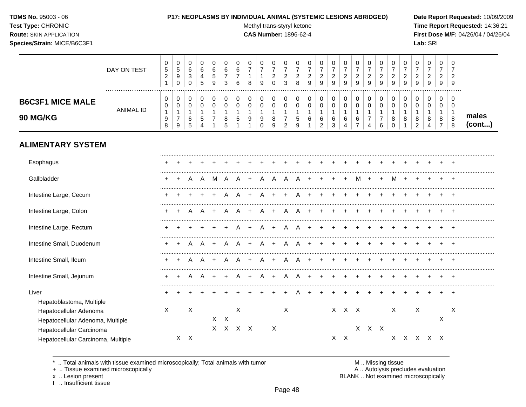**Route: SKIN APPLICATION** 

Species/Strain: MICE/B6C3F1

#### P17: NEOPLASMS BY INDIVIDUAL ANIMAL (SYSTEMIC LESIONS ABRIDGED)

Methyl trans-styryl ketone

**CAS Number: 1896-62-4** 

Date Report Requested: 10/09/2009 Time Report Requested: 14:36:21 First Dose M/F: 04/26/04 / 04/26/04 Lab: SRI

|                                            | DAY ON TEST      | 0<br>5<br>ົ<br><u>.</u> | 0<br>C.<br>9<br>0 | ⌒<br>ь<br>U | 6<br>4 | 6 | 6<br>3            |   | Ü<br>8 | υ<br>9 | ີ<br><u>.</u><br>J | v<br>3 | υ<br>8 | υ<br>9 |   | U<br>◠<br>9 | 9 | v<br>ົ<br><u>_</u><br>9 | റ<br>9 | υ<br>ົ<br>9 | 0<br><sup>o</sup><br>9 | u<br>9      | U<br>9 | 9 | U<br><u>_</u><br>9 | C<br>-9 |        |
|--------------------------------------------|------------------|-------------------------|-------------------|-------------|--------|---|-------------------|---|--------|--------|--------------------|--------|--------|--------|---|-------------|---|-------------------------|--------|-------------|------------------------|-------------|--------|---|--------------------|---------|--------|
| <b>B6C3F1 MICE MALE</b><br><b>90 MG/KG</b> | <b>ANIMAL ID</b> | 0<br>0                  | 0<br>U<br>-       | u<br>⌒      | ∽      |   |                   |   | 0      | v      | 0<br>J             | υ<br>v | 0<br>υ |        | ⌒ | 0<br>0      | 6 | v<br>u                  |        | 0<br>0      | 0<br>∩<br>υ            | u<br>u<br>8 |        |   | U<br>υ             | - G     | males  |
|                                            |                  | 9<br>8                  | 9                 | ь<br>đ      | Ñ      |   | 8<br><sub>5</sub> | Ð | 9      | 9      | 8<br>9             |        | đ<br>9 | 6      |   | 6<br>3      |   | 6                       | ↵      | 6           | 8                      |             | 8      | 8 | 8<br>-             | -8      | (cont) |

# **ALIMENTARY SYSTEM**

| Esophagus                                                      |           |       |     |   |     |   |         |     |   |    |   |           |     |     |     |             |   |       |        |    |    |   |   |   |
|----------------------------------------------------------------|-----------|-------|-----|---|-----|---|---------|-----|---|----|---|-----------|-----|-----|-----|-------------|---|-------|--------|----|----|---|---|---|
| Gallbladder                                                    |           |       | A   | A | M   | A | A       | $+$ |   | AA | A | A         | $+$ |     |     | $+$         | M | $+$   | $\div$ | M  |    |   |   |   |
| Intestine Large, Cecum                                         |           |       |     |   |     |   |         |     |   |    |   |           |     |     |     |             |   |       |        |    |    |   |   |   |
| Intestine Large, Colon                                         | ٠         |       |     |   |     |   |         |     |   |    |   |           |     |     |     |             |   |       |        |    |    |   |   |   |
| Intestine Large, Rectum                                        |           |       |     |   |     |   |         |     |   |    |   |           |     |     |     |             |   |       |        |    |    |   |   |   |
| Intestine Small, Duodenum                                      | ٠         |       |     | A |     |   |         |     |   |    |   |           |     |     |     |             |   |       |        |    |    |   |   |   |
| Intestine Small, Ileum                                         | $\ddot{}$ | $\pm$ |     | A | $+$ | A | A       | $+$ |   |    |   | A + A A + |     | $+$ |     |             |   |       |        |    |    |   |   |   |
| Intestine Small, Jejunum                                       |           |       |     |   |     |   |         |     | Α |    | A | A         |     |     |     |             |   |       |        |    |    |   |   |   |
| Liver<br>Hepatoblastoma, Multiple                              |           |       |     |   |     |   |         |     |   |    |   |           |     |     |     |             |   |       |        |    |    |   |   |   |
| Hepatocellular Adenoma<br>Hepatocellular Adenoma, Multiple     | X         |       | X   |   | X X |   | X       |     |   |    | X |           |     |     |     | $X$ $X$ $X$ |   |       |        | X  |    | X | X | X |
| Hepatocellular Carcinoma<br>Hepatocellular Carcinoma, Multiple |           |       | X X |   |     |   | X X X X |     |   | X  |   |           |     |     | X X |             |   | x x x |        | X. | X. | X | X |   |

\* .. Total animals with tissue examined microscopically; Total animals with tumor

+ .. Tissue examined microscopically

x .. Lesion present

1 .. Insufficient tissue

M .. Missing tissue<br>A .. Autolysis precludes evaluation BLANK .. Not examined microscopically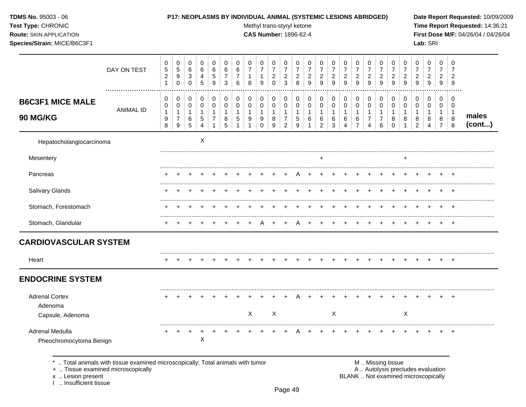Test Type: CHRONIC **Test Type:** CHRONIC **Test Type:** CHRONIC **Time Report Requested:** 14:36:21 **Route:** SKIN APPLICATION **CAS Number:** 1896-62-4 **First Dose M/F:** 04/26/04 / 04/26/04 **Species/Strain:** MICE/B6C3F1 **Lab:** SRI

|                                                                                                                                            | DAY ON TEST      | $\mathbf 0$<br>$\mathbf 5$<br>$\overline{c}$<br>$\mathbf{1}$ | 0<br>$\sqrt{5}$<br>$\boldsymbol{9}$<br>$\mathbf 0$    | $\pmb{0}$<br>6<br>$\mathbf{3}$<br>$\mathsf 0$                    | 0<br>$\,6$<br>4<br>$\overline{5}$                                      | $\mathbf 0$<br>$\,6$<br>$\,$ 5 $\,$<br>$9\,$                       | 0<br>$\,6\,$<br>$\overline{7}$<br>3                    | $\mathbf 0$<br>6<br>$\overline{7}$<br>6                         | $\mathbf 0$<br>$\overline{7}$<br>1<br>8         | 0<br>$\boldsymbol{7}$<br>1<br>9                 | 0<br>$\boldsymbol{7}$<br>$\overline{2}$<br>0 | $\mathbf 0$<br>$\boldsymbol{7}$<br>$\overline{c}$<br>$\mathbf{3}$              | 0<br>$\boldsymbol{7}$<br>$\overline{2}$<br>8       | 0<br>$\overline{7}$<br>$\overline{c}$<br>$9\,$ | $\pmb{0}$<br>$\overline{7}$<br>$\overline{2}$<br>9            | 0<br>$\overline{7}$<br>$\overline{c}$<br>$\boldsymbol{9}$ | $\pmb{0}$<br>$\boldsymbol{7}$<br>$\overline{c}$<br>$\overline{9}$ | 0<br>$\overline{7}$<br>$\overline{2}$<br>9    | $\mathbf 0$<br>$\overline{7}$<br>$\overline{2}$<br>9                 | 0<br>$\boldsymbol{7}$<br>$\overline{2}$<br>9                                                  | 0<br>$\overline{7}$<br>$\overline{2}$<br>9 | $\mathbf 0$<br>$\overline{7}$<br>$\overline{2}$<br>9              | 0<br>$\overline{7}$<br>$\overline{c}$<br>9 | 0<br>$\overline{7}$<br>$\sqrt{2}$<br>$\boldsymbol{9}$   | $\mathbf 0$<br>$\overline{7}$<br>$\overline{2}$<br>9    | 0<br>$\overline{7}$<br>$\overline{2}$<br>$\boldsymbol{9}$ |                 |
|--------------------------------------------------------------------------------------------------------------------------------------------|------------------|--------------------------------------------------------------|-------------------------------------------------------|------------------------------------------------------------------|------------------------------------------------------------------------|--------------------------------------------------------------------|--------------------------------------------------------|-----------------------------------------------------------------|-------------------------------------------------|-------------------------------------------------|----------------------------------------------|--------------------------------------------------------------------------------|----------------------------------------------------|------------------------------------------------|---------------------------------------------------------------|-----------------------------------------------------------|-------------------------------------------------------------------|-----------------------------------------------|----------------------------------------------------------------------|-----------------------------------------------------------------------------------------------|--------------------------------------------|-------------------------------------------------------------------|--------------------------------------------|---------------------------------------------------------|---------------------------------------------------------|-----------------------------------------------------------|-----------------|
| <b>B6C3F1 MICE MALE</b><br>90 MG/KG                                                                                                        | <b>ANIMAL ID</b> | 0<br>$\pmb{0}$<br>1<br>9<br>8                                | 0<br>$\pmb{0}$<br>$\mathbf{1}$<br>$\overline{7}$<br>9 | $\pmb{0}$<br>$\mathsf 0$<br>$\mathbf{1}$<br>6<br>$5\phantom{.0}$ | $\pmb{0}$<br>$\pmb{0}$<br>$\mathbf{1}$<br>$\sqrt{5}$<br>$\overline{4}$ | 0<br>$\mathsf 0$<br>$\mathbf{1}$<br>$\overline{7}$<br>$\mathbf{1}$ | $\mathbf 0$<br>$\mathbf 0$<br>$\overline{1}$<br>8<br>5 | $\mathbf 0$<br>$\mathbf 0$<br>$\mathbf{1}$<br>5<br>$\mathbf{1}$ | $\mathbf 0$<br>$\mathbf 0$<br>$\mathbf{1}$<br>9 | 0<br>$\pmb{0}$<br>$\mathbf{1}$<br>9<br>$\Omega$ | 0<br>0<br>$\mathbf{1}$<br>$\bf 8$<br>9       | $\mathbf 0$<br>$\mathbf 0$<br>$\mathbf{1}$<br>$\overline{7}$<br>$\overline{2}$ | 0<br>$\pmb{0}$<br>$\mathbf{1}$<br>$\,$ 5 $\,$<br>9 | $\mathbf 0$<br>$\pmb{0}$<br>$\mathbf{1}$<br>6  | $\pmb{0}$<br>$\pmb{0}$<br>$\mathbf{1}$<br>6<br>$\overline{2}$ | 0<br>0<br>$\mathbf{1}$<br>6<br>3                          | $\mathbf 0$<br>$\pmb{0}$<br>$\mathbf{1}$<br>6<br>$\overline{4}$   | 0<br>0<br>$\mathbf{1}$<br>6<br>$\overline{7}$ | 0<br>$\mathbf 0$<br>$\mathbf{1}$<br>$\overline{7}$<br>$\overline{4}$ | 0<br>$\mathbf 0$<br>$\mathbf{1}$<br>$\overline{7}$<br>6                                       | 0<br>0<br>$\mathbf{1}$<br>8<br>$\Omega$    | $\mathbf 0$<br>$\mathbf 0$<br>$\mathbf{1}$<br>8<br>$\overline{1}$ | 0<br>$\mathbf 0$<br>1<br>8<br>2            | 0<br>$\mathbf 0$<br>$\mathbf{1}$<br>8<br>$\overline{4}$ | 0<br>$\mathbf 0$<br>$\mathbf{1}$<br>8<br>$\overline{7}$ | $\mathbf 0$<br>$\mathbf 0$<br>$\mathbf 1$<br>8<br>8       | males<br>(cont) |
| Hepatocholangiocarcinoma                                                                                                                   |                  |                                                              |                                                       |                                                                  | X                                                                      |                                                                    |                                                        |                                                                 |                                                 |                                                 |                                              |                                                                                |                                                    |                                                |                                                               |                                                           |                                                                   |                                               |                                                                      |                                                                                               |                                            |                                                                   |                                            |                                                         |                                                         |                                                           |                 |
| Mesentery                                                                                                                                  |                  |                                                              |                                                       |                                                                  |                                                                        |                                                                    |                                                        |                                                                 |                                                 |                                                 |                                              |                                                                                |                                                    |                                                | ÷                                                             |                                                           |                                                                   |                                               |                                                                      |                                                                                               |                                            | ÷                                                                 |                                            |                                                         |                                                         |                                                           |                 |
| Pancreas                                                                                                                                   |                  |                                                              |                                                       |                                                                  |                                                                        |                                                                    |                                                        |                                                                 |                                                 |                                                 |                                              |                                                                                |                                                    |                                                |                                                               |                                                           |                                                                   |                                               |                                                                      |                                                                                               |                                            |                                                                   |                                            |                                                         |                                                         |                                                           |                 |
| Salivary Glands                                                                                                                            |                  |                                                              |                                                       |                                                                  |                                                                        |                                                                    |                                                        |                                                                 |                                                 |                                                 |                                              |                                                                                |                                                    |                                                |                                                               |                                                           |                                                                   |                                               |                                                                      |                                                                                               |                                            |                                                                   |                                            |                                                         |                                                         | $\div$                                                    |                 |
| Stomach, Forestomach                                                                                                                       |                  |                                                              |                                                       |                                                                  |                                                                        |                                                                    |                                                        |                                                                 |                                                 |                                                 |                                              |                                                                                |                                                    |                                                |                                                               |                                                           |                                                                   |                                               |                                                                      |                                                                                               |                                            |                                                                   |                                            |                                                         |                                                         | $\div$                                                    |                 |
| Stomach, Glandular                                                                                                                         |                  |                                                              |                                                       |                                                                  |                                                                        |                                                                    |                                                        |                                                                 |                                                 |                                                 |                                              |                                                                                | А                                                  |                                                |                                                               |                                                           |                                                                   |                                               |                                                                      |                                                                                               |                                            |                                                                   |                                            |                                                         |                                                         | $\overline{+}$                                            |                 |
| <b>CARDIOVASCULAR SYSTEM</b>                                                                                                               |                  |                                                              |                                                       |                                                                  |                                                                        |                                                                    |                                                        |                                                                 |                                                 |                                                 |                                              |                                                                                |                                                    |                                                |                                                               |                                                           |                                                                   |                                               |                                                                      |                                                                                               |                                            |                                                                   |                                            |                                                         |                                                         |                                                           |                 |
| Heart                                                                                                                                      |                  |                                                              |                                                       |                                                                  |                                                                        |                                                                    |                                                        |                                                                 |                                                 |                                                 |                                              |                                                                                |                                                    |                                                |                                                               |                                                           |                                                                   |                                               |                                                                      |                                                                                               |                                            |                                                                   |                                            |                                                         |                                                         |                                                           |                 |
| <b>ENDOCRINE SYSTEM</b>                                                                                                                    |                  |                                                              |                                                       |                                                                  |                                                                        |                                                                    |                                                        |                                                                 |                                                 |                                                 |                                              |                                                                                |                                                    |                                                |                                                               |                                                           |                                                                   |                                               |                                                                      |                                                                                               |                                            |                                                                   |                                            |                                                         |                                                         |                                                           |                 |
| <b>Adrenal Cortex</b><br>Adenoma                                                                                                           |                  |                                                              |                                                       |                                                                  |                                                                        |                                                                    |                                                        |                                                                 | $\mathsf{X}$                                    |                                                 | X                                            |                                                                                |                                                    |                                                |                                                               | X                                                         |                                                                   |                                               |                                                                      |                                                                                               |                                            | $\boldsymbol{\mathsf{X}}$                                         |                                            |                                                         |                                                         | $\ddot{}$                                                 |                 |
| Capsule, Adenoma                                                                                                                           |                  |                                                              |                                                       |                                                                  |                                                                        |                                                                    |                                                        |                                                                 |                                                 |                                                 |                                              |                                                                                |                                                    |                                                |                                                               |                                                           |                                                                   |                                               |                                                                      |                                                                                               |                                            |                                                                   |                                            |                                                         |                                                         |                                                           |                 |
| Adrenal Medulla<br>Pheochromocytoma Benign                                                                                                 |                  |                                                              |                                                       |                                                                  | $\sf X$                                                                |                                                                    |                                                        |                                                                 |                                                 |                                                 |                                              |                                                                                |                                                    |                                                |                                                               |                                                           |                                                                   |                                               |                                                                      |                                                                                               |                                            |                                                                   |                                            |                                                         |                                                         | $\div$                                                    |                 |
| *  Total animals with tissue examined microscopically; Total animals with tumor<br>+  Tissue examined microscopically<br>x  Lesion present |                  |                                                              |                                                       |                                                                  |                                                                        |                                                                    |                                                        |                                                                 |                                                 |                                                 |                                              |                                                                                |                                                    |                                                |                                                               |                                                           |                                                                   |                                               |                                                                      | M  Missing tissue<br>A  Autolysis precludes evaluation<br>BLANK  Not examined microscopically |                                            |                                                                   |                                            |                                                         |                                                         |                                                           |                 |

x .. Lesion present<br>I .. Insufficient tissue

Page 49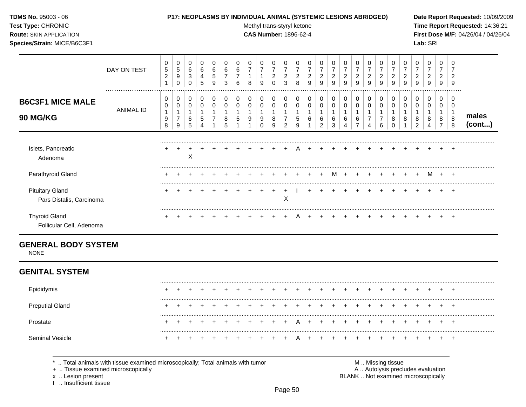Test Type: CHRONIC **Test Type:** CHRONIC **Test Type:** CHRONIC **Time Report Requested:** 14:36:21 **Route:** SKIN APPLICATION **CAS Number:** 1896-62-4 **First Dose M/F:** 04/26/04 / 04/26/04 **Species/Strain:** MICE/B6C3F1 **Lab:** SRI

|                                                    | DAY ON TEST   | 0<br>5<br>$\overline{c}$ | 0<br>5<br>9 | 0<br>6<br>3<br>0 | 6<br>4<br>5      | 6<br>5<br>9 | 6<br>3 | 0<br>6<br>6 | 0<br>8      | 0<br>$\overline{7}$<br>9 | 7<br>$\overline{c}$<br>$\Omega$ | 0<br>$\overline{ }$<br>2<br>3 | 2<br>8 | 2<br>9 | $\overline{c}$<br>9 | 0<br>2<br>9 | $\overline{\mathbf{c}}$<br>9 | 0<br>$\overline{ }$<br>$\overline{c}$<br>9 | 7<br>$\overline{c}$<br>9 | 0<br>⇁<br>2<br>9 | 2<br>9 | $\overline{2}$<br>9 | ົ<br>∠<br>9 | 0<br>2<br>9      | 0<br>⇁<br>2<br>9              | 0<br>2<br>9           |                 |
|----------------------------------------------------|---------------|--------------------------|-------------|------------------|------------------|-------------|--------|-------------|-------------|--------------------------|---------------------------------|-------------------------------|--------|--------|---------------------|-------------|------------------------------|--------------------------------------------|--------------------------|------------------|--------|---------------------|-------------|------------------|-------------------------------|-----------------------|-----------------|
| <b>B6C3F1 MICE MALE</b><br><b>90 MG/KG</b>         | <br>ANIMAL ID | 0<br>0<br>9<br>8         | ⇁<br>9      | 0<br>0<br>6<br>5 | 0<br>0<br>5<br>4 |             | o<br>5 | 0<br>0<br>5 | 0<br>0<br>9 | 0<br>0<br>9<br>0         | $\overline{0}$<br>8<br>9        | 0<br>0<br>2                   | 0<br>9 | 0<br>O | າ                   | 0<br>6<br>3 | 0<br>0<br>6<br>4             | 0<br>0<br>6<br>$\overline{ }$              | 0<br>0<br>4              | 0<br>0<br>6      | 0      | 0<br>0<br>ö         | ◠           | 0<br>0<br>8<br>4 | 0<br>0<br>8<br>$\overline{7}$ | .<br>0<br>0<br>8<br>8 | males<br>(cont) |
|                                                    |               |                          |             |                  |                  |             |        |             |             |                          |                                 |                               |        |        |                     |             |                              |                                            |                          |                  |        |                     |             |                  |                               |                       |                 |
| Islets, Pancreatic<br>Adenoma                      |               |                          |             | X                |                  |             |        |             |             |                          |                                 |                               |        |        |                     |             |                              |                                            |                          |                  |        |                     |             |                  |                               | $\pm$                 |                 |
| Parathyroid Gland                                  |               |                          |             |                  |                  |             |        |             |             |                          |                                 |                               |        |        |                     | M           |                              |                                            |                          |                  |        |                     |             | M                | $+$                           | $+$                   |                 |
| <b>Pituitary Gland</b><br>Pars Distalis, Carcinoma |               |                          |             |                  |                  |             |        |             |             |                          |                                 | Χ                             |        |        |                     |             |                              |                                            |                          |                  |        |                     |             |                  |                               | $\overline{ }$        |                 |
| <b>Thyroid Gland</b><br>Follicular Cell, Adenoma   |               |                          |             |                  |                  |             |        |             |             |                          |                                 |                               |        |        |                     |             |                              |                                            |                          |                  |        |                     |             |                  |                               |                       |                 |

## **GENERAL BODY SYSTEM**

NONE

# **GENITAL SYSTEM**

| Epididymis             | $+$ |  |  |                                   |  |       | $+$                 | $+$ | $+$ $-$ | $+$ | · + |  |  |  |         | $^{+}$  |  |
|------------------------|-----|--|--|-----------------------------------|--|-------|---------------------|-----|---------|-----|-----|--|--|--|---------|---------|--|
| <b>Preputial Gland</b> |     |  |  |                                   |  |       | $+$ $+$ $+$ $+$ $+$ |     |         |     |     |  |  |  |         | $+$ $+$ |  |
| Prostate               |     |  |  |                                   |  | $\pm$ |                     |     |         |     |     |  |  |  |         | $+$ $+$ |  |
| Seminal Vesicle        |     |  |  | + + + + + + A + + + + + + + + + + |  |       |                     |     |         |     |     |  |  |  | $+$ $+$ |         |  |

\* .. Total animals with tissue examined microscopically; Total animals with tumor <br>
+ .. Tissue examined microscopically<br>
+ .. Tissue examined microscopically

+ .. Tissue examined microscopically

I .. Insufficient tissue

x .. Lesion present **BLANK** .. Not examined microscopically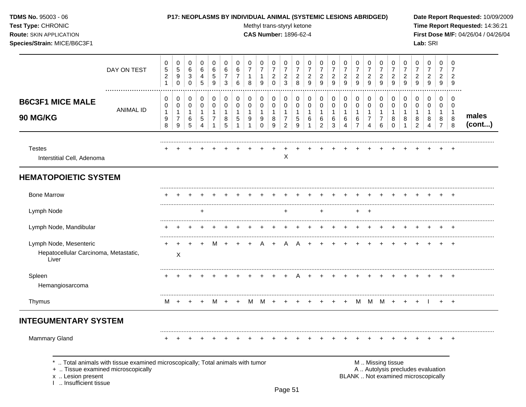|                                                                          | DAY ON TEST                                                                                                        | 0<br>$\sqrt{5}$<br>$\boldsymbol{2}$<br>$\mathbf{1}$ | $\mathbf 0$<br>$\,$ 5 $\,$<br>9<br>$\pmb{0}$                      | 0<br>6<br>3<br>$\pmb{0}$                   | 0<br>6<br>4<br>5                                     | 0<br>$\,6\,$<br>5<br>9                                             | $\Omega$<br>6<br>$\overline{7}$<br>3                   | $\Omega$<br>$\,6$<br>$\overline{7}$<br>6              | 0<br>$\overline{7}$<br>$\mathbf{1}$<br>8                          | $\mathbf 0$<br>$\overline{7}$<br>$\mathbf{1}$<br>9          | 0<br>$\overline{7}$<br>$\boldsymbol{2}$<br>$\mathbf 0$ | 0<br>$\overline{7}$<br>$\overline{c}$<br>3                           | 0<br>$\overline{7}$<br>$\overline{c}$<br>8 | $\mathbf 0$<br>$\overline{7}$<br>$\overline{c}$<br>9 | 0<br>$\overline{7}$<br>$\boldsymbol{2}$<br>9            | 0<br>$\boldsymbol{7}$<br>$\overline{c}$<br>$\overline{9}$ | 0<br>$\overline{7}$<br>$\overline{c}$<br>$\boldsymbol{9}$ | $\mathbf 0$<br>$\overline{7}$<br>$\overline{c}$<br>$\boldsymbol{9}$ | 0<br>$\overline{7}$<br>$\overline{\mathbf{c}}$<br>9 | 0<br>$\overline{7}$<br>$\overline{c}$<br>9              | 0<br>$\overline{7}$<br>$\overline{c}$<br>9                  | 0<br>$\overline{7}$<br>$\boldsymbol{2}$<br>9                    | 0<br>$\overline{7}$<br>$\overline{c}$<br>9                        | $\mathbf 0$<br>$\boldsymbol{7}$<br>$\overline{\mathbf{c}}$<br>9          | $\mathbf 0$<br>$\overline{7}$<br>$\overline{c}$<br>$\boldsymbol{9}$ | $\Omega$<br>$\overline{7}$<br>$\overline{c}$<br>9      |                 |
|--------------------------------------------------------------------------|--------------------------------------------------------------------------------------------------------------------|-----------------------------------------------------|-------------------------------------------------------------------|--------------------------------------------|------------------------------------------------------|--------------------------------------------------------------------|--------------------------------------------------------|-------------------------------------------------------|-------------------------------------------------------------------|-------------------------------------------------------------|--------------------------------------------------------|----------------------------------------------------------------------|--------------------------------------------|------------------------------------------------------|---------------------------------------------------------|-----------------------------------------------------------|-----------------------------------------------------------|---------------------------------------------------------------------|-----------------------------------------------------|---------------------------------------------------------|-------------------------------------------------------------|-----------------------------------------------------------------|-------------------------------------------------------------------|--------------------------------------------------------------------------|---------------------------------------------------------------------|--------------------------------------------------------|-----------------|
| <b>B6C3F1 MICE MALE</b><br>90 MG/KG                                      | <b>ANIMAL ID</b>                                                                                                   | $\mathbf 0$<br>0<br>$\mathbf{1}$<br>9<br>8          | $\mathbf 0$<br>$\mathbf 0$<br>$\mathbf{1}$<br>$\overline{7}$<br>9 | 0<br>$\mathbf 0$<br>$\mathbf{1}$<br>6<br>5 | $\mathbf 0$<br>$\mathbf 0$<br>$\mathbf{1}$<br>5<br>4 | 0<br>$\mathbf 0$<br>$\mathbf{1}$<br>$\overline{7}$<br>$\mathbf{1}$ | $\mathbf 0$<br>$\mathbf 0$<br>$\overline{1}$<br>8<br>5 | 0<br>$\mathbf 0$<br>$\mathbf{1}$<br>5<br>$\mathbf{1}$ | $\mathbf 0$<br>$\mathbf 0$<br>$\mathbf{1}$<br>9<br>$\overline{1}$ | $\mathbf 0$<br>$\mathbf 0$<br>$\mathbf{1}$<br>9<br>$\Omega$ | 0<br>$\mathbf 0$<br>$\mathbf{1}$<br>8<br>9             | 0<br>$\mathbf 0$<br>$\mathbf{1}$<br>$\overline{7}$<br>$\overline{2}$ | 0<br>$\mathbf 0$<br>$\mathbf{1}$<br>5<br>9 | $\mathbf 0$<br>$\mathbf 0$<br>$\mathbf{1}$<br>6<br>1 | 0<br>$\mathbf 0$<br>$\mathbf{1}$<br>6<br>$\overline{2}$ | $\mathbf 0$<br>$\mathbf 0$<br>$\mathbf{1}$<br>6<br>3      | $\mathbf 0$<br>$\mathbf 0$<br>$\mathbf{1}$<br>6<br>4      | $\mathbf 0$<br>$\pmb{0}$<br>$\mathbf{1}$<br>6<br>$\overline{7}$     | 0<br>$\mathbf 0$<br>1<br>$\overline{7}$<br>4        | 0<br>$\mathbf 0$<br>$\mathbf{1}$<br>$\overline{7}$<br>6 | $\mathbf 0$<br>$\mathbf 0$<br>$\mathbf{1}$<br>8<br>$\Omega$ | $\mathbf 0$<br>$\mathbf 0$<br>$\mathbf{1}$<br>8<br>$\mathbf{1}$ | $\mathbf 0$<br>$\mathbf 0$<br>$\mathbf{1}$<br>8<br>$\overline{2}$ | $\mathbf 0$<br>$\mathbf 0$<br>$\overline{1}$<br>8<br>4                   | $\mathbf 0$<br>$\mathbf 0$<br>$\mathbf{1}$<br>8<br>$\overline{7}$   | $\mathbf 0$<br>$\mathbf 0$<br>$\overline{1}$<br>8<br>8 | males<br>(cont) |
| <b>Testes</b><br>Interstitial Cell, Adenoma                              |                                                                                                                    |                                                     |                                                                   |                                            |                                                      |                                                                    |                                                        |                                                       |                                                                   |                                                             |                                                        | X                                                                    |                                            |                                                      |                                                         |                                                           |                                                           |                                                                     |                                                     |                                                         |                                                             |                                                                 |                                                                   |                                                                          |                                                                     |                                                        |                 |
| <b>HEMATOPOIETIC SYSTEM</b>                                              |                                                                                                                    |                                                     |                                                                   |                                            |                                                      |                                                                    |                                                        |                                                       |                                                                   |                                                             |                                                        |                                                                      |                                            |                                                      |                                                         |                                                           |                                                           |                                                                     |                                                     |                                                         |                                                             |                                                                 |                                                                   |                                                                          |                                                                     |                                                        |                 |
| <b>Bone Marrow</b>                                                       |                                                                                                                    |                                                     |                                                                   |                                            |                                                      |                                                                    |                                                        |                                                       |                                                                   |                                                             |                                                        |                                                                      |                                            |                                                      |                                                         |                                                           |                                                           |                                                                     |                                                     |                                                         |                                                             |                                                                 |                                                                   |                                                                          |                                                                     |                                                        |                 |
| Lymph Node                                                               |                                                                                                                    |                                                     |                                                                   |                                            | ٠                                                    |                                                                    |                                                        |                                                       |                                                                   |                                                             |                                                        | ÷                                                                    |                                            |                                                      | $\ddot{}$                                               |                                                           |                                                           | $\ddot{}$                                                           | ÷                                                   |                                                         |                                                             |                                                                 |                                                                   |                                                                          |                                                                     |                                                        |                 |
| Lymph Node, Mandibular                                                   |                                                                                                                    |                                                     |                                                                   |                                            |                                                      |                                                                    |                                                        |                                                       |                                                                   |                                                             |                                                        |                                                                      |                                            |                                                      |                                                         |                                                           |                                                           |                                                                     |                                                     |                                                         |                                                             |                                                                 |                                                                   |                                                                          |                                                                     |                                                        |                 |
| Lymph Node, Mesenteric<br>Hepatocellular Carcinoma, Metastatic,<br>Liver |                                                                                                                    |                                                     | $\boldsymbol{\mathsf{X}}$                                         | $\overline{1}$                             | ÷                                                    | м                                                                  |                                                        |                                                       | ÷                                                                 |                                                             | $\overline{ }$                                         | Α                                                                    | А                                          |                                                      |                                                         |                                                           |                                                           |                                                                     |                                                     |                                                         |                                                             |                                                                 |                                                                   |                                                                          | +                                                                   | $\ddot{}$                                              |                 |
| Spleen<br>Hemangiosarcoma                                                |                                                                                                                    |                                                     |                                                                   |                                            |                                                      |                                                                    |                                                        |                                                       |                                                                   |                                                             |                                                        |                                                                      |                                            |                                                      |                                                         |                                                           |                                                           |                                                                     |                                                     |                                                         |                                                             |                                                                 |                                                                   |                                                                          |                                                                     |                                                        |                 |
| Thymus                                                                   |                                                                                                                    | М                                                   | $\ddot{}$                                                         |                                            |                                                      | M                                                                  |                                                        | $\ddot{}$                                             | M                                                                 | M                                                           |                                                        |                                                                      |                                            |                                                      |                                                         | $\ddot{}$                                                 | $+$                                                       | M                                                                   |                                                     | M M +                                                   |                                                             | $+$                                                             | $+$                                                               |                                                                          |                                                                     |                                                        |                 |
| <b>INTEGUMENTARY SYSTEM</b>                                              |                                                                                                                    |                                                     |                                                                   |                                            |                                                      |                                                                    |                                                        |                                                       |                                                                   |                                                             |                                                        |                                                                      |                                            |                                                      |                                                         |                                                           |                                                           |                                                                     |                                                     |                                                         |                                                             |                                                                 |                                                                   |                                                                          |                                                                     |                                                        |                 |
| Mammary Gland                                                            |                                                                                                                    |                                                     |                                                                   |                                            |                                                      |                                                                    |                                                        |                                                       |                                                                   |                                                             |                                                        |                                                                      |                                            |                                                      |                                                         |                                                           |                                                           |                                                                     |                                                     |                                                         |                                                             |                                                                 |                                                                   |                                                                          |                                                                     |                                                        |                 |
| x  Lesion present<br>I. Insufficient tissue                              | Total animals with tissue examined microscopically; Total animals with tumor<br>+  Tissue examined microscopically |                                                     |                                                                   |                                            |                                                      |                                                                    |                                                        |                                                       |                                                                   |                                                             |                                                        |                                                                      | $ \cdot$                                   |                                                      |                                                         |                                                           |                                                           |                                                                     |                                                     | M  Missing tissue                                       |                                                             |                                                                 |                                                                   | A  Autolysis precludes evaluation<br>BLANK  Not examined microscopically |                                                                     |                                                        |                 |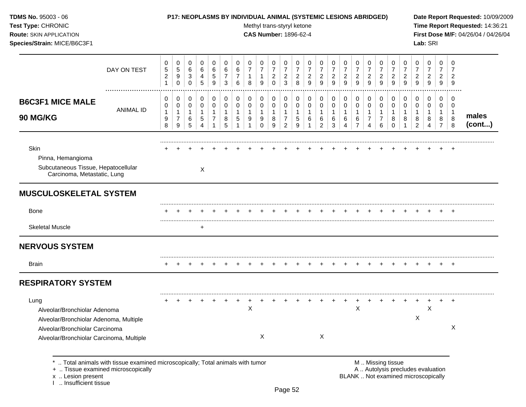| DAY ON TEST                                                                                                                                                       | 0<br>$\,$ 5 $\,$<br>$\boldsymbol{2}$<br>$\mathbf{1}$ | 0<br>$\,$ 5 $\,$<br>$\boldsymbol{9}$<br>$\pmb{0}$       | $\pmb{0}$<br>$\,6\,$<br>$\sqrt{3}$<br>$\pmb{0}$ | $\mathbf 0$<br>6<br>4<br>$\overline{5}$                          | $\mathbf 0$<br>$\,6\,$<br>5<br>9                                             | $\mathbf 0$<br>6<br>$\boldsymbol{7}$<br>$\mathbf{3}$   | 0<br>6<br>$\boldsymbol{7}$<br>6                                   | 0<br>$\overline{7}$<br>$\mathbf{1}$<br>8                       | 0<br>$\overline{7}$<br>$\mathbf{1}$<br>9   | 0<br>$\overline{7}$<br>$\sqrt{2}$<br>$\mathbf 0$ | 0<br>$\overline{7}$<br>$\overline{c}$<br>$\mathbf{3}$                  | 0<br>$\overline{7}$<br>$\overline{c}$<br>8        | 0<br>$\overline{7}$<br>$\boldsymbol{2}$<br>$\boldsymbol{9}$ | 0<br>$\overline{7}$<br>$\overline{c}$<br>$9\,$          | 0<br>$\overline{7}$<br>$\sqrt{2}$<br>9           | 0<br>$\overline{7}$<br>$\overline{c}$<br>$\boldsymbol{9}$ | 0<br>$\overline{7}$<br>$\sqrt{2}$<br>$\mathsf g$        | 0<br>$\overline{7}$<br>$\overline{c}$<br>$\boldsymbol{9}$         | $\pmb{0}$<br>$\overline{7}$<br>$\overline{c}$<br>$\boldsymbol{9}$ | 0<br>$\overline{7}$<br>$\overline{c}$<br>$\boldsymbol{9}$ | 0<br>$\overline{7}$<br>$\overline{c}$<br>$\boldsymbol{9}$                | 0<br>$\overline{7}$<br>$\overline{c}$<br>9              | 0<br>$\overline{7}$<br>$\overline{c}$<br>$\boldsymbol{9}$ | $\mathbf 0$<br>$\overline{7}$<br>$\overline{2}$<br>$\boldsymbol{9}$ | 0<br>$\overline{7}$<br>$\overline{2}$<br>9      |                 |
|-------------------------------------------------------------------------------------------------------------------------------------------------------------------|------------------------------------------------------|---------------------------------------------------------|-------------------------------------------------|------------------------------------------------------------------|------------------------------------------------------------------------------|--------------------------------------------------------|-------------------------------------------------------------------|----------------------------------------------------------------|--------------------------------------------|--------------------------------------------------|------------------------------------------------------------------------|---------------------------------------------------|-------------------------------------------------------------|---------------------------------------------------------|--------------------------------------------------|-----------------------------------------------------------|---------------------------------------------------------|-------------------------------------------------------------------|-------------------------------------------------------------------|-----------------------------------------------------------|--------------------------------------------------------------------------|---------------------------------------------------------|-----------------------------------------------------------|---------------------------------------------------------------------|-------------------------------------------------|-----------------|
| <b>B6C3F1 MICE MALE</b><br><b>ANIMAL ID</b><br>90 MG/KG                                                                                                           | 0<br>0<br>1<br>9<br>8                                | 0<br>$\mathbf 0$<br>$\mathbf{1}$<br>$\overline{7}$<br>9 | 0<br>0<br>$\mathbf{1}$<br>6<br>5                | 0<br>$\mathbf 0$<br>$\mathbf{1}$<br>$\sqrt{5}$<br>$\overline{4}$ | $\mathbf 0$<br>$\pmb{0}$<br>$\mathbf{1}$<br>$\boldsymbol{7}$<br>$\mathbf{1}$ | $\mathbf 0$<br>$\mathbf 0$<br>$\overline{1}$<br>8<br>5 | $\mathbf 0$<br>$\mathbf 0$<br>$\mathbf{1}$<br>5<br>$\overline{1}$ | $\mathbf 0$<br>$\mathbf 0$<br>$\mathbf{1}$<br>9<br>$\mathbf 1$ | 0<br>$\mathbf 0$<br>$\mathbf{1}$<br>9<br>0 | 0<br>0<br>$\mathbf{1}$<br>8<br>$\boldsymbol{9}$  | 0<br>$\mathbf 0$<br>$\overline{1}$<br>$\overline{7}$<br>$\overline{2}$ | 0<br>$\pmb{0}$<br>$\mathbf{1}$<br>$\sqrt{5}$<br>9 | 0<br>$\mathbf 0$<br>$\mathbf{1}$<br>$\,6$<br>1              | 0<br>$\mathbf 0$<br>$\mathbf{1}$<br>6<br>$\overline{a}$ | 0<br>$\mathbf 0$<br>$\overline{1}$<br>$\,6$<br>3 | $\mathbf 0$<br>$\mathbf 0$<br>1<br>6<br>$\overline{A}$    | 0<br>$\mathbf 0$<br>$\mathbf{1}$<br>6<br>$\overline{7}$ | $\mathbf 0$<br>$\mathbf 0$<br>$\mathbf{1}$<br>$\overline{7}$<br>4 | 0<br>$\pmb{0}$<br>$\mathbf{1}$<br>$\boldsymbol{7}$<br>6           | 0<br>$\mathbf 0$<br>1<br>8<br>$\mathbf 0$                 | 0<br>$\mathbf 0$<br>$\mathbf{1}$<br>8<br>$\mathbf{1}$                    | 0<br>$\mathbf 0$<br>$\mathbf{1}$<br>8<br>$\overline{2}$ | 0<br>$\mathbf 0$<br>$\mathbf{1}$<br>8<br>4                | 0<br>$\mathbf 0$<br>$\mathbf{1}$<br>8<br>$\overline{7}$             | 0<br>$\mathbf 0$<br>$\mathbf{1}$<br>$\, 8$<br>8 | males<br>(cont) |
| Skin<br>Pinna, Hemangioma<br>Subcutaneous Tissue, Hepatocellular<br>Carcinoma, Metastatic, Lung                                                                   |                                                      |                                                         |                                                 | $\boldsymbol{\mathsf{X}}$                                        |                                                                              |                                                        |                                                                   |                                                                |                                            |                                                  |                                                                        |                                                   |                                                             |                                                         |                                                  |                                                           |                                                         |                                                                   |                                                                   |                                                           |                                                                          |                                                         |                                                           |                                                                     |                                                 |                 |
| <b>MUSCULOSKELETAL SYSTEM</b>                                                                                                                                     |                                                      |                                                         |                                                 |                                                                  |                                                                              |                                                        |                                                                   |                                                                |                                            |                                                  |                                                                        |                                                   |                                                             |                                                         |                                                  |                                                           |                                                         |                                                                   |                                                                   |                                                           |                                                                          |                                                         |                                                           |                                                                     |                                                 |                 |
| <b>Bone</b>                                                                                                                                                       |                                                      |                                                         |                                                 |                                                                  |                                                                              |                                                        |                                                                   |                                                                |                                            |                                                  |                                                                        |                                                   |                                                             |                                                         |                                                  |                                                           |                                                         |                                                                   |                                                                   |                                                           |                                                                          |                                                         |                                                           |                                                                     |                                                 |                 |
| <b>Skeletal Muscle</b>                                                                                                                                            |                                                      |                                                         |                                                 | $\ddot{}$                                                        |                                                                              |                                                        |                                                                   |                                                                |                                            |                                                  |                                                                        |                                                   |                                                             |                                                         |                                                  |                                                           |                                                         |                                                                   |                                                                   |                                                           |                                                                          |                                                         |                                                           |                                                                     |                                                 |                 |
| <b>NERVOUS SYSTEM</b>                                                                                                                                             |                                                      |                                                         |                                                 |                                                                  |                                                                              |                                                        |                                                                   |                                                                |                                            |                                                  |                                                                        |                                                   |                                                             |                                                         |                                                  |                                                           |                                                         |                                                                   |                                                                   |                                                           |                                                                          |                                                         |                                                           |                                                                     |                                                 |                 |
| <b>Brain</b>                                                                                                                                                      |                                                      |                                                         |                                                 |                                                                  |                                                                              |                                                        |                                                                   |                                                                |                                            |                                                  |                                                                        |                                                   |                                                             |                                                         |                                                  |                                                           |                                                         |                                                                   |                                                                   |                                                           |                                                                          |                                                         |                                                           |                                                                     |                                                 |                 |
| <b>RESPIRATORY SYSTEM</b>                                                                                                                                         |                                                      |                                                         |                                                 |                                                                  |                                                                              |                                                        |                                                                   |                                                                |                                            |                                                  |                                                                        |                                                   |                                                             |                                                         |                                                  |                                                           |                                                         |                                                                   |                                                                   |                                                           |                                                                          |                                                         |                                                           |                                                                     |                                                 |                 |
| Lung<br>Alveolar/Bronchiolar Adenoma<br>Alveolar/Bronchiolar Adenoma, Multiple<br>Alveolar/Bronchiolar Carcinoma<br>Alveolar/Bronchiolar Carcinoma, Multiple      |                                                      |                                                         |                                                 |                                                                  |                                                                              |                                                        |                                                                   | $\mathsf X$                                                    | X                                          |                                                  |                                                                        |                                                   |                                                             | X                                                       |                                                  |                                                           | $\sf X$                                                 |                                                                   |                                                                   |                                                           |                                                                          | $\sf X$                                                 | X                                                         |                                                                     | $\ddot{}$<br>X                                  |                 |
| Total animals with tissue examined microscopically; Total animals with tumor<br>+  Tissue examined microscopically<br>x  Lesion present<br>I  Insufficient tissue |                                                      |                                                         |                                                 |                                                                  |                                                                              |                                                        |                                                                   |                                                                |                                            |                                                  |                                                                        |                                                   |                                                             |                                                         |                                                  |                                                           |                                                         |                                                                   |                                                                   | M  Missing tissue                                         | A  Autolysis precludes evaluation<br>BLANK  Not examined microscopically |                                                         |                                                           |                                                                     |                                                 |                 |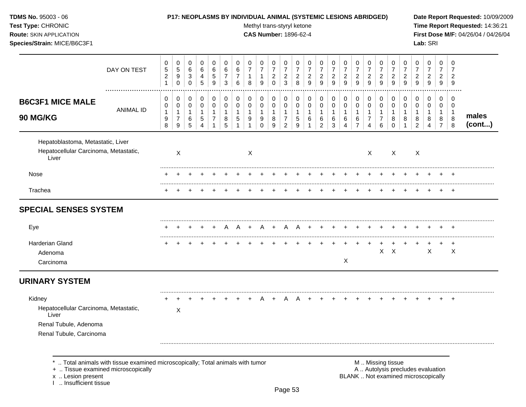| <b>TDMS No. 95003 - 06</b> |  |
|----------------------------|--|
| Test Type: CHRONIC         |  |

**Route: SKIN APPLICATION** Species/Strain: MICE/B6C3F1

#### P17: NEOPLASMS BY INDIVIDUAL ANIMAL (SYSTEMIC LESIONS ABRIDGED)

Methyl trans-styryl ketone

**CAS Number: 1896-62-4** 

Date Report Requested: 10/09/2009 Time Report Requested: 14:36:21 First Dose M/F: 04/26/04 / 04/26/04 Lab: SRI

|                                                                                                              | DAY ON TEST                                                                     | 0<br>$\sqrt{5}$<br>$\overline{2}$<br>$\mathbf{1}$ | $\pmb{0}$<br>$\sqrt{5}$<br>$\boldsymbol{9}$<br>$\pmb{0}$ | 0<br>6<br>$\sqrt{3}$<br>$\mathbf 0$                       | $\mathbf 0$<br>6<br>$\overline{4}$<br>5                          | $\mathbf 0$<br>6<br>$\sqrt{5}$<br>9     | 0<br>6<br>$\boldsymbol{7}$<br>3 | 0<br>6<br>$\overline{7}$<br>6                        | 0<br>$\overline{7}$<br>$\mathbf{1}$<br>8                   | 0<br>$\overline{7}$<br>$\mathbf{1}$<br>9                            | 0<br>$\overline{7}$<br>$\overline{c}$<br>$\mathbf 0$      | 0<br>$\overline{7}$<br>$\overline{2}$<br>3                   | 0<br>$\overline{7}$<br>$\boldsymbol{2}$<br>8            | 0<br>$\overline{7}$<br>$\overline{c}$<br>9 | 0<br>$\overline{7}$<br>$\overline{c}$<br>$9\,$            | $\mathbf 0$<br>$\overline{7}$<br>$\overline{c}$<br>9 | 0<br>$\overline{7}$<br>$\overline{c}$<br>9                  | 0<br>$\overline{7}$<br>$\overline{2}$<br>9                      | 0<br>$\overline{7}$<br>$\overline{2}$<br>9 | 0<br>$\overline{7}$<br>$\overline{c}$<br>$\overline{9}$ | 0<br>$\overline{7}$<br>$\overline{c}$<br>9 | 0<br>$\overline{7}$<br>$\overline{a}$<br>9        | $\mathbf 0$<br>$\overline{7}$<br>$\overline{c}$<br>9 | 0<br>$\overline{7}$<br>$\overline{c}$<br>9 | 0<br>$\overline{7}$<br>$\overline{c}$<br>9                | $\mathbf 0$<br>$\overline{7}$<br>$\overline{2}$<br>9 |                 |
|--------------------------------------------------------------------------------------------------------------|---------------------------------------------------------------------------------|---------------------------------------------------|----------------------------------------------------------|-----------------------------------------------------------|------------------------------------------------------------------|-----------------------------------------|---------------------------------|------------------------------------------------------|------------------------------------------------------------|---------------------------------------------------------------------|-----------------------------------------------------------|--------------------------------------------------------------|---------------------------------------------------------|--------------------------------------------|-----------------------------------------------------------|------------------------------------------------------|-------------------------------------------------------------|-----------------------------------------------------------------|--------------------------------------------|---------------------------------------------------------|--------------------------------------------|---------------------------------------------------|------------------------------------------------------|--------------------------------------------|-----------------------------------------------------------|------------------------------------------------------|-----------------|
| <b>B6C3F1 MICE MALE</b><br>90 MG/KG                                                                          | <b>ANIMAL ID</b>                                                                | 0<br>0<br>$\mathbf{1}$<br>$\boldsymbol{9}$<br>8   | 0<br>$\pmb{0}$<br>$\mathbf{1}$<br>$\boldsymbol{7}$<br>9  | 0<br>$\mathbf 0$<br>$\overline{1}$<br>$\,6$<br>$\sqrt{5}$ | 0<br>$\mathbf 0$<br>$\mathbf{1}$<br>$\sqrt{5}$<br>$\overline{4}$ | 0<br>$\mathbf 0$<br>1<br>$\overline{7}$ | 0<br>0<br>1<br>8<br>5           | 0<br>0<br>$\mathbf{1}$<br>$\sqrt{5}$<br>$\mathbf{1}$ | 0<br>0<br>$\mathbf{1}$<br>$\boldsymbol{9}$<br>$\mathbf{1}$ | 0<br>$\mathbf 0$<br>$\mathbf{1}$<br>$\boldsymbol{9}$<br>$\mathbf 0$ | 0<br>$\mathbf 0$<br>$\overline{1}$<br>8<br>$\overline{9}$ | 0<br>0<br>$\mathbf{1}$<br>$\boldsymbol{7}$<br>$\overline{c}$ | 0<br>$\mathbf 0$<br>1<br>$\sqrt{5}$<br>$\boldsymbol{9}$ | 0<br>0<br>1<br>$\,6$<br>1                  | $\pmb{0}$<br>0<br>$\mathbf{1}$<br>$\,6$<br>$\overline{2}$ | 0<br>$\mathbf 0$<br>$\overline{1}$<br>$\,6\,$<br>3   | 0<br>$\mathbf 0$<br>$\mathbf{1}$<br>$\,6$<br>$\overline{4}$ | 0<br>$\mathbf 0$<br>$\overline{1}$<br>$\,6\,$<br>$\overline{7}$ | 0<br>0<br>1<br>$\boldsymbol{7}$<br>4       | 0<br>$\mathbf 0$<br>1<br>$\overline{7}$<br>6            | 0<br>0<br>1<br>8<br>$\mathbf 0$            | 0<br>0<br>$\mathbf{1}$<br>$\bf 8$<br>$\mathbf{1}$ | 0<br>0<br>$\overline{1}$<br>8<br>$\overline{c}$      | 0<br>0<br>1<br>8<br>$\overline{4}$         | 0<br>$\mathbf 0$<br>$\overline{1}$<br>8<br>$\overline{7}$ | 0<br>$\mathbf 0$<br>$\mathbf{1}$<br>$\bf 8$<br>8     | males<br>(cont) |
| Hepatoblastoma, Metastatic, Liver<br>Hepatocellular Carcinoma, Metastatic,<br>Liver                          |                                                                                 |                                                   | $\pmb{\times}$                                           |                                                           |                                                                  |                                         |                                 |                                                      | $\boldsymbol{\mathsf{X}}$                                  |                                                                     |                                                           |                                                              |                                                         |                                            |                                                           |                                                      |                                                             |                                                                 | $\boldsymbol{\mathsf{X}}$                  |                                                         | X                                          |                                                   | $\mathsf{X}$                                         |                                            |                                                           |                                                      |                 |
| Nose                                                                                                         |                                                                                 |                                                   |                                                          |                                                           |                                                                  |                                         |                                 |                                                      |                                                            |                                                                     |                                                           |                                                              |                                                         |                                            |                                                           |                                                      |                                                             |                                                                 |                                            |                                                         | ÷                                          |                                                   | +                                                    |                                            |                                                           |                                                      |                 |
| Trachea                                                                                                      |                                                                                 |                                                   |                                                          |                                                           |                                                                  |                                         |                                 |                                                      |                                                            |                                                                     |                                                           |                                                              |                                                         |                                            |                                                           |                                                      |                                                             |                                                                 |                                            |                                                         |                                            |                                                   |                                                      |                                            |                                                           |                                                      |                 |
| <b>SPECIAL SENSES SYSTEM</b>                                                                                 |                                                                                 |                                                   |                                                          |                                                           |                                                                  |                                         |                                 |                                                      |                                                            |                                                                     |                                                           |                                                              |                                                         |                                            |                                                           |                                                      |                                                             |                                                                 |                                            |                                                         |                                            |                                                   |                                                      |                                            |                                                           |                                                      |                 |
| Eye                                                                                                          |                                                                                 |                                                   |                                                          |                                                           |                                                                  |                                         | A                               | A                                                    |                                                            | A                                                                   |                                                           | A                                                            | A                                                       |                                            |                                                           |                                                      |                                                             |                                                                 |                                            |                                                         |                                            |                                                   |                                                      |                                            |                                                           |                                                      |                 |
| <b>Harderian Gland</b><br>Adenoma<br>Carcinoma                                                               |                                                                                 |                                                   |                                                          |                                                           |                                                                  |                                         |                                 |                                                      |                                                            |                                                                     |                                                           |                                                              |                                                         |                                            |                                                           |                                                      | X                                                           |                                                                 |                                            |                                                         | $X$ $X$                                    |                                                   |                                                      | $\mathsf{X}$                               |                                                           | $\times$                                             |                 |
| <b>URINARY SYSTEM</b>                                                                                        |                                                                                 |                                                   |                                                          |                                                           |                                                                  |                                         |                                 |                                                      |                                                            |                                                                     |                                                           |                                                              |                                                         |                                            |                                                           |                                                      |                                                             |                                                                 |                                            |                                                         |                                            |                                                   |                                                      |                                            |                                                           |                                                      |                 |
| Kidney<br>Hepatocellular Carcinoma, Metastatic,<br>Liver<br>Renal Tubule, Adenoma<br>Renal Tubule, Carcinoma |                                                                                 |                                                   | X                                                        |                                                           |                                                                  |                                         |                                 |                                                      |                                                            |                                                                     |                                                           |                                                              |                                                         |                                            |                                                           |                                                      |                                                             |                                                                 |                                            |                                                         |                                            |                                                   |                                                      |                                            |                                                           |                                                      |                 |
| +  Tissue examined microscopically<br>x  Lesion present<br>I  Insufficient tissue                            | *  Total animals with tissue examined microscopically; Total animals with tumor |                                                   |                                                          |                                                           |                                                                  |                                         |                                 |                                                      |                                                            |                                                                     |                                                           |                                                              |                                                         |                                            |                                                           |                                                      |                                                             | BLANK  Not examined microscopically                             |                                            | M  Missing tissue<br>A  Autolysis precludes evaluation  |                                            |                                                   |                                                      |                                            |                                                           |                                                      |                 |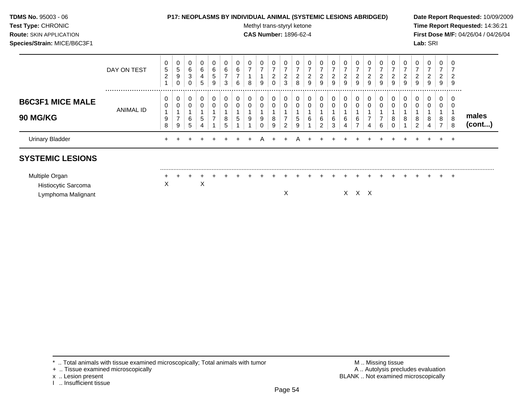**Test Type:** CHRONIC **The Report Requested:** 14:36:21 **Route:** SKIN APPLICATION **CAS Number:** 1896-62-4 **First Dose M/F:** 04/26/04 / 04/26/04 **Species/Strain:** MICE/B6C3F1 **Lab:** SRI

|                                            | DAY ON TEST   | 0<br>5<br>$\overline{2}$   | 0<br>$\mathbf 5$<br>9<br>0 | U<br>6<br>3      | 0<br>6<br>4<br>5 | 0<br>6<br>5<br>9 | 6<br>7<br>3 | 0<br>6<br>$\overline{ }$<br>6 | 0<br>$\overline{ }$<br>8 | 0<br>$\overline{ }$<br>9 | U<br>$\overline{ }$<br>$\overline{2}$ | 2<br>3           | 0<br>$\overline{ }$<br>$\overline{2}$<br>8 | ⇁<br>$\overline{\mathbf{c}}$<br>9 | 0<br>⇁<br>2<br>9 | 0<br>⇁<br>$\overline{2}$<br>9 | 0<br>$\overline{\phantom{0}}$<br>$\overline{2}$<br>9 | υ<br>$\overline{ }$<br>$\overline{\mathbf{c}}$<br>9 | $\overline{2}$<br>9 | 0<br>⇁<br>$\overline{2}$<br>9 | $\overline{\mathbf{c}}$<br>9 | 0<br>⇁<br>2<br>9 | 0<br>⇁<br>2<br>9 | 0<br>-<br>$\overline{2}$<br>9 | υ<br>$\overline{2}$<br>9                | ີ<br>∠<br>9 |                 |
|--------------------------------------------|---------------|----------------------------|----------------------------|------------------|------------------|------------------|-------------|-------------------------------|--------------------------|--------------------------|---------------------------------------|------------------|--------------------------------------------|-----------------------------------|------------------|-------------------------------|------------------------------------------------------|-----------------------------------------------------|---------------------|-------------------------------|------------------------------|------------------|------------------|-------------------------------|-----------------------------------------|-------------|-----------------|
| <b>B6C3F1 MICE MALE</b><br><b>90 MG/KG</b> | <br>ANIMAL ID | 0<br>$\mathbf 0$<br>9<br>8 | 0<br>0<br>-<br>9           | 0<br>0<br>6<br>5 | 0<br>0<br>5      | 0<br>0<br>⇁      | 8<br>G      | 0<br>0<br>5                   | 0<br>0<br>9              | 0<br>0<br>9              | 0<br>0<br>8<br>9                      | 0<br>0<br>⇁<br>ົ | 0<br>0<br>5<br>9                           | $\mathbf 0$<br>6                  | 0<br>0<br>6<br>2 | 0<br>0<br>6<br>3              | 0<br>0<br>6<br>4                                     | 0<br>0<br>6<br>⇁                                    | 0<br>0              | 0<br>0<br>6                   | 8                            | 0<br>0<br>8      | 0<br>0<br>8<br>2 | 0<br>0<br>8<br>4              | 0<br>υ<br>8<br>$\overline{\phantom{0}}$ | .<br>8<br>8 | males<br>(cont) |
| <b>Urinary Bladder</b>                     |               |                            |                            |                  |                  |                  |             |                               |                          | A                        |                                       |                  | Α                                          |                                   |                  |                               |                                                      |                                                     |                     |                               |                              |                  |                  |                               | $+$                                     | $+$         |                 |
| <b>SYSTEMIC LESIONS</b>                    |               |                            |                            |                  |                  |                  |             |                               |                          |                          |                                       |                  |                                            |                                   |                  |                               |                                                      |                                                     |                     |                               |                              |                  |                  |                               |                                         |             |                 |
| Multiple Organ                             |               |                            |                            |                  |                  |                  |             |                               |                          |                          |                                       |                  |                                            |                                   |                  |                               |                                                      |                                                     |                     |                               |                              |                  |                  |                               |                                         | $\pm$       |                 |

Lymphoma Malignant X X X X X

+ .. Tissue examined microscopically

Histiocytic Sarcoma X X

- 
- I .. Insufficient tissue

\* .. Total animals with tissue examined microscopically; Total animals with tumor <br>
+ .. Tissue examined microscopically<br>
+ .. Tissue examined microscopically x .. Lesion present **BLANK** .. Not examined microscopically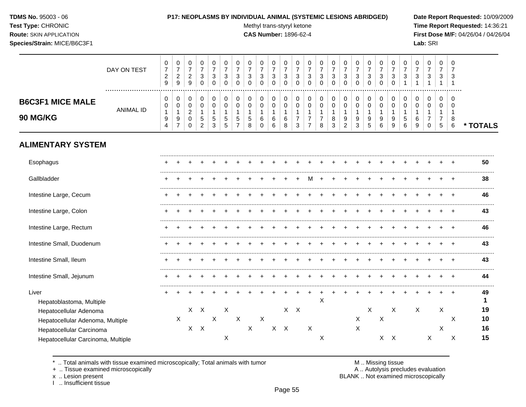Test Type: CHRONIC **Test Type:** CHRONIC **Test Type:** CHRONIC **Time Report Requested:** 14:36:21 **Route:** SKIN APPLICATION **CAS Number:** 1896-62-4 **First Dose M/F:** 04/26/04 / 04/26/04 **Species/Strain:** MICE/B6C3F1 **Lab:** SRI

|                                                                                        | DAY ON TEST      | 0<br>$\overline{7}$<br>$\overline{c}$<br>$\boldsymbol{9}$ | $\pmb{0}$<br>$\boldsymbol{7}$<br>$\boldsymbol{2}$<br>$\boldsymbol{9}$  | 0<br>$\overline{7}$<br>$\overline{c}$<br>9                       | 0<br>$\overline{7}$<br>$\ensuremath{\mathsf{3}}$<br>$\mathbf 0$  | 0<br>$\overline{7}$<br>3<br>0              | 0<br>$\overline{7}$<br>3<br>$\mathbf 0$    | 0<br>$\overline{7}$<br>$\sqrt{3}$<br>$\Omega$                    | 0<br>$\overline{7}$<br>3<br>$\Omega$ | $\pmb{0}$<br>$\overline{7}$<br>$\sqrt{3}$<br>$\Omega$ | 0<br>$\overline{7}$<br>$\mathsf 3$<br>$\Omega$ | 0<br>$\overline{7}$<br>$\ensuremath{\mathsf{3}}$<br>0 | 0<br>$\overline{7}$<br>3<br>0                           | 0<br>$\overline{7}$<br>$\sqrt{3}$<br>$\mathbf 0$                     | 0<br>$\overline{7}$<br>$\sqrt{3}$<br>$\mathbf 0$                  | 0<br>$\overline{7}$<br>$\ensuremath{\mathsf{3}}$<br>$\mathbf 0$ | 0<br>$\overline{7}$<br>$\ensuremath{\mathsf{3}}$<br>$\mathbf 0$ | $\pmb{0}$<br>$\overline{7}$<br>$\ensuremath{\mathsf{3}}$<br>0 | 0<br>$\overline{7}$<br>$\ensuremath{\mathsf{3}}$<br>$\Omega$ | 0<br>$\overline{7}$<br>3<br>$\Omega$     | 0<br>$\overline{7}$<br>$\sqrt{3}$<br>0     | 0<br>$\overline{7}$<br>3                   | 0<br>$\overline{7}$<br>3                       | 0<br>$\overline{7}$<br>$\sqrt{3}$                   | 0<br>$\overline{7}$<br>3<br>1                        | 0<br>7<br>3<br>1                        |                |
|----------------------------------------------------------------------------------------|------------------|-----------------------------------------------------------|------------------------------------------------------------------------|------------------------------------------------------------------|------------------------------------------------------------------|--------------------------------------------|--------------------------------------------|------------------------------------------------------------------|--------------------------------------|-------------------------------------------------------|------------------------------------------------|-------------------------------------------------------|---------------------------------------------------------|----------------------------------------------------------------------|-------------------------------------------------------------------|-----------------------------------------------------------------|-----------------------------------------------------------------|---------------------------------------------------------------|--------------------------------------------------------------|------------------------------------------|--------------------------------------------|--------------------------------------------|------------------------------------------------|-----------------------------------------------------|------------------------------------------------------|-----------------------------------------|----------------|
| <b>B6C3F1 MICE MALE</b><br>90 MG/KG                                                    | <b>ANIMAL ID</b> | 0<br>0<br>$\mathbf{1}$<br>9<br>4                          | 0<br>$\mathbf 0$<br>$\mathbf{1}$<br>$\boldsymbol{9}$<br>$\overline{7}$ | 0<br>$\mathbf 0$<br>$\overline{2}$<br>$\mathbf 0$<br>$\mathbf 0$ | 0<br>$\mathbf 0$<br>$\mathbf{1}$<br>$\sqrt{5}$<br>$\overline{c}$ | 0<br>$\mathbf 0$<br>$\mathbf{1}$<br>5<br>3 | 0<br>$\mathbf 0$<br>$\mathbf{1}$<br>5<br>5 | 0<br>$\mathbf 0$<br>$\mathbf{1}$<br>$\sqrt{5}$<br>$\overline{7}$ | 0<br>0<br>$\mathbf{1}$<br>5<br>8     | 0<br>0<br>$\mathbf{1}$<br>$\,6$<br>$\Omega$           | 0<br>$\mathbf 0$<br>$\mathbf{1}$<br>6<br>6     | $\Omega$<br>$\mathbf 0$<br>$\overline{1}$<br>6<br>8   | 0<br>$\mathbf 0$<br>$\mathbf{1}$<br>$\overline{7}$<br>3 | 0<br>$\mathbf 0$<br>$\mathbf{1}$<br>$\overline{7}$<br>$\overline{7}$ | $\mathbf 0$<br>$\mathbf 0$<br>$\mathbf{1}$<br>$\overline{7}$<br>8 | 0<br>$\mathbf 0$<br>$\mathbf{1}$<br>8<br>3                      | 0<br>0<br>$\mathbf{1}$<br>9<br>$\overline{c}$                   | 0<br>$\pmb{0}$<br>$\mathbf{1}$<br>9<br>$\mathbf{3}$           | 0<br>$\mathbf 0$<br>$\mathbf{1}$<br>9<br>$\overline{5}$      | 0<br>$\pmb{0}$<br>$\mathbf{1}$<br>9<br>6 | 0<br>$\mathbf 0$<br>$\mathbf{1}$<br>9<br>9 | 0<br>$\mathbf 0$<br>$\mathbf{1}$<br>5<br>6 | $\Omega$<br>$\Omega$<br>$\mathbf{1}$<br>6<br>9 | 0<br>$\mathbf 0$<br>1<br>$\overline{7}$<br>$\Omega$ | 0<br>$\Omega$<br>$\mathbf{1}$<br>$\overline{7}$<br>5 | 0<br>$\Omega$<br>$\mathbf{1}$<br>8<br>6 | * TOTALS       |
| <b>ALIMENTARY SYSTEM</b>                                                               |                  |                                                           |                                                                        |                                                                  |                                                                  |                                            |                                            |                                                                  |                                      |                                                       |                                                |                                                       |                                                         |                                                                      |                                                                   |                                                                 |                                                                 |                                                               |                                                              |                                          |                                            |                                            |                                                |                                                     |                                                      |                                         |                |
| Esophagus                                                                              |                  |                                                           |                                                                        |                                                                  |                                                                  |                                            |                                            |                                                                  |                                      |                                                       |                                                |                                                       |                                                         |                                                                      |                                                                   |                                                                 |                                                                 |                                                               |                                                              |                                          |                                            |                                            |                                                |                                                     |                                                      |                                         | 50             |
| Gallbladder                                                                            |                  |                                                           |                                                                        |                                                                  |                                                                  |                                            |                                            |                                                                  |                                      |                                                       |                                                |                                                       |                                                         |                                                                      |                                                                   |                                                                 |                                                                 |                                                               |                                                              |                                          |                                            |                                            |                                                |                                                     |                                                      |                                         | 38             |
| Intestine Large, Cecum                                                                 |                  |                                                           |                                                                        |                                                                  |                                                                  |                                            |                                            |                                                                  |                                      |                                                       |                                                |                                                       |                                                         |                                                                      |                                                                   |                                                                 |                                                                 |                                                               |                                                              |                                          |                                            |                                            |                                                |                                                     |                                                      | $\pm$                                   | 46             |
| Intestine Large, Colon                                                                 |                  |                                                           |                                                                        |                                                                  |                                                                  |                                            |                                            |                                                                  |                                      |                                                       |                                                |                                                       |                                                         |                                                                      |                                                                   |                                                                 |                                                                 |                                                               |                                                              |                                          |                                            |                                            |                                                |                                                     |                                                      |                                         | 43             |
| Intestine Large, Rectum                                                                |                  |                                                           |                                                                        |                                                                  |                                                                  |                                            |                                            |                                                                  |                                      |                                                       |                                                |                                                       |                                                         |                                                                      |                                                                   |                                                                 |                                                                 |                                                               |                                                              |                                          |                                            |                                            |                                                |                                                     |                                                      |                                         | 46             |
| Intestine Small, Duodenum                                                              |                  |                                                           |                                                                        |                                                                  |                                                                  |                                            |                                            |                                                                  |                                      |                                                       |                                                |                                                       |                                                         |                                                                      |                                                                   |                                                                 |                                                                 |                                                               |                                                              |                                          |                                            |                                            |                                                |                                                     |                                                      |                                         | 43             |
| Intestine Small, Ileum                                                                 |                  |                                                           |                                                                        |                                                                  |                                                                  |                                            |                                            |                                                                  |                                      |                                                       |                                                |                                                       |                                                         |                                                                      |                                                                   |                                                                 |                                                                 |                                                               |                                                              |                                          |                                            |                                            |                                                |                                                     |                                                      |                                         | 43             |
| Intestine Small, Jejunum                                                               |                  |                                                           |                                                                        |                                                                  |                                                                  |                                            |                                            |                                                                  |                                      |                                                       |                                                |                                                       |                                                         |                                                                      |                                                                   |                                                                 |                                                                 |                                                               |                                                              |                                          |                                            |                                            |                                                |                                                     |                                                      |                                         | 44             |
| Liver<br>Hepatoblastoma, Multiple                                                      |                  |                                                           |                                                                        |                                                                  |                                                                  |                                            |                                            |                                                                  |                                      |                                                       |                                                |                                                       |                                                         |                                                                      | X                                                                 |                                                                 |                                                                 |                                                               |                                                              |                                          |                                            |                                            |                                                |                                                     |                                                      |                                         | 49             |
| Hepatocellular Adenoma<br>Hepatocellular Adenoma, Multiple<br>Hepatocellular Carcinoma |                  |                                                           | X                                                                      |                                                                  | $X$ $X$<br>$X$ $X$                                               | $\boldsymbol{\mathsf{X}}$                  | $\times$                                   | $\boldsymbol{\mathsf{X}}$                                        | $\boldsymbol{\mathsf{X}}$            | X                                                     | $\mathsf{X}$                                   | $\mathsf{X}$                                          | $X$ $X$                                                 | $\boldsymbol{\mathsf{X}}$                                            |                                                                   |                                                                 |                                                                 | X<br>X                                                        | X                                                            | X                                        | X                                          |                                            | X                                              |                                                     | X<br>X                                               | X                                       | 19<br>10<br>16 |
| Hepatocellular Carcinoma, Multiple                                                     |                  |                                                           |                                                                        |                                                                  |                                                                  |                                            | X                                          |                                                                  |                                      |                                                       |                                                |                                                       |                                                         |                                                                      | Χ                                                                 |                                                                 |                                                                 |                                                               |                                                              | X                                        | $\mathsf{X}$                               |                                            |                                                | X                                                   |                                                      | X                                       | 15             |

\* .. Total animals with tissue examined microscopically; Total animals with tumor **M** metally more than M .. Missing tissue<br>A .. Tissue examined microscopically

+ .. Tissue examined microscopically

x .. Lesion present<br>I .. Insufficient tissue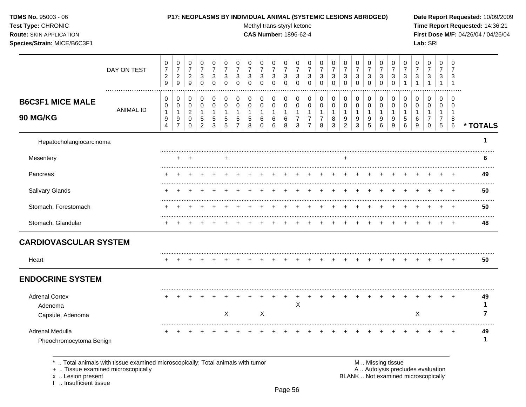**Test Type:** CHRONIC **Trans-styryl ketone** Methyl trans-styryl ketone **Time Report Requested:** 14:36:21 **Route:** SKIN APPLICATION **CAS Number:** 1896-62-4 **First Dose M/F:** 04/26/04 / 04/26/04 **Species/Strain:** MICE/B6C3F1 **Lab:** SRI

|                                                      | DAY ON TEST      | 0<br>$\boldsymbol{7}$<br>$\overline{c}$<br>9  | 0<br>$\overline{7}$<br>$\overline{c}$<br>$\boldsymbol{9}$ | $\pmb{0}$<br>$\boldsymbol{7}$<br>$\overline{2}$<br>$\boldsymbol{9}$ | 0<br>$\overline{7}$<br>3<br>$\mathbf 0$    | 0<br>$\overline{7}$<br>3<br>0          | 0<br>3<br>$\mathbf 0$      | 0<br>$\overline{7}$<br>3<br>$\mathbf 0$ | 0<br>$\boldsymbol{7}$<br>$\ensuremath{\mathsf{3}}$<br>$\pmb{0}$ | 0<br>$\overline{7}$<br>$\sqrt{3}$<br>0     | 0<br>$\overline{7}$<br>$\ensuremath{\mathsf{3}}$<br>$\pmb{0}$ | 0<br>$\overline{7}$<br>3<br>$\pmb{0}$ | 0<br>$\overline{7}$<br>3<br>$\mathbf 0$ | 0<br>$\overline{7}$<br>3<br>$\mathbf 0$ | 0<br>$\overline{7}$<br>3<br>$\pmb{0}$ | 0<br>$\boldsymbol{7}$<br>$\ensuremath{\mathsf{3}}$<br>$\mathbf 0$ | 0<br>$\overline{7}$<br>$\mathbf{3}$<br>$\mathbf 0$        | 0<br>$\overline{7}$<br>3<br>$\mathbf 0$ | 0<br>$\overline{7}$<br>3<br>0 | 0<br>$\overline{7}$<br>3<br>$\mathbf{0}$ | 0<br>$\overline{7}$<br>3<br>$\mathbf 0$ | 0<br>$\overline{7}$<br>3<br>1   | 0<br>$\overline{7}$<br>3<br>$\mathbf{1}$ | 0<br>$\overline{7}$<br>3<br>1                           | 0<br>$\overline{7}$<br>3<br>$\mathbf{1}$                  | 0<br>7<br>3<br>-1                           |                    |
|------------------------------------------------------|------------------|-----------------------------------------------|-----------------------------------------------------------|---------------------------------------------------------------------|--------------------------------------------|----------------------------------------|----------------------------|-----------------------------------------|-----------------------------------------------------------------|--------------------------------------------|---------------------------------------------------------------|---------------------------------------|-----------------------------------------|-----------------------------------------|---------------------------------------|-------------------------------------------------------------------|-----------------------------------------------------------|-----------------------------------------|-------------------------------|------------------------------------------|-----------------------------------------|---------------------------------|------------------------------------------|---------------------------------------------------------|-----------------------------------------------------------|---------------------------------------------|--------------------|
| <b>B6C3F1 MICE MALE</b><br><b>90 MG/KG</b>           | <b>ANIMAL ID</b> | 0<br>0<br>$\mathbf{1}$<br>9<br>$\overline{4}$ | 0<br>$\mathbf 0$<br>$\mathbf{1}$<br>9<br>$\overline{7}$   | 0<br>0<br>$\overline{c}$<br>0<br>0                                  | 0<br>$\Omega$<br>-1<br>5<br>$\overline{c}$ | 0<br>$\Omega$<br>$\mathbf 1$<br>5<br>3 | 0<br>$\mathbf 0$<br>5<br>5 | 0<br>$\mathbf 0$<br>5<br>$\overline{7}$ | 0<br>0<br>$\mathbf{1}$<br>$\mathbf 5$<br>8                      | 0<br>$\mathbf 0$<br>$\mathbf{1}$<br>6<br>0 | 0<br>0<br>$\mathbf{1}$<br>$\,6$<br>6                          | 0<br>0<br>$\mathbf 1$<br>6<br>8       | 0<br>0<br>$\mathbf{1}$<br>7<br>3        | 0<br>$\mathbf 0$<br>7<br>$\overline{7}$ | 0<br>$\mathsf{O}$<br>1<br>7<br>8      | 0<br>0<br>$\mathbf{1}$<br>8<br>$\mathbf{3}$                       | 0<br>$\mathbf 0$<br>$\overline{1}$<br>9<br>$\overline{c}$ | 0<br>0<br>$\mathbf{1}$<br>9<br>3        | 0<br>$\Omega$<br>-1<br>9<br>5 | 0<br>$\mathbf 0$<br>1<br>9<br>6          | 0<br>$\mathbf 0$<br>9<br>9              | 0<br>$\mathbf 0$<br>1<br>5<br>6 | 0<br>0<br>$\mathbf{1}$<br>6<br>9         | 0<br>$\mathbf 0$<br>$\mathbf{1}$<br>$\overline{7}$<br>0 | 0<br>$\mathbf{0}$<br>$\mathbf{1}$<br>7<br>$5\phantom{.0}$ | 0<br>$\Omega$<br>-1<br>8<br>$6\phantom{1}6$ | * TOTALS           |
| Hepatocholangiocarcinoma                             |                  |                                               |                                                           |                                                                     |                                            |                                        |                            |                                         |                                                                 |                                            |                                                               |                                       |                                         |                                         |                                       |                                                                   |                                                           |                                         |                               |                                          |                                         |                                 |                                          |                                                         |                                                           |                                             |                    |
| Mesentery                                            |                  |                                               | +                                                         | $\div$                                                              |                                            |                                        |                            |                                         |                                                                 |                                            |                                                               |                                       |                                         |                                         |                                       |                                                                   |                                                           |                                         |                               |                                          |                                         |                                 |                                          |                                                         |                                                           |                                             | 6                  |
| Pancreas                                             |                  |                                               |                                                           |                                                                     |                                            |                                        |                            |                                         |                                                                 |                                            |                                                               |                                       |                                         |                                         |                                       |                                                                   |                                                           |                                         |                               |                                          |                                         |                                 |                                          |                                                         |                                                           |                                             | 49                 |
| Salivary Glands                                      |                  |                                               |                                                           |                                                                     |                                            |                                        |                            |                                         |                                                                 |                                            |                                                               |                                       |                                         |                                         |                                       |                                                                   |                                                           |                                         |                               |                                          |                                         |                                 |                                          |                                                         |                                                           |                                             | 50                 |
| Stomach, Forestomach                                 |                  |                                               |                                                           |                                                                     |                                            |                                        |                            |                                         |                                                                 |                                            |                                                               |                                       |                                         |                                         |                                       |                                                                   |                                                           |                                         |                               |                                          |                                         |                                 |                                          |                                                         |                                                           |                                             | 50                 |
| Stomach, Glandular                                   |                  |                                               |                                                           |                                                                     |                                            |                                        |                            |                                         |                                                                 |                                            |                                                               |                                       |                                         |                                         |                                       |                                                                   |                                                           |                                         |                               |                                          |                                         |                                 |                                          |                                                         |                                                           |                                             | 48                 |
| <b>CARDIOVASCULAR SYSTEM</b>                         |                  |                                               |                                                           |                                                                     |                                            |                                        |                            |                                         |                                                                 |                                            |                                                               |                                       |                                         |                                         |                                       |                                                                   |                                                           |                                         |                               |                                          |                                         |                                 |                                          |                                                         |                                                           |                                             |                    |
| Heart                                                |                  |                                               |                                                           |                                                                     |                                            |                                        |                            |                                         |                                                                 |                                            |                                                               |                                       |                                         |                                         |                                       |                                                                   |                                                           |                                         |                               |                                          |                                         |                                 |                                          |                                                         |                                                           |                                             | 50                 |
| <b>ENDOCRINE SYSTEM</b>                              |                  |                                               |                                                           |                                                                     |                                            |                                        |                            |                                         |                                                                 |                                            |                                                               |                                       |                                         |                                         |                                       |                                                                   |                                                           |                                         |                               |                                          |                                         |                                 |                                          |                                                         |                                                           |                                             |                    |
| <b>Adrenal Cortex</b><br>Adenoma<br>Capsule, Adenoma |                  |                                               |                                                           |                                                                     |                                            |                                        | $\mathsf X$                |                                         |                                                                 | $\boldsymbol{\mathsf{X}}$                  |                                                               |                                       | $\mathsf X$                             |                                         |                                       |                                                                   |                                                           |                                         |                               |                                          |                                         |                                 | X                                        |                                                         |                                                           | $\ddot{}$                                   | 49<br>1<br>7       |
| Adrenal Medulla<br>Pheochromocytoma Benign           |                  |                                               |                                                           |                                                                     |                                            |                                        |                            |                                         |                                                                 |                                            |                                                               |                                       |                                         |                                         |                                       |                                                                   |                                                           |                                         |                               |                                          |                                         |                                 |                                          |                                                         |                                                           |                                             | 49<br>$\mathbf{1}$ |

\* .. Total animals with tissue examined microscopically; Total animals with tumor **M** metal metal M .. Missing tissue<br>  $\blacksquare$  . Tissue examined microscopically

+ .. Tissue examined microscopically

x .. Lesion present<br>I .. Insufficient tissue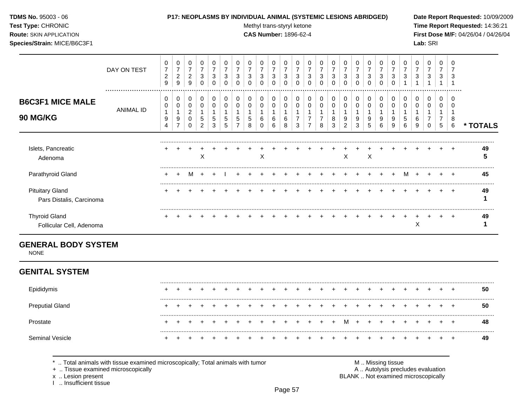Test Type: CHRONIC **Test Type:** CHRONIC **Test Type:** CHRONIC **Time Report Requested:** 14:36:21 **Route:** SKIN APPLICATION **CAS Number:** 1896-62-4 **First Dose M/F:** 04/26/04 / 04/26/04 **Species/Strain:** MICE/B6C3F1 **Lab:** SRI

|                                                    | DAY ON TEST          | 0<br>$\overline{7}$<br>$\overline{2}$<br>9 | 0<br>$\overline{7}$<br>$\overline{\mathbf{c}}$<br>9 | 0<br>$\overline{2}$<br>9           | 3<br>0 | 3      | 3           | 0<br>7<br>3<br>0 | 0<br>$\overline{7}$<br>3<br>0 | $\overline{ }$<br>3 | 3           | ⇁<br>3<br>0      | $\overline{ }$<br>3<br>0 | 3 | 0<br>3<br>0 | $\overline{ }$<br>3<br>$\Omega$ | 0<br>$\overline{7}$<br>$\mathbf{3}$<br>0 | 7<br>3      | ⇁<br>3           | 3<br>O           | 3 | 7<br>3      | $\overline{ }$<br>3 | 0<br>$\overline{ }$<br>3 | 7<br>3 | 3                |          |
|----------------------------------------------------|----------------------|--------------------------------------------|-----------------------------------------------------|------------------------------------|--------|--------|-------------|------------------|-------------------------------|---------------------|-------------|------------------|--------------------------|---|-------------|---------------------------------|------------------------------------------|-------------|------------------|------------------|---|-------------|---------------------|--------------------------|--------|------------------|----------|
| <b>B6C3F1 MICE MALE</b><br><b>90 MG/KG</b>         | <br><b>ANIMAL ID</b> | 0<br>0<br>9<br>4                           | 0<br>9<br>7                                         | 0<br>0<br>$\overline{c}$<br>0<br>0 | 0<br>2 | 0<br>3 | 0<br>5<br>5 | 0<br>0<br>5<br>7 | 0<br>0<br>5<br>8              | 0<br>6              | 0<br>6<br>6 | 0<br>0<br>6<br>8 | 0<br>0<br>3              | 0 | 0<br>0<br>8 | 0<br>0<br>8<br>3                | 0<br>0<br>9<br>2                         | 0<br>9<br>3 | 0<br>0<br>9<br>5 | 0<br>0<br>9<br>6 | 9 | 0<br>5<br>6 | 0<br>6<br>9         | 0<br>0<br>$\Omega$       | 0<br>5 | .<br>0<br>8<br>6 | * TOTALS |
| Islets, Pancreatic<br>Adenoma                      |                      |                                            |                                                     |                                    | Х      |        |             |                  |                               | Χ                   |             |                  |                          |   |             |                                 | X                                        |             | Χ                |                  |   |             |                     |                          |        |                  | 49       |
| Parathyroid Gland                                  |                      | $\pm$                                      |                                                     | M                                  |        |        |             |                  |                               |                     |             |                  |                          |   |             |                                 |                                          |             |                  |                  |   |             |                     |                          |        |                  | 45       |
| <b>Pituitary Gland</b><br>Pars Distalis, Carcinoma |                      |                                            |                                                     |                                    |        |        |             |                  |                               |                     |             |                  |                          |   |             |                                 |                                          |             |                  |                  |   |             |                     |                          |        |                  | 49       |
| <b>Thyroid Gland</b><br>Follicular Cell, Adenoma   |                      |                                            |                                                     |                                    |        |        |             |                  |                               |                     |             |                  |                          |   |             |                                 |                                          |             |                  |                  |   |             | Χ                   |                          |        |                  | 49       |

## **GENERAL BODY SYSTEM**

NONE

### **GENITAL SYSTEM**

| Epididymis      |  |  |  |  |  |  |  |  |  |  |  |  |        | 50 |
|-----------------|--|--|--|--|--|--|--|--|--|--|--|--|--------|----|
| Preputial Gland |  |  |  |  |  |  |  |  |  |  |  |  |        | 50 |
| Prostate        |  |  |  |  |  |  |  |  |  |  |  |  | $\div$ | 48 |
| Seminal Vesicle |  |  |  |  |  |  |  |  |  |  |  |  |        | 49 |

\* .. Total animals with tissue examined microscopically; Total animals with tumor <br>
+ .. Tissue examined microscopically<br>
+ .. Tissue examined microscopically

+ .. Tissue examined microscopically

I .. Insufficient tissue

x .. Lesion present **BLANK** .. Not examined microscopically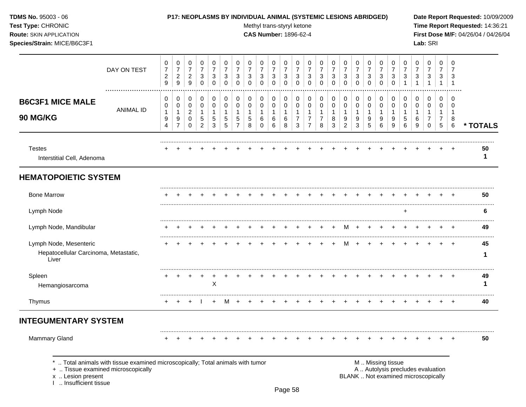|                                                                          | DAY ON TEST                                                                                                           | 0<br>$\overline{7}$<br>$\overline{2}$<br>9        | 0<br>$\overline{7}$<br>$\overline{2}$<br>9                   | 0<br>$\overline{7}$<br>$\overline{2}$<br>9        | $\mathbf 0$<br>$\overline{7}$<br>3<br>$\mathbf 0$              | 0<br>$\overline{7}$<br>3<br>$\mathbf 0$           | 0<br>$\overline{7}$<br>$\mathbf{3}$<br>$\mathbf 0$ | 0<br>7<br>3<br>$\Omega$     | 0<br>$\overline{7}$<br>3<br>$\Omega$                    | 0<br>$\overline{7}$<br>$\mathbf{3}$<br>$\Omega$ | 0<br>$\overline{7}$<br>3<br>$\mathbf 0$ | 0<br>$\overline{7}$<br>3<br>$\Omega$           | 0<br>$\overline{7}$<br>3<br>$\Omega$                             | 0<br>$\overline{7}$<br>$\mathbf{3}$<br>$\mathbf 0$         | 0<br>7<br>3<br>$\Omega$                         | 0<br>$\overline{7}$<br>$\mathbf{3}$<br>$\Omega$ | 0<br>$\overline{7}$<br>3<br>$\Omega$                                   | 0<br>$\overline{7}$<br>$\mathbf{3}$<br>$\mathbf 0$                 | 0<br>$\overline{7}$<br>3<br>$\Omega$                                       | 0<br>$\overline{7}$<br>3<br>$\mathbf 0$                 | 0<br>$\overline{7}$<br>3<br>$\mathbf 0$ | 0<br>7<br>3<br>$\mathbf 1$       | 0<br>$\overline{7}$<br>3<br>1                                            | 0<br>$\overline{7}$<br>3<br>$\mathbf{1}$  | 0<br>$\overline{7}$<br>3<br>$\mathbf 1$             | $\Omega$<br>7<br>3<br>$\overline{1}$           |          |
|--------------------------------------------------------------------------|-----------------------------------------------------------------------------------------------------------------------|---------------------------------------------------|--------------------------------------------------------------|---------------------------------------------------|----------------------------------------------------------------|---------------------------------------------------|----------------------------------------------------|-----------------------------|---------------------------------------------------------|-------------------------------------------------|-----------------------------------------|------------------------------------------------|------------------------------------------------------------------|------------------------------------------------------------|-------------------------------------------------|-------------------------------------------------|------------------------------------------------------------------------|--------------------------------------------------------------------|----------------------------------------------------------------------------|---------------------------------------------------------|-----------------------------------------|----------------------------------|--------------------------------------------------------------------------|-------------------------------------------|-----------------------------------------------------|------------------------------------------------|----------|
| <b>B6C3F1 MICE MALE</b><br>90 MG/KG                                      | <b>ANIMAL ID</b>                                                                                                      | 0<br>0<br>1<br>$\boldsymbol{9}$<br>$\overline{4}$ | 0<br>0<br>$\mathbf{1}$<br>$\boldsymbol{9}$<br>$\overline{7}$ | 0<br>$\pmb{0}$<br>$\overline{c}$<br>0<br>$\Omega$ | 0<br>$\pmb{0}$<br>$\mathbf{1}$<br>$\sqrt{5}$<br>$\overline{c}$ | 0<br>$\pmb{0}$<br>$\mathbf{1}$<br>$\sqrt{5}$<br>3 | 0<br>0<br>$\overline{1}$<br>5<br>5                 | 0<br>0<br>$\mathbf{1}$<br>5 | 0<br>$\mathbf 0$<br>$\mathbf{1}$<br>$\overline{5}$<br>8 | 0<br>0<br>$\mathbf{1}$<br>6<br>$\Omega$         | 0<br>0<br>$\mathbf{1}$<br>6<br>$\,6\,$  | 0<br>$\pmb{0}$<br>$\mathbf{1}$<br>$\,6\,$<br>8 | 0<br>$\pmb{0}$<br>$\mathbf{1}$<br>$\overline{7}$<br>$\mathbf{3}$ | 0<br>0<br>$\mathbf{1}$<br>$\overline{7}$<br>$\overline{7}$ | 0<br>0<br>$\mathbf{1}$<br>$\boldsymbol{7}$<br>8 | 0<br>$\mathbf 0$<br>$\mathbf{1}$<br>8<br>3      | 0<br>$\mathsf 0$<br>$\mathbf{1}$<br>$\boldsymbol{9}$<br>$\overline{2}$ | 0<br>$\pmb{0}$<br>$\mathbf{1}$<br>$\boldsymbol{9}$<br>$\mathbf{3}$ | 0<br>$\mathsf{O}\xspace$<br>$\mathbf{1}$<br>$\boldsymbol{9}$<br>$\sqrt{5}$ | 0<br>$\pmb{0}$<br>$\mathbf{1}$<br>$\boldsymbol{9}$<br>6 | 0<br>0<br>$\mathbf{1}$<br>9<br>9        | 0<br>0<br>$\mathbf{1}$<br>5<br>6 | 0<br>$\mathbf 0$<br>$\mathbf{1}$<br>6<br>9                               | 0<br>0<br>1<br>$\overline{7}$<br>$\Omega$ | 0<br>$\mathbf 0$<br>$\mathbf{1}$<br>7<br>$\sqrt{5}$ | $\Omega$<br>$\Omega$<br>$\mathbf{1}$<br>8<br>6 | * TOTALS |
| <b>Testes</b><br>Interstitial Cell, Adenoma                              |                                                                                                                       |                                                   |                                                              |                                                   |                                                                |                                                   |                                                    |                             |                                                         |                                                 |                                         |                                                |                                                                  |                                                            |                                                 |                                                 |                                                                        |                                                                    |                                                                            |                                                         |                                         |                                  |                                                                          |                                           |                                                     |                                                | 50<br>1  |
| <b>HEMATOPOIETIC SYSTEM</b>                                              |                                                                                                                       |                                                   |                                                              |                                                   |                                                                |                                                   |                                                    |                             |                                                         |                                                 |                                         |                                                |                                                                  |                                                            |                                                 |                                                 |                                                                        |                                                                    |                                                                            |                                                         |                                         |                                  |                                                                          |                                           |                                                     |                                                |          |
| <b>Bone Marrow</b>                                                       |                                                                                                                       |                                                   |                                                              |                                                   |                                                                |                                                   |                                                    |                             |                                                         |                                                 |                                         |                                                |                                                                  |                                                            |                                                 |                                                 |                                                                        |                                                                    |                                                                            |                                                         |                                         |                                  |                                                                          |                                           |                                                     |                                                | 50       |
| Lymph Node                                                               |                                                                                                                       |                                                   |                                                              |                                                   |                                                                |                                                   |                                                    |                             |                                                         |                                                 |                                         |                                                |                                                                  |                                                            |                                                 |                                                 |                                                                        |                                                                    |                                                                            |                                                         |                                         | $\ddot{}$                        |                                                                          |                                           |                                                     |                                                | 6        |
| Lymph Node, Mandibular                                                   |                                                                                                                       |                                                   |                                                              |                                                   |                                                                |                                                   |                                                    |                             |                                                         |                                                 |                                         |                                                |                                                                  |                                                            |                                                 |                                                 | м                                                                      | $+$                                                                |                                                                            |                                                         |                                         |                                  |                                                                          |                                           |                                                     | <b>+</b>                                       | 49       |
| Lymph Node, Mesenteric<br>Hepatocellular Carcinoma, Metastatic,<br>Liver |                                                                                                                       |                                                   |                                                              |                                                   |                                                                |                                                   |                                                    |                             |                                                         |                                                 |                                         |                                                |                                                                  |                                                            |                                                 |                                                 |                                                                        |                                                                    |                                                                            |                                                         |                                         |                                  |                                                                          |                                           |                                                     |                                                | 45<br>1  |
| Spleen<br>Hemangiosarcoma                                                |                                                                                                                       |                                                   |                                                              |                                                   |                                                                | X                                                 |                                                    |                             |                                                         |                                                 |                                         |                                                |                                                                  |                                                            |                                                 |                                                 |                                                                        |                                                                    |                                                                            |                                                         |                                         |                                  |                                                                          |                                           |                                                     |                                                | 49<br>1  |
| Thymus                                                                   |                                                                                                                       |                                                   |                                                              |                                                   |                                                                | $+$                                               |                                                    |                             |                                                         |                                                 |                                         |                                                |                                                                  |                                                            |                                                 |                                                 |                                                                        |                                                                    |                                                                            |                                                         |                                         |                                  |                                                                          |                                           |                                                     |                                                | 40       |
| <b>INTEGUMENTARY SYSTEM</b>                                              |                                                                                                                       |                                                   |                                                              |                                                   |                                                                |                                                   |                                                    |                             |                                                         |                                                 |                                         |                                                |                                                                  |                                                            |                                                 |                                                 |                                                                        |                                                                    |                                                                            |                                                         |                                         |                                  |                                                                          |                                           |                                                     |                                                |          |
| <b>Mammary Gland</b>                                                     |                                                                                                                       |                                                   |                                                              |                                                   |                                                                |                                                   |                                                    |                             |                                                         |                                                 |                                         |                                                |                                                                  |                                                            |                                                 |                                                 |                                                                        |                                                                    |                                                                            |                                                         |                                         |                                  |                                                                          |                                           |                                                     |                                                | 50       |
| x  Lesion present<br>I  Insufficient tissue                              | *  Total animals with tissue examined microscopically; Total animals with tumor<br>+  Tissue examined microscopically |                                                   |                                                              |                                                   |                                                                |                                                   |                                                    |                             |                                                         |                                                 |                                         | Dano 58                                        |                                                                  |                                                            |                                                 |                                                 |                                                                        |                                                                    |                                                                            |                                                         | M  Missing tissue                       |                                  | A  Autolysis precludes evaluation<br>BLANK  Not examined microscopically |                                           |                                                     |                                                |          |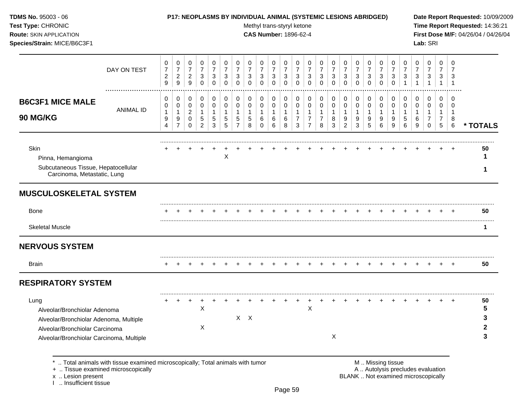Test Type: CHRONIC **Test Type:** CHRONIC **Test Type:** CHRONIC **Time Report Requested:** 14:36:21 **Route:** SKIN APPLICATION **CAS Number:** 1896-62-4 **First Dose M/F:** 04/26/04 / 04/26/04 **Species/Strain:** MICE/B6C3F1 **Lab:** SRI

|                                                                                                                  | DAY ON TEST      | 0<br>$\overline{7}$<br>$\overline{c}$<br>$\mathsf g$ | 0<br>$\overline{7}$<br>$\overline{c}$<br>$\mathsf g$    | 0<br>$\overline{7}$<br>$\overline{c}$<br>$\boldsymbol{9}$ | $\pmb{0}$<br>$\overline{7}$<br>3<br>$\mathbf 0$                 | 0<br>$\overline{7}$<br>$\mathbf{3}$<br>$\mathbf 0$ | 0<br>7<br>3<br>$\Omega$          | 0<br>$\overline{7}$<br>3<br>$\mathbf 0$ | 0<br>$\overline{7}$<br>$\sqrt{3}$<br>$\mathbf 0$ | 0<br>$\overline{7}$<br>$\ensuremath{\mathsf{3}}$<br>$\mathbf 0$ | 0<br>$\overline{7}$<br>3<br>$\mathbf 0$    | 0<br>$\overline{7}$<br>3<br>0                    | 0<br>$\overline{7}$<br>$\mathbf{3}$<br>$\mathbf 0$                 | 0<br>$\overline{7}$<br>3<br>$\Omega$                      | 0<br>$\overline{7}$<br>3<br>$\mathbf 0$ | 0<br>$\overline{7}$<br>3<br>$\mathbf 0$ | 0<br>$\overline{7}$<br>$\ensuremath{\mathsf{3}}$<br>$\mathbf 0$ | 0<br>$\overline{7}$<br>3<br>0    | 0<br>$\overline{7}$<br>$\mathbf{3}$<br>$\mathbf 0$ | 0<br>$\overline{7}$<br>3<br>$\mathbf 0$            | 0<br>$\overline{7}$<br>3<br>$\mathbf 0$              | 0<br>$\overline{7}$<br>3        | 0<br>$\overline{7}$<br>3         | 0<br>$\overline{7}$<br>$\sqrt{3}$                       | 0<br>$\overline{7}$<br>3<br>$\mathbf{1}$                      | 0<br>7<br>3<br>$\mathbf 1$           |                        |
|------------------------------------------------------------------------------------------------------------------|------------------|------------------------------------------------------|---------------------------------------------------------|-----------------------------------------------------------|-----------------------------------------------------------------|----------------------------------------------------|----------------------------------|-----------------------------------------|--------------------------------------------------|-----------------------------------------------------------------|--------------------------------------------|--------------------------------------------------|--------------------------------------------------------------------|-----------------------------------------------------------|-----------------------------------------|-----------------------------------------|-----------------------------------------------------------------|----------------------------------|----------------------------------------------------|----------------------------------------------------|------------------------------------------------------|---------------------------------|----------------------------------|---------------------------------------------------------|---------------------------------------------------------------|--------------------------------------|------------------------|
| <b>B6C3F1 MICE MALE</b><br>90 MG/KG                                                                              | <b>ANIMAL ID</b> | 0<br>0<br>$\mathbf{1}$<br>9<br>4                     | 0<br>$\pmb{0}$<br>$\overline{1}$<br>9<br>$\overline{7}$ | 0<br>0<br>$\sqrt{2}$<br>0<br>$\mathbf 0$                  | $\mathbf 0$<br>$\pmb{0}$<br>$\mathbf{1}$<br>5<br>$\overline{a}$ | $\mathbf 0$<br>0<br>$\overline{1}$<br>5<br>3       | 0<br>0<br>$\mathbf{1}$<br>5<br>5 | 0<br>0<br>1<br>5<br>$\overline{7}$      | 0<br>0<br>1<br>$\,$ 5 $\,$<br>8                  | 0<br>$\pmb{0}$<br>$\mathbf{1}$<br>6<br>$\mathbf 0$              | $\mathbf 0$<br>0<br>$\mathbf{1}$<br>6<br>6 | $\mathbf 0$<br>0<br>$\mathbf{1}$<br>$\,6\,$<br>8 | $\mathbf 0$<br>0<br>$\mathbf{1}$<br>$\overline{7}$<br>$\mathbf{3}$ | $\mathbf 0$<br>0<br>1<br>$\overline{7}$<br>$\overline{7}$ | 0<br>0<br>1<br>$\overline{7}$<br>8      | 0<br>0<br>1<br>8<br>3                   | 0<br>$\boldsymbol{0}$<br>$\mathbf{1}$<br>9<br>$\overline{2}$    | 0<br>0<br>$\mathbf{1}$<br>9<br>3 | $\pmb{0}$<br>$\pmb{0}$<br>$\mathbf{1}$<br>9<br>5   | $\mathbf 0$<br>$\pmb{0}$<br>$\mathbf{1}$<br>9<br>6 | $\mathbf 0$<br>$\mathbf 0$<br>$\mathbf{1}$<br>9<br>9 | 0<br>$\mathbf 0$<br>1<br>5<br>6 | 0<br>0<br>$\mathbf{1}$<br>6<br>9 | 0<br>0<br>$\mathbf{1}$<br>$\overline{7}$<br>$\mathbf 0$ | $\Omega$<br>0<br>$\mathbf{1}$<br>$\overline{7}$<br>$\sqrt{5}$ | 0<br>0<br>$\mathbf{1}$<br>8<br>$\,6$ | * TOTALS               |
| Skin<br>Pinna, Hemangioma<br>Subcutaneous Tissue, Hepatocellular<br>Carcinoma, Metastatic, Lung                  |                  |                                                      |                                                         |                                                           |                                                                 |                                                    | X                                |                                         |                                                  |                                                                 |                                            |                                                  |                                                                    |                                                           |                                         |                                         |                                                                 |                                  |                                                    |                                                    |                                                      |                                 |                                  |                                                         |                                                               |                                      | 50<br>1<br>1           |
| <b>MUSCULOSKELETAL SYSTEM</b>                                                                                    |                  |                                                      |                                                         |                                                           |                                                                 |                                                    |                                  |                                         |                                                  |                                                                 |                                            |                                                  |                                                                    |                                                           |                                         |                                         |                                                                 |                                  |                                                    |                                                    |                                                      |                                 |                                  |                                                         |                                                               |                                      |                        |
| <b>Bone</b>                                                                                                      |                  |                                                      |                                                         |                                                           |                                                                 |                                                    |                                  |                                         |                                                  |                                                                 |                                            |                                                  |                                                                    |                                                           |                                         |                                         |                                                                 |                                  |                                                    |                                                    |                                                      |                                 |                                  |                                                         |                                                               |                                      | 50                     |
| <b>Skeletal Muscle</b>                                                                                           |                  |                                                      |                                                         |                                                           |                                                                 |                                                    |                                  |                                         |                                                  |                                                                 |                                            |                                                  |                                                                    |                                                           |                                         |                                         |                                                                 |                                  |                                                    |                                                    |                                                      |                                 |                                  |                                                         |                                                               |                                      | 1                      |
| <b>NERVOUS SYSTEM</b>                                                                                            |                  |                                                      |                                                         |                                                           |                                                                 |                                                    |                                  |                                         |                                                  |                                                                 |                                            |                                                  |                                                                    |                                                           |                                         |                                         |                                                                 |                                  |                                                    |                                                    |                                                      |                                 |                                  |                                                         |                                                               |                                      |                        |
| <b>Brain</b>                                                                                                     |                  |                                                      |                                                         |                                                           |                                                                 |                                                    |                                  |                                         |                                                  |                                                                 |                                            |                                                  |                                                                    |                                                           |                                         |                                         |                                                                 |                                  |                                                    |                                                    |                                                      |                                 |                                  |                                                         |                                                               |                                      | 50                     |
| <b>RESPIRATORY SYSTEM</b>                                                                                        |                  |                                                      |                                                         |                                                           |                                                                 |                                                    |                                  |                                         |                                                  |                                                                 |                                            |                                                  |                                                                    |                                                           |                                         |                                         |                                                                 |                                  |                                                    |                                                    |                                                      |                                 |                                  |                                                         |                                                               |                                      |                        |
| Lung<br>Alveolar/Bronchiolar Adenoma<br>Alveolar/Bronchiolar Adenoma, Multiple<br>Alveolar/Bronchiolar Carcinoma |                  |                                                      | $\div$                                                  | $\pm$                                                     | $\ddot{}$<br>X<br>X                                             |                                                    |                                  |                                         | $X$ $X$                                          |                                                                 |                                            |                                                  |                                                                    | X                                                         |                                         | X                                       |                                                                 |                                  |                                                    |                                                    |                                                      |                                 |                                  |                                                         |                                                               |                                      | 50<br>5<br>3<br>2<br>3 |

I .. Lookin probotive<br>I .. Insufficient tissue

or examined microscopically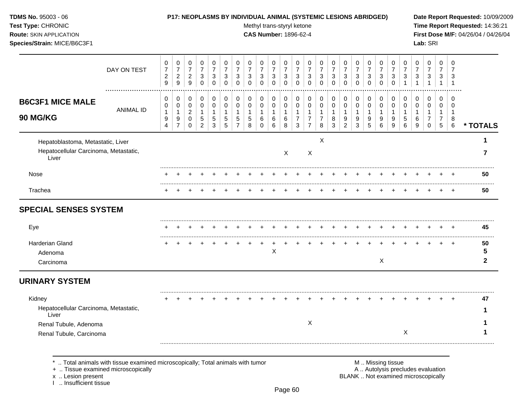**Route: SKIN APPLICATION** 

Species/Strain: MICE/B6C3F1

#### P17: NEOPLASMS BY INDIVIDUAL ANIMAL (SYSTEMIC LESIONS ABRIDGED)

Methyl trans-styryl ketone

**CAS Number: 1896-62-4** 

Date Report Requested: 10/09/2009 Time Report Requested: 14:36:21 First Dose M/F: 04/26/04 / 04/26/04 Lab: SRI

|                                                                                     | DAY ON TEST                                                                  | 0<br>$\boldsymbol{7}$<br>$\overline{c}$<br>$\overline{9}$ | $\pmb{0}$<br>$\boldsymbol{7}$<br>$\overline{a}$<br>$\boldsymbol{9}$ | $\mathbf 0$<br>$\overline{7}$<br>$\overline{2}$<br>9 | $\pmb{0}$<br>$\overline{7}$<br>3<br>$\mathbf 0$ | $\mathbf 0$<br>$\overline{7}$<br>3<br>0 | $\pmb{0}$<br>$\overline{7}$<br>$\sqrt{3}$<br>$\mathbf 0$ | $\pmb{0}$<br>$\overline{7}$<br>$\mathbf{3}$<br>$\Omega$ | $\mathbf 0$<br>$\overline{7}$<br>$\mathbf{3}$<br>$\mathbf 0$ | $\mathbf 0$<br>$\overline{7}$<br>3<br>$\mathbf 0$ | 0<br>$\overline{7}$<br>$\sqrt{3}$<br>$\mathbf 0$ | 0<br>$\overline{7}$<br>$\mathbf{3}$<br>$\mathbf 0$ | $\mathbf 0$<br>$\overline{7}$<br>3<br>0            | $\mathbf 0$<br>$\overline{7}$<br>$\sqrt{3}$<br>$\mathbf 0$ | 0<br>$\overline{7}$<br>$\mathbf{3}$<br>0           | $\mathbf 0$<br>$\overline{7}$<br>3<br>$\mathbf 0$ | $\pmb{0}$<br>$\overline{7}$<br>3<br>$\mathbf 0$ | $\mathbf 0$<br>$\overline{7}$<br>$\mathbf{3}$<br>$\mathbf 0$ | 0<br>$\overline{7}$<br>3<br>$\mathbf 0$ | 0<br>$\overline{7}$<br>3<br>$\mathbf 0$ | $\mathbf 0$<br>$\overline{7}$<br>$\sqrt{3}$<br>$\mathbf 0$ | 0<br>$\overline{7}$<br>3<br>$\mathbf 1$ | 0<br>$\overline{7}$<br>3<br>-1                                           | $\mathbf 0$<br>$\boldsymbol{7}$<br>$\mathbf{3}$<br>$\mathbf{1}$ | 0<br>$\overline{7}$<br>3<br>$\mathbf{1}$           | $\mathbf 0$<br>$\overline{7}$<br>$\mathbf{3}$<br>$\overline{1}$ |                        |
|-------------------------------------------------------------------------------------|------------------------------------------------------------------------------|-----------------------------------------------------------|---------------------------------------------------------------------|------------------------------------------------------|-------------------------------------------------|-----------------------------------------|----------------------------------------------------------|---------------------------------------------------------|--------------------------------------------------------------|---------------------------------------------------|--------------------------------------------------|----------------------------------------------------|----------------------------------------------------|------------------------------------------------------------|----------------------------------------------------|---------------------------------------------------|-------------------------------------------------|--------------------------------------------------------------|-----------------------------------------|-----------------------------------------|------------------------------------------------------------|-----------------------------------------|--------------------------------------------------------------------------|-----------------------------------------------------------------|----------------------------------------------------|-----------------------------------------------------------------|------------------------|
| <b>B6C3F1 MICE MALE</b><br>90 MG/KG                                                 | <b>ANIMAL ID</b>                                                             | 0<br>$\pmb{0}$<br>$\mathbf{1}$<br>9                       | 0<br>$\mathbf 0$<br>$\mathbf{1}$<br>9                               | 0<br>$\mathbf 0$<br>$\overline{c}$<br>$\mathbf 0$    | 0<br>$\mathbf 0$<br>$\mathbf{1}$<br>5           | 0<br>$\mathbf 0$<br>$\mathbf{1}$<br>5   | 0<br>$\mathbf 0$<br>$\mathbf{1}$<br>5                    | 0<br>$\pmb{0}$<br>$\mathbf{1}$<br>$\,$ 5 $\,$           | 0<br>$\mathbf 0$<br>$\mathbf{1}$<br>5                        | 0<br>$\mathbf 0$<br>1<br>6                        | 0<br>$\mathbf 0$<br>$\mathbf{1}$<br>6            | 0<br>$\mathbf 0$<br>1<br>6                         | 0<br>$\mathbf 0$<br>$\mathbf{1}$<br>$\overline{7}$ | 0<br>$\mathbf 0$<br>$\mathbf{1}$<br>$\overline{7}$         | 0<br>$\mathbf 0$<br>$\mathbf{1}$<br>$\overline{7}$ | $\mathbf 0$<br>$\mathbf 0$<br>$\mathbf{1}$<br>8   | 0<br>$\mathbf 0$<br>$\mathbf{1}$<br>9           | 0<br>$\pmb{0}$<br>$\mathbf{1}$<br>9                          | 0<br>$\mathbf 0$<br>1<br>9              | 0<br>$\mathbf 0$<br>$\mathbf{1}$<br>9   | 0<br>$\mathbf 0$<br>$\mathbf{1}$<br>9                      | 0<br>$\mathbf 0$<br>$\mathbf{1}$<br>5   | 0<br>$\mathbf 0$<br>$\mathbf{1}$<br>6                                    | 0<br>$\mathbf 0$<br>$\mathbf{1}$<br>$\overline{7}$              | 0<br>$\mathbf 0$<br>$\mathbf{1}$<br>$\overline{7}$ | $\mathbf 0$<br>$\Omega$<br>$\mathbf{1}$<br>8                    |                        |
|                                                                                     |                                                                              | 4                                                         | $\overline{7}$                                                      | $\mathbf 0$                                          | $\overline{2}$                                  | 3                                       | 5                                                        | $\overline{7}$                                          | $\,8\,$                                                      | $\mathsf 0$                                       | $\,6$                                            | 8                                                  | $\mathbf{3}$                                       | $\overline{7}$                                             | $\,8\,$                                            | $\mathbf{3}$                                      | $\overline{2}$                                  | $\sqrt{3}$                                                   | 5                                       | $\,6$                                   | 9                                                          | $\,6$                                   | 9                                                                        | $\pmb{0}$                                                       | 5                                                  | $6\phantom{1}6$                                                 | * TOTALS               |
| Hepatoblastoma, Metastatic, Liver<br>Hepatocellular Carcinoma, Metastatic,<br>Liver |                                                                              |                                                           |                                                                     |                                                      |                                                 |                                         |                                                          |                                                         |                                                              |                                                   |                                                  | $\boldsymbol{\mathsf{X}}$                          |                                                    | $\boldsymbol{\mathsf{X}}$                                  | X                                                  |                                                   |                                                 |                                                              |                                         |                                         |                                                            |                                         |                                                                          |                                                                 |                                                    |                                                                 | 1<br>$\overline{7}$    |
| Nose                                                                                |                                                                              |                                                           |                                                                     |                                                      |                                                 |                                         |                                                          |                                                         |                                                              |                                                   |                                                  |                                                    |                                                    |                                                            |                                                    |                                                   |                                                 |                                                              |                                         |                                         |                                                            |                                         |                                                                          |                                                                 |                                                    |                                                                 | 50                     |
| Trachea                                                                             |                                                                              |                                                           |                                                                     |                                                      |                                                 |                                         |                                                          |                                                         |                                                              |                                                   |                                                  |                                                    |                                                    |                                                            |                                                    |                                                   |                                                 |                                                              |                                         |                                         |                                                            |                                         |                                                                          |                                                                 |                                                    |                                                                 | 50                     |
| <b>SPECIAL SENSES SYSTEM</b>                                                        |                                                                              |                                                           |                                                                     |                                                      |                                                 |                                         |                                                          |                                                         |                                                              |                                                   |                                                  |                                                    |                                                    |                                                            |                                                    |                                                   |                                                 |                                                              |                                         |                                         |                                                            |                                         |                                                                          |                                                                 |                                                    |                                                                 |                        |
| Eye                                                                                 |                                                                              |                                                           |                                                                     |                                                      |                                                 |                                         |                                                          |                                                         |                                                              |                                                   |                                                  |                                                    |                                                    |                                                            |                                                    |                                                   |                                                 |                                                              |                                         |                                         |                                                            |                                         |                                                                          |                                                                 |                                                    |                                                                 | 45                     |
| <b>Harderian Gland</b><br>Adenoma<br>Carcinoma                                      |                                                                              |                                                           |                                                                     |                                                      |                                                 |                                         |                                                          |                                                         |                                                              |                                                   | Χ                                                |                                                    |                                                    |                                                            |                                                    |                                                   |                                                 |                                                              |                                         | X                                       |                                                            |                                         |                                                                          |                                                                 |                                                    |                                                                 | 50<br>5<br>$\mathbf 2$ |
| <b>URINARY SYSTEM</b>                                                               |                                                                              |                                                           |                                                                     |                                                      |                                                 |                                         |                                                          |                                                         |                                                              |                                                   |                                                  |                                                    |                                                    |                                                            |                                                    |                                                   |                                                 |                                                              |                                         |                                         |                                                            |                                         |                                                                          |                                                                 |                                                    |                                                                 |                        |
| Kidney<br>Hepatocellular Carcinoma, Metastatic,<br>Liver                            |                                                                              |                                                           |                                                                     |                                                      |                                                 |                                         |                                                          |                                                         |                                                              |                                                   |                                                  |                                                    |                                                    |                                                            |                                                    |                                                   |                                                 |                                                              |                                         |                                         |                                                            |                                         |                                                                          |                                                                 |                                                    |                                                                 | 47                     |
| Renal Tubule, Adenoma<br>Renal Tubule, Carcinoma                                    |                                                                              |                                                           |                                                                     |                                                      |                                                 |                                         |                                                          |                                                         |                                                              |                                                   |                                                  |                                                    |                                                    | $\boldsymbol{X}$                                           |                                                    |                                                   |                                                 |                                                              |                                         |                                         |                                                            | X                                       |                                                                          |                                                                 |                                                    |                                                                 |                        |
| +  Tissue examined microscopically<br>x  Lesion present<br>I  Insufficient tissue   | Total animals with tissue examined microscopically; Total animals with tumor |                                                           |                                                                     |                                                      |                                                 |                                         |                                                          |                                                         |                                                              |                                                   |                                                  | Page 60                                            |                                                    |                                                            |                                                    |                                                   |                                                 |                                                              |                                         |                                         | M  Missing tissue                                          |                                         | A  Autolysis precludes evaluation<br>BLANK  Not examined microscopically |                                                                 |                                                    |                                                                 |                        |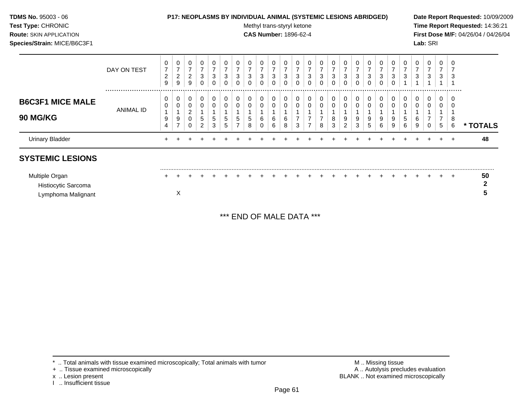**Test Type:** CHRONIC **Trans-styryl ketone** Methyl trans-styryl ketone **Time Report Requested:** 14:36:21 **Route:** SKIN APPLICATION **CAS Number:** 1896-62-4 **First Dose M/F:** 04/26/04 / 04/26/04 **Species/Strain:** MICE/B6C3F1 **Lab:** SRI

|                                       | DAY ON TEST   | 0<br>$\overline{7}$<br>$\overline{c}$<br>9 | 0<br>$\overline{ }$<br>$\overline{c}$<br>9 | 0<br>$\overline{ }$<br>2<br>9 | 0<br>⇁<br>3<br>0 | 3<br>$\Omega$ | 0<br>⇁<br>3<br>0 | $\overline{ }$<br>3<br>$\Omega$ | $\overline{7}$<br>3<br>0 | 7<br>3 | 0<br>$\overline{ }$<br>3<br>0 | 0<br>$\overline{ }$<br>3<br>0 | ⇁<br>3 | $\overline{ }$<br>3              | 0<br>7<br>3<br>0    | 0<br>7<br>3<br>$\mathbf 0$ | 7<br>3 | $\overline{ }$<br>3<br>0 | $\overline{ }$<br>3<br>$\Omega$ | 3      | ⇁<br>3 | 0<br>$\overline{ }$<br>3 | 0<br>$\overline{ }$<br>3 | $\overline{7}$<br>3 | 0<br>3 | 3               |          |
|---------------------------------------|---------------|--------------------------------------------|--------------------------------------------|-------------------------------|------------------|---------------|------------------|---------------------------------|--------------------------|--------|-------------------------------|-------------------------------|--------|----------------------------------|---------------------|----------------------------|--------|--------------------------|---------------------------------|--------|--------|--------------------------|--------------------------|---------------------|--------|-----------------|----------|
| <b>B6C3F1 MICE MALE</b>               | <br>ANIMAL ID | 0<br>0                                     | 0<br>υ                                     | 0                             | 0<br>0           |               | 0<br>0           | 0<br>0                          | 0<br>0                   | 0<br>0 | 0<br>0                        | 0<br>0                        |        | 0<br>0                           | 0<br>0              | 0<br>0                     | 0      | 0<br>0                   | 0                               |        | 0<br>0 | 0<br>0                   | 0<br>0                   | 0<br>$\overline{0}$ | 0<br>0 | . <b>.</b><br>0 |          |
| <b>90 MG/KG</b>                       |               | 9<br>4                                     | 9<br>$\overline{ }$                        | ົ<br>∠                        | 5<br>2           | 5<br>3        | 5<br>5           | 5<br>⇁                          | 5<br>8                   | 6      | 6<br>6                        | 6<br>8                        | ⇁<br>3 | $\overline{ }$<br>$\overline{ }$ | $\overline{ }$<br>8 | 8<br>3                     | 9<br>2 | 9<br>3                   | 9<br>5                          | 9<br>6 | 9<br>9 | 5<br>6                   | 6<br>9                   | ⇁                   | ⇁<br>5 | 8<br>6          | * TOTALS |
| <b>Urinary Bladder</b>                |               | ÷.                                         |                                            |                               |                  |               |                  |                                 |                          |        |                               |                               |        |                                  |                     |                            |        |                          |                                 |        |        |                          |                          |                     |        | $\pm$           | 48       |
| <b>SYSTEMIC LESIONS</b>               |               |                                            |                                            |                               |                  |               |                  |                                 |                          |        |                               |                               |        |                                  |                     |                            |        |                          |                                 |        |        |                          |                          |                     |        |                 |          |
| Multiple Organ<br>Histiocytic Sarcoma |               | ÷                                          |                                            |                               |                  |               |                  |                                 |                          |        |                               |                               | $+$    |                                  | $\ddot{}$           | $\div$                     | $+$    |                          |                                 | $+$    |        | $+$                      |                          | ÷.                  | $+$    | $\overline{+}$  | 50<br>2  |
| Lymphoma Malignant                    |               |                                            | $\times$                                   |                               |                  |               |                  |                                 |                          |        |                               |                               |        |                                  |                     |                            |        |                          |                                 |        |        |                          |                          |                     |        |                 | 5        |

\*\*\* END OF MALE DATA \*\*\*

\* .. Total animals with tissue examined microscopically; Total animals with tumor <br>
+ .. Tissue examined microscopically<br>
+ .. Tissue examined microscopically

- + .. Tissue examined microscopically
- 
- x .. Lesion present<br>I .. Insufficient tissue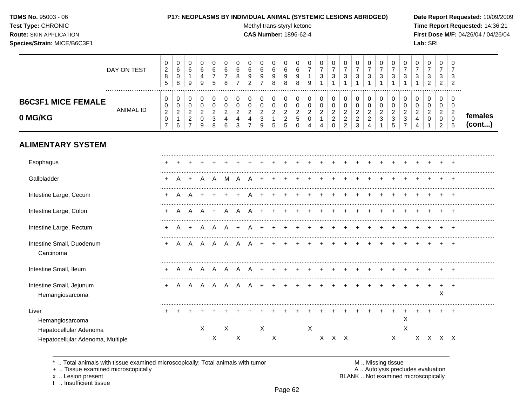**Route: SKIN APPLICATION** 

Species/Strain: MICE/B6C3F1

#### P17: NEOPLASMS BY INDIVIDUAL ANIMAL (SYSTEMIC LESIONS ABRIDGED)

Methyl trans-styryl ketone

**CAS Number: 1896-62-4** 

Date Report Requested: 10/09/2009 Time Report Requested: 14:36:21 First Dose M/F: 04/26/04 / 04/26/04 Lab: SRI

|                                      | DAY ON TEST | 0<br>ົ<br>∠<br>Ω<br>ö<br><sub>5</sub> | v<br>6<br>U<br>8      | u<br>ь<br>9                 | ν<br>ь<br>9 | ν<br>$\sim$<br>6<br>'5       | <b>U</b><br>6<br>8 |   | 0<br>6<br>9<br>റ        | ◡<br>6                       | U<br>6<br>9<br>8 | 9<br>8 | 0<br>$\sim$<br>6<br>9<br>8 | U<br>9                      | 3                                                | ◠ | v<br>3                                        | 3               | υ<br>3 | 0<br>◠<br>ັ      | U<br>ີ<br>N        | U<br>З | $\mathbf{0}$<br><sup>o</sup><br>دت<br>ົ | 0<br>3<br>◠<br><u>_</u> | - C<br>K<br><u>_</u> |                   |
|--------------------------------------|-------------|---------------------------------------|-----------------------|-----------------------------|-------------|------------------------------|--------------------|---|-------------------------|------------------------------|------------------|--------|----------------------------|-----------------------------|--------------------------------------------------|---|-----------------------------------------------|-----------------|--------|------------------|--------------------|--------|-----------------------------------------|-------------------------|----------------------|-------------------|
| <b>B6C3F1 MICE FEMALE</b><br>0 MG/KG | ANIMAL ID   | 0<br>0<br>ົ<br><u>_</u><br>U          | v<br>v<br>⌒<br>∸<br>6 | _<br>$\sqrt{2}$<br><u>.</u> | ν<br>ν<br>9 | ົ<br><u>_</u><br>ົ<br>C<br>8 | <u>_</u><br>4<br>6 | Æ | 0<br>c<br><u>_</u><br>4 | <u>_</u><br>$\sim$<br>J<br>9 | <u>_</u><br>г.   | _      | 0<br>U<br>ີ<br>_<br>đ      | 0<br>υ<br><sup>o</sup><br>U | $\overline{\phantom{a}}$<br><u>_</u><br><u>.</u> |   | v<br>v<br>ົ<br><u>_</u><br>ົ<br><u>.</u><br>ົ | c<br>$\sqrt{2}$ | _<br>3 | ⌒<br>◠<br>ັ<br>- | ◠<br><u>_</u><br>3 | u      | ◠                                       | ີ<br><u>.</u><br>0      | C                    | temales<br>(cont) |

# **ALIMENTARY SYSTEM**

| Esophagus                                          |           |                |                |              |                |   |                |   |   |   |  |   |    |     |  |  |   |        |    |   |            |  |
|----------------------------------------------------|-----------|----------------|----------------|--------------|----------------|---|----------------|---|---|---|--|---|----|-----|--|--|---|--------|----|---|------------|--|
| Gallbladder                                        | +         |                |                | A            | A              | M | A              | A |   |   |  |   |    |     |  |  |   |        |    |   |            |  |
| Intestine Large, Cecum                             | ٠         |                |                |              |                |   |                |   |   |   |  |   |    |     |  |  |   |        |    |   |            |  |
| Intestine Large, Colon                             | $\ddot{}$ |                | $\overline{A}$ |              |                | A |                |   |   |   |  |   |    |     |  |  |   |        |    |   |            |  |
| Intestine Large, Rectum                            | $\pm$     |                |                |              | A              | A |                |   |   |   |  |   |    |     |  |  |   |        |    |   |            |  |
| Intestine Small, Duodenum<br>Carcinoma             | $\pm$     |                | A              | $\mathsf{A}$ | A              | A | $\overline{A}$ |   |   |   |  |   |    |     |  |  |   |        |    |   |            |  |
| Intestine Small, Ileum                             | $\pm$     |                |                | A            | $\overline{A}$ |   |                |   |   |   |  |   |    |     |  |  |   |        |    |   |            |  |
| Intestine Small, Jejunum<br>Hemangiosarcoma        | ÷         | $\overline{A}$ | $\mathsf{A}$   | A            | $\overline{A}$ | A | $\mathsf{A}$   |   |   |   |  |   |    |     |  |  |   |        |    |   | X          |  |
| Liver<br>Hemangiosarcoma<br>Hepatocellular Adenoma |           |                |                | Χ            |                | X |                |   | Χ |   |  | Χ |    |     |  |  |   | X<br>Х |    |   |            |  |
| Hepatocellular Adenoma, Multiple                   |           |                |                |              | X              |   | Χ              |   |   | Χ |  |   | X. | x x |  |  | X |        | X. | X | $X \times$ |  |

\* .. Total animals with tissue examined microscopically; Total animals with tumor

+ .. Tissue examined microscopically

x .. Lesion present

1 .. Insufficient tissue

M .. Missing tissue<br>A .. Autolysis precludes evaluation BLANK .. Not examined microscopically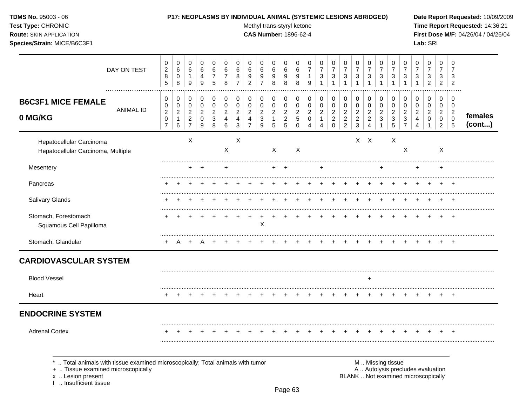Test Type: CHRONIC **Test Type:** CHRONIC **Test Type:** CHRONIC **Time Report Requested:** 14:36:21 **Route:** SKIN APPLICATION **CAS Number:** 1896-62-4 **First Dose M/F:** 04/26/04 / 04/26/04 **Species/Strain:** MICE/B6C3F1 **Lab:** SRI

| DAY ON TEST                                                                                                                             | 0<br>$\boldsymbol{2}$<br>$\bf 8$<br>$\sqrt{5}$ | 0<br>$\,6\,$<br>$\pmb{0}$<br>8                   | 0<br>6<br>$\mathbf{1}$<br>9                      | 0<br>6<br>4<br>9                                        | 0<br>6<br>$\overline{7}$<br>5                        | 0<br>6<br>$\overline{7}$<br>8                      | 0<br>$\,6\,$<br>$\bf 8$<br>$\overline{7}$       | 0<br>6<br>$\boldsymbol{9}$<br>$\overline{2}$                  | 0<br>6<br>9<br>$\overline{7}$               | 0<br>6<br>9<br>8                        | 0<br>6<br>9<br>8                           | $\mathbf 0$<br>6<br>$\boldsymbol{9}$<br>8 | 0<br>$\overline{7}$<br>1<br>9                     | 0<br>$\boldsymbol{7}$<br>$\ensuremath{\mathsf{3}}$<br>$\overline{1}$ | 0<br>$\boldsymbol{7}$<br>$\sqrt{3}$<br>$\mathbf{1}$ | 0<br>$\overline{7}$<br>$\ensuremath{\mathsf{3}}$<br>$\mathbf{1}$ | 0<br>$\overline{7}$<br>3<br>1                        | 0<br>$\overline{7}$<br>3                             | $\mathbf 0$<br>$\overline{7}$<br>3                 | 0<br>$\overline{7}$<br>3<br>1 | 0<br>$\overline{7}$<br>$\ensuremath{\mathsf{3}}$<br>$\overline{1}$ | 0<br>$\boldsymbol{7}$<br>$\mathbf{3}$<br>$\mathbf{1}$                    | 0<br>$\overline{7}$<br>$\ensuremath{\mathsf{3}}$<br>$\overline{2}$ | 0<br>$\overline{7}$<br>3<br>$\overline{2}$ | 0<br>$\overline{7}$<br>3<br>$\overline{c}$        |         |
|-----------------------------------------------------------------------------------------------------------------------------------------|------------------------------------------------|--------------------------------------------------|--------------------------------------------------|---------------------------------------------------------|------------------------------------------------------|----------------------------------------------------|-------------------------------------------------|---------------------------------------------------------------|---------------------------------------------|-----------------------------------------|--------------------------------------------|-------------------------------------------|---------------------------------------------------|----------------------------------------------------------------------|-----------------------------------------------------|------------------------------------------------------------------|------------------------------------------------------|------------------------------------------------------|----------------------------------------------------|-------------------------------|--------------------------------------------------------------------|--------------------------------------------------------------------------|--------------------------------------------------------------------|--------------------------------------------|---------------------------------------------------|---------|
| <b>B6C3F1 MICE FEMALE</b><br><b>ANIMAL ID</b><br>0 MG/KG                                                                                | 0<br>$\pmb{0}$<br>$\overline{c}$<br>$\pmb{0}$  | 0<br>$\pmb{0}$<br>$\overline{c}$<br>$\mathbf{1}$ | 0<br>$\mathbf 0$<br>$\overline{2}$<br>$\sqrt{2}$ | $\pmb{0}$<br>$\pmb{0}$<br>$\overline{2}$<br>$\mathsf 0$ | 0<br>$\mathbf 0$<br>$\boldsymbol{2}$<br>$\mathbf{3}$ | 0<br>$\pmb{0}$<br>$\overline{a}$<br>$\overline{4}$ | $\mathbf 0$<br>$\pmb{0}$<br>$\overline{c}$<br>4 | 0<br>$\mathbf 0$<br>$\overline{2}$<br>$\overline{\mathbf{4}}$ | 0<br>$\pmb{0}$<br>$\sqrt{2}$<br>$\mathsf 3$ | 0<br>$\mathbf 0$<br>$\overline{2}$<br>1 | 0<br>0<br>$\overline{2}$<br>$\overline{c}$ | 0<br>$\mathbf 0$<br>$\sqrt{2}$<br>5       | 0<br>$\mathsf 0$<br>$\overline{c}$<br>$\mathsf 0$ | 0<br>$\pmb{0}$<br>$\overline{c}$<br>$\mathbf{1}$                     | 0<br>$\pmb{0}$<br>$\overline{c}$<br>$\overline{2}$  | 0<br>$\pmb{0}$<br>$\boldsymbol{2}$<br>$\boldsymbol{2}$           | 0<br>$\mathbf 0$<br>$\overline{2}$<br>$\overline{2}$ | 0<br>$\pmb{0}$<br>$\overline{2}$<br>$\boldsymbol{2}$ | 0<br>$\pmb{0}$<br>$\boldsymbol{2}$<br>$\mathbf{3}$ | 0<br>0<br>$\overline{a}$<br>3 | 0<br>$\pmb{0}$<br>$\overline{c}$<br>$\sqrt{3}$                     | 0<br>$\mathbf 0$<br>$\overline{2}$<br>$\overline{4}$                     | 0<br>$\mathbf 0$<br>$\overline{2}$<br>$\mathsf{O}\xspace$          | 0<br>0<br>$\overline{2}$<br>$\mathbf 0$    | 0<br>$\mathbf 0$<br>$\overline{2}$<br>$\mathbf 0$ | females |
|                                                                                                                                         | $\overline{7}$                                 | $\,6\,$                                          | $\overline{7}$                                   | 9                                                       | 8                                                    | 6                                                  | $\sqrt{3}$                                      | $\overline{7}$                                                | 9                                           | 5                                       | 5                                          | $\Omega$                                  | $\overline{4}$                                    | 4                                                                    | $\mathbf 0$                                         | $\overline{2}$                                                   | 3                                                    | $\overline{4}$                                       | $\mathbf{1}$                                       | 5                             | $\overline{7}$                                                     | $\overline{4}$                                                           | $\mathbf{1}$                                                       | $\overline{2}$                             | 5                                                 | (cont)  |
| Hepatocellular Carcinoma<br>Hepatocellular Carcinoma, Multiple                                                                          |                                                |                                                  | X                                                |                                                         |                                                      | X                                                  | X                                               |                                                               |                                             | X                                       |                                            | $\boldsymbol{\mathsf{X}}$                 |                                                   |                                                                      |                                                     |                                                                  | $X$ $X$                                              |                                                      |                                                    | $\mathsf{X}$                  | X                                                                  |                                                                          |                                                                    | X                                          |                                                   |         |
| Mesentery                                                                                                                               |                                                |                                                  | $+$                                              | $\ddot{}$                                               |                                                      | $\ddot{}$                                          |                                                 |                                                               |                                             | $\div$                                  | $\div$                                     |                                           |                                                   | $+$                                                                  |                                                     |                                                                  |                                                      |                                                      | ÷                                                  |                               |                                                                    | $\ddot{}$                                                                |                                                                    | $\ddot{}$                                  |                                                   |         |
| Pancreas                                                                                                                                |                                                |                                                  |                                                  |                                                         |                                                      |                                                    |                                                 |                                                               |                                             |                                         |                                            |                                           |                                                   |                                                                      |                                                     |                                                                  |                                                      |                                                      |                                                    |                               |                                                                    | $\ddot{}$                                                                |                                                                    | $\ddot{}$                                  | $\overline{1}$                                    |         |
| Salivary Glands                                                                                                                         |                                                |                                                  |                                                  |                                                         |                                                      |                                                    |                                                 |                                                               |                                             |                                         |                                            |                                           |                                                   |                                                                      |                                                     |                                                                  |                                                      |                                                      |                                                    |                               |                                                                    |                                                                          |                                                                    |                                            |                                                   |         |
| Stomach, Forestomach<br>Squamous Cell Papilloma                                                                                         |                                                |                                                  |                                                  |                                                         |                                                      |                                                    |                                                 |                                                               | $\mathsf X$                                 |                                         |                                            |                                           |                                                   |                                                                      |                                                     |                                                                  |                                                      |                                                      |                                                    |                               |                                                                    |                                                                          |                                                                    |                                            | $\ddot{}$                                         |         |
| Stomach, Glandular                                                                                                                      | $+$                                            | A                                                | $+$                                              | A                                                       |                                                      |                                                    |                                                 |                                                               |                                             |                                         |                                            |                                           |                                                   |                                                                      |                                                     |                                                                  |                                                      |                                                      |                                                    |                               |                                                                    |                                                                          |                                                                    |                                            |                                                   |         |
| <b>CARDIOVASCULAR SYSTEM</b>                                                                                                            |                                                |                                                  |                                                  |                                                         |                                                      |                                                    |                                                 |                                                               |                                             |                                         |                                            |                                           |                                                   |                                                                      |                                                     |                                                                  |                                                      |                                                      |                                                    |                               |                                                                    |                                                                          |                                                                    |                                            |                                                   |         |
| <b>Blood Vessel</b>                                                                                                                     |                                                |                                                  |                                                  |                                                         |                                                      |                                                    |                                                 |                                                               |                                             |                                         |                                            |                                           |                                                   |                                                                      |                                                     |                                                                  |                                                      | $\ddot{}$                                            |                                                    |                               |                                                                    |                                                                          |                                                                    |                                            |                                                   |         |
| Heart                                                                                                                                   |                                                |                                                  |                                                  |                                                         |                                                      |                                                    |                                                 |                                                               |                                             |                                         |                                            |                                           |                                                   |                                                                      |                                                     |                                                                  |                                                      |                                                      |                                                    |                               |                                                                    |                                                                          |                                                                    | ÷                                          | $\ddot{}$                                         |         |
| <b>ENDOCRINE SYSTEM</b>                                                                                                                 |                                                |                                                  |                                                  |                                                         |                                                      |                                                    |                                                 |                                                               |                                             |                                         |                                            |                                           |                                                   |                                                                      |                                                     |                                                                  |                                                      |                                                      |                                                    |                               |                                                                    |                                                                          |                                                                    |                                            |                                                   |         |
| <b>Adrenal Cortex</b>                                                                                                                   |                                                |                                                  |                                                  |                                                         |                                                      |                                                    |                                                 |                                                               |                                             |                                         |                                            |                                           |                                                   |                                                                      |                                                     |                                                                  |                                                      |                                                      |                                                    |                               |                                                                    |                                                                          |                                                                    |                                            |                                                   |         |
| Total animals with tissue examined microscopically; Total animals with tumor<br>+  Tissue examined microscopically<br>x  Lesion present |                                                |                                                  |                                                  |                                                         |                                                      |                                                    |                                                 |                                                               |                                             |                                         |                                            |                                           |                                                   |                                                                      |                                                     |                                                                  |                                                      |                                                      | M  Missing tissue                                  |                               |                                                                    | A  Autolysis precludes evaluation<br>BLANK  Not examined microscopically |                                                                    |                                            |                                                   |         |

I .. Insufficient tissue

Page 63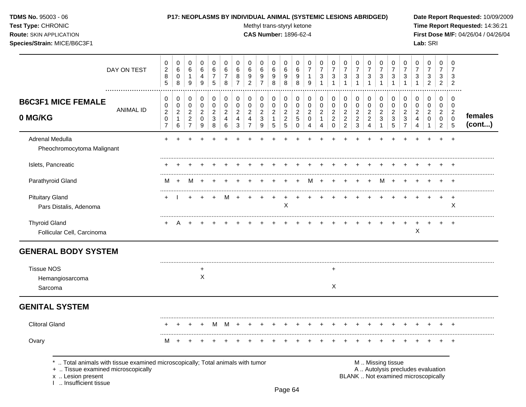|                                                                                | DAY ON TEST                                                                  | 0<br>$\sqrt{2}$<br>$\bf 8$<br>5   | 0<br>6<br>0<br>8                                   | $\mathbf 0$<br>6<br>$\mathbf{1}$<br>$\boldsymbol{9}$     | 0<br>6<br>4<br>9                        | 0<br>6<br>$\overline{7}$<br>5                                 | $\mathbf 0$<br>6<br>$\overline{7}$<br>8                      | 0<br>6<br>8<br>$\overline{7}$                      | 0<br>$\,6\,$<br>9<br>$\overline{2}$ | 0<br>6<br>9<br>$\overline{7}$                                   | $\mathbf 0$<br>6<br>9<br>8                           | 0<br>6<br>$\boldsymbol{9}$<br>8                      | $\mathbf 0$<br>$\,6$<br>$\boldsymbol{9}$<br>$\,8\,$ | $\pmb{0}$<br>$\overline{7}$<br>$\mathbf{1}$<br>9  | 0<br>$\overline{7}$<br>$\mathbf{3}$<br>1                 | $\mathbf 0$<br>$\overline{7}$<br>$\mathbf{3}$<br>$\mathbf{1}$ | $\pmb{0}$<br>$\overline{7}$<br>$\mathbf{3}$<br>$\mathbf{1}$ | $\mathbf 0$<br>$\overline{7}$<br>3<br>1                        | 0<br>$\overline{7}$<br>3<br>$\mathbf{1}$             | 0<br>$\overline{7}$<br>3<br>$\mathbf{1}$        | $\pmb{0}$<br>$\overline{7}$<br>3               | 0<br>$\overline{7}$<br>$\mathbf{3}$                                   | 0<br>$\overline{7}$<br>3                                                 | 0<br>$\boldsymbol{7}$<br>$\mathbf{3}$<br>$\overline{2}$ | $\mathbf 0$<br>$\overline{7}$<br>3<br>$\overline{2}$        | $\mathbf 0$<br>7<br>3<br>$\overline{2}$                     |         |
|--------------------------------------------------------------------------------|------------------------------------------------------------------------------|-----------------------------------|----------------------------------------------------|----------------------------------------------------------|-----------------------------------------|---------------------------------------------------------------|--------------------------------------------------------------|----------------------------------------------------|-------------------------------------|-----------------------------------------------------------------|------------------------------------------------------|------------------------------------------------------|-----------------------------------------------------|---------------------------------------------------|----------------------------------------------------------|---------------------------------------------------------------|-------------------------------------------------------------|----------------------------------------------------------------|------------------------------------------------------|-------------------------------------------------|------------------------------------------------|-----------------------------------------------------------------------|--------------------------------------------------------------------------|---------------------------------------------------------|-------------------------------------------------------------|-------------------------------------------------------------|---------|
| <b>B6C3F1 MICE FEMALE</b><br>0 MG/KG                                           | <b>ANIMAL ID</b>                                                             | 0<br>0<br>$\sqrt{2}$<br>$\pmb{0}$ | 0<br>$\mathbf 0$<br>$\overline{c}$<br>$\mathbf{1}$ | 0<br>$\mathbf 0$<br>$\boldsymbol{2}$<br>$\boldsymbol{2}$ | 0<br>$\mathbf 0$<br>$\overline{2}$<br>0 | $\pmb{0}$<br>0<br>$\overline{c}$<br>$\ensuremath{\mathsf{3}}$ | $\pmb{0}$<br>$\mathbf 0$<br>$\overline{c}$<br>$\overline{4}$ | 0<br>$\pmb{0}$<br>$\overline{c}$<br>$\overline{4}$ | 0<br>0<br>$\sqrt{2}$<br>4           | 0<br>$\mathbf 0$<br>$\overline{c}$<br>$\ensuremath{\mathsf{3}}$ | 0<br>$\mathbf 0$<br>$\boldsymbol{2}$<br>$\mathbf{1}$ | 0<br>$\mathbf 0$<br>$\overline{c}$<br>$\overline{a}$ | $\mathbf 0$<br>0<br>$\sqrt{2}$<br>$\mathbf 5$       | 0<br>$\mathbf 0$<br>$\overline{c}$<br>$\mathbf 0$ | $\pmb{0}$<br>$\pmb{0}$<br>$\overline{c}$<br>$\mathbf{1}$ | $\mathbf 0$<br>$\mathbf 0$<br>$\sqrt{2}$<br>$\boldsymbol{2}$  | $\mathbf 0$<br>$\mathbf 0$<br>$\sqrt{2}$<br>$\sqrt{2}$      | 0<br>$\mathsf{O}\xspace$<br>$\overline{c}$<br>$\boldsymbol{2}$ | 0<br>$\mathbf 0$<br>$\overline{2}$<br>$\overline{a}$ | $\pmb{0}$<br>$\mathbf 0$<br>$\overline{2}$<br>3 | 0<br>$\mathbf 0$<br>$\sqrt{2}$<br>$\mathbf{3}$ | $\pmb{0}$<br>$\pmb{0}$<br>$\overline{c}$<br>$\ensuremath{\mathsf{3}}$ | $\mathbf 0$<br>0<br>$\sqrt{2}$<br>$\overline{4}$                         | 0<br>$\mathbf 0$<br>$\overline{a}$<br>$\pmb{0}$         | $\mathbf 0$<br>$\mathbf 0$<br>$\overline{2}$<br>$\mathbf 0$ | $\mathbf 0$<br>$\mathbf 0$<br>$\overline{2}$<br>$\mathbf 0$ | females |
|                                                                                |                                                                              | $\overline{7}$                    | 6                                                  | $\overline{7}$                                           | 9                                       | 8                                                             | 6                                                            | 3                                                  | $\overline{7}$                      | 9                                                               | 5                                                    | 5                                                    | $\mathbf 0$                                         | 4                                                 | $\overline{4}$                                           | $\Omega$                                                      | $\overline{2}$                                              | $\mathbf{3}$                                                   | $\overline{4}$                                       | $\mathbf{1}$                                    | 5                                              | $\overline{7}$                                                        | 4                                                                        | $\mathbf{1}$                                            | $\overline{2}$                                              | 5                                                           | (cont)  |
| Adrenal Medulla<br>Pheochromocytoma Malignant                                  |                                                                              |                                   |                                                    |                                                          |                                         |                                                               |                                                              |                                                    |                                     |                                                                 |                                                      |                                                      |                                                     |                                                   |                                                          |                                                               |                                                             |                                                                |                                                      |                                                 |                                                |                                                                       |                                                                          |                                                         |                                                             | ÷                                                           |         |
| Islets, Pancreatic                                                             |                                                                              |                                   |                                                    |                                                          |                                         |                                                               |                                                              |                                                    |                                     |                                                                 |                                                      |                                                      |                                                     |                                                   |                                                          |                                                               |                                                             |                                                                |                                                      |                                                 |                                                |                                                                       |                                                                          |                                                         |                                                             |                                                             |         |
| Parathyroid Gland                                                              |                                                                              | м                                 |                                                    | M                                                        |                                         |                                                               |                                                              |                                                    |                                     |                                                                 |                                                      |                                                      |                                                     |                                                   |                                                          |                                                               |                                                             |                                                                |                                                      | м                                               |                                                |                                                                       |                                                                          |                                                         |                                                             |                                                             |         |
| <b>Pituitary Gland</b><br>Pars Distalis, Adenoma                               |                                                                              |                                   |                                                    |                                                          |                                         |                                                               |                                                              |                                                    |                                     |                                                                 |                                                      | X                                                    |                                                     |                                                   |                                                          |                                                               |                                                             |                                                                |                                                      |                                                 |                                                |                                                                       |                                                                          |                                                         |                                                             | X                                                           |         |
| <b>Thyroid Gland</b><br>Follicular Cell, Carcinoma                             |                                                                              |                                   | А                                                  |                                                          |                                         |                                                               |                                                              |                                                    |                                     |                                                                 |                                                      |                                                      |                                                     |                                                   |                                                          |                                                               |                                                             |                                                                |                                                      |                                                 |                                                |                                                                       | X                                                                        |                                                         |                                                             | $\div$                                                      |         |
| <b>GENERAL BODY SYSTEM</b>                                                     |                                                                              |                                   |                                                    |                                                          |                                         |                                                               |                                                              |                                                    |                                     |                                                                 |                                                      |                                                      |                                                     |                                                   |                                                          |                                                               |                                                             |                                                                |                                                      |                                                 |                                                |                                                                       |                                                                          |                                                         |                                                             |                                                             |         |
| <b>Tissue NOS</b>                                                              |                                                                              |                                   |                                                    |                                                          | $\ddot{}$                               |                                                               |                                                              |                                                    |                                     |                                                                 |                                                      |                                                      |                                                     |                                                   |                                                          |                                                               |                                                             |                                                                |                                                      |                                                 |                                                |                                                                       |                                                                          |                                                         |                                                             |                                                             |         |
| Hemangiosarcoma<br>Sarcoma                                                     |                                                                              |                                   |                                                    |                                                          | $\boldsymbol{\mathsf{X}}$               |                                                               |                                                              |                                                    |                                     |                                                                 |                                                      |                                                      |                                                     |                                                   |                                                          | X                                                             |                                                             |                                                                |                                                      |                                                 |                                                |                                                                       |                                                                          |                                                         |                                                             |                                                             |         |
| <b>GENITAL SYSTEM</b>                                                          |                                                                              |                                   |                                                    |                                                          |                                         |                                                               |                                                              |                                                    |                                     |                                                                 |                                                      |                                                      |                                                     |                                                   |                                                          |                                                               |                                                             |                                                                |                                                      |                                                 |                                                |                                                                       |                                                                          |                                                         |                                                             |                                                             |         |
| <b>Clitoral Gland</b>                                                          |                                                                              |                                   |                                                    |                                                          |                                         | M                                                             | M                                                            |                                                    |                                     |                                                                 |                                                      |                                                      |                                                     |                                                   |                                                          |                                                               |                                                             |                                                                |                                                      |                                                 |                                                |                                                                       |                                                                          |                                                         |                                                             |                                                             |         |
| Ovary                                                                          |                                                                              | м                                 |                                                    |                                                          |                                         |                                                               |                                                              |                                                    |                                     |                                                                 |                                                      |                                                      |                                                     |                                                   |                                                          |                                                               |                                                             |                                                                |                                                      |                                                 |                                                |                                                                       |                                                                          |                                                         |                                                             |                                                             |         |
| +  Tissue examined microscopically<br>x  Lesion present<br>Insufficient tissue | Total animals with tissue examined microscopically; Total animals with tumor |                                   |                                                    |                                                          |                                         |                                                               |                                                              |                                                    |                                     |                                                                 |                                                      |                                                      |                                                     |                                                   |                                                          |                                                               |                                                             |                                                                |                                                      | M  Missing tissue                               |                                                |                                                                       | A  Autolysis precludes evaluation<br>BLANK  Not examined microscopically |                                                         |                                                             |                                                             |         |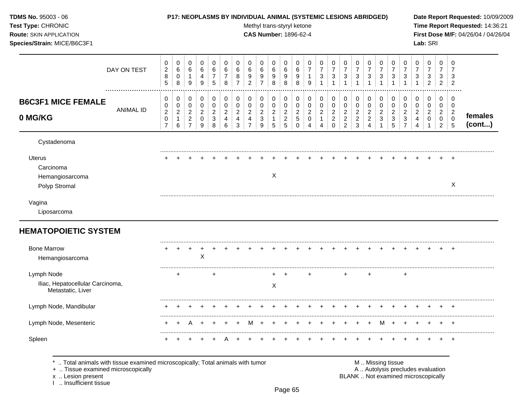**Route: SKIN APPLICATION** 

#### P17: NEOPLASMS BY INDIVIDUAL ANIMAL (SYSTEMIC LESIONS ABRIDGED)

Methyl trans-styryl ketone

**CAS Number: 1896-62-4** 

Date Report Requested: 10/09/2009 Time Report Requested: 14:36:21 First Dose M/F: 04/26/04 / 04/26/04 Lab: SRI

| Species/Strain: MICE/B6C3F1                                         |                  |                                                             |                                                             |                                                                      |                                                   |                                                                    |                                                                  |                                                                |                                                     |                                              |                                               |                                                           |                                                                   |                                                         |                                                    |                                                             |                                                                        |                                                               |                                                                        |                                                                |                                            |                                                              | Lab: SRI                                                          |                                                 |                                                           |                                                        |                   |
|---------------------------------------------------------------------|------------------|-------------------------------------------------------------|-------------------------------------------------------------|----------------------------------------------------------------------|---------------------------------------------------|--------------------------------------------------------------------|------------------------------------------------------------------|----------------------------------------------------------------|-----------------------------------------------------|----------------------------------------------|-----------------------------------------------|-----------------------------------------------------------|-------------------------------------------------------------------|---------------------------------------------------------|----------------------------------------------------|-------------------------------------------------------------|------------------------------------------------------------------------|---------------------------------------------------------------|------------------------------------------------------------------------|----------------------------------------------------------------|--------------------------------------------|--------------------------------------------------------------|-------------------------------------------------------------------|-------------------------------------------------|-----------------------------------------------------------|--------------------------------------------------------|-------------------|
|                                                                     | DAY ON TEST      | $\pmb{0}$<br>$\sqrt{2}$<br>$\, 8$<br>$\sqrt{5}$             | $\pmb{0}$<br>6<br>$\pmb{0}$<br>$\bf 8$                      | $\pmb{0}$<br>$\,6$<br>$\mathbf{1}$<br>$\boldsymbol{9}$               | $\mathbf 0$<br>6<br>4<br>$9\,$                    | $\mathbf 0$<br>6<br>$\overline{7}$<br>5                            | 0<br>$\,6$<br>$\overline{7}$<br>8                                | $\mathbf 0$<br>$\,6$<br>8<br>$\overline{7}$                    | $\mathbf 0$<br>6<br>9<br>$\overline{c}$             | $\mathbf 0$<br>6<br>9<br>$\overline{7}$      | $\mathbf 0$<br>6<br>9<br>8                    | $\mathbf 0$<br>6<br>$9\,$<br>8                            | 0<br>6<br>9<br>8                                                  | $\pmb{0}$<br>$\boldsymbol{7}$<br>$\mathbf{1}$<br>9      | $\mathbf 0$<br>$\overline{7}$<br>$\sqrt{3}$        | 0<br>$\overline{7}$<br>3                                    | 0<br>$\overline{7}$<br>3                                               | $\pmb{0}$<br>$\overline{7}$<br>$\ensuremath{\mathsf{3}}$<br>1 | $\mathbf 0$<br>$\overline{7}$<br>3                                     | $\pmb{0}$<br>$\overline{7}$<br>$\sqrt{3}$                      | 0<br>$\overline{7}$<br>3                   | 0<br>7<br>3                                                  | $\mathbf 0$<br>$\overline{7}$<br>3                                | 0<br>$\overline{7}$<br>3<br>$\overline{c}$      | 0<br>$\overline{7}$<br>3<br>$\overline{a}$                | $\mathbf 0$<br>7<br>3<br>$\overline{c}$                |                   |
| <b>B6C3F1 MICE FEMALE</b><br>0 MG/KG                                | <b>ANIMAL ID</b> | 0<br>$\pmb{0}$<br>$\sqrt{2}$<br>$\pmb{0}$<br>$\overline{7}$ | 0<br>$\pmb{0}$<br>$\overline{c}$<br>$\mathbf{1}$<br>$\,6\,$ | 0<br>$\pmb{0}$<br>$\overline{c}$<br>$\overline{c}$<br>$\overline{7}$ | 0<br>$\boldsymbol{0}$<br>$\overline{c}$<br>0<br>9 | 0<br>$\pmb{0}$<br>$\overline{c}$<br>$\ensuremath{\mathsf{3}}$<br>8 | 0<br>$\pmb{0}$<br>$\overline{c}$<br>$\overline{\mathbf{4}}$<br>6 | 0<br>$\mathbf 0$<br>$\sqrt{2}$<br>$\overline{\mathbf{4}}$<br>3 | 0<br>$\pmb{0}$<br>$\sqrt{2}$<br>4<br>$\overline{7}$ | 0<br>$\mathsf 0$<br>$\overline{c}$<br>3<br>9 | 0<br>0<br>$\overline{2}$<br>$\mathbf{1}$<br>5 | 0<br>$\pmb{0}$<br>$\overline{2}$<br>$\boldsymbol{2}$<br>5 | 0<br>$\pmb{0}$<br>$\overline{2}$<br>$\overline{5}$<br>$\mathbf 0$ | 0<br>$\pmb{0}$<br>$\overline{a}$<br>0<br>$\overline{4}$ | 0<br>$\pmb{0}$<br>$\overline{c}$<br>$\overline{4}$ | 0<br>$\mathbf 0$<br>$\overline{c}$<br>$\boldsymbol{2}$<br>0 | 0<br>$\pmb{0}$<br>$\overline{c}$<br>$\boldsymbol{2}$<br>$\overline{2}$ | 0<br>$\pmb{0}$<br>$\overline{c}$<br>$\boldsymbol{2}$<br>3     | 0<br>$\pmb{0}$<br>$\overline{c}$<br>$\boldsymbol{2}$<br>$\overline{4}$ | 0<br>$\pmb{0}$<br>$\overline{c}$<br>$\sqrt{3}$<br>$\mathbf{1}$ | 0<br>$\pmb{0}$<br>$\overline{c}$<br>3<br>5 | 0<br>0<br>$\overline{2}$<br>$\mathfrak{3}$<br>$\overline{7}$ | 0<br>$\mathsf{O}\xspace$<br>$\overline{c}$<br>4<br>$\overline{4}$ | 0<br>$\pmb{0}$<br>$\overline{2}$<br>$\mathbf 0$ | 0<br>$\mathbf 0$<br>$\overline{2}$<br>0<br>$\overline{a}$ | 0<br>$\mathbf 0$<br>$\overline{c}$<br>$\mathbf 0$<br>5 | females<br>(cont) |
| Cystadenoma                                                         |                  |                                                             |                                                             |                                                                      |                                                   |                                                                    |                                                                  |                                                                |                                                     |                                              |                                               |                                                           |                                                                   |                                                         |                                                    |                                                             |                                                                        |                                                               |                                                                        |                                                                |                                            |                                                              |                                                                   |                                                 |                                                           |                                                        |                   |
| Uterus<br>Carcinoma<br>Hemangiosarcoma<br>Polyp Stromal             |                  |                                                             |                                                             |                                                                      |                                                   |                                                                    |                                                                  |                                                                |                                                     |                                              | X                                             |                                                           |                                                                   |                                                         |                                                    |                                                             |                                                                        |                                                               |                                                                        |                                                                |                                            |                                                              |                                                                   |                                                 |                                                           | $\overline{ }$<br>X                                    |                   |
| Vagina<br>Liposarcoma                                               |                  |                                                             |                                                             |                                                                      |                                                   |                                                                    |                                                                  |                                                                |                                                     |                                              |                                               |                                                           |                                                                   |                                                         |                                                    |                                                             |                                                                        |                                                               |                                                                        |                                                                |                                            |                                                              |                                                                   |                                                 |                                                           |                                                        |                   |
| <b>HEMATOPOIETIC SYSTEM</b>                                         |                  |                                                             |                                                             |                                                                      |                                                   |                                                                    |                                                                  |                                                                |                                                     |                                              |                                               |                                                           |                                                                   |                                                         |                                                    |                                                             |                                                                        |                                                               |                                                                        |                                                                |                                            |                                                              |                                                                   |                                                 |                                                           |                                                        |                   |
| <b>Bone Marrow</b><br>Hemangiosarcoma                               |                  |                                                             |                                                             |                                                                      | $\times$                                          |                                                                    |                                                                  |                                                                |                                                     |                                              |                                               |                                                           |                                                                   |                                                         |                                                    |                                                             |                                                                        |                                                               |                                                                        |                                                                |                                            |                                                              |                                                                   |                                                 |                                                           | $\pm$                                                  |                   |
| Lymph Node<br>Iliac, Hepatocellular Carcinoma,<br>Metastatic, Liver |                  |                                                             | $\ddot{}$                                                   |                                                                      |                                                   | ÷                                                                  |                                                                  |                                                                |                                                     |                                              | X                                             |                                                           |                                                                   |                                                         |                                                    |                                                             |                                                                        |                                                               |                                                                        |                                                                |                                            | $\ddot{}$                                                    |                                                                   |                                                 |                                                           |                                                        |                   |
| Lymph Node, Mandibular                                              |                  |                                                             |                                                             |                                                                      |                                                   |                                                                    |                                                                  |                                                                |                                                     |                                              |                                               |                                                           |                                                                   |                                                         |                                                    |                                                             |                                                                        |                                                               |                                                                        |                                                                |                                            |                                                              |                                                                   |                                                 |                                                           |                                                        |                   |
| Lymph Node, Mesenteric                                              |                  | +                                                           |                                                             |                                                                      |                                                   |                                                                    |                                                                  |                                                                |                                                     |                                              |                                               |                                                           |                                                                   |                                                         |                                                    |                                                             |                                                                        |                                                               | ÷                                                                      | м                                                              | $\ddot{}$                                  |                                                              |                                                                   |                                                 |                                                           | $\pm$                                                  |                   |
| Spleen                                                              |                  | $\ddot{}$                                                   |                                                             |                                                                      |                                                   |                                                                    | A                                                                |                                                                |                                                     |                                              |                                               |                                                           |                                                                   |                                                         |                                                    |                                                             |                                                                        |                                                               |                                                                        |                                                                | $\ddot{}$                                  | +                                                            | ÷                                                                 | $\ddot{}$                                       | $\ddot{}$                                                 | $\overline{+}$                                         |                   |

\* .. Total animals with tissue examined microscopically; Total animals with tumor

+ .. Tissue examined microscopically

x .. Lesion present<br>I .. Insufficient tissue

M .. Missing tissue A .. Autolysis precludes evaluation BLANK .. Not examined microscopically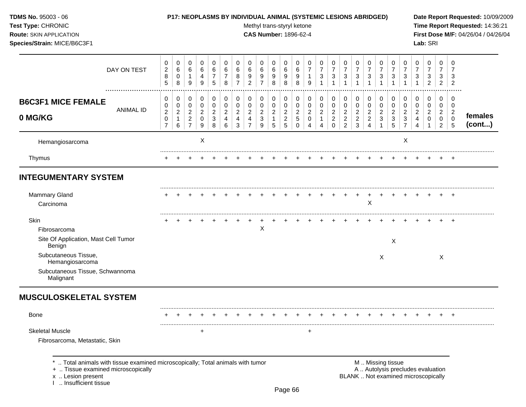|  | <b>TDMS No.</b> 95003 - 06 |  |
|--|----------------------------|--|
|  |                            |  |

| DAY ON TEST                                                                                                                                                       | 0<br>$\boldsymbol{2}$<br>$\bf 8$<br>$\sqrt{5}$    | $\mathbf 0$<br>$\,6\,$<br>$\mathbf 0$<br>$\bf 8$   | $\pmb{0}$<br>6<br>$\mathbf{1}$<br>9                      | 0<br>$\,6\,$<br>4<br>9                          | $\mathbf 0$<br>6<br>$\overline{7}$<br>$\sqrt{5}$     | $\mathbf 0$<br>$\,6$<br>$\overline{7}$<br>$\, 8$         | 0<br>$\,6$<br>8<br>$\overline{7}$          | 0<br>$\,6\,$<br>9<br>$\overline{2}$            | $\mathbf 0$<br>$\,6\,$<br>$9\,$<br>$\overline{7}$ | $\pmb{0}$<br>6<br>9<br>8                         | 0<br>6<br>9<br>8                                   | 0<br>$\,6\,$<br>9<br>$\,8\,$                | $\mathbf 0$<br>$\overline{7}$<br>$\mathbf{1}$<br>9 | 0<br>$\overline{7}$<br>$\mathbf{3}$<br>1 | $\pmb{0}$<br>$\boldsymbol{7}$<br>$\ensuremath{\mathsf{3}}$<br>$\mathbf{1}$ | $\pmb{0}$<br>$\boldsymbol{7}$<br>$\mathsf 3$<br>$\mathbf{1}$ | $\pmb{0}$<br>$\boldsymbol{7}$<br>$\ensuremath{\mathsf{3}}$<br>$\mathbf{1}$ | $\pmb{0}$<br>$\overline{7}$<br>3<br>$\mathbf{1}$       | $\pmb{0}$<br>$\overline{7}$<br>$\sqrt{3}$<br>$\mathbf{1}$  | $\pmb{0}$<br>$\overline{7}$<br>3<br>1                    | 0<br>$\overline{7}$<br>$\mathbf{3}$      | 0<br>$\overline{7}$<br>$\mathbf{3}$                       | $\pmb{0}$<br>$\boldsymbol{7}$<br>$\ensuremath{\mathsf{3}}$<br>$\overline{c}$ | $\pmb{0}$<br>$\overline{7}$<br>$\mathbf{3}$<br>$\overline{a}$ | $\mathbf 0$<br>$\overline{7}$<br>3<br>$\overline{2}$ |         |
|-------------------------------------------------------------------------------------------------------------------------------------------------------------------|---------------------------------------------------|----------------------------------------------------|----------------------------------------------------------|-------------------------------------------------|------------------------------------------------------|----------------------------------------------------------|--------------------------------------------|------------------------------------------------|---------------------------------------------------|--------------------------------------------------|----------------------------------------------------|---------------------------------------------|----------------------------------------------------|------------------------------------------|----------------------------------------------------------------------------|--------------------------------------------------------------|----------------------------------------------------------------------------|--------------------------------------------------------|------------------------------------------------------------|----------------------------------------------------------|------------------------------------------|-----------------------------------------------------------|------------------------------------------------------------------------------|---------------------------------------------------------------|------------------------------------------------------|---------|
| <b>B6C3F1 MICE FEMALE</b><br><b>ANIMAL ID</b><br>0 MG/KG                                                                                                          | 0<br>$\mathbf 0$<br>$\overline{c}$<br>$\mathbf 0$ | 0<br>$\mathbf 0$<br>$\overline{c}$<br>$\mathbf{1}$ | $\,0\,$<br>$\pmb{0}$<br>$\overline{c}$<br>$\overline{c}$ | 0<br>$\pmb{0}$<br>$\overline{2}$<br>$\mathbf 0$ | 0<br>$\mathbf 0$<br>$\overline{c}$<br>$\mathfrak{S}$ | $\mathbf 0$<br>$\pmb{0}$<br>$\sqrt{2}$<br>$\overline{a}$ | 0<br>0<br>$\overline{a}$<br>$\overline{4}$ | 0<br>$\pmb{0}$<br>$\sqrt{2}$<br>$\overline{4}$ | 0<br>$\mathbf 0$<br>$\overline{2}$<br>$\sqrt{3}$  | 0<br>$\pmb{0}$<br>$\overline{c}$<br>$\mathbf{1}$ | 0<br>$\pmb{0}$<br>$\overline{2}$<br>$\overline{c}$ | 0<br>$\mathbf 0$<br>$\overline{a}$<br>$5\,$ | 0<br>$\mathbf 0$<br>$\overline{c}$<br>$\pmb{0}$    | 0<br>0<br>$\overline{a}$<br>$\mathbf{1}$ | 0<br>$\pmb{0}$<br>$\overline{c}$<br>$\begin{array}{c} 2 \\ 0 \end{array}$  | 0<br>$\pmb{0}$<br>$\overline{2}$<br>$\boldsymbol{2}$         | 0<br>$\pmb{0}$<br>$\overline{c}$<br>$\overline{c}$                         | 0<br>$\mathbf 0$<br>$\overline{2}$<br>$\boldsymbol{2}$ | $\pmb{0}$<br>$\mathsf 0$<br>$\overline{c}$<br>$\mathbf{3}$ | 0<br>$\mathsf{O}\xspace$<br>$\overline{2}$<br>$\sqrt{3}$ | 0<br>0<br>$\boldsymbol{2}$<br>$\sqrt{3}$ | 0<br>$\mathbf 0$<br>$\sqrt{2}$<br>$\overline{\mathbf{4}}$ | 0<br>$\mathbf 0$<br>$\overline{2}$<br>$\mathbf 0$                            | $\pmb{0}$<br>$\mathbf 0$<br>$\overline{a}$<br>$\mathbf 0$     | 0<br>$\mathbf 0$<br>$\overline{c}$<br>$\pmb{0}$      | females |
| Hemangiosarcoma                                                                                                                                                   | $\overline{7}$                                    | 6                                                  | $\overline{7}$                                           | 9<br>X                                          | 8                                                    | $\,6\,$                                                  | $\mathfrak{S}$                             | $\overline{7}$                                 | 9                                                 | $\sqrt{5}$                                       | $\sqrt{5}$                                         | $\Omega$                                    | $\overline{4}$                                     | $\overline{4}$                           |                                                                            | $\overline{2}$                                               | $\mathbf{3}$                                                               | $\overline{4}$                                         | $\mathbf{1}$                                               | 5                                                        | $\overline{7}$<br>X                      | $\overline{4}$                                            | $\mathbf{1}$                                                                 | $\overline{a}$                                                | $\sqrt{5}$                                           | (cont)  |
| Thymus                                                                                                                                                            |                                                   |                                                    |                                                          |                                                 |                                                      |                                                          |                                            |                                                |                                                   |                                                  |                                                    |                                             |                                                    |                                          |                                                                            |                                                              |                                                                            |                                                        |                                                            |                                                          |                                          |                                                           |                                                                              |                                                               |                                                      |         |
| <b>INTEGUMENTARY SYSTEM</b>                                                                                                                                       |                                                   |                                                    |                                                          |                                                 |                                                      |                                                          |                                            |                                                |                                                   |                                                  |                                                    |                                             |                                                    |                                          |                                                                            |                                                              |                                                                            |                                                        |                                                            |                                                          |                                          |                                                           |                                                                              |                                                               |                                                      |         |
| Mammary Gland<br>Carcinoma                                                                                                                                        |                                                   |                                                    |                                                          |                                                 |                                                      |                                                          |                                            |                                                |                                                   |                                                  |                                                    |                                             |                                                    |                                          |                                                                            |                                                              |                                                                            | X                                                      |                                                            |                                                          |                                          |                                                           |                                                                              |                                                               |                                                      |         |
| <b>Skin</b><br>Fibrosarcoma                                                                                                                                       |                                                   |                                                    |                                                          |                                                 |                                                      |                                                          |                                            |                                                | Χ                                                 |                                                  |                                                    |                                             |                                                    |                                          |                                                                            |                                                              |                                                                            |                                                        |                                                            |                                                          |                                          |                                                           |                                                                              |                                                               |                                                      |         |
| Site Of Application, Mast Cell Tumor<br>Benign<br>Subcutaneous Tissue,<br>Hemangiosarcoma                                                                         |                                                   |                                                    |                                                          |                                                 |                                                      |                                                          |                                            |                                                |                                                   |                                                  |                                                    |                                             |                                                    |                                          |                                                                            |                                                              |                                                                            |                                                        | X                                                          | $\times$                                                 |                                          |                                                           |                                                                              | X                                                             |                                                      |         |
| Subcutaneous Tissue, Schwannoma<br>Malignant                                                                                                                      |                                                   |                                                    |                                                          |                                                 |                                                      |                                                          |                                            |                                                |                                                   |                                                  |                                                    |                                             |                                                    |                                          |                                                                            |                                                              |                                                                            |                                                        |                                                            |                                                          |                                          |                                                           |                                                                              |                                                               |                                                      |         |
| <b>MUSCULOSKELETAL SYSTEM</b>                                                                                                                                     |                                                   |                                                    |                                                          |                                                 |                                                      |                                                          |                                            |                                                |                                                   |                                                  |                                                    |                                             |                                                    |                                          |                                                                            |                                                              |                                                                            |                                                        |                                                            |                                                          |                                          |                                                           |                                                                              |                                                               |                                                      |         |
| <b>Bone</b>                                                                                                                                                       |                                                   |                                                    |                                                          |                                                 |                                                      |                                                          |                                            |                                                |                                                   |                                                  |                                                    |                                             |                                                    |                                          |                                                                            |                                                              |                                                                            |                                                        |                                                            |                                                          |                                          |                                                           |                                                                              |                                                               |                                                      |         |
| <b>Skeletal Muscle</b><br>Fibrosarcoma, Metastatic, Skin                                                                                                          |                                                   |                                                    |                                                          | +                                               |                                                      |                                                          |                                            |                                                |                                                   |                                                  |                                                    |                                             | +                                                  |                                          |                                                                            |                                                              |                                                                            |                                                        |                                                            |                                                          |                                          |                                                           |                                                                              |                                                               |                                                      |         |
| Total animals with tissue examined microscopically; Total animals with tumor<br>+  Tissue examined microscopically<br>x  Lesion present<br>I  Insufficient tissue |                                                   |                                                    |                                                          |                                                 |                                                      |                                                          |                                            |                                                |                                                   |                                                  |                                                    |                                             |                                                    |                                          |                                                                            |                                                              |                                                                            |                                                        | M  Missing tissue                                          |                                                          |                                          |                                                           | A  Autolysis precludes evaluation<br>BLANK  Not examined microscopically     |                                                               |                                                      |         |
|                                                                                                                                                                   |                                                   |                                                    |                                                          |                                                 |                                                      |                                                          |                                            |                                                |                                                   |                                                  | Done 66                                            |                                             |                                                    |                                          |                                                                            |                                                              |                                                                            |                                                        |                                                            |                                                          |                                          |                                                           |                                                                              |                                                               |                                                      |         |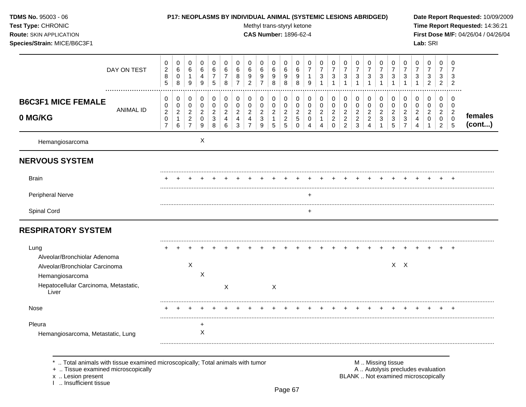Route: SKIN APPLICATION Species/Strain: MICE/B6C3F1

#### P17: NEOPLASMS BY INDIVIDUAL ANIMAL (SYSTEMIC LESIONS ABRIDGED)

Methyl trans-styryl ketone

**CAS Number: 1896-62-4** 

Date Report Requested: 10/09/2009 Time Report Requested: 14:36:21 First Dose M/F: 04/26/04 / 04/26/04 Lab: SRI

| DAY ON TEST                                                                                                                                                       |                  | 0<br>$\overline{2}$<br>$\bf8$<br>5                        | 0<br>$\,6\,$<br>$\pmb{0}$<br>8                          | 0<br>6<br>$\mathbf{1}$<br>$\boldsymbol{9}$                     | $\pmb{0}$<br>6<br>4<br>$\mathsf g$                 | 0<br>6<br>$\overline{7}$<br>$\sqrt{5}$                | 0<br>6<br>$\overline{7}$<br>8      | $\mathbf 0$<br>6<br>8<br>$\overline{7}$      | 0<br>$\,6$<br>9<br>$\overline{2}$                       | 0<br>6<br>9<br>$\overline{7}$                         | 0<br>6<br>9<br>8                                                     | 0<br>$\,6$<br>9<br>$\,8\,$                              | $\mathbf 0$<br>6<br>9<br>8                            | 0<br>$\overline{7}$<br>1<br>9                          | 0<br>$\overline{7}$<br>3<br>1                       | 0<br>$\overline{7}$<br>3<br>$\mathbf{1}$                            | 0<br>$\overline{7}$<br>$\sqrt{3}$<br>$\mathbf{1}$            | 0<br>$\overline{7}$<br>$\sqrt{3}$<br>$\mathbf{1}$            | 0<br>$\overline{7}$<br>3<br>$\mathbf{1}$                 | 0<br>$\boldsymbol{7}$<br>3<br>$\mathbf{1}$             | 0<br>$\overline{7}$<br>3<br>1                         | 0<br>$\overline{7}$<br>3<br>$\mathbf{1}$                                        | 0<br>$\overline{7}$<br>$\mathbf{3}$<br>$\overline{1}$                    | 0<br>$\boldsymbol{7}$<br>$\sqrt{3}$<br>$\overline{2}$             | $\mathbf 0$<br>$\overline{7}$<br>$\mathbf{3}$<br>$\overline{2}$     | 0<br>$\overline{7}$<br>3<br>$\overline{2}$                             |                   |
|-------------------------------------------------------------------------------------------------------------------------------------------------------------------|------------------|-----------------------------------------------------------|---------------------------------------------------------|----------------------------------------------------------------|----------------------------------------------------|-------------------------------------------------------|------------------------------------|----------------------------------------------|---------------------------------------------------------|-------------------------------------------------------|----------------------------------------------------------------------|---------------------------------------------------------|-------------------------------------------------------|--------------------------------------------------------|-----------------------------------------------------|---------------------------------------------------------------------|--------------------------------------------------------------|--------------------------------------------------------------|----------------------------------------------------------|--------------------------------------------------------|-------------------------------------------------------|---------------------------------------------------------------------------------|--------------------------------------------------------------------------|-------------------------------------------------------------------|---------------------------------------------------------------------|------------------------------------------------------------------------|-------------------|
| <b>B6C3F1 MICE FEMALE</b><br>0 MG/KG                                                                                                                              | <b>ANIMAL ID</b> | 0<br>0<br>$\boldsymbol{2}$<br>$\pmb{0}$<br>$\overline{7}$ | 0<br>$\pmb{0}$<br>$\sqrt{2}$<br>$\mathbf{1}$<br>$\,6\,$ | 0<br>$\mathbf 0$<br>$\sqrt{2}$<br>$\sqrt{2}$<br>$\overline{7}$ | 0<br>$\pmb{0}$<br>$\overline{c}$<br>$\pmb{0}$<br>9 | 0<br>$\mathbf 0$<br>$\overline{2}$<br>$\sqrt{3}$<br>8 | 0<br>0<br>$\overline{c}$<br>4<br>6 | 0<br>$\mathbf 0$<br>$\overline{2}$<br>4<br>3 | 0<br>$\pmb{0}$<br>$\overline{2}$<br>4<br>$\overline{7}$ | 0<br>$\pmb{0}$<br>$\overline{2}$<br>$\mathbf{3}$<br>9 | 0<br>$\mathbf 0$<br>$\overline{c}$<br>$\mathbf{1}$<br>$\overline{5}$ | 0<br>$\mathbf 0$<br>$\sqrt{2}$<br>$\boldsymbol{2}$<br>5 | 0<br>0<br>$\overline{2}$<br>$\sqrt{5}$<br>$\mathbf 0$ | 0<br>$\mathbf 0$<br>$\overline{c}$<br>$\mathbf 0$<br>4 | 0<br>$\mathbf 0$<br>$\sqrt{2}$<br>$\mathbf{1}$<br>4 | 0<br>$\mathsf 0$<br>$\overline{2}$<br>$\overline{c}$<br>$\mathbf 0$ | 0<br>0<br>$\overline{c}$<br>$\overline{a}$<br>$\overline{2}$ | 0<br>$\mathbf 0$<br>$\sqrt{2}$<br>$\sqrt{2}$<br>$\mathbf{3}$ | 0<br>0<br>$\overline{c}$<br>$\sqrt{2}$<br>$\overline{4}$ | 0<br>0<br>$\overline{2}$<br>$\sqrt{3}$<br>$\mathbf{1}$ | 0<br>$\mathbf 0$<br>$\overline{2}$<br>$\sqrt{3}$<br>5 | 0<br>$\pmb{0}$<br>$\overline{c}$<br>$\ensuremath{\mathsf{3}}$<br>$\overline{7}$ | 0<br>0<br>$\overline{2}$<br>$\overline{4}$<br>$\overline{4}$             | 0<br>$\mathbf 0$<br>$\overline{2}$<br>$\mathbf 0$<br>$\mathbf{1}$ | $\mathbf 0$<br>0<br>$\overline{2}$<br>$\mathbf 0$<br>$\overline{2}$ | $\mathbf 0$<br>$\overline{0}$<br>$\overline{2}$<br>$\overline{0}$<br>5 | females<br>(cont) |
| Hemangiosarcoma                                                                                                                                                   |                  |                                                           |                                                         |                                                                | X                                                  |                                                       |                                    |                                              |                                                         |                                                       |                                                                      |                                                         |                                                       |                                                        |                                                     |                                                                     |                                                              |                                                              |                                                          |                                                        |                                                       |                                                                                 |                                                                          |                                                                   |                                                                     |                                                                        |                   |
| <b>NERVOUS SYSTEM</b>                                                                                                                                             |                  |                                                           |                                                         |                                                                |                                                    |                                                       |                                    |                                              |                                                         |                                                       |                                                                      |                                                         |                                                       |                                                        |                                                     |                                                                     |                                                              |                                                              |                                                          |                                                        |                                                       |                                                                                 |                                                                          |                                                                   |                                                                     |                                                                        |                   |
| <b>Brain</b>                                                                                                                                                      |                  |                                                           |                                                         |                                                                |                                                    |                                                       |                                    |                                              |                                                         |                                                       |                                                                      |                                                         |                                                       |                                                        |                                                     |                                                                     |                                                              |                                                              |                                                          |                                                        |                                                       |                                                                                 |                                                                          |                                                                   |                                                                     |                                                                        |                   |
| Peripheral Nerve                                                                                                                                                  |                  |                                                           |                                                         |                                                                |                                                    |                                                       |                                    |                                              |                                                         |                                                       |                                                                      |                                                         |                                                       | $\ddot{}$                                              |                                                     |                                                                     |                                                              |                                                              |                                                          |                                                        |                                                       |                                                                                 |                                                                          |                                                                   |                                                                     |                                                                        |                   |
| Spinal Cord                                                                                                                                                       |                  |                                                           |                                                         |                                                                |                                                    |                                                       |                                    |                                              |                                                         |                                                       |                                                                      |                                                         |                                                       | $\ddot{}$                                              |                                                     |                                                                     |                                                              |                                                              |                                                          |                                                        |                                                       |                                                                                 |                                                                          |                                                                   |                                                                     |                                                                        |                   |
| <b>RESPIRATORY SYSTEM</b>                                                                                                                                         |                  |                                                           |                                                         |                                                                |                                                    |                                                       |                                    |                                              |                                                         |                                                       |                                                                      |                                                         |                                                       |                                                        |                                                     |                                                                     |                                                              |                                                              |                                                          |                                                        |                                                       |                                                                                 |                                                                          |                                                                   |                                                                     |                                                                        |                   |
| Lung<br>Alveolar/Bronchiolar Adenoma<br>Alveolar/Bronchiolar Carcinoma<br>Hemangiosarcoma<br>Hepatocellular Carcinoma, Metastatic,<br>Liver                       |                  |                                                           |                                                         | X                                                              | Χ                                                  |                                                       | X                                  |                                              |                                                         |                                                       | X                                                                    |                                                         |                                                       |                                                        |                                                     |                                                                     |                                                              |                                                              |                                                          |                                                        |                                                       | $X$ $X$                                                                         |                                                                          |                                                                   |                                                                     |                                                                        |                   |
| Nose                                                                                                                                                              |                  |                                                           |                                                         |                                                                |                                                    |                                                       |                                    |                                              |                                                         |                                                       |                                                                      |                                                         |                                                       |                                                        |                                                     |                                                                     |                                                              |                                                              |                                                          |                                                        |                                                       |                                                                                 |                                                                          |                                                                   |                                                                     |                                                                        |                   |
| Pleura<br>Hemangiosarcoma, Metastatic, Lung                                                                                                                       |                  |                                                           |                                                         |                                                                | $\ddot{}$<br>X                                     |                                                       |                                    |                                              |                                                         |                                                       |                                                                      |                                                         |                                                       |                                                        |                                                     |                                                                     |                                                              |                                                              |                                                          |                                                        |                                                       |                                                                                 |                                                                          |                                                                   |                                                                     |                                                                        |                   |
| Total animals with tissue examined microscopically; Total animals with tumor<br>+  Tissue examined microscopically<br>x  Lesion present<br>I  Insufficient tissue |                  |                                                           |                                                         |                                                                |                                                    |                                                       |                                    |                                              |                                                         |                                                       |                                                                      |                                                         |                                                       |                                                        |                                                     |                                                                     |                                                              |                                                              |                                                          | M  Missing tissue                                      |                                                       |                                                                                 | A  Autolysis precludes evaluation<br>BLANK  Not examined microscopically |                                                                   |                                                                     |                                                                        |                   |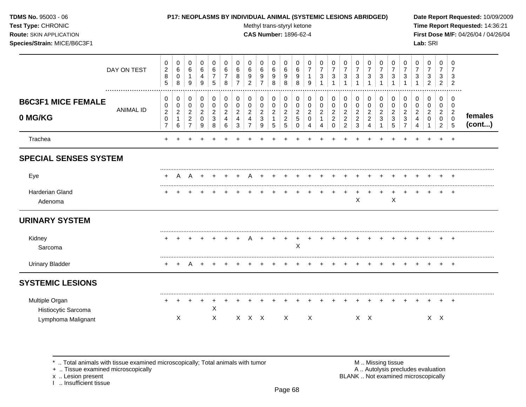| <b>TDMS No. 95003 - 06</b> |  |
|----------------------------|--|
| Test Type: CHRONIC         |  |

**Route: SKIN APPLICATION** 

Species/Strain: MICE/B6C3F1

#### P17: NEOPLASMS BY INDIVIDUAL ANIMAL (SYSTEMIC LESIONS ABRIDGED)

Methyl trans-styryl ketone

**CAS Number: 1896-62-4** 

Date Report Requested: 10/09/2009 Time Report Requested: 14:36:21 First Dose M/F: 04/26/04 / 04/26/04 Lab: SRI

|                                                             | DAY ON TEST      | 0<br>$\sqrt{2}$<br>8<br>$5\phantom{.0}$                                  | $\mathbf 0$<br>$\,6\,$<br>$\mathbf 0$<br>8                      | 0<br>$\,6\,$<br>$\mathbf{1}$<br>9                                      | 0<br>$\,6\,$<br>$\overline{4}$<br>9                 | 0<br>6<br>$\overline{7}$<br>5                           | 0<br>$\,6\,$<br>$\overline{7}$<br>8                             | 0<br>$\,6\,$<br>8<br>$\overline{7}$             | 0<br>6<br>$\boldsymbol{9}$<br>$\overline{c}$                           | 0<br>$\,6\,$<br>9<br>$\overline{7}$                             | 0<br>6<br>9<br>8                             | 0<br>6<br>9<br>8                                    | 0<br>6<br>9<br>8                            | 0<br>$\overline{7}$<br>9                             | 0<br>$\overline{7}$<br>$\mathbf{3}$                   | 0<br>$\overline{7}$<br>$\mathbf{3}$                                      | 0<br>$\overline{7}$<br>3<br>1                                          | 0<br>$\overline{7}$<br>$\sqrt{3}$                         | 0<br>$\overline{7}$<br>3                                                   | 0<br>$\overline{7}$<br>3      | 0<br>$\overline{7}$<br>3                                  | 0<br>$\overline{7}$<br>3                                            | 0<br>$\overline{7}$<br>3                                                             | 0<br>$\overline{7}$<br>3<br>$\overline{c}$                           | 0<br>$\overline{7}$<br>3<br>$\overline{c}$                                | 0<br>$\overline{7}$<br>3<br>$\overline{2}$                      |                   |
|-------------------------------------------------------------|------------------|--------------------------------------------------------------------------|-----------------------------------------------------------------|------------------------------------------------------------------------|-----------------------------------------------------|---------------------------------------------------------|-----------------------------------------------------------------|-------------------------------------------------|------------------------------------------------------------------------|-----------------------------------------------------------------|----------------------------------------------|-----------------------------------------------------|---------------------------------------------|------------------------------------------------------|-------------------------------------------------------|--------------------------------------------------------------------------|------------------------------------------------------------------------|-----------------------------------------------------------|----------------------------------------------------------------------------|-------------------------------|-----------------------------------------------------------|---------------------------------------------------------------------|--------------------------------------------------------------------------------------|----------------------------------------------------------------------|---------------------------------------------------------------------------|-----------------------------------------------------------------|-------------------|
| <b>B6C3F1 MICE FEMALE</b><br>0 MG/KG                        | <b>ANIMAL ID</b> | 0<br>$\boldsymbol{0}$<br>$\overline{2}$<br>$\mathsf 0$<br>$\overline{7}$ | $\pmb{0}$<br>$\mathbf 0$<br>$\overline{2}$<br>$\mathbf{1}$<br>6 | 0<br>$\mathbf 0$<br>$\overline{2}$<br>$\overline{c}$<br>$\overline{7}$ | 0<br>$\mathbf 0$<br>$\overline{2}$<br>$\Omega$<br>9 | 0<br>$\mathbf 0$<br>$\overline{c}$<br>$\mathbf{3}$<br>8 | $\pmb{0}$<br>$\pmb{0}$<br>$\overline{2}$<br>$\overline{4}$<br>6 | 0<br>0<br>$\overline{2}$<br>$\overline{4}$<br>3 | 0<br>$\mathbf 0$<br>$\overline{2}$<br>$\overline{4}$<br>$\overline{7}$ | $\pmb{0}$<br>$\mathbf 0$<br>$\overline{2}$<br>$\mathbf{3}$<br>9 | 0<br>$\mathbf 0$<br>$\overline{2}$<br>1<br>5 | 0<br>0<br>$\boldsymbol{2}$<br>$\boldsymbol{2}$<br>5 | 0<br>0<br>$\boldsymbol{2}$<br>5<br>$\Omega$ | 0<br>$\pmb{0}$<br>$\overline{2}$<br>$\mathsf 0$<br>4 | 0<br>$\pmb{0}$<br>$\overline{2}$<br>$\mathbf{1}$<br>4 | $\pmb{0}$<br>$\mathsf 0$<br>$\overline{2}$<br>$\overline{c}$<br>$\Omega$ | 0<br>$\pmb{0}$<br>$\overline{2}$<br>$\boldsymbol{2}$<br>$\overline{2}$ | 0<br>$\mathbf 0$<br>$\overline{2}$<br>$\overline{a}$<br>3 | $\pmb{0}$<br>$\mathbf 0$<br>$\sqrt{2}$<br>$\overline{2}$<br>$\overline{4}$ | 0<br>0<br>$\overline{c}$<br>3 | 0<br>$\pmb{0}$<br>$\boldsymbol{2}$<br>$\mathfrak{Z}$<br>5 | 0<br>$\mathbf 0$<br>$\overline{2}$<br>$\mathsf 3$<br>$\overline{7}$ | 0<br>$\boldsymbol{0}$<br>$\overline{2}$<br>$\overline{\mathbf{4}}$<br>$\overline{4}$ | $\boldsymbol{0}$<br>0<br>$\overline{2}$<br>$\pmb{0}$<br>$\mathbf{1}$ | $\pmb{0}$<br>$\mathbf 0$<br>$\overline{2}$<br>$\pmb{0}$<br>$\overline{2}$ | 0<br>$\mathbf 0$<br>$\overline{2}$<br>$\mathbf 0$<br>$\sqrt{5}$ | females<br>(cont) |
| Trachea                                                     |                  |                                                                          |                                                                 |                                                                        |                                                     |                                                         |                                                                 |                                                 |                                                                        |                                                                 |                                              |                                                     |                                             |                                                      |                                                       |                                                                          |                                                                        |                                                           |                                                                            |                               |                                                           |                                                                     |                                                                                      |                                                                      |                                                                           |                                                                 |                   |
| <b>SPECIAL SENSES SYSTEM</b>                                |                  |                                                                          |                                                                 |                                                                        |                                                     |                                                         |                                                                 |                                                 |                                                                        |                                                                 |                                              |                                                     |                                             |                                                      |                                                       |                                                                          |                                                                        |                                                           |                                                                            |                               |                                                           |                                                                     |                                                                                      |                                                                      |                                                                           |                                                                 |                   |
| Eye                                                         |                  | $+$                                                                      | A                                                               | A                                                                      |                                                     |                                                         |                                                                 | $\overline{+}$                                  | $\overline{A}$                                                         |                                                                 |                                              |                                                     |                                             |                                                      |                                                       |                                                                          |                                                                        |                                                           |                                                                            |                               |                                                           | ÷                                                                   | $\ddot{}$                                                                            | $\ddot{}$                                                            | $\pm$                                                                     | $\overline{+}$                                                  |                   |
| Harderian Gland<br>Adenoma                                  |                  |                                                                          |                                                                 |                                                                        |                                                     |                                                         |                                                                 |                                                 |                                                                        |                                                                 |                                              |                                                     |                                             |                                                      |                                                       |                                                                          |                                                                        | $\boldsymbol{\mathsf{X}}$                                 |                                                                            |                               | $\boldsymbol{\mathsf{X}}$                                 |                                                                     |                                                                                      |                                                                      |                                                                           | $\overline{ }$                                                  |                   |
| <b>URINARY SYSTEM</b>                                       |                  |                                                                          |                                                                 |                                                                        |                                                     |                                                         |                                                                 |                                                 |                                                                        |                                                                 |                                              |                                                     |                                             |                                                      |                                                       |                                                                          |                                                                        |                                                           |                                                                            |                               |                                                           |                                                                     |                                                                                      |                                                                      |                                                                           |                                                                 |                   |
| Kidney<br>Sarcoma                                           |                  |                                                                          |                                                                 |                                                                        |                                                     |                                                         |                                                                 |                                                 |                                                                        |                                                                 |                                              |                                                     | X                                           |                                                      |                                                       |                                                                          |                                                                        |                                                           |                                                                            |                               |                                                           |                                                                     |                                                                                      |                                                                      | $\ddot{}$                                                                 | $\overline{+}$                                                  |                   |
| <b>Urinary Bladder</b>                                      |                  |                                                                          |                                                                 |                                                                        |                                                     |                                                         |                                                                 |                                                 |                                                                        |                                                                 |                                              |                                                     |                                             |                                                      |                                                       |                                                                          |                                                                        |                                                           |                                                                            |                               |                                                           |                                                                     |                                                                                      |                                                                      |                                                                           | $\overline{ }$                                                  |                   |
| <b>SYSTEMIC LESIONS</b>                                     |                  |                                                                          |                                                                 |                                                                        |                                                     |                                                         |                                                                 |                                                 |                                                                        |                                                                 |                                              |                                                     |                                             |                                                      |                                                       |                                                                          |                                                                        |                                                           |                                                                            |                               |                                                           |                                                                     |                                                                                      |                                                                      |                                                                           |                                                                 |                   |
| Multiple Organ<br>Histiocytic Sarcoma<br>Lymphoma Malignant |                  |                                                                          | X                                                               |                                                                        |                                                     | X<br>$\mathsf{X}$                                       |                                                                 |                                                 | X X X                                                                  |                                                                 |                                              | $\mathsf{X}$                                        |                                             | $\mathsf{X}$                                         |                                                       |                                                                          |                                                                        |                                                           | $X$ $X$                                                                    |                               |                                                           |                                                                     |                                                                                      |                                                                      | $X$ $X$                                                                   |                                                                 |                   |

\* .. Total animals with tissue examined microscopically; Total animals with tumor

+ .. Tissue examined microscopically

x .. Lesion present<br>I .. Insufficient tissue

M .. Missing tissue<br>A .. Autolysis precludes evaluation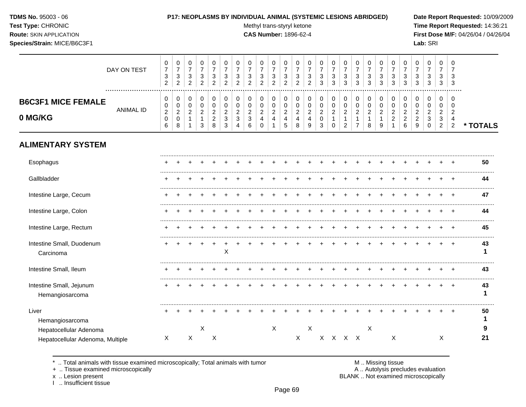Test Type: CHRONIC **Test Type:** CHRONIC **Test Type:** CHRONIC **Time Report Requested:** 14:36:21 **Route:** SKIN APPLICATION **CAS Number:** 1896-62-4 **First Dose M/F:** 04/26/04 / 04/26/04 **Species/Strain:** MICE/B6C3F1 **Lab:** SRI

|                                      | DAY ON TEST | 0<br>3<br>ົ<br>∼                  | -4<br>$\sim$<br>∼ | O<br>3<br>ົ<br><u>_</u> | 0<br>ີ<br>J<br>$\sim$<br><u>_</u> | U<br>3<br>ີ<br>_                           | U<br>ີ<br>٠J          | 0<br>3<br>ົ<br><u>_</u>         | 0<br>3<br>റ<br>∼                 | ◡<br>ۍ<br>∼ | ు |   | 0<br>3<br>ົ<br>_                  | Э<br>$\sim$ | 0<br>3<br>3                | v<br>ົ<br>J.<br>≏<br>◡      | U<br>3<br>3                                  | U<br>3<br>3      | 0<br>3<br>3                  | U<br>3<br>3                   | ۰J<br>J | 0<br>3<br>3                                | $\sim$ | ◡<br>3<br>3                            | -3<br>ు      | J<br>е<br>-3 |                 |
|--------------------------------------|-------------|-----------------------------------|-------------------|-------------------------|-----------------------------------|--------------------------------------------|-----------------------|---------------------------------|----------------------------------|-------------|---|---|-----------------------------------|-------------|----------------------------|-----------------------------|----------------------------------------------|------------------|------------------------------|-------------------------------|---------|--------------------------------------------|--------|----------------------------------------|--------------|--------------|-----------------|
| <b>B6C3F1 MICE FEMALE</b><br>0 MG/KG | ANIMAL ID   | U<br>0<br>$\sim$<br><u>.</u><br>6 |                   | U<br>◠                  | $\sim$<br><u>_</u><br>$\sim$<br>J | 0<br>ີ<br><u>_</u><br>$\sqrt{2}$<br>_<br>8 | υ<br>$\sim$<br>J<br>3 | 0<br>0<br>ົ<br>$\sim$<br>3<br>4 | 0<br>U<br>ົ<br>∼<br>◠<br>J.<br>6 | ∼<br>◡      | 4 | Ð | U<br>0<br>ີ<br><u>_</u><br>4<br>8 | ō           | 0<br>0<br>◠<br>_<br>0<br>3 | v<br>v<br><sup>o</sup><br>v | 0<br>ີ<br><u>.</u><br>$\sqrt{2}$<br><u>.</u> | U<br>u<br>ີ<br>- | 0<br>υ<br>◠<br><u>_</u><br>8 | <sup>o</sup><br><u>.</u><br>9 |         | 0<br>0<br>ີ<br><u>.</u><br>$\sqrt{2}$<br>6 |        | v<br>v<br>⌒<br><u>_</u><br>ົ<br>ت<br>ν | C<br>-3<br>っ | U<br>J.      | <b>* TOTALS</b> |

# **ALIMENTARY SYSTEM**

| Esophagus                                          |   |   |   |   |   |  |   |   |   |  |         |   |   |  |   | 50 |
|----------------------------------------------------|---|---|---|---|---|--|---|---|---|--|---------|---|---|--|---|----|
| Gallbladder                                        |   |   |   |   |   |  |   |   |   |  |         |   |   |  |   | 44 |
| Intestine Large, Cecum                             |   |   |   |   |   |  |   |   |   |  |         |   |   |  |   | 47 |
| Intestine Large, Colon                             |   |   |   |   |   |  |   |   |   |  |         |   |   |  |   | 44 |
| Intestine Large, Rectum                            |   |   |   |   |   |  |   |   |   |  |         |   |   |  |   | 45 |
| Intestine Small, Duodenum<br>Carcinoma             |   |   |   |   | X |  |   |   |   |  |         |   |   |  |   | 43 |
| Intestine Small, Ileum                             |   |   |   |   |   |  |   |   |   |  |         |   |   |  |   | 43 |
| Intestine Small, Jejunum<br>Hemangiosarcoma        |   |   |   |   |   |  |   |   |   |  |         |   |   |  |   | 43 |
| Liver<br>Hemangiosarcoma<br>Hepatocellular Adenoma |   |   | X |   |   |  | X |   | X |  |         | Χ |   |  |   | 50 |
| Hepatocellular Adenoma, Multiple                   | X | X |   | X |   |  |   | X |   |  | X X X X |   | X |  | Χ | 21 |

\* .. Total animals with tissue examined microscopically; Total animals with tumor M .. Missing tissue M .. Missing tissue<br>
A .. Autolysis precludes evaluation<br>
M .. Autolysis precludes evaluation

+ .. Tissue examined microscopically

I .. Insufficient tissue

x .. Lesion present **BLANK** .. Not examined microscopically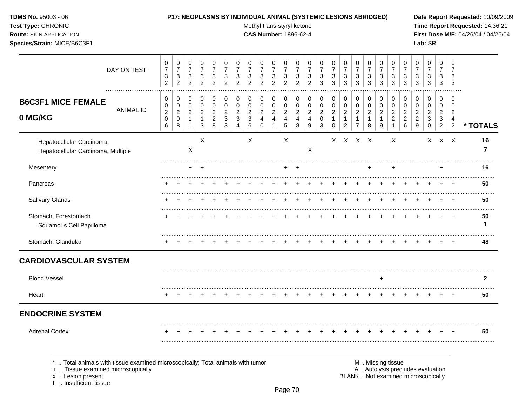| DAY ON TEST                                                                                                                                                    | 0<br>$\overline{7}$<br>$\ensuremath{\mathsf{3}}$<br>$\overline{2}$ | 0<br>$\overline{7}$<br>$\sqrt{3}$<br>$\overline{2}$ | 0<br>$\overline{7}$<br>$\ensuremath{\mathsf{3}}$<br>$\overline{2}$ | 0<br>$\overline{7}$<br>$\mathbf{3}$<br>$\overline{c}$   | 0<br>$\overline{7}$<br>3<br>$\overline{2}$      | 0<br>$\overline{7}$<br>$\mathbf{3}$<br>$\overline{2}$ | 0<br>$\overline{7}$<br>3<br>$\overline{2}$                       | 0<br>$\overline{7}$<br>$\ensuremath{\mathsf{3}}$<br>$\overline{2}$ | 0<br>$\overline{7}$<br>$\ensuremath{\mathsf{3}}$<br>$\overline{c}$ | 0<br>$\overline{7}$<br>$\ensuremath{\mathsf{3}}$<br>$\overline{c}$ | 0<br>7<br>3<br>$\overline{c}$      | 0<br>$\overline{7}$<br>$\mathbf 3$<br>$\overline{2}$ | 0<br>$\overline{7}$<br>$\mathbf{3}$<br>$\overline{c}$ | 0<br>$\overline{7}$<br>$\ensuremath{\mathsf{3}}$<br>3         | 0<br>$\overline{7}$<br>$\mathbf 3$<br>3                         | 0<br>$\boldsymbol{7}$<br>$\mathbf 3$<br>3                          | 0<br>$\boldsymbol{7}$<br>$\ensuremath{\mathsf{3}}$<br>3              | 0<br>$\overline{7}$<br>$\ensuremath{\mathsf{3}}$<br>3 | 0<br>$\overline{7}$<br>$\ensuremath{\mathsf{3}}$<br>3 | 0<br>$\overline{7}$<br>$\mathbf{3}$<br>3                            | 0<br>$\overline{7}$<br>3<br>3                         | 0<br>$\overline{7}$<br>3<br>3                                            | $\mathbf 0$<br>$\overline{7}$<br>$\sqrt{3}$<br>$\mathfrak{S}$ | 0<br>$\overline{7}$<br>3<br>3                                        | 0<br>7<br>3<br>3                                      |                      |
|----------------------------------------------------------------------------------------------------------------------------------------------------------------|--------------------------------------------------------------------|-----------------------------------------------------|--------------------------------------------------------------------|---------------------------------------------------------|-------------------------------------------------|-------------------------------------------------------|------------------------------------------------------------------|--------------------------------------------------------------------|--------------------------------------------------------------------|--------------------------------------------------------------------|------------------------------------|------------------------------------------------------|-------------------------------------------------------|---------------------------------------------------------------|-----------------------------------------------------------------|--------------------------------------------------------------------|----------------------------------------------------------------------|-------------------------------------------------------|-------------------------------------------------------|---------------------------------------------------------------------|-------------------------------------------------------|--------------------------------------------------------------------------|---------------------------------------------------------------|----------------------------------------------------------------------|-------------------------------------------------------|----------------------|
| <b>B6C3F1 MICE FEMALE</b><br><b>ANIMAL ID</b><br>0 MG/KG                                                                                                       | 0<br>0<br>$\overline{2}$<br>$\pmb{0}$<br>6                         | 0<br>0<br>$\sqrt{2}$<br>0<br>8                      | 0<br>$\mathbf 0$<br>$\overline{2}$<br>$\mathbf{1}$<br>$\mathbf{1}$ | 0<br>$\mathbf 0$<br>$\overline{2}$<br>$\mathbf{1}$<br>3 | 0<br>0<br>$\overline{2}$<br>$\overline{2}$<br>8 | 0<br>0<br>$\boldsymbol{2}$<br>$\sqrt{3}$<br>3         | 0<br>$\pmb{0}$<br>$\overline{c}$<br>$\sqrt{3}$<br>$\overline{4}$ | 0<br>0<br>$\sqrt{2}$<br>$\mathbf{3}$<br>$\,6\,$                    | 0<br>$\pmb{0}$<br>$\overline{2}$<br>4<br>$\mathbf 0$               | 0<br>$\mathbf 0$<br>$\boldsymbol{2}$<br>4<br>$\mathbf{1}$          | 0<br>0<br>$\overline{2}$<br>4<br>5 | 0<br>0<br>$\overline{2}$<br>4<br>8                   | 0<br>$\pmb{0}$<br>$\sqrt{2}$<br>4<br>9                | 0<br>$\pmb{0}$<br>$\overline{c}$<br>$\pmb{0}$<br>$\mathbf{3}$ | 0<br>$\pmb{0}$<br>$\overline{2}$<br>$\mathbf{1}$<br>$\mathbf 0$ | 0<br>$\pmb{0}$<br>$\overline{2}$<br>$\mathbf{1}$<br>$\overline{2}$ | 0<br>$\pmb{0}$<br>$\boldsymbol{2}$<br>$\mathbf{1}$<br>$\overline{7}$ | 0<br>$\pmb{0}$<br>$\overline{c}$<br>$\mathbf{1}$<br>8 | 0<br>0<br>$\overline{2}$<br>1<br>9                    | 0<br>0<br>$\overline{2}$<br>$\overline{\mathbf{c}}$<br>$\mathbf{1}$ | 0<br>$\mathbf 0$<br>$\sqrt{2}$<br>$\overline{c}$<br>6 | 0<br>0<br>$\overline{2}$<br>$\overline{c}$<br>9                          | 0<br>0<br>$\overline{2}$<br>$\mathsf 3$<br>$\mathbf 0$        | $\mathbf 0$<br>0<br>$\overline{2}$<br>$\mathbf{3}$<br>$\overline{2}$ | 0<br>$\mathbf 0$<br>$\overline{2}$<br>4<br>$\sqrt{2}$ | * TOTALS             |
| Hepatocellular Carcinoma<br>Hepatocellular Carcinoma, Multiple                                                                                                 |                                                                    |                                                     | X                                                                  | $\times$                                                |                                                 |                                                       |                                                                  | X                                                                  |                                                                    |                                                                    | X                                  |                                                      | X                                                     |                                                               |                                                                 |                                                                    | $X$ $X$ $X$ $X$                                                      |                                                       |                                                       | X                                                                   |                                                       |                                                                          |                                                               | $X$ $X$ $X$                                                          |                                                       | 16<br>$\overline{7}$ |
| Mesentery                                                                                                                                                      |                                                                    |                                                     | $+$                                                                | ÷                                                       |                                                 |                                                       |                                                                  |                                                                    |                                                                    |                                                                    |                                    |                                                      |                                                       |                                                               |                                                                 |                                                                    |                                                                      |                                                       |                                                       | ÷                                                                   |                                                       |                                                                          |                                                               |                                                                      |                                                       | 16                   |
| Pancreas                                                                                                                                                       |                                                                    |                                                     |                                                                    |                                                         |                                                 |                                                       |                                                                  |                                                                    |                                                                    |                                                                    |                                    |                                                      |                                                       |                                                               |                                                                 |                                                                    |                                                                      |                                                       |                                                       |                                                                     |                                                       |                                                                          |                                                               |                                                                      |                                                       | 50                   |
| Salivary Glands                                                                                                                                                |                                                                    |                                                     |                                                                    |                                                         |                                                 |                                                       |                                                                  |                                                                    |                                                                    |                                                                    |                                    |                                                      |                                                       |                                                               |                                                                 |                                                                    |                                                                      |                                                       |                                                       |                                                                     |                                                       |                                                                          |                                                               |                                                                      |                                                       | 50                   |
| Stomach, Forestomach<br>Squamous Cell Papilloma                                                                                                                |                                                                    |                                                     |                                                                    |                                                         |                                                 |                                                       |                                                                  |                                                                    |                                                                    |                                                                    |                                    |                                                      |                                                       |                                                               |                                                                 |                                                                    |                                                                      |                                                       |                                                       |                                                                     |                                                       |                                                                          |                                                               |                                                                      | $\div$                                                | 50<br>1              |
| Stomach, Glandular                                                                                                                                             |                                                                    |                                                     |                                                                    |                                                         |                                                 |                                                       |                                                                  |                                                                    |                                                                    |                                                                    |                                    |                                                      |                                                       |                                                               |                                                                 |                                                                    |                                                                      |                                                       |                                                       |                                                                     |                                                       |                                                                          |                                                               |                                                                      |                                                       | 48                   |
| <b>CARDIOVASCULAR SYSTEM</b>                                                                                                                                   |                                                                    |                                                     |                                                                    |                                                         |                                                 |                                                       |                                                                  |                                                                    |                                                                    |                                                                    |                                    |                                                      |                                                       |                                                               |                                                                 |                                                                    |                                                                      |                                                       |                                                       |                                                                     |                                                       |                                                                          |                                                               |                                                                      |                                                       |                      |
| <b>Blood Vessel</b>                                                                                                                                            |                                                                    |                                                     |                                                                    |                                                         |                                                 |                                                       |                                                                  |                                                                    |                                                                    |                                                                    |                                    |                                                      |                                                       |                                                               |                                                                 |                                                                    |                                                                      |                                                       |                                                       |                                                                     |                                                       |                                                                          |                                                               |                                                                      |                                                       | $\mathbf{2}$         |
| Heart                                                                                                                                                          |                                                                    |                                                     |                                                                    |                                                         |                                                 |                                                       |                                                                  |                                                                    |                                                                    |                                                                    |                                    |                                                      |                                                       |                                                               |                                                                 |                                                                    |                                                                      |                                                       |                                                       |                                                                     |                                                       |                                                                          |                                                               |                                                                      |                                                       | 50                   |
| <b>ENDOCRINE SYSTEM</b>                                                                                                                                        |                                                                    |                                                     |                                                                    |                                                         |                                                 |                                                       |                                                                  |                                                                    |                                                                    |                                                                    |                                    |                                                      |                                                       |                                                               |                                                                 |                                                                    |                                                                      |                                                       |                                                       |                                                                     |                                                       |                                                                          |                                                               |                                                                      |                                                       |                      |
| <b>Adrenal Cortex</b>                                                                                                                                          |                                                                    |                                                     |                                                                    |                                                         |                                                 |                                                       |                                                                  |                                                                    |                                                                    |                                                                    |                                    |                                                      |                                                       |                                                               |                                                                 |                                                                    |                                                                      |                                                       |                                                       |                                                                     |                                                       |                                                                          |                                                               |                                                                      |                                                       | 50                   |
| Total animals with tissue examined microscopically; Total animals with tumor<br>+  Tissue examined microscopically<br>x  Lesion present<br>Insufficient tissue |                                                                    |                                                     |                                                                    |                                                         |                                                 |                                                       |                                                                  |                                                                    |                                                                    |                                                                    |                                    |                                                      |                                                       |                                                               |                                                                 |                                                                    |                                                                      |                                                       |                                                       | M  Missing tissue                                                   |                                                       | A  Autolysis precludes evaluation<br>BLANK  Not examined microscopically |                                                               |                                                                      |                                                       |                      |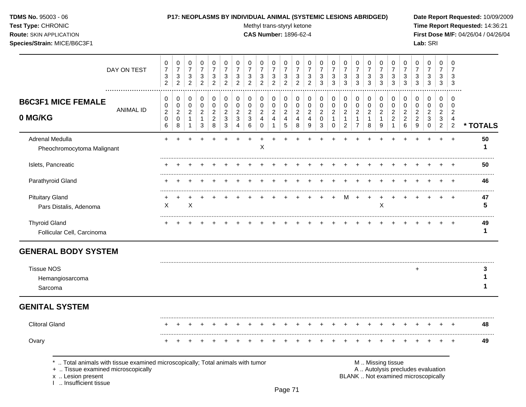Test Type: CHRONIC **Test Type:** CHRONIC **Test Type:** CHRONIC **Time Report Requested:** 14:36:21 **Route:** SKIN APPLICATION **CAS Number:** 1896-62-4 **First Dose M/F:** 04/26/04 / 04/26/04 **Species/Strain:** MICE/B6C3F1 **Lab:** SRI

| DAY ON TEST                                                                                                                             | 0<br>$\overline{7}$                         | $\pmb{0}$<br>$\boldsymbol{7}$               | 0<br>$\boldsymbol{7}$                          | 0<br>$\overline{7}$                 | 0<br>$\overline{7}$                   | 0<br>$\overline{7}$      | 0<br>$\overline{7}$               | 0<br>$\overline{7}$                    | 0<br>$\boldsymbol{7}$                           | 0<br>$\boldsymbol{7}$                       | 0<br>$\overline{7}$                                     | $\mathbf 0$<br>$\overline{7}$               | 0<br>$\overline{7}$                   | 0<br>$\overline{7}$                | 0<br>$\overline{7}$                           | 0<br>$\boldsymbol{7}$                            | 0<br>$\overline{7}$                              | 0<br>$\overline{7}$                 | 0<br>$\overline{7}$                 | 0<br>$\overline{7}$                            | 0<br>$\overline{7}$               | 0<br>$\overline{7}$                                                      | 0<br>$\overline{7}$                | 0<br>$\overline{7}$                   | 0<br>$\overline{7}$                                |                   |
|-----------------------------------------------------------------------------------------------------------------------------------------|---------------------------------------------|---------------------------------------------|------------------------------------------------|-------------------------------------|---------------------------------------|--------------------------|-----------------------------------|----------------------------------------|-------------------------------------------------|---------------------------------------------|---------------------------------------------------------|---------------------------------------------|---------------------------------------|------------------------------------|-----------------------------------------------|--------------------------------------------------|--------------------------------------------------|-------------------------------------|-------------------------------------|------------------------------------------------|-----------------------------------|--------------------------------------------------------------------------|------------------------------------|---------------------------------------|----------------------------------------------------|-------------------|
|                                                                                                                                         | $\ensuremath{\mathsf{3}}$<br>$\overline{2}$ | $\ensuremath{\mathsf{3}}$<br>$\overline{2}$ | $\ensuremath{\mathsf{3}}$<br>$\overline{c}$    | 3<br>$\overline{2}$                 | 3<br>$\overline{2}$                   | 3<br>$\overline{2}$      | 3<br>$\overline{2}$               | 3<br>$\overline{2}$                    | $\ensuremath{\mathsf{3}}$<br>$\overline{2}$     | $\ensuremath{\mathsf{3}}$<br>$\overline{2}$ | 3<br>$\overline{c}$                                     | $\ensuremath{\mathsf{3}}$<br>$\overline{2}$ | 3<br>$\overline{2}$                   | 3<br>3                             | 3<br>3                                        | $\sqrt{3}$<br>$\mathbf{3}$                       | $\ensuremath{\mathsf{3}}$<br>3                   | $\sqrt{3}$<br>3                     | 3<br>3                              | 3<br>3                                         | 3<br>3                            | 3<br>3                                                                   | 3<br>$\mathfrak{S}$                | 3<br>3                                | 3<br>3                                             |                   |
|                                                                                                                                         | 0                                           | 0                                           | 0                                              | 0                                   | 0                                     | 0                        | 0                                 | 0                                      | 0                                               | 0                                           | 0                                                       | 0                                           | 0                                     | 0                                  | 0                                             | 0                                                | 0                                                | 0                                   | 0                                   | 0                                              | 0                                 | 0                                                                        | 0                                  | 0                                     | $\mathbf 0$                                        |                   |
| <b>B6C3F1 MICE FEMALE</b><br><b>ANIMAL ID</b>                                                                                           | 0                                           | $\pmb{0}$                                   | $\mathbf 0$                                    | 0                                   | $\mathbf 0$                           | $\mathbf 0$              | $\mathbf 0$                       | 0                                      | 0                                               | 0                                           | 0                                                       | 0                                           | $\mathbf 0$                           | $\mathbf 0$                        | $\pmb{0}$                                     | $\pmb{0}$                                        | $\mathbf 0$                                      | $\pmb{0}$                           | $\mathbf 0$                         | 0                                              | $\mathbf 0$                       | $\mathbf 0$                                                              | $\mathbf 0$                        | $\mathbf 0$                           | $\mathbf 0$                                        |                   |
| 0 MG/KG                                                                                                                                 | $\overline{c}$<br>0<br>6                    | $\overline{2}$<br>$\pmb{0}$<br>8            | $\overline{c}$<br>$\mathbf{1}$<br>$\mathbf{1}$ | $\overline{c}$<br>$\mathbf{1}$<br>3 | $\overline{2}$<br>$\overline{2}$<br>8 | $\overline{2}$<br>3<br>3 | $\overline{c}$<br>$\sqrt{3}$<br>Δ | $\overline{a}$<br>3<br>$6\phantom{1}6$ | $\overline{c}$<br>$\overline{4}$<br>$\mathbf 0$ | $\overline{c}$<br>4<br>$\mathbf{1}$         | $\overline{\mathbf{c}}$<br>$\overline{\mathbf{4}}$<br>5 | $\overline{c}$<br>4<br>$\,8\,$              | $\overline{c}$<br>$\overline{4}$<br>9 | $\overline{2}$<br>$\mathbf 0$<br>3 | $\overline{c}$<br>$\mathbf{1}$<br>$\mathbf 0$ | $\overline{c}$<br>$\mathbf{1}$<br>$\overline{c}$ | $\overline{c}$<br>$\mathbf{1}$<br>$\overline{7}$ | $\overline{c}$<br>$\mathbf{1}$<br>8 | $\overline{2}$<br>$\mathbf{1}$<br>9 | $\overline{\mathbf{c}}$<br>$\overline{c}$<br>1 | $\overline{c}$<br>$\sqrt{2}$<br>6 | 2<br>$\overline{c}$<br>9                                                 | $\overline{a}$<br>3<br>$\mathbf 0$ | $\overline{2}$<br>3<br>$\overline{2}$ | $\overline{2}$<br>$\overline{4}$<br>$\overline{c}$ | * TOTALS          |
| Adrenal Medulla<br>Pheochromocytoma Malignant                                                                                           |                                             |                                             |                                                |                                     |                                       |                          |                                   |                                        | X                                               |                                             |                                                         |                                             |                                       |                                    |                                               |                                                  |                                                  |                                     |                                     |                                                |                                   |                                                                          |                                    |                                       |                                                    | 50<br>$\mathbf 1$ |
| Islets, Pancreatic                                                                                                                      |                                             |                                             |                                                |                                     |                                       |                          |                                   |                                        |                                                 |                                             |                                                         |                                             |                                       |                                    |                                               |                                                  |                                                  |                                     |                                     |                                                |                                   |                                                                          |                                    |                                       |                                                    | 50                |
| Parathyroid Gland                                                                                                                       |                                             |                                             |                                                |                                     |                                       |                          |                                   |                                        |                                                 |                                             |                                                         |                                             |                                       |                                    |                                               |                                                  |                                                  |                                     |                                     |                                                |                                   |                                                                          |                                    |                                       |                                                    | 46                |
| <b>Pituitary Gland</b>                                                                                                                  |                                             |                                             |                                                |                                     |                                       |                          |                                   |                                        |                                                 |                                             |                                                         |                                             |                                       |                                    |                                               | м                                                |                                                  | $\ddot{}$                           |                                     |                                                |                                   |                                                                          |                                    |                                       |                                                    | 47                |
| Pars Distalis, Adenoma                                                                                                                  | Χ                                           |                                             | X                                              |                                     |                                       |                          |                                   |                                        |                                                 |                                             |                                                         |                                             |                                       |                                    |                                               |                                                  |                                                  |                                     | $\pmb{\times}$                      |                                                |                                   |                                                                          |                                    |                                       |                                                    | 5                 |
| <b>Thyroid Gland</b><br>Follicular Cell, Carcinoma                                                                                      |                                             |                                             |                                                |                                     |                                       |                          |                                   |                                        |                                                 |                                             |                                                         |                                             |                                       |                                    |                                               |                                                  |                                                  |                                     |                                     |                                                |                                   |                                                                          |                                    |                                       |                                                    | 49<br>$\mathbf 1$ |
| <b>GENERAL BODY SYSTEM</b>                                                                                                              |                                             |                                             |                                                |                                     |                                       |                          |                                   |                                        |                                                 |                                             |                                                         |                                             |                                       |                                    |                                               |                                                  |                                                  |                                     |                                     |                                                |                                   |                                                                          |                                    |                                       |                                                    |                   |
| <b>Tissue NOS</b><br>Hemangiosarcoma                                                                                                    |                                             |                                             |                                                |                                     |                                       |                          |                                   |                                        |                                                 |                                             |                                                         |                                             |                                       |                                    |                                               |                                                  |                                                  |                                     |                                     |                                                |                                   | ÷                                                                        |                                    |                                       |                                                    | 3                 |
| Sarcoma                                                                                                                                 |                                             |                                             |                                                |                                     |                                       |                          |                                   |                                        |                                                 |                                             |                                                         |                                             |                                       |                                    |                                               |                                                  |                                                  |                                     |                                     |                                                |                                   |                                                                          |                                    |                                       |                                                    |                   |
| <b>GENITAL SYSTEM</b>                                                                                                                   |                                             |                                             |                                                |                                     |                                       |                          |                                   |                                        |                                                 |                                             |                                                         |                                             |                                       |                                    |                                               |                                                  |                                                  |                                     |                                     |                                                |                                   |                                                                          |                                    |                                       |                                                    |                   |
| <b>Clitoral Gland</b>                                                                                                                   |                                             |                                             |                                                |                                     |                                       |                          |                                   |                                        |                                                 |                                             |                                                         |                                             |                                       |                                    |                                               |                                                  |                                                  |                                     |                                     |                                                |                                   |                                                                          |                                    |                                       |                                                    | 48                |
| Ovary                                                                                                                                   |                                             |                                             |                                                |                                     |                                       |                          |                                   |                                        |                                                 |                                             |                                                         |                                             |                                       |                                    |                                               |                                                  |                                                  |                                     |                                     |                                                |                                   |                                                                          |                                    |                                       |                                                    | 49                |
| Total animals with tissue examined microscopically; Total animals with tumor<br>+  Tissue examined microscopically<br>x  Lesion present |                                             |                                             |                                                |                                     |                                       |                          |                                   |                                        |                                                 |                                             |                                                         |                                             |                                       |                                    |                                               |                                                  |                                                  |                                     |                                     | M  Missing tissue                              |                                   | A  Autolysis precludes evaluation<br>BLANK  Not examined microscopically |                                    |                                       |                                                    |                   |

I .. Insufficient tissue

Page 71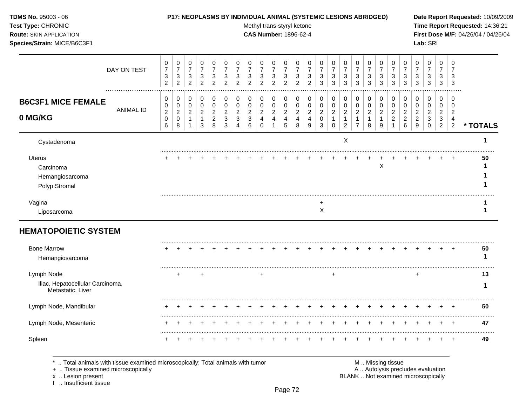**Route: SKIN APPLICATION** 

Species/Strain: MICE/B6C3F1

#### P17: NEOPLASMS BY INDIVIDUAL ANIMAL (SYSTEMIC LESIONS ABRIDGED)

Methyl trans-styryl ketone

**CAS Number: 1896-62-4** 

Date Report Requested: 10/09/2009 Time Report Requested: 14:36:21 First Dose M/F: 04/26/04 / 04/26/04 Lab: SRI

|                                                         | DAY ON TEST   | $\overline{7}$<br>3<br>ົ           | 0<br>$\overline{ }$<br>3<br>$\overline{2}$ | 7<br>3<br>$\overline{2}$  | $\overline{ }$<br>3<br>$\overline{2}$ | ⇁<br>3<br>2                   | 3<br>ົ<br>∠ | ⇁<br>3<br>ົ      | $\overline{ }$<br>3<br>$\overline{2}$  | $\overline{ }$<br>3<br>$\overline{2}$ | 7<br>3<br>$\overline{2}$      | 3<br>2                | 3           | 3<br>2                | 3<br>3 | 3<br>3                        | $\overline{\phantom{a}}$<br>3<br>3 | $\overline{ }$<br>3<br>3 | $\overline{ }$<br>3<br>3               | $\overline{ }$<br>3<br>3 | $\overline{ }$<br>3<br>3 | 3<br>3      | 3<br>3                             | 3<br>3           | 0<br>$\overline{ }$<br>3<br>3               | З<br>3              |          |
|---------------------------------------------------------|---------------|------------------------------------|--------------------------------------------|---------------------------|---------------------------------------|-------------------------------|-------------|------------------|----------------------------------------|---------------------------------------|-------------------------------|-----------------------|-------------|-----------------------|--------|-------------------------------|------------------------------------|--------------------------|----------------------------------------|--------------------------|--------------------------|-------------|------------------------------------|------------------|---------------------------------------------|---------------------|----------|
| <b>B6C3F1 MICE FEMALE</b><br>0 MG/KG                    | <br>ANIMAL ID | 0<br>0<br>$\overline{2}$<br>0<br>6 | 0<br>0<br>2<br>0<br>8                      | 0<br>0<br>ົ<br>$\epsilon$ | 0<br>0<br>$\overline{c}$<br>3         | 0<br>$\overline{2}$<br>2<br>8 | ∠<br>3<br>3 | റ<br>∠<br>3<br>4 | 0<br>$\overline{\mathbf{c}}$<br>3<br>6 | 0<br>0<br>$\overline{2}$<br>4<br>0    | 0<br>0<br>$\overline{c}$<br>4 | 0<br>0<br>2<br>4<br>5 | 2<br>4<br>8 | 0<br>0<br>2<br>4<br>9 | ∠<br>3 | 0<br>0<br>$\overline{c}$<br>0 | 0<br>0<br>2<br>2                   | 0<br>0<br>$\overline{2}$ | 0<br>0<br>$\overline{\mathbf{c}}$<br>8 | 0<br>$\overline{c}$<br>9 | $\overline{c}$<br>2      | ∠<br>∠<br>6 | 0<br>0<br>$\overline{2}$<br>2<br>9 | 0<br>2<br>3<br>0 | 0<br>0<br>$\overline{\mathbf{c}}$<br>3<br>2 | .<br>$\overline{2}$ | * TOTALS |
| Cystadenoma                                             |               |                                    |                                            |                           |                                       |                               |             |                  |                                        |                                       |                               |                       |             |                       |        |                               | Х                                  |                          |                                        |                          |                          |             |                                    |                  |                                             |                     |          |
| Uterus<br>Carcinoma<br>Hemangiosarcoma<br>Polyp Stromal |               |                                    |                                            |                           |                                       |                               |             |                  |                                        |                                       |                               |                       |             |                       |        |                               |                                    |                          |                                        | X                        |                          |             |                                    |                  |                                             |                     | 50       |
| Vagina<br>Liposarcoma                                   |               |                                    |                                            |                           |                                       |                               |             |                  |                                        |                                       |                               |                       |             |                       | ∧      |                               |                                    |                          |                                        |                          |                          |             |                                    |                  |                                             |                     |          |

# **HEMATOPOIETIC SYSTEM**

| <b>Bone Marrow</b><br>Hemangiosarcoma                               |  |  |  |  |  |  |  |  |  |  |  |  | 50 |
|---------------------------------------------------------------------|--|--|--|--|--|--|--|--|--|--|--|--|----|
| Lymph Node<br>Iliac, Hepatocellular Carcinoma,<br>Metastatic, Liver |  |  |  |  |  |  |  |  |  |  |  |  | 13 |
| Lymph Node, Mandibular                                              |  |  |  |  |  |  |  |  |  |  |  |  | 50 |
| Lymph Node, Mesenteric                                              |  |  |  |  |  |  |  |  |  |  |  |  |    |
| Spleer                                                              |  |  |  |  |  |  |  |  |  |  |  |  | 49 |

\* .. Total animals with tissue examined microscopically; Total animals with tumor

+ .. Tissue examined microscopically

x .. Lesion present

1 .. Insufficient tissue

M .. Missing tissue<br>A .. Autolysis precludes evaluation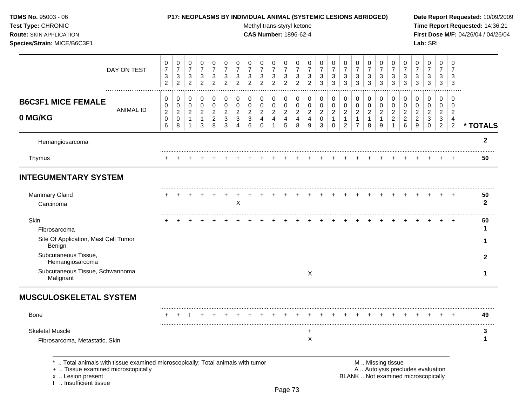Test Type: CHRONIC **Test Type:** CHRONIC **Test Type:** CHRONIC **Time Report Requested:** 14:36:21 **Route:** SKIN APPLICATION **CAS Number:** 1896-62-4 **First Dose M/F:** 04/26/04 / 04/26/04 **Species/Strain:** MICE/B6C3F1 **Lab:** SRI

| DAY ON TEST                                                                                                                                                       | 0<br>$\boldsymbol{7}$<br>3<br>$\overline{c}$ | $\pmb{0}$<br>$\overline{7}$<br>$\ensuremath{\mathsf{3}}$<br>$\overline{2}$ | $\mathbf 0$<br>$\overline{7}$<br>3<br>$\overline{c}$ | $\,0\,$<br>$\boldsymbol{7}$<br>$\sqrt{3}$<br>$\overline{2}$ | $\pmb{0}$<br>$\boldsymbol{7}$<br>$\mathbf{3}$<br>$\sqrt{2}$ | $\pmb{0}$<br>$\boldsymbol{7}$<br>3<br>$\overline{2}$ | $\pmb{0}$<br>$\overline{7}$<br>$\sqrt{3}$<br>$\overline{2}$ | 0<br>$\overline{7}$<br>$\sqrt{3}$<br>$\overline{2}$ | $\pmb{0}$<br>$\boldsymbol{7}$<br>3<br>$\overline{2}$ | $\mathbf 0$<br>$\overline{7}$<br>$\mathbf{3}$<br>$\boldsymbol{2}$ | 0<br>$\overline{7}$<br>3<br>$\overline{2}$         | $\pmb{0}$<br>$\overline{7}$<br>$\mathbf{3}$<br>$\overline{2}$ | 0<br>$\overline{7}$<br>3<br>$\overline{2}$ | 0<br>$\overline{7}$<br>3<br>3 | $\,0\,$<br>$\boldsymbol{7}$<br>3<br>3         | $\pmb{0}$<br>$\overline{7}$<br>3<br>3            | $\pmb{0}$<br>$\boldsymbol{7}$<br>3<br>$\mathbf{3}$ | $\pmb{0}$<br>$\overline{7}$<br>3<br>3 | $\pmb{0}$<br>$\overline{7}$<br>3<br>3 | 0<br>$\overline{7}$<br>3<br>3                      | $\pmb{0}$<br>$\overline{7}$<br>$\ensuremath{\mathsf{3}}$<br>3            | 0<br>$\overline{7}$<br>3<br>$\sqrt{3}$ | 0<br>$\overline{7}$<br>$\ensuremath{\mathsf{3}}$<br>$\mathsf 3$ | $\Omega$<br>$\overline{7}$<br>3<br>$\mathbf{3}$ | $\mathbf 0$<br>$\overline{7}$<br>3<br>3 |                   |
|-------------------------------------------------------------------------------------------------------------------------------------------------------------------|----------------------------------------------|----------------------------------------------------------------------------|------------------------------------------------------|-------------------------------------------------------------|-------------------------------------------------------------|------------------------------------------------------|-------------------------------------------------------------|-----------------------------------------------------|------------------------------------------------------|-------------------------------------------------------------------|----------------------------------------------------|---------------------------------------------------------------|--------------------------------------------|-------------------------------|-----------------------------------------------|--------------------------------------------------|----------------------------------------------------|---------------------------------------|---------------------------------------|----------------------------------------------------|--------------------------------------------------------------------------|----------------------------------------|-----------------------------------------------------------------|-------------------------------------------------|-----------------------------------------|-------------------|
| <b>B6C3F1 MICE FEMALE</b>                                                                                                                                         | 0<br>0                                       | 0<br>$\mathbf 0$                                                           | 0<br>$\mathbf 0$                                     | $\pmb{0}$<br>$\pmb{0}$                                      | $\mathbf 0$<br>$\mathbf 0$                                  | 0<br>$\pmb{0}$                                       | $\mathbf 0$<br>$\mathbf 0$                                  | 0<br>$\mathbf 0$                                    | 0<br>0                                               | $\mathbf 0$<br>$\mathbf 0$                                        | $\mathbf 0$<br>$\mathbf 0$                         | $\mathbf 0$<br>$\mathbf 0$                                    | 0<br>$\pmb{0}$                             | 0<br>$\mathbf 0$              | 0<br>$\mathbf 0$                              | 0<br>$\pmb{0}$                                   | $\mathbf 0$<br>$\mathbf 0$                         | 0<br>$\mathsf 0$                      | 0<br>$\mathbf 0$                      | 0<br>$\pmb{0}$                                     | 0<br>$\mathsf 0$                                                         | 0<br>0                                 | 0<br>0                                                          | $\mathbf 0$<br>$\mathbf 0$                      | $\mathbf 0$<br>$\mathbf 0$              |                   |
| <b>ANIMAL ID</b><br>0 MG/KG                                                                                                                                       | $\boldsymbol{2}$<br>0<br>6                   | $\overline{c}$<br>$\mathbf 0$<br>8                                         | $\overline{2}$<br>$\mathbf{1}$<br>$\mathbf{1}$       | $\boldsymbol{2}$<br>$\mathbf{1}$<br>$\mathbf{3}$            | $\sqrt{2}$<br>$\overline{2}$<br>8                           | $\overline{2}$<br>3<br>3                             | $\boldsymbol{2}$<br>$\mathfrak{Z}$<br>4                     | $\overline{c}$<br>$\mathbf{3}$<br>6                 | $\overline{c}$<br>$\overline{4}$<br>$\mathbf 0$      | $\overline{2}$<br>$\overline{4}$<br>$\mathbf{1}$                  | $\overline{2}$<br>$\overline{4}$<br>$\overline{5}$ | $\sqrt{2}$<br>$\overline{4}$<br>$\bf8$                        | $\boldsymbol{2}$<br>4<br>9                 | $\overline{2}$<br>0<br>3      | $\overline{2}$<br>$\mathbf{1}$<br>$\mathbf 0$ | $\overline{2}$<br>$\mathbf{1}$<br>$\overline{2}$ | $\sqrt{2}$<br>$\mathbf{1}$<br>$\overline{7}$       | $\overline{c}$<br>$\mathbf{1}$<br>8   | $\boldsymbol{2}$<br>$\mathbf{1}$<br>9 | $\boldsymbol{2}$<br>$\overline{2}$<br>$\mathbf{1}$ | $\overline{c}$<br>$\overline{2}$<br>6                                    | $\overline{c}$<br>$\overline{2}$<br>9  | $\overline{a}$<br>3<br>$\mathbf 0$                              | $\overline{2}$<br>$\mathsf 3$<br>$\overline{2}$ | $\overline{2}$<br>4<br>2                | * TOTALS          |
| Hemangiosarcoma                                                                                                                                                   |                                              |                                                                            |                                                      |                                                             |                                                             |                                                      |                                                             |                                                     |                                                      |                                                                   |                                                    |                                                               |                                            |                               |                                               |                                                  |                                                    |                                       |                                       |                                                    |                                                                          |                                        |                                                                 |                                                 |                                         | $\mathbf 2$       |
| Thymus                                                                                                                                                            |                                              |                                                                            |                                                      |                                                             |                                                             |                                                      |                                                             |                                                     |                                                      |                                                                   |                                                    |                                                               |                                            |                               |                                               |                                                  |                                                    |                                       |                                       |                                                    |                                                                          |                                        |                                                                 |                                                 | $\div$                                  | 50                |
| <b>INTEGUMENTARY SYSTEM</b>                                                                                                                                       |                                              |                                                                            |                                                      |                                                             |                                                             |                                                      |                                                             |                                                     |                                                      |                                                                   |                                                    |                                                               |                                            |                               |                                               |                                                  |                                                    |                                       |                                       |                                                    |                                                                          |                                        |                                                                 |                                                 |                                         |                   |
| <b>Mammary Gland</b><br>Carcinoma                                                                                                                                 |                                              |                                                                            |                                                      |                                                             |                                                             |                                                      | $\mathsf X$                                                 |                                                     |                                                      |                                                                   |                                                    |                                                               |                                            |                               |                                               |                                                  |                                                    |                                       |                                       |                                                    |                                                                          |                                        |                                                                 |                                                 |                                         | 50<br>$\mathbf 2$ |
| <b>Skin</b>                                                                                                                                                       |                                              |                                                                            |                                                      |                                                             |                                                             |                                                      |                                                             |                                                     |                                                      |                                                                   |                                                    |                                                               |                                            |                               |                                               |                                                  |                                                    |                                       |                                       |                                                    |                                                                          |                                        |                                                                 |                                                 |                                         | 50<br>1           |
| Fibrosarcoma<br>Site Of Application, Mast Cell Tumor<br>Benign                                                                                                    |                                              |                                                                            |                                                      |                                                             |                                                             |                                                      |                                                             |                                                     |                                                      |                                                                   |                                                    |                                                               |                                            |                               |                                               |                                                  |                                                    |                                       |                                       |                                                    |                                                                          |                                        |                                                                 |                                                 |                                         | 1                 |
| Subcutaneous Tissue,<br>Hemangiosarcoma                                                                                                                           |                                              |                                                                            |                                                      |                                                             |                                                             |                                                      |                                                             |                                                     |                                                      |                                                                   |                                                    |                                                               |                                            |                               |                                               |                                                  |                                                    |                                       |                                       |                                                    |                                                                          |                                        |                                                                 |                                                 |                                         | $\mathbf{2}$      |
| Subcutaneous Tissue, Schwannoma<br>Malignant                                                                                                                      |                                              |                                                                            |                                                      |                                                             |                                                             |                                                      |                                                             |                                                     |                                                      |                                                                   |                                                    |                                                               | $\boldsymbol{\mathsf{X}}$                  |                               |                                               |                                                  |                                                    |                                       |                                       |                                                    |                                                                          |                                        |                                                                 |                                                 |                                         | 1                 |
| <b>MUSCULOSKELETAL SYSTEM</b>                                                                                                                                     |                                              |                                                                            |                                                      |                                                             |                                                             |                                                      |                                                             |                                                     |                                                      |                                                                   |                                                    |                                                               |                                            |                               |                                               |                                                  |                                                    |                                       |                                       |                                                    |                                                                          |                                        |                                                                 |                                                 |                                         |                   |
| Bone                                                                                                                                                              |                                              |                                                                            |                                                      |                                                             |                                                             |                                                      |                                                             |                                                     |                                                      |                                                                   |                                                    | $+$                                                           |                                            |                               |                                               |                                                  |                                                    |                                       |                                       |                                                    |                                                                          |                                        |                                                                 |                                                 |                                         | 49                |
| <b>Skeletal Muscle</b>                                                                                                                                            |                                              |                                                                            |                                                      |                                                             |                                                             |                                                      |                                                             |                                                     |                                                      |                                                                   |                                                    |                                                               | +                                          |                               |                                               |                                                  |                                                    |                                       |                                       |                                                    |                                                                          |                                        |                                                                 |                                                 |                                         | 3                 |
| Fibrosarcoma, Metastatic, Skin                                                                                                                                    |                                              |                                                                            |                                                      |                                                             |                                                             |                                                      |                                                             |                                                     |                                                      |                                                                   |                                                    |                                                               | $\mathsf X$                                |                               |                                               |                                                  |                                                    |                                       |                                       |                                                    |                                                                          |                                        |                                                                 |                                                 |                                         | 1                 |
| Total animals with tissue examined microscopically; Total animals with tumor<br>+  Tissue examined microscopically<br>x  Lesion present<br>1  Insufficient tissue |                                              |                                                                            |                                                      |                                                             |                                                             |                                                      |                                                             |                                                     |                                                      |                                                                   |                                                    |                                                               |                                            |                               |                                               |                                                  |                                                    |                                       | M  Missing tissue                     |                                                    | A  Autolysis precludes evaluation<br>BLANK  Not examined microscopically |                                        |                                                                 |                                                 |                                         |                   |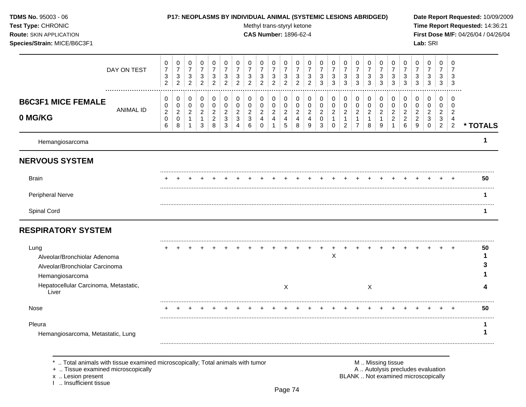Test Type: CHRONIC **Test Type:** CHRONIC **Test Type:** CHRONIC **Time Report Requested:** 14:36:21 **Route:** SKIN APPLICATION **CAS Number:** 1896-62-4 **First Dose M/F:** 04/26/04 / 04/26/04 **Species/Strain:** MICE/B6C3F1 **Lab:** SRI

| DAY ON TEST                                                                                                                                                    | 0<br>$\overline{7}$<br>$\ensuremath{\mathsf{3}}$<br>$\overline{c}$ | $\mathbf 0$<br>$\overline{7}$<br>$\mathbf{3}$<br>$\overline{2}$ | 0<br>$\overline{7}$<br>3<br>$\overline{2}$              | 0<br>$\overline{7}$<br>$\sqrt{3}$<br>$\overline{2}$            | 0<br>$\overline{7}$<br>$\sqrt{3}$<br>$\overline{2}$     | 0<br>7<br>3<br>$\overline{c}$      | 0<br>$\overline{7}$<br>$\sqrt{3}$<br>$\overline{2}$ | 0<br>$\overline{7}$<br>3<br>$\overline{2}$                             | 0<br>$\overline{7}$<br>$\mathbf{3}$<br>$\overline{2}$ | 0<br>$\overline{7}$<br>3<br>$\overline{2}$            | 0<br>$\overline{7}$<br>3<br>$\overline{2}$                     | 0<br>$\overline{7}$<br>$\sqrt{3}$<br>$\overline{2}$     | 0<br>$\overline{7}$<br>3<br>$\overline{2}$ | 0<br>7<br>3<br>3                           | 0<br>$\overline{7}$<br>$\sqrt{3}$<br>$\mathbf{3}$       | 0<br>$\overline{7}$<br>$\sqrt{3}$<br>$\mathbf{3}$ | 0<br>$\overline{7}$<br>$\sqrt{3}$<br>3                                     | 0<br>$\overline{7}$<br>3<br>3                           | 0<br>$\overline{7}$<br>3<br>3                           | 0<br>$\overline{7}$<br>$\mathbf{3}$<br>$\mathbf{3}$          | 0<br>$\overline{7}$<br>3<br>3                                            | 0<br>$\overline{7}$<br>3<br>3                             | 0<br>$\overline{7}$<br>3<br>3                         | 0<br>$\overline{7}$<br>3<br>$\mathbf{3}$    | 0<br>7<br>3<br>3                                                          |          |
|----------------------------------------------------------------------------------------------------------------------------------------------------------------|--------------------------------------------------------------------|-----------------------------------------------------------------|---------------------------------------------------------|----------------------------------------------------------------|---------------------------------------------------------|------------------------------------|-----------------------------------------------------|------------------------------------------------------------------------|-------------------------------------------------------|-------------------------------------------------------|----------------------------------------------------------------|---------------------------------------------------------|--------------------------------------------|--------------------------------------------|---------------------------------------------------------|---------------------------------------------------|----------------------------------------------------------------------------|---------------------------------------------------------|---------------------------------------------------------|--------------------------------------------------------------|--------------------------------------------------------------------------|-----------------------------------------------------------|-------------------------------------------------------|---------------------------------------------|---------------------------------------------------------------------------|----------|
| <b>B6C3F1 MICE FEMALE</b><br><b>ANIMAL ID</b><br>0 MG/KG                                                                                                       | $\pmb{0}$<br>0<br>$\overline{c}$<br>$\pmb{0}$<br>6                 | 0<br>$\mathbf 0$<br>$\overline{c}$<br>$\pmb{0}$<br>$\,8\,$      | 0<br>$\mathbf 0$<br>$\overline{2}$<br>$\mathbf{1}$<br>1 | 0<br>$\mathbf 0$<br>$\sqrt{2}$<br>$\mathbf{1}$<br>$\mathbf{3}$ | 0<br>$\pmb{0}$<br>$\overline{c}$<br>$\overline{2}$<br>8 | 0<br>0<br>$\overline{c}$<br>3<br>3 | 0<br>$\mathbf 0$<br>$\overline{2}$<br>3<br>4        | 0<br>$\mathbf 0$<br>$\boldsymbol{2}$<br>$\ensuremath{\mathsf{3}}$<br>6 | 0<br>$\pmb{0}$<br>$\overline{c}$<br>4<br>$\mathbf 0$  | 0<br>$\pmb{0}$<br>$\overline{a}$<br>4<br>$\mathbf{1}$ | 0<br>$\mathbf 0$<br>$\sqrt{2}$<br>$\overline{4}$<br>$\sqrt{5}$ | 0<br>$\pmb{0}$<br>$\overline{c}$<br>$\overline{4}$<br>8 | 0<br>0<br>$\overline{2}$<br>4<br>9         | 0<br>0<br>$\overline{c}$<br>$\pmb{0}$<br>3 | 0<br>0<br>$\overline{c}$<br>$\mathbf{1}$<br>$\mathbf 0$ | 0<br>0<br>$\overline{2}$<br>1<br>$\overline{2}$   | $\pmb{0}$<br>$\pmb{0}$<br>$\overline{c}$<br>$\mathbf{1}$<br>$\overline{7}$ | 0<br>$\mathbf 0$<br>$\overline{2}$<br>$\mathbf{1}$<br>8 | 0<br>$\pmb{0}$<br>$\boldsymbol{2}$<br>$\mathbf{1}$<br>9 | $\pmb{0}$<br>$\pmb{0}$<br>$\overline{2}$<br>$\sqrt{2}$<br>-1 | 0<br>$\mathbf 0$<br>$\overline{2}$<br>$\boldsymbol{2}$<br>6              | 0<br>$\mathbf 0$<br>$\overline{2}$<br>$\overline{2}$<br>9 | 0<br>0<br>$\overline{c}$<br>$\sqrt{3}$<br>$\mathbf 0$ | 0<br>0<br>$\boldsymbol{2}$<br>$\frac{3}{2}$ | 0<br>$\overline{0}$<br>$\overline{2}$<br>$\overline{4}$<br>$\overline{2}$ | * TOTALS |
| Hemangiosarcoma                                                                                                                                                |                                                                    |                                                                 |                                                         |                                                                |                                                         |                                    |                                                     |                                                                        |                                                       |                                                       |                                                                |                                                         |                                            |                                            |                                                         |                                                   |                                                                            |                                                         |                                                         |                                                              |                                                                          |                                                           |                                                       |                                             |                                                                           | 1        |
| <b>NERVOUS SYSTEM</b>                                                                                                                                          |                                                                    |                                                                 |                                                         |                                                                |                                                         |                                    |                                                     |                                                                        |                                                       |                                                       |                                                                |                                                         |                                            |                                            |                                                         |                                                   |                                                                            |                                                         |                                                         |                                                              |                                                                          |                                                           |                                                       |                                             |                                                                           |          |
| <b>Brain</b>                                                                                                                                                   |                                                                    |                                                                 |                                                         |                                                                |                                                         |                                    |                                                     |                                                                        |                                                       |                                                       |                                                                |                                                         |                                            |                                            |                                                         |                                                   |                                                                            |                                                         |                                                         |                                                              |                                                                          |                                                           |                                                       |                                             |                                                                           | 50       |
| Peripheral Nerve                                                                                                                                               |                                                                    |                                                                 |                                                         |                                                                |                                                         |                                    |                                                     |                                                                        |                                                       |                                                       |                                                                |                                                         |                                            |                                            |                                                         |                                                   |                                                                            |                                                         |                                                         |                                                              |                                                                          |                                                           |                                                       |                                             |                                                                           | 1.       |
| Spinal Cord                                                                                                                                                    |                                                                    |                                                                 |                                                         |                                                                |                                                         |                                    |                                                     |                                                                        |                                                       |                                                       |                                                                |                                                         |                                            |                                            |                                                         |                                                   |                                                                            |                                                         |                                                         |                                                              |                                                                          |                                                           |                                                       |                                             |                                                                           | 1        |
| <b>RESPIRATORY SYSTEM</b>                                                                                                                                      |                                                                    |                                                                 |                                                         |                                                                |                                                         |                                    |                                                     |                                                                        |                                                       |                                                       |                                                                |                                                         |                                            |                                            |                                                         |                                                   |                                                                            |                                                         |                                                         |                                                              |                                                                          |                                                           |                                                       |                                             |                                                                           |          |
| Lung<br>Alveolar/Bronchiolar Adenoma<br>Alveolar/Bronchiolar Carcinoma<br>Hemangiosarcoma<br>Hepatocellular Carcinoma, Metastatic,<br>Liver                    |                                                                    |                                                                 |                                                         |                                                                |                                                         |                                    |                                                     |                                                                        |                                                       |                                                       | $\mathsf{X}$                                                   |                                                         |                                            |                                            | X                                                       |                                                   |                                                                            | $\boldsymbol{\mathsf{X}}$                               |                                                         |                                                              |                                                                          |                                                           |                                                       |                                             |                                                                           | 50<br>1  |
| <b>Nose</b>                                                                                                                                                    |                                                                    |                                                                 |                                                         |                                                                |                                                         |                                    |                                                     |                                                                        |                                                       |                                                       |                                                                |                                                         |                                            |                                            |                                                         |                                                   |                                                                            |                                                         |                                                         |                                                              |                                                                          |                                                           |                                                       |                                             |                                                                           | 50       |
| Pleura<br>Hemangiosarcoma, Metastatic, Lung                                                                                                                    |                                                                    |                                                                 |                                                         |                                                                |                                                         |                                    |                                                     |                                                                        |                                                       |                                                       |                                                                |                                                         |                                            |                                            |                                                         |                                                   |                                                                            |                                                         |                                                         |                                                              |                                                                          |                                                           |                                                       |                                             |                                                                           | 1<br>1   |
| Total animals with tissue examined microscopically; Total animals with tumor<br>+  Tissue examined microscopically<br>x  Lesion present<br>Insufficient tissue |                                                                    |                                                                 |                                                         |                                                                |                                                         |                                    |                                                     |                                                                        |                                                       |                                                       |                                                                |                                                         |                                            |                                            |                                                         |                                                   |                                                                            | M  Missing tissue                                       |                                                         |                                                              | A  Autolysis precludes evaluation<br>BLANK  Not examined microscopically |                                                           |                                                       |                                             |                                                                           |          |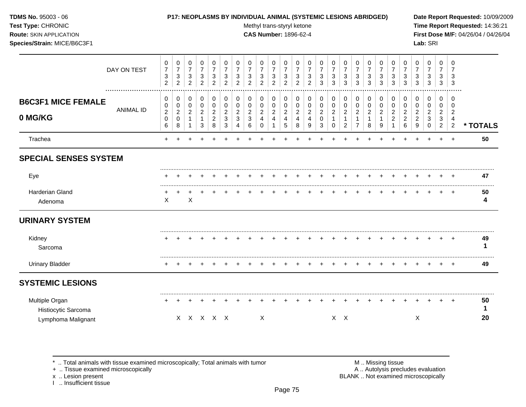TDMS No. 95003 - 06 Test Type: CHRONIC

**Route: SKIN APPLICATION** 

Species/Strain: MICE/B6C3F1

## P17: NEOPLASMS BY INDIVIDUAL ANIMAL (SYSTEMIC LESIONS ABRIDGED)

Methyl trans-styryl ketone

**CAS Number: 1896-62-4** 

Date Report Requested: 10/09/2009 Time Report Requested: 14:36:21 First Dose M/F: 04/26/04 / 04/26/04 Lab: SRI

|                                                             | DAY ON TEST      | 0<br>$\overline{7}$<br>$\sqrt{3}$<br>$\overline{2}$ | $\pmb{0}$<br>$\overline{7}$<br>$\mathbf{3}$<br>$\overline{a}$ | $\pmb{0}$<br>$\overline{7}$<br>$\mathbf{3}$<br>$\overline{2}$ | 0<br>$\overline{7}$<br>3<br>2 | $\mathbf 0$<br>$\overline{7}$<br>3<br>2 | 0<br>$\overline{7}$<br>3<br>2      | 0<br>$\overline{7}$<br>3<br>$\overline{2}$                                       | 0<br>$\overline{7}$<br>$\mathbf{3}$<br>$\overline{2}$   | 0<br>$\boldsymbol{7}$<br>$\sqrt{3}$<br>$\overline{2}$ | 0<br>$\overline{7}$<br>$\sqrt{3}$<br>2 | 0<br>$\overline{7}$<br>3<br>$\overline{c}$ | 0<br>$\overline{7}$<br>3<br>2      | 0<br>$\overline{7}$<br>3<br>2      | 0<br>$\overline{7}$<br>$\sqrt{3}$<br>3   | 0<br>7<br>3<br>3                             | 0<br>$\overline{7}$<br>$\ensuremath{\mathsf{3}}$<br>3            | 0<br>$\overline{7}$<br>$\sqrt{3}$<br>3                               | 0<br>$\overline{7}$<br>$\sqrt{3}$<br>3       | $\mathbf 0$<br>$\overline{7}$<br>3<br>3 | 0<br>$\overline{7}$<br>3<br>3 | $\Omega$<br>$\overline{7}$<br>3<br>3            | $\mathbf 0$<br>3<br>3                           | $\mathbf 0$<br>$\overline{7}$<br>3<br>3   | 0<br>$\overline{7}$<br>3<br>3                              | $\mathbf 0$<br>7<br>3<br>3                                   |          |
|-------------------------------------------------------------|------------------|-----------------------------------------------------|---------------------------------------------------------------|---------------------------------------------------------------|-------------------------------|-----------------------------------------|------------------------------------|----------------------------------------------------------------------------------|---------------------------------------------------------|-------------------------------------------------------|----------------------------------------|--------------------------------------------|------------------------------------|------------------------------------|------------------------------------------|----------------------------------------------|------------------------------------------------------------------|----------------------------------------------------------------------|----------------------------------------------|-----------------------------------------|-------------------------------|-------------------------------------------------|-------------------------------------------------|-------------------------------------------|------------------------------------------------------------|--------------------------------------------------------------|----------|
| <b>B6C3F1 MICE FEMALE</b><br>0 MG/KG                        | <b>ANIMAL ID</b> | 0<br>0<br>$\sqrt{2}$<br>$\pmb{0}$<br>6              | 0<br>$\pmb{0}$<br>$\overline{2}$<br>0<br>8                    | 0<br>$\mathbf 0$<br>$\overline{c}$<br>1<br>1                  | 0<br>0<br>2<br>3              | 0<br>0<br>$\overline{2}$<br>2<br>8      | 0<br>0<br>$\overline{2}$<br>3<br>3 | 0<br>0<br>$\overline{c}$<br>$\ensuremath{\mathsf{3}}$<br>$\overline{\mathbf{4}}$ | 0<br>$\mathbf 0$<br>$\overline{a}$<br>$\mathbf{3}$<br>6 | 0<br>$\pmb{0}$<br>$\overline{2}$<br>4<br>$\Omega$     | 0<br>$\mathbf 0$<br>$\sqrt{2}$<br>4    | 0<br>0<br>$\overline{2}$<br>4<br>5         | 0<br>0<br>$\overline{c}$<br>4<br>8 | 0<br>0<br>$\overline{c}$<br>4<br>9 | 0<br>0<br>$\sqrt{2}$<br>$\mathbf 0$<br>3 | 0<br>$\pmb{0}$<br>$\overline{c}$<br>$\Omega$ | 0<br>$\mathbf 0$<br>$\sqrt{2}$<br>$\mathbf{1}$<br>$\overline{2}$ | 0<br>$\mathbf 0$<br>$\overline{c}$<br>$\mathbf{1}$<br>$\overline{7}$ | 0<br>$\pmb{0}$<br>$\boldsymbol{2}$<br>1<br>8 | 0<br>0<br>$\overline{2}$<br>9           | 0<br>0<br>2                   | 0<br>0<br>$\overline{c}$<br>$\overline{c}$<br>6 | 0<br>0<br>$\overline{c}$<br>$\overline{c}$<br>9 | 0<br>0<br>$\overline{c}$<br>3<br>$\Omega$ | 0<br>0<br>$\overline{a}$<br>$\mathbf{3}$<br>$\overline{2}$ | 0<br>$\overline{0}$<br>$\overline{c}$<br>4<br>$\overline{2}$ | * TOTALS |
| Trachea                                                     |                  |                                                     |                                                               |                                                               |                               |                                         |                                    |                                                                                  |                                                         |                                                       |                                        |                                            |                                    |                                    |                                          |                                              |                                                                  |                                                                      |                                              |                                         |                               |                                                 |                                                 |                                           |                                                            |                                                              | 50       |
| <b>SPECIAL SENSES SYSTEM</b>                                |                  |                                                     |                                                               |                                                               |                               |                                         |                                    |                                                                                  |                                                         |                                                       |                                        |                                            |                                    |                                    |                                          |                                              |                                                                  |                                                                      |                                              |                                         |                               |                                                 |                                                 |                                           |                                                            |                                                              |          |
| Eye                                                         |                  |                                                     |                                                               |                                                               |                               |                                         |                                    |                                                                                  |                                                         |                                                       |                                        |                                            |                                    |                                    |                                          |                                              |                                                                  |                                                                      |                                              |                                         |                               |                                                 |                                                 |                                           |                                                            |                                                              | 47       |
| Harderian Gland<br>Adenoma                                  |                  | X                                                   |                                                               | X                                                             |                               |                                         |                                    |                                                                                  |                                                         |                                                       |                                        |                                            |                                    |                                    |                                          |                                              |                                                                  |                                                                      |                                              |                                         |                               |                                                 |                                                 |                                           |                                                            | $\overline{ }$                                               | 50<br>4  |
| <b>URINARY SYSTEM</b>                                       |                  |                                                     |                                                               |                                                               |                               |                                         |                                    |                                                                                  |                                                         |                                                       |                                        |                                            |                                    |                                    |                                          |                                              |                                                                  |                                                                      |                                              |                                         |                               |                                                 |                                                 |                                           |                                                            |                                                              |          |
| Kidney<br>Sarcoma                                           |                  |                                                     |                                                               |                                                               |                               |                                         |                                    |                                                                                  |                                                         |                                                       |                                        |                                            |                                    |                                    |                                          |                                              |                                                                  |                                                                      |                                              |                                         |                               |                                                 |                                                 |                                           |                                                            |                                                              | 49       |
| <b>Urinary Bladder</b>                                      |                  |                                                     |                                                               |                                                               |                               |                                         |                                    |                                                                                  |                                                         |                                                       |                                        |                                            |                                    |                                    |                                          |                                              |                                                                  |                                                                      |                                              |                                         |                               |                                                 |                                                 |                                           |                                                            | $\overline{ }$                                               | 49       |
| <b>SYSTEMIC LESIONS</b>                                     |                  |                                                     |                                                               |                                                               |                               |                                         |                                    |                                                                                  |                                                         |                                                       |                                        |                                            |                                    |                                    |                                          |                                              |                                                                  |                                                                      |                                              |                                         |                               |                                                 |                                                 |                                           |                                                            |                                                              |          |
| Multiple Organ<br>Histiocytic Sarcoma<br>Lymphoma Malignant |                  |                                                     |                                                               |                                                               | X X X X X                     |                                         |                                    |                                                                                  |                                                         | X                                                     |                                        |                                            |                                    |                                    |                                          |                                              | $X$ $X$                                                          |                                                                      |                                              |                                         |                               |                                                 | X                                               |                                           |                                                            |                                                              | 50<br>20 |
|                                                             |                  |                                                     |                                                               |                                                               |                               |                                         |                                    |                                                                                  |                                                         |                                                       |                                        |                                            |                                    |                                    |                                          |                                              |                                                                  |                                                                      |                                              |                                         |                               |                                                 |                                                 |                                           |                                                            |                                                              |          |

.. Total animals with tissue examined microscopically; Total animals with tumor  $\star$ 

+ .. Tissue examined microscopically

x .. Lesion present<br>I .. Insufficient tissue

M .. Missing tissue<br>A .. Autolysis precludes evaluation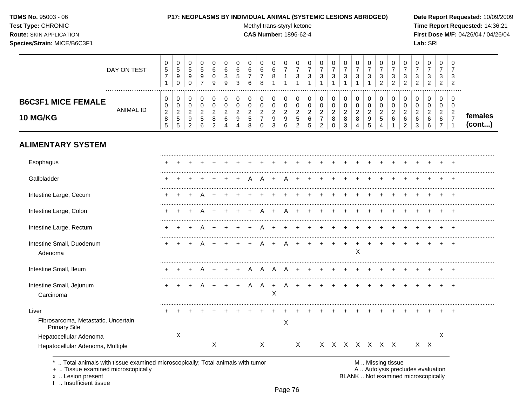**TDMS No. 95003 - 06 Test Type: CHRONIC** 

**Route: SKIN APPLICATION** 

Species/Strain: MICE/B6C3F1

#### P17: NEOPLASMS BY INDIVIDUAL ANIMAL (SYSTEMIC LESIONS ABRIDGED)

Methyl trans-styryl ketone

CAS Number: 1896-62-4

Date Report Requested: 10/09/2009 Time Report Requested: 14:36:21 First Dose M/F: 04/26/04 / 04/26/04 Lab: SRI

#### $\mathbf 0$  $\mathbf 0$  $\mathbf 0$  $\mathbf 0$  $\mathbf 0$  $\mathbf 0$  $\mathbf 0$  $\mathbf 0$  $\mathbf 0$  $\mathbf 0$  $\mathbf 0$  $\mathbf 0$  $\mathbf 0$  $\mathbf 0$  $\mathbf 0$  $\mathbf 0$  $\mathbf 0$  $\mathbf 0$  $\mathbf 0$  $\mathbf 0$  $\mathbf 0$  $\mathbf 0$  $\mathbf 0$  $\mathbf 0$  $\mathbf 0$  $\frac{5}{9}$  $rac{6}{7}$  $\overline{7}$  $\overline{7}$  $\overline{7}$  $\overline{7}$  $\overline{7}$ 5  $\overline{5}$  $\,6\,$  $\,6\,$  $\overline{7}$  $\overline{7}$  $\overline{7}$  $\overline{7}$  $\overline{7}$  $\overline{7}$  $\overline{7}$  $\overline{5}$  $\,6$  $\,6\,$  $\,6\,$  $\overline{7}$  $\overline{7}$  $\overline{7}$ DAY ON TEST  $\overline{7}$  $\overline{3}$  $\overline{5}$  $\overline{7}$  $\overline{3}$  $\frac{3}{2}$  $\mathbf{3}$  $\frac{3}{2}$  $\boldsymbol{9}$  $9\,$  $\pmb{0}$  $\bf 8$  $\mathbf{3}$  $\mathfrak{S}$  $\mathbf{3}$  $\mathfrak{S}$  $\mathbf{3}$  $\mathbf{3}$  $\mathbf{3}$  $\mathbf{3}$  $\mathbf{3}$  $\mathbf{3}$  $\mathbf{1}$  $\mathbf 0$  $\mathbf 0$  $\overline{7}$  $\mathsf g$  $\boldsymbol{9}$  $\mathbf{3}$  $\,6\,$ 8  $\mathbf{1}$  $\mathbf{1}$  $\mathbf{1}$  $\overline{1}$  $\overline{2}$  $\overline{2}$  $\overline{2}$  $\overline{2}$  $\overline{1}$  $\mathbf{1}$  $\overline{1}$  $\overline{1}$  $\overline{2}$  $\mathbf{1}$  $\mathbf{1}$ ......................  $\mathsf 0$  $\mathbf 0$  $\mathbf 0$  $\mathbf 0$  $\mathbf 0$  $\pmb{0}$  $\mathbf 0$  $\mathbf 0$  $\mathbf 0$  $\mathbf 0$  $\mathbf 0$  $\mathbf 0$  $\mathbf 0$  $\mathsf 0$  $\mathbf 0$  $\mathbf 0$  $\mathbf 0$  $\mathbf 0$  $\mathbf 0$  $\mathsf 0$  $\boldsymbol{0}$  $\mathbf 0$  $\mathbf 0$  $\mathbf 0$  $\mathbf 0$ **B6C3F1 MICE FEMALE**  $\mathbf 0$  $\pmb{0}$  $\mathbf 0$  $\mathsf{O}\xspace$  $\pmb{0}$  $\pmb{0}$  $\mathsf{O}\xspace$  $\pmb{0}$  $\pmb{0}$  $\pmb{0}$  $\pmb{0}$  $\mathbf 0$  $\mathbf 0$  $\mathbf 0$  $\pmb{0}$  $\pmb{0}$  $\pmb{0}$  $\mathbf 0$  $\pmb{0}$  $\mathbf 0$  $\pmb{0}$  $\mathbf 0$  $\mathbf 0$  $\mathbf 0$  $\mathbf 0$ **ANIMAL ID**  $\boldsymbol{2}$  $\sqrt{2}$  $\overline{2}$  $\boldsymbol{2}$  $\overline{2}$  $\boldsymbol{2}$  $\overline{2}$  $\overline{2}$  $\overline{2}$  $\overline{2}$  $\boldsymbol{2}$  $\overline{2}$  $\sqrt{2}$  $\boldsymbol{2}$  $\overline{2}$  $\overline{2}$  $\overline{2}$  $\overline{2}$  $\boldsymbol{2}$  $\overline{2}$  $\boldsymbol{2}$  $\boldsymbol{2}$  $\overline{2}$  $\overline{2}$  $\overline{2}$ females **10 MG/KG**  $\frac{5}{5}$  $\begin{array}{c} 8 \\ 2 \end{array}$  $\begin{array}{c} 5 \\ 8 \end{array}$  $\frac{9}{3}$  $\frac{5}{2}$  $\frac{8}{3}$  $\frac{5}{4}$  $\boldsymbol{9}$  $\begin{array}{c} 5 \\ 6 \end{array}$  $\,6\,$  $\boldsymbol{9}$  $\overline{7}$  $\,6$  $\overline{7}$  $\bf 8$  $\begin{array}{c} 9 \\ 5 \end{array}$  $\,6$  $\,6$  $\,6\,$  $\overline{7}$ 8 9  $\bf 8$  $6\phantom{.0}$  $\,6$  $(cont...)$  $\overline{5}$  $\overline{2}$  $\mathbf 0$  $6\phantom{.}$  $\overline{5}$  $\overline{2}$  $\overline{2}$  $\mathbf{3}$  $6\overline{6}$  $\overline{4}$  $\overline{4}$  $\mathbf 0$  $\overline{4}$  $\mathbf{1}$  $\overline{7}$  $\mathbf{1}$

# **ALIMENTARY SYSTEM**

| Esophagus                                                                    |   |   |  |   |  |   |                |   |   |          |  |  |               |                  |  |  |            |   |       |
|------------------------------------------------------------------------------|---|---|--|---|--|---|----------------|---|---|----------|--|--|---------------|------------------|--|--|------------|---|-------|
| Gallbladder                                                                  |   |   |  |   |  |   |                |   |   |          |  |  |               |                  |  |  |            |   |       |
| Intestine Large, Cecum                                                       |   |   |  |   |  |   |                |   |   |          |  |  |               |                  |  |  |            |   |       |
| Intestine Large, Colon                                                       | ٠ |   |  |   |  |   |                |   |   |          |  |  |               |                  |  |  |            |   |       |
| Intestine Large, Rectum                                                      |   |   |  |   |  |   |                |   |   |          |  |  |               |                  |  |  |            |   |       |
| Intestine Small, Duodenum<br>Adenoma                                         |   |   |  |   |  |   |                |   |   |          |  |  | X             |                  |  |  |            |   |       |
| Intestine Small, Ileum                                                       |   |   |  |   |  |   |                |   |   |          |  |  |               |                  |  |  |            |   |       |
| Intestine Small, Jejunum<br>Carcinoma                                        |   |   |  |   |  | A | $\overline{A}$ | X |   |          |  |  |               |                  |  |  |            |   | $\pm$ |
| Liver                                                                        |   |   |  |   |  |   |                |   |   |          |  |  |               |                  |  |  |            |   |       |
| Fibrosarcoma, Metastatic, Uncertain<br><b>Primary Site</b>                   |   |   |  |   |  |   |                |   | X |          |  |  |               |                  |  |  |            |   |       |
| Hepatocellular Adenoma                                                       |   | X |  |   |  |   |                |   |   |          |  |  |               |                  |  |  |            | Χ |       |
| Hepatocellular Adenoma, Multiple                                             |   |   |  | Χ |  |   | X              |   |   | $\times$ |  |  | X X X X X X X |                  |  |  | $X \times$ |   |       |
| Total animals with tissue examined microscopically; Total animals with tumor |   |   |  |   |  |   |                |   |   |          |  |  |               | M Missing tissue |  |  |            |   |       |

+ .. Tissue examined microscopically

x .. Lesion present

I .. Insufficient tissue

**M** .. MISSING tISSUE A .. Autolysis precludes evaluation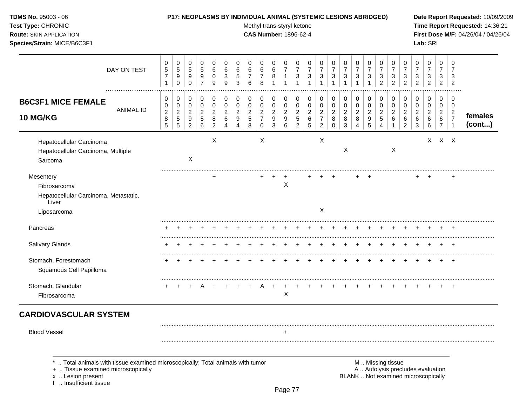Test Type: CHRONIC **Test Type:** CHRONIC **Test Type:** CHRONIC **Time Report Requested:** 14:36:21 **Route:** SKIN APPLICATION **CAS Number:** 1896-62-4 **First Dose M/F:** 04/26/04 / 04/26/04 **Species/Strain:** MICE/B6C3F1 **Lab:** SRI

|                                                                                                                       | DAY ON TEST      | 0<br>5<br>$\boldsymbol{7}$<br>$\mathbf{1}$ | 0<br>$\sqrt{5}$<br>9<br>$\mathbf 0$                    | 0<br>5<br>9<br>0                                | 0<br>5<br>9<br>$\overline{7}$                | $\mathbf 0$<br>6<br>$\mathbf 0$<br>9                      | 0<br>6<br>$\ensuremath{\mathsf{3}}$<br>9     | 0<br>$\,6$<br>$\sqrt{5}$<br>3                | 0<br>6<br>$\overline{7}$<br>6      | $\mathbf 0$<br>6<br>7<br>8                                       | $\pmb{0}$<br>$\,6$<br>8<br>$\mathbf{1}$ | 0<br>$\overline{7}$<br>$\mathbf{1}$<br>$\mathbf{1}$ | 0<br>$\overline{7}$<br>3<br>$\mathbf{1}$        | 0<br>$\overline{7}$<br>3                     | 0<br>$\overline{7}$<br>$\mathbf{3}$                                    | 0<br>$\overline{7}$<br>3<br>1                        | 0<br>$\overline{7}$<br>3<br>1                | 0<br>$\overline{7}$<br>3<br>1                | 0<br>$\overline{7}$<br>3<br>$\mathbf{1}$     | 0<br>$\overline{7}$<br>3<br>$\overline{2}$   | 0<br>$\overline{7}$<br>3<br>$\overline{2}$ | 0<br>$\overline{7}$<br>3<br>$\overline{2}$  | 0<br>$\overline{7}$<br>3<br>$\overline{2}$   | 0<br>$\overline{7}$<br>$\ensuremath{\mathsf{3}}$<br>$\overline{2}$ | 0<br>$\overline{7}$<br>3<br>$\overline{2}$                | 0<br>$\overline{7}$<br>3<br>$\overline{2}$                           |                   |
|-----------------------------------------------------------------------------------------------------------------------|------------------|--------------------------------------------|--------------------------------------------------------|-------------------------------------------------|----------------------------------------------|-----------------------------------------------------------|----------------------------------------------|----------------------------------------------|------------------------------------|------------------------------------------------------------------|-----------------------------------------|-----------------------------------------------------|-------------------------------------------------|----------------------------------------------|------------------------------------------------------------------------|------------------------------------------------------|----------------------------------------------|----------------------------------------------|----------------------------------------------|----------------------------------------------|--------------------------------------------|---------------------------------------------|----------------------------------------------|--------------------------------------------------------------------|-----------------------------------------------------------|----------------------------------------------------------------------|-------------------|
| <b>B6C3F1 MICE FEMALE</b><br><b>10 MG/KG</b>                                                                          | <b>ANIMAL ID</b> | 0<br>0<br>$\overline{2}$<br>8<br>5         | 0<br>0<br>$\boldsymbol{2}$<br>$\sqrt{5}$<br>$\sqrt{5}$ | 0<br>0<br>$\overline{2}$<br>9<br>$\overline{2}$ | 0<br>$\mathbf 0$<br>$\overline{2}$<br>5<br>6 | 0<br>$\mathbf 0$<br>$\overline{2}$<br>8<br>$\overline{2}$ | 0<br>$\mathbf 0$<br>$\overline{2}$<br>6<br>Δ | 0<br>$\mathbf 0$<br>$\overline{2}$<br>9<br>4 | 0<br>0<br>$\overline{2}$<br>5<br>8 | 0<br>$\mathbf 0$<br>$\overline{2}$<br>$\overline{7}$<br>$\Omega$ | 0<br>0<br>$\overline{2}$<br>9<br>3      | 0<br>$\mathbf 0$<br>$\overline{2}$<br>9<br>6        | 0<br>0<br>$\overline{c}$<br>5<br>$\overline{c}$ | 0<br>$\mathbf 0$<br>$\overline{2}$<br>6<br>5 | 0<br>$\mathsf 0$<br>$\overline{2}$<br>$\overline{7}$<br>$\overline{2}$ | 0<br>$\mathbf 0$<br>$\sqrt{2}$<br>$\bf8$<br>$\Omega$ | 0<br>$\mathsf 0$<br>$\overline{2}$<br>8<br>3 | 0<br>$\mathbf 0$<br>$\overline{2}$<br>8<br>4 | 0<br>$\mathbf 0$<br>$\overline{2}$<br>9<br>5 | 0<br>$\mathbf 0$<br>$\overline{2}$<br>5<br>4 | 0<br>$\mathbf 0$<br>2<br>6                 | 0<br>$\mathbf 0$<br>2<br>6<br>$\mathcal{P}$ | 0<br>$\mathbf 0$<br>$\overline{2}$<br>6<br>3 | 0<br>0<br>$\overline{2}$<br>6<br>6                                 | 0<br>$\mathbf 0$<br>$\overline{2}$<br>6<br>$\overline{7}$ | 0<br>$\mathbf 0$<br>$\overline{2}$<br>$\overline{7}$<br>$\mathbf{1}$ | females<br>(cont) |
| Hepatocellular Carcinoma<br>Hepatocellular Carcinoma, Multiple<br>Sarcoma                                             |                  |                                            |                                                        | $\mathsf X$                                     |                                              | $\boldsymbol{\mathsf{X}}$                                 |                                              |                                              |                                    | $\boldsymbol{X}$                                                 |                                         |                                                     |                                                 |                                              | X                                                                      |                                                      | X                                            |                                              |                                              |                                              | $\boldsymbol{X}$                           |                                             |                                              |                                                                    | $X$ $X$ $X$                                               |                                                                      |                   |
| Mesentery<br>Fibrosarcoma<br>Hepatocellular Carcinoma, Metastatic,<br>Liver                                           |                  |                                            |                                                        |                                                 |                                              |                                                           |                                              |                                              |                                    |                                                                  | +                                       | +<br>X                                              |                                                 |                                              | $\div$                                                                 | $\ddot{}$                                            |                                              |                                              |                                              |                                              |                                            |                                             |                                              |                                                                    |                                                           | +                                                                    |                   |
| Liposarcoma                                                                                                           |                  |                                            |                                                        |                                                 |                                              |                                                           |                                              |                                              |                                    |                                                                  |                                         |                                                     |                                                 |                                              | X                                                                      |                                                      |                                              |                                              |                                              |                                              |                                            |                                             |                                              |                                                                    |                                                           |                                                                      |                   |
| Pancreas                                                                                                              |                  |                                            |                                                        |                                                 |                                              |                                                           |                                              |                                              |                                    |                                                                  |                                         |                                                     |                                                 |                                              |                                                                        |                                                      |                                              |                                              |                                              |                                              |                                            |                                             |                                              |                                                                    |                                                           |                                                                      |                   |
| Salivary Glands                                                                                                       |                  |                                            |                                                        |                                                 |                                              |                                                           |                                              |                                              |                                    |                                                                  |                                         |                                                     |                                                 |                                              |                                                                        |                                                      |                                              |                                              |                                              |                                              |                                            |                                             |                                              |                                                                    |                                                           |                                                                      |                   |
| Stomach, Forestomach<br>Squamous Cell Papilloma                                                                       |                  |                                            |                                                        |                                                 |                                              |                                                           |                                              |                                              |                                    |                                                                  |                                         |                                                     |                                                 |                                              |                                                                        |                                                      |                                              |                                              |                                              |                                              |                                            |                                             |                                              |                                                                    |                                                           |                                                                      |                   |
| Stomach, Glandular<br>Fibrosarcoma                                                                                    |                  |                                            |                                                        |                                                 |                                              |                                                           |                                              |                                              |                                    |                                                                  | ÷                                       | X                                                   |                                                 |                                              |                                                                        |                                                      |                                              |                                              |                                              |                                              |                                            |                                             |                                              |                                                                    |                                                           | $\ddot{}$                                                            |                   |
| <b>CARDIOVASCULAR SYSTEM</b>                                                                                          |                  |                                            |                                                        |                                                 |                                              |                                                           |                                              |                                              |                                    |                                                                  |                                         |                                                     |                                                 |                                              |                                                                        |                                                      |                                              |                                              |                                              |                                              |                                            |                                             |                                              |                                                                    |                                                           |                                                                      |                   |
| <b>Blood Vessel</b>                                                                                                   |                  |                                            |                                                        |                                                 |                                              |                                                           |                                              |                                              |                                    |                                                                  |                                         | $\ddot{}$                                           |                                                 |                                              |                                                                        |                                                      |                                              |                                              |                                              |                                              |                                            |                                             |                                              |                                                                    |                                                           |                                                                      |                   |
| *  Total animals with tissue examined microscopically; Total animals with tumor<br>+  Tissue examined microscopically |                  |                                            |                                                        |                                                 |                                              |                                                           |                                              |                                              |                                    |                                                                  |                                         |                                                     |                                                 |                                              |                                                                        |                                                      |                                              |                                              |                                              |                                              | M  Missing tissue                          |                                             | A  Autolysis precludes evaluation            |                                                                    |                                                           |                                                                      |                   |

x .. Lesion present<br>I .. Insufficient tissue

x .. Lesion present BLANK .. Not examined microscopically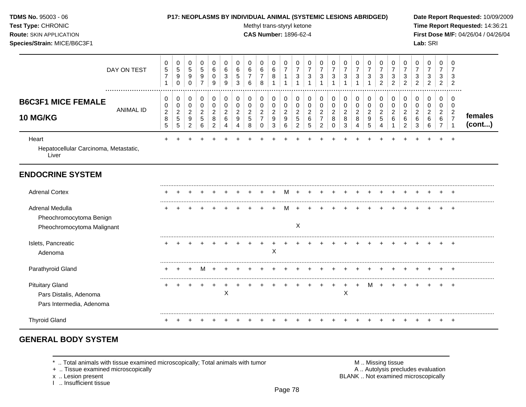**Test Type:** CHRONIC **The Report Requested:** 14:36:21 **Route:** SKIN APPLICATION **CAS Number:** 1896-62-4 **First Dose M/F:** 04/26/04 / 04/26/04 **Species/Strain:** MICE/B6C3F1 **Lab:** SRI

| DAY ON TEST                                                                  | 0<br>$\mathbf 5$<br>$\overline{7}$<br>$\mathbf{1}$ | 0<br>$\,$ 5 $\,$<br>9<br>$\mathbf 0$         | 0<br>$\sqrt{5}$<br>9<br>$\Omega$                | 0<br>$\sqrt{5}$<br>9<br>$\overline{7}$ | 0<br>6<br>0<br>9                   | 0<br>6<br>3<br>9                   | 0<br>6<br>$\sqrt{5}$<br>3 | 0<br>6<br>$\overline{7}$<br>6      | 0<br>$\,6\,$<br>$\overline{7}$<br>8                    | 0<br>6<br>8<br>$\overline{1}$      | 0<br>$\overline{7}$<br>$\mathbf 1$ | 0<br>$\overline{7}$<br>3                        | 0<br>$\overline{7}$<br>3           | 0<br>7<br>3                                | 0<br>$\overline{7}$<br>3                  | 0<br>$\overline{7}$<br>$\mathbf{3}$ | 0<br>$\boldsymbol{7}$<br>$\sqrt{3}$                     | 0<br>$\boldsymbol{7}$<br>3<br>$\mathbf{1}$ | 0<br>$\boldsymbol{7}$<br>$\sqrt{3}$<br>$\overline{c}$     | 0<br>$\overline{7}$<br>$\mathbf{3}$<br>$\overline{2}$ | 0<br>$\overline{7}$<br>3<br>2      | 0<br>$\overline{7}$<br>3<br>2 | 0<br>$\overline{7}$<br>3<br>2      | 0<br>$\overline{7}$<br>3<br>$\overline{2}$      | $\Omega$<br>$\overline{2}$                      |                   |
|------------------------------------------------------------------------------|----------------------------------------------------|----------------------------------------------|-------------------------------------------------|----------------------------------------|------------------------------------|------------------------------------|---------------------------|------------------------------------|--------------------------------------------------------|------------------------------------|------------------------------------|-------------------------------------------------|------------------------------------|--------------------------------------------|-------------------------------------------|-------------------------------------|---------------------------------------------------------|--------------------------------------------|-----------------------------------------------------------|-------------------------------------------------------|------------------------------------|-------------------------------|------------------------------------|-------------------------------------------------|-------------------------------------------------|-------------------|
| <b>B6C3F1 MICE FEMALE</b><br><b>ANIMAL ID</b><br>10 MG/KG                    | 0<br>0<br>$\overline{c}$<br>$\bf 8$<br>5           | 0<br>0<br>$\overline{c}$<br>$\,$ 5 $\,$<br>5 | 0<br>0<br>$\overline{2}$<br>9<br>$\overline{2}$ | 0<br>0<br>$\overline{c}$<br>5<br>6     | 0<br>0<br>$\overline{2}$<br>8<br>2 | 0<br>0<br>$\overline{c}$<br>6<br>4 | 0<br>0<br>2<br>9<br>4     | 0<br>0<br>$\overline{c}$<br>5<br>8 | 0<br>0<br>$\overline{2}$<br>$\overline{7}$<br>$\Omega$ | 0<br>0<br>$\overline{a}$<br>9<br>3 | 0<br>0<br>$\sqrt{2}$<br>9<br>6     | 0<br>0<br>$\overline{c}$<br>5<br>$\overline{c}$ | 0<br>0<br>$\overline{2}$<br>6<br>5 | 0<br>0<br>$\overline{c}$<br>$\overline{2}$ | 0<br>0<br>$\overline{2}$<br>8<br>$\Omega$ | 0<br>0<br>$\overline{2}$<br>8<br>3  | 0<br>$\pmb{0}$<br>$\overline{c}$<br>8<br>$\overline{4}$ | 0<br>0<br>$\overline{c}$<br>9<br>5         | 0<br>$\pmb{0}$<br>$\boldsymbol{2}$<br>5<br>$\overline{4}$ | 0<br>0<br>$\overline{2}$<br>6                         | 0<br>0<br>$\overline{c}$<br>6<br>2 | 0<br>0<br>2<br>6<br>3         | 0<br>0<br>$\overline{2}$<br>6<br>6 | 0<br>0<br>$\overline{2}$<br>6<br>$\overline{7}$ | 0<br>0<br>$\overline{c}$<br>$\overline{7}$<br>1 | females<br>(cont) |
| Heart<br>Hepatocellular Carcinoma, Metastatic,<br>Liver                      |                                                    |                                              |                                                 |                                        |                                    |                                    |                           |                                    |                                                        |                                    |                                    |                                                 |                                    |                                            |                                           |                                     |                                                         |                                            |                                                           |                                                       |                                    |                               |                                    |                                                 |                                                 |                   |
| <b>ENDOCRINE SYSTEM</b>                                                      |                                                    |                                              |                                                 |                                        |                                    |                                    |                           |                                    |                                                        |                                    |                                    |                                                 |                                    |                                            |                                           |                                     |                                                         |                                            |                                                           |                                                       |                                    |                               |                                    |                                                 |                                                 |                   |
| <b>Adrenal Cortex</b>                                                        |                                                    |                                              |                                                 |                                        |                                    |                                    |                           |                                    |                                                        |                                    |                                    |                                                 |                                    |                                            |                                           |                                     |                                                         |                                            |                                                           |                                                       |                                    |                               |                                    |                                                 |                                                 |                   |
| Adrenal Medulla<br>Pheochromocytoma Benign<br>Pheochromocytoma Malignant     | ٠                                                  |                                              |                                                 |                                        |                                    |                                    |                           |                                    |                                                        |                                    |                                    | X                                               |                                    |                                            |                                           |                                     |                                                         |                                            |                                                           |                                                       |                                    |                               |                                    |                                                 | $+$                                             |                   |
| Islets, Pancreatic<br>Adenoma                                                |                                                    |                                              |                                                 |                                        |                                    |                                    |                           |                                    |                                                        | X                                  |                                    |                                                 |                                    |                                            |                                           |                                     |                                                         |                                            |                                                           |                                                       |                                    |                               |                                    |                                                 |                                                 |                   |
| Parathyroid Gland                                                            | ÷                                                  |                                              |                                                 | M                                      |                                    |                                    |                           |                                    |                                                        |                                    |                                    |                                                 |                                    |                                            |                                           |                                     |                                                         |                                            |                                                           |                                                       |                                    |                               |                                    |                                                 | +                                               |                   |
| <b>Pituitary Gland</b><br>Pars Distalis, Adenoma<br>Pars Intermedia, Adenoma |                                                    |                                              |                                                 |                                        |                                    | X                                  |                           |                                    |                                                        |                                    |                                    |                                                 |                                    |                                            |                                           | Χ                                   |                                                         | м                                          | $\ddot{}$                                                 |                                                       |                                    |                               |                                    |                                                 | $+$                                             |                   |

Thyroid Gland + + + + + + + + + + + + + + + + + + + + + + + + +

# **GENERAL BODY SYSTEM**

\* .. Total animals with tissue examined microscopically; Total animals with tumor **M** . Missing tissue M .. Missing tissue<br>  $\blacksquare$  . Tissue examined microscopically<br>  $\blacksquare$  . Autolysis precludes evaluation

+ .. Tissue examined microscopically

I .. Insufficient tissue

x .. Lesion present **BLANK** .. Not examined microscopically

.........................................................................................................................................................................................................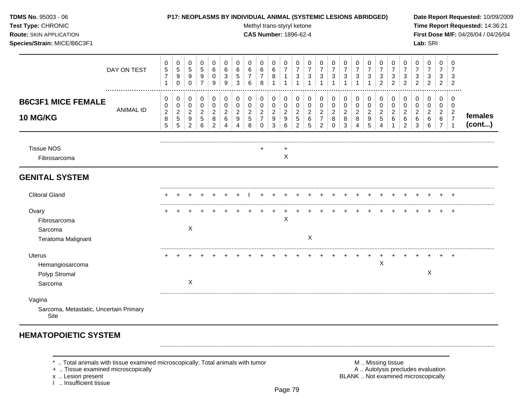**TDMS No. 95003 - 06** Test Type: CHRONIC

**Route: SKIN APPLICATION** 

Species/Strain: MICE/B6C3F1

## P17: NEOPLASMS BY INDIVIDUAL ANIMAL (SYSTEMIC LESIONS ABRIDGED)

Methyl trans-styryl ketone

**CAS Number: 1896-62-4** 

Date Report Requested: 10/09/2009 Time Report Requested: 14:36:21 First Dose M/F: 04/26/04 / 04/26/04 Lab: SRI

|                                                              | DAY ON TEST      | 0<br>$\mathbf 5$<br>$\overline{7}$<br>$\mathbf{1}$ | 0<br>$\sqrt{5}$<br>9<br>$\mathbf 0$                  | 0<br>5<br>9<br>$\mathbf 0$                      | 0<br>$\sqrt{5}$<br>9<br>$\overline{7}$       | 0<br>6<br>0<br>9                             | 0<br>6<br>3<br>9              | 0<br>6<br>5<br>3              | 0<br>6<br>$\overline{7}$<br>6               | 0<br>6<br>$\overline{7}$<br>8                                    | 0<br>6<br>8<br>1                             | 0<br>$\overline{7}$<br>1           | 0<br>$\overline{7}$<br>3                        | 0<br>$\overline{7}$<br>3 | 0<br>$\overline{7}$<br>3                                               | 0<br>$\overline{7}$<br>3     | 0<br>$\overline{7}$<br>$\sqrt{3}$            | 0<br>$\overline{7}$<br>3<br>$\overline{ }$      | 0<br>$\overline{7}$<br>3<br>1                | 0<br>$\overline{7}$<br>$\ensuremath{\mathsf{3}}$<br>$\overline{2}$ | 0<br>$\overline{7}$<br>3<br>$\overline{2}$ | 0<br>$\overline{7}$<br>3<br>$\overline{c}$ | 0<br>$\overline{7}$<br>3<br>$\overline{2}$ | 0<br>$\overline{7}$<br>3<br>$\overline{2}$   | 0<br>$\overline{7}$<br>3<br>$\overline{2}$                      | 0<br>$\overline{2}$                                                                 |                   |
|--------------------------------------------------------------|------------------|----------------------------------------------------|------------------------------------------------------|-------------------------------------------------|----------------------------------------------|----------------------------------------------|-------------------------------|-------------------------------|---------------------------------------------|------------------------------------------------------------------|----------------------------------------------|------------------------------------|-------------------------------------------------|--------------------------|------------------------------------------------------------------------|------------------------------|----------------------------------------------|-------------------------------------------------|----------------------------------------------|--------------------------------------------------------------------|--------------------------------------------|--------------------------------------------|--------------------------------------------|----------------------------------------------|-----------------------------------------------------------------|-------------------------------------------------------------------------------------|-------------------|
| <b>B6C3F1 MICE FEMALE</b><br><b>10 MG/KG</b>                 | <b>ANIMAL ID</b> | 0<br>0<br>$\overline{c}$<br>8<br>5                 | 0<br>0<br>$\overline{c}$<br>$\sqrt{5}$<br>$\sqrt{5}$ | 0<br>0<br>$\overline{2}$<br>9<br>$\overline{2}$ | 0<br>$\mathbf 0$<br>$\overline{c}$<br>5<br>6 | 0<br>$\mathbf 0$<br>$\overline{2}$<br>8<br>2 | 0<br>0<br>$\overline{2}$<br>6 | 0<br>0<br>$\overline{2}$<br>9 | 0<br>0<br>$\overline{2}$<br>$\sqrt{5}$<br>8 | 0<br>$\mathbf 0$<br>$\overline{2}$<br>$\overline{7}$<br>$\Omega$ | 0<br>$\mathbf 0$<br>$\overline{2}$<br>9<br>3 | 0<br>0<br>$\overline{2}$<br>9<br>6 | 0<br>0<br>$\overline{2}$<br>5<br>$\overline{2}$ | 0<br>0<br>2<br>6<br>5    | 0<br>$\mathbf 0$<br>$\overline{2}$<br>$\overline{7}$<br>$\overline{2}$ | 0<br>0<br>2<br>8<br>$\Omega$ | 0<br>$\mathbf 0$<br>$\overline{a}$<br>8<br>3 | 0<br>0<br>$\overline{c}$<br>8<br>$\overline{4}$ | 0<br>$\mathbf 0$<br>$\overline{2}$<br>9<br>5 | 0<br>$\pmb{0}$<br>$\overline{c}$<br>$\mathbf 5$<br>$\overline{4}$  | 0<br>$\mathbf 0$<br>$\overline{2}$<br>6    | 0<br>0<br>$\overline{2}$<br>6<br>2         | 0<br>$\Omega$<br>$\overline{2}$<br>6<br>3  | 0<br>$\mathbf 0$<br>$\overline{2}$<br>6<br>6 | 0<br>$\mathbf 0$<br>$\overline{c}$<br>$\,6\,$<br>$\overline{7}$ | $\Omega$<br>$\Omega$<br>$\overline{c}$<br>$\overline{7}$<br>$\overline{\mathbf{1}}$ | females<br>(cont) |
| <b>Tissue NOS</b><br>Fibrosarcoma                            |                  |                                                    |                                                      |                                                 |                                              |                                              |                               |                               |                                             | +                                                                |                                              | $\boldsymbol{\mathsf{X}}$          |                                                 |                          |                                                                        |                              |                                              |                                                 |                                              |                                                                    |                                            |                                            |                                            |                                              |                                                                 |                                                                                     |                   |
| <b>GENITAL SYSTEM</b>                                        |                  |                                                    |                                                      |                                                 |                                              |                                              |                               |                               |                                             |                                                                  |                                              |                                    |                                                 |                          |                                                                        |                              |                                              |                                                 |                                              |                                                                    |                                            |                                            |                                            |                                              |                                                                 |                                                                                     |                   |
| <b>Clitoral Gland</b>                                        |                  |                                                    |                                                      |                                                 |                                              |                                              |                               |                               |                                             |                                                                  |                                              |                                    |                                                 |                          |                                                                        |                              |                                              |                                                 |                                              |                                                                    |                                            |                                            |                                            |                                              |                                                                 |                                                                                     |                   |
| Ovary<br>Fibrosarcoma<br>Sarcoma<br>Teratoma Malignant       |                  |                                                    |                                                      | $\times$                                        |                                              |                                              |                               |                               |                                             |                                                                  |                                              | X                                  |                                                 | X                        |                                                                        |                              |                                              |                                                 |                                              |                                                                    |                                            |                                            |                                            |                                              |                                                                 |                                                                                     |                   |
| <b>Uterus</b><br>Hemangiosarcoma<br>Polyp Stromal<br>Sarcoma |                  |                                                    |                                                      | X                                               |                                              |                                              |                               |                               |                                             |                                                                  |                                              |                                    |                                                 |                          |                                                                        |                              |                                              |                                                 |                                              | X                                                                  |                                            |                                            |                                            | X                                            |                                                                 |                                                                                     |                   |
| Vagina<br>Sarcoma, Metastatic, Uncertain Primary<br>Site     |                  |                                                    |                                                      |                                                 |                                              |                                              |                               |                               |                                             |                                                                  |                                              |                                    |                                                 |                          |                                                                        |                              |                                              |                                                 |                                              |                                                                    |                                            |                                            |                                            |                                              |                                                                 |                                                                                     |                   |

# **HEMATOPOIETIC SYSTEM**

- \* .. Total animals with tissue examined microscopically; Total animals with tumor
- + .. Tissue examined microscopically
- x .. Lesion present
- 1 .. Insufficient tissue

M .. Missing tissue A .. Autolysis precludes evaluation BLANK .. Not examined microscopically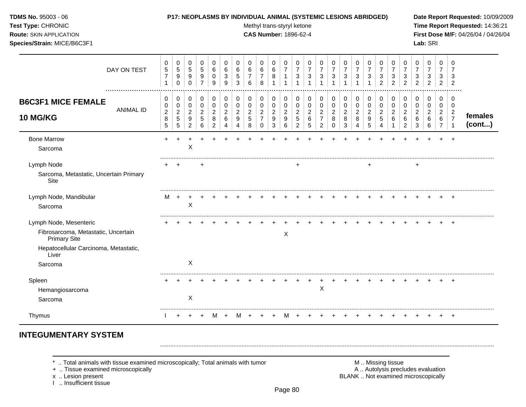**Test Type:** CHRONIC **Trans-styryl ketone** Methyl trans-styryl ketone **Time Report Requested:** 14:36:21 **Route:** SKIN APPLICATION **CAS Number:** 1896-62-4 **First Dose M/F:** 04/26/04 / 04/26/04

**Species/Strain:** MICE/B6C3F1 **Lab:** SRI

|                                                                                                                                                   | DAY ON TEST      | 0<br>$\,$ 5 $\,$<br>$\overline{7}$<br>$\mathbf{1}$ | 0<br>$\,$ 5 $\,$<br>9<br>$\mathbf 0$              | 0<br>$\sqrt{5}$<br>$\boldsymbol{9}$<br>$\mathbf 0$      | 0<br>$\sqrt{5}$<br>9<br>$\overline{7}$       | 0<br>6<br>$\,0\,$<br>9                                          | 0<br>6<br>3<br>9                             | 0<br>6<br>$\mathbf 5$<br>3    | 0<br>6<br>$\overline{7}$<br>6             | 0<br>$\,6$<br>$\overline{7}$<br>8                                | 0<br>6<br>8                                   | 0<br>$\overline{7}$<br>$\mathbf{1}$<br>$\mathbf{1}$ | 0<br>$\overline{7}$<br>3<br>$\overline{1}$                | 0<br>$\overline{7}$<br>$\sqrt{3}$            | 0<br>$\overline{7}$<br>3                        | 0<br>$\overline{7}$<br>3                  | 0<br>$\overline{7}$<br>3                                | 0<br>$\overline{7}$<br>$\mathsf 3$                      | 0<br>$\overline{7}$<br>$\sqrt{3}$<br>$\overline{1}$ | 0<br>$\overline{7}$<br>$\sqrt{3}$<br>$\overline{2}$ | 0<br>$\overline{7}$<br>3<br>$\overline{2}$ | 0<br>7<br>3<br>$\overline{2}$      | 0<br>7<br>3<br>$\overline{2}$             | 0<br>$\overline{7}$<br>3<br>$\overline{c}$   | 0<br>$\overline{7}$<br>$\mathbf{3}$<br>$\overline{c}$ | 0<br>$\overline{7}$<br>3<br>$\overline{2}$                             |                   |
|---------------------------------------------------------------------------------------------------------------------------------------------------|------------------|----------------------------------------------------|---------------------------------------------------|---------------------------------------------------------|----------------------------------------------|-----------------------------------------------------------------|----------------------------------------------|-------------------------------|-------------------------------------------|------------------------------------------------------------------|-----------------------------------------------|-----------------------------------------------------|-----------------------------------------------------------|----------------------------------------------|-------------------------------------------------|-------------------------------------------|---------------------------------------------------------|---------------------------------------------------------|-----------------------------------------------------|-----------------------------------------------------|--------------------------------------------|------------------------------------|-------------------------------------------|----------------------------------------------|-------------------------------------------------------|------------------------------------------------------------------------|-------------------|
| <b>B6C3F1 MICE FEMALE</b><br><b>10 MG/KG</b>                                                                                                      | <b>ANIMAL ID</b> | 0<br>0<br>$\sqrt{2}$<br>$\bf 8$<br>5               | 0<br>$\,0\,$<br>$\overline{c}$<br>$\sqrt{5}$<br>5 | 0<br>$\pmb{0}$<br>$\overline{c}$<br>9<br>$\overline{c}$ | 0<br>$\pmb{0}$<br>$\boldsymbol{2}$<br>5<br>6 | $\,0\,$<br>$\pmb{0}$<br>$\boldsymbol{2}$<br>8<br>$\overline{c}$ | 0<br>$\mathbf 0$<br>$\overline{2}$<br>6<br>4 | 0<br>0<br>$\overline{c}$<br>9 | 0<br>$\Omega$<br>$\overline{2}$<br>5<br>8 | 0<br>$\mathbf 0$<br>$\overline{c}$<br>$\overline{7}$<br>$\Omega$ | 0<br>0<br>$\overline{c}$<br>9<br>$\mathbf{3}$ | 0<br>$\mathbf 0$<br>$\overline{c}$<br>9<br>6        | 0<br>$\mathbf 0$<br>$\overline{c}$<br>5<br>$\overline{c}$ | 0<br>$\mathbf 0$<br>$\overline{2}$<br>6<br>5 | 0<br>0<br>$\overline{2}$<br>$\overline{7}$<br>2 | 0<br>0<br>$\overline{2}$<br>8<br>$\Omega$ | 0<br>$\mathbf 0$<br>$\overline{2}$<br>8<br>$\mathbf{3}$ | 0<br>$\pmb{0}$<br>$\overline{c}$<br>8<br>$\overline{4}$ | 0<br>$\mathbf 0$<br>$\overline{c}$<br>9<br>5        | 0<br>$\pmb{0}$<br>$\overline{c}$<br>5<br>4          | 0<br>0<br>$\overline{2}$<br>6              | 0<br>0<br>$\overline{c}$<br>6<br>2 | 0<br>$\Omega$<br>$\overline{2}$<br>6<br>3 | 0<br>$\mathbf 0$<br>$\overline{2}$<br>6<br>6 | 0<br>0<br>$\overline{c}$<br>$\,6\,$<br>$\overline{7}$ | 0<br>$\mathbf 0$<br>$\overline{c}$<br>$\overline{7}$<br>$\overline{1}$ | females<br>(cont) |
| <b>Bone Marrow</b><br>Sarcoma                                                                                                                     |                  | +                                                  | $\ddot{}$                                         | Χ                                                       |                                              |                                                                 |                                              |                               |                                           |                                                                  |                                               |                                                     |                                                           |                                              |                                                 |                                           |                                                         |                                                         |                                                     |                                                     |                                            |                                    |                                           |                                              |                                                       | $\overline{+}$                                                         |                   |
| Lymph Node<br>Sarcoma, Metastatic, Uncertain Primary<br>Site                                                                                      |                  |                                                    |                                                   |                                                         |                                              |                                                                 |                                              |                               |                                           |                                                                  |                                               |                                                     | $\ddot{}$                                                 |                                              |                                                 |                                           |                                                         |                                                         |                                                     |                                                     |                                            |                                    | ٠                                         |                                              |                                                       |                                                                        |                   |
| Lymph Node, Mandibular<br>Sarcoma                                                                                                                 |                  | M                                                  | $\ddot{}$                                         | Χ                                                       |                                              |                                                                 |                                              |                               |                                           |                                                                  |                                               |                                                     |                                                           |                                              |                                                 |                                           |                                                         |                                                         |                                                     |                                                     |                                            |                                    |                                           |                                              |                                                       |                                                                        |                   |
| Lymph Node, Mesenteric<br>Fibrosarcoma, Metastatic, Uncertain<br><b>Primary Site</b><br>Hepatocellular Carcinoma, Metastatic,<br>Liver<br>Sarcoma |                  |                                                    |                                                   | X                                                       |                                              |                                                                 |                                              |                               |                                           |                                                                  |                                               | $\mathsf X$                                         |                                                           |                                              |                                                 |                                           |                                                         |                                                         |                                                     |                                                     |                                            |                                    |                                           |                                              |                                                       | $\overline{+}$                                                         |                   |
| Spleen<br>Hemangiosarcoma<br>Sarcoma                                                                                                              |                  |                                                    |                                                   | X                                                       |                                              |                                                                 |                                              |                               |                                           |                                                                  |                                               |                                                     |                                                           |                                              | $\times$                                        |                                           |                                                         |                                                         |                                                     |                                                     |                                            |                                    |                                           |                                              |                                                       | $\ddot{}$                                                              |                   |
| Thymus                                                                                                                                            |                  |                                                    | $\ddot{}$                                         | $+$                                                     | $+$                                          | $M +$                                                           |                                              | $M +$                         |                                           | $+$                                                              | $\ddot{}$                                     | M                                                   | $\ddot{}$                                                 |                                              |                                                 |                                           |                                                         |                                                         |                                                     |                                                     |                                            |                                    |                                           |                                              | $\ddot{}$                                             | $+$                                                                    |                   |

# **INTEGUMENTARY SYSTEM**

\* .. Total animals with tissue examined microscopically; Total animals with tumor <br>
+ .. Tissue examined microscopically<br>
+ .. Tissue examined microscopically

+ .. Tissue examined microscopically

I .. Insufficient tissue

x .. Lesion present **BLANK** .. Not examined microscopically

.........................................................................................................................................................................................................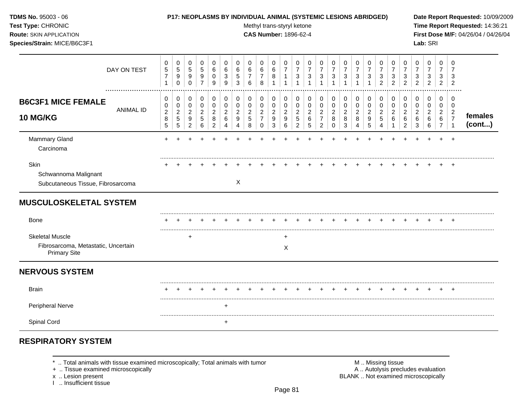**Test Type:** CHRONIC **Trans-styryl ketone** Methyl trans-styryl ketone **Time Report Requested:** 14:36:21 **Route:** SKIN APPLICATION **CAS Number:** 1896-62-4 **First Dose M/F:** 04/26/04 / 04/26/04

| Species/Strain: MICE/B6C3F1                                                          |                  |                                                               |                                                                  |                                                         |                                              |                                                                     |                                                                   |                                                                 |                                                                   |                                                   |                                |                                    |                                                                    |                                                       |                                                         |                                            |                                    |                                                  |                                               |                                                                            |                                                       |                                                 |                                                                 |                                                     |                                                                              |                                              |                   |
|--------------------------------------------------------------------------------------|------------------|---------------------------------------------------------------|------------------------------------------------------------------|---------------------------------------------------------|----------------------------------------------|---------------------------------------------------------------------|-------------------------------------------------------------------|-----------------------------------------------------------------|-------------------------------------------------------------------|---------------------------------------------------|--------------------------------|------------------------------------|--------------------------------------------------------------------|-------------------------------------------------------|---------------------------------------------------------|--------------------------------------------|------------------------------------|--------------------------------------------------|-----------------------------------------------|----------------------------------------------------------------------------|-------------------------------------------------------|-------------------------------------------------|-----------------------------------------------------------------|-----------------------------------------------------|------------------------------------------------------------------------------|----------------------------------------------|-------------------|
|                                                                                      | DAY ON TEST      | $\mathbf 0$<br>$\sqrt{5}$<br>$\overline{7}$<br>$\overline{1}$ | $\mathbf 0$<br>$\overline{5}$<br>$\boldsymbol{9}$<br>$\mathbf 0$ | 0<br>5<br>9<br>$\mathbf 0$                              | 0<br>$\,$ 5 $\,$<br>9<br>$\overline{7}$      | $\mathbf 0$<br>6<br>$\pmb{0}$<br>9                                  | $\mathbf 0$<br>6<br>$\ensuremath{\mathsf{3}}$<br>9                | $\mathbf 0$<br>6<br>$\,$ 5 $\,$<br>3                            | $\mathbf 0$<br>6<br>$\overline{7}$<br>6                           | $\overline{0}$<br>6<br>$\overline{7}$<br>8        | 0<br>6<br>8                    | 0<br>$\overline{7}$<br>1           | 0<br>$\overline{7}$<br>$\ensuremath{\mathsf{3}}$<br>$\overline{1}$ | 0<br>$\overline{7}$<br>$\ensuremath{\mathsf{3}}$<br>1 | 0<br>$\overline{7}$<br>3<br>1                           | $\mathbf 0$<br>$\overline{7}$<br>3         | 0<br>7<br>3                        | 0<br>$\overline{7}$<br>$\ensuremath{\mathsf{3}}$ | $\mathbf 0$<br>$\overline{7}$<br>$\mathbf{3}$ | $\pmb{0}$<br>$\overline{7}$<br>$\ensuremath{\mathsf{3}}$<br>$\overline{2}$ | 0<br>$\overline{7}$<br>$\ensuremath{\mathsf{3}}$<br>2 | 0<br>7<br>3<br>2                                | $\mathbf 0$<br>$\overline{7}$<br>$\mathbf{3}$<br>$\overline{2}$ | 0<br>$\overline{7}$<br>$\sqrt{3}$<br>$\overline{2}$ | $\mathbf 0$<br>$\overline{7}$<br>$\ensuremath{\mathsf{3}}$<br>$\overline{2}$ | $\mathbf 0$<br>7<br>3<br>$\overline{2}$      |                   |
| <b>B6C3F1 MICE FEMALE</b><br>10 MG/KG                                                | <b>ANIMAL ID</b> | 0<br>0<br>$\sqrt{2}$<br>$\bf8$<br>5                           | 0<br>$\mathbf 0$<br>$\sqrt{2}$<br>$\sqrt{5}$<br>$\sqrt{5}$       | $\pmb{0}$<br>0<br>$\overline{c}$<br>9<br>$\overline{a}$ | $\mathbf 0$<br>0<br>$\overline{a}$<br>5<br>6 | $\pmb{0}$<br>$\mathbf 0$<br>$\sqrt{2}$<br>$\,8\,$<br>$\overline{c}$ | $\pmb{0}$<br>$\mathbf 0$<br>$\overline{c}$<br>6<br>$\overline{4}$ | $\,0\,$<br>$\mathbf 0$<br>$\overline{c}$<br>9<br>$\overline{4}$ | $\pmb{0}$<br>$\mathbf 0$<br>$\overline{c}$<br>$\overline{5}$<br>8 | 0<br>$\mathbf 0$<br>$\overline{c}$<br>$\mathbf 0$ | 0<br>0<br>$\sqrt{2}$<br>9<br>3 | 0<br>0<br>$\overline{c}$<br>9<br>6 | 0<br>0<br>$\overline{c}$<br>$\sqrt{5}$<br>$\overline{c}$           | 0<br>$\mathbf 0$<br>$\overline{c}$<br>6<br>5          | 0<br>$\pmb{0}$<br>$\overline{c}$<br>7<br>$\overline{c}$ | $\pmb{0}$<br>0<br>$\overline{c}$<br>8<br>0 | 0<br>0<br>$\overline{c}$<br>8<br>3 | 0<br>0<br>$\overline{a}$<br>$\,8\,$<br>4         | 0<br>0<br>$\overline{c}$<br>9<br>5            | 0<br>$\mathbf 0$<br>$\overline{c}$<br>$\sqrt{5}$<br>4                      | 0<br>$\mathbf 0$<br>$\overline{c}$<br>6<br>1          | 0<br>0<br>$\overline{c}$<br>6<br>$\overline{2}$ | 0<br>$\mathbf 0$<br>$\overline{2}$<br>6<br>3                    | 0<br>$\mathbf 0$<br>$\overline{2}$<br>6<br>6        | 0<br>0<br>$\overline{c}$<br>6<br>$\overline{7}$                              | 0<br>0<br>$\sqrt{2}$<br>$\overline{7}$<br>-1 | females<br>(cont) |
| <b>Mammary Gland</b><br>Carcinoma                                                    |                  | $\div$                                                        |                                                                  |                                                         |                                              |                                                                     |                                                                   |                                                                 |                                                                   |                                                   |                                |                                    |                                                                    |                                                       |                                                         |                                            |                                    |                                                  |                                               |                                                                            |                                                       |                                                 |                                                                 |                                                     |                                                                              | $\overline{ }$                               |                   |
| Skin                                                                                 |                  |                                                               |                                                                  |                                                         |                                              |                                                                     |                                                                   |                                                                 |                                                                   |                                                   |                                |                                    |                                                                    |                                                       |                                                         |                                            |                                    |                                                  |                                               |                                                                            |                                                       |                                                 |                                                                 |                                                     |                                                                              | $\overline{ }$                               |                   |
| Schwannoma Malignant<br>Subcutaneous Tissue, Fibrosarcoma                            |                  |                                                               |                                                                  |                                                         |                                              |                                                                     |                                                                   | $\mathsf X$                                                     |                                                                   |                                                   |                                |                                    |                                                                    |                                                       |                                                         |                                            |                                    |                                                  |                                               |                                                                            |                                                       |                                                 |                                                                 |                                                     |                                                                              |                                              |                   |
|                                                                                      |                  |                                                               |                                                                  |                                                         |                                              |                                                                     |                                                                   |                                                                 |                                                                   |                                                   |                                |                                    |                                                                    |                                                       |                                                         |                                            |                                    |                                                  |                                               |                                                                            |                                                       |                                                 |                                                                 |                                                     |                                                                              |                                              |                   |
| Bone                                                                                 |                  |                                                               |                                                                  |                                                         |                                              |                                                                     |                                                                   |                                                                 |                                                                   |                                                   |                                |                                    |                                                                    |                                                       |                                                         |                                            |                                    |                                                  |                                               |                                                                            |                                                       |                                                 |                                                                 |                                                     |                                                                              |                                              |                   |
| <b>Skeletal Muscle</b><br>Fibrosarcoma, Metastatic, Uncertain<br><b>Primary Site</b> |                  |                                                               |                                                                  | $\ddot{}$                                               |                                              |                                                                     |                                                                   |                                                                 |                                                                   |                                                   |                                | $\ddot{}$<br>X                     |                                                                    |                                                       |                                                         |                                            |                                    |                                                  |                                               |                                                                            |                                                       |                                                 |                                                                 |                                                     |                                                                              |                                              |                   |
|                                                                                      |                  |                                                               |                                                                  |                                                         |                                              |                                                                     |                                                                   |                                                                 |                                                                   |                                                   |                                |                                    |                                                                    |                                                       |                                                         |                                            |                                    |                                                  |                                               |                                                                            |                                                       |                                                 |                                                                 |                                                     |                                                                              |                                              |                   |
| <b>Brain</b>                                                                         |                  |                                                               |                                                                  |                                                         |                                              |                                                                     |                                                                   |                                                                 |                                                                   |                                                   |                                |                                    |                                                                    |                                                       |                                                         |                                            |                                    |                                                  |                                               |                                                                            |                                                       |                                                 |                                                                 |                                                     |                                                                              |                                              |                   |
| <b>MUSCULOSKELETAL SYSTEM</b><br><b>NERVOUS SYSTEM</b><br><b>Peripheral Nerve</b>    |                  |                                                               |                                                                  |                                                         |                                              |                                                                     | ÷                                                                 |                                                                 |                                                                   |                                                   |                                |                                    |                                                                    |                                                       |                                                         |                                            |                                    |                                                  |                                               |                                                                            |                                                       |                                                 |                                                                 |                                                     |                                                                              |                                              |                   |

\* .. Total animals with tissue examined microscopically; Total animals with tumor <br>
+ .. Tissue examined microscopically<br>
+ .. Tissue examined microscopically

+ .. Tissue examined microscopically

x .. Lesion present<br>I .. Insufficient tissue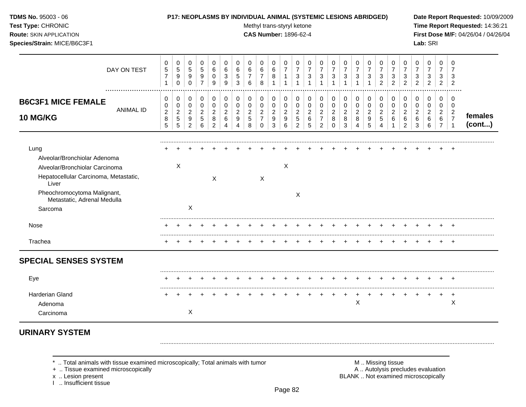Test Type: CHRONIC **Test Type:** CHRONIC **Test Type:** CHRONIC **Time Report Requested:** 14:36:21 **Route:** SKIN APPLICATION **CAS Number:** 1896-62-4 **First Dose M/F:** 04/26/04 / 04/26/04 **Species/Strain:** MICE/B6C3F1 **Lab:** SRI

| DAY ON TEST                                                                                                                                                                            | 0<br>$\sqrt{5}$<br>$\overline{7}$<br>$\mathbf{1}$ | 0<br>$\sqrt{5}$<br>$9\,$<br>0                          | 0<br>5<br>$\boldsymbol{9}$<br>$\pmb{0}$                   | 0<br>5<br>9<br>$\overline{7}$             | 0<br>6<br>0<br>9                          | 0<br>6<br>$\mathbf{3}$<br>9               | $\mathbf 0$<br>6<br>$\,$ 5 $\,$<br>3         | 0<br>6<br>$\overline{7}$<br>6               | 0<br>6<br>$\overline{7}$<br>8                                    | 0<br>6<br>8<br>1                             | 0<br>$\overline{7}$<br>1<br>1             | 0<br>$\overline{7}$<br>3                        | 0<br>$\overline{7}$<br>3                     | 0<br>$\overline{7}$<br>3                                     | 0<br>$\overline{7}$<br>$\ensuremath{\mathsf{3}}$    | 0<br>$\overline{7}$<br>$\sqrt{3}$<br>1 | 0<br>$\overline{7}$<br>3<br>1                | $\mathbf 0$<br>7<br>$\mathbf{3}$             | 0<br>7<br>3<br>$\overline{2}$      | $\Omega$<br>3<br>$\overline{2}$ | 0<br>7<br>3<br>$\overline{c}$                             | 0<br>7<br>$\sqrt{3}$<br>$\overline{c}$ | 0<br>7<br>$\sqrt{3}$<br>$\overline{\mathbf{c}}$ | $\mathbf 0$<br>7<br>3<br>$\overline{a}$         | $\Omega$<br>7<br>3<br>$\overline{2}$                                                      |                   |
|----------------------------------------------------------------------------------------------------------------------------------------------------------------------------------------|---------------------------------------------------|--------------------------------------------------------|-----------------------------------------------------------|-------------------------------------------|-------------------------------------------|-------------------------------------------|----------------------------------------------|---------------------------------------------|------------------------------------------------------------------|----------------------------------------------|-------------------------------------------|-------------------------------------------------|----------------------------------------------|--------------------------------------------------------------|-----------------------------------------------------|----------------------------------------|----------------------------------------------|----------------------------------------------|------------------------------------|---------------------------------|-----------------------------------------------------------|----------------------------------------|-------------------------------------------------|-------------------------------------------------|-------------------------------------------------------------------------------------------|-------------------|
| <b>B6C3F1 MICE FEMALE</b><br><b>ANIMAL ID</b><br><b>10 MG/KG</b>                                                                                                                       | 0<br>0<br>$\boldsymbol{2}$<br>8<br>5              | 0<br>$\mathbf 0$<br>$\overline{2}$<br>$\,$ 5 $\,$<br>5 | 0<br>$\mathbf 0$<br>$\overline{c}$<br>9<br>$\overline{2}$ | 0<br>$\Omega$<br>$\overline{2}$<br>5<br>6 | 0<br>$\Omega$<br>$\overline{a}$<br>8<br>2 | 0<br>$\Omega$<br>$\overline{c}$<br>6<br>4 | 0<br>$\mathbf 0$<br>$\overline{c}$<br>9<br>Δ | 0<br>0<br>$\overline{c}$<br>$\sqrt{5}$<br>8 | 0<br>$\mathbf 0$<br>$\overline{c}$<br>$\overline{7}$<br>$\Omega$ | 0<br>$\mathbf 0$<br>$\overline{c}$<br>9<br>3 | 0<br>$\Omega$<br>$\overline{c}$<br>9<br>6 | 0<br>0<br>$\overline{2}$<br>5<br>$\overline{c}$ | 0<br>$\mathbf 0$<br>$\overline{2}$<br>6<br>5 | 0<br>0<br>$\overline{c}$<br>$\overline{7}$<br>$\overline{c}$ | 0<br>$\mathbf 0$<br>$\overline{c}$<br>8<br>$\Omega$ | 0<br>0<br>$\overline{2}$<br>8<br>3     | 0<br>$\mathbf 0$<br>$\overline{c}$<br>8<br>4 | 0<br>$\mathbf 0$<br>$\overline{c}$<br>9<br>5 | 0<br>0<br>$\overline{2}$<br>5<br>Δ | 0<br>$\Omega$<br>2<br>6         | 0<br>$\mathbf 0$<br>$\overline{c}$<br>6<br>$\overline{c}$ | 0<br>0<br>$\overline{2}$<br>6<br>3     | 0<br>$\mathbf 0$<br>$\overline{2}$<br>6<br>6    | 0<br>0<br>$\overline{2}$<br>6<br>$\overline{7}$ | $\mathbf 0$<br>$\mathbf 0$<br>$\overline{c}$<br>$\overline{7}$<br>$\overline{\mathbf{1}}$ | females<br>(cont) |
| Lung<br>Alveolar/Bronchiolar Adenoma<br>Alveolar/Bronchiolar Carcinoma<br>Hepatocellular Carcinoma, Metastatic,<br>Liver<br>Pheochromocytoma Malignant,<br>Metastatic, Adrenal Medulla |                                                   | $\boldsymbol{\mathsf{X}}$                              |                                                           |                                           | X                                         |                                           |                                              |                                             | $\boldsymbol{\mathsf{X}}$                                        |                                              | $\boldsymbol{\mathsf{X}}$                 | $\boldsymbol{\mathsf{X}}$                       |                                              |                                                              |                                                     |                                        |                                              |                                              |                                    |                                 |                                                           |                                        |                                                 |                                                 |                                                                                           |                   |
| Sarcoma<br><b>Nose</b>                                                                                                                                                                 |                                                   |                                                        | X                                                         |                                           |                                           |                                           |                                              |                                             |                                                                  |                                              |                                           |                                                 |                                              |                                                              |                                                     |                                        |                                              |                                              |                                    |                                 |                                                           |                                        |                                                 | $\pm$                                           | $\pm$                                                                                     |                   |
| Trachea                                                                                                                                                                                |                                                   |                                                        |                                                           |                                           |                                           |                                           |                                              |                                             |                                                                  |                                              |                                           |                                                 |                                              |                                                              |                                                     |                                        |                                              |                                              |                                    |                                 | ٠                                                         | $\div$                                 | $\ddot{}$                                       | $+$                                             | $\overline{+}$                                                                            |                   |
| <b>SPECIAL SENSES SYSTEM</b>                                                                                                                                                           |                                                   |                                                        |                                                           |                                           |                                           |                                           |                                              |                                             |                                                                  |                                              |                                           |                                                 |                                              |                                                              |                                                     |                                        |                                              |                                              |                                    |                                 |                                                           |                                        |                                                 |                                                 |                                                                                           |                   |
| Eye                                                                                                                                                                                    |                                                   |                                                        |                                                           |                                           |                                           |                                           |                                              |                                             |                                                                  |                                              |                                           |                                                 |                                              |                                                              |                                                     |                                        |                                              |                                              |                                    |                                 |                                                           |                                        |                                                 |                                                 |                                                                                           |                   |
| <b>Harderian Gland</b><br>Adenoma<br>Carcinoma                                                                                                                                         |                                                   |                                                        | X                                                         |                                           |                                           |                                           |                                              |                                             |                                                                  |                                              |                                           |                                                 |                                              |                                                              |                                                     |                                        | X                                            |                                              |                                    |                                 |                                                           |                                        |                                                 |                                                 | +<br>X                                                                                    |                   |

\* .. Total animals with tissue examined microscopically; Total animals with tumor <br>
+ .. Tissue examined microscopically<br>
+ .. Tissue examined microscopically

+ .. Tissue examined microscopically

x .. Lesion present<br>I .. Insufficient tissue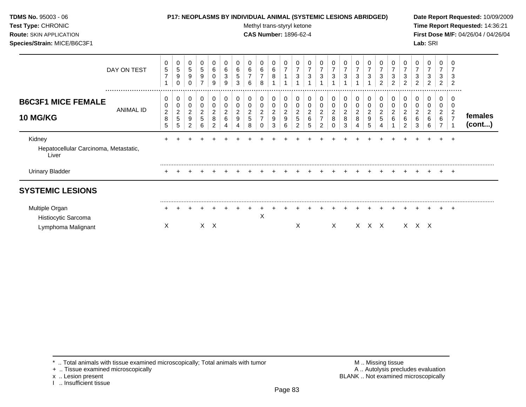**Test Type:** CHRONIC **The Report Requested:** 14:36:21 **Route:** SKIN APPLICATION **CAS Number:** 1896-62-4 **First Dose M/F:** 04/26/04 / 04/26/04 **Species/Strain:** MICE/B6C3F1 **Lab:** SRI

| DAY ON TEST<br>                                             | 0<br>$\sqrt{5}$<br>$\overline{7}$  | 0<br>5<br>9<br>$\mathbf 0$         | 0<br>5<br>9<br>0                   | 0<br>5<br>9                        | 0<br>6<br>0<br>9 | 6<br>3<br>9 | 0<br>6<br>5<br>3                            | 0<br>6<br>7<br>6                            | 0<br>6<br>$\overline{7}$<br>8                   | 0<br>6<br>8      | 0<br>7                               | $\overline{7}$<br>3           | 7<br>3              | 7<br>3                                         | 0<br>$\overline{7}$<br>3            | 0<br>$\overline{7}$<br>3           | 7<br>3                        | 0<br>7<br>3                        | 3<br>2                        | 3<br>2 | 3<br>2           | 0<br>7<br>3<br>$\overline{2}$ | 0<br>$\overline{7}$<br>3<br>2      | 7<br>3<br>2                                     | Ξ.<br>3<br>$\overline{2}$ |                   |
|-------------------------------------------------------------|------------------------------------|------------------------------------|------------------------------------|------------------------------------|------------------|-------------|---------------------------------------------|---------------------------------------------|-------------------------------------------------|------------------|--------------------------------------|-------------------------------|---------------------|------------------------------------------------|-------------------------------------|------------------------------------|-------------------------------|------------------------------------|-------------------------------|--------|------------------|-------------------------------|------------------------------------|-------------------------------------------------|---------------------------|-------------------|
| <b>B6C3F1 MICE FEMALE</b><br>ANIMAL ID<br><b>10 MG/KG</b>   | 0<br>0<br>$\overline{a}$<br>8<br>5 | 0<br>0<br>$\overline{c}$<br>5<br>5 | 0<br>0<br>$\overline{2}$<br>9<br>2 | 0<br>0<br>$\overline{c}$<br>5<br>6 | 0<br>0<br>2<br>8 | 2<br>6      | 0<br>0<br>$\overline{\mathbf{c}}$<br>9<br>4 | 0<br>0<br>$\overline{a}$<br>$\sqrt{5}$<br>8 | 0<br>0<br>$\overline{a}$<br>$\overline{7}$<br>0 | 0<br>2<br>9<br>3 | 0<br>0<br>$\boldsymbol{2}$<br>9<br>6 | 0<br>0<br>$\overline{c}$<br>5 | $\overline{c}$<br>6 | $\sqrt{2}$<br>$\overline{ }$<br>$\overline{2}$ | 0<br>0<br>$\frac{2}{8}$<br>$\Omega$ | 0<br>0<br>$\overline{c}$<br>8<br>3 | 0<br>0<br>$\overline{c}$<br>8 | 0<br>0<br>$\overline{c}$<br>9<br>5 | 0<br>0<br>$\overline{c}$<br>5 | 2<br>6 | 0<br>2<br>6<br>ົ | 0<br>0<br>2<br>6<br>3         | 0<br>0<br>$\overline{2}$<br>6<br>6 | 0<br>0<br>$\overline{2}$<br>6<br>$\overline{7}$ | 0<br>$\frac{2}{7}$        | females<br>(cont) |
| Kidney<br>Hepatocellular Carcinoma, Metastatic,<br>Liver    |                                    |                                    |                                    |                                    |                  |             |                                             |                                             |                                                 |                  |                                      |                               |                     |                                                |                                     |                                    |                               |                                    |                               |        |                  |                               |                                    |                                                 |                           |                   |
| <b>Urinary Bladder</b>                                      | $\pm$                              | $\pm$                              |                                    |                                    |                  |             |                                             |                                             |                                                 |                  |                                      |                               |                     |                                                |                                     |                                    |                               |                                    |                               |        |                  |                               |                                    | $+$                                             | $+$                       |                   |
| <b>SYSTEMIC LESIONS</b>                                     |                                    |                                    |                                    |                                    |                  |             |                                             |                                             |                                                 |                  |                                      |                               |                     |                                                |                                     |                                    |                               |                                    |                               |        |                  |                               |                                    |                                                 |                           |                   |
| Multiple Organ<br>Histiocytic Sarcoma<br>Lymphoma Malignant | X                                  |                                    |                                    |                                    | X X              |             |                                             |                                             | X                                               |                  |                                      | X                             |                     |                                                | X                                   |                                    |                               |                                    | x x x                         |        |                  | $X$ $X$ $X$                   |                                    |                                                 | $\pm$                     |                   |

+ .. Tissue examined microscopically

I .. Insufficient tissue

\* .. Total animals with tissue examined microscopically; Total animals with tumor <br>
+ .. Tissue examined microscopically<br>
+ .. Tissue examined microscopically x .. Lesion present **BLANK** .. Not examined microscopically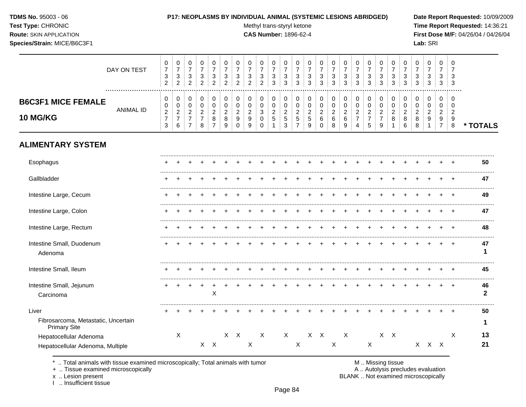**Test Type:** CHRONIC **The Report Requested:** 14:36:21 **Route:** SKIN APPLICATION **CAS Number:** 1896-62-4 **First Dose M/F:** 04/26/04 / 04/26/04 **Species/Strain:** MICE/B6C3F1 **Lab:** SRI

|                           | DAY ON TEST | 0<br>3<br>ົ<br>∠        | 0<br>3<br>2             | دت<br>∼ | U<br>3<br>ົ<br><u>_</u> | U<br>ີ<br>◡<br>ົ<br>_ | 0<br>3<br>ົ | 0<br>3<br>ົ<br><u>.</u> | 0<br>3<br>ົ<br>∠ | - 3<br>3 | υ<br>J<br>-3 | v<br>◠<br>ັ<br>◠<br>ັ | U<br>-2<br>J<br>-2<br>J | U<br>3<br>3 | ົ<br>دت<br>3 | 0<br>3<br>3             | -3<br>3 | 0<br>3<br>3      | 0<br>3<br>ີ<br>◡ | دت | 0<br>3<br>3 | <sup>o</sup><br><sup>o</sup><br>ت | υ<br>3<br>3        | ◡<br>ີ<br>- 0<br>3 | 0<br>З<br>3 |               |
|---------------------------|-------------|-------------------------|-------------------------|---------|-------------------------|-----------------------|-------------|-------------------------|------------------|----------|--------------|-----------------------|-------------------------|-------------|--------------|-------------------------|---------|------------------|------------------|----|-------------|-----------------------------------|--------------------|--------------------|-------------|---------------|
| <b>B6C3F1 MICE FEMALE</b> | ANIMAL ID   | 0<br>0<br>ົ<br><u>.</u> | 0<br>0<br>ົ<br><u>_</u> | ∼       | ີ                       | U<br><u>_</u>         | υ<br>υ<br>≏ | 0<br>0<br>ົ<br><u>_</u> | 0<br>0<br>3      |          |              | v<br>$\sqrt{2}$       | u<br>◠<br>L             | u<br>ົ      | ົ            | 0<br>U<br>ົ<br><u>.</u> | ⌒       | 0<br>0<br>ີ<br>_ | U<br>ົ           |    | 0<br>0<br>ົ |                                   | U<br>U<br><u>.</u> | ν<br>v             | 0<br>U      |               |
| <b>10 MG/KG</b>           |             | 3                       | -<br>6                  |         | -<br>-8                 | 8<br>9                | 9<br>0      | 9<br>9                  | 0<br>0           | .5       | G            | G                     | ∽<br>ົບ<br>9            | $\sim$<br>b | 6<br>8       | 6<br>9                  | -<br>4  | 5                | 9                |    | 8<br>6      | 8<br>8                            | 9                  | 9                  | 9           | <b>TOTALS</b> |

# **ALIMENTARY SYSTEM**

| Esophagus                                                           |   |  |     |         |   |              |              |   |         |   |              |   |         |  |       |   | 50       |
|---------------------------------------------------------------------|---|--|-----|---------|---|--------------|--------------|---|---------|---|--------------|---|---------|--|-------|---|----------|
| Gallbladder                                                         |   |  |     |         |   |              |              |   |         |   |              |   |         |  |       |   | 47       |
| Intestine Large, Cecum                                              |   |  |     |         |   |              |              |   |         |   |              |   |         |  |       |   | 49       |
| Intestine Large, Colon                                              |   |  |     |         |   |              |              |   |         |   |              |   |         |  |       |   | 47       |
| Intestine Large, Rectum                                             |   |  |     |         |   |              |              |   |         |   |              |   |         |  |       |   | 48       |
| Intestine Small, Duodenum<br>Adenoma                                |   |  |     |         |   |              |              |   |         |   |              |   |         |  |       |   | 47       |
| Intestine Small, Ileum                                              |   |  |     |         |   |              |              |   |         |   |              |   |         |  |       |   | 45       |
| Intestine Small, Jejunum<br>Carcinoma                               |   |  | X   |         |   |              |              |   |         |   |              |   |         |  |       |   | 46<br>2  |
| Liver<br>Fibrosarcoma, Metastatic, Uncertain<br><b>Primary Site</b> |   |  |     |         |   |              |              |   |         |   |              |   |         |  |       |   | 50       |
| Hepatocellular Adenoma<br>Hepatocellular Adenoma, Multiple          | X |  | X X | $X$ $X$ | Χ | $\mathsf{X}$ | $\mathsf{X}$ | Χ | $X$ $X$ | Χ | $\mathsf{X}$ | X | $X$ $X$ |  | X X X | X | 13<br>21 |

\* .. Total animals with tissue examined microscopically; Total animals with tumor **M** metal metal M .. Missing tissue<br>
+ .. Tissue examined microscopically by the matric of the matrice of the matrice of the M .. Autolysis

+ .. Tissue examined microscopically

I .. Insufficient tissue

x .. Lesion present **BLANK** .. Not examined microscopically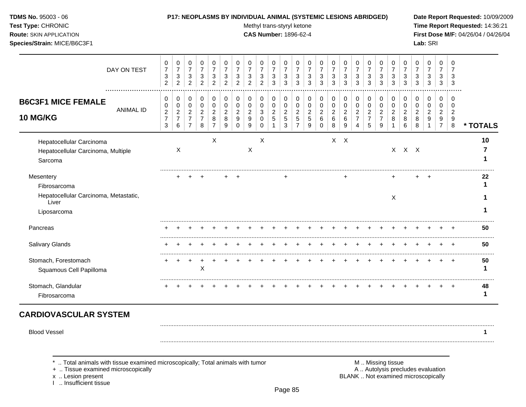**Test Type:** CHRONIC **The Report Requested:** 14:36:21 **Route:** SKIN APPLICATION **CAS Number:** 1896-62-4 **First Dose M/F:** 04/26/04 / 04/26/04

**\* TOTALS**

#### Hepatocellular Carcinoma **X** X X X X 10 Hepatocellular Carcinoma, Multiple X X X X 7 7 Sarcoma **1** ......................................................................................................................................................................................................... Mesentery + + + + + + + + + + **22** Fibrosarcoma **1** Hepatocellular Carcinoma, Metastatic, Liver X **1** Liposarcoma **1** ......................................................................................................................................................................................................... Pancreas + + + + + + + + + + + + + + + + + + + + + + + + + **50** ......................................................................................................................................................................................................... Salivary Glands + + + + + + + + + + + + + + + + + + + + + + + + + **50** ......................................................................................................................................................................................................... Stomach, Forestomach + + + + + + + + + + + + + + + + + + + + + + + + + **50** Squamous Cell Papilloma **1** X **1** ......................................................................................................................................................................................................... Stomach, Glandular + + + + + + + + + + + + + + + + + + + + + + + + + **48** Fibrosarcoma **1 CARDIOVASCULAR SYSTEM Species/Strain:** MICE/B6C3F1 **Lab:** SRI DAY ON TEST  $\overline{7}$   $\overline{7}$   $\overline{7}$  ................................................................................................................................................................. **B6C3F1 MICE FEMALE** ANIMAL ID **10 MG/KG**

Blood Vessel **1**

\* .. Total animals with tissue examined microscopically; Total animals with tumor  $\blacksquare$  M .. Missing tissue<br>A .. Autolysis precting the microscopically

I .. Insufficient tissue

A .. Autolysis precludes evaluation x .. Lesion present **BLANK** .. Not examined microscopically

.........................................................................................................................................................................................................

.........................................................................................................................................................................................................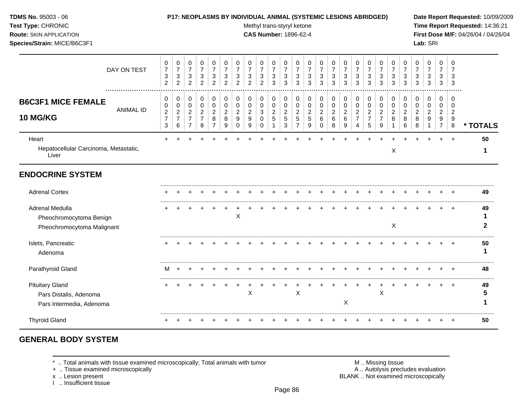Test Type: CHRONIC **Test Type:** CHRONIC **Test Type:** CHRONIC **Time Report Requested:** 14:36:21 **Route:** SKIN APPLICATION **CAS Number:** 1896-62-4 **First Dose M/F:** 04/26/04 / 04/26/04 **Species/Strain:** MICE/B6C3F1 **Lab:** SRI

|                                                                              | DAY ON TEST      | 0<br>$\overline{7}$<br>$\ensuremath{\mathsf{3}}$<br>$\overline{2}$ | 0<br>$\overline{7}$<br>$\sqrt{3}$<br>$\overline{2}$       | 0<br>$\overline{7}$<br>3<br>$\overline{2}$                           | 0<br>$\overline{7}$<br>3<br>$\overline{2}$        | 0<br>$\overline{7}$<br>3<br>$\overline{2}$ | $\mathbf 0$<br>$\overline{7}$<br>3<br>$\mathcal{P}$ | 0<br>$\overline{7}$<br>3<br>$\mathfrak{p}$          | 0<br>$\overline{7}$<br>$\mathbf{3}$<br>$\overline{2}$ | 0<br>$\overline{7}$<br>3<br>2 | 0<br>$\overline{7}$<br>3<br>3           | 0<br>$\overline{7}$<br>3<br>3 | 0<br>7<br>3<br>3                   | 0<br>$\overline{7}$<br>3<br>3 | 0<br>$\overline{7}$<br>3<br>3                                  | 0<br>$\overline{7}$<br>3<br>3                             | 0<br>$\overline{7}$<br>$\mathbf{3}$<br>3         | 0<br>$\overline{7}$<br>3<br>3                                      | 0<br>$\overline{7}$<br>3<br>3                           | 0<br>$\overline{7}$<br>3<br>3 | 0<br>$\overline{7}$<br>3<br>3 | 0<br>$\overline{7}$<br>3<br>3      | 0<br>$\overline{7}$<br>3<br>3      | 0<br>$\overline{7}$<br>3<br>3 | 0<br>$\overline{7}$<br>3<br>3                   | 0<br>$\overline{7}$<br>3                       |          |
|------------------------------------------------------------------------------|------------------|--------------------------------------------------------------------|-----------------------------------------------------------|----------------------------------------------------------------------|---------------------------------------------------|--------------------------------------------|-----------------------------------------------------|-----------------------------------------------------|-------------------------------------------------------|-------------------------------|-----------------------------------------|-------------------------------|------------------------------------|-------------------------------|----------------------------------------------------------------|-----------------------------------------------------------|--------------------------------------------------|--------------------------------------------------------------------|---------------------------------------------------------|-------------------------------|-------------------------------|------------------------------------|------------------------------------|-------------------------------|-------------------------------------------------|------------------------------------------------|----------|
| <b>B6C3F1 MICE FEMALE</b><br>10 MG/KG                                        | <b>ANIMAL ID</b> | 0<br>0<br>$\overline{c}$<br>$\overline{7}$<br>3                    | 0<br>$\mathbf 0$<br>$\overline{2}$<br>$\overline{7}$<br>6 | 0<br>$\pmb{0}$<br>$\overline{2}$<br>$\overline{7}$<br>$\overline{7}$ | $\mathbf 0$<br>$\mathbf 0$<br>$\overline{2}$<br>8 | 0<br>0<br>$\overline{c}$<br>8              | 0<br>$\mathbf 0$<br>$\overline{2}$<br>8<br>9        | 0<br>$\mathsf 0$<br>$\overline{2}$<br>9<br>$\Omega$ | 0<br>$\mathbf 0$<br>$\sqrt{2}$<br>9<br>9              | 0<br>0<br>3<br>0<br>$\Omega$  | 0<br>$\mathbf 0$<br>$\overline{2}$<br>5 | 0<br>0<br>2<br>5<br>3         | 0<br>0<br>2<br>5<br>$\overline{7}$ | 0<br>0<br>2<br>5<br>9         | 0<br>$\pmb{0}$<br>$\overline{c}$<br>$6\phantom{1}$<br>$\Omega$ | 0<br>$\mathsf 0$<br>$\overline{c}$<br>$6\phantom{a}$<br>8 | 0<br>$\pmb{0}$<br>$\overline{c}$<br>$\,6\,$<br>9 | 0<br>$\mathbf 0$<br>$\overline{\mathbf{c}}$<br>$\overline{7}$<br>4 | 0<br>$\pmb{0}$<br>$\overline{c}$<br>$\overline{7}$<br>5 | 0<br>$\mathbf 0$<br>2<br>9    | 0<br>$\mathbf 0$<br>2<br>8    | 0<br>0<br>$\overline{c}$<br>8<br>6 | 0<br>0<br>$\overline{c}$<br>8<br>8 | 0<br>0<br>$\overline{2}$<br>9 | 0<br>0<br>$\overline{2}$<br>9<br>$\overline{7}$ | 0<br>$\Omega$<br>$\overline{2}$<br>9<br>$\, 8$ | * TOTALS |
| Heart<br>Hepatocellular Carcinoma, Metastatic,<br>Liver                      |                  |                                                                    |                                                           |                                                                      |                                                   |                                            |                                                     |                                                     |                                                       |                               |                                         |                               |                                    |                               |                                                                |                                                           |                                                  |                                                                    |                                                         |                               | $\boldsymbol{\mathsf{X}}$     |                                    |                                    |                               |                                                 |                                                | 50       |
| <b>ENDOCRINE SYSTEM</b>                                                      |                  |                                                                    |                                                           |                                                                      |                                                   |                                            |                                                     |                                                     |                                                       |                               |                                         |                               |                                    |                               |                                                                |                                                           |                                                  |                                                                    |                                                         |                               |                               |                                    |                                    |                               |                                                 |                                                |          |
| <b>Adrenal Cortex</b>                                                        |                  |                                                                    |                                                           |                                                                      |                                                   |                                            |                                                     |                                                     |                                                       |                               |                                         |                               |                                    |                               |                                                                |                                                           |                                                  |                                                                    |                                                         |                               |                               |                                    |                                    |                               |                                                 |                                                | 49       |
| Adrenal Medulla<br>Pheochromocytoma Benign<br>Pheochromocytoma Malignant     |                  |                                                                    |                                                           |                                                                      |                                                   |                                            |                                                     | X                                                   |                                                       |                               |                                         |                               |                                    |                               |                                                                |                                                           |                                                  |                                                                    |                                                         |                               | X                             |                                    |                                    |                               |                                                 |                                                | 49       |
| Islets, Pancreatic<br>Adenoma                                                |                  |                                                                    |                                                           |                                                                      |                                                   |                                            |                                                     |                                                     |                                                       |                               |                                         |                               |                                    |                               |                                                                |                                                           |                                                  |                                                                    |                                                         |                               |                               |                                    |                                    |                               |                                                 |                                                | 50       |
| Parathyroid Gland                                                            |                  | м                                                                  |                                                           |                                                                      |                                                   |                                            |                                                     |                                                     |                                                       |                               |                                         |                               |                                    |                               |                                                                |                                                           |                                                  |                                                                    |                                                         |                               |                               |                                    |                                    |                               |                                                 |                                                | 48       |
| <b>Pituitary Gland</b><br>Pars Distalis, Adenoma<br>Pars Intermedia, Adenoma |                  |                                                                    |                                                           |                                                                      |                                                   |                                            |                                                     |                                                     | Χ                                                     |                               |                                         |                               | X                                  |                               |                                                                |                                                           | X                                                |                                                                    |                                                         | X                             |                               |                                    |                                    |                               |                                                 |                                                | 49<br>5  |
| <b>Thyroid Gland</b>                                                         |                  |                                                                    |                                                           |                                                                      |                                                   |                                            |                                                     |                                                     |                                                       |                               |                                         |                               |                                    |                               |                                                                |                                                           |                                                  |                                                                    |                                                         |                               |                               |                                    |                                    |                               |                                                 |                                                | 50       |

# **GENERAL BODY SYSTEM**

\* .. Total animals with tissue examined microscopically; Total animals with tumor <br>
+ .. Tissue examined microscopically<br>
+ .. Tissue examined microscopically

+ .. Tissue examined microscopically

I .. Insufficient tissue

x .. Lesion present **BLANK** .. Not examined microscopically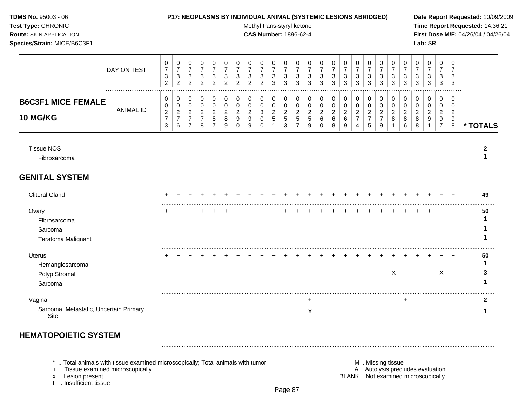**Test Type:** CHRONIC **The Report Requested:** 14:36:21 **Route:** SKIN APPLICATION **CAS Number:** 1896-62-4 **First Dose M/F:** 04/26/04 / 04/26/04 **Species/Strain:** MICE/B6C3F1 **Lab:** SRI

|                                                          | DAY ON TEST      | 0<br>$\overline{7}$<br>$\mathbf{3}$<br>$\overline{2}$                            | 0<br>$\overline{7}$<br>3<br>$\overline{c}$            | 0<br>$\overline{7}$<br>3<br>2                          | 0<br>$\overline{7}$<br>3<br>$\overline{2}$ | 0<br>$\overline{7}$<br>3<br>$\mathcal{P}$ | 0<br>$\overline{7}$<br>3<br>$\mathcal{P}$    | 0<br>$\overline{7}$<br>3<br>$\overline{2}$ | 0<br>$\overline{7}$<br>3<br>2      | 0<br>$\overline{7}$<br>3<br>$\overline{2}$ | 0<br>7<br>3<br>3                     | 0<br>7<br>3<br>3                          | 0<br>$\overline{7}$<br>3<br>3        | 0<br>$\overline{7}$<br>3<br>3      | 0<br>7<br>3<br>3                          | 0<br>$\overline{7}$<br>3<br>3      | 0<br>$\overline{7}$<br>3<br>3                  | 0<br>$\overline{7}$<br>3<br>3                               | 0<br>$\overline{7}$<br>3<br>3                          | 0<br>7<br>3<br>3                                | 0<br>7<br>3<br>3                     | 0<br>$\overline{7}$<br>3<br>3      | 0<br>$\overline{7}$<br>3<br>3      | 0<br>$\boldsymbol{7}$<br>3<br>3           | 0<br>$\overline{7}$<br>3<br>3                             | 0<br>3<br>3                         |          |
|----------------------------------------------------------|------------------|----------------------------------------------------------------------------------|-------------------------------------------------------|--------------------------------------------------------|--------------------------------------------|-------------------------------------------|----------------------------------------------|--------------------------------------------|------------------------------------|--------------------------------------------|--------------------------------------|-------------------------------------------|--------------------------------------|------------------------------------|-------------------------------------------|------------------------------------|------------------------------------------------|-------------------------------------------------------------|--------------------------------------------------------|-------------------------------------------------|--------------------------------------|------------------------------------|------------------------------------|-------------------------------------------|-----------------------------------------------------------|-------------------------------------|----------|
| <b>B6C3F1 MICE FEMALE</b><br><b>10 MG/KG</b>             | <b>ANIMAL ID</b> | $\mathbf 0$<br>$\mathbf 0$<br>$\boldsymbol{2}$<br>$\overline{7}$<br>$\mathbf{3}$ | 0<br>$\mathbf 0$<br>$\sqrt{2}$<br>$\overline{7}$<br>6 | 0<br>$\Omega$<br>$\overline{2}$<br>$\overline{7}$<br>7 | 0<br>$\Omega$<br>$\overline{c}$<br>7<br>8  | 0<br>0<br>$\overline{c}$<br>8             | 0<br>$\mathbf 0$<br>$\overline{2}$<br>8<br>9 | 0<br>0<br>$\overline{c}$<br>9<br>$\Omega$  | 0<br>0<br>$\overline{c}$<br>9<br>9 | 0<br>$\mathbf 0$<br>3<br>0<br>0            | 0<br>$\Omega$<br>$\overline{2}$<br>5 | 0<br>$\Omega$<br>$\overline{2}$<br>5<br>3 | 0<br>$\Omega$<br>$\overline{c}$<br>5 | 0<br>0<br>$\overline{c}$<br>5<br>9 | 0<br>0<br>$\overline{c}$<br>6<br>$\Omega$ | 0<br>0<br>$\overline{c}$<br>6<br>8 | 0<br>$\mathbf 0$<br>$\boldsymbol{2}$<br>6<br>9 | 0<br>$\mathbf 0$<br>$\boldsymbol{2}$<br>$\overline{7}$<br>4 | 0<br>$\Omega$<br>$\overline{2}$<br>$\overline{7}$<br>5 | 0<br>0<br>$\overline{c}$<br>$\overline{7}$<br>9 | 0<br>$\Omega$<br>$\overline{2}$<br>8 | 0<br>0<br>$\overline{2}$<br>8<br>6 | 0<br>0<br>$\overline{c}$<br>8<br>8 | 0<br>$\Omega$<br>$\overline{c}$<br>9<br>1 | 0<br>$\mathbf 0$<br>$\overline{2}$<br>9<br>$\overline{7}$ | $\Omega$<br>$\Omega$<br>2<br>9<br>8 | * TOTALS |
| <b>Tissue NOS</b><br>Fibrosarcoma                        |                  |                                                                                  |                                                       |                                                        |                                            |                                           |                                              |                                            |                                    |                                            |                                      |                                           |                                      |                                    |                                           |                                    |                                                |                                                             |                                                        |                                                 |                                      |                                    |                                    |                                           |                                                           |                                     |          |
| <b>GENITAL SYSTEM</b>                                    |                  |                                                                                  |                                                       |                                                        |                                            |                                           |                                              |                                            |                                    |                                            |                                      |                                           |                                      |                                    |                                           |                                    |                                                |                                                             |                                                        |                                                 |                                      |                                    |                                    |                                           |                                                           |                                     |          |
| <b>Clitoral Gland</b>                                    |                  |                                                                                  |                                                       |                                                        |                                            |                                           |                                              |                                            |                                    |                                            |                                      |                                           |                                      |                                    |                                           |                                    |                                                |                                                             |                                                        |                                                 |                                      |                                    |                                    |                                           |                                                           |                                     | <br>49   |
| Ovary<br>Fibrosarcoma<br>Sarcoma<br>Teratoma Malignant   |                  |                                                                                  |                                                       |                                                        |                                            |                                           |                                              |                                            |                                    |                                            |                                      |                                           |                                      |                                    |                                           |                                    |                                                |                                                             |                                                        |                                                 |                                      |                                    |                                    |                                           |                                                           | $\div$                              | 50       |
| Uterus<br>Hemangiosarcoma<br>Polyp Stromal<br>Sarcoma    |                  |                                                                                  |                                                       |                                                        |                                            |                                           |                                              |                                            |                                    |                                            |                                      |                                           |                                      |                                    |                                           |                                    |                                                |                                                             |                                                        |                                                 | $\sf X$                              |                                    |                                    |                                           | X                                                         |                                     | 50       |
| Vagina<br>Sarcoma, Metastatic, Uncertain Primary<br>Site |                  |                                                                                  |                                                       |                                                        |                                            |                                           |                                              |                                            |                                    |                                            |                                      |                                           |                                      | $\ddot{}$<br>X                     |                                           |                                    |                                                |                                                             |                                                        |                                                 |                                      | $\ddot{}$                          |                                    |                                           |                                                           |                                     | 2        |

# **HEMATOPOIETIC SYSTEM**

\* .. Total animals with tissue examined microscopically; Total animals with tumor **M** . M .. Missing tissue examined microscopically<br>
+ .. Tissue examined microscopically

+ .. Tissue examined microscopically

I .. Insufficient tissue

.........................................................................................................................................................................................................

x .. Lesion present **BLANK** .. Not examined microscopically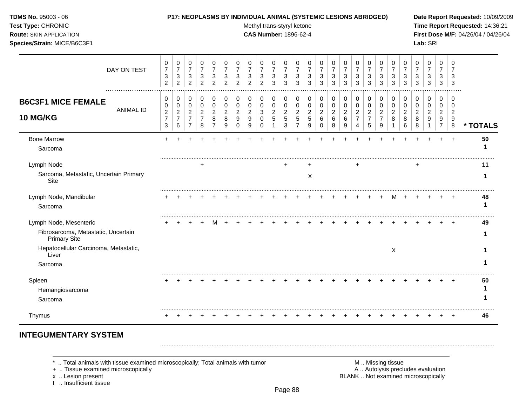**Test Type:** CHRONIC **The Report Requested:** 14:36:21 **Route:** SKIN APPLICATION **CAS Number:** 1896-62-4 **First Dose M/F:** 04/26/04 / 04/26/04 **Species/Strain:** MICE/B6C3F1 **Lab:** SRI

|                                                                                      | DAY ON TEST      | 0<br>$\boldsymbol{7}$<br>$\mathfrak{S}$<br>$\overline{2}$ | 0<br>$\overline{7}$<br>$\sqrt{3}$<br>$\overline{2}$         | 0<br>$\overline{7}$<br>$\mathbf{3}$<br>$\overline{2}$ | 0<br>$\overline{7}$<br>$\mathbf{3}$<br>2 | 0<br>$\overline{7}$<br>3<br>$\overline{2}$ | 0<br>3<br>2                        | 0<br>$\overline{7}$<br>3<br>$\overline{2}$               | 0<br>$\overline{7}$<br>$\ensuremath{\mathsf{3}}$<br>$\overline{2}$ | 0<br>$\overline{7}$<br>$\sqrt{3}$<br>$\overline{2}$    | 0<br>$\overline{7}$<br>$\sqrt{3}$<br>3 | 0<br>$\overline{7}$<br>3<br>3      | 0<br>$\overline{7}$<br>$\mathbf{3}$<br>3 | 0<br>$\overline{7}$<br>$\sqrt{3}$<br>3 | 0<br>$\overline{7}$<br>$\sqrt{3}$<br>3      | 0<br>$\overline{7}$<br>$\sqrt{3}$<br>3             | $\mathbf 0$<br>$\boldsymbol{7}$<br>$\ensuremath{\mathsf{3}}$<br>3 | 0<br>$\overline{7}$<br>$\mathbf{3}$<br>3                  | 0<br>$\overline{7}$<br>$\ensuremath{\mathsf{3}}$<br>3 | 0<br>$\overline{7}$<br>$\mathbf{3}$<br>3 | 0<br>$\overline{7}$<br>3<br>3 | 0<br>$\overline{7}$<br>3<br>3      | 0<br>$\overline{7}$<br>3<br>3      | 0<br>$\overline{7}$<br>3<br>3 | 0<br>$\overline{7}$<br>3<br>3                   | 0<br>7<br>3<br>3                                    |          |
|--------------------------------------------------------------------------------------|------------------|-----------------------------------------------------------|-------------------------------------------------------------|-------------------------------------------------------|------------------------------------------|--------------------------------------------|------------------------------------|----------------------------------------------------------|--------------------------------------------------------------------|--------------------------------------------------------|----------------------------------------|------------------------------------|------------------------------------------|----------------------------------------|---------------------------------------------|----------------------------------------------------|-------------------------------------------------------------------|-----------------------------------------------------------|-------------------------------------------------------|------------------------------------------|-------------------------------|------------------------------------|------------------------------------|-------------------------------|-------------------------------------------------|-----------------------------------------------------|----------|
| <b>B6C3F1 MICE FEMALE</b><br>10 MG/KG                                                | <b>ANIMAL ID</b> | 0<br>0<br>$\boldsymbol{2}$<br>$\overline{7}$<br>3         | $\mathbf 0$<br>0<br>$\boldsymbol{2}$<br>$\overline{7}$<br>6 | 0<br>0<br>$\overline{2}$<br>$\overline{7}$            | 0<br>0<br>$\overline{2}$<br>8            | 0<br>0<br>$\overline{2}$<br>8              | 0<br>0<br>$\overline{2}$<br>8<br>9 | 0<br>0<br>$\overline{2}$<br>$\boldsymbol{9}$<br>$\Omega$ | 0<br>$\pmb{0}$<br>$\boldsymbol{2}$<br>$\boldsymbol{9}$<br>9        | 0<br>$\mathbf 0$<br>$\sqrt{3}$<br>$\Omega$<br>$\Omega$ | 0<br>0<br>$\boldsymbol{2}$<br>5        | 0<br>0<br>$\overline{2}$<br>5<br>3 | 0<br>0<br>$\overline{c}$<br>5            | 0<br>0<br>$\overline{c}$<br>5<br>9     | 0<br>0<br>$\boldsymbol{2}$<br>6<br>$\Omega$ | 0<br>$\mathbf 0$<br>$\overline{a}$<br>$\,6\,$<br>8 | 0<br>$\pmb{0}$<br>$\overline{\mathbf{c}}$<br>6<br>9               | 0<br>$\mathbf 0$<br>$\overline{a}$<br>$\overline{7}$<br>4 | 0<br>0<br>$\overline{c}$<br>$\overline{7}$<br>5       | 0<br>0<br>2<br>$\overline{7}$<br>9       | 0<br>0<br>2<br>8              | 0<br>0<br>$\overline{2}$<br>8<br>6 | 0<br>0<br>$\overline{c}$<br>8<br>8 | 0<br>0<br>$\overline{c}$<br>9 | 0<br>0<br>$\overline{2}$<br>9<br>$\overline{7}$ | $\Omega$<br>$\mathbf 0$<br>$\overline{2}$<br>9<br>8 | * TOTALS |
| <b>Bone Marrow</b><br>Sarcoma                                                        |                  |                                                           |                                                             |                                                       |                                          |                                            |                                    |                                                          |                                                                    |                                                        |                                        |                                    |                                          |                                        |                                             |                                                    |                                                                   |                                                           |                                                       |                                          |                               |                                    |                                    |                               |                                                 |                                                     | 50       |
| Lymph Node                                                                           |                  |                                                           |                                                             |                                                       |                                          |                                            |                                    |                                                          |                                                                    |                                                        |                                        |                                    |                                          |                                        |                                             |                                                    |                                                                   |                                                           |                                                       |                                          |                               |                                    |                                    |                               |                                                 |                                                     | 11       |
| Sarcoma, Metastatic, Uncertain Primary<br><b>Site</b>                                |                  |                                                           |                                                             |                                                       |                                          |                                            |                                    |                                                          |                                                                    |                                                        |                                        |                                    |                                          | X                                      |                                             |                                                    |                                                                   |                                                           |                                                       |                                          |                               |                                    |                                    |                               |                                                 |                                                     |          |
| Lymph Node, Mandibular<br>Sarcoma                                                    |                  |                                                           |                                                             |                                                       |                                          |                                            |                                    |                                                          |                                                                    |                                                        |                                        |                                    |                                          |                                        |                                             |                                                    |                                                                   |                                                           |                                                       |                                          |                               |                                    |                                    |                               |                                                 |                                                     | 48       |
| Lymph Node, Mesenteric<br>Fibrosarcoma, Metastatic, Uncertain<br><b>Primary Site</b> |                  |                                                           |                                                             |                                                       |                                          |                                            |                                    |                                                          |                                                                    |                                                        |                                        |                                    |                                          |                                        |                                             |                                                    |                                                                   |                                                           |                                                       |                                          |                               |                                    |                                    |                               |                                                 |                                                     | 49       |
| Hepatocellular Carcinoma, Metastatic,<br>Liver                                       |                  |                                                           |                                                             |                                                       |                                          |                                            |                                    |                                                          |                                                                    |                                                        |                                        |                                    |                                          |                                        |                                             |                                                    |                                                                   |                                                           |                                                       |                                          | X                             |                                    |                                    |                               |                                                 |                                                     |          |
| Sarcoma                                                                              |                  |                                                           |                                                             |                                                       |                                          |                                            |                                    |                                                          |                                                                    |                                                        |                                        |                                    |                                          |                                        |                                             |                                                    |                                                                   |                                                           |                                                       |                                          |                               |                                    |                                    |                               |                                                 |                                                     |          |
| Spleen<br>Hemangiosarcoma<br>Sarcoma                                                 |                  |                                                           |                                                             |                                                       |                                          |                                            |                                    |                                                          |                                                                    |                                                        |                                        |                                    |                                          |                                        |                                             |                                                    |                                                                   |                                                           |                                                       |                                          |                               |                                    |                                    |                               |                                                 |                                                     | 50       |
| Thymus                                                                               |                  |                                                           |                                                             |                                                       |                                          |                                            |                                    |                                                          |                                                                    |                                                        |                                        |                                    |                                          |                                        |                                             |                                                    |                                                                   |                                                           |                                                       |                                          |                               |                                    |                                    |                               |                                                 | $\overline{ }$                                      | 46       |
|                                                                                      |                  |                                                           |                                                             |                                                       |                                          |                                            |                                    |                                                          |                                                                    |                                                        |                                        |                                    |                                          |                                        |                                             |                                                    |                                                                   |                                                           |                                                       |                                          |                               |                                    |                                    |                               |                                                 |                                                     |          |

# **INTEGUMENTARY SYSTEM**

\* .. Total animals with tissue examined microscopically; Total animals with tumor <br>
+ .. Tissue examined microscopically<br>
+ .. Tissue examined microscopically

+ .. Tissue examined microscopically

I .. Insufficient tissue

x .. Lesion present **BLANK** .. Not examined microscopically

.........................................................................................................................................................................................................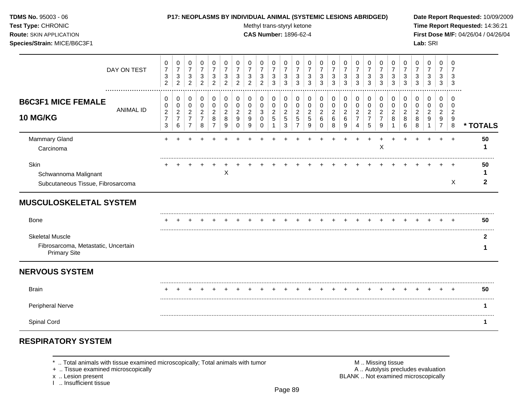Test Type: CHRONIC **Test Type:** CHRONIC **Test Type:** CHRONIC **Time Report Requested:** 14:36:21 **Route:** SKIN APPLICATION **CAS Number:** 1896-62-4 **First Dose M/F:** 04/26/04 / 04/26/04

|                                                                                      | DAY ON TEST      | 0<br>$\overline{7}$<br>$\sqrt{3}$<br>$\overline{c}$ | 0<br>$\overline{\mathcal{I}}$<br>$\mathbf{3}$<br>$\overline{2}$ | $\mathbf 0$<br>$\overline{7}$<br>$\sqrt{3}$<br>$\overline{2}$        | 0<br>$\overline{7}$<br>3<br>$\overline{c}$ | 0<br>$\overline{7}$<br>$\mathbf{3}$<br>$\overline{c}$ | 0<br>$\overline{7}$<br>$\sqrt{3}$<br>$\overline{c}$ | 0<br>$\overline{7}$<br>$\sqrt{3}$<br>$\overline{c}$  | $\mathbf 0$<br>$\overline{7}$<br>$\mathbf{3}$<br>$\overline{2}$ | 0<br>$\overline{7}$<br>3<br>$\overline{2}$ | $\mathbf 0$<br>$\overline{7}$<br>$\mathbf{3}$<br>3 | 0<br>7<br>3<br>3                             | $\pmb{0}$<br>$\overline{7}$<br>3<br>3                   | 0<br>$\overline{7}$<br>3<br>3                | 0<br>$\overline{7}$<br>$\sqrt{3}$<br>$\sqrt{3}$      | 0<br>$\overline{7}$<br>3<br>3      | 0<br>7<br>3<br>$\mathbf{3}$        | 0<br>$\overline{7}$<br>$\mathbf{3}$<br>$\mathbf{3}$     | 0<br>$\overline{7}$<br>3<br>3              | $\mathbf 0$<br>$\overline{7}$<br>$\mathbf{3}$<br>$\mathbf{3}$ | 0<br>$\overline{7}$<br>$\sqrt{3}$<br>3       | 0<br>$\overline{7}$<br>3<br>3      | 0<br>7<br>3<br>3                   | $\mathbf 0$<br>$\overline{7}$<br>3<br>3 | $\mathbf 0$<br>$\overline{7}$<br>3<br>3         | 0<br>7<br>3<br>3                   |              |
|--------------------------------------------------------------------------------------|------------------|-----------------------------------------------------|-----------------------------------------------------------------|----------------------------------------------------------------------|--------------------------------------------|-------------------------------------------------------|-----------------------------------------------------|------------------------------------------------------|-----------------------------------------------------------------|--------------------------------------------|----------------------------------------------------|----------------------------------------------|---------------------------------------------------------|----------------------------------------------|------------------------------------------------------|------------------------------------|------------------------------------|---------------------------------------------------------|--------------------------------------------|---------------------------------------------------------------|----------------------------------------------|------------------------------------|------------------------------------|-----------------------------------------|-------------------------------------------------|------------------------------------|--------------|
| <b>B6C3F1 MICE FEMALE</b><br>10 MG/KG                                                | <b>ANIMAL ID</b> | 0<br>0<br>$\overline{c}$<br>$\overline{7}$<br>3     | 0<br>0<br>$\overline{a}$<br>$\overline{7}$<br>$\,6\,$           | 0<br>$\pmb{0}$<br>$\overline{c}$<br>$\overline{7}$<br>$\overline{7}$ | 0<br>0<br>2<br>7<br>8                      | 0<br>0<br>$\overline{c}$<br>8<br>$\overline{7}$       | 0<br>0<br>$\overline{c}$<br>8<br>9                  | 0<br>$\pmb{0}$<br>$\overline{c}$<br>9<br>$\mathbf 0$ | 0<br>$\pmb{0}$<br>$\boldsymbol{2}$<br>9<br>9                    | 0<br>$\pmb{0}$<br>3<br>0<br>0              | 0<br>$\mathbf 0$<br>$\overline{c}$<br>5            | 0<br>$\mathbf 0$<br>$\overline{c}$<br>5<br>3 | 0<br>$\pmb{0}$<br>$\overline{c}$<br>5<br>$\overline{7}$ | 0<br>$\mathbf 0$<br>$\overline{2}$<br>5<br>9 | 0<br>$\pmb{0}$<br>$\overline{c}$<br>6<br>$\mathbf 0$ | 0<br>0<br>$\overline{c}$<br>6<br>8 | 0<br>0<br>$\overline{c}$<br>6<br>9 | 0<br>$\pmb{0}$<br>$\overline{2}$<br>7<br>$\overline{4}$ | 0<br>$\pmb{0}$<br>2<br>$\overline{7}$<br>5 | 0<br>$\mathsf 0$<br>$\overline{a}$<br>7<br>9                  | 0<br>$\mathbf 0$<br>$\overline{c}$<br>8<br>1 | 0<br>0<br>$\overline{c}$<br>8<br>6 | 0<br>0<br>$\overline{2}$<br>8<br>8 | 0<br>$\mathbf 0$<br>$\overline{2}$<br>9 | 0<br>0<br>$\overline{c}$<br>9<br>$\overline{7}$ | 0<br>0<br>$\overline{c}$<br>9<br>8 | * TOTALS     |
| <b>Mammary Gland</b><br>Carcinoma                                                    |                  | $\ddot{}$                                           |                                                                 |                                                                      |                                            |                                                       |                                                     |                                                      |                                                                 |                                            |                                                    |                                              |                                                         |                                              |                                                      |                                    |                                    |                                                         |                                            | $\mathsf X$                                                   |                                              |                                    |                                    |                                         | $\ddot{}$                                       | $\overline{ }$                     | 50<br>1      |
| Skin                                                                                 |                  |                                                     |                                                                 |                                                                      |                                            |                                                       | $\mathsf X$                                         |                                                      |                                                                 |                                            |                                                    |                                              |                                                         |                                              |                                                      |                                    |                                    |                                                         |                                            |                                                               |                                              |                                    |                                    |                                         |                                                 | $\ddot{}$                          | 50<br>1      |
| Schwannoma Malignant<br>Subcutaneous Tissue, Fibrosarcoma                            |                  |                                                     |                                                                 |                                                                      |                                            |                                                       |                                                     |                                                      |                                                                 |                                            |                                                    |                                              |                                                         |                                              |                                                      |                                    |                                    |                                                         |                                            |                                                               |                                              |                                    |                                    |                                         |                                                 | X                                  | $\mathbf{2}$ |
| <b>MUSCULOSKELETAL SYSTEM</b>                                                        |                  |                                                     |                                                                 |                                                                      |                                            |                                                       |                                                     |                                                      |                                                                 |                                            |                                                    |                                              |                                                         |                                              |                                                      |                                    |                                    |                                                         |                                            |                                                               |                                              |                                    |                                    |                                         |                                                 |                                    |              |
| <b>Bone</b>                                                                          |                  |                                                     |                                                                 |                                                                      |                                            |                                                       |                                                     |                                                      |                                                                 |                                            |                                                    |                                              |                                                         |                                              |                                                      |                                    |                                    |                                                         |                                            |                                                               |                                              |                                    |                                    |                                         |                                                 | $\div$                             | 50           |
| <b>Skeletal Muscle</b><br>Fibrosarcoma, Metastatic, Uncertain<br><b>Primary Site</b> |                  |                                                     |                                                                 |                                                                      |                                            |                                                       |                                                     |                                                      |                                                                 |                                            |                                                    |                                              |                                                         |                                              |                                                      |                                    |                                    |                                                         |                                            |                                                               |                                              |                                    |                                    |                                         |                                                 |                                    | 2<br>1       |
| <b>NERVOUS SYSTEM</b>                                                                |                  |                                                     |                                                                 |                                                                      |                                            |                                                       |                                                     |                                                      |                                                                 |                                            |                                                    |                                              |                                                         |                                              |                                                      |                                    |                                    |                                                         |                                            |                                                               |                                              |                                    |                                    |                                         |                                                 |                                    |              |
| <b>Brain</b>                                                                         |                  |                                                     |                                                                 |                                                                      |                                            |                                                       |                                                     |                                                      |                                                                 |                                            |                                                    |                                              |                                                         |                                              |                                                      |                                    |                                    |                                                         |                                            |                                                               |                                              |                                    |                                    |                                         |                                                 |                                    | 50           |
| Peripheral Nerve                                                                     |                  |                                                     |                                                                 |                                                                      |                                            |                                                       |                                                     |                                                      |                                                                 |                                            |                                                    |                                              |                                                         |                                              |                                                      |                                    |                                    |                                                         |                                            |                                                               |                                              |                                    |                                    |                                         |                                                 |                                    |              |

\* .. Total animals with tissue examined microscopically; Total animals with tumor <br>
+ .. Tissue examined microscopically<br>
+ .. Tissue examined microscopically

+ .. Tissue examined microscopically

x .. Lesion present<br>I .. Insufficient tissue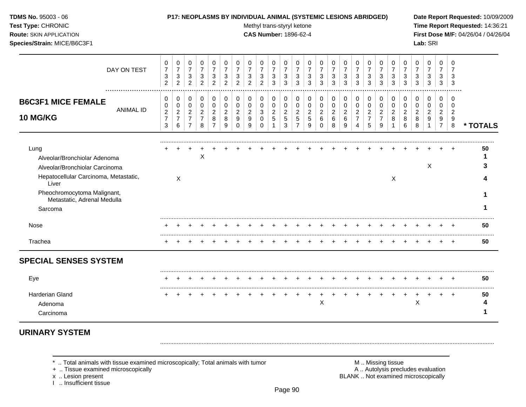Test Type: CHRONIC **Test Type:** CHRONIC **Test Type:** CHRONIC **Time Report Requested:** 14:36:21 **Route:** SKIN APPLICATION **CAS Number:** 1896-62-4 **First Dose M/F:** 04/26/04 / 04/26/04 **Species/Strain:** MICE/B6C3F1 **Lab:** SRI

| DAY ON TEST                                                                                                                                                                                       | 0<br>$\overline{7}$<br>$\ensuremath{\mathsf{3}}$<br>$\overline{2}$ | 0<br>$\overline{7}$<br>$\ensuremath{\mathsf{3}}$<br>$\overline{2}$ | 0<br>$\overline{7}$<br>$\sqrt{3}$<br>$\overline{2}$          | 0<br>$\overline{7}$<br>$\ensuremath{\mathsf{3}}$<br>$\overline{2}$ | $\mathbf 0$<br>$\overline{7}$<br>3<br>2      | 0<br>$\overline{7}$<br>3<br>2      | 0<br>$\overline{7}$<br>$\sqrt{3}$<br>$\overline{2}$ | 0<br>$\overline{7}$<br>$\ensuremath{\mathsf{3}}$<br>$\overline{2}$ | 0<br>$\overline{7}$<br>$\ensuremath{\mathsf{3}}$<br>$\overline{2}$ | $\mathbf 0$<br>$\overline{7}$<br>$\ensuremath{\mathsf{3}}$<br>3 | 0<br>$\overline{7}$<br>3<br>3      | 0<br>$\overline{7}$<br>3<br>3                             | 0<br>$\overline{7}$<br>3<br>3                | 0<br>$\overline{7}$<br>$\mathbf{3}$<br>3            | 0<br>$\overline{7}$<br>$\ensuremath{\mathsf{3}}$<br>3 | 0<br>$\overline{7}$<br>$\ensuremath{\mathsf{3}}$<br>$\mathbf{3}$  | 0<br>$\overline{7}$<br>$\ensuremath{\mathsf{3}}$<br>3     | 0<br>$\overline{7}$<br>$\sqrt{3}$<br>3          | $\mathbf 0$<br>$\overline{7}$<br>$\mathbf{3}$<br>3 | 0<br>$\overline{7}$<br>3<br>3 | 0<br>$\overline{7}$<br>3<br>3                | 0<br>$\overline{7}$<br>3<br>3                | 0<br>$\overline{7}$<br>3<br>3 | $\mathbf 0$<br>$\overline{7}$<br>3<br>3                   | 0<br>$\overline{7}$<br>3<br>3                                |          |
|---------------------------------------------------------------------------------------------------------------------------------------------------------------------------------------------------|--------------------------------------------------------------------|--------------------------------------------------------------------|--------------------------------------------------------------|--------------------------------------------------------------------|----------------------------------------------|------------------------------------|-----------------------------------------------------|--------------------------------------------------------------------|--------------------------------------------------------------------|-----------------------------------------------------------------|------------------------------------|-----------------------------------------------------------|----------------------------------------------|-----------------------------------------------------|-------------------------------------------------------|-------------------------------------------------------------------|-----------------------------------------------------------|-------------------------------------------------|----------------------------------------------------|-------------------------------|----------------------------------------------|----------------------------------------------|-------------------------------|-----------------------------------------------------------|--------------------------------------------------------------|----------|
| <b>B6C3F1 MICE FEMALE</b><br><b>ANIMAL ID</b><br><b>10 MG/KG</b>                                                                                                                                  | 0<br>0<br>$\overline{c}$<br>$\overline{7}$<br>3                    | $\pmb{0}$<br>0<br>$\boldsymbol{2}$<br>$\boldsymbol{7}$<br>6        | 0<br>0<br>$\overline{c}$<br>$\overline{7}$<br>$\overline{7}$ | 0<br>$\mathbf 0$<br>$\overline{c}$<br>$\overline{7}$<br>8          | 0<br>$\mathbf 0$<br>2<br>8<br>$\overline{7}$ | 0<br>0<br>$\overline{2}$<br>8<br>Q | 0<br>$\mathbf 0$<br>$\overline{c}$<br>9<br>$\Omega$ | 0<br>0<br>$\sqrt{2}$<br>9<br>9                                     | $\pmb{0}$<br>$\pmb{0}$<br>3<br>0<br>$\mathbf 0$                    | 0<br>$\pmb{0}$<br>$\boldsymbol{2}$<br>5<br>$\mathbf{1}$         | 0<br>0<br>$\overline{c}$<br>5<br>3 | $\mathbf 0$<br>0<br>$\overline{2}$<br>5<br>$\overline{7}$ | 0<br>$\mathbf 0$<br>$\overline{c}$<br>5<br>9 | 0<br>$\mathbf 0$<br>$\overline{c}$<br>6<br>$\Omega$ | 0<br>0<br>$\overline{c}$<br>$\,6\,$<br>8              | 0<br>$\pmb{0}$<br>$\boldsymbol{2}$<br>$\,6\,$<br>$\boldsymbol{9}$ | 0<br>$\pmb{0}$<br>$\boldsymbol{2}$<br>$\overline{7}$<br>4 | 0<br>0<br>$\overline{c}$<br>$\overline{7}$<br>5 | 0<br>0<br>$\overline{2}$<br>$\overline{7}$<br>9    | 0<br>0<br>$\overline{c}$<br>8 | $\mathbf 0$<br>0<br>$\overline{2}$<br>8<br>6 | 0<br>$\mathbf 0$<br>$\overline{c}$<br>8<br>8 | 0<br>0<br>$\overline{2}$<br>9 | 0<br>$\mathbf 0$<br>$\overline{2}$<br>9<br>$\overline{7}$ | $\mathbf 0$<br>$\mathbf 0$<br>$\overline{2}$<br>9<br>$\,8\,$ | * TOTALS |
| Lung<br>Alveolar/Bronchiolar Adenoma<br>Alveolar/Bronchiolar Carcinoma<br>Hepatocellular Carcinoma, Metastatic,<br>Liver<br>Pheochromocytoma Malignant,<br>Metastatic, Adrenal Medulla<br>Sarcoma |                                                                    | X                                                                  |                                                              | $\mathsf X$                                                        |                                              |                                    |                                                     |                                                                    |                                                                    |                                                                 |                                    |                                                           |                                              |                                                     |                                                       |                                                                   |                                                           |                                                 |                                                    | X                             |                                              |                                              | X                             |                                                           | +                                                            | 50<br>п  |
| <b>Nose</b>                                                                                                                                                                                       |                                                                    |                                                                    |                                                              |                                                                    |                                              |                                    |                                                     |                                                                    |                                                                    |                                                                 |                                    |                                                           |                                              |                                                     |                                                       |                                                                   |                                                           |                                                 |                                                    |                               |                                              |                                              |                               |                                                           |                                                              | 50       |
| Trachea                                                                                                                                                                                           |                                                                    |                                                                    |                                                              |                                                                    |                                              |                                    |                                                     |                                                                    |                                                                    |                                                                 |                                    |                                                           |                                              |                                                     |                                                       |                                                                   |                                                           |                                                 |                                                    |                               |                                              |                                              |                               |                                                           |                                                              | 50       |
| <b>SPECIAL SENSES SYSTEM</b>                                                                                                                                                                      |                                                                    |                                                                    |                                                              |                                                                    |                                              |                                    |                                                     |                                                                    |                                                                    |                                                                 |                                    |                                                           |                                              |                                                     |                                                       |                                                                   |                                                           |                                                 |                                                    |                               |                                              |                                              |                               |                                                           |                                                              |          |
| Eye                                                                                                                                                                                               |                                                                    |                                                                    |                                                              |                                                                    |                                              |                                    |                                                     |                                                                    |                                                                    |                                                                 |                                    |                                                           |                                              |                                                     |                                                       |                                                                   |                                                           |                                                 |                                                    |                               |                                              |                                              |                               |                                                           | $\div$                                                       | 50       |
| Harderian Gland<br>Adenoma<br>Carcinoma                                                                                                                                                           |                                                                    |                                                                    |                                                              |                                                                    |                                              |                                    |                                                     |                                                                    |                                                                    |                                                                 |                                    |                                                           |                                              | X                                                   |                                                       |                                                                   |                                                           |                                                 |                                                    |                               |                                              | X                                            |                               |                                                           |                                                              | 50<br>4  |
| <b>URINARY SYSTEM</b>                                                                                                                                                                             |                                                                    |                                                                    |                                                              |                                                                    |                                              |                                    |                                                     |                                                                    |                                                                    |                                                                 |                                    |                                                           |                                              |                                                     |                                                       |                                                                   |                                                           |                                                 |                                                    |                               |                                              |                                              |                               |                                                           |                                                              |          |

+ .. Tissue examined microscopically

x .. Lesion present<br>I .. Insufficient tissue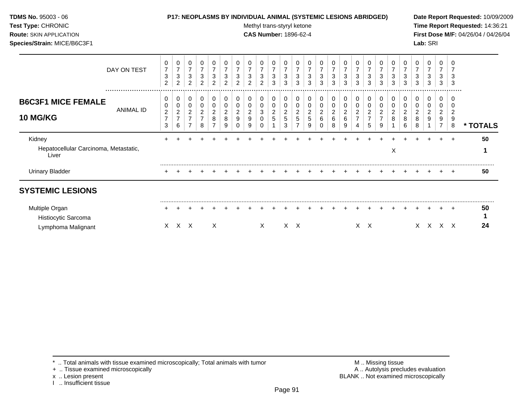**Test Type:** CHRONIC **The Report Requested:** 14:36:21 **Route:** SKIN APPLICATION **CAS Number:** 1896-62-4 **First Dose M/F:** 04/26/04 / 04/26/04 **Species/Strain:** MICE/B6C3F1 **Lab:** SRI

|                                                          | DAY ON TEST   | 0<br>$\overline{7}$<br>3<br>$\overline{2}$      | 0<br>$\overline{7}$<br>$\sqrt{3}$<br>$\overline{2}$ | 0<br>$\overline{7}$<br>$\mathbf{3}$<br>2                 | 0<br>$\overline{ }$<br>3           | 0<br>3<br>2 | 7<br>3<br>2                            | 0<br>$\overline{7}$<br>3<br>$\overline{2}$ | 0<br>$\overline{7}$<br>3<br>2      | $\overline{7}$<br>3<br>2 | $\overline{7}$<br>3<br>3 | $\overline{7}$<br>3<br>3 | 0<br>$\overline{7}$<br>$\mathbf{3}$<br>3 | $\overline{7}$<br>3<br>3          | 0<br>$\overline{7}$<br>3<br>3                      | 0<br>$\overline{7}$<br>3<br>3            | $\mathbf{0}$<br>$\overline{7}$<br>3<br>3 | 0<br>$\boldsymbol{7}$<br>3<br>3        | 0<br>$\overline{7}$<br>3<br>3      | $\overline{ }$<br>3<br>3           | $\overline{7}$<br>3<br>3 | 0<br>$\overline{7}$<br>3<br>3 | 0<br>$\overline{7}$<br>3<br>3 | 0<br>$\overline{7}$<br>3<br>3 | 0<br>$\overline{7}$<br>3<br>3      | 3<br>3                |                    |
|----------------------------------------------------------|---------------|-------------------------------------------------|-----------------------------------------------------|----------------------------------------------------------|------------------------------------|-------------|----------------------------------------|--------------------------------------------|------------------------------------|--------------------------|--------------------------|--------------------------|------------------------------------------|-----------------------------------|----------------------------------------------------|------------------------------------------|------------------------------------------|----------------------------------------|------------------------------------|------------------------------------|--------------------------|-------------------------------|-------------------------------|-------------------------------|------------------------------------|-----------------------|--------------------|
| <b>B6C3F1 MICE FEMALE</b><br><b>10 MG/KG</b>             | <br>ANIMAL ID | 0<br>0<br>$\overline{2}$<br>$\overline{ }$<br>3 | 0<br>0<br>$\overline{c}$<br>$\overline{7}$<br>6     | 0<br>0<br>$\overline{\mathbf{c}}$<br>$\overline{ }$<br>⇁ | 0<br>0<br>2<br>$\overline{ }$<br>8 | 0<br>2<br>8 | 0<br>$\overline{\mathbf{c}}$<br>8<br>9 | 0<br>0<br>$\overline{c}$<br>9<br>0         | 0<br>0<br>$\overline{a}$<br>9<br>9 | 0<br>3<br>0              | 0<br>$\overline{c}$<br>5 | 0<br>$\frac{2}{5}$<br>3  | 0<br>0<br>$\frac{2}{5}$                  | $\overline{\mathbf{c}}$<br>5<br>9 | 0<br>0<br>$\overline{\mathbf{c}}$<br>6<br>$\Omega$ | 0<br>0<br>$\overline{a}$<br>$\,6\,$<br>8 | 0<br>0<br>$\overline{c}$<br>6<br>9       | 0<br>0<br>$\overline{\mathbf{c}}$<br>7 | 0<br>0<br>2<br>$\overline{7}$<br>5 | 0<br>$\overline{\phantom{a}}$<br>9 | 2                        | 0<br>$\overline{c}$<br>8<br>6 | 0<br>0<br>2<br>8<br>8         | 0<br>0<br>$\overline{2}$<br>9 | 0<br>0<br>2<br>9<br>$\overline{7}$ | .<br>0<br>2<br>9<br>8 | <b>TOTALS</b><br>* |
| Kidney<br>Hepatocellular Carcinoma, Metastatic,<br>Liver |               |                                                 |                                                     |                                                          |                                    |             |                                        |                                            |                                    |                          |                          |                          |                                          |                                   |                                                    |                                          |                                          |                                        |                                    |                                    | X                        |                               |                               |                               |                                    |                       | 50                 |
| <b>Urinary Bladder</b>                                   |               |                                                 |                                                     |                                                          |                                    |             |                                        |                                            |                                    |                          |                          |                          |                                          |                                   |                                                    |                                          | $\pm$                                    |                                        | $+$                                |                                    |                          |                               | $\ddot{}$                     |                               |                                    | $\div$                | 50                 |
| <b>SYSTEMIC LESIONS</b>                                  |               |                                                 |                                                     |                                                          |                                    |             |                                        |                                            |                                    |                          |                          |                          |                                          |                                   |                                                    |                                          |                                          |                                        |                                    |                                    |                          |                               |                               |                               |                                    |                       |                    |
| Multiple Organ<br>Histiocytic Sarcoma                    |               |                                                 |                                                     | X X X                                                    |                                    | Χ           |                                        |                                            |                                    | X                        |                          |                          | X X                                      |                                   |                                                    |                                          |                                          |                                        | X X                                |                                    |                          |                               |                               |                               | X X X X                            | $\div$                | 50<br>24           |
| Lymphoma Malignant                                       |               |                                                 |                                                     |                                                          |                                    |             |                                        |                                            |                                    |                          |                          |                          |                                          |                                   |                                                    |                                          |                                          |                                        |                                    |                                    |                          |                               |                               |                               |                                    |                       |                    |

+ .. Tissue examined microscopically

I .. Insufficient tissue

\* .. Total animals with tissue examined microscopically; Total animals with tumor <br>
+ .. Tissue examined microscopically<br>
+ .. Tissue examined microscopically x .. Lesion present **BLANK** .. Not examined microscopically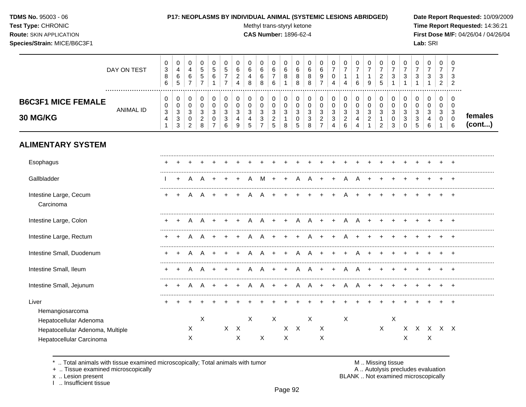TDMS No. 95003 - 06 Test Type: CHRONIC

**Route: SKIN APPLICATION** 

Species/Strain: MICE/B6C3F1

## P17: NEOPLASMS BY INDIVIDUAL ANIMAL (SYSTEMIC LESIONS ABRIDGED)

Methyl trans-styryl ketone

**CAS Number: 1896-62-4** 

Date Report Requested: 10/09/2009 Time Report Requested: 14:36:21 First Dose M/F: 04/26/04 / 04/26/04 Lab: SRI

|                                              | DAY ON TEST      | 0<br>3<br>8<br>6       | 0<br>4<br>6<br><sub>5</sub>           | 6             | ∽<br>$\sim$<br>৩ | <sup>5</sup><br>6 | -0<br>b.          | 6<br>4<br>8           | v<br>6<br>6<br>8 | J<br>6<br>6                                         | U<br>6<br>8                  | υ<br>6<br>8<br>8      | ν<br>6<br>8 | y           | U<br>0<br>4                 | 4                                  | v<br>6                | 9        | U<br>ີ<br>▃<br>b             | 0<br>ົ<br>ັ                     | U<br>3      | υ<br>3                               | 0<br>◠<br>دت     | U<br>◠<br>۰J<br><u>_</u> | ĸ<br>-  |                   |
|----------------------------------------------|------------------|------------------------|---------------------------------------|---------------|------------------|-------------------|-------------------|-----------------------|------------------|-----------------------------------------------------|------------------------------|-----------------------|-------------|-------------|-----------------------------|------------------------------------|-----------------------|----------|------------------------------|---------------------------------|-------------|--------------------------------------|------------------|--------------------------|---------|-------------------|
| <b>B6C3F1 MICE FEMALE</b><br><b>30 MG/KG</b> | <b>ANIMAL ID</b> | 0<br>$\mathbf{0}$<br>3 | U<br>0<br>ີ<br>◡<br>ີ<br>◡<br>◠<br>ັບ | ບ<br><u>.</u> |                  |                   | ◠<br>u<br>ັບ<br>6 | 0<br>c<br>N<br>4<br>N | ◠<br>ັ<br>◠<br>ັ | J<br>ີ<br>v<br><u>_</u><br>$\overline{\phantom{a}}$ | U<br>U<br>c<br>ັບ<br>$\circ$ | υ<br>υ<br>◠<br>ۍ<br>U | ت<br>3      | $\sim$<br>_ | 0<br>0<br>◠<br>د.<br>3<br>4 | <sup>o</sup><br><u>_</u><br>$\sim$ | υ<br>ີ<br>J<br>4<br>4 | ົ<br>- ఎ | 0<br>0<br>3<br>ີ<br><u>_</u> | 0<br>υ<br>ີ<br>ັ<br>υ<br>ົ<br>ບ | u<br>u<br>N | c<br>$\overline{\phantom{a}}$<br>- ఎ | ⌒<br>Ő<br>$\sim$ | U<br>υ<br>າ<br>- 0       | C<br>т. | temales<br>(cont) |

# **ALIMENTARY SYSTEM**

| Esophagus                                                  |       |   |   |     |   |   |   |     |     |              |         |        |              |   |     |     |   |   |           |   |  |
|------------------------------------------------------------|-------|---|---|-----|---|---|---|-----|-----|--------------|---------|--------|--------------|---|-----|-----|---|---|-----------|---|--|
| Gallbladder                                                |       | Α |   |     |   | A | M | $+$ | $+$ |              | A A + + |        | AA           |   | $+$ | $+$ |   |   |           |   |  |
| Intestine Large, Cecum<br>Carcinoma                        |       |   |   |     |   |   |   |     |     |              |         |        | A            |   |     |     |   |   |           |   |  |
| Intestine Large, Colon                                     |       |   |   |     |   |   |   |     |     | $\mathsf{A}$ |         |        | $\mathsf{A}$ |   |     |     |   |   |           |   |  |
| Intestine Large, Rectum                                    |       |   |   |     |   |   |   |     |     |              |         |        |              |   |     |     |   |   |           |   |  |
| Intestine Small, Duodenum                                  | +<br> |   |   |     |   |   |   |     |     |              |         |        |              |   |     |     |   |   |           |   |  |
| Intestine Small, Ileum                                     |       |   |   |     |   |   | Α |     |     | A            |         | $\div$ | A            | A |     |     |   |   |           |   |  |
| Intestine Small, Jejunum                                   |       |   |   |     |   |   |   |     |     |              |         |        | A            |   |     |     |   |   |           |   |  |
| Liver<br>Hemangiosarcoma                                   |       |   |   |     |   |   |   |     |     |              |         |        |              |   |     |     |   |   |           |   |  |
| Hepatocellular Adenoma<br>Hepatocellular Adenoma, Multiple |       | Χ | Χ | X X |   | X |   | X   | X X | X            | X       |        | Χ            |   |     | X   | Χ |   | x x x x x |   |  |
| Hepatocellular Carcinoma                                   |       | Х |   |     | X |   | х |     | Х   |              | х       |        |              |   |     |     |   | Х |           | х |  |

\* .. Total animals with tissue examined microscopically; Total animals with tumor

+ .. Tissue examined microscopically

x .. Lesion present

1 .. Insufficient tissue

M .. Missing tissue<br>A .. Autolysis precludes evaluation BLANK .. Not examined microscopically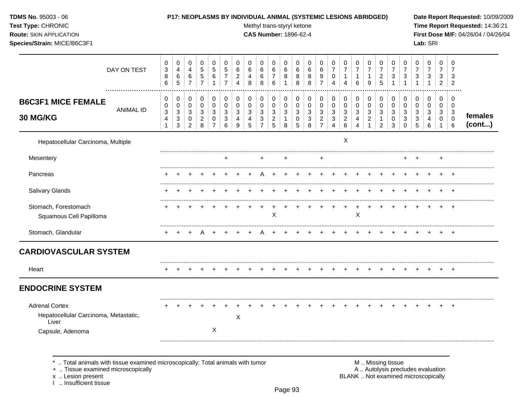Test Type: CHRONIC **Test Type:** CHRONIC **Test Type:** CHRONIC **Time Report Requested:** 14:36:21 **Route:** SKIN APPLICATION **CAS Number:** 1896-62-4 **First Dose M/F:** 04/26/04 / 04/26/04 **Species/Strain:** MICE/B6C3F1 **Lab:** SRI

| DAY ON TEST                                                                                                                                                       | 0<br>$\mathbf 3$<br>8<br>6                     | $\mathbf 0$<br>$\overline{4}$<br>6<br>$\sqrt{5}$ | 0<br>4<br>6<br>$\overline{7}$ | $\mathbf 0$<br>$\sqrt{5}$<br>5<br>$\overline{7}$ | $\mathbf 0$<br>5<br>6<br>-1 | $\pmb{0}$<br>$\sqrt{5}$<br>$\overline{7}$<br>$\overline{7}$ | 0<br>$\,6$<br>$\boldsymbol{2}$<br>$\overline{4}$ | 0<br>6<br>4<br>8 | $\mathbf 0$<br>6<br>6<br>8          | 0<br>$\,6$<br>$\overline{7}$<br>6      | $\mathbf 0$<br>6<br>8  | $\mathbf 0$<br>6<br>8<br>8 | $\mathbf 0$<br>$\,6$<br>$\bf 8$<br>8 | 0<br>$\,6\,$<br>$\boldsymbol{9}$<br>$\overline{7}$ | $\pmb{0}$<br>$\overline{7}$<br>$\pmb{0}$<br>$\overline{4}$ | $\pmb{0}$<br>$\overline{7}$<br>$\mathbf{1}$<br>4 | $\pmb{0}$<br>$\overline{7}$<br>$\mathbf{1}$<br>6 | 0<br>$\overline{7}$<br>-1<br>9      | 0<br>$\overline{7}$<br>$\overline{c}$<br>5 | 0<br>$\overline{7}$<br>3 | 0<br>$\overline{7}$<br>$\sqrt{3}$                                        | 0<br>$\overline{7}$<br>3 | $\mathbf 0$<br>$\boldsymbol{7}$<br>$\ensuremath{\mathsf{3}}$<br>$\mathbf{1}$ | 0<br>$\overline{7}$<br>3<br>$\overline{a}$ | $\mathbf 0$<br>$\overline{7}$<br>3<br>$\overline{2}$ |                   |
|-------------------------------------------------------------------------------------------------------------------------------------------------------------------|------------------------------------------------|--------------------------------------------------|-------------------------------|--------------------------------------------------|-----------------------------|-------------------------------------------------------------|--------------------------------------------------|------------------|-------------------------------------|----------------------------------------|------------------------|----------------------------|--------------------------------------|----------------------------------------------------|------------------------------------------------------------|--------------------------------------------------|--------------------------------------------------|-------------------------------------|--------------------------------------------|--------------------------|--------------------------------------------------------------------------|--------------------------|------------------------------------------------------------------------------|--------------------------------------------|------------------------------------------------------|-------------------|
| <b>B6C3F1 MICE FEMALE</b>                                                                                                                                         | 0<br>0                                         | $\mathbf 0$<br>$\mathbf 0$                       | 0<br>0                        | 0<br>$\mathbf 0$                                 | $\mathbf 0$<br>$\mathbf 0$  | $\pmb{0}$<br>$\pmb{0}$                                      | 0<br>0                                           | 0<br>0           | $\mathbf 0$<br>$\mathbf 0$          | 0<br>$\mathbf 0$                       | 0<br>$\mathbf 0$       | 0<br>$\mathbf 0$           | $\pmb{0}$<br>$\mathbf 0$             | 0<br>$\pmb{0}$                                     | 0<br>$\pmb{0}$                                             | $\pmb{0}$<br>$\pmb{0}$                           | $\pmb{0}$<br>$\mathbf 0$                         | $\mathbf 0$<br>$\mathbf 0$          | $\pmb{0}$<br>$\mathbf 0$                   | $\pmb{0}$<br>$\mathbf 0$ | 0<br>$\mathbf 0$                                                         | 0<br>0                   | $\pmb{0}$<br>0                                                               | $\pmb{0}$<br>0                             | 0<br>0                                               |                   |
| <b>ANIMAL ID</b><br>30 MG/KG                                                                                                                                      | $\mathbf{3}$<br>$\overline{4}$<br>$\mathbf{1}$ | $\sqrt{3}$<br>3<br>3                             | 3<br>0<br>$\overline{2}$      | $\mathbf{3}$<br>$\overline{c}$<br>8              | 3<br>0<br>$\overline{7}$    | $\sqrt{3}$<br>$\sqrt{3}$<br>6                               | 3<br>$\overline{\mathbf{4}}$<br>9                | 3<br>4<br>5      | $\mathbf{3}$<br>3<br>$\overline{7}$ | 3<br>$\overline{c}$<br>$5\phantom{.0}$ | 3<br>$\mathbf{1}$<br>8 | 3<br>0<br>5                | $\sqrt{3}$<br>$\sqrt{3}$<br>8        | $\mathbf{3}$<br>$\overline{c}$<br>$\overline{7}$   | 3<br>3<br>$\overline{4}$                                   | $\sqrt{3}$<br>$\boldsymbol{2}$<br>6              | $\mathbf{3}$<br>4<br>4                           | 3<br>$\overline{c}$<br>$\mathbf{1}$ | 3<br>$\mathbf{1}$<br>2                     | 3<br>0<br>3              | 3<br>3<br>$\mathbf 0$                                                    | 3<br>$\sqrt{3}$<br>5     | 3<br>$\overline{\mathbf{4}}$<br>6                                            | $\mathbf{3}$<br>0<br>$\mathbf{1}$          | $\mathbf{3}$<br>$\mathbf 0$<br>6                     | females<br>(cont) |
| Hepatocellular Carcinoma, Multiple                                                                                                                                |                                                |                                                  |                               |                                                  |                             |                                                             |                                                  |                  |                                     |                                        |                        |                            |                                      |                                                    |                                                            | Χ                                                |                                                  |                                     |                                            |                          |                                                                          |                          |                                                                              |                                            |                                                      |                   |
| Mesentery                                                                                                                                                         |                                                |                                                  |                               |                                                  |                             | +                                                           |                                                  |                  |                                     |                                        |                        |                            |                                      | ÷                                                  |                                                            |                                                  |                                                  |                                     |                                            |                          | $+$                                                                      | <b>+</b>                 |                                                                              | $\ddot{}$                                  |                                                      |                   |
| Pancreas                                                                                                                                                          |                                                |                                                  |                               |                                                  |                             |                                                             |                                                  |                  |                                     |                                        |                        |                            |                                      |                                                    |                                                            |                                                  |                                                  |                                     |                                            |                          |                                                                          |                          |                                                                              |                                            |                                                      |                   |
| Salivary Glands                                                                                                                                                   |                                                |                                                  |                               |                                                  |                             |                                                             |                                                  |                  |                                     |                                        |                        |                            |                                      |                                                    |                                                            |                                                  |                                                  |                                     |                                            |                          |                                                                          | $\ddot{}$                |                                                                              | ÷                                          | $\div$                                               |                   |
| Stomach, Forestomach<br>Squamous Cell Papilloma                                                                                                                   |                                                |                                                  |                               |                                                  |                             |                                                             |                                                  |                  |                                     | X                                      |                        |                            |                                      |                                                    |                                                            |                                                  | X                                                |                                     |                                            |                          |                                                                          |                          |                                                                              |                                            |                                                      |                   |
| Stomach, Glandular                                                                                                                                                |                                                |                                                  |                               |                                                  |                             |                                                             |                                                  |                  |                                     |                                        |                        |                            |                                      |                                                    |                                                            |                                                  |                                                  |                                     |                                            |                          |                                                                          |                          |                                                                              |                                            |                                                      |                   |
| <b>CARDIOVASCULAR SYSTEM</b>                                                                                                                                      |                                                |                                                  |                               |                                                  |                             |                                                             |                                                  |                  |                                     |                                        |                        |                            |                                      |                                                    |                                                            |                                                  |                                                  |                                     |                                            |                          |                                                                          |                          |                                                                              |                                            |                                                      |                   |
| Heart                                                                                                                                                             |                                                |                                                  |                               |                                                  |                             |                                                             |                                                  |                  |                                     |                                        |                        |                            |                                      |                                                    |                                                            |                                                  |                                                  |                                     |                                            |                          |                                                                          |                          |                                                                              |                                            |                                                      |                   |
| <b>ENDOCRINE SYSTEM</b>                                                                                                                                           |                                                |                                                  |                               |                                                  |                             |                                                             |                                                  |                  |                                     |                                        |                        |                            |                                      |                                                    |                                                            |                                                  |                                                  |                                     |                                            |                          |                                                                          |                          |                                                                              |                                            |                                                      |                   |
| <b>Adrenal Cortex</b><br>Hepatocellular Carcinoma, Metastatic,<br>Liver                                                                                           |                                                |                                                  |                               |                                                  |                             |                                                             | $\mathsf X$                                      |                  |                                     |                                        |                        |                            |                                      |                                                    |                                                            |                                                  |                                                  |                                     |                                            |                          |                                                                          |                          |                                                                              |                                            |                                                      |                   |
| Capsule, Adenoma                                                                                                                                                  |                                                |                                                  |                               |                                                  | $\mathsf X$                 |                                                             |                                                  |                  |                                     |                                        |                        |                            |                                      |                                                    |                                                            |                                                  |                                                  |                                     |                                            |                          |                                                                          |                          |                                                                              |                                            |                                                      |                   |
| Total animals with tissue examined microscopically; Total animals with tumor<br>+  Tissue examined microscopically<br>x  Lesion present<br>1  Insufficient tissue |                                                |                                                  |                               |                                                  |                             |                                                             |                                                  |                  |                                     |                                        |                        |                            |                                      |                                                    |                                                            |                                                  |                                                  |                                     | M  Missing tissue                          |                          | A  Autolysis precludes evaluation<br>BLANK  Not examined microscopically |                          |                                                                              |                                            |                                                      |                   |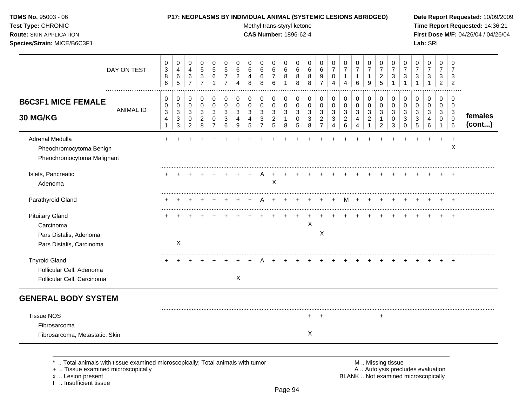TDMS No. 95003 - 06 Test Type: CHRONIC

**Route: SKIN APPLICATION** 

Species/Strain: MICE/B6C3F1

## P17: NEOPLASMS BY INDIVIDUAL ANIMAL (SYSTEMIC LESIONS ABRIDGED)

Methyl trans-styryl ketone

CAS Number: 1896-62-4

Date Report Requested: 10/09/2009 Time Report Requested: 14:36:21 First Dose M/F: 04/26/04 / 04/26/04 Lab: SRI

|                                                                                           | DAY ON TEST      | $\pmb{0}$<br>$\ensuremath{\mathsf{3}}$<br>8<br>6                         | 0<br>$\overline{4}$<br>$\,6\,$<br>$\sqrt{5}$ | 0<br>4<br>$\,6\,$<br>$\overline{7}$          | $\mathbf 0$<br>$\sqrt{5}$<br>$\sqrt{5}$<br>$\overline{7}$ | 0<br>5<br>6<br>1                  | $\mathbf 0$<br>$\sqrt{5}$<br>$\overline{7}$ | 0<br>6<br>$\overline{c}$<br>4 | 0<br>$\,6\,$<br>4<br>8         | 0<br>$\,6\,$<br>6<br>8                                                   | 0<br>6<br>$\overline{7}$<br>6                | $\mathbf 0$<br>6<br>8                      | 0<br>6<br>8<br>8                          | 0<br>$\,6$<br>8<br>8                              | $\mathbf 0$<br>$\,6\,$<br>$9\,$<br>$\overline{7}$                     | 0<br>$\boldsymbol{7}$<br>0<br>$\overline{4}$ | 0<br>$\overline{7}$<br>$\mathbf{1}$<br>4              | 0<br>$\overline{7}$<br>$\mathbf{1}$<br>6 | 0<br>$\overline{7}$<br>$\mathbf{1}$<br>9 | $\mathbf 0$<br>$\overline{7}$<br>$\overline{c}$<br>5 | 0<br>$\overline{7}$<br>$\ensuremath{\mathsf{3}}$     | 0<br>$\overline{7}$<br>3<br>$\overline{1}$           | 0<br>$\overline{7}$<br>3<br>$\mathbf{1}$            | 0<br>$\overline{7}$<br>$\mathbf{3}$<br>$\mathbf{1}$     | 0<br>$\overline{7}$<br>3<br>$\overline{2}$        | $\mathbf 0$<br>$\overline{7}$<br>3<br>$\overline{c}$ |                   |
|-------------------------------------------------------------------------------------------|------------------|--------------------------------------------------------------------------|----------------------------------------------|----------------------------------------------|-----------------------------------------------------------|-----------------------------------|---------------------------------------------|-------------------------------|--------------------------------|--------------------------------------------------------------------------|----------------------------------------------|--------------------------------------------|-------------------------------------------|---------------------------------------------------|-----------------------------------------------------------------------|----------------------------------------------|-------------------------------------------------------|------------------------------------------|------------------------------------------|------------------------------------------------------|------------------------------------------------------|------------------------------------------------------|-----------------------------------------------------|---------------------------------------------------------|---------------------------------------------------|------------------------------------------------------|-------------------|
| <b>B6C3F1 MICE FEMALE</b><br>30 MG/KG                                                     | <b>ANIMAL ID</b> | 0<br>$\mathbf 0$<br>$\ensuremath{\mathsf{3}}$<br>$\overline{\mathbf{4}}$ | 0<br>$\mathbf 0$<br>$\sqrt{3}$<br>3<br>3     | 0<br>$\mathbf 0$<br>3<br>0<br>$\overline{2}$ | 0<br>$\mathbf 0$<br>3<br>$\overline{c}$<br>8              | 0<br>$\mathbf 0$<br>3<br>$\Omega$ | 0<br>$\mathbf 0$<br>3<br>3<br>6             | 0<br>0<br>3<br>4<br>9         | 0<br>0<br>$\sqrt{3}$<br>4<br>5 | $\mathbf 0$<br>$\mathbf 0$<br>$\sqrt{3}$<br>$\sqrt{3}$<br>$\overline{7}$ | 0<br>$\mathbf 0$<br>3<br>$\overline{c}$<br>5 | 0<br>$\mathbf 0$<br>3<br>$\mathbf{1}$<br>8 | 0<br>$\mathbf 0$<br>3<br>$\mathbf 0$<br>5 | 0<br>$\pmb{0}$<br>$\mathbf{3}$<br>$\sqrt{3}$<br>8 | 0<br>$\mathbf 0$<br>$\mathsf 3$<br>$\boldsymbol{2}$<br>$\overline{7}$ | 0<br>$\pmb{0}$<br>3<br>$\mathbf{3}$<br>4     | 0<br>$\pmb{0}$<br>$\sqrt{3}$<br>$\boldsymbol{2}$<br>6 | 0<br>$\mathbf 0$<br>3<br>4<br>4          | 0<br>0<br>3<br>$\overline{c}$            | 0<br>$\mathbf 0$<br>3<br>1<br>$\overline{2}$         | 0<br>$\mathbf 0$<br>$\mathbf{3}$<br>$\mathbf 0$<br>3 | 0<br>$\mathbf 0$<br>$\mathbf{3}$<br>3<br>$\mathbf 0$ | 0<br>$\mathbf 0$<br>$\sqrt{3}$<br>$\mathbf{3}$<br>5 | 0<br>$\mathbf 0$<br>$\mathbf{3}$<br>$\overline{4}$<br>6 | 0<br>$\mathbf 0$<br>3<br>$\Omega$<br>$\mathbf{1}$ | 0<br>$\mathbf 0$<br>3<br>$\mathbf 0$<br>6            | females<br>(cont) |
| Adrenal Medulla<br>Pheochromocytoma Benign<br>Pheochromocytoma Malignant                  |                  |                                                                          |                                              |                                              |                                                           |                                   |                                             |                               |                                |                                                                          |                                              |                                            |                                           |                                                   |                                                                       |                                              |                                                       |                                          |                                          |                                                      |                                                      |                                                      |                                                     |                                                         |                                                   | X                                                    |                   |
| Islets, Pancreatic<br>Adenoma                                                             |                  |                                                                          |                                              |                                              |                                                           |                                   |                                             |                               |                                |                                                                          | $\pmb{\times}$                               |                                            |                                           |                                                   |                                                                       |                                              |                                                       |                                          |                                          |                                                      |                                                      |                                                      |                                                     |                                                         |                                                   |                                                      |                   |
| Parathyroid Gland                                                                         |                  |                                                                          |                                              |                                              |                                                           |                                   |                                             |                               |                                |                                                                          |                                              |                                            |                                           |                                                   |                                                                       |                                              |                                                       |                                          |                                          |                                                      |                                                      |                                                      |                                                     |                                                         |                                                   |                                                      |                   |
| <b>Pituitary Gland</b><br>Carcinoma<br>Pars Distalis, Adenoma<br>Pars Distalis, Carcinoma |                  |                                                                          | $\boldsymbol{X}$                             |                                              |                                                           |                                   |                                             |                               |                                |                                                                          |                                              |                                            |                                           | $\sf X$                                           | X                                                                     |                                              |                                                       |                                          |                                          |                                                      |                                                      |                                                      |                                                     |                                                         |                                                   |                                                      |                   |
| <b>Thyroid Gland</b><br>Follicular Cell, Adenoma<br>Follicular Cell, Carcinoma            |                  |                                                                          |                                              |                                              |                                                           |                                   |                                             | X                             |                                |                                                                          |                                              |                                            |                                           |                                                   |                                                                       |                                              |                                                       |                                          |                                          |                                                      |                                                      |                                                      |                                                     |                                                         |                                                   | $\pm$                                                |                   |
| <b>GENERAL BODY SYSTEM</b>                                                                |                  |                                                                          |                                              |                                              |                                                           |                                   |                                             |                               |                                |                                                                          |                                              |                                            |                                           |                                                   |                                                                       |                                              |                                                       |                                          |                                          |                                                      |                                                      |                                                      |                                                     |                                                         |                                                   |                                                      |                   |
| <b>Tissue NOS</b><br>Fibrosarcoma<br>Fibrosarcoma, Metastatic, Skin                       |                  |                                                                          |                                              |                                              |                                                           |                                   |                                             |                               |                                |                                                                          |                                              |                                            |                                           | $+$<br>$\sf X$                                    | $\overline{+}$                                                        |                                              |                                                       |                                          |                                          | +                                                    |                                                      |                                                      |                                                     |                                                         |                                                   |                                                      |                   |
| *  Total animals with tissue examined microscopically; Total animals with tumor           |                  |                                                                          |                                              |                                              |                                                           |                                   |                                             |                               |                                |                                                                          |                                              |                                            |                                           |                                                   |                                                                       |                                              |                                                       |                                          |                                          |                                                      | M  Missing tissue                                    |                                                      |                                                     |                                                         |                                                   |                                                      |                   |

+ .. Tissue examined microscopically

x .. Lesion present<br>I .. Insufficient tissue

A .. Autolysis precludes evaluation BLANK .. Not examined microscopically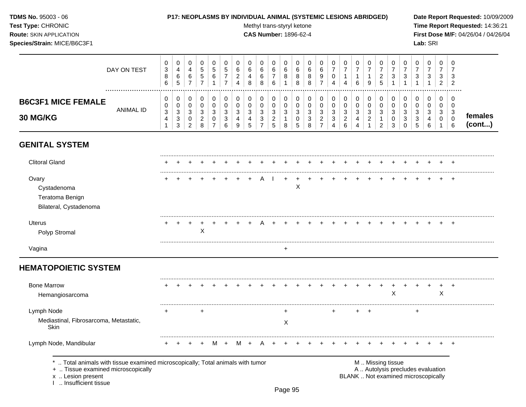**Test Type:** CHRONIC **Trans-styryl ketone** Methyl trans-styryl ketone **Time Report Requested:** 14:36:21 **Route:** SKIN APPLICATION **CAS Number:** 1896-62-4 **First Dose M/F:** 04/26/04 / 04/26/04 **Species/Strain:** MICE/B6C3F1 **Lab:** SRI

|                                       | DAY ON TEST | 0<br>3<br>8<br>6 | 0<br>4<br>6<br>5      | U<br>4<br>6                       | ა<br><sub>5</sub>        | 0<br><sub>5</sub><br>6 | u<br>đ               | υ<br>6<br>າ<br>∠<br>4      | 6<br>4<br>8                             | 0<br>6<br>6<br>8 | 0<br>6<br>6                             | υ<br>6<br>8      | v<br>6<br>8<br>8 | ⌒<br>6<br>8<br>8   | -0<br>6<br>9                        | U      | 0<br>4                            | v<br>6                     | U<br>9                       | v<br>ົ<br>b      | 0<br>3                | U<br>3                | U<br>3        | 0<br>3                | ◡<br><sup>o</sup><br>J | U<br>З<br>2           |                   |
|---------------------------------------|-------------|------------------|-----------------------|-----------------------------------|--------------------------|------------------------|----------------------|----------------------------|-----------------------------------------|------------------|-----------------------------------------|------------------|------------------|--------------------|-------------------------------------|--------|-----------------------------------|----------------------------|------------------------------|------------------|-----------------------|-----------------------|---------------|-----------------------|------------------------|-----------------------|-------------------|
| <b>B6C3F1 MICE FEMALE</b><br>30 MG/KG | ANIMAL ID   | U<br>0<br>3<br>4 | 0<br>0<br>3<br>3<br>3 | U<br>U<br>3<br>0<br>ົ<br><u>_</u> | 3<br>C.<br>∠<br>$\Omega$ | 0<br>3<br>0<br>–       | ◠<br>$\sqrt{2}$<br>ี | υ<br>C<br>u<br>3<br>4<br>9 | ີ<br>ು<br>∽<br>$\overline{\phantom{a}}$ | 0<br>0<br>3<br>3 | 0<br>0<br>ີ<br>ت<br>C<br><u>_</u><br>C. | U<br>v<br>3<br>8 | 3<br>ັບ          | دت<br>$\sim$<br>دت | 3<br>C<br><u>_</u><br>$\rightarrow$ | 3<br>З | 0<br>0<br>3<br>◠<br><u>_</u><br>6 | υ<br>υ<br>ົ<br>ت<br>4<br>4 | 0<br>J<br>3<br>◠<br><u>_</u> | υ<br>v<br>3<br>ົ | 0<br>0<br>3<br>0<br>3 | U<br>U<br>3<br>3<br>Ü | ۰J<br>دت<br>э | 0<br>0<br>3<br>4<br>6 | $\sim$                 | 0<br>ν<br>3<br>u<br>6 | temales<br>(cont) |

# **GENITAL SYSTEM**

| <b>Clitoral Gland</b>                          |   |  |   |  |   |  |   |   |  |  |  |   |  |   |        |  |
|------------------------------------------------|---|--|---|--|---|--|---|---|--|--|--|---|--|---|--------|--|
| Ovary                                          |   |  |   |  |   |  |   |   |  |  |  |   |  |   | $\div$ |  |
| Cystadenoma                                    |   |  |   |  |   |  |   | X |  |  |  |   |  |   |        |  |
| Teratoma Benign                                |   |  |   |  |   |  |   |   |  |  |  |   |  |   |        |  |
| Bilateral, Cystadenoma                         |   |  |   |  |   |  |   |   |  |  |  |   |  |   |        |  |
| Uterus                                         |   |  |   |  |   |  |   |   |  |  |  |   |  |   | $\pm$  |  |
| Polyp Stromal                                  |   |  | Χ |  |   |  |   |   |  |  |  |   |  |   |        |  |
| Vagina                                         |   |  |   |  |   |  |   |   |  |  |  |   |  |   |        |  |
| <b>HEMATOPOIETIC SYSTEM</b>                    |   |  |   |  |   |  |   |   |  |  |  |   |  |   |        |  |
| <b>Bone Marrow</b>                             |   |  |   |  |   |  |   |   |  |  |  |   |  |   | $\pm$  |  |
| Hemangiosarcoma                                |   |  |   |  |   |  |   |   |  |  |  | X |  | X |        |  |
| Lymph Node                                     | ٠ |  |   |  |   |  | ٠ |   |  |  |  |   |  |   |        |  |
| Mediastinal, Fibrosarcoma, Metastatic,<br>Skin |   |  |   |  |   |  | X |   |  |  |  |   |  |   |        |  |
| Lymph Node, Mandibular                         |   |  |   |  | M |  |   |   |  |  |  |   |  |   |        |  |

\* .. Total animals with tissue examined microscopically; Total animals with tumor **M** metally more than M .. Missing tissue<br>  $\blacksquare$  Tissue examined microscopically

+ .. Tissue examined microscopically

x .. Lesion present<br>I .. Insufficient tissue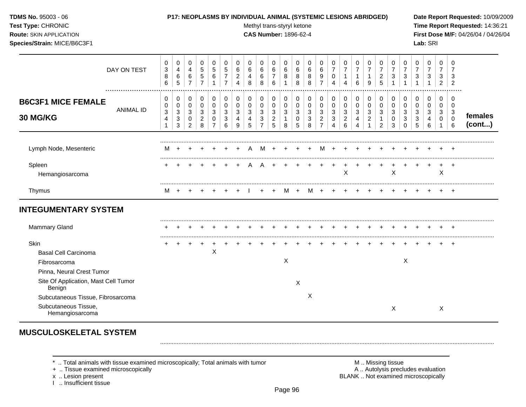Test Type: CHRONIC **Test Type:** CHRONIC **Test Type:** CHRONIC **Methyl trans-styryl ketone Time Report Requested:** 14:36:21 **Route:** SKIN APPLICATION **CAS Number:** 1896-62-4 **First Dose M/F:** 04/26/04 / 04/26/04 **Species/Strain:** MICE/B6C3F1 **Lab:** SRI

|                                                                              | DAY ON TEST          | 0<br>$\sqrt{3}$<br>8<br>6                | 0<br>4<br>$\,6\,$<br>5                      | 0<br>$\overline{4}$<br>6<br>$\overline{7}$   | $\mathbf 0$<br>5<br>5<br>$\overline{7}$ | 0<br>$\sqrt{5}$<br>6<br>-1                          | 0<br>5<br>$\overline{7}$<br>$\overline{7}$ | 0<br>6<br>$\overline{c}$<br>4   | 0<br>6<br>4<br>8              | 0<br>6<br>6<br>8                                                   | 0<br>6<br>$\overline{7}$<br>6                           | 0<br>6<br>8<br>1      | 0<br>$\,6\,$<br>$\bf 8$<br>8           | $\mathbf 0$<br>6<br>8<br>8 | 0<br>6<br>9<br>$\overline{7}$                           | 0<br>$\overline{7}$<br>$\mathbf 0$<br>4 | 0<br>$\overline{7}$<br>1<br>4                                   | 0<br>$\overline{7}$<br>$\mathbf{1}$<br>6   | 0<br>$\overline{7}$<br>$\mathbf{1}$<br>9         | 0<br>$\overline{7}$<br>$\boldsymbol{2}$<br>5          | 0<br>$\overline{7}$<br>$\mathbf{3}$ | 0<br>$\overline{7}$<br>3               | 0<br>$\overline{7}$<br>3 | 0<br>$\overline{7}$<br>3 | 0<br>$\overline{7}$<br>3<br>$\overline{2}$ | $\Omega$<br>3<br>$\overline{2}$               |                   |
|------------------------------------------------------------------------------|----------------------|------------------------------------------|---------------------------------------------|----------------------------------------------|-----------------------------------------|-----------------------------------------------------|--------------------------------------------|---------------------------------|-------------------------------|--------------------------------------------------------------------|---------------------------------------------------------|-----------------------|----------------------------------------|----------------------------|---------------------------------------------------------|-----------------------------------------|-----------------------------------------------------------------|--------------------------------------------|--------------------------------------------------|-------------------------------------------------------|-------------------------------------|----------------------------------------|--------------------------|--------------------------|--------------------------------------------|-----------------------------------------------|-------------------|
| <b>B6C3F1 MICE FEMALE</b><br><b>30 MG/KG</b>                                 | <br><b>ANIMAL ID</b> | 0<br>0<br>$\ensuremath{\mathsf{3}}$<br>4 | 0<br>0<br>$\mathbf{3}$<br>3<br>$\mathbf{3}$ | $\mathbf 0$<br>0<br>3<br>0<br>$\overline{c}$ | 0<br>0<br>3<br>$\overline{2}$<br>8      | 0<br>$\mathbf 0$<br>3<br>$\Omega$<br>$\overline{7}$ | 0<br>0<br>3<br>3<br>6                      | $\mathbf 0$<br>0<br>3<br>4<br>9 | 0<br>$\pmb{0}$<br>3<br>4<br>5 | 0<br>$\mathbf 0$<br>$\mathbf{3}$<br>$\mathbf{3}$<br>$\overline{7}$ | 0<br>$\pmb{0}$<br>3<br>$\overline{2}$<br>$\overline{5}$ | 0<br>0<br>3<br>1<br>8 | 0<br>$\pmb{0}$<br>$\sqrt{3}$<br>0<br>5 | 0<br>0<br>3<br>3<br>8      | $\pmb{0}$<br>0<br>3<br>$\overline{c}$<br>$\overline{7}$ | 0<br>0<br>$\sqrt{3}$<br>3<br>4          | $\pmb{0}$<br>$\pmb{0}$<br>$\mathbf{3}$<br>$\boldsymbol{2}$<br>6 | 0<br>$\mathbf 0$<br>$\mathbf{3}$<br>4<br>4 | 0<br>$\pmb{0}$<br>$\sqrt{3}$<br>$\boldsymbol{2}$ | 0<br>$\pmb{0}$<br>3<br>$\mathbf{1}$<br>$\overline{2}$ | 0<br>0<br>3<br>0<br>$\mathbf{3}$    | 0<br>$\mathbf 0$<br>3<br>3<br>$\Omega$ | 0<br>0<br>3<br>3<br>5    | 0<br>0<br>3<br>6         | $\mathbf 0$<br>0<br>3<br>$\mathbf 0$<br>-1 | 0<br>0<br>3<br>$\mathbf 0$<br>$6\phantom{1}6$ | females<br>(cont) |
| Lymph Node, Mesenteric                                                       |                      | м                                        | $\div$                                      |                                              |                                         |                                                     |                                            |                                 |                               |                                                                    |                                                         |                       |                                        |                            | м                                                       |                                         |                                                                 |                                            |                                                  |                                                       |                                     |                                        |                          |                          |                                            |                                               |                   |
| Spleen<br>Hemangiosarcoma                                                    |                      |                                          |                                             |                                              |                                         |                                                     |                                            |                                 |                               |                                                                    |                                                         |                       |                                        |                            |                                                         |                                         | X                                                               |                                            |                                                  |                                                       | X                                   |                                        |                          |                          | X                                          |                                               |                   |
| Thymus                                                                       |                      | М                                        | $\ddot{}$                                   |                                              |                                         |                                                     |                                            |                                 |                               |                                                                    |                                                         | м                     | $\pm$                                  | м                          |                                                         |                                         |                                                                 |                                            |                                                  |                                                       |                                     |                                        |                          |                          |                                            | $^+$                                          |                   |
| <b>INTEGUMENTARY SYSTEM</b>                                                  |                      |                                          |                                             |                                              |                                         |                                                     |                                            |                                 |                               |                                                                    |                                                         |                       |                                        |                            |                                                         |                                         |                                                                 |                                            |                                                  |                                                       |                                     |                                        |                          |                          |                                            |                                               |                   |
| <b>Mammary Gland</b>                                                         |                      |                                          |                                             |                                              |                                         |                                                     |                                            |                                 |                               |                                                                    |                                                         |                       |                                        |                            |                                                         |                                         |                                                                 |                                            |                                                  |                                                       |                                     |                                        |                          |                          |                                            | $\,^+$                                        |                   |
| Skin<br><b>Basal Cell Carcinoma</b><br>Fibrosarcoma                          |                      |                                          |                                             |                                              |                                         | X                                                   |                                            |                                 |                               |                                                                    |                                                         | X                     |                                        |                            |                                                         |                                         |                                                                 |                                            |                                                  |                                                       |                                     | X                                      |                          |                          |                                            |                                               |                   |
| Pinna, Neural Crest Tumor<br>Site Of Application, Mast Cell Tumor<br>Benign  |                      |                                          |                                             |                                              |                                         |                                                     |                                            |                                 |                               |                                                                    |                                                         |                       | X                                      |                            |                                                         |                                         |                                                                 |                                            |                                                  |                                                       |                                     |                                        |                          |                          |                                            |                                               |                   |
| Subcutaneous Tissue, Fibrosarcoma<br>Subcutaneous Tissue,<br>Hemangiosarcoma |                      |                                          |                                             |                                              |                                         |                                                     |                                            |                                 |                               |                                                                    |                                                         |                       |                                        | $\times$                   |                                                         |                                         |                                                                 |                                            |                                                  |                                                       | $\sf X$                             |                                        |                          |                          | X                                          |                                               |                   |
|                                                                              |                      |                                          |                                             |                                              |                                         |                                                     |                                            |                                 |                               |                                                                    |                                                         |                       |                                        |                            |                                                         |                                         |                                                                 |                                            |                                                  |                                                       |                                     |                                        |                          |                          |                                            |                                               |                   |

# **MUSCULOSKELETAL SYSTEM**

\* .. Total animals with tissue examined microscopically; Total animals with tumor **M** . Missing tissue M .. Missing tissue<br>  $\blacksquare$  . Tissue examined microscopically<br>  $\blacksquare$  . Autolysis precludes evaluation

+ .. Tissue examined microscopically

x .. Lesion present<br>I .. Insufficient tissue

BLANK .. Not examined microscopically

.........................................................................................................................................................................................................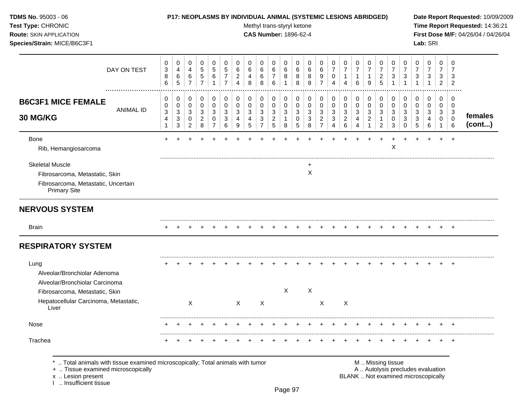Test Type: CHRONIC **Test Type:** CHRONIC **Test Type:** CHRONIC **Time Report Requested:** 14:36:21 **Route:** SKIN APPLICATION **CAS Number:** 1896-62-4 **First Dose M/F:** 04/26/04 / 04/26/04 **Species/Strain:** MICE/B6C3F1 **Lab:** SRI

| DAY ON TEST                                                                                                                                                | 0<br>$\ensuremath{\mathsf{3}}$<br>$\bf 8$<br>$\,6\,$ | 0<br>4<br>$\,6$<br>$\overline{5}$                   | $\mathbf 0$<br>4<br>6<br>$\overline{7}$      | 0<br>5<br>5<br>$\overline{7}$                | 0<br>5<br>6<br>$\mathbf{1}$               | 0<br>$\overline{5}$<br>$\overline{7}$<br>$\overline{7}$ | 0<br>6<br>$\sqrt{2}$<br>$\overline{4}$ | 0<br>$\,6$<br>4<br>8  | 0<br>6<br>6<br>8                                        | $\mathbf 0$<br>6<br>$\overline{7}$<br>$\,6\,$   | $\mathbf 0$<br>6<br>8<br>$\mathbf{1}$ | 0<br>6<br>8<br>8                | 0<br>$\,6$<br>8<br>8                       | 0<br>$\,6\,$<br>$\boldsymbol{9}$<br>$\overline{7}$                                  | 0<br>$\overline{7}$<br>0<br>$\overline{4}$ | $\pmb{0}$<br>$\overline{7}$<br>$\mathbf{1}$<br>$\overline{4}$ | 0<br>$\overline{7}$<br>$\mathbf{1}$<br>6                           | 0<br>$\overline{7}$<br>$\mathbf 1$<br>9                        | $\pmb{0}$<br>$\overline{7}$<br>$\sqrt{2}$<br>5                      | 0<br>$\overline{7}$<br>$\ensuremath{\mathsf{3}}$<br>$\mathbf{1}$ | 0<br>$\overline{7}$<br>3<br>1          | 0<br>$\overline{7}$<br>3<br>$\mathbf{1}$  | 0<br>$\overline{7}$<br>$\ensuremath{\mathsf{3}}$<br>$\mathbf{1}$ | $\mathbf 0$<br>$\overline{7}$<br>$\ensuremath{\mathsf{3}}$<br>$\overline{2}$ | $\pmb{0}$<br>$\overline{7}$<br>3<br>$\overline{2}$  |                   |
|------------------------------------------------------------------------------------------------------------------------------------------------------------|------------------------------------------------------|-----------------------------------------------------|----------------------------------------------|----------------------------------------------|-------------------------------------------|---------------------------------------------------------|----------------------------------------|-----------------------|---------------------------------------------------------|-------------------------------------------------|---------------------------------------|---------------------------------|--------------------------------------------|-------------------------------------------------------------------------------------|--------------------------------------------|---------------------------------------------------------------|--------------------------------------------------------------------|----------------------------------------------------------------|---------------------------------------------------------------------|------------------------------------------------------------------|----------------------------------------|-------------------------------------------|------------------------------------------------------------------|------------------------------------------------------------------------------|-----------------------------------------------------|-------------------|
| <b>B6C3F1 MICE FEMALE</b><br><b>ANIMAL ID</b><br><b>30 MG/KG</b>                                                                                           | 0<br>0<br>$\ensuremath{\mathsf{3}}$<br>4<br>-1       | 0<br>$\mathbf 0$<br>$\sqrt{3}$<br>$\mathbf{3}$<br>3 | 0<br>$\mathbf 0$<br>3<br>0<br>$\overline{2}$ | 0<br>$\mathbf 0$<br>3<br>$\overline{2}$<br>8 | 0<br>0<br>3<br>$\Omega$<br>$\overline{7}$ | 0<br>0<br>3<br>3<br>6                                   | 0<br>0<br>3<br>4<br>9                  | 0<br>0<br>3<br>4<br>5 | $\mathbf 0$<br>0<br>$\mathbf{3}$<br>3<br>$\overline{7}$ | 0<br>0<br>3<br>$\overline{2}$<br>$\overline{5}$ | 0<br>0<br>3<br>$\mathbf{1}$<br>8      | 0<br>$\mathbf 0$<br>3<br>0<br>5 | 0<br>$\mathbf 0$<br>3<br>$\mathbf{3}$<br>8 | 0<br>$\mathbf 0$<br>$\ensuremath{\mathsf{3}}$<br>$\boldsymbol{2}$<br>$\overline{7}$ | 0<br>$\pmb{0}$<br>3<br>$\mathbf{3}$<br>4   | $\pmb{0}$<br>$\pmb{0}$<br>3<br>$\overline{a}$<br>6            | 0<br>$\pmb{0}$<br>$\mathbf{3}$<br>$\overline{4}$<br>$\overline{4}$ | 0<br>$\pmb{0}$<br>$\sqrt{3}$<br>$\overline{c}$<br>$\mathbf{1}$ | $\mathbf 0$<br>$\mathbf 0$<br>3<br>$\overline{1}$<br>$\overline{c}$ | $\mathbf 0$<br>$\mathbf 0$<br>3<br>0<br>3                        | 0<br>$\mathbf 0$<br>3<br>3<br>$\Omega$ | 0<br>0<br>$\sqrt{3}$<br>$\mathbf{3}$<br>5 | 0<br>0<br>$\mathbf{3}$<br>4<br>6                                 | $\mathbf 0$<br>$\mathbf 0$<br>3<br>$\mathbf 0$<br>$\mathbf{1}$               | $\mathbf 0$<br>$\mathbf 0$<br>3<br>$\mathbf 0$<br>6 | females<br>(cont) |
| Bone<br>Rib, Hemangiosarcoma                                                                                                                               | $\ddot{}$                                            |                                                     |                                              |                                              |                                           |                                                         |                                        |                       |                                                         |                                                 |                                       |                                 |                                            |                                                                                     |                                            |                                                               |                                                                    |                                                                |                                                                     | X                                                                |                                        |                                           |                                                                  |                                                                              | $\overline{+}$                                      |                   |
| <b>Skeletal Muscle</b><br>Fibrosarcoma, Metastatic, Skin<br>Fibrosarcoma, Metastatic, Uncertain<br><b>Primary Site</b>                                     |                                                      |                                                     |                                              |                                              |                                           |                                                         |                                        |                       |                                                         |                                                 |                                       |                                 | +<br>$\times$                              |                                                                                     |                                            |                                                               |                                                                    |                                                                |                                                                     |                                                                  |                                        |                                           |                                                                  |                                                                              |                                                     |                   |
| <b>NERVOUS SYSTEM</b>                                                                                                                                      |                                                      |                                                     |                                              |                                              |                                           |                                                         |                                        |                       |                                                         |                                                 |                                       |                                 |                                            |                                                                                     |                                            |                                                               |                                                                    |                                                                |                                                                     |                                                                  |                                        |                                           |                                                                  |                                                                              |                                                     |                   |
| <b>Brain</b><br><b>RESPIRATORY SYSTEM</b>                                                                                                                  |                                                      |                                                     |                                              |                                              |                                           |                                                         |                                        |                       |                                                         |                                                 |                                       |                                 |                                            |                                                                                     |                                            |                                                               |                                                                    |                                                                |                                                                     |                                                                  |                                        |                                           |                                                                  |                                                                              |                                                     |                   |
| Lung<br>Alveolar/Bronchiolar Adenoma<br>Alveolar/Bronchiolar Carcinoma<br>Fibrosarcoma, Metastatic, Skin<br>Hepatocellular Carcinoma, Metastatic,<br>Liver |                                                      |                                                     | $\mathsf{X}$                                 |                                              |                                           |                                                         | $\mathsf{X}$                           |                       | $\mathsf X$                                             |                                                 | X                                     |                                 | $\boldsymbol{\mathsf{X}}$                  | $\mathsf{X}$                                                                        |                                            | X                                                             |                                                                    |                                                                |                                                                     |                                                                  |                                        |                                           |                                                                  |                                                                              |                                                     |                   |
| Nose                                                                                                                                                       |                                                      |                                                     |                                              |                                              |                                           |                                                         |                                        |                       |                                                         |                                                 |                                       |                                 |                                            |                                                                                     |                                            |                                                               |                                                                    |                                                                |                                                                     |                                                                  |                                        |                                           |                                                                  |                                                                              |                                                     |                   |
| Trachea                                                                                                                                                    |                                                      |                                                     |                                              |                                              |                                           |                                                         |                                        |                       |                                                         |                                                 |                                       |                                 |                                            |                                                                                     |                                            |                                                               |                                                                    |                                                                |                                                                     |                                                                  |                                        |                                           |                                                                  |                                                                              |                                                     |                   |
| Total animals with tissue examined microscopically; Total animals with tumor<br>+  Tissue examined microscopically<br>x  Lesion present                    |                                                      |                                                     |                                              |                                              |                                           |                                                         |                                        |                       |                                                         |                                                 |                                       |                                 |                                            |                                                                                     |                                            | BLANK  Not examined microscopically                           |                                                                    |                                                                | M  Missing tissue<br>A  Autolysis precludes evaluation              |                                                                  |                                        |                                           |                                                                  |                                                                              |                                                     |                   |

I .. Insufficient tissue

Page 97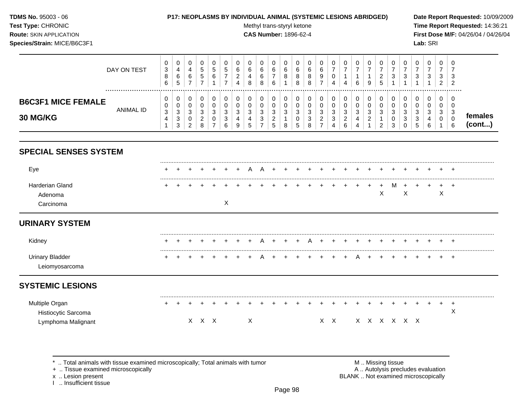**Test Type:** CHRONIC **TEST CHRONIC Test Type:** CHRONIC **TEREONIC CHARGE CONFERENCES THE Report Requested:** 14:36:21 **Route:** SKIN APPLICATION **CAS Number:** 1896-62-4 **First Dose M/F:** 04/26/04 / 04/26/04

 

 

#### **Species/Strain:** MICE/B6C3F1 **Lab:** SRI DAY ON TEST  $\bar{7}$   $\overline{7}$   $\overline{7}$   $\overline{7}$  ................................................................................................................................................................. **B6C3F1 MICE FEMALE**

| 30 MG/KG                     | ANIMAL ID | 3<br>4 | 3<br>3<br>3 | 3<br>0<br>C | 3<br>$\Omega$<br>8 | 3 | 3<br>3<br>6 | 3<br>4<br>9 | 3<br>4 | 3<br>3 | 3<br>$\sim$<br>G | 3<br>8 | J | 3<br>3<br>8 | 3<br>ົ<br>$\epsilon$ | 3<br>3<br>4 | 3<br>$\sim$<br>∠<br>6 | 3<br>4<br>4 | 3<br>$\sim$ | 3<br>◠   | -3<br>⌒ | 3<br>3<br>U | 3<br>3<br>5 | 3<br>4<br>6 | 3<br>υ | 3<br>6 | females<br>$($ cont $)$ |
|------------------------------|-----------|--------|-------------|-------------|--------------------|---|-------------|-------------|--------|--------|------------------|--------|---|-------------|----------------------|-------------|-----------------------|-------------|-------------|----------|---------|-------------|-------------|-------------|--------|--------|-------------------------|
|                              |           |        |             |             |                    |   |             |             |        |        |                  |        |   |             |                      |             |                       |             |             |          |         |             |             |             |        |        |                         |
| <b>SPECIAL SENSES SYSTEM</b> |           |        |             |             |                    |   |             |             |        |        |                  |        |   |             |                      |             |                       |             |             |          |         |             |             |             |        |        |                         |
| Eye                          |           |        |             | $\div$      | $+$                |   | $+ +$       |             | A      |        |                  |        |   |             |                      | $\div$      |                       |             |             |          |         |             |             |             | ÷      | $\pm$  |                         |
| Harderian Gland<br>Adenoma   |           |        |             |             |                    |   |             |             |        |        |                  |        |   |             |                      |             |                       |             |             | $+$<br>X | м       | X           |             |             | Χ      | $\div$ |                         |
| Carcinoma                    |           |        |             |             |                    |   | ∧           |             |        |        |                  |        |   |             |                      |             |                       |             |             |          |         |             |             |             |        |        |                         |
| <b>URINARY SYSTEM</b>        |           |        |             |             |                    |   |             |             |        |        |                  |        |   |             |                      |             |                       |             |             |          |         |             |             |             |        |        |                         |

| <b>Kidnev</b>  |  |  |  |  |  |  |  |  |  |  |  |  |  |
|----------------|--|--|--|--|--|--|--|--|--|--|--|--|--|
| Leiomyosarcoma |  |  |  |  |  |  |  |  |  |  |  |  |  |

# **SYSTEMIC LESIONS**

| Multiple Organ      |  |  |  |  |  |  |  |  |         |  |  |  |  |  |
|---------------------|--|--|--|--|--|--|--|--|---------|--|--|--|--|--|
| Histiocytic Sarcoma |  |  |  |  |  |  |  |  |         |  |  |  |  |  |
| Lymphoma Malignant  |  |  |  |  |  |  |  |  | x x x x |  |  |  |  |  |

\* .. Total animals with tissue examined microscopically; Total animals with tumor  $\blacksquare$  M .. Missing tissue<br>A .. Autolysis preclu A .. Autolysis preclu A

ANIMAL ID

I .. Insufficient tissue

A .. Autolysis precludes evaluation x .. Lesion present **BLANK** .. Not examined microscopically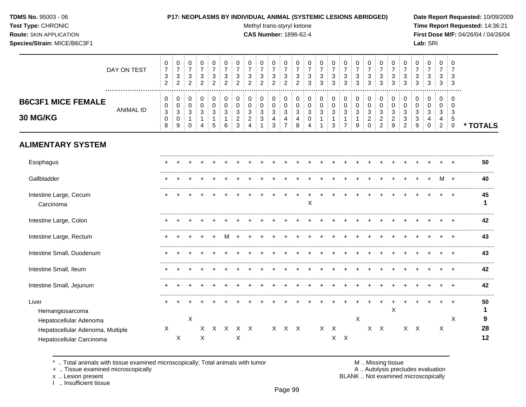Test Type: CHRONIC **Test Type:** CHRONIC **Test Type:** CHRONIC **Time Report Requested:** 14:36:21 **Route:** SKIN APPLICATION **CAS Number:** 1896-62-4 **First Dose M/F:** 04/26/04 / 04/26/04 **Species/Strain:** MICE/B6C3F1 **Lab:** SRI

|                                                                                        | DAY ON TEST           | 0<br>$\boldsymbol{7}$<br>$\ensuremath{\mathsf{3}}$<br>$\overline{2}$ | $\pmb{0}$<br>$\overline{7}$<br>$\mathbf{3}$<br>$\overline{c}$ | 0<br>$\overline{7}$<br>3<br>$\overline{c}$               | 0<br>$\overline{7}$<br>3<br>$\overline{2}$ | 0<br>$\overline{7}$<br>$\sqrt{3}$<br>$\overline{2}$ | 0<br>$\overline{7}$<br>3<br>$\overline{2}$             | 0<br>$\overline{7}$<br>3<br>2                                                | 0<br>$\overline{7}$<br>$\mathbf{3}$<br>$\overline{2}$              | 0<br>$\overline{7}$<br>$\ensuremath{\mathsf{3}}$<br>$\overline{2}$ | 0<br>$\overline{7}$<br>3<br>$\overline{2}$              | 0<br>$\overline{7}$<br>$\mathbf{3}$<br>$\overline{2}$                | 0<br>$\overline{7}$<br>3<br>$\overline{2}$              | 0<br>$\overline{7}$<br>3<br>3                        | 0<br>$\overline{7}$<br>$\mathbf{3}$<br>3      | 0<br>$\overline{7}$<br>$\mathbf{3}$<br>3            | 0<br>$\overline{7}$<br>$\sqrt{3}$<br>3                           | 0<br>$\overline{7}$<br>3<br>3                     | 0<br>$\overline{7}$<br>$\sqrt{3}$<br>3                       | 0<br>$\overline{7}$<br>3<br>3                                      | 0<br>$\overline{7}$<br>$\mathbf{3}$<br>3                  | 0<br>$\overline{7}$<br>3<br>3                                   | 0<br>$\overline{7}$<br>3<br>3                     | 0<br>$\overline{7}$<br>3<br>3 | 0<br>$\overline{7}$<br>3<br>3                | 0<br>$\overline{7}$<br>3<br>3                             |               |
|----------------------------------------------------------------------------------------|-----------------------|----------------------------------------------------------------------|---------------------------------------------------------------|----------------------------------------------------------|--------------------------------------------|-----------------------------------------------------|--------------------------------------------------------|------------------------------------------------------------------------------|--------------------------------------------------------------------|--------------------------------------------------------------------|---------------------------------------------------------|----------------------------------------------------------------------|---------------------------------------------------------|------------------------------------------------------|-----------------------------------------------|-----------------------------------------------------|------------------------------------------------------------------|---------------------------------------------------|--------------------------------------------------------------|--------------------------------------------------------------------|-----------------------------------------------------------|-----------------------------------------------------------------|---------------------------------------------------|-------------------------------|----------------------------------------------|-----------------------------------------------------------|---------------|
| <b>B6C3F1 MICE FEMALE</b><br>30 MG/KG                                                  | .<br><b>ANIMAL ID</b> | 0<br>0<br>$\mathbf{3}$<br>0<br>8                                     | 0<br>$\pmb{0}$<br>$\mathbf{3}$<br>$\pmb{0}$<br>9              | 0<br>$\pmb{0}$<br>$\sqrt{3}$<br>$\mathbf{1}$<br>$\Omega$ | 0<br>$\Omega$<br>3<br>$\mathbf{1}$<br>4    | 0<br>$\mathbf 0$<br>$\sqrt{3}$<br>$\mathbf{1}$<br>5 | $\mathbf 0$<br>$\mathbf 0$<br>3<br>$\overline{1}$<br>6 | $\pmb{0}$<br>$\mathsf 0$<br>$\ensuremath{\mathsf{3}}$<br>$\overline{c}$<br>3 | 0<br>$\pmb{0}$<br>$\mathbf{3}$<br>$\overline{c}$<br>$\overline{4}$ | 0<br>0<br>$\mathbf{3}$<br>$\mathbf{3}$                             | 0<br>$\mathbf 0$<br>$\mathbf{3}$<br>$\overline{4}$<br>3 | 0<br>$\mathbf 0$<br>$\mathbf{3}$<br>$\overline{4}$<br>$\overline{7}$ | 0<br>$\mathbf 0$<br>$\mathbf{3}$<br>$\overline{4}$<br>8 | 0<br>$\mathbf 0$<br>$\mathbf{3}$<br>$\mathbf 0$<br>4 | 0<br>$\pmb{0}$<br>$\mathbf{3}$<br>$\mathbf 1$ | 0<br>$\pmb{0}$<br>$\mathbf{3}$<br>$\mathbf{1}$<br>3 | 0<br>$\pmb{0}$<br>$\mathbf{3}$<br>$\mathbf{1}$<br>$\overline{7}$ | 0<br>$\pmb{0}$<br>$\sqrt{3}$<br>$\mathbf{1}$<br>9 | 0<br>$\pmb{0}$<br>$\sqrt{3}$<br>$\boldsymbol{2}$<br>$\Omega$ | 0<br>$\pmb{0}$<br>$\mathbf{3}$<br>$\overline{c}$<br>$\overline{2}$ | 0<br>$\mathbf 0$<br>$\mathbf{3}$<br>$\boldsymbol{2}$<br>9 | $\mathbf 0$<br>$\mathbf 0$<br>3<br>$\sqrt{3}$<br>$\overline{2}$ | 0<br>$\mathbf 0$<br>$\sqrt{3}$<br>$\sqrt{3}$<br>9 | 0<br>0<br>3<br>4<br>$\Omega$  | 0<br>$\mathbf 0$<br>3<br>4<br>$\overline{2}$ | $\mathbf 0$<br>$\Omega$<br>3<br>$\sqrt{5}$<br>$\mathbf 0$ | * TOTALS      |
| <b>ALIMENTARY SYSTEM</b>                                                               |                       |                                                                      |                                                               |                                                          |                                            |                                                     |                                                        |                                                                              |                                                                    |                                                                    |                                                         |                                                                      |                                                         |                                                      |                                               |                                                     |                                                                  |                                                   |                                                              |                                                                    |                                                           |                                                                 |                                                   |                               |                                              |                                                           |               |
| Esophagus                                                                              |                       |                                                                      |                                                               |                                                          |                                            |                                                     |                                                        |                                                                              |                                                                    |                                                                    |                                                         |                                                                      |                                                         |                                                      |                                               |                                                     |                                                                  |                                                   |                                                              |                                                                    |                                                           |                                                                 |                                                   |                               |                                              |                                                           | 50            |
| Gallbladder                                                                            |                       |                                                                      |                                                               |                                                          |                                            |                                                     |                                                        |                                                                              |                                                                    |                                                                    |                                                         |                                                                      |                                                         |                                                      |                                               |                                                     |                                                                  |                                                   |                                                              |                                                                    |                                                           |                                                                 |                                                   | $\ddot{}$                     |                                              | M +                                                       | 40            |
| Intestine Large, Cecum<br>Carcinoma                                                    |                       |                                                                      |                                                               |                                                          |                                            |                                                     |                                                        |                                                                              |                                                                    |                                                                    |                                                         |                                                                      |                                                         | $\mathsf X$                                          |                                               |                                                     |                                                                  |                                                   |                                                              |                                                                    |                                                           |                                                                 |                                                   |                               |                                              |                                                           | 45<br>1       |
| Intestine Large, Colon                                                                 |                       |                                                                      |                                                               |                                                          |                                            |                                                     |                                                        |                                                                              |                                                                    |                                                                    |                                                         |                                                                      |                                                         |                                                      |                                               |                                                     |                                                                  |                                                   |                                                              |                                                                    |                                                           |                                                                 |                                                   |                               |                                              |                                                           | 42            |
| Intestine Large, Rectum                                                                |                       |                                                                      |                                                               |                                                          |                                            |                                                     | м                                                      |                                                                              |                                                                    |                                                                    |                                                         |                                                                      |                                                         |                                                      |                                               |                                                     |                                                                  |                                                   |                                                              |                                                                    |                                                           |                                                                 |                                                   |                               |                                              |                                                           | 43            |
| Intestine Small, Duodenum                                                              |                       |                                                                      |                                                               |                                                          |                                            |                                                     |                                                        |                                                                              |                                                                    |                                                                    |                                                         |                                                                      |                                                         |                                                      |                                               |                                                     |                                                                  |                                                   |                                                              |                                                                    |                                                           |                                                                 |                                                   |                               |                                              |                                                           | 43            |
| Intestine Small, Ileum                                                                 |                       |                                                                      |                                                               |                                                          |                                            |                                                     |                                                        |                                                                              |                                                                    |                                                                    |                                                         |                                                                      |                                                         |                                                      |                                               |                                                     |                                                                  |                                                   |                                                              |                                                                    |                                                           |                                                                 |                                                   |                               |                                              |                                                           | 42            |
| Intestine Small, Jejunum                                                               |                       |                                                                      |                                                               |                                                          |                                            |                                                     |                                                        |                                                                              |                                                                    |                                                                    |                                                         |                                                                      |                                                         |                                                      |                                               |                                                     |                                                                  |                                                   |                                                              |                                                                    |                                                           |                                                                 |                                                   |                               |                                              |                                                           | 42            |
| Liver<br>Hemangiosarcoma<br>Hepatocellular Adenoma<br>Hepatocellular Adenoma, Multiple |                       | X                                                                    |                                                               | X                                                        | $\times$                                   | $\times$                                            | $\sf X$                                                |                                                                              | $X$ $X$                                                            |                                                                    |                                                         | X X X                                                                |                                                         |                                                      | $X$ $X$                                       |                                                     |                                                                  | X                                                 |                                                              | $X$ $X$                                                            | X                                                         |                                                                 | $X$ $X$                                           |                               | X                                            | Χ                                                         | 50<br>9<br>28 |
| Hepatocellular Carcinoma                                                               |                       |                                                                      | $\times$                                                      |                                                          | X                                          |                                                     |                                                        | X                                                                            |                                                                    |                                                                    |                                                         |                                                                      |                                                         |                                                      |                                               | $X$ $X$                                             |                                                                  |                                                   |                                                              |                                                                    |                                                           |                                                                 |                                                   |                               |                                              |                                                           | 12            |

\* .. Total animals with tissue examined microscopically; Total animals with tumor M .. Missing tissue M .. Missing tissue<br>A .. Autolysis precludes evaluation<br>A .. Autolysis precludes evaluation

+ .. Tissue examined microscopically

x .. Lesion present<br>I .. Insufficient tissue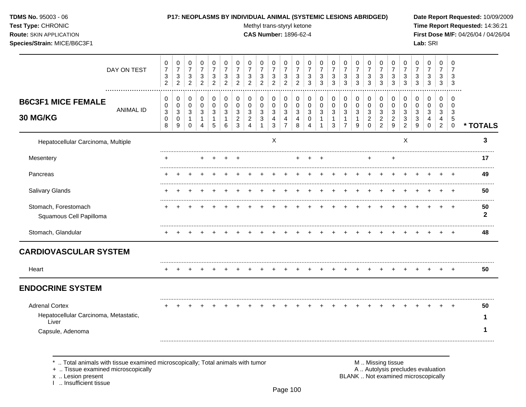Test Type: CHRONIC **Test Type:** CHRONIC **Test Type:** CHRONIC **Time Report Requested:** 14:36:21 **Route:** SKIN APPLICATION **CAS Number:** 1896-62-4 **First Dose M/F:** 04/26/04 / 04/26/04 **Species/Strain:** MICE/B6C3F1 **Lab:** SRI

|                                                                                                                       | DAY ON TEST      | 0<br>$\overline{7}$                         | 0<br>$\overline{7}$            | 0<br>$\overline{7}$                           | 0<br>$\overline{7}$        | 0<br>$\overline{7}$ | 0<br>$\overline{7}$          | 0<br>$\overline{7}$ | 0<br>$\overline{7}$            | 0<br>$\overline{7}$                         | 0<br>$\overline{7}$          | 0<br>$\overline{7}$ | 0<br>$\overline{7}$          | 0<br>$\overline{7}$         | 0<br>$\overline{7}$ | 0<br>$\overline{7}$ | 0<br>$\overline{7}$             | 0<br>$\overline{7}$          | 0<br>$\overline{7}$              | 0<br>$\overline{7}$          | 0<br>$\overline{7}$            | 0<br>$\overline{7}$     | 0<br>$\overline{7}$               | 0<br>$\overline{7}$ | 0<br>$\overline{7}$ | $\mathbf 0$<br>$\overline{7}$ |                    |
|-----------------------------------------------------------------------------------------------------------------------|------------------|---------------------------------------------|--------------------------------|-----------------------------------------------|----------------------------|---------------------|------------------------------|---------------------|--------------------------------|---------------------------------------------|------------------------------|---------------------|------------------------------|-----------------------------|---------------------|---------------------|---------------------------------|------------------------------|----------------------------------|------------------------------|--------------------------------|-------------------------|-----------------------------------|---------------------|---------------------|-------------------------------|--------------------|
|                                                                                                                       |                  | $\ensuremath{\mathsf{3}}$<br>$\overline{2}$ | $\sqrt{3}$<br>$\boldsymbol{2}$ | $\ensuremath{\mathsf{3}}$<br>$\boldsymbol{2}$ | 3<br>$\overline{c}$        | 3<br>$\overline{2}$ | 3<br>$\overline{c}$          | 3<br>$\overline{c}$ | $\sqrt{3}$<br>$\overline{c}$   | $\ensuremath{\mathsf{3}}$<br>$\overline{c}$ | $\sqrt{3}$<br>$\overline{c}$ | 3<br>$\overline{a}$ | 3<br>$\overline{2}$          | 3<br>$\mathbf{3}$           | 3<br>$\mathbf{3}$   | 3<br>$\mathfrak{S}$ | $\mathbf{3}$<br>$\mathbf{3}$    | 3<br>$\mathbf{3}$            | 3<br>$\mathbf{3}$                | 3<br>$\mathbf{3}$            | 3<br>$\mathbf{3}$              | 3<br>$\sqrt{3}$         | 3<br>$\sqrt{3}$                   | 3<br>$\sqrt{3}$     | 3<br>3              | 3<br>3                        |                    |
| <b>B6C3F1 MICE FEMALE</b>                                                                                             |                  | 0<br>0                                      | 0<br>$\mathbf 0$               | $\pmb{0}$<br>0                                | $\mathbf 0$<br>$\mathbf 0$ | $\pmb{0}$<br>0      | 0<br>$\mathbf 0$             | 0<br>0              | 0<br>0                         | 0<br>0                                      | 0<br>$\mathbf 0$             | 0<br>0              | $\mathbf 0$<br>0             | 0<br>0                      | 0<br>$\mathbf 0$    | 0<br>$\mathsf 0$    | 0<br>0                          | $\mathbf 0$<br>0             | $\mathbf 0$<br>$\mathbf 0$       | 0<br>$\mathbf 0$             | $\mathbf 0$<br>0               | $\Omega$<br>$\mathbf 0$ | $\Omega$<br>$\Omega$              | 0<br>$\mathbf 0$    | 0<br>$\mathbf 0$    | $\Omega$<br>$\mathbf 0$       |                    |
| 30 MG/KG                                                                                                              | <b>ANIMAL ID</b> | $\ensuremath{\mathsf{3}}$<br>$\pmb{0}$      | $\mathbf{3}$<br>0              | $\sqrt{3}$<br>$\mathbf{1}$                    | $\mathbf{3}$<br>1          | 3<br>$\mathbf 1$    | $\mathbf{3}$<br>$\mathbf{1}$ | 3<br>$\overline{2}$ | $\mathbf{3}$<br>$\overline{2}$ | $\ensuremath{\mathsf{3}}$<br>$\sqrt{3}$     | $\sqrt{3}$<br>4              | 3<br>4              | $\sqrt{3}$<br>$\overline{4}$ | $\mathbf{3}$<br>$\mathbf 0$ | $\mathbf{3}$<br>-1  | $\mathbf{3}$<br>1   | $\ensuremath{\mathsf{3}}$<br>-1 | $\mathbf{3}$<br>$\mathbf{1}$ | $\mathbf{3}$<br>$\boldsymbol{2}$ | $\sqrt{3}$<br>$\overline{c}$ | $\sqrt{3}$<br>$\boldsymbol{2}$ | 3<br>3                  | $\sqrt{3}$<br>3                   | 3<br>4              | 3<br>4              | 3<br>5                        |                    |
|                                                                                                                       |                  | 8                                           | 9                              | 0                                             | 4                          | 5                   | 6                            | 3                   | $\overline{4}$                 | $\mathbf{1}$                                | $\mathbf{3}$                 | $\overline{7}$      | 8                            | 4                           | -1                  | 3                   | $\overline{7}$                  | 9                            | $\mathbf 0$                      | $\overline{2}$               | 9                              | $\overline{c}$          | 9                                 | $\Omega$            | $\overline{2}$      | $\mathbf 0$                   | * TOTALS           |
| Hepatocellular Carcinoma, Multiple                                                                                    |                  |                                             |                                |                                               |                            |                     |                              |                     |                                |                                             | X                            |                     |                              |                             |                     |                     |                                 |                              |                                  |                              |                                | X                       |                                   |                     |                     |                               | 3                  |
| Mesentery                                                                                                             |                  |                                             |                                |                                               |                            |                     |                              |                     |                                |                                             |                              |                     |                              |                             |                     |                     |                                 |                              |                                  |                              |                                |                         |                                   |                     |                     |                               | 17                 |
| Pancreas                                                                                                              |                  |                                             |                                |                                               |                            |                     |                              |                     |                                |                                             |                              |                     |                              |                             |                     |                     |                                 |                              |                                  |                              |                                |                         |                                   |                     |                     |                               | 49                 |
| Salivary Glands                                                                                                       |                  |                                             |                                |                                               |                            |                     |                              |                     |                                |                                             |                              |                     |                              |                             |                     |                     |                                 |                              |                                  |                              |                                |                         |                                   |                     |                     |                               | 50                 |
| Stomach, Forestomach<br>Squamous Cell Papilloma                                                                       |                  |                                             |                                |                                               |                            |                     |                              |                     |                                |                                             |                              |                     |                              |                             |                     |                     |                                 |                              |                                  |                              |                                |                         |                                   |                     |                     |                               | 50<br>$\mathbf{2}$ |
| Stomach, Glandular                                                                                                    |                  |                                             |                                |                                               |                            |                     |                              |                     |                                |                                             |                              |                     |                              |                             |                     |                     |                                 |                              |                                  |                              |                                |                         |                                   |                     |                     |                               | 48                 |
| <b>CARDIOVASCULAR SYSTEM</b>                                                                                          |                  |                                             |                                |                                               |                            |                     |                              |                     |                                |                                             |                              |                     |                              |                             |                     |                     |                                 |                              |                                  |                              |                                |                         |                                   |                     |                     |                               |                    |
| Heart                                                                                                                 |                  |                                             |                                |                                               |                            |                     |                              |                     |                                |                                             |                              |                     |                              |                             |                     |                     |                                 |                              |                                  |                              |                                |                         |                                   |                     |                     |                               | 50                 |
| <b>ENDOCRINE SYSTEM</b>                                                                                               |                  |                                             |                                |                                               |                            |                     |                              |                     |                                |                                             |                              |                     |                              |                             |                     |                     |                                 |                              |                                  |                              |                                |                         |                                   |                     |                     |                               |                    |
| <b>Adrenal Cortex</b>                                                                                                 |                  |                                             |                                |                                               |                            |                     |                              |                     |                                |                                             |                              |                     |                              |                             |                     |                     |                                 |                              |                                  |                              |                                |                         |                                   |                     |                     |                               | 50                 |
| Hepatocellular Carcinoma, Metastatic,<br>Liver                                                                        |                  |                                             |                                |                                               |                            |                     |                              |                     |                                |                                             |                              |                     |                              |                             |                     |                     |                                 |                              |                                  |                              |                                |                         |                                   |                     |                     |                               | 1                  |
| Capsule, Adenoma                                                                                                      |                  |                                             |                                |                                               |                            |                     |                              |                     |                                |                                             |                              |                     |                              |                             |                     |                     |                                 |                              |                                  |                              |                                |                         |                                   |                     |                     |                               |                    |
|                                                                                                                       |                  |                                             |                                |                                               |                            |                     |                              |                     |                                |                                             |                              |                     |                              |                             |                     |                     |                                 |                              |                                  |                              |                                |                         |                                   |                     |                     |                               |                    |
| *  Total animals with tissue examined microscopically; Total animals with tumor<br>+  Tissue examined microscopically |                  |                                             |                                |                                               |                            |                     |                              |                     |                                |                                             |                              |                     |                              |                             |                     |                     |                                 |                              |                                  |                              | M  Missing tissue              |                         | A  Autolysis precludes evaluation |                     |                     |                               |                    |

x .. Lesion present<br>I .. Insufficient tissue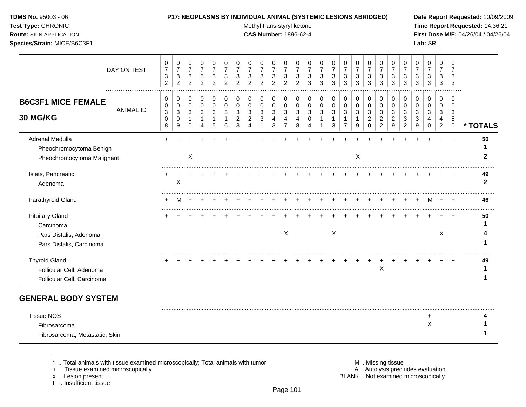**Test Type:** CHRONIC **Trans-styryl ketone** Methyl trans-styryl ketone **Time Report Requested:** 14:36:21 **Route:** SKIN APPLICATION **CAS Number:** 1896-62-4 **First Dose M/F:** 04/26/04 / 04/26/04 **Species/Strain:** MICE/B6C3F1 **Lab:** SRI

| DAY ON TEST                                                                               | 0<br>$\boldsymbol{7}$<br>$\mathbf{3}$<br>$\overline{2}$ | 0<br>$\boldsymbol{7}$<br>$\mathbf{3}$<br>$\overline{c}$           | 0<br>$\overline{7}$<br>$\sqrt{3}$<br>$\overline{c}$                          | 0<br>$\overline{7}$<br>3<br>$\overline{c}$ | 0<br>$\overline{7}$<br>3<br>2 | 0<br>$\overline{7}$<br>3<br>$\overline{2}$ | $\Omega$<br>$\overline{7}$<br>3<br>$\overline{2}$ | 0<br>$\overline{7}$<br>3<br>$\overline{2}$                 | 0<br>$\overline{7}$<br>$\mathbf{3}$<br>$\overline{2}$ | 0<br>$\overline{7}$<br>$\mathbf{3}$<br>$\overline{2}$ | $\mathbf 0$<br>$\overline{7}$<br>$\sqrt{3}$<br>$\overline{c}$ | 0<br>$\overline{7}$<br>3<br>$\overline{c}$ | 0<br>$\overline{7}$<br>3<br>3    | 0<br>$\overline{7}$<br>3<br>3 | 0<br>$\overline{7}$<br>$\mathbf{3}$<br>3           | 0<br>$\overline{7}$<br>3<br>3                           | 0<br>$\overline{7}$<br>3<br>3                             | $\mathbf 0$<br>$\overline{7}$<br>$\sqrt{3}$<br>3              | 0<br>$\overline{7}$<br>3<br>3                            | 0<br>$\overline{7}$<br>3<br>3                           | 0<br>7<br>3<br>3      | $\Omega$<br>3<br>3    | 0<br>3<br>3                  | $\mathbf 0$<br>7<br>3<br>3         | $\Omega$<br>7<br>3<br>3                   |                    |
|-------------------------------------------------------------------------------------------|---------------------------------------------------------|-------------------------------------------------------------------|------------------------------------------------------------------------------|--------------------------------------------|-------------------------------|--------------------------------------------|---------------------------------------------------|------------------------------------------------------------|-------------------------------------------------------|-------------------------------------------------------|---------------------------------------------------------------|--------------------------------------------|----------------------------------|-------------------------------|----------------------------------------------------|---------------------------------------------------------|-----------------------------------------------------------|---------------------------------------------------------------|----------------------------------------------------------|---------------------------------------------------------|-----------------------|-----------------------|------------------------------|------------------------------------|-------------------------------------------|--------------------|
| <b>B6C3F1 MICE FEMALE</b><br><b>ANIMAL ID</b><br>30 MG/KG                                 | 0<br>0<br>$\ensuremath{\mathsf{3}}$<br>0<br>8           | 0<br>$\mathbf 0$<br>$\mathbf{3}$<br>$\pmb{0}$<br>$\boldsymbol{9}$ | 0<br>$\mathbf 0$<br>$\ensuremath{\mathsf{3}}$<br>$\mathbf{1}$<br>$\mathbf 0$ | 0<br>$\pmb{0}$<br>3<br>$\mathbf{1}$<br>4   | 0<br>0<br>3<br>-1<br>5        | 0<br>0<br>3<br>-1<br>6                     | 0<br>0<br>$\mathbf{3}$<br>$\overline{c}$<br>3     | 0<br>0<br>$\mathbf{3}$<br>$\overline{2}$<br>$\overline{4}$ | 0<br>0<br>$\sqrt{3}$<br>3                             | 0<br>$\pmb{0}$<br>3<br>4<br>3                         | 0<br>$\pmb{0}$<br>$\sqrt{3}$<br>4<br>$\overline{7}$           | 0<br>0<br>$\sqrt{3}$<br>4<br>8             | 0<br>0<br>$\mathbf{3}$<br>0<br>4 | 0<br>$\mathbf 0$<br>3<br>1    | $\pmb{0}$<br>$\pmb{0}$<br>$\mathfrak{S}$<br>1<br>3 | 0<br>$\mathbf 0$<br>3<br>$\mathbf{1}$<br>$\overline{7}$ | 0<br>$\mathbf 0$<br>$\mathbf{3}$<br>1<br>$\boldsymbol{9}$ | 0<br>$\pmb{0}$<br>$\sqrt{3}$<br>$\overline{2}$<br>$\mathbf 0$ | 0<br>0<br>$\sqrt{3}$<br>$\overline{2}$<br>$\overline{a}$ | 0<br>$\mathbf 0$<br>$\mathbf{3}$<br>$\overline{2}$<br>9 | 0<br>0<br>3<br>3<br>2 | 0<br>0<br>3<br>3<br>9 | 0<br>0<br>3<br>4<br>$\Omega$ | 0<br>0<br>3<br>4<br>$\overline{c}$ | 0<br>$\mathbf 0$<br>3<br>5<br>$\mathbf 0$ | * TOTALS           |
| Adrenal Medulla<br>Pheochromocytoma Benign<br>Pheochromocytoma Malignant                  |                                                         |                                                                   | $\boldsymbol{\mathsf{X}}$                                                    |                                            |                               |                                            |                                                   |                                                            |                                                       |                                                       |                                                               |                                            |                                  |                               |                                                    |                                                         | X                                                         |                                                               |                                                          |                                                         |                       |                       |                              |                                    |                                           | 50                 |
| Islets, Pancreatic<br>Adenoma                                                             |                                                         | X                                                                 |                                                                              |                                            |                               |                                            |                                                   |                                                            |                                                       |                                                       |                                                               |                                            |                                  |                               |                                                    |                                                         |                                                           |                                                               |                                                          |                                                         |                       |                       |                              |                                    |                                           | 49<br>$\mathbf{2}$ |
| Parathyroid Gland                                                                         |                                                         |                                                                   |                                                                              |                                            |                               |                                            |                                                   |                                                            |                                                       |                                                       |                                                               |                                            |                                  |                               |                                                    |                                                         |                                                           |                                                               |                                                          |                                                         |                       |                       |                              |                                    |                                           | 46                 |
| <b>Pituitary Gland</b><br>Carcinoma<br>Pars Distalis, Adenoma<br>Pars Distalis, Carcinoma |                                                         |                                                                   |                                                                              |                                            |                               |                                            |                                                   |                                                            |                                                       |                                                       | X                                                             |                                            |                                  |                               | $\boldsymbol{\mathsf{X}}$                          |                                                         |                                                           |                                                               |                                                          |                                                         |                       |                       |                              | X                                  |                                           | 50                 |
| <b>Thyroid Gland</b><br>Follicular Cell, Adenoma<br>Follicular Cell, Carcinoma            |                                                         |                                                                   |                                                                              |                                            |                               |                                            |                                                   |                                                            |                                                       |                                                       |                                                               |                                            |                                  |                               |                                                    |                                                         |                                                           |                                                               | $\mathsf X$                                              |                                                         |                       |                       |                              |                                    |                                           | 49                 |
| <b>GENERAL BODY SYSTEM</b>                                                                |                                                         |                                                                   |                                                                              |                                            |                               |                                            |                                                   |                                                            |                                                       |                                                       |                                                               |                                            |                                  |                               |                                                    |                                                         |                                                           |                                                               |                                                          |                                                         |                       |                       |                              |                                    |                                           |                    |
| <b>Tissue NOS</b><br>Fibrosarcoma<br>Fibrosarcoma, Metastatic, Skin                       |                                                         |                                                                   |                                                                              |                                            |                               |                                            |                                                   |                                                            |                                                       |                                                       |                                                               |                                            |                                  |                               |                                                    |                                                         |                                                           |                                                               |                                                          |                                                         |                       |                       | +<br>X                       |                                    |                                           |                    |

\* .. Total animals with tissue examined microscopically; Total animals with tumor <br>
+ .. Tissue examined microscopically<br>
+ .. Tissue examined microscopically

+ .. Tissue examined microscopically<br>x .. Lesion present

I .. Insufficient tissue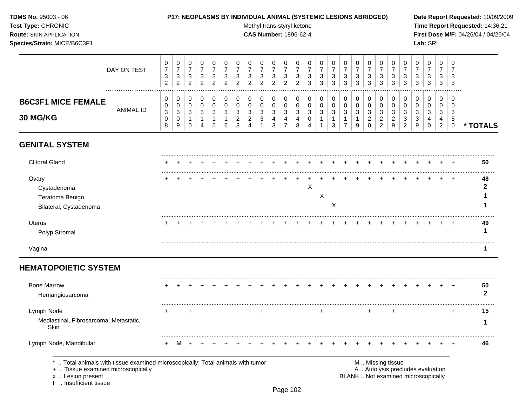Test Type: CHRONIC **Test Type:** CHRONIC **Test Type:** CHRONIC **Time Report Requested:** 14:36:21 **Route:** SKIN APPLICATION **CAS Number:** 1896-62-4 **First Dose M/F:** 04/26/04 / 04/26/04 **Species/Strain:** MICE/B6C3F1 **Lab:** SRI

|                                              | DAY ON TEST | $\mathbf{0}$<br>3<br>റ<br>∠ | 0<br>3<br>2                | u<br>3<br>ົ<br>∠ | З<br>ົ | ົ | υ<br>3<br>ົ | J<br>ົ               | U<br>3<br>◠      | 0<br>3<br>◠                | v<br>3<br>ົ<br>∠ | ు<br>റ | ◠ | υ<br>3<br>3      | J<br>З | U<br>3<br>3      | 0<br>ર<br>ັ<br>2<br>◡ | υ<br>3<br>3 | 3<br>3        | ν<br>3<br>3                  | - 12<br>3    | 0<br>3<br>3                 | 0<br>3<br>2<br>◡           | ν<br>3<br>3 | 0<br>-3<br>-3  |        |
|----------------------------------------------|-------------|-----------------------------|----------------------------|------------------|--------|---|-------------|----------------------|------------------|----------------------------|------------------|--------|---|------------------|--------|------------------|-----------------------|-------------|---------------|------------------------------|--------------|-----------------------------|----------------------------|-------------|----------------|--------|
| <b>B6C3F1 MICE FEMALE</b><br><b>30 MG/KG</b> | ANIMAL ID   | U<br>0<br>3<br>υ<br>8       | 0<br>0<br>◠<br>ت<br>υ<br>9 | u<br>u<br>3      |        |   | 0<br>3<br>6 | ി<br>c<br>$\epsilon$ | 0<br>U<br>3<br>_ | 0<br>0<br>◠<br>ت<br>ົ<br>ັ | υ<br>3           | - 2    |   | 0<br>υ<br>3<br>ν | ີ      | 0<br>0<br>3<br>ว | 0<br>0<br>◠<br>J      | U<br>3<br>9 | 3<br><u>.</u> | υ<br>3<br>◠<br><u>_</u><br>9 | ີ<br>$\cdot$ | 0<br>0<br>3<br>ึ<br>-3<br>9 | 0<br>0<br>◠<br>د<br>4<br>0 | U<br>دت     | 0<br>- 3<br>්ට | TOTALS |

## **GENITAL SYSTEM**

| <b>Clitoral Gland</b>                                             |  |  |  |  |  |  |   |  |  |  |  |  |  | 50 |
|-------------------------------------------------------------------|--|--|--|--|--|--|---|--|--|--|--|--|--|----|
| Ovary<br>Cystadenoma<br>Teratoma Benign<br>Bilateral, Cystadenoma |  |  |  |  |  |  | ↗ |  |  |  |  |  |  | 48 |
| Uterus<br>Polyp Stromal                                           |  |  |  |  |  |  |   |  |  |  |  |  |  | 49 |
|                                                                   |  |  |  |  |  |  |   |  |  |  |  |  |  |    |

## **HEMATOPOIETIC SYSTEM**

| <b>Bone Marrow</b><br>Hemangiosarcoma                                                                                                   |   |  |  |  |  |  |  |  |                                     |                   |  |                                   |  | 50 |
|-----------------------------------------------------------------------------------------------------------------------------------------|---|--|--|--|--|--|--|--|-------------------------------------|-------------------|--|-----------------------------------|--|----|
| Lymph Node                                                                                                                              | ÷ |  |  |  |  |  |  |  |                                     |                   |  |                                   |  | 15 |
| Mediastinal, Fibrosarcoma, Metastatic,<br>Skin                                                                                          |   |  |  |  |  |  |  |  |                                     |                   |  |                                   |  |    |
| Lymph Node, Mandibular                                                                                                                  |   |  |  |  |  |  |  |  |                                     |                   |  |                                   |  | 46 |
| Total animals with tissue examined microscopically; Total animals with tumor<br>+  Tissue examined microscopically<br>x  Lesion present |   |  |  |  |  |  |  |  | BLANK  Not examined microscopically | M  Missing tissue |  | A  Autolysis precludes evaluation |  |    |

x .. Lesion present<br>I .. Insufficient tissue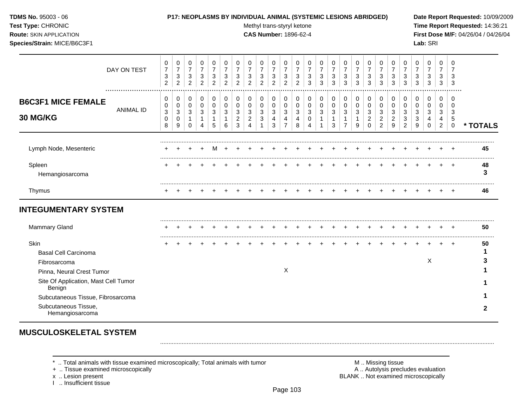**Test Type:** CHRONIC **The Report Requested:** 14:36:21 **Route:** SKIN APPLICATION **CAS Number:** 1896-62-4 **First Dose M/F:** 04/26/04 / 04/26/04 **Species/Strain:** MICE/B6C3F1 **Lab:** SRI

| DAY ON TEST                                               | 0<br>$\overline{7}$<br>3<br>$\overline{2}$ | 0<br>$\boldsymbol{7}$<br>$\ensuremath{\mathsf{3}}$<br>$\overline{2}$ | 0<br>$\boldsymbol{7}$<br>$\ensuremath{\mathsf{3}}$<br>$\overline{2}$ | 0<br>$\overline{7}$<br>$\sqrt{3}$<br>$\overline{2}$ | 0<br>$\overline{7}$<br>3<br>$\overline{2}$ | 0<br>$\overline{7}$<br>3<br>2 | 0<br>$\overline{7}$<br>3<br>$\mathfrak{p}$ | 0<br>$\overline{7}$<br>3<br>$\mathfrak{p}$         | 0<br>$\overline{7}$<br>3<br>$\overline{2}$       | 0<br>$\overline{7}$<br>$\mathbf{3}$<br>$\overline{2}$ | 0<br>$\overline{7}$<br>$\sqrt{3}$<br>2 | 0<br>7<br>3<br>$\overline{c}$ | 0<br>$\overline{7}$<br>3<br>3 | 0<br>$\overline{7}$<br>3<br>3 | 0<br>$\overline{7}$<br>$\ensuremath{\mathsf{3}}$<br>3 | 0<br>$\overline{7}$<br>3<br>3       | 0<br>$\boldsymbol{7}$<br>$\ensuremath{\mathsf{3}}$<br>3     | 0<br>$\overline{7}$<br>$\sqrt{3}$<br>3           | 0<br>$\overline{7}$<br>3<br>3          | $\mathbf 0$<br>$\overline{7}$<br>3<br>3 | 0<br>7<br>3<br>3 | 0<br>$\overline{7}$<br>3<br>3 | 0<br>7<br>3<br>3           | 0<br>$\overline{7}$<br>3<br>3 | 0<br>3<br>3             |          |
|-----------------------------------------------------------|--------------------------------------------|----------------------------------------------------------------------|----------------------------------------------------------------------|-----------------------------------------------------|--------------------------------------------|-------------------------------|--------------------------------------------|----------------------------------------------------|--------------------------------------------------|-------------------------------------------------------|----------------------------------------|-------------------------------|-------------------------------|-------------------------------|-------------------------------------------------------|-------------------------------------|-------------------------------------------------------------|--------------------------------------------------|----------------------------------------|-----------------------------------------|------------------|-------------------------------|----------------------------|-------------------------------|-------------------------|----------|
| <b>B6C3F1 MICE FEMALE</b><br><b>ANIMAL ID</b><br>30 MG/KG | 0<br>0<br>$\mathbf{3}$<br>0                | 0<br>$\pmb{0}$<br>$\mathbf{3}$<br>$\pmb{0}$                          | 0<br>$\pmb{0}$<br>$\sqrt{3}$<br>$\mathbf{1}$                         | 0<br>$\pmb{0}$<br>$\sqrt{3}$<br>$\mathbf{1}$        | 0<br>$\mathbf 0$<br>3<br>$\mathbf{1}$      | 0<br>0<br>3                   | 0<br>$\mathbf 0$<br>3<br>$\overline{c}$    | 0<br>$\mathbf 0$<br>$\mathbf{3}$<br>$\overline{c}$ | 0<br>$\pmb{0}$<br>$\ensuremath{\mathsf{3}}$<br>3 | 0<br>$\pmb{0}$<br>3<br>$\overline{4}$                 | 0<br>0<br>3<br>4                       | 0<br>$\mathbf 0$<br>3<br>4    | 0<br>0<br>3<br>0              | 0<br>0<br>3                   | 0<br>$\pmb{0}$<br>$\mathbf{3}$                        | 0<br>$\pmb{0}$<br>3<br>$\mathbf{1}$ | 0<br>$\pmb{0}$<br>$\ensuremath{\mathsf{3}}$<br>$\mathbf{1}$ | 0<br>$\pmb{0}$<br>$\sqrt{3}$<br>$\boldsymbol{2}$ | 0<br>0<br>$\sqrt{3}$<br>$\overline{c}$ | 0<br>$\Omega$<br>3<br>$\overline{2}$    | 0<br>0<br>3<br>3 | 0<br>$\Omega$<br>3<br>3       | 0<br>$\mathbf 0$<br>3<br>4 | 0<br>0<br>3<br>4              | 0<br>$\Omega$<br>3<br>5 |          |
|                                                           | 8                                          | 9                                                                    | 0                                                                    | 4                                                   | 5                                          | 6                             | 3                                          | 4                                                  |                                                  | 3                                                     | $\overline{7}$                         | 8                             | 4                             |                               | 3                                                     | $\overline{7}$                      | 9                                                           | $\Omega$                                         | $\overline{c}$                         | 9                                       | 2                | 9                             | $\Omega$                   | $\overline{2}$                | $\mathbf 0$             | * TOTALS |
| Lymph Node, Mesenteric                                    |                                            |                                                                      |                                                                      |                                                     |                                            |                               |                                            |                                                    |                                                  |                                                       |                                        |                               |                               |                               |                                                       |                                     |                                                             |                                                  |                                        |                                         |                  |                               |                            |                               |                         | 45       |
| Spleen<br>Hemangiosarcoma                                 |                                            |                                                                      |                                                                      |                                                     |                                            |                               |                                            |                                                    |                                                  |                                                       |                                        |                               |                               |                               |                                                       |                                     |                                                             |                                                  |                                        |                                         |                  |                               |                            |                               |                         | 48<br>3  |
| Thymus                                                    |                                            |                                                                      |                                                                      |                                                     |                                            |                               |                                            |                                                    |                                                  |                                                       |                                        |                               |                               |                               |                                                       |                                     |                                                             |                                                  |                                        |                                         |                  |                               |                            |                               |                         | 46       |
| <b>INTEGUMENTARY SYSTEM</b>                               |                                            |                                                                      |                                                                      |                                                     |                                            |                               |                                            |                                                    |                                                  |                                                       |                                        |                               |                               |                               |                                                       |                                     |                                                             |                                                  |                                        |                                         |                  |                               |                            |                               |                         |          |
| <b>Mammary Gland</b>                                      |                                            |                                                                      |                                                                      |                                                     |                                            |                               |                                            |                                                    |                                                  |                                                       |                                        |                               |                               |                               |                                                       |                                     |                                                             |                                                  |                                        |                                         |                  |                               |                            |                               |                         | 50       |
| Skin<br><b>Basal Cell Carcinoma</b>                       |                                            |                                                                      |                                                                      |                                                     |                                            |                               |                                            |                                                    |                                                  |                                                       |                                        |                               |                               |                               |                                                       |                                     |                                                             |                                                  |                                        |                                         |                  |                               |                            |                               | $\ddot{}$               | 50       |
| Fibrosarcoma                                              |                                            |                                                                      |                                                                      |                                                     |                                            |                               |                                            |                                                    |                                                  |                                                       |                                        |                               |                               |                               |                                                       |                                     |                                                             |                                                  |                                        |                                         |                  |                               | $\mathsf X$                |                               |                         |          |
| Pinna, Neural Crest Tumor                                 |                                            |                                                                      |                                                                      |                                                     |                                            |                               |                                            |                                                    |                                                  |                                                       | Χ                                      |                               |                               |                               |                                                       |                                     |                                                             |                                                  |                                        |                                         |                  |                               |                            |                               |                         |          |
| Site Of Application, Mast Cell Tumor<br>Benign            |                                            |                                                                      |                                                                      |                                                     |                                            |                               |                                            |                                                    |                                                  |                                                       |                                        |                               |                               |                               |                                                       |                                     |                                                             |                                                  |                                        |                                         |                  |                               |                            |                               |                         |          |
| Subcutaneous Tissue, Fibrosarcoma                         |                                            |                                                                      |                                                                      |                                                     |                                            |                               |                                            |                                                    |                                                  |                                                       |                                        |                               |                               |                               |                                                       |                                     |                                                             |                                                  |                                        |                                         |                  |                               |                            |                               |                         |          |
| Subcutaneous Tissue,<br>Hemangiosarcoma                   |                                            |                                                                      |                                                                      |                                                     |                                            |                               |                                            |                                                    |                                                  |                                                       |                                        |                               |                               |                               |                                                       |                                     |                                                             |                                                  |                                        |                                         |                  |                               |                            |                               |                         | 2        |

# **MUSCULOSKELETAL SYSTEM**

\* .. Total animals with tissue examined microscopically; Total animals with tumor **M** . Missing tissue M .. Missing tissue<br>
A .. Autolysis precludes evaluation<br>
A .. Autolysis precludes evaluation

+ .. Tissue examined microscopically

I .. Insufficient tissue

x .. Lesion present **BLANK** .. Not examined microscopically

.........................................................................................................................................................................................................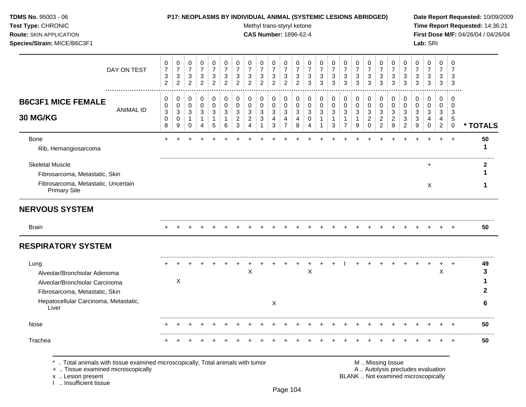Test Type: CHRONIC **Test Type:** CHRONIC **Test Type:** CHRONIC **Time Report Requested:** 14:36:21 **Route:** SKIN APPLICATION **CAS Number:** 1896-62-4 **First Dose M/F:** 04/26/04 / 04/26/04 **Species/Strain:** MICE/B6C3F1 **Lab:** SRI

| DAY ON TEST                                                                                                                                                | 0<br>$\boldsymbol{7}$<br>$\ensuremath{\mathsf{3}}$<br>$\overline{2}$ | $\pmb{0}$<br>$\overline{7}$<br>$\sqrt{3}$<br>$\overline{2}$ | 0<br>$\overline{7}$<br>3<br>$\sqrt{2}$     | $\mathbf 0$<br>$\boldsymbol{7}$<br>3<br>$\overline{2}$ | 0<br>$\overline{7}$<br>3<br>$\overline{2}$   | 0<br>$\overline{7}$<br>3<br>$\overline{c}$ | 0<br>$\overline{7}$<br>3<br>$\overline{2}$           | 0<br>$\overline{7}$<br>3<br>$\overline{c}$      | 0<br>$\overline{7}$<br>$\ensuremath{\mathsf{3}}$<br>$\overline{2}$ | 0<br>$\overline{7}$<br>3<br>$\overline{c}$  | 0<br>$\overline{7}$<br>3<br>$\overline{2}$ | 0<br>$\overline{7}$<br>3<br>$\overline{2}$ | 0<br>$\overline{7}$<br>3<br>3   | 0<br>$\overline{7}$<br>3<br>$\mathbf{3}$ | 0<br>$\overline{7}$<br>3<br>$\mathfrak{S}$          | 0<br>$\overline{7}$<br>$\mathbf{3}$<br>3      | $\mathbf 0$<br>$\overline{7}$<br>3<br>$\mathbf{3}$    | 0<br>$\overline{7}$<br>3<br>3                         | 0<br>$\overline{7}$<br>3<br>$\mathbf{3}$        | 0<br>$\overline{7}$<br>3<br>3      | 0<br>$\overline{7}$<br>$\mathbf{3}$<br>3      | 0<br>$\overline{7}$<br>3<br>$\mathbf{3}$ | 0<br>$\overline{7}$<br>$\ensuremath{\mathsf{3}}$<br>3 | $\mathbf 0$<br>$\overline{7}$<br>3<br>$\mathbf{3}$ | 0<br>$\overline{7}$<br>3<br>3 |                   |
|------------------------------------------------------------------------------------------------------------------------------------------------------------|----------------------------------------------------------------------|-------------------------------------------------------------|--------------------------------------------|--------------------------------------------------------|----------------------------------------------|--------------------------------------------|------------------------------------------------------|-------------------------------------------------|--------------------------------------------------------------------|---------------------------------------------|--------------------------------------------|--------------------------------------------|---------------------------------|------------------------------------------|-----------------------------------------------------|-----------------------------------------------|-------------------------------------------------------|-------------------------------------------------------|-------------------------------------------------|------------------------------------|-----------------------------------------------|------------------------------------------|-------------------------------------------------------|----------------------------------------------------|-------------------------------|-------------------|
| <b>B6C3F1 MICE FEMALE</b><br>ANIMAL ID<br>30 MG/KG                                                                                                         | 0<br>0<br>3<br>$\mathbf 0$<br>8                                      | 0<br>$\mathbf 0$<br>$\ensuremath{\mathsf{3}}$<br>0<br>9     | 0<br>$\mathbf 0$<br>3<br>$\mathbf{1}$<br>0 | 0<br>$\pmb{0}$<br>$\sqrt{3}$<br>$\mathbf{1}$<br>4      | 0<br>$\mathbf 0$<br>3<br>$\overline{1}$<br>5 | 0<br>0<br>3<br>$\mathbf{1}$<br>6           | 0<br>0<br>$\sqrt{3}$<br>$\overline{2}$<br>$\sqrt{3}$ | 0<br>0<br>3<br>$\overline{2}$<br>$\overline{4}$ | 0<br>0<br>3<br>3<br>$\mathbf{1}$                                   | 0<br>0<br>$\sqrt{3}$<br>$\overline{4}$<br>3 | 0<br>0<br>3<br>4<br>$\overline{7}$         | 0<br>$\mathbf 0$<br>3<br>4<br>8            | 0<br>0<br>3<br>$\mathbf 0$<br>4 | 0<br>$\mathbf 0$<br>3<br>$\mathbf{1}$    | 0<br>$\pmb{0}$<br>$\mathbf{3}$<br>$\mathbf{1}$<br>3 | 0<br>0<br>3<br>$\mathbf{1}$<br>$\overline{7}$ | 0<br>$\mathbf 0$<br>$\sqrt{3}$<br>$\overline{1}$<br>9 | 0<br>0<br>$\sqrt{3}$<br>$\overline{2}$<br>$\mathbf 0$ | 0<br>0<br>3<br>$\overline{2}$<br>$\overline{c}$ | 0<br>0<br>3<br>$\overline{2}$<br>9 | 0<br>0<br>3<br>$\mathbf{3}$<br>$\overline{c}$ | 0<br>0<br>3<br>3<br>9                    | 0<br>0<br>$\mathbf{3}$<br>4<br>$\mathbf 0$            | $\mathbf 0$<br>0<br>3<br>4<br>$\overline{2}$       | 0<br>0<br>3<br>5<br>$\pmb{0}$ | * TOTALS          |
| Bone<br>Rib, Hemangiosarcoma                                                                                                                               |                                                                      |                                                             |                                            |                                                        |                                              |                                            |                                                      |                                                 |                                                                    |                                             |                                            |                                            |                                 |                                          |                                                     |                                               |                                                       |                                                       |                                                 |                                    |                                               |                                          |                                                       |                                                    | $\ddot{}$                     | 50<br>1           |
| <b>Skeletal Muscle</b><br>Fibrosarcoma, Metastatic, Skin<br>Fibrosarcoma, Metastatic, Uncertain<br><b>Primary Site</b>                                     |                                                                      |                                                             |                                            |                                                        |                                              |                                            |                                                      |                                                 |                                                                    |                                             |                                            |                                            |                                 |                                          |                                                     |                                               |                                                       |                                                       |                                                 |                                    |                                               |                                          | $\ddot{}$<br>X                                        |                                                    |                               | 2<br>1<br>1       |
| <b>NERVOUS SYSTEM</b>                                                                                                                                      |                                                                      |                                                             |                                            |                                                        |                                              |                                            |                                                      |                                                 |                                                                    |                                             |                                            |                                            |                                 |                                          |                                                     |                                               |                                                       |                                                       |                                                 |                                    |                                               |                                          |                                                       |                                                    |                               |                   |
| <b>Brain</b><br><b>RESPIRATORY SYSTEM</b>                                                                                                                  |                                                                      |                                                             |                                            |                                                        |                                              |                                            |                                                      |                                                 |                                                                    |                                             |                                            |                                            |                                 |                                          |                                                     |                                               |                                                       |                                                       |                                                 |                                    |                                               |                                          |                                                       |                                                    |                               | 50                |
| Lung<br>Alveolar/Bronchiolar Adenoma<br>Alveolar/Bronchiolar Carcinoma<br>Fibrosarcoma, Metastatic, Skin<br>Hepatocellular Carcinoma, Metastatic,<br>Liver |                                                                      | X                                                           |                                            |                                                        |                                              |                                            |                                                      | X                                               |                                                                    | $\times$                                    |                                            |                                            | X                               |                                          |                                                     |                                               |                                                       |                                                       |                                                 |                                    |                                               |                                          |                                                       | $\boldsymbol{\mathsf{X}}$                          |                               | 49<br>3<br>2<br>6 |
| Nose                                                                                                                                                       |                                                                      |                                                             |                                            |                                                        |                                              |                                            |                                                      |                                                 |                                                                    |                                             |                                            |                                            |                                 |                                          |                                                     |                                               |                                                       |                                                       |                                                 |                                    |                                               |                                          |                                                       |                                                    |                               | 50                |
| Trachea<br>Total animals with tissue examined microscopically; Total animals with tumor                                                                    |                                                                      |                                                             |                                            |                                                        |                                              |                                            |                                                      |                                                 |                                                                    |                                             |                                            |                                            |                                 |                                          |                                                     |                                               |                                                       |                                                       | M  Missing tissue                               |                                    |                                               |                                          |                                                       |                                                    | $\ddot{}$                     | 50                |

x .. Lesion present<br>I .. Insufficient tissue

Page 104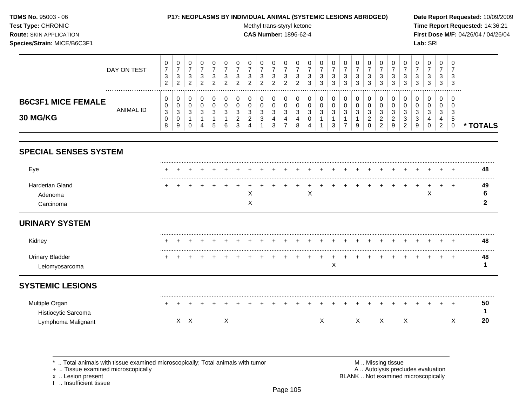Test Type: CHRONIC **Test Type:** CHRONIC **Test Type:** CHRONIC **Time Report Requested:** 14:36:21 **Route:** SKIN APPLICATION **CAS Number:** 1896-62-4 **First Dose M/F:** 04/26/04 / 04/26/04 **Species/Strain:** MICE/B6C3F1 **Lab:** SRI

|                                       | DAY ON TEST | 0<br>3<br>ົ           | ◡<br><sup>o</sup><br>ت<br>$\sim$<br>∼ | v<br>3<br>ົ<br><u>_</u> | v<br>3<br>ົ           | 0<br>3<br>ົ<br><u>_</u> | 3<br>$\sim$<br><u>_</u> | -v.                                     | 0<br>3<br>ົ           | v<br>◠<br>ັ<br>$\sim$      | u<br>ີ<br>◡<br>ົ<br>▃       | ν<br>3 | J<br>$\sim$ | U<br>3<br>3           | c<br>J<br>3 | 0<br>3<br>3      | 0<br>ີ<br>◡<br>ີ<br>P | 3<br>3      | 3<br>3                  |   | U<br>ว<br>ت<br>3             | U<br>ີ<br>◡<br>વ<br>J                    | 0<br>3<br>3           | U<br>3<br>3           | 3<br>3                 | U<br>3<br>-3  |               |
|---------------------------------------|-------------|-----------------------|---------------------------------------|-------------------------|-----------------------|-------------------------|-------------------------|-----------------------------------------|-----------------------|----------------------------|-----------------------------|--------|-------------|-----------------------|-------------|------------------|-----------------------|-------------|-------------------------|---|------------------------------|------------------------------------------|-----------------------|-----------------------|------------------------|---------------|---------------|
| <b>B6C3F1 MICE FEMALE</b><br>30 MG/KG | ANIMAL ID   | 0<br>0<br>3<br>0<br>8 | ν<br>◡<br>◠<br>J<br>9                 | υ<br>J<br>ີ<br>J<br>J   | υ<br>υ<br>ົ<br>u<br>4 | 0<br>U<br>3<br>đ        | 0<br>3<br>6             | $\ddot{\phantom{1}}$<br>$\sqrt{2}$<br>ు | 0<br>0<br>c<br>ۍ<br>4 | v<br>v<br>◠<br>ັ<br>◠<br>ັ | υ<br>u<br>-2<br>4<br>ີ<br>J | 4      | J.          | U<br>U<br>3<br>0<br>4 | ີ<br>$\sim$ | 0<br>0<br>3<br>3 | 0<br>U<br>ີ<br>ັ<br>- | 0<br>3<br>9 | 0<br>3<br><u>.</u><br>U | _ | U<br>ີ<br>c<br><u>_</u><br>9 | ີ<br>J<br>⌒<br>$\sim$<br>$\sqrt{2}$<br>_ | 0<br>0<br>3<br>3<br>9 | υ<br>υ<br>3<br>4<br>U | 3<br>4<br>$\mathbf{z}$ | U<br>-0<br>.b | <b>TOTALS</b> |

# **SPECIAL SENSES SYSTEM**

| Eye                                      |  |     |  |   |        |  |  |   |   |   |   |   |   |   |        | 48 |  |
|------------------------------------------|--|-----|--|---|--------|--|--|---|---|---|---|---|---|---|--------|----|--|
| Harderian Gland<br>Adenoma<br>Carcinoma  |  |     |  |   | X<br>х |  |  | X |   |   |   |   |   | х | $\pm$  | 49 |  |
| <b>URINARY SYSTEM</b>                    |  |     |  |   |        |  |  |   |   |   |   |   |   |   |        |    |  |
| Kidney                                   |  |     |  |   |        |  |  |   |   |   |   |   |   |   |        | 48 |  |
| <b>Urinary Bladder</b><br>Leiomyosarcoma |  |     |  |   |        |  |  |   |   | X |   |   |   |   | $\div$ | 48 |  |
| <b>SYSTEMIC LESIONS</b>                  |  |     |  |   |        |  |  |   |   |   |   |   |   |   |        |    |  |
| Multiple Organ<br>Histiocytic Sarcoma    |  |     |  |   |        |  |  |   |   |   |   |   |   |   | $\div$ | 50 |  |
| Lymphoma Malignant                       |  | X X |  | X |        |  |  |   | X |   | X | Χ | X |   | X      | 20 |  |

\* .. Total animals with tissue examined microscopically; Total animals with tumor **M** metally more than M .. Missing tissue<br>  $\blacksquare$  Tissue examined microscopically

+ .. Tissue examined microscopically

I .. Insufficient tissue

x .. Lesion present **EXECUTE:** The set of the set of the BLANK . Not examined microscopically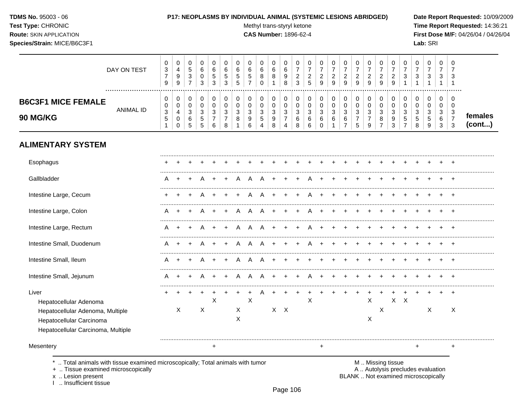TDMS No. 95003 - 06 Test Type: CHRONIC

**Route: SKIN APPLICATION** 

Species/Strain: MICE/B6C3F1

## P17: NEOPLASMS BY INDIVIDUAL ANIMAL (SYSTEMIC LESIONS ABRIDGED)

Methyl trans-styryl ketone

**CAS Number: 1896-62-4** 

Date Report Requested: 10/09/2009 Time Report Requested: 14:36:21 First Dose M/F: 04/26/04 / 04/26/04 Lab: SRI

|                           | DAY ON TEST | υ<br>3<br>9 | v<br>4<br>9<br>9 | u<br>IJ     | 6<br>3 | 6<br>د | 6<br><sub>5</sub><br>3 | N<br>∽<br>ີ              | Ü<br>6<br>J                | 0<br>6<br>8<br>υ | $\sim$<br>ь |   | ◡<br>ົ<br><u>_</u><br><sub>5</sub> | 9                                  | 0<br>ີ<br><u>_</u><br>9 | U<br>ົ<br>9 | 9 | 9       | 9      | U<br><u>_</u><br>9    | ◡<br>⌒<br>×.         | 0<br>3      | U<br>3                       | -3 | -0<br>÷ |                   |
|---------------------------|-------------|-------------|------------------|-------------|--------|--------|------------------------|--------------------------|----------------------------|------------------|-------------|---|------------------------------------|------------------------------------|-------------------------|-------------|---|---------|--------|-----------------------|----------------------|-------------|------------------------------|----|---------|-------------------|
| <b>B6C3F1 MICE FEMALE</b> |             | υ<br>0      | v<br>v           |             |        |        |                        |                          | Ü<br>0                     | 0<br>υ           | U           |   | ν<br>ν                             |                                    | 0<br>0                  | U<br>U      |   |         |        |                       | u                    | 0<br>0      | υ<br>υ                       |    | -0      |                   |
| <b>90 MG/KG</b>           | ANIMAL ID   | 3<br>N      | 4<br>v<br>U      | ◠<br>N<br>đ | ∽      | ⌒      | ◠<br>ັບ                | $\overline{\phantom{a}}$ | ົ<br>చ<br>9<br>$\sim$<br>6 | ົ<br>ັ<br>∽<br>◡ | C<br>9<br>o | د | າ<br>N<br>6<br>6                   | $\sim$<br>$\overline{\phantom{a}}$ | 3<br>6                  | ີ<br>J<br>6 | ت | -3<br>9 | ⌒<br>റ | າ<br>J<br>9<br>◠<br>∼ | $\sqrt{2}$<br>J<br>J | 3<br>5<br>8 | ົ<br>J.<br><sub>5</sub><br>9 | ×  |         | temales<br>(cont) |

# **ALIMENTARY SYSTEM**

| Esophagus                                                                                          |   |   |   |   |        |              |   |            |   |  |  |   |   |       |          |   |   |
|----------------------------------------------------------------------------------------------------|---|---|---|---|--------|--------------|---|------------|---|--|--|---|---|-------|----------|---|---|
| Gallbladder                                                                                        | A |   |   |   |        |              |   |            |   |  |  |   |   |       |          |   |   |
| Intestine Large, Cecum                                                                             |   |   |   |   |        |              |   |            |   |  |  |   |   |       |          |   |   |
| Intestine Large, Colon                                                                             | A |   |   |   |        |              |   |            |   |  |  |   |   |       |          |   |   |
| Intestine Large, Rectum                                                                            | A |   |   |   |        |              | A |            |   |  |  |   |   |       |          |   |   |
| Intestine Small, Duodenum                                                                          | A |   |   |   |        | $\mathsf{A}$ | A |            |   |  |  |   |   |       |          |   |   |
| Intestine Small, Ileum                                                                             | A |   |   |   |        |              |   |            |   |  |  |   |   |       |          |   |   |
| Intestine Small, Jejunum                                                                           | A |   |   |   |        |              |   |            |   |  |  |   |   |       |          |   |   |
| Liver<br>Hepatocellular Adenoma                                                                    |   |   |   | X |        | X            |   |            | X |  |  | X |   | $X -$ | $\times$ |   |   |
| Hepatocellular Adenoma, Multiple<br>Hepatocellular Carcinoma<br>Hepatocellular Carcinoma, Multiple |   | Χ | Χ |   | Χ<br>X |              |   | $X \times$ |   |  |  | Χ | X |       |          | х | Χ |
| Mesentery                                                                                          |   |   |   |   |        |              |   |            |   |  |  |   |   |       |          |   |   |

\* .. Total animals with tissue examined microscopically; Total animals with tumor

+ .. Tissue examined microscopically

x .. Lesion present<br>I .. Insufficient tissue

M .. Missing tissue

A .. Autolysis precludes evaluation BLANK .. Not examined microscopically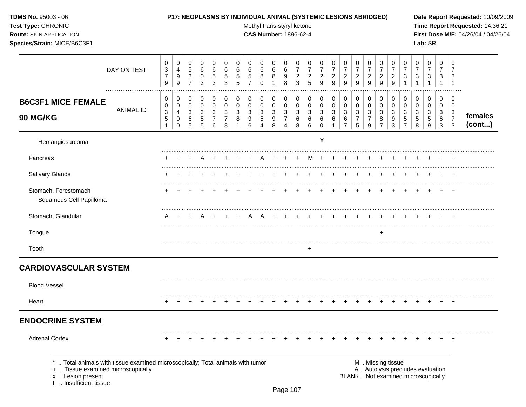TDMS No. 95003 - 06 Test Type: CHRONIC

Route: SKIN APPLICATION Species/Strain: MICE/B6C3F1

## P17: NEOPLASMS BY INDIVIDUAL ANIMAL (SYSTEMIC LESIONS ABRIDGED)

Methyl trans-styryl ketone

**CAS Number: 1896-62-4** 

Date Report Requested: 10/09/2009 Time Report Requested: 14:36:21 First Dose M/F: 04/26/04 / 04/26/04 Lab: SRI

| DAY ON TEST                                                                                                                                                       | 0<br>$\ensuremath{\mathsf{3}}$<br>$\boldsymbol{7}$<br>9 | $\pmb{0}$<br>$\overline{4}$<br>$\boldsymbol{9}$<br>$\boldsymbol{9}$ | $\mathbf 0$<br>5<br>$\ensuremath{\mathsf{3}}$<br>$\overline{7}$ | 0<br>6<br>0<br>3      | 0<br>6<br>$\sqrt{5}$<br>3 | 0<br>6<br>$\sqrt{5}$<br>3         | 0<br>6<br>$\,$ 5 $\,$<br>5 | 0<br>6<br>$\sqrt{5}$<br>$\overline{7}$  | 0<br>6<br>8<br>$\mathbf 0$                                 | 0<br>6<br>8<br>$\mathbf{1}$ | 0<br>6<br>9<br>8                                 | 0<br>$\overline{7}$<br>$\overline{2}$<br>3 | 0<br>$\overline{7}$<br>$\overline{2}$<br>$\overline{5}$ | 0<br>$\overline{7}$<br>$\sqrt{2}$<br>$\overline{9}$ | 0<br>$\boldsymbol{7}$<br>$\sqrt{2}$<br>$\overline{9}$ | 0<br>$\boldsymbol{7}$<br>$\sqrt{2}$<br>9               | $\mathbf 0$<br>$\overline{7}$<br>$\sqrt{2}$<br>9 | 0<br>$\boldsymbol{7}$<br>$\overline{c}$<br>9                      | 0<br>$\overline{7}$<br>$\overline{2}$<br>9 | 0<br>$\overline{7}$<br>$\overline{2}$<br>9 | 0<br>$\overline{7}$<br>$\ensuremath{\mathsf{3}}$           | 0<br>$\overline{7}$<br>$\ensuremath{\mathsf{3}}$<br>$\mathbf{1}$         | 0<br>$\boldsymbol{7}$<br>$\ensuremath{\mathsf{3}}$<br>$\mathbf{1}$ | $\mathbf 0$<br>$\overline{7}$<br>$\mathbf{3}$<br>$\mathbf{1}$ | 0<br>$\overline{7}$<br>3<br>$\mathbf{1}$ |                   |
|-------------------------------------------------------------------------------------------------------------------------------------------------------------------|---------------------------------------------------------|---------------------------------------------------------------------|-----------------------------------------------------------------|-----------------------|---------------------------|-----------------------------------|----------------------------|-----------------------------------------|------------------------------------------------------------|-----------------------------|--------------------------------------------------|--------------------------------------------|---------------------------------------------------------|-----------------------------------------------------|-------------------------------------------------------|--------------------------------------------------------|--------------------------------------------------|-------------------------------------------------------------------|--------------------------------------------|--------------------------------------------|------------------------------------------------------------|--------------------------------------------------------------------------|--------------------------------------------------------------------|---------------------------------------------------------------|------------------------------------------|-------------------|
| <b>B6C3F1 MICE FEMALE</b>                                                                                                                                         | 0<br>$\,0\,$                                            | 0<br>$\pmb{0}$                                                      | 0<br>$\pmb{0}$                                                  | 0<br>$\pmb{0}$        | 0<br>$\pmb{0}$            | 0<br>$\pmb{0}$                    | 0<br>$\pmb{0}$             | 0<br>0                                  | 0<br>$\pmb{0}$                                             | 0<br>$\mathbf 0$            | 0<br>$\pmb{0}$                                   | 0<br>$\mathbf 0$                           | 0<br>$\mathsf 0$                                        | $\pmb{0}$<br>$\mathbf 0$                            | 0<br>$\pmb{0}$                                        | $\pmb{0}$<br>$\pmb{0}$                                 | 0<br>$\pmb{0}$                                   | $\pmb{0}$<br>$\pmb{0}$                                            | 0<br>$\mathsf{O}\xspace$                   | 0<br>$\pmb{0}$                             | 0<br>$\pmb{0}$                                             | 0<br>$\mathbf 0$                                                         | $\pmb{0}$<br>$\mathsf 0$                                           | 0<br>$\mathbf 0$                                              | 0<br>$\mathbf 0$                         |                   |
| <b>ANIMAL ID</b><br>90 MG/KG                                                                                                                                      | $\mathbf 3$<br>$\mathbf 5$<br>$\mathbf{1}$              | $\overline{\mathbf{4}}$<br>$\pmb{0}$<br>$\pmb{0}$                   | $\sqrt{3}$<br>$\,6$<br>$\sqrt{5}$                               | 3<br>$\mathbf 5$<br>5 | 3<br>$\overline{7}$<br>6  | $\sqrt{3}$<br>$\overline{7}$<br>8 | $\sqrt{3}$<br>8            | $\ensuremath{\mathsf{3}}$<br>9<br>$\,6$ | $\ensuremath{\mathsf{3}}$<br>$\mathbf 5$<br>$\overline{4}$ | $\sqrt{3}$<br>9<br>$\,8\,$  | $\sqrt{3}$<br>$\boldsymbol{7}$<br>$\overline{4}$ | 3<br>$\,6\,$<br>$\,8\,$                    | $\sqrt{3}$<br>6<br>6                                    | $\ensuremath{\mathsf{3}}$<br>$\,6$<br>$\mathbf 0$   | $\mathbf 3$<br>$\,6\,$<br>$\mathbf{1}$                | $\ensuremath{\mathsf{3}}$<br>$\,6\,$<br>$\overline{7}$ | $\sqrt{3}$<br>$\boldsymbol{7}$<br>$\overline{5}$ | $\ensuremath{\mathsf{3}}$<br>$\boldsymbol{7}$<br>$\boldsymbol{9}$ | 3<br>8<br>$\overline{7}$                   | $\sqrt{3}$<br>9<br>3                       | $\ensuremath{\mathsf{3}}$<br>$\,$ 5 $\,$<br>$\overline{7}$ | $\ensuremath{\mathsf{3}}$<br>$\mathbf 5$<br>8                            | $\ensuremath{\mathsf{3}}$<br>$\,$ 5 $\,$<br>9                      | $\mathbf{3}$<br>6<br>3                                        | 3<br>$\boldsymbol{7}$<br>3               | females<br>(cont) |
| Hemangiosarcoma                                                                                                                                                   |                                                         |                                                                     |                                                                 |                       |                           |                                   |                            |                                         |                                                            |                             |                                                  |                                            |                                                         | X                                                   |                                                       |                                                        |                                                  |                                                                   |                                            |                                            |                                                            |                                                                          |                                                                    |                                                               |                                          |                   |
| Pancreas                                                                                                                                                          |                                                         |                                                                     |                                                                 |                       |                           |                                   |                            |                                         |                                                            |                             |                                                  |                                            |                                                         |                                                     |                                                       |                                                        |                                                  |                                                                   |                                            |                                            |                                                            |                                                                          |                                                                    |                                                               |                                          |                   |
| Salivary Glands                                                                                                                                                   |                                                         |                                                                     |                                                                 |                       |                           |                                   |                            |                                         |                                                            |                             |                                                  |                                            |                                                         |                                                     |                                                       |                                                        |                                                  |                                                                   |                                            |                                            |                                                            |                                                                          |                                                                    |                                                               | $\ddot{}$                                |                   |
| Stomach, Forestomach<br>Squamous Cell Papilloma                                                                                                                   |                                                         |                                                                     |                                                                 |                       |                           |                                   |                            |                                         |                                                            |                             |                                                  |                                            |                                                         |                                                     |                                                       |                                                        |                                                  |                                                                   |                                            |                                            |                                                            |                                                                          |                                                                    |                                                               | $\div$                                   |                   |
| Stomach, Glandular                                                                                                                                                |                                                         |                                                                     |                                                                 |                       |                           |                                   |                            |                                         |                                                            |                             |                                                  |                                            |                                                         |                                                     |                                                       |                                                        |                                                  |                                                                   |                                            |                                            |                                                            |                                                                          |                                                                    |                                                               |                                          |                   |
| Tongue                                                                                                                                                            |                                                         |                                                                     |                                                                 |                       |                           |                                   |                            |                                         |                                                            |                             |                                                  |                                            |                                                         |                                                     |                                                       |                                                        |                                                  |                                                                   | $\ddot{}$                                  |                                            |                                                            |                                                                          |                                                                    |                                                               |                                          |                   |
| Tooth                                                                                                                                                             |                                                         |                                                                     |                                                                 |                       |                           |                                   |                            |                                         |                                                            |                             |                                                  |                                            | $\ddot{}$                                               |                                                     |                                                       |                                                        |                                                  |                                                                   |                                            |                                            |                                                            |                                                                          |                                                                    |                                                               |                                          |                   |
| <b>CARDIOVASCULAR SYSTEM</b>                                                                                                                                      |                                                         |                                                                     |                                                                 |                       |                           |                                   |                            |                                         |                                                            |                             |                                                  |                                            |                                                         |                                                     |                                                       |                                                        |                                                  |                                                                   |                                            |                                            |                                                            |                                                                          |                                                                    |                                                               |                                          |                   |
| <b>Blood Vessel</b>                                                                                                                                               |                                                         |                                                                     |                                                                 |                       |                           |                                   |                            |                                         |                                                            |                             |                                                  |                                            |                                                         |                                                     |                                                       |                                                        |                                                  |                                                                   |                                            |                                            |                                                            |                                                                          |                                                                    |                                                               |                                          |                   |
| Heart                                                                                                                                                             |                                                         |                                                                     |                                                                 |                       |                           |                                   |                            |                                         |                                                            |                             |                                                  |                                            |                                                         |                                                     |                                                       |                                                        |                                                  |                                                                   |                                            |                                            |                                                            |                                                                          |                                                                    |                                                               | $\overline{ }$                           |                   |
| <b>ENDOCRINE SYSTEM</b>                                                                                                                                           |                                                         |                                                                     |                                                                 |                       |                           |                                   |                            |                                         |                                                            |                             |                                                  |                                            |                                                         |                                                     |                                                       |                                                        |                                                  |                                                                   |                                            |                                            |                                                            |                                                                          |                                                                    |                                                               |                                          |                   |
| <b>Adrenal Cortex</b>                                                                                                                                             |                                                         |                                                                     |                                                                 |                       |                           |                                   |                            |                                         |                                                            |                             |                                                  |                                            |                                                         |                                                     |                                                       |                                                        |                                                  |                                                                   |                                            |                                            |                                                            |                                                                          |                                                                    |                                                               |                                          |                   |
| Total animals with tissue examined microscopically; Total animals with tumor<br>+  Tissue examined microscopically<br>x  Lesion present<br>I  Insufficient tissue |                                                         |                                                                     |                                                                 |                       |                           |                                   |                            |                                         |                                                            |                             |                                                  |                                            |                                                         |                                                     |                                                       |                                                        |                                                  |                                                                   | M  Missing tissue                          |                                            |                                                            | A  Autolysis precludes evaluation<br>BLANK  Not examined microscopically |                                                                    |                                                               |                                          |                   |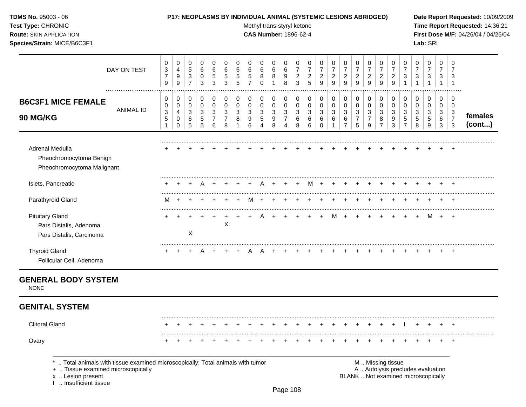Test Type: CHRONIC **Test Type:** CHRONIC **Test Type:** CHRONIC **Time Report Requested:** 14:36:21 **Route:** SKIN APPLICATION **CAS Number:** 1896-62-4 **First Dose M/F:** 04/26/04 / 04/26/04 **Species/Strain:** MICE/B6C3F1 **Lab:** SRI

| DAY ON TEST                                                                                                                                                       | 0<br>$\ensuremath{\mathsf{3}}$<br>$\overline{7}$<br>$\boldsymbol{9}$ | 0<br>$\overline{4}$<br>9<br>9      | 0<br>5<br>3<br>$\overline{7}$ | $\mathbf 0$<br>6<br>0<br>$\mathbf{3}$  | 0<br>6<br>5<br>3                        | 0<br>6<br>5<br>3          | $\mathbf 0$<br>6<br>5<br>5                 | $\mathbf 0$<br>$\,6$<br>5<br>$\overline{7}$ | $\mathbf 0$<br>6<br>8<br>$\mathbf 0$ | $\Omega$<br>6<br>8<br>$\mathbf{1}$         | $\mathbf 0$<br>$\,6$<br>9<br>8           | 0<br>$\overline{7}$<br>$\overline{c}$<br>3 | 0<br>$\overline{7}$<br>$\overline{a}$<br>5 | 0<br>$\overline{7}$<br>$\overline{2}$<br>9                      | 0<br>$\overline{7}$<br>$\overline{c}$<br>9 | 0<br>$\overline{7}$<br>$\overline{a}$<br>9              | 0<br>$\boldsymbol{7}$<br>$\overline{c}$<br>9 | $\pmb{0}$<br>$\overline{7}$<br>$\boldsymbol{2}$<br>9 | $\mathbf 0$<br>$\boldsymbol{7}$<br>$\overline{c}$<br>9 | 0<br>$\overline{7}$<br>$\overline{c}$<br>9 | 0<br>$\overline{7}$<br>3                 | 0<br>$\overline{7}$<br>3 | 0<br>$\overline{7}$<br>3<br>$\mathbf{1}$                                 | $\mathbf 0$<br>$\overline{7}$<br>3<br>$\mathbf{1}$ | $\mathbf 0$<br>$\overline{7}$<br>3<br>$\mathbf{1}$ |                   |
|-------------------------------------------------------------------------------------------------------------------------------------------------------------------|----------------------------------------------------------------------|------------------------------------|-------------------------------|----------------------------------------|-----------------------------------------|---------------------------|--------------------------------------------|---------------------------------------------|--------------------------------------|--------------------------------------------|------------------------------------------|--------------------------------------------|--------------------------------------------|-----------------------------------------------------------------|--------------------------------------------|---------------------------------------------------------|----------------------------------------------|------------------------------------------------------|--------------------------------------------------------|--------------------------------------------|------------------------------------------|--------------------------|--------------------------------------------------------------------------|----------------------------------------------------|----------------------------------------------------|-------------------|
| <b>B6C3F1 MICE FEMALE</b><br><b>ANIMAL ID</b>                                                                                                                     | 0<br>$\pmb{0}$<br>$\ensuremath{\mathsf{3}}$                          | 0<br>$\mathbf 0$<br>$\overline{4}$ | 0<br>$\mathbf 0$<br>3         | $\pmb{0}$<br>$\mathbf 0$<br>$\sqrt{3}$ | $\mathsf{O}\xspace$<br>$\mathbf 0$<br>3 | $\pmb{0}$<br>0<br>3       | $\mathbf 0$<br>$\mathbf 0$<br>$\mathbf{3}$ | $\pmb{0}$<br>$\mathbf 0$<br>$\sqrt{3}$      | 0<br>0<br>$\ensuremath{\mathsf{3}}$  | $\mathbf 0$<br>$\mathbf 0$<br>$\mathbf{3}$ | $\pmb{0}$<br>$\mathbf 0$<br>$\mathbf{3}$ | 0<br>0<br>$\mathbf{3}$                     | $\mathbf 0$<br>0<br>$\mathbf{3}$           | $\mathsf{O}\xspace$<br>$\mathbf 0$<br>$\ensuremath{\mathsf{3}}$ | $\pmb{0}$<br>$\mathbf 0$<br>$\mathbf{3}$   | $\mathsf 0$<br>$\mathbf 0$<br>$\ensuremath{\mathsf{3}}$ | $\pmb{0}$<br>$\mathbf 0$<br>$\mathbf{3}$     | $\pmb{0}$<br>$\pmb{0}$<br>$\sqrt{3}$                 | $\mathbf 0$<br>$\mathbf 0$<br>$\sqrt{3}$               | $\pmb{0}$<br>$\mathbf 0$<br>$\mathbf{3}$   | $\pmb{0}$<br>$\mathbf 0$<br>$\mathbf{3}$ | 0<br>0<br>3              | $\pmb{0}$<br>$\mathbf 0$<br>$\mathsf 3$                                  | $\mathbf 0$<br>$\mathbf 0$<br>3                    | 0<br>$\mathbf 0$<br>3                              |                   |
| <b>90 MG/KG</b>                                                                                                                                                   | $\sqrt{5}$<br>$\mathbf{1}$                                           | $\pmb{0}$<br>$\mathbf 0$           | 6<br>5                        | $\,$ 5 $\,$<br>5                       | 7<br>6                                  | 7<br>8                    | 8<br>$\overline{1}$                        | 9<br>6                                      | $\sqrt{5}$<br>4                      | $\boldsymbol{9}$<br>8                      | $\overline{7}$<br>4                      | 6<br>8                                     | 6<br>6                                     | $\,6$<br>$\mathbf{0}$                                           | 6<br>$\mathbf{1}$                          | $\,6\,$<br>$\overline{7}$                               | $\boldsymbol{7}$<br>5                        | $\overline{7}$<br>9                                  | 8<br>$\overline{7}$                                    | $\boldsymbol{9}$<br>3                      | $\overline{5}$<br>$\overline{7}$         | $\,$ 5 $\,$<br>8         | $\mathbf 5$<br>9                                                         | 6<br>3                                             | $\overline{7}$<br>3                                | females<br>(cont) |
| Adrenal Medulla<br>Pheochromocytoma Benign<br>Pheochromocytoma Malignant                                                                                          |                                                                      |                                    |                               |                                        |                                         |                           |                                            |                                             |                                      |                                            |                                          |                                            |                                            |                                                                 |                                            |                                                         |                                              |                                                      |                                                        |                                            |                                          |                          |                                                                          |                                                    |                                                    |                   |
| Islets, Pancreatic                                                                                                                                                |                                                                      |                                    |                               |                                        |                                         |                           |                                            |                                             |                                      |                                            |                                          |                                            | M                                          |                                                                 |                                            |                                                         |                                              |                                                      |                                                        |                                            |                                          |                          |                                                                          |                                                    |                                                    |                   |
| Parathyroid Gland                                                                                                                                                 | м                                                                    |                                    |                               |                                        |                                         |                           |                                            | M                                           |                                      |                                            |                                          |                                            |                                            |                                                                 |                                            |                                                         |                                              |                                                      |                                                        |                                            |                                          |                          |                                                                          |                                                    |                                                    |                   |
| <b>Pituitary Gland</b><br>Pars Distalis, Adenoma<br>Pars Distalis, Carcinoma                                                                                      |                                                                      |                                    | X                             |                                        |                                         | $\boldsymbol{\mathsf{X}}$ |                                            |                                             |                                      |                                            |                                          |                                            |                                            |                                                                 |                                            |                                                         |                                              |                                                      |                                                        |                                            |                                          |                          | м                                                                        |                                                    |                                                    |                   |
| <b>Thyroid Gland</b><br>Follicular Cell, Adenoma                                                                                                                  |                                                                      |                                    | $\ddot{}$                     | A                                      |                                         |                           |                                            |                                             |                                      |                                            |                                          |                                            |                                            |                                                                 |                                            |                                                         |                                              |                                                      |                                                        |                                            |                                          |                          |                                                                          |                                                    | $\div$                                             |                   |
| <b>GENERAL BODY SYSTEM</b><br><b>NONE</b>                                                                                                                         |                                                                      |                                    |                               |                                        |                                         |                           |                                            |                                             |                                      |                                            |                                          |                                            |                                            |                                                                 |                                            |                                                         |                                              |                                                      |                                                        |                                            |                                          |                          |                                                                          |                                                    |                                                    |                   |
| <b>GENITAL SYSTEM</b>                                                                                                                                             |                                                                      |                                    |                               |                                        |                                         |                           |                                            |                                             |                                      |                                            |                                          |                                            |                                            |                                                                 |                                            |                                                         |                                              |                                                      |                                                        |                                            |                                          |                          |                                                                          |                                                    |                                                    |                   |
| <b>Clitoral Gland</b>                                                                                                                                             |                                                                      |                                    |                               |                                        |                                         |                           |                                            |                                             |                                      |                                            |                                          |                                            |                                            |                                                                 |                                            |                                                         |                                              |                                                      |                                                        |                                            |                                          |                          |                                                                          |                                                    |                                                    |                   |
| Ovary                                                                                                                                                             |                                                                      |                                    |                               |                                        |                                         |                           |                                            |                                             |                                      |                                            |                                          |                                            |                                            |                                                                 |                                            |                                                         |                                              |                                                      |                                                        |                                            |                                          |                          |                                                                          |                                                    |                                                    |                   |
| Total animals with tissue examined microscopically; Total animals with tumor<br>+  Tissue examined microscopically<br>x  Lesion present<br>I  Insufficient tissue |                                                                      |                                    |                               |                                        |                                         |                           |                                            |                                             |                                      |                                            |                                          |                                            |                                            |                                                                 |                                            |                                                         |                                              |                                                      |                                                        | M  Missing tissue                          |                                          |                          | A  Autolysis precludes evaluation<br>BLANK  Not examined microscopically |                                                    |                                                    |                   |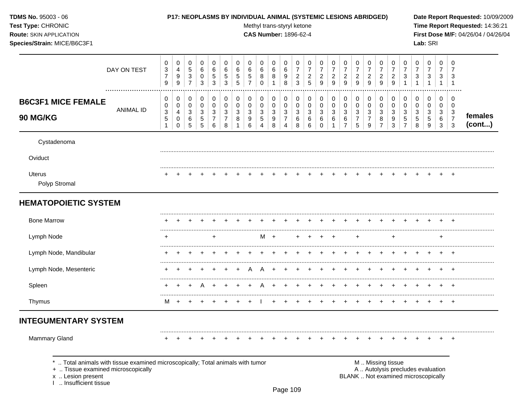**Route: SKIN APPLICATION** Species/Strain: MICE/B6C3F1

## P17: NEOPLASMS BY INDIVIDUAL ANIMAL (SYSTEMIC LESIONS ABRIDGED)

Methyl trans-styryl ketone

**CAS Number: 1896-62-4** 

Date Report Requested: 10/09/2009 Time Report Requested: 14:36:21 First Dose M/F: 04/26/04 / 04/26/04 Lab: SRI

|                                             | DAY ON TEST                                                                                                        | 0<br>$\ensuremath{\mathsf{3}}$                              | 0<br>4                               | 0<br>$\sqrt{5}$                    | 0<br>$\,6\,$                                          | 0<br>$\,6$                              | 0<br>6                                                   | 0<br>6                           | 0<br>6                                                                    | 0<br>$\,6\,$                                       | 0<br>6                                                            | 0<br>$\,6\,$                                                    | 0<br>$\overline{7}$                                | 0<br>$\overline{7}$    | 0<br>$\overline{7}$                               | 0<br>$\overline{7}$                              | 0<br>$\boldsymbol{7}$                                            | 0<br>$\boldsymbol{7}$                   | 0<br>$\overline{7}$                       | 0<br>$\overline{7}$                         | 0<br>$\overline{7}$                       | 0<br>$\overline{7}$                                          | 0<br>$\overline{7}$                                                      | 0<br>$\boldsymbol{7}$                                       | $\mathbf 0$<br>$\overline{7}$ | $\mathbf 0$<br>$\overline{7}$              |         |
|---------------------------------------------|--------------------------------------------------------------------------------------------------------------------|-------------------------------------------------------------|--------------------------------------|------------------------------------|-------------------------------------------------------|-----------------------------------------|----------------------------------------------------------|----------------------------------|---------------------------------------------------------------------------|----------------------------------------------------|-------------------------------------------------------------------|-----------------------------------------------------------------|----------------------------------------------------|------------------------|---------------------------------------------------|--------------------------------------------------|------------------------------------------------------------------|-----------------------------------------|-------------------------------------------|---------------------------------------------|-------------------------------------------|--------------------------------------------------------------|--------------------------------------------------------------------------|-------------------------------------------------------------|-------------------------------|--------------------------------------------|---------|
|                                             | .                                                                                                                  | $\overline{7}$<br>9                                         | $\boldsymbol{9}$<br>9                | $\mathbf{3}$<br>$\overline{7}$     | 0<br>$\mathbf{3}$                                     | 5<br>$\mathbf{3}$                       | $\,$ 5 $\,$<br>$\mathbf{3}$                              | $\sqrt{5}$<br>5                  | $\,$ 5 $\,$<br>$\overline{7}$                                             | $\,8\,$<br>$\mathbf 0$                             | 8<br>$\mathbf{1}$                                                 | 9<br>$\,8\,$                                                    | $\overline{2}$<br>3                                | $\overline{2}$<br>5    | $\overline{c}$<br>$\overline{9}$                  | $\overline{c}$<br>9                              | $\sqrt{2}$<br>9                                                  | $\overline{2}$<br>$\overline{9}$        | $\overline{\mathbf{c}}$<br>$\overline{9}$ | $\overline{c}$<br>$\boldsymbol{9}$          | $\overline{c}$<br>9                       | 3<br>1                                                       | $\mathbf{3}$<br>$\mathbf{1}$                                             | $\mathbf{3}$<br>$\mathbf{1}$                                | 3<br>$\overline{1}$           | 3<br>$\overline{1}$                        |         |
| <b>B6C3F1 MICE FEMALE</b><br>90 MG/KG       | <b>ANIMAL ID</b>                                                                                                   | 0<br>$\mathbf 0$<br>$\ensuremath{\mathsf{3}}$<br>$\sqrt{5}$ | 0<br>$\mathbf 0$<br>4<br>$\mathbf 0$ | $\pmb{0}$<br>$\mathbf 0$<br>3<br>6 | $\pmb{0}$<br>$\mathbf 0$<br>$\sqrt{3}$<br>$\,$ 5 $\,$ | 0<br>$\mathbf 0$<br>3<br>$\overline{7}$ | $\pmb{0}$<br>$\mathbf 0$<br>$\sqrt{3}$<br>$\overline{7}$ | $\,0\,$<br>$\mathbf 0$<br>3<br>8 | $\pmb{0}$<br>$\mathbf 0$<br>$\ensuremath{\mathsf{3}}$<br>$\boldsymbol{9}$ | $\pmb{0}$<br>$\pmb{0}$<br>$\sqrt{3}$<br>$\sqrt{5}$ | 0<br>$\mathbf 0$<br>$\ensuremath{\mathsf{3}}$<br>$\boldsymbol{9}$ | 0<br>$\mathbf 0$<br>$\ensuremath{\mathsf{3}}$<br>$\overline{7}$ | 0<br>$\mathbf 0$<br>$\ensuremath{\mathsf{3}}$<br>6 | 0<br>0<br>3<br>$\,6\,$ | $\pmb{0}$<br>$\mathbf 0$<br>$\sqrt{3}$<br>$\,6\,$ | 0<br>$\pmb{0}$<br>$\ensuremath{\mathsf{3}}$<br>6 | 0<br>$\mathsf{O}\xspace$<br>$\ensuremath{\mathsf{3}}$<br>$\,6\,$ | 0<br>$\mathbf 0$<br>3<br>$\overline{7}$ | 0<br>$\pmb{0}$<br>3<br>$\overline{7}$     | $\pmb{0}$<br>$\mathbf 0$<br>$\sqrt{3}$<br>8 | 0<br>$\mathbf 0$<br>3<br>$\boldsymbol{9}$ | 0<br>$\mathbf 0$<br>$\ensuremath{\mathsf{3}}$<br>$\,$ 5 $\,$ | 0<br>$\mathbf 0$<br>3<br>$\,$ 5 $\,$                                     | 0<br>$\mathbf 0$<br>$\ensuremath{\mathsf{3}}$<br>$\sqrt{5}$ | 0<br>$\mathbf 0$<br>3<br>6    | 0<br>$\overline{0}$<br>3<br>$\overline{7}$ | females |
| Cystadenoma                                 |                                                                                                                    | $\mathbf{1}$                                                | $\mathbf 0$                          | 5                                  | $\sqrt{5}$                                            | 6                                       | $\,8\,$                                                  | $\mathbf 1$                      | $6\phantom{a}$                                                            | $\overline{4}$                                     | 8                                                                 | $\overline{4}$                                                  | 8                                                  | 6                      | $\mathbf 0$                                       | $\mathbf{1}$                                     | $\overline{7}$                                                   | $\overline{5}$                          | 9                                         | $\overline{7}$                              | 3                                         | $\overline{7}$                                               | 8                                                                        | $\boldsymbol{9}$                                            | 3                             | 3                                          | (cont)  |
| Oviduct                                     |                                                                                                                    |                                                             |                                      |                                    |                                                       |                                         |                                                          |                                  |                                                                           |                                                    |                                                                   |                                                                 |                                                    |                        |                                                   |                                                  |                                                                  |                                         |                                           |                                             |                                           |                                                              |                                                                          |                                                             |                               |                                            |         |
| <b>Uterus</b><br>Polyp Stromal              |                                                                                                                    |                                                             |                                      |                                    |                                                       |                                         |                                                          |                                  |                                                                           |                                                    |                                                                   |                                                                 |                                                    |                        |                                                   |                                                  |                                                                  |                                         |                                           |                                             |                                           |                                                              |                                                                          |                                                             |                               |                                            |         |
| <b>HEMATOPOIETIC SYSTEM</b>                 |                                                                                                                    |                                                             |                                      |                                    |                                                       |                                         |                                                          |                                  |                                                                           |                                                    |                                                                   |                                                                 |                                                    |                        |                                                   |                                                  |                                                                  |                                         |                                           |                                             |                                           |                                                              |                                                                          |                                                             |                               |                                            |         |
| <b>Bone Marrow</b>                          |                                                                                                                    |                                                             |                                      |                                    |                                                       |                                         |                                                          |                                  |                                                                           |                                                    |                                                                   |                                                                 |                                                    |                        |                                                   |                                                  |                                                                  |                                         |                                           |                                             |                                           |                                                              |                                                                          |                                                             |                               |                                            |         |
| Lymph Node                                  |                                                                                                                    | $\ddot{}$                                                   |                                      |                                    |                                                       | $\ddot{}$                               |                                                          |                                  |                                                                           | м                                                  | $^{+}$                                                            |                                                                 | ÷                                                  |                        | ٠                                                 | $\ddot{}$                                        |                                                                  | ÷                                       |                                           |                                             | +                                         |                                                              |                                                                          |                                                             | ÷                             |                                            |         |
| Lymph Node, Mandibular                      |                                                                                                                    |                                                             |                                      |                                    |                                                       |                                         |                                                          |                                  |                                                                           |                                                    |                                                                   |                                                                 |                                                    |                        |                                                   |                                                  |                                                                  |                                         |                                           |                                             |                                           |                                                              |                                                                          |                                                             |                               |                                            |         |
| Lymph Node, Mesenteric                      |                                                                                                                    |                                                             |                                      |                                    |                                                       |                                         |                                                          |                                  |                                                                           |                                                    |                                                                   |                                                                 |                                                    |                        |                                                   |                                                  |                                                                  |                                         |                                           |                                             |                                           |                                                              |                                                                          |                                                             |                               |                                            |         |
| Spleen                                      |                                                                                                                    |                                                             |                                      |                                    |                                                       |                                         |                                                          |                                  |                                                                           |                                                    |                                                                   |                                                                 |                                                    |                        |                                                   |                                                  |                                                                  |                                         |                                           |                                             |                                           |                                                              |                                                                          |                                                             |                               |                                            |         |
| Thymus                                      |                                                                                                                    | м                                                           | $\overline{ }$                       |                                    |                                                       |                                         |                                                          |                                  |                                                                           |                                                    |                                                                   |                                                                 |                                                    |                        |                                                   |                                                  |                                                                  |                                         |                                           |                                             |                                           |                                                              |                                                                          |                                                             |                               | $\ddot{}$                                  |         |
| <b>INTEGUMENTARY SYSTEM</b>                 |                                                                                                                    |                                                             |                                      |                                    |                                                       |                                         |                                                          |                                  |                                                                           |                                                    |                                                                   |                                                                 |                                                    |                        |                                                   |                                                  |                                                                  |                                         |                                           |                                             |                                           |                                                              |                                                                          |                                                             |                               |                                            |         |
| Mammary Gland                               |                                                                                                                    |                                                             |                                      |                                    |                                                       |                                         |                                                          |                                  |                                                                           |                                                    |                                                                   |                                                                 |                                                    |                        |                                                   |                                                  |                                                                  |                                         |                                           |                                             |                                           |                                                              |                                                                          |                                                             |                               |                                            |         |
| x  Lesion present<br>1  Insufficient tissue | Total animals with tissue examined microscopically; Total animals with tumor<br>+  Tissue examined microscopically |                                                             |                                      |                                    |                                                       |                                         |                                                          |                                  |                                                                           |                                                    |                                                                   |                                                                 |                                                    |                        |                                                   |                                                  |                                                                  |                                         |                                           |                                             | M  Missing tissue                         |                                                              | A  Autolysis precludes evaluation<br>BLANK  Not examined microscopically |                                                             |                               |                                            |         |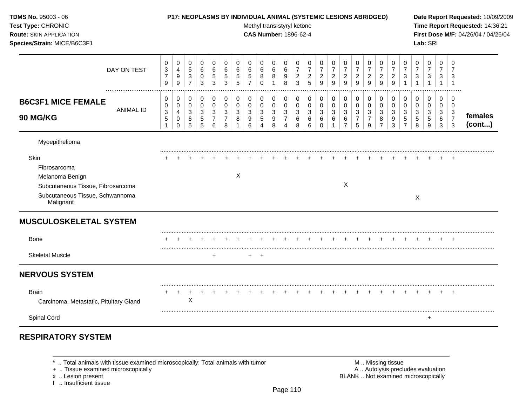Test Type: CHRONIC **Test Type:** CHRONIC **Test Type:** CHRONIC **Time Report Requested:** 14:36:21 **Route:** SKIN APPLICATION **CAS Number:** 1896-62-4 **First Dose M/F:** 04/26/04 / 04/26/04 **Species/Strain:** MICE/B6C3F1 **Lab:** SRI

| DAY ON TEST                                                                                                                  | 0<br>$\ensuremath{\mathsf{3}}$<br>$\overline{7}$<br>$\boldsymbol{9}$ | 0<br>$\overline{4}$<br>9<br>9                | $\mathbf 0$<br>5<br>$\sqrt{3}$<br>$\overline{7}$ | 0<br>$\,6\,$<br>$\pmb{0}$<br>$\mathfrak{S}$     | $\mathbf 0$<br>6<br>5<br>3         | 0<br>$\,6$<br>$\,$ 5 $\,$<br>3 | $\mathbf 0$<br>$\,6\,$<br>$\sqrt{5}$<br>5 | 0<br>$\,6\,$<br>$5\phantom{.0}$<br>$\overline{7}$ | 0<br>6<br>$\bf8$<br>$\mathbf 0$        | 0<br>6<br>8<br>1      | 0<br>6<br>9<br>8                   | $\mathbf 0$<br>$\overline{7}$<br>$\overline{2}$<br>3 | 0<br>$\overline{7}$<br>$\overline{2}$<br>5 | 0<br>$\overline{7}$<br>$\overline{c}$<br>9   | 0<br>$\overline{7}$<br>$\sqrt{2}$<br>$\mathsf g$    | 0<br>$\overline{7}$<br>$\overline{2}$<br>9   | 0<br>$\overline{7}$<br>$\overline{2}$<br>9 | 0<br>$\overline{7}$<br>$\overline{2}$<br>9 | 0<br>$\overline{7}$<br>$\overline{2}$<br>9 | $\mathbf 0$<br>$\overline{7}$<br>$\overline{c}$<br>9 | $\mathbf 0$<br>$\overline{7}$<br>3 | 0<br>$\overline{7}$<br>3       | 0<br>$\overline{7}$<br>3<br>$\mathbf{1}$     | 0<br>$\overline{7}$<br>3<br>$\mathbf{1}$               | $\mathbf 0$<br>$\overline{7}$<br>3<br>$\overline{1}$    |                   |
|------------------------------------------------------------------------------------------------------------------------------|----------------------------------------------------------------------|----------------------------------------------|--------------------------------------------------|-------------------------------------------------|------------------------------------|--------------------------------|-------------------------------------------|---------------------------------------------------|----------------------------------------|-----------------------|------------------------------------|------------------------------------------------------|--------------------------------------------|----------------------------------------------|-----------------------------------------------------|----------------------------------------------|--------------------------------------------|--------------------------------------------|--------------------------------------------|------------------------------------------------------|------------------------------------|--------------------------------|----------------------------------------------|--------------------------------------------------------|---------------------------------------------------------|-------------------|
| <b>B6C3F1 MICE FEMALE</b><br><b>ANIMAL ID</b><br><b>90 MG/KG</b>                                                             | 0<br>0<br>$\sqrt{3}$<br>$\mathbf 5$<br>$\mathbf{1}$                  | 0<br>0<br>$\overline{4}$<br>0<br>$\mathbf 0$ | 0<br>$\mathbf 0$<br>3<br>6<br>5                  | $\pmb{0}$<br>$\pmb{0}$<br>3<br>$\,$ 5 $\,$<br>5 | 0<br>0<br>3<br>$\overline{7}$<br>6 | 0<br>0<br>3<br>7<br>8          | 0<br>$\pmb{0}$<br>3<br>8                  | 0<br>$\mathbf 0$<br>3<br>9<br>6                   | 0<br>$\pmb{0}$<br>3<br>$\sqrt{5}$<br>4 | 0<br>0<br>3<br>9<br>8 | 0<br>0<br>3<br>$\overline{7}$<br>4 | 0<br>0<br>3<br>6<br>8                                | 0<br>$\mathbf 0$<br>3<br>6<br>6            | $\pmb{0}$<br>$\pmb{0}$<br>3<br>6<br>$\Omega$ | 0<br>$\pmb{0}$<br>$\mathbf{3}$<br>6<br>$\mathbf{1}$ | 0<br>$\mathbf 0$<br>3<br>6<br>$\overline{7}$ | 0<br>$\pmb{0}$<br>3<br>$\overline{7}$<br>5 | 0<br>0<br>3<br>7<br>9                      | 0<br>0<br>3<br>8                           | 0<br>$\mathbf 0$<br>3<br>9<br>3                      | 0<br>0<br>3<br>5<br>$\overline{7}$ | 0<br>0<br>3<br>$\sqrt{5}$<br>8 | 0<br>$\mathbf 0$<br>3<br>$\overline{5}$<br>9 | $\pmb{0}$<br>$\pmb{0}$<br>$\mathbf{3}$<br>$\,6\,$<br>3 | $\mathbf 0$<br>0<br>3<br>$\overline{7}$<br>$\mathbf{3}$ | females<br>(cont) |
| Myoepithelioma                                                                                                               |                                                                      |                                              |                                                  |                                                 |                                    |                                |                                           |                                                   |                                        |                       |                                    |                                                      |                                            |                                              |                                                     |                                              |                                            |                                            |                                            |                                                      |                                    |                                |                                              |                                                        |                                                         |                   |
| Skin<br>Fibrosarcoma<br>Melanoma Benign<br>Subcutaneous Tissue, Fibrosarcoma<br>Subcutaneous Tissue, Schwannoma<br>Malignant |                                                                      |                                              |                                                  |                                                 |                                    |                                | $\pmb{\times}$                            |                                                   |                                        |                       |                                    |                                                      |                                            |                                              |                                                     | X                                            |                                            |                                            |                                            |                                                      |                                    | X                              |                                              |                                                        |                                                         |                   |
| <b>MUSCULOSKELETAL SYSTEM</b>                                                                                                |                                                                      |                                              |                                                  |                                                 |                                    |                                |                                           |                                                   |                                        |                       |                                    |                                                      |                                            |                                              |                                                     |                                              |                                            |                                            |                                            |                                                      |                                    |                                |                                              |                                                        |                                                         |                   |
| <b>Bone</b>                                                                                                                  | ÷.                                                                   |                                              |                                                  |                                                 |                                    |                                |                                           |                                                   |                                        |                       |                                    |                                                      |                                            |                                              |                                                     |                                              |                                            |                                            |                                            |                                                      |                                    |                                |                                              |                                                        |                                                         |                   |
| <b>Skeletal Muscle</b>                                                                                                       |                                                                      |                                              |                                                  |                                                 | $\ddot{}$                          |                                |                                           | $+$                                               | $^{+}$                                 |                       |                                    |                                                      |                                            |                                              |                                                     |                                              |                                            |                                            |                                            |                                                      |                                    |                                |                                              |                                                        |                                                         |                   |
| <b>NERVOUS SYSTEM</b>                                                                                                        |                                                                      |                                              |                                                  |                                                 |                                    |                                |                                           |                                                   |                                        |                       |                                    |                                                      |                                            |                                              |                                                     |                                              |                                            |                                            |                                            |                                                      |                                    |                                |                                              |                                                        |                                                         |                   |
|                                                                                                                              |                                                                      |                                              |                                                  |                                                 |                                    |                                |                                           |                                                   |                                        |                       |                                    |                                                      |                                            |                                              |                                                     |                                              |                                            |                                            |                                            |                                                      |                                    |                                |                                              |                                                        |                                                         |                   |
| <b>Brain</b><br>Carcinoma, Metastatic, Pituitary Gland                                                                       |                                                                      |                                              | X                                                |                                                 |                                    |                                |                                           |                                                   |                                        |                       |                                    |                                                      |                                            |                                              |                                                     |                                              |                                            |                                            |                                            |                                                      |                                    |                                |                                              |                                                        |                                                         |                   |

+ .. Tissue examined microscopically

x .. Lesion present<br>I .. Insufficient tissue

\* .. Total animals with tissue examined microscopically; Total animals with tumor <br>
+ .. Tissue examined microscopically<br>
+ .. Tissue examined microscopically BLANK .. Not examined microscopically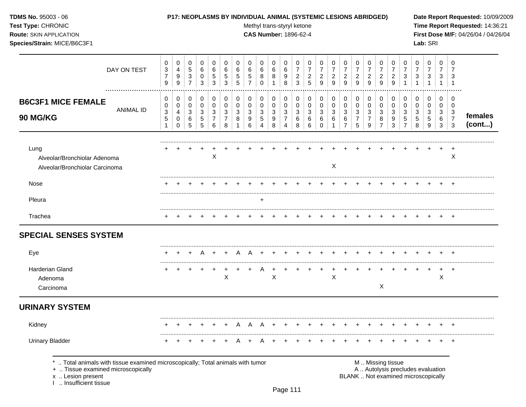Test Type: CHRONIC **Test Type:** CHRONIC **Test Type:** CHRONIC **Time Report Requested:** 14:36:21 **Route:** SKIN APPLICATION **CAS Number:** 1896-62-4 **First Dose M/F:** 04/26/04 / 04/26/04 **Species/Strain:** MICE/B6C3F1 **Lab:** SRI

| DAY ON TEST                                                                                                                                                    | 0<br>$\ensuremath{\mathsf{3}}$<br>$\boldsymbol{7}$<br>9 | $\mathbf 0$<br>$\overline{4}$<br>9<br>9 | 0<br>$\,$ 5 $\,$<br>3<br>$\overline{7}$ | 0<br>6<br>0<br>3                     | 0<br>6<br>5<br>3              | 0<br>6<br>$\sqrt{5}$<br>3                        | 0<br>6<br>$\,$ 5 $\,$<br>5 | 0<br>$\,6\,$<br>$\sqrt{5}$<br>$\overline{7}$ | 0<br>6<br>8<br>$\mathbf 0$             | 0<br>6<br>8<br>1         | 0<br>$\,6$<br>9<br>8                    | 0<br>$\overline{7}$<br>$\overline{2}$<br>$\mathbf{3}$ | 0<br>$\overline{7}$<br>$\overline{c}$<br>5 | 0<br>$\boldsymbol{7}$<br>$\overline{2}$<br>9 | 0<br>$\boldsymbol{7}$<br>$\overline{2}$<br>$\overline{9}$ | 0<br>$\overline{7}$<br>$\overline{2}$<br>9 | 0<br>$\overline{7}$<br>$\overline{2}$<br>9 | 0<br>$\overline{7}$<br>$\overline{2}$<br>9 | 0<br>$\overline{7}$<br>$\overline{c}$<br>9 | 0<br>$\overline{7}$<br>$\overline{c}$<br>$\boldsymbol{9}$ | 0<br>$\overline{7}$<br>$\sqrt{3}$<br>$\overline{1}$                      | 0<br>$\overline{7}$<br>3<br>$\mathbf{1}$ | 0<br>$\overline{7}$<br>$\mathbf{3}$<br>$\mathbf{1}$ | 0<br>7<br>3<br>$\mathbf{1}$ | 0<br>7<br>3<br>$\mathbf{1}$             |         |
|----------------------------------------------------------------------------------------------------------------------------------------------------------------|---------------------------------------------------------|-----------------------------------------|-----------------------------------------|--------------------------------------|-------------------------------|--------------------------------------------------|----------------------------|----------------------------------------------|----------------------------------------|--------------------------|-----------------------------------------|-------------------------------------------------------|--------------------------------------------|----------------------------------------------|-----------------------------------------------------------|--------------------------------------------|--------------------------------------------|--------------------------------------------|--------------------------------------------|-----------------------------------------------------------|--------------------------------------------------------------------------|------------------------------------------|-----------------------------------------------------|-----------------------------|-----------------------------------------|---------|
| <b>B6C3F1 MICE FEMALE</b><br><b>ANIMAL ID</b><br><b>90 MG/KG</b>                                                                                               | 0<br>0<br>3<br>$\,$ 5 $\,$                              | 0<br>$\mathbf 0$<br>4<br>0              | 0<br>$\mathbf 0$<br>$\sqrt{3}$<br>6     | 0<br>$\mathbf 0$<br>3<br>$\mathbf 5$ | 0<br>0<br>3<br>$\overline{7}$ | 0<br>$\mathbf 0$<br>$\sqrt{3}$<br>$\overline{7}$ | 0<br>0<br>3<br>8           | 0<br>0<br>3<br>9                             | 0<br>0<br>$\sqrt{3}$<br>$\overline{5}$ | 0<br>$\pmb{0}$<br>3<br>9 | 0<br>$\mathbf 0$<br>3<br>$\overline{7}$ | 0<br>$\pmb{0}$<br>3<br>6                              | 0<br>$\pmb{0}$<br>$\sqrt{3}$<br>$\,6$      | 0<br>$\pmb{0}$<br>$\sqrt{3}$<br>$\,6$        | 0<br>$\pmb{0}$<br>$\ensuremath{\mathsf{3}}$<br>$\,6$      | 0<br>$\mathbf 0$<br>3<br>$\,6\,$           | 0<br>$\mathbf 0$<br>3<br>$\overline{7}$    | 0<br>$\pmb{0}$<br>3<br>$\overline{7}$      | 0<br>$\pmb{0}$<br>3<br>8                   | 0<br>$\mathbf 0$<br>3<br>9                                | 0<br>0<br>$\sqrt{3}$<br>$\sqrt{5}$                                       | 0<br>0<br>3<br>$\sqrt{5}$                | 0<br>0<br>3<br>$\sqrt{5}$                           | 0<br>$\mathbf 0$<br>3<br>6  | 0<br>$\mathbf 0$<br>3<br>$\overline{7}$ | females |
|                                                                                                                                                                | $\mathbf{1}$                                            | 0                                       | 5                                       | 5                                    | 6                             | 8                                                | 1                          | 6                                            | 4                                      | 8                        | 4                                       | 8                                                     | 6                                          | $\mathbf 0$                                  | $\mathbf{1}$                                              | $\overline{7}$                             | 5                                          | 9                                          | $\overline{7}$                             | 3                                                         | $\overline{7}$                                                           | 8                                        | 9                                                   | 3                           | 3                                       | (cont)  |
| Lung<br>Alveolar/Bronchiolar Adenoma<br>Alveolar/Bronchiolar Carcinoma                                                                                         |                                                         |                                         |                                         |                                      | X                             |                                                  |                            |                                              |                                        |                          |                                         |                                                       |                                            |                                              | $\mathsf X$                                               |                                            |                                            |                                            |                                            |                                                           |                                                                          |                                          |                                                     |                             | $\mathsf X$                             |         |
| Nose                                                                                                                                                           |                                                         |                                         |                                         |                                      |                               |                                                  |                            |                                              |                                        |                          |                                         |                                                       |                                            |                                              |                                                           |                                            |                                            |                                            |                                            |                                                           |                                                                          |                                          |                                                     |                             |                                         |         |
| Pleura                                                                                                                                                         |                                                         |                                         |                                         |                                      |                               |                                                  |                            |                                              | +                                      |                          |                                         |                                                       |                                            |                                              |                                                           |                                            |                                            |                                            |                                            |                                                           |                                                                          |                                          |                                                     |                             |                                         |         |
| Trachea                                                                                                                                                        |                                                         |                                         |                                         |                                      |                               |                                                  |                            |                                              |                                        |                          |                                         |                                                       |                                            |                                              |                                                           |                                            |                                            |                                            |                                            |                                                           |                                                                          |                                          |                                                     |                             |                                         |         |
| <b>SPECIAL SENSES SYSTEM</b>                                                                                                                                   |                                                         |                                         |                                         |                                      |                               |                                                  |                            |                                              |                                        |                          |                                         |                                                       |                                            |                                              |                                                           |                                            |                                            |                                            |                                            |                                                           |                                                                          |                                          |                                                     |                             |                                         |         |
| Eye                                                                                                                                                            |                                                         |                                         |                                         |                                      |                               |                                                  | Α                          | A                                            |                                        |                          |                                         |                                                       |                                            |                                              |                                                           |                                            |                                            |                                            |                                            |                                                           |                                                                          |                                          |                                                     |                             |                                         |         |
| Harderian Gland<br>Adenoma<br>Carcinoma                                                                                                                        |                                                         |                                         | $\div$                                  |                                      |                               | X                                                |                            |                                              |                                        | $\mathsf{X}$             |                                         |                                                       |                                            | $\ddot{}$                                    | $\ddot{}$<br>X                                            | $\ddot{}$                                  |                                            |                                            | $\boldsymbol{\mathsf{X}}$                  |                                                           |                                                                          |                                          |                                                     | +<br>$\mathsf X$            | $\ddot{}$                               |         |
| <b>URINARY SYSTEM</b>                                                                                                                                          |                                                         |                                         |                                         |                                      |                               |                                                  |                            |                                              |                                        |                          |                                         |                                                       |                                            |                                              |                                                           |                                            |                                            |                                            |                                            |                                                           |                                                                          |                                          |                                                     |                             |                                         |         |
| Kidney                                                                                                                                                         |                                                         |                                         |                                         |                                      |                               |                                                  | Α                          | $\overline{A}$                               | A                                      |                          |                                         |                                                       |                                            |                                              |                                                           |                                            |                                            |                                            |                                            |                                                           |                                                                          |                                          |                                                     |                             | $\div$                                  |         |
| <b>Urinary Bladder</b>                                                                                                                                         |                                                         |                                         |                                         |                                      |                               |                                                  |                            |                                              |                                        |                          |                                         |                                                       |                                            |                                              |                                                           |                                            |                                            |                                            |                                            |                                                           |                                                                          |                                          |                                                     |                             |                                         |         |
| Total animals with tissue examined microscopically; Total animals with tumor<br>+  Tissue examined microscopically<br>x  Lesion present<br>Insufficient tissue |                                                         |                                         |                                         |                                      |                               |                                                  |                            |                                              |                                        |                          |                                         |                                                       |                                            |                                              |                                                           |                                            |                                            |                                            | M  Missing tissue                          |                                                           | A  Autolysis precludes evaluation<br>BLANK  Not examined microscopically |                                          |                                                     |                             |                                         |         |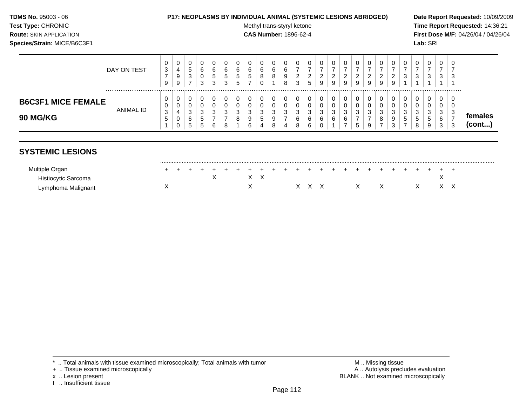Test Type: CHRONIC **Test Type:** CHRONIC **Test Type:** CHRONIC **Time Report Requested:** 14:36:21 **Route:** SKIN APPLICATION **CAS Number:** 1896-62-4 **First Dose M/F:** 04/26/04 / 04/26/04 **Species/Strain:** MICE/B6C3F1 **Lab:** SRI

| 0<br>0<br>U<br>U<br>υ<br><b>B6C3F1 MICE FEMALE</b><br>ν<br>J<br>u<br>u<br>u<br>0<br>0<br>U<br>U<br>υ<br>υ<br>ν<br>ν<br>U<br>u<br>u<br>ANIMAL ID<br>3<br>ີ<br>ີ<br>◠<br>3<br>ົ<br>3<br>3<br>ົ<br>2<br>3<br>3<br>ົ<br>3<br>2<br>2<br>ົ<br>4<br>د<br>دت |  |
|------------------------------------------------------------------------------------------------------------------------------------------------------------------------------------------------------------------------------------------------------|--|
| J<br>۰J<br>J<br>◡<br>- ఎ<br>J<br>ັ<br>u<br>u<br><b>90 MG/KG</b><br>-<br>8<br>9<br>6<br>9<br>$\sim$<br>6<br>8<br>b.<br>6<br>b.<br>Y<br><sub>5</sub><br>6<br>b<br>.5<br>υ<br>6<br>c<br>0<br>c<br>8<br>8                                                |  |

## **SYSTEMIC LESIONS**

|                            | . |  |  |  |  |  |  |  |                    |  |  |  |  |
|----------------------------|---|--|--|--|--|--|--|--|--------------------|--|--|--|--|
|                            |   |  |  |  |  |  |  |  |                    |  |  |  |  |
| <b>Histiocytic Sarcoma</b> |   |  |  |  |  |  |  |  |                    |  |  |  |  |
| Lymphoma Malignant         |   |  |  |  |  |  |  |  | $\mathbf{\Lambda}$ |  |  |  |  |

.........................................................................................................................................................................................................

- + .. Tissue examined microscopically
- 
- I .. Insufficient tissue

\* .. Total animals with tissue examined microscopically; Total animals with tumor **M** . M .. Missing tissue examined microscopically<br>
+ .. Tissue examined microscopically x .. Lesion present **BLANK** .. Not examined microscopically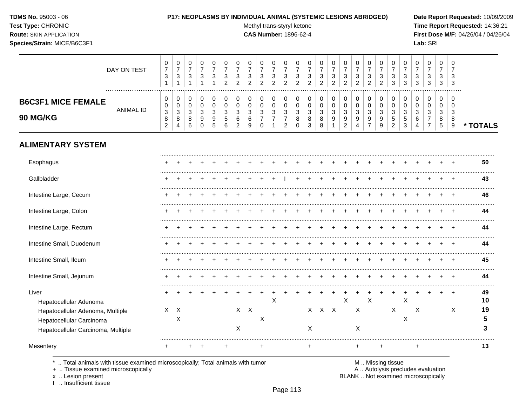**Route: SKIN APPLICATION** 

Species/Strain: MICE/B6C3F1

#### P17: NEOPLASMS BY INDIVIDUAL ANIMAL (SYSTEMIC LESIONS ABRIDGED)

Methyl trans-styryl ketone

**CAS Number: 1896-62-4** 

Date Report Requested: 10/09/2009 Time Report Requested: 14:36:21 First Dose M/F: 04/26/04 / 04/26/04 Lab: SRI

|                           | DAY ON TEST |                        | v<br>3      | 3                         | U<br>3 | 0<br>ີ<br>ت                              | 3<br>◠  | U<br>3      |                   | v<br>3<br>ົ<br><u>_</u> | -3              | U<br>3<br><u>_</u> | 0<br>ົ<br>ັ<br>ົ<br>∼ | د | 3<br>$\overline{\phantom{a}}$<br>- |        | v<br>3<br>◠<br><u>_</u> | -3<br>$\overline{ }$<br>∸ | U<br>3<br>ີ<br><u>_</u> | 0<br>3<br>ົ<br>∼ | د             | 0<br>3<br>ົ<br>J |        | υ<br>3<br>3 | v<br>3<br>-3                                           | 0<br>3<br>3 |          |
|---------------------------|-------------|------------------------|-------------|---------------------------|--------|------------------------------------------|---------|-------------|-------------------|-------------------------|-----------------|--------------------|-----------------------|---|------------------------------------|--------|-------------------------|---------------------------|-------------------------|------------------|---------------|------------------|--------|-------------|--------------------------------------------------------|-------------|----------|
| <b>B6C3F1 MICE FEMALE</b> |             |                        | U<br>U      |                           | 0<br>U | 0<br>υ                                   | ◡       |             |                   | ◡<br>v                  |                 | 0<br>U             | U<br>U                |   |                                    |        | v<br>ν                  |                           | 0<br>0                  | 0<br>U           |               |                  |        | v<br>v      |                                                        | 0<br>U      |          |
| <b>90 MG/KG</b>           | ANIMAL ID   | $\mathbf{\Omega}$<br>C | 3<br>8<br>4 | $\sqrt{2}$<br>$\sim$<br>8 | 3<br>9 | ີ<br>ັ<br>9<br>$\ddot{\phantom{1}}$<br>◡ | ັບ<br>n | ⌒<br>ు<br>6 | ◠<br>$\mathbf{a}$ | 3                       | $\epsilon$<br>ີ | -2<br>J            | ີ<br>ັ<br>8<br>υ      | N | ◠<br>ు<br>8                        | $\sim$ | 3<br>9<br>ົ             | $\sim$<br>ು<br>9          | 3<br>9                  | ີ<br>ັ<br>9<br>9 | w<br><u>_</u> | 3<br>ಾ<br>3      | $\sim$ | 3           | $\epsilon$<br>J.<br>8<br>∽<br>$\overline{\phantom{a}}$ | 3<br>8<br>9 | * TOTALS |

# **ALIMENTARY SYSTEM**

| Esophagus                                                    |   |        |  |  |         |   |   |  |   |       |   |          |   |   |   |   |  |   | 50       |
|--------------------------------------------------------------|---|--------|--|--|---------|---|---|--|---|-------|---|----------|---|---|---|---|--|---|----------|
| Gallbladder                                                  |   |        |  |  |         |   |   |  |   |       |   |          |   |   |   |   |  |   | 43       |
| Intestine Large, Cecum                                       |   |        |  |  |         |   |   |  |   |       |   |          |   |   |   |   |  |   | 46       |
| Intestine Large, Colon                                       |   |        |  |  |         |   |   |  |   |       |   |          |   |   |   |   |  |   | 44       |
| Intestine Large, Rectum                                      |   |        |  |  |         |   |   |  |   |       |   |          |   |   |   |   |  |   | 44       |
| Intestine Small, Duodenum                                    |   |        |  |  |         |   |   |  |   |       |   |          |   |   |   |   |  |   | 44       |
| Intestine Small, Ileum                                       |   |        |  |  |         |   |   |  |   |       |   |          |   |   |   |   |  |   | 45       |
| Intestine Small, Jejunum                                     |   |        |  |  |         |   |   |  |   |       |   |          |   |   |   |   |  |   | 44       |
| Liver<br>Hepatocellular Adenoma                              |   |        |  |  |         |   | X |  |   |       | X |          | Χ |   | X |   |  |   | 49<br>10 |
| Hepatocellular Adenoma, Multiple<br>Hepatocellular Carcinoma | X | Χ<br>X |  |  | $X$ $X$ | X |   |  |   | X X X |   | $\times$ |   | X | X | Χ |  | Χ | 19<br>b  |
| Hepatocellular Carcinoma, Multiple                           |   |        |  |  | Χ       |   |   |  | х |       |   | Χ        |   |   |   |   |  |   |          |
| Mesentery                                                    |   |        |  |  |         |   |   |  |   |       |   |          |   |   |   |   |  |   | 13       |

\* .. Total animals with tissue examined microscopically; Total animals with tumor

+ .. Tissue examined microscopically

x .. Lesion present

1 .. Insufficient tissue

M .. Missing tissue

A .. Autolysis precludes evaluation

BLANK .. Not examined microscopically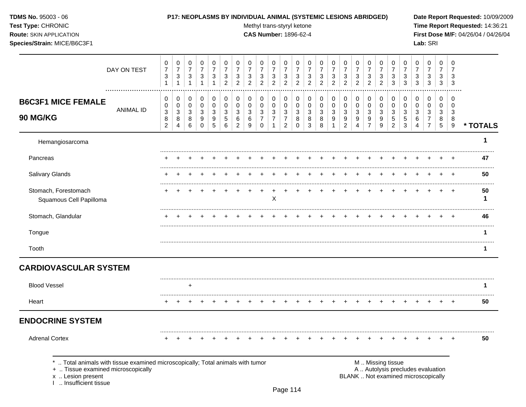**Route: SKIN APPLICATION** 

Species/Strain: MICE/B6C3F1

## P17: NEOPLASMS BY INDIVIDUAL ANIMAL (SYSTEMIC LESIONS ABRIDGED)

Methyl trans-styryl ketone

**CAS Number: 1896-62-4** 

Date Report Requested: 10/09/2009 Time Report Requested: 14:36:21 First Dose M/F: 04/26/04 / 04/26/04 Lab: SRI

|                                                                                   | DAY ON TEST                                                                     | 0<br>$\boldsymbol{7}$<br>$\ensuremath{\mathsf{3}}$<br>$\mathbf{1}$ | $\pmb{0}$<br>$\boldsymbol{7}$<br>$\ensuremath{\mathsf{3}}$<br>$\mathbf{1}$ | 0<br>$\overline{7}$<br>$\ensuremath{\mathsf{3}}$<br>1 | 0<br>$\boldsymbol{7}$<br>$\sqrt{3}$<br>-1 | $\pmb{0}$<br>$\overline{7}$<br>$\ensuremath{\mathsf{3}}$ | $\pmb{0}$<br>$\boldsymbol{7}$<br>$\ensuremath{\mathsf{3}}$<br>$\overline{2}$ | 0<br>$\boldsymbol{7}$<br>$\sqrt{3}$<br>$\overline{2}$  | $\pmb{0}$<br>$\boldsymbol{7}$<br>$\ensuremath{\mathsf{3}}$<br>$\overline{a}$ | $\mathbf 0$<br>$\overline{7}$<br>$\sqrt{3}$<br>$\overline{2}$ | 0<br>$\boldsymbol{7}$<br>3<br>$\overline{2}$                | 0<br>$\overline{7}$<br>$\sqrt{3}$<br>$\overline{2}$      | 0<br>$\overline{7}$<br>$\ensuremath{\mathsf{3}}$<br>$\overline{c}$ | $\pmb{0}$<br>$\boldsymbol{7}$<br>$\ensuremath{\mathsf{3}}$<br>$\overline{2}$ | 0<br>$\boldsymbol{7}$<br>$\sqrt{3}$<br>$\overline{c}$ | $\pmb{0}$<br>$\boldsymbol{7}$<br>3<br>$\overline{2}$          | $\pmb{0}$<br>$\overline{7}$<br>$\sqrt{3}$<br>$\overline{2}$ | 0<br>$\overline{7}$<br>3<br>$\overline{2}$ | 0<br>$\overline{7}$<br>$\mathbf{3}$<br>$\overline{2}$ | 0<br>$\overline{7}$<br>3<br>$\overline{2}$ | $\pmb{0}$<br>$\overline{7}$<br>$\ensuremath{\mathsf{3}}$<br>$\mathbf{3}$ | 0<br>$\boldsymbol{7}$<br>$\ensuremath{\mathsf{3}}$<br>3  | 0<br>$\overline{7}$<br>$\sqrt{3}$<br>3                                   | $\pmb{0}$<br>$\boldsymbol{7}$<br>$\ensuremath{\mathsf{3}}$<br>$\sqrt{3}$ | 0<br>$\overline{7}$<br>3<br>3 | 0<br>$\overline{7}$<br>$\mathbf{3}$<br>3 |                            |
|-----------------------------------------------------------------------------------|---------------------------------------------------------------------------------|--------------------------------------------------------------------|----------------------------------------------------------------------------|-------------------------------------------------------|-------------------------------------------|----------------------------------------------------------|------------------------------------------------------------------------------|--------------------------------------------------------|------------------------------------------------------------------------------|---------------------------------------------------------------|-------------------------------------------------------------|----------------------------------------------------------|--------------------------------------------------------------------|------------------------------------------------------------------------------|-------------------------------------------------------|---------------------------------------------------------------|-------------------------------------------------------------|--------------------------------------------|-------------------------------------------------------|--------------------------------------------|--------------------------------------------------------------------------|----------------------------------------------------------|--------------------------------------------------------------------------|--------------------------------------------------------------------------|-------------------------------|------------------------------------------|----------------------------|
| <b>B6C3F1 MICE FEMALE</b>                                                         |                                                                                 | 0<br>0                                                             | 0<br>0                                                                     | 0<br>$\mathbf 0$                                      | 0<br>0                                    | 0<br>$\mathbf 0$                                         | 0<br>$\pmb{0}$                                                               | 0<br>0                                                 | 0<br>0                                                                       | 0<br>$\mathbf 0$                                              | 0<br>$\mathbf 0$                                            | 0<br>$\mathbf 0$                                         | 0<br>$\mathbf 0$                                                   | 0<br>$\pmb{0}$                                                               | 0<br>$\mathbf 0$                                      | 0<br>$\mathbf 0$                                              | 0<br>$\mathbf 0$                                            | 0<br>$\mathbf 0$                           | 0<br>$\mathbf 0$                                      | 0<br>$\mathbf 0$                           | 0<br>$\mathbf 0$                                                         | 0<br>$\mathbf 0$                                         | 0<br>0                                                                   | 0<br>$\mathbf 0$                                                         | 0<br>$\mathbf 0$              | $\mathbf 0$<br>$\mathbf 0$               |                            |
| 90 MG/KG                                                                          | <b>ANIMAL ID</b>                                                                | $\ensuremath{\mathsf{3}}$<br>8<br>$\overline{c}$                   | $\sqrt{3}$<br>8<br>4                                                       | 3<br>8<br>$\,6\,$                                     | 3<br>$\boldsymbol{9}$<br>$\pmb{0}$        | $\mathbf{3}$<br>9<br>$\overline{5}$                      | $\ensuremath{\mathsf{3}}$<br>$\mathbf 5$<br>$\,6$                            | $\ensuremath{\mathsf{3}}$<br>$\,6\,$<br>$\overline{c}$ | $\ensuremath{\mathsf{3}}$<br>$\,6$<br>9                                      | $\mathbf{3}$<br>$\boldsymbol{7}$<br>$\mathbf 0$               | $\ensuremath{\mathsf{3}}$<br>$\overline{7}$<br>$\mathbf{1}$ | $\sqrt{3}$<br>$\overline{\mathcal{I}}$<br>$\overline{c}$ | $\sqrt{3}$<br>8<br>$\Omega$                                        | $\sqrt{3}$<br>$\bf 8$<br>$\mathfrak{S}$                                      | $\ensuremath{\mathsf{3}}$<br>$\bf 8$<br>8             | $\ensuremath{\mathsf{3}}$<br>$\boldsymbol{9}$<br>$\mathbf{1}$ | $\sqrt{3}$<br>9<br>$\overline{c}$                           | 3<br>9<br>4                                | 3<br>9<br>$\overline{7}$                              | 3<br>9<br>9                                | $\ensuremath{\mathsf{3}}$<br>$\,$ 5 $\,$<br>$\overline{c}$               | $\ensuremath{\mathsf{3}}$<br>$\mathbf 5$<br>$\mathbf{3}$ | $\sqrt{3}$<br>6<br>$\overline{4}$                                        | $\sqrt{3}$<br>$\boldsymbol{7}$<br>$\overline{7}$                         | $\sqrt{3}$<br>8<br>$\sqrt{5}$ | 3<br>8<br>$\mathsf g$                    | * TOTALS                   |
| Hemangiosarcoma                                                                   |                                                                                 |                                                                    |                                                                            |                                                       |                                           |                                                          |                                                                              |                                                        |                                                                              |                                                               |                                                             |                                                          |                                                                    |                                                                              |                                                       |                                                               |                                                             |                                            |                                                       |                                            |                                                                          |                                                          |                                                                          |                                                                          |                               |                                          | 1                          |
| Pancreas                                                                          |                                                                                 |                                                                    |                                                                            |                                                       |                                           |                                                          |                                                                              |                                                        |                                                                              |                                                               |                                                             |                                                          |                                                                    |                                                                              |                                                       |                                                               |                                                             |                                            |                                                       |                                            |                                                                          |                                                          |                                                                          |                                                                          |                               |                                          | 47                         |
| Salivary Glands                                                                   |                                                                                 |                                                                    |                                                                            |                                                       |                                           |                                                          |                                                                              |                                                        |                                                                              |                                                               |                                                             |                                                          |                                                                    |                                                                              |                                                       |                                                               |                                                             |                                            |                                                       |                                            |                                                                          |                                                          |                                                                          |                                                                          |                               |                                          | 50                         |
| Stomach, Forestomach<br>Squamous Cell Papilloma                                   |                                                                                 |                                                                    |                                                                            |                                                       |                                           |                                                          |                                                                              |                                                        |                                                                              |                                                               | X                                                           |                                                          |                                                                    |                                                                              |                                                       |                                                               |                                                             |                                            |                                                       |                                            |                                                                          |                                                          |                                                                          |                                                                          |                               | $\ddot{}$                                | 50<br>$\blacktriangleleft$ |
| Stomach, Glandular                                                                |                                                                                 |                                                                    |                                                                            |                                                       |                                           |                                                          |                                                                              |                                                        |                                                                              |                                                               |                                                             |                                                          |                                                                    |                                                                              |                                                       |                                                               |                                                             |                                            |                                                       |                                            |                                                                          |                                                          |                                                                          |                                                                          |                               |                                          | 46                         |
| Tongue                                                                            |                                                                                 |                                                                    |                                                                            |                                                       |                                           |                                                          |                                                                              |                                                        |                                                                              |                                                               |                                                             |                                                          |                                                                    |                                                                              |                                                       |                                                               |                                                             |                                            |                                                       |                                            |                                                                          |                                                          |                                                                          |                                                                          |                               |                                          | 1                          |
| Tooth                                                                             |                                                                                 |                                                                    |                                                                            |                                                       |                                           |                                                          |                                                                              |                                                        |                                                                              |                                                               |                                                             |                                                          |                                                                    |                                                                              |                                                       |                                                               |                                                             |                                            |                                                       |                                            |                                                                          |                                                          |                                                                          |                                                                          |                               |                                          | 1                          |
| <b>CARDIOVASCULAR SYSTEM</b>                                                      |                                                                                 |                                                                    |                                                                            |                                                       |                                           |                                                          |                                                                              |                                                        |                                                                              |                                                               |                                                             |                                                          |                                                                    |                                                                              |                                                       |                                                               |                                                             |                                            |                                                       |                                            |                                                                          |                                                          |                                                                          |                                                                          |                               |                                          |                            |
| <b>Blood Vessel</b>                                                               |                                                                                 |                                                                    |                                                                            | ÷                                                     |                                           |                                                          |                                                                              |                                                        |                                                                              |                                                               |                                                             |                                                          |                                                                    |                                                                              |                                                       |                                                               |                                                             |                                            |                                                       |                                            |                                                                          |                                                          |                                                                          |                                                                          |                               |                                          | 1                          |
| Heart                                                                             |                                                                                 |                                                                    |                                                                            |                                                       |                                           |                                                          |                                                                              |                                                        |                                                                              |                                                               |                                                             |                                                          |                                                                    |                                                                              |                                                       |                                                               |                                                             |                                            |                                                       |                                            |                                                                          |                                                          |                                                                          |                                                                          |                               |                                          | 50                         |
| <b>ENDOCRINE SYSTEM</b>                                                           |                                                                                 |                                                                    |                                                                            |                                                       |                                           |                                                          |                                                                              |                                                        |                                                                              |                                                               |                                                             |                                                          |                                                                    |                                                                              |                                                       |                                                               |                                                             |                                            |                                                       |                                            |                                                                          |                                                          |                                                                          |                                                                          |                               |                                          |                            |
| <b>Adrenal Cortex</b>                                                             |                                                                                 |                                                                    |                                                                            |                                                       |                                           |                                                          |                                                                              |                                                        |                                                                              |                                                               |                                                             |                                                          |                                                                    |                                                                              |                                                       |                                                               |                                                             |                                            |                                                       |                                            |                                                                          |                                                          |                                                                          |                                                                          |                               |                                          | 50                         |
| +  Tissue examined microscopically<br>x  Lesion present<br>I  Insufficient tissue | *  Total animals with tissue examined microscopically; Total animals with tumor |                                                                    |                                                                            |                                                       |                                           |                                                          |                                                                              |                                                        |                                                                              |                                                               |                                                             |                                                          |                                                                    |                                                                              |                                                       |                                                               |                                                             |                                            |                                                       | M  Missing tissue                          |                                                                          |                                                          | A  Autolysis precludes evaluation<br>BLANK  Not examined microscopically |                                                                          |                               |                                          |                            |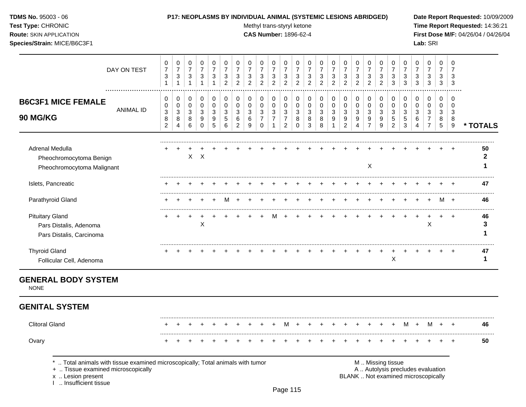Test Type: CHRONIC **Test Type:** CHRONIC **Test Type:** CHRONIC **Time Report Requested:** 14:36:21 **Route:** SKIN APPLICATION **CAS Number:** 1896-62-4 **First Dose M/F:** 04/26/04 / 04/26/04

| Species/Strain: MICE/B6C3F1                                                                                                                                       |                                                    |                                                                            |                                                           |                                                   |                                                                      |                                                             |                                                                                |                                                               |                                                      |                                                                              |                                                                     |                                                       |                                                     |                                                                              |                                                                 |                                                                    |                                                                              |                                                                        |                                                                              |                                                                |                                           |                                                                          | Lab: SRI                                                  |                                                                   |                                                    |                                   |
|-------------------------------------------------------------------------------------------------------------------------------------------------------------------|----------------------------------------------------|----------------------------------------------------------------------------|-----------------------------------------------------------|---------------------------------------------------|----------------------------------------------------------------------|-------------------------------------------------------------|--------------------------------------------------------------------------------|---------------------------------------------------------------|------------------------------------------------------|------------------------------------------------------------------------------|---------------------------------------------------------------------|-------------------------------------------------------|-----------------------------------------------------|------------------------------------------------------------------------------|-----------------------------------------------------------------|--------------------------------------------------------------------|------------------------------------------------------------------------------|------------------------------------------------------------------------|------------------------------------------------------------------------------|----------------------------------------------------------------|-------------------------------------------|--------------------------------------------------------------------------|-----------------------------------------------------------|-------------------------------------------------------------------|----------------------------------------------------|-----------------------------------|
| DAY ON TEST                                                                                                                                                       | 0<br>$\overline{7}$<br>3<br>$\mathbf{1}$           | $\mathbf 0$<br>$\overline{7}$<br>$\ensuremath{\mathsf{3}}$<br>$\mathbf{1}$ | $\pmb{0}$<br>$\overline{7}$<br>$\sqrt{3}$<br>$\mathbf{1}$ | 0<br>$\overline{7}$<br>$\sqrt{3}$<br>$\mathbf{1}$ | $\pmb{0}$<br>$\overline{7}$<br>$\mathbf{3}$<br>$\mathbf{1}$          | $\pmb{0}$<br>$\overline{7}$<br>$\sqrt{3}$<br>$\overline{c}$ | $\mathbf 0$<br>$\overline{7}$<br>$\sqrt{3}$<br>$\overline{2}$                  | $\pmb{0}$<br>$\overline{7}$<br>$\mathbf{3}$<br>$\overline{2}$ | 0<br>$\overline{7}$<br>3<br>$\overline{a}$           | $\mathbf 0$<br>$\overline{7}$<br>$\mathbf{3}$<br>$\overline{2}$              | $\pmb{0}$<br>$\overline{7}$<br>$\sqrt{3}$<br>$\overline{c}$         | 0<br>$\overline{7}$<br>$\mathbf{3}$<br>$\overline{2}$ | 0<br>$\overline{7}$<br>$\sqrt{3}$<br>$\overline{2}$ | $\mathbf 0$<br>$\overline{7}$<br>$\ensuremath{\mathsf{3}}$<br>$\overline{2}$ | $\mathbf 0$<br>$\overline{7}$<br>$\mathbf{3}$<br>$\overline{2}$ | 0<br>$\overline{7}$<br>$\ensuremath{\mathsf{3}}$<br>$\overline{a}$ | $\mathbf 0$<br>$\overline{7}$<br>$\sqrt{3}$<br>$\overline{c}$                | 0<br>$\overline{7}$<br>$\ensuremath{\mathsf{3}}$<br>$\overline{c}$     | $\mathbf 0$<br>$\overline{7}$<br>$\ensuremath{\mathsf{3}}$<br>$\overline{c}$ | $\pmb{0}$<br>$\overline{7}$<br>$\sqrt{3}$<br>$\mathfrak{S}$    | 0<br>$\overline{7}$<br>3<br>3             | 0<br>$\overline{7}$<br>$\sqrt{3}$<br>$\mathbf{3}$                        | $\mathbf 0$<br>$\overline{7}$<br>3<br>3                   | $\mathbf 0$<br>$\overline{7}$<br>3<br>3                           | $\mathbf 0$<br>$\overline{7}$<br>3<br>$\mathbf{3}$ |                                   |
| <b>B6C3F1 MICE FEMALE</b><br>ANIMAL ID<br><b>90 MG/KG</b>                                                                                                         | 0<br>$\mathbf 0$<br>3<br>$\bf 8$<br>$\overline{c}$ | 0<br>$\mathbf 0$<br>3<br>8<br>4                                            | 0<br>$\mathbf 0$<br>$\sqrt{3}$<br>$\bf 8$<br>$\,6$        | 0<br>$\mathbf 0$<br>$\mathbf{3}$<br>9<br>0        | 0<br>$\mathbf 0$<br>$\ensuremath{\mathsf{3}}$<br>9<br>$\overline{5}$ | 0<br>$\pmb{0}$<br>$\sqrt{3}$<br>$\sqrt{5}$<br>6             | 0<br>$\mathsf{O}\xspace$<br>$\ensuremath{\mathsf{3}}$<br>$\,6\,$<br>$\sqrt{2}$ | 0<br>$\mathbf 0$<br>$\mathbf{3}$<br>$\,6\,$<br>9              | 0<br>$\mathsf{O}\xspace$<br>3<br>$\overline{7}$<br>0 | $\mathbf 0$<br>$\mathbf 0$<br>$\mathbf{3}$<br>$\overline{7}$<br>$\mathbf{1}$ | $\mathbf 0$<br>$\mathbf 0$<br>3<br>$\overline{7}$<br>$\overline{c}$ | 0<br>$\mathbf 0$<br>$\mathbf{3}$<br>8<br>$\Omega$     | 0<br>$\mathbf 0$<br>$\mathbf{3}$<br>$\bf8$<br>3     | 0<br>$\mathbf 0$<br>$\ensuremath{\mathsf{3}}$<br>$\bf8$<br>8                 | $\mathbf 0$<br>$\mathbf 0$<br>3<br>9<br>1                       | 0<br>$\mathbf 0$<br>3<br>$9\,$<br>$\overline{a}$                   | $\mathbf 0$<br>$\mathbf 0$<br>$\sqrt{3}$<br>$9\,$<br>$\overline{\mathbf{4}}$ | 0<br>$\mathbf 0$<br>$\mathbf{3}$<br>$\boldsymbol{9}$<br>$\overline{7}$ | 0<br>$\mathbf 0$<br>$\sqrt{3}$<br>$\boldsymbol{9}$<br>9                      | 0<br>$\mathbf 0$<br>$\sqrt{3}$<br>$\sqrt{5}$<br>$\overline{c}$ | 0<br>$\mathbf 0$<br>3<br>$\,$ 5 $\,$<br>3 | $\mathbf 0$<br>$\mathbf 0$<br>$\mathbf{3}$<br>6<br>4                     | 0<br>$\mathbf 0$<br>3<br>$\overline{7}$<br>$\overline{7}$ | $\mathbf 0$<br>$\mathbf 0$<br>$\mathbf{3}$<br>8<br>$\overline{5}$ | $\Omega$<br>$\Omega$<br>3<br>8<br>$9\,$            | * TOTALS                          |
| Adrenal Medulla<br>Pheochromocytoma Benign<br>Pheochromocytoma Malignant                                                                                          |                                                    | $\ddot{}$                                                                  |                                                           | $X$ $X$                                           |                                                                      |                                                             |                                                                                |                                                               |                                                      |                                                                              |                                                                     |                                                       |                                                     |                                                                              |                                                                 |                                                                    |                                                                              | X                                                                      |                                                                              |                                                                |                                           |                                                                          |                                                           |                                                                   |                                                    | 50<br>$\mathbf{2}$<br>$\mathbf 1$ |
| Islets, Pancreatic                                                                                                                                                |                                                    |                                                                            |                                                           |                                                   |                                                                      |                                                             |                                                                                |                                                               |                                                      |                                                                              |                                                                     |                                                       |                                                     |                                                                              |                                                                 |                                                                    |                                                                              |                                                                        |                                                                              |                                                                |                                           |                                                                          |                                                           |                                                                   |                                                    | 47                                |
| Parathyroid Gland                                                                                                                                                 |                                                    |                                                                            |                                                           |                                                   |                                                                      | м                                                           | $\ddot{}$                                                                      |                                                               |                                                      |                                                                              |                                                                     |                                                       |                                                     |                                                                              |                                                                 |                                                                    |                                                                              |                                                                        |                                                                              | $\ddot{}$                                                      |                                           |                                                                          | $\ddot{}$                                                 |                                                                   | M +                                                | 46                                |
| <b>Pituitary Gland</b><br>Pars Distalis, Adenoma<br>Pars Distalis, Carcinoma                                                                                      |                                                    |                                                                            |                                                           | $\sf X$                                           |                                                                      |                                                             |                                                                                |                                                               |                                                      |                                                                              |                                                                     |                                                       |                                                     |                                                                              |                                                                 |                                                                    |                                                                              |                                                                        |                                                                              |                                                                |                                           |                                                                          | $\pmb{\times}$                                            |                                                                   |                                                    | 46<br>3<br>1                      |
| <b>Thyroid Gland</b><br>Follicular Cell, Adenoma                                                                                                                  |                                                    |                                                                            |                                                           |                                                   |                                                                      |                                                             |                                                                                |                                                               |                                                      |                                                                              |                                                                     |                                                       |                                                     |                                                                              |                                                                 |                                                                    |                                                                              | $\ddot{}$                                                              | $\ddot{}$                                                                    | $\ddot{}$<br>X                                                 | $\ddot{}$                                 |                                                                          |                                                           | $\ddot{}$                                                         | $\overline{ }$                                     | 47<br>$\mathbf 1$                 |
| <b>GENERAL BODY SYSTEM</b><br><b>NONE</b>                                                                                                                         |                                                    |                                                                            |                                                           |                                                   |                                                                      |                                                             |                                                                                |                                                               |                                                      |                                                                              |                                                                     |                                                       |                                                     |                                                                              |                                                                 |                                                                    |                                                                              |                                                                        |                                                                              |                                                                |                                           |                                                                          |                                                           |                                                                   |                                                    |                                   |
| <b>GENITAL SYSTEM</b>                                                                                                                                             |                                                    |                                                                            |                                                           |                                                   |                                                                      |                                                             |                                                                                |                                                               |                                                      |                                                                              |                                                                     |                                                       |                                                     |                                                                              |                                                                 |                                                                    |                                                                              |                                                                        |                                                                              |                                                                |                                           |                                                                          |                                                           |                                                                   |                                                    |                                   |
| <b>Clitoral Gland</b>                                                                                                                                             |                                                    |                                                                            |                                                           |                                                   |                                                                      |                                                             |                                                                                |                                                               |                                                      |                                                                              | м                                                                   |                                                       |                                                     |                                                                              |                                                                 |                                                                    |                                                                              |                                                                        |                                                                              | $\ddot{}$                                                      | м                                         | $\ddot{}$                                                                | M                                                         | $+$                                                               | $+$                                                | 46                                |
| Ovary                                                                                                                                                             |                                                    |                                                                            |                                                           |                                                   |                                                                      |                                                             |                                                                                |                                                               |                                                      |                                                                              |                                                                     |                                                       |                                                     |                                                                              |                                                                 |                                                                    |                                                                              |                                                                        |                                                                              |                                                                |                                           |                                                                          |                                                           |                                                                   |                                                    | 50                                |
| Total animals with tissue examined microscopically; Total animals with tumor<br>+  Tissue examined microscopically<br>x  Lesion present<br>I  Insufficient tissue |                                                    |                                                                            |                                                           |                                                   |                                                                      |                                                             |                                                                                |                                                               |                                                      |                                                                              |                                                                     |                                                       |                                                     |                                                                              |                                                                 |                                                                    |                                                                              | M  Missing tissue                                                      |                                                                              |                                                                |                                           | A  Autolysis precludes evaluation<br>BLANK  Not examined microscopically |                                                           |                                                                   |                                                    |                                   |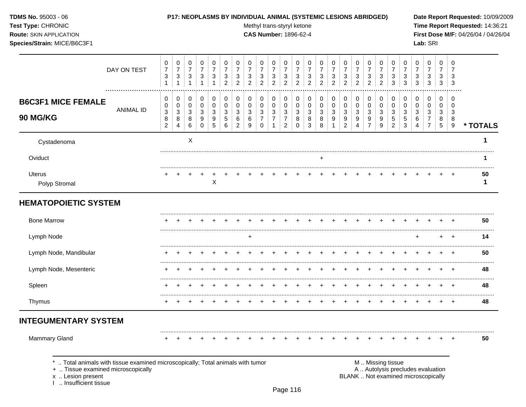**Route: SKIN APPLICATION** Species/Strain: MICE/B6C3F1

## P17: NEOPLASMS BY INDIVIDUAL ANIMAL (SYSTEMIC LESIONS ABRIDGED)

Methyl trans-styryl ketone

**CAS Number: 1896-62-4** 

Date Report Requested: 10/09/2009 Time Report Requested: 14:36:21 First Dose M/F: 04/26/04 / 04/26/04 Lab: SRI

|                                                                                                                                                                | DAY ON TEST      | 0<br>$\boldsymbol{7}$<br>$\ensuremath{\mathsf{3}}$<br>$\mathbf{1}$ | $\pmb{0}$<br>$\boldsymbol{7}$<br>$\sqrt{3}$<br>$\overline{1}$ | 0<br>$\overline{7}$<br>3<br>$\mathbf 1$ | 0<br>$\overline{7}$<br>$\sqrt{3}$<br>$\overline{1}$ | 0<br>$\overline{7}$<br>$\ensuremath{\mathsf{3}}$<br>$\mathbf{1}$ | 0<br>$\overline{7}$<br>$\ensuremath{\mathsf{3}}$<br>$\overline{c}$ | 0<br>$\overline{7}$<br>$\sqrt{3}$<br>$\boldsymbol{2}$ | $\pmb{0}$<br>$\overline{7}$<br>$\ensuremath{\mathsf{3}}$<br>$\overline{2}$ | $\pmb{0}$<br>$\overline{7}$<br>$\ensuremath{\mathsf{3}}$<br>$\overline{c}$ | $\pmb{0}$<br>$\overline{7}$<br>$\ensuremath{\mathsf{3}}$<br>$\boldsymbol{2}$ | 0<br>$\overline{7}$<br>$\ensuremath{\mathsf{3}}$<br>$\overline{c}$ | 0<br>$\overline{7}$<br>$\ensuremath{\mathsf{3}}$<br>$\overline{2}$ | $\pmb{0}$<br>$\overline{7}$<br>$\sqrt{3}$<br>$\overline{2}$ | 0<br>$\overline{7}$<br>$\ensuremath{\mathsf{3}}$<br>$\overline{2}$ | 0<br>$\overline{7}$<br>$\ensuremath{\mathsf{3}}$<br>$\boldsymbol{2}$ | 0<br>$\overline{7}$<br>$\ensuremath{\mathsf{3}}$<br>$\overline{c}$ | $\pmb{0}$<br>$\overline{7}$<br>$\ensuremath{\mathsf{3}}$<br>$\overline{c}$ | 0<br>$\overline{7}$<br>3<br>$\overline{c}$ | $\pmb{0}$<br>$\overline{7}$<br>$\ensuremath{\mathsf{3}}$<br>$\boldsymbol{2}$ | $\,0\,$<br>$\overline{7}$<br>$\ensuremath{\mathsf{3}}$<br>$\mathbf{3}$ | $\pmb{0}$<br>$\overline{7}$<br>$\ensuremath{\mathsf{3}}$<br>$\sqrt{3}$ | 0<br>$\overline{7}$<br>$\sqrt{3}$<br>$\sqrt{3}$ | $\pmb{0}$<br>$\overline{7}$<br>$\ensuremath{\mathsf{3}}$<br>$\mathfrak{Z}$ | $\mathbf 0$<br>$\overline{7}$<br>3<br>$\mathbf{3}$      | 0<br>$\overline{7}$<br>3<br>$\mathbf{3}$ |             |
|----------------------------------------------------------------------------------------------------------------------------------------------------------------|------------------|--------------------------------------------------------------------|---------------------------------------------------------------|-----------------------------------------|-----------------------------------------------------|------------------------------------------------------------------|--------------------------------------------------------------------|-------------------------------------------------------|----------------------------------------------------------------------------|----------------------------------------------------------------------------|------------------------------------------------------------------------------|--------------------------------------------------------------------|--------------------------------------------------------------------|-------------------------------------------------------------|--------------------------------------------------------------------|----------------------------------------------------------------------|--------------------------------------------------------------------|----------------------------------------------------------------------------|--------------------------------------------|------------------------------------------------------------------------------|------------------------------------------------------------------------|------------------------------------------------------------------------|-------------------------------------------------|----------------------------------------------------------------------------|---------------------------------------------------------|------------------------------------------|-------------|
| <b>B6C3F1 MICE FEMALE</b><br>90 MG/KG                                                                                                                          | <b>ANIMAL ID</b> | 0<br>0<br>$\ensuremath{\mathsf{3}}$<br>$\bf 8$<br>$\overline{a}$   | 0<br>0<br>$\mathbf{3}$<br>8<br>$\overline{4}$                 | 0<br>0<br>3<br>8<br>6                   | 0<br>0<br>3<br>9<br>$\Omega$                        | 0<br>0<br>3<br>9<br>5                                            | 0<br>0<br>3<br>5<br>6                                              | 0<br>0<br>3<br>$\,6$<br>$\overline{c}$                | 0<br>$\pmb{0}$<br>$\mathbf{3}$<br>$\,6$<br>9                               | 0<br>$\pmb{0}$<br>3<br>$\overline{7}$<br>$\mathbf 0$                       | 0<br>$\,0\,$<br>$\mathbf{3}$<br>$\overline{7}$<br>$\mathbf{1}$               | 0<br>$\pmb{0}$<br>$\sqrt{3}$<br>$\overline{7}$<br>$\overline{2}$   | 0<br>$\pmb{0}$<br>$\mathbf{3}$<br>8<br>$\Omega$                    | 0<br>$\mathbf 0$<br>$\mathbf{3}$<br>8<br>3                  | 0<br>$\pmb{0}$<br>3<br>8<br>8                                      | 0<br>$\pmb{0}$<br>$\mathbf{3}$<br>9<br>$\overline{1}$                | 0<br>$\pmb{0}$<br>3<br>9<br>$\overline{2}$                         | 0<br>$\pmb{0}$<br>$\mathbf{3}$<br>9<br>$\overline{4}$                      | 0<br>0<br>3<br>9<br>$\overline{7}$         | 0<br>0<br>3<br>9<br>9                                                        | 0<br>$\mathbf 0$<br>3<br>$\sqrt{5}$<br>$\overline{2}$                  | 0<br>$\,0\,$<br>$\mathfrak{Z}$<br>$\sqrt{5}$<br>3                      | 0<br>0<br>$\mathbf{3}$<br>6<br>4                | 0<br>0<br>$\ensuremath{\mathsf{3}}$<br>$\overline{7}$<br>$\overline{7}$    | $\mathbf 0$<br>0<br>$\mathbf{3}$<br>8<br>$\overline{5}$ | 0<br>0<br>3<br>8<br>9                    | * TOTALS    |
| Cystadenoma                                                                                                                                                    |                  |                                                                    |                                                               | X                                       |                                                     |                                                                  |                                                                    |                                                       |                                                                            |                                                                            |                                                                              |                                                                    |                                                                    |                                                             |                                                                    |                                                                      |                                                                    |                                                                            |                                            |                                                                              |                                                                        |                                                                        |                                                 |                                                                            |                                                         |                                          | $\mathbf 1$ |
| Oviduct                                                                                                                                                        |                  |                                                                    |                                                               |                                         |                                                     |                                                                  |                                                                    |                                                       |                                                                            |                                                                            |                                                                              |                                                                    |                                                                    |                                                             | $\ddot{}$                                                          |                                                                      |                                                                    |                                                                            |                                            |                                                                              |                                                                        |                                                                        |                                                 |                                                                            |                                                         |                                          | 1           |
| <b>Uterus</b><br>Polyp Stromal                                                                                                                                 |                  |                                                                    |                                                               |                                         |                                                     | Χ                                                                |                                                                    |                                                       |                                                                            |                                                                            |                                                                              |                                                                    |                                                                    |                                                             |                                                                    |                                                                      |                                                                    |                                                                            |                                            |                                                                              |                                                                        |                                                                        |                                                 |                                                                            |                                                         | $\ddot{}$                                | 50<br>1     |
| <b>HEMATOPOIETIC SYSTEM</b>                                                                                                                                    |                  |                                                                    |                                                               |                                         |                                                     |                                                                  |                                                                    |                                                       |                                                                            |                                                                            |                                                                              |                                                                    |                                                                    |                                                             |                                                                    |                                                                      |                                                                    |                                                                            |                                            |                                                                              |                                                                        |                                                                        |                                                 |                                                                            |                                                         |                                          |             |
| <b>Bone Marrow</b>                                                                                                                                             |                  |                                                                    |                                                               |                                         |                                                     |                                                                  |                                                                    |                                                       |                                                                            |                                                                            |                                                                              |                                                                    |                                                                    |                                                             |                                                                    |                                                                      |                                                                    |                                                                            |                                            |                                                                              |                                                                        |                                                                        |                                                 |                                                                            |                                                         |                                          | 50          |
| Lymph Node                                                                                                                                                     |                  |                                                                    |                                                               |                                         |                                                     |                                                                  |                                                                    |                                                       | ÷                                                                          |                                                                            |                                                                              |                                                                    |                                                                    |                                                             |                                                                    |                                                                      |                                                                    |                                                                            |                                            |                                                                              |                                                                        |                                                                        | +                                               |                                                                            |                                                         | $\ddot{}$                                | 14          |
| Lymph Node, Mandibular                                                                                                                                         |                  |                                                                    |                                                               |                                         |                                                     |                                                                  |                                                                    |                                                       |                                                                            |                                                                            |                                                                              |                                                                    |                                                                    |                                                             |                                                                    |                                                                      |                                                                    |                                                                            |                                            |                                                                              |                                                                        |                                                                        |                                                 |                                                                            |                                                         |                                          | 50          |
| Lymph Node, Mesenteric                                                                                                                                         |                  |                                                                    |                                                               |                                         |                                                     |                                                                  |                                                                    |                                                       |                                                                            |                                                                            |                                                                              |                                                                    |                                                                    |                                                             |                                                                    |                                                                      |                                                                    |                                                                            |                                            |                                                                              |                                                                        |                                                                        |                                                 |                                                                            |                                                         |                                          | 48          |
| Spleen                                                                                                                                                         |                  |                                                                    |                                                               |                                         |                                                     |                                                                  |                                                                    |                                                       |                                                                            |                                                                            |                                                                              |                                                                    |                                                                    |                                                             |                                                                    |                                                                      |                                                                    |                                                                            |                                            |                                                                              |                                                                        |                                                                        |                                                 |                                                                            |                                                         |                                          | 48          |
| Thymus                                                                                                                                                         |                  | ÷                                                                  |                                                               |                                         |                                                     |                                                                  |                                                                    |                                                       |                                                                            |                                                                            |                                                                              |                                                                    |                                                                    |                                                             |                                                                    |                                                                      |                                                                    |                                                                            |                                            |                                                                              |                                                                        |                                                                        |                                                 | $\div$                                                                     | $\div$                                                  | $\div$                                   | 48          |
| <b>INTEGUMENTARY SYSTEM</b>                                                                                                                                    |                  |                                                                    |                                                               |                                         |                                                     |                                                                  |                                                                    |                                                       |                                                                            |                                                                            |                                                                              |                                                                    |                                                                    |                                                             |                                                                    |                                                                      |                                                                    |                                                                            |                                            |                                                                              |                                                                        |                                                                        |                                                 |                                                                            |                                                         |                                          |             |
| Mammary Gland                                                                                                                                                  |                  |                                                                    |                                                               |                                         |                                                     |                                                                  |                                                                    |                                                       |                                                                            |                                                                            |                                                                              |                                                                    |                                                                    |                                                             |                                                                    |                                                                      |                                                                    |                                                                            |                                            |                                                                              |                                                                        |                                                                        |                                                 |                                                                            |                                                         |                                          | 50          |
| Total animals with tissue examined microscopically; Total animals with tumor<br>+  Tissue examined microscopically<br>x  Lesion present<br>Insufficient tissue |                  |                                                                    |                                                               |                                         |                                                     |                                                                  |                                                                    |                                                       |                                                                            |                                                                            |                                                                              |                                                                    |                                                                    |                                                             |                                                                    |                                                                      |                                                                    | BLANK  Not examined microscopically                                        |                                            |                                                                              | M  Missing tissue                                                      |                                                                        | A  Autolysis precludes evaluation               |                                                                            |                                                         |                                          |             |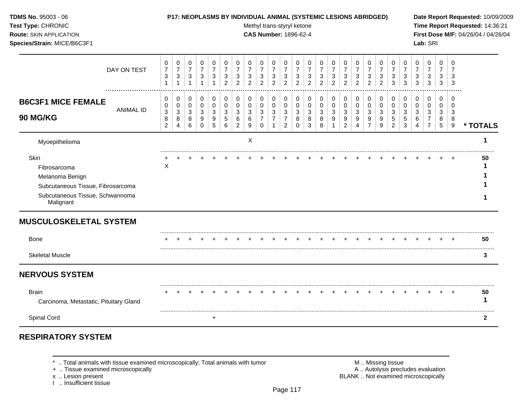**Test Type:** CHRONIC **The Report Requested:** 14:36:21 **Route:** SKIN APPLICATION **CAS Number:** 1896-62-4 **First Dose M/F:** 04/26/04 / 04/26/04

| Species/Strain: MICE/B6C3F1                                                                                                  |                                                                    |                                                     |                                          |                                        |                                 |                                                       |                                                         |                                                                    |                               |                               |                                            |                                            |                                                       |                                                     |                               |                                          |                                            |                                                       |                                                       |                                                        |                                 |                       | Lab: SRI                           |                                     |                                     |          |
|------------------------------------------------------------------------------------------------------------------------------|--------------------------------------------------------------------|-----------------------------------------------------|------------------------------------------|----------------------------------------|---------------------------------|-------------------------------------------------------|---------------------------------------------------------|--------------------------------------------------------------------|-------------------------------|-------------------------------|--------------------------------------------|--------------------------------------------|-------------------------------------------------------|-----------------------------------------------------|-------------------------------|------------------------------------------|--------------------------------------------|-------------------------------------------------------|-------------------------------------------------------|--------------------------------------------------------|---------------------------------|-----------------------|------------------------------------|-------------------------------------|-------------------------------------|----------|
| DAY ON TEST<br>.                                                                                                             | 0<br>$\boldsymbol{7}$<br>$\ensuremath{\mathsf{3}}$<br>$\mathbf{1}$ | 0<br>$\boldsymbol{7}$<br>$\sqrt{3}$<br>$\mathbf{1}$ | 0<br>$\overline{7}$<br>3<br>$\mathbf{1}$ | 0<br>7<br>3<br>1                       | 0<br>$\overline{7}$<br>3<br>1   | 0<br>$\overline{7}$<br>$\mathbf{3}$<br>$\overline{2}$ | 0<br>$\boldsymbol{7}$<br>$\mathbf{3}$<br>$\overline{2}$ | 0<br>$\overline{7}$<br>$\ensuremath{\mathsf{3}}$<br>$\overline{c}$ | 0<br>7<br>3<br>$\overline{2}$ | 0<br>7<br>3<br>$\overline{2}$ | 0<br>$\overline{7}$<br>3<br>$\overline{2}$ | 0<br>$\overline{7}$<br>3<br>$\overline{2}$ | 0<br>$\overline{7}$<br>$\mathbf{3}$<br>$\overline{2}$ | 0<br>$\overline{7}$<br>$\sqrt{3}$<br>$\overline{2}$ | 0<br>7<br>3<br>$\overline{2}$ | 0<br>7<br>$\mathbf{3}$<br>$\overline{2}$ | 0<br>$\overline{7}$<br>3<br>$\overline{2}$ | 0<br>$\boldsymbol{7}$<br>$\sqrt{3}$<br>$\overline{c}$ | 0<br>$\overline{7}$<br>$\mathbf{3}$<br>$\overline{2}$ | 0<br>$\overline{7}$<br>3<br>3                          | 0<br>7<br>3<br>3                | 0<br>7<br>3<br>3      | 0<br>$\overline{7}$<br>3<br>3      | 0<br>$\overline{7}$<br>3<br>3       | 0<br>$\overline{7}$<br>3<br>3       |          |
| <b>B6C3F1 MICE FEMALE</b><br><b>ANIMAL ID</b><br>90 MG/KG                                                                    | 0<br>0<br>3<br>$\bf 8$<br>$\overline{c}$                           | 0<br>0<br>3<br>8<br>4                               | 0<br>0<br>3<br>8<br>6                    | 0<br>$\mathbf 0$<br>3<br>9<br>$\Omega$ | 0<br>$\mathbf 0$<br>3<br>9<br>5 | 0<br>0<br>3<br>5<br>$\,6$                             | 0<br>$\mathbf 0$<br>3<br>6<br>$\overline{2}$            | 0<br>$\mathbf 0$<br>3<br>6<br>9                                    | 0<br>0<br>3<br>7<br>$\Omega$  | 0<br>$\mathbf 0$<br>3         | 0<br>0<br>3<br>7<br>2                      | 0<br>0<br>3<br>8<br>$\Omega$               | 0<br>0<br>3<br>8<br>3                                 | 0<br>0<br>3<br>8<br>8                               | 0<br>0<br>3<br>9<br>1         | 0<br>0<br>3<br>9<br>$\overline{c}$       | 0<br>0<br>3<br>9<br>$\overline{4}$         | 0<br>$\pmb{0}$<br>3<br>9<br>$\overline{7}$            | 0<br>$\mathbf 0$<br>3<br>9<br>9                       | 0<br>$\mathbf 0$<br>3<br>$\mathbf 5$<br>$\overline{c}$ | 0<br>$\mathbf 0$<br>3<br>5<br>3 | 0<br>0<br>3<br>6<br>4 | 0<br>0<br>3<br>7<br>$\overline{7}$ | 0<br>0<br>3<br>8<br>$5\phantom{.0}$ | 0<br>$\mathbf 0$<br>3<br>8<br>$9\,$ | * TOTALS |
| Myoepithelioma                                                                                                               |                                                                    |                                                     |                                          |                                        |                                 |                                                       |                                                         | $\sf X$                                                            |                               |                               |                                            |                                            |                                                       |                                                     |                               |                                          |                                            |                                                       |                                                       |                                                        |                                 |                       |                                    |                                     |                                     | 1        |
| Skin<br>Fibrosarcoma<br>Melanoma Benign<br>Subcutaneous Tissue, Fibrosarcoma<br>Subcutaneous Tissue, Schwannoma<br>Malignant | Χ                                                                  |                                                     |                                          |                                        |                                 |                                                       |                                                         |                                                                    |                               |                               |                                            |                                            |                                                       |                                                     |                               |                                          |                                            |                                                       |                                                       |                                                        |                                 |                       |                                    |                                     |                                     | 50<br>1  |
| <b>MUSCULOSKELETAL SYSTEM</b><br>Bone                                                                                        |                                                                    |                                                     |                                          |                                        |                                 |                                                       |                                                         |                                                                    |                               |                               |                                            |                                            |                                                       |                                                     |                               |                                          |                                            |                                                       |                                                       |                                                        |                                 |                       |                                    |                                     |                                     | 50       |
|                                                                                                                              |                                                                    |                                                     |                                          |                                        |                                 |                                                       |                                                         |                                                                    |                               |                               |                                            |                                            |                                                       |                                                     |                               |                                          |                                            |                                                       |                                                       |                                                        |                                 |                       |                                    |                                     |                                     | 3        |
| <b>Skeletal Muscle</b>                                                                                                       |                                                                    |                                                     |                                          |                                        |                                 |                                                       |                                                         |                                                                    |                               |                               |                                            |                                            |                                                       |                                                     |                               |                                          |                                            |                                                       |                                                       |                                                        |                                 |                       |                                    |                                     |                                     |          |
|                                                                                                                              |                                                                    |                                                     |                                          |                                        |                                 |                                                       |                                                         |                                                                    |                               |                               |                                            |                                            |                                                       |                                                     |                               |                                          |                                            |                                                       |                                                       |                                                        |                                 |                       |                                    |                                     |                                     |          |
| <b>NERVOUS SYSTEM</b><br><b>Brain</b><br>Carcinoma, Metastatic, Pituitary Gland                                              |                                                                    |                                                     |                                          |                                        |                                 |                                                       |                                                         |                                                                    |                               |                               |                                            |                                            |                                                       |                                                     |                               |                                          |                                            |                                                       |                                                       |                                                        |                                 |                       |                                    |                                     | $^{+}$                              | 50<br>1  |

\* .. Total animals with tissue examined microscopically; Total animals with tumor <br>
+ .. Tissue examined microscopically<br>
+ .. Tissue examined microscopically

+ .. Tissue examined microscopically<br>x .. Lesion present

I .. Insufficient tissue

BLANK .. Not examined microscopically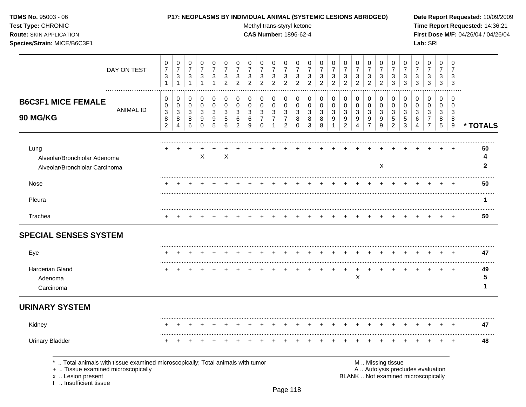Test Type: CHRONIC **Test Type:** CHRONIC **Test Type:** CHRONIC **Time Report Requested:** 14:36:21 **Route:** SKIN APPLICATION **CAS Number:** 1896-62-4 **First Dose M/F:** 04/26/04 / 04/26/04 **Species/Strain:** MICE/B6C3F1 **Lab:** SRI

|                                                                        | DAY ON TEST                                                                  | 0<br>$\boldsymbol{7}$<br>3<br>$\mathbf{1}$  | 0<br>$\boldsymbol{7}$<br>$\sqrt{3}$<br>$\mathbf{1}$ | 0<br>$\overline{7}$<br>3<br>$\mathbf{1}$ | 0<br>$\overline{7}$<br>$\mathbf{3}$ | 0<br>$\overline{7}$<br>3                             | 0<br>$\overline{7}$<br>$\ensuremath{\mathsf{3}}$<br>$\overline{2}$ | 0<br>$\overline{7}$<br>$\ensuremath{\mathsf{3}}$<br>$\overline{2}$ | 0<br>$\overline{7}$<br>$\mathbf{3}$<br>$\overline{2}$ | 0<br>$\overline{7}$<br>$\sqrt{3}$<br>$\overline{2}$                  | 0<br>$\boldsymbol{7}$<br>$\sqrt{3}$<br>$\overline{c}$                       | 0<br>$\overline{7}$<br>3<br>$\overline{c}$      | 0<br>$\overline{7}$<br>3<br>$\overline{c}$ | 0<br>$\overline{7}$<br>3<br>$\overline{2}$ | 0<br>$\overline{7}$<br>3<br>$\overline{2}$ | 0<br>$\boldsymbol{7}$<br>$\mathbf{3}$<br>$\overline{2}$                                     | 0<br>$\overline{7}$<br>3<br>$\overline{2}$                           | 0<br>$\overline{7}$<br>3<br>$\overline{2}$         | 0<br>$\overline{7}$<br>3<br>$\overline{c}$           | 0<br>7<br>$\mathbf{3}$<br>2             | 0<br>7<br>3<br>3                                                                              | 0<br>7<br>3<br>3                         | 0<br>7<br>3<br>3                                  | 0<br>$\overline{7}$<br>$\mathbf{3}$<br>$\mathbf{3}$        | 0<br>$\overline{7}$<br>3<br>3              | 0<br>$\overline{7}$<br>3<br>$\mathbf{3}$     |              |
|------------------------------------------------------------------------|------------------------------------------------------------------------------|---------------------------------------------|-----------------------------------------------------|------------------------------------------|-------------------------------------|------------------------------------------------------|--------------------------------------------------------------------|--------------------------------------------------------------------|-------------------------------------------------------|----------------------------------------------------------------------|-----------------------------------------------------------------------------|-------------------------------------------------|--------------------------------------------|--------------------------------------------|--------------------------------------------|---------------------------------------------------------------------------------------------|----------------------------------------------------------------------|----------------------------------------------------|------------------------------------------------------|-----------------------------------------|-----------------------------------------------------------------------------------------------|------------------------------------------|---------------------------------------------------|------------------------------------------------------------|--------------------------------------------|----------------------------------------------|--------------|
| <b>B6C3F1 MICE FEMALE</b><br><b>90 MG/KG</b>                           | <b>ANIMAL ID</b>                                                             | 0<br>0<br>$\sqrt{3}$<br>8<br>$\overline{c}$ | 0<br>$\pmb{0}$<br>$\sqrt{3}$<br>8<br>4              | 0<br>$\mathbf 0$<br>3<br>8<br>6          | 0<br>0<br>3<br>9<br>$\Omega$        | $\mathbf 0$<br>$\mathbf 0$<br>$\mathbf{3}$<br>9<br>5 | $\mathbf 0$<br>$\mathbf 0$<br>$\mathbf{3}$<br>5<br>6               | 0<br>$\pmb{0}$<br>$\mathbf{3}$<br>$\,6\,$<br>2                     | $\pmb{0}$<br>0<br>$\mathbf{3}$<br>$\,6$<br>9          | $\pmb{0}$<br>$\pmb{0}$<br>$\mathbf{3}$<br>$\overline{7}$<br>$\Omega$ | $\,0\,$<br>0<br>$\ensuremath{\mathsf{3}}$<br>$\overline{7}$<br>$\mathbf{1}$ | 0<br>0<br>$\mathbf{3}$<br>$\boldsymbol{7}$<br>2 | 0<br>0<br>3<br>8<br>$\Omega$               | 0<br>$\mathbf 0$<br>$\sqrt{3}$<br>8<br>3   | 0<br>0<br>3<br>8<br>8                      | $\mathbf 0$<br>$\pmb{0}$<br>$\ensuremath{\mathsf{3}}$<br>$\boldsymbol{9}$<br>$\overline{1}$ | $\pmb{0}$<br>$\boldsymbol{0}$<br>$\mathbf{3}$<br>9<br>$\overline{2}$ | $\pmb{0}$<br>$\mathbf 0$<br>$\mathbf{3}$<br>9<br>4 | $\pmb{0}$<br>$\mathbf 0$<br>3<br>9<br>$\overline{7}$ | $\pmb{0}$<br>$\mathbf 0$<br>3<br>9<br>9 | $\pmb{0}$<br>$\pmb{0}$<br>$\mathbf{3}$<br>5<br>2                                              | 0<br>$\pmb{0}$<br>$\mathbf{3}$<br>5<br>3 | 0<br>0<br>$\mathbf{3}$<br>$\,6$<br>$\overline{4}$ | 0<br>0<br>$\mathbf{3}$<br>$\overline{7}$<br>$\overline{7}$ | $\mathbf 0$<br>0<br>$\mathbf{3}$<br>8<br>5 | $\mathbf 0$<br>0<br>3<br>8<br>$\overline{9}$ | * TOTALS     |
| Lung<br>Alveolar/Bronchiolar Adenoma<br>Alveolar/Bronchiolar Carcinoma |                                                                              |                                             |                                                     |                                          | X                                   |                                                      | $\times$                                                           |                                                                    |                                                       |                                                                      |                                                                             |                                                 |                                            |                                            |                                            |                                                                                             |                                                                      |                                                    |                                                      | X                                       |                                                                                               |                                          |                                                   |                                                            |                                            |                                              | 50<br>4<br>2 |
| Nose                                                                   |                                                                              |                                             |                                                     |                                          |                                     |                                                      |                                                                    |                                                                    |                                                       |                                                                      |                                                                             |                                                 |                                            |                                            |                                            |                                                                                             |                                                                      |                                                    |                                                      |                                         |                                                                                               |                                          |                                                   |                                                            |                                            |                                              | 50           |
| Pleura                                                                 |                                                                              |                                             |                                                     |                                          |                                     |                                                      |                                                                    |                                                                    |                                                       |                                                                      |                                                                             |                                                 |                                            |                                            |                                            |                                                                                             |                                                                      |                                                    |                                                      |                                         |                                                                                               |                                          |                                                   |                                                            |                                            |                                              | 1            |
| Trachea                                                                |                                                                              |                                             |                                                     |                                          |                                     |                                                      |                                                                    |                                                                    |                                                       |                                                                      |                                                                             |                                                 |                                            |                                            |                                            |                                                                                             |                                                                      |                                                    |                                                      |                                         |                                                                                               |                                          |                                                   |                                                            |                                            |                                              | 50           |
| <b>SPECIAL SENSES SYSTEM</b>                                           |                                                                              |                                             |                                                     |                                          |                                     |                                                      |                                                                    |                                                                    |                                                       |                                                                      |                                                                             |                                                 |                                            |                                            |                                            |                                                                                             |                                                                      |                                                    |                                                      |                                         |                                                                                               |                                          |                                                   |                                                            |                                            |                                              |              |
| Eye                                                                    |                                                                              |                                             |                                                     |                                          |                                     |                                                      |                                                                    |                                                                    |                                                       |                                                                      |                                                                             |                                                 |                                            |                                            |                                            |                                                                                             |                                                                      |                                                    |                                                      |                                         |                                                                                               |                                          |                                                   |                                                            |                                            |                                              | 47           |
| <b>Harderian Gland</b><br>Adenoma<br>Carcinoma                         |                                                                              |                                             |                                                     |                                          |                                     |                                                      |                                                                    |                                                                    |                                                       |                                                                      |                                                                             |                                                 |                                            |                                            |                                            |                                                                                             |                                                                      | $\boldsymbol{\mathsf{X}}$                          |                                                      |                                         |                                                                                               |                                          |                                                   |                                                            |                                            |                                              | 49<br>5<br>1 |
| <b>URINARY SYSTEM</b>                                                  |                                                                              |                                             |                                                     |                                          |                                     |                                                      |                                                                    |                                                                    |                                                       |                                                                      |                                                                             |                                                 |                                            |                                            |                                            |                                                                                             |                                                                      |                                                    |                                                      |                                         |                                                                                               |                                          |                                                   |                                                            |                                            |                                              |              |
| Kidney                                                                 |                                                                              |                                             |                                                     |                                          |                                     |                                                      |                                                                    |                                                                    |                                                       |                                                                      |                                                                             |                                                 |                                            |                                            |                                            |                                                                                             |                                                                      |                                                    |                                                      |                                         |                                                                                               |                                          |                                                   |                                                            |                                            |                                              | 47           |
| <b>Urinary Bladder</b>                                                 |                                                                              |                                             |                                                     |                                          |                                     |                                                      |                                                                    |                                                                    |                                                       |                                                                      |                                                                             |                                                 |                                            |                                            |                                            |                                                                                             |                                                                      |                                                    |                                                      |                                         |                                                                                               |                                          |                                                   |                                                            |                                            |                                              | 48           |
| +  Tissue examined microscopically<br>x  Lesion present                | Total animals with tissue examined microscopically; Total animals with tumor |                                             |                                                     |                                          |                                     |                                                      |                                                                    |                                                                    |                                                       |                                                                      |                                                                             |                                                 |                                            |                                            |                                            |                                                                                             |                                                                      |                                                    |                                                      |                                         | M  Missing tissue<br>A  Autolysis precludes evaluation<br>BLANK  Not examined microscopically |                                          |                                                   |                                                            |                                            |                                              |              |

I .. Lookin probotive<br>I .. Insufficient tissue

Page 118